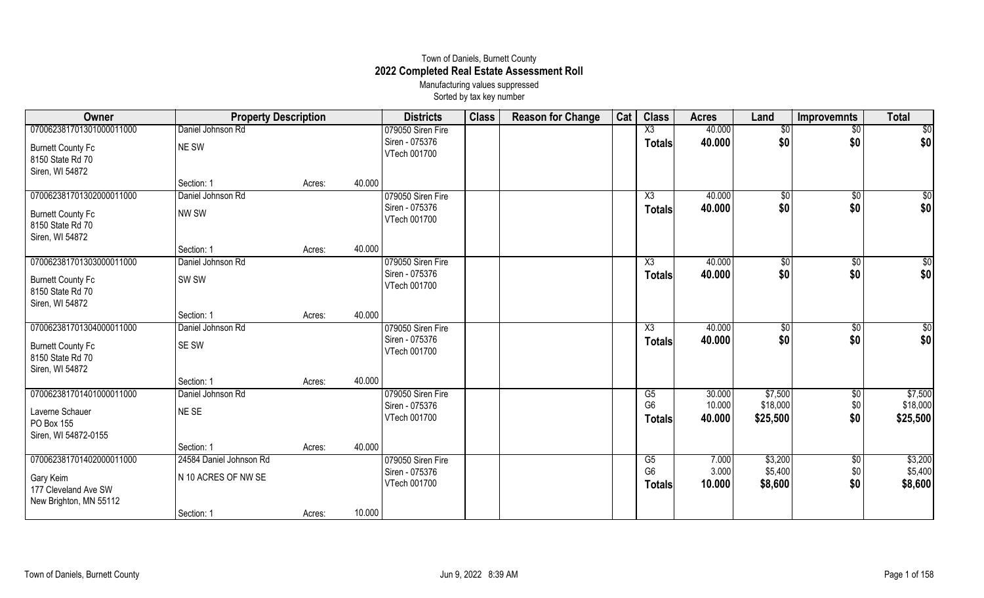## Town of Daniels, Burnett County **2022 Completed Real Estate Assessment Roll** Manufacturing values suppressed

Sorted by tax key number

| Owner                                        | <b>Property Description</b> |        |        | <b>Districts</b>               | <b>Class</b> | <b>Reason for Change</b> | Cat | <b>Class</b>           | <b>Acres</b> | Land        | <b>Improvemnts</b> | <b>Total</b>    |
|----------------------------------------------|-----------------------------|--------|--------|--------------------------------|--------------|--------------------------|-----|------------------------|--------------|-------------|--------------------|-----------------|
| 070062381701301000011000                     | Daniel Johnson Rd           |        |        | 079050 Siren Fire              |              |                          |     | $\overline{\text{X3}}$ | 40.000       | \$0         | $\overline{50}$    | $\overline{30}$ |
| <b>Burnett County Fc</b>                     | NE SW                       |        |        | Siren - 075376<br>VTech 001700 |              |                          |     | <b>Totals</b>          | 40.000       | \$0         | \$0                | \$0             |
| 8150 State Rd 70                             |                             |        |        |                                |              |                          |     |                        |              |             |                    |                 |
| Siren, WI 54872                              |                             |        |        |                                |              |                          |     |                        |              |             |                    |                 |
|                                              | Section: 1                  | Acres: | 40.000 |                                |              |                          |     |                        |              |             |                    |                 |
| 070062381701302000011000                     | Daniel Johnson Rd           |        |        | 079050 Siren Fire              |              |                          |     | $\overline{X3}$        | 40.000       | $\sqrt{$0}$ | $\overline{50}$    | $\frac{6}{3}$   |
| <b>Burnett County Fc</b>                     | NW SW                       |        |        | Siren - 075376                 |              |                          |     | <b>Totals</b>          | 40.000       | \$0         | \$0                | \$0             |
| 8150 State Rd 70                             |                             |        |        | VTech 001700                   |              |                          |     |                        |              |             |                    |                 |
| Siren, WI 54872                              |                             |        |        |                                |              |                          |     |                        |              |             |                    |                 |
|                                              | Section: 1                  | Acres: | 40.000 |                                |              |                          |     |                        |              |             |                    |                 |
| 070062381701303000011000                     | Daniel Johnson Rd           |        |        | 079050 Siren Fire              |              |                          |     | $\overline{\chi_3}$    | 40.000       | \$0         | $\sqrt{$0}$        | $\overline{50}$ |
| <b>Burnett County Fc</b>                     | SW <sub>SW</sub>            |        |        | Siren - 075376                 |              |                          |     | <b>Totals</b>          | 40.000       | \$0         | \$0                | \$0             |
| 8150 State Rd 70                             |                             |        |        | VTech 001700                   |              |                          |     |                        |              |             |                    |                 |
| Siren, WI 54872                              |                             |        |        |                                |              |                          |     |                        |              |             |                    |                 |
|                                              | Section: 1                  | Acres: | 40.000 |                                |              |                          |     |                        |              |             |                    |                 |
| 070062381701304000011000                     | Daniel Johnson Rd           |        |        | 079050 Siren Fire              |              |                          |     | $\overline{\text{X3}}$ | 40.000       | \$0         | $\sqrt[6]{}$       | $\overline{30}$ |
|                                              |                             |        |        | Siren - 075376                 |              |                          |     | <b>Totals</b>          | 40.000       | \$0         | \$0                | \$0             |
| <b>Burnett County Fc</b><br>8150 State Rd 70 | SE SW                       |        |        | VTech 001700                   |              |                          |     |                        |              |             |                    |                 |
| Siren, WI 54872                              |                             |        |        |                                |              |                          |     |                        |              |             |                    |                 |
|                                              | Section: 1                  | Acres: | 40.000 |                                |              |                          |     |                        |              |             |                    |                 |
| 070062381701401000011000                     | Daniel Johnson Rd           |        |        | 079050 Siren Fire              |              |                          |     | G5                     | 30.000       | \$7,500     | \$0                | \$7,500         |
|                                              |                             |        |        | Siren - 075376                 |              |                          |     | G <sub>6</sub>         | 10.000       | \$18,000    | \$0                | \$18,000        |
| Laverne Schauer                              | NE SE                       |        |        | VTech 001700                   |              |                          |     | <b>Totals</b>          | 40.000       | \$25,500    | \$0                | \$25,500        |
| PO Box 155                                   |                             |        |        |                                |              |                          |     |                        |              |             |                    |                 |
| Siren, WI 54872-0155                         |                             |        |        |                                |              |                          |     |                        |              |             |                    |                 |
|                                              | Section: 1                  | Acres: | 40.000 |                                |              |                          |     |                        |              |             |                    |                 |
| 070062381701402000011000                     | 24584 Daniel Johnson Rd     |        |        | 079050 Siren Fire              |              |                          |     | G <sub>5</sub>         | 7.000        | \$3,200     | \$0                | \$3,200         |
| Gary Keim                                    | N 10 ACRES OF NW SE         |        |        | Siren - 075376<br>VTech 001700 |              |                          |     | G <sub>6</sub>         | 3.000        | \$5,400     | \$0                | \$5,400         |
| 177 Cleveland Ave SW                         |                             |        |        |                                |              |                          |     | <b>Totals</b>          | 10.000       | \$8,600     | \$0                | \$8,600         |
| New Brighton, MN 55112                       |                             |        |        |                                |              |                          |     |                        |              |             |                    |                 |
|                                              | Section: 1                  | Acres: | 10.000 |                                |              |                          |     |                        |              |             |                    |                 |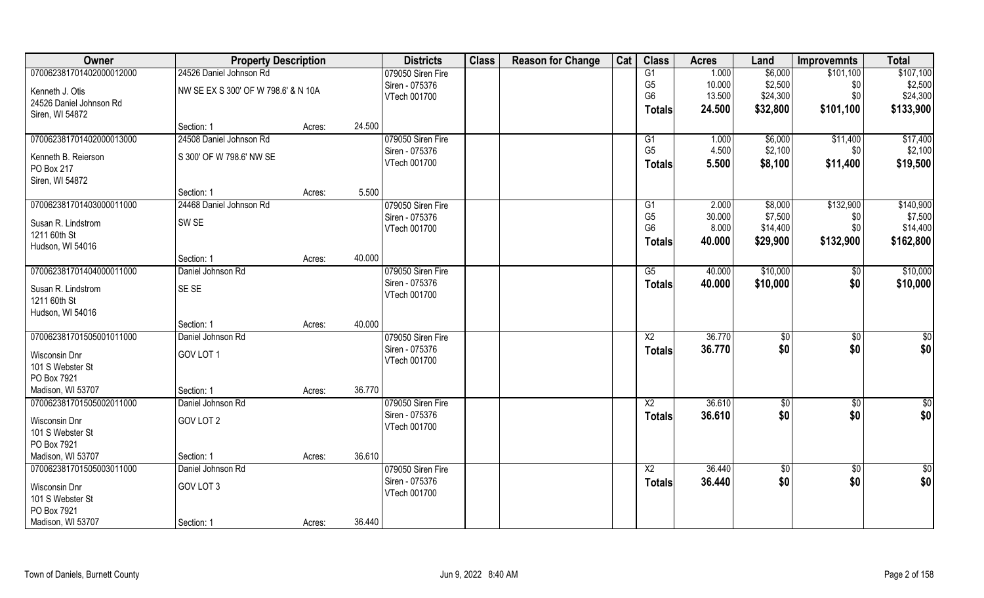| Owner                             |                                     | <b>Property Description</b> |        |                   | <b>Class</b> | <b>Reason for Change</b> | Cat | <b>Class</b>    | <b>Acres</b> | Land           | <b>Improvemnts</b> | <b>Total</b>  |
|-----------------------------------|-------------------------------------|-----------------------------|--------|-------------------|--------------|--------------------------|-----|-----------------|--------------|----------------|--------------------|---------------|
| 070062381701402000012000          | 24526 Daniel Johnson Rd             |                             |        | 079050 Siren Fire |              |                          |     | G1              | 1.000        | \$6,000        | \$101,100          | \$107,100     |
| Kenneth J. Otis                   | NW SE EX S 300' OF W 798.6' & N 10A |                             |        | Siren - 075376    |              |                          |     | G <sub>5</sub>  | 10.000       | \$2,500        | \$0                | \$2,500       |
| 24526 Daniel Johnson Rd           |                                     |                             |        | VTech 001700      |              |                          |     | G <sub>6</sub>  | 13.500       | \$24,300       | \$0                | \$24,300      |
| Siren, WI 54872                   |                                     |                             |        |                   |              |                          |     | <b>Totals</b>   | 24.500       | \$32,800       | \$101,100          | \$133,900     |
|                                   | Section: 1                          | Acres:                      | 24.500 |                   |              |                          |     |                 |              |                |                    |               |
| 070062381701402000013000          | 24508 Daniel Johnson Rd             |                             |        | 079050 Siren Fire |              |                          |     | G1              | 1.000        | \$6,000        | \$11,400           | \$17,400      |
| Kenneth B. Reierson               | S 300' OF W 798.6' NW SE            |                             |        | Siren - 075376    |              |                          |     | G <sub>5</sub>  | 4.500        | \$2,100        | \$0                | \$2,100       |
| PO Box 217                        |                                     |                             |        | VTech 001700      |              |                          |     | <b>Totals</b>   | 5.500        | \$8,100        | \$11,400           | \$19,500      |
| Siren, WI 54872                   |                                     |                             |        |                   |              |                          |     |                 |              |                |                    |               |
|                                   | Section: 1                          | Acres:                      | 5.500  |                   |              |                          |     |                 |              |                |                    |               |
| 070062381701403000011000          | 24468 Daniel Johnson Rd             |                             |        | 079050 Siren Fire |              |                          |     | G1              | 2.000        | \$8,000        | \$132,900          | \$140,900     |
| Susan R. Lindstrom                | SW <sub>SE</sub>                    |                             |        | Siren - 075376    |              |                          |     | G <sub>5</sub>  | 30.000       | \$7,500        | \$0                | \$7,500       |
| 1211 60th St                      |                                     |                             |        | VTech 001700      |              |                          |     | G <sub>6</sub>  | 8.000        | \$14,400       | \$0                | \$14,400      |
| Hudson, WI 54016                  |                                     |                             |        |                   |              |                          |     | <b>Totals</b>   | 40.000       | \$29,900       | \$132,900          | \$162,800     |
|                                   | Section: 1                          | Acres:                      | 40.000 |                   |              |                          |     |                 |              |                |                    |               |
| 070062381701404000011000          | Daniel Johnson Rd                   |                             |        | 079050 Siren Fire |              |                          |     | G5              | 40.000       | \$10,000       | \$0                | \$10,000      |
| Susan R. Lindstrom                | SE SE                               |                             |        | Siren - 075376    |              |                          |     | <b>Totals</b>   | 40.000       | \$10,000       | \$0                | \$10,000      |
| 1211 60th St                      |                                     |                             |        | VTech 001700      |              |                          |     |                 |              |                |                    |               |
| Hudson, WI 54016                  |                                     |                             |        |                   |              |                          |     |                 |              |                |                    |               |
|                                   | Section: 1                          | Acres:                      | 40.000 |                   |              |                          |     |                 |              |                |                    |               |
| 070062381701505001011000          | Daniel Johnson Rd                   |                             |        | 079050 Siren Fire |              |                          |     | $\overline{X2}$ | 36.770       | $\sqrt[6]{30}$ | $\overline{50}$    | \$0           |
| Wisconsin Dnr                     | GOV LOT 1                           |                             |        | Siren - 075376    |              |                          |     | <b>Totals</b>   | 36.770       | \$0            | \$0                | \$0           |
| 101 S Webster St                  |                                     |                             |        | VTech 001700      |              |                          |     |                 |              |                |                    |               |
| PO Box 7921                       |                                     |                             |        |                   |              |                          |     |                 |              |                |                    |               |
| Madison, WI 53707                 | Section: 1                          | Acres:                      | 36.770 |                   |              |                          |     |                 |              |                |                    |               |
| 070062381701505002011000          | Daniel Johnson Rd                   |                             |        | 079050 Siren Fire |              |                          |     | $\overline{X2}$ | 36.610       | \$0            | $\sqrt{50}$        | $\frac{6}{3}$ |
|                                   | GOV LOT 2                           |                             |        | Siren - 075376    |              |                          |     | <b>Totals</b>   | 36.610       | \$0            | \$0                | \$0           |
| Wisconsin Dnr<br>101 S Webster St |                                     |                             |        | VTech 001700      |              |                          |     |                 |              |                |                    |               |
| PO Box 7921                       |                                     |                             |        |                   |              |                          |     |                 |              |                |                    |               |
| Madison, WI 53707                 | Section: 1                          | Acres:                      | 36.610 |                   |              |                          |     |                 |              |                |                    |               |
| 070062381701505003011000          | Daniel Johnson Rd                   |                             |        | 079050 Siren Fire |              |                          |     | X <sub>2</sub>  | 36.440       | $\sqrt{6}$     | $\overline{50}$    | \$0           |
| Wisconsin Dnr                     | GOV LOT 3                           |                             |        | Siren - 075376    |              |                          |     | <b>Totals</b>   | 36.440       | \$0            | \$0                | \$0           |
| 101 S Webster St                  |                                     |                             |        | VTech 001700      |              |                          |     |                 |              |                |                    |               |
| PO Box 7921                       |                                     |                             |        |                   |              |                          |     |                 |              |                |                    |               |
| Madison, WI 53707                 | Section: 1                          | Acres:                      | 36.440 |                   |              |                          |     |                 |              |                |                    |               |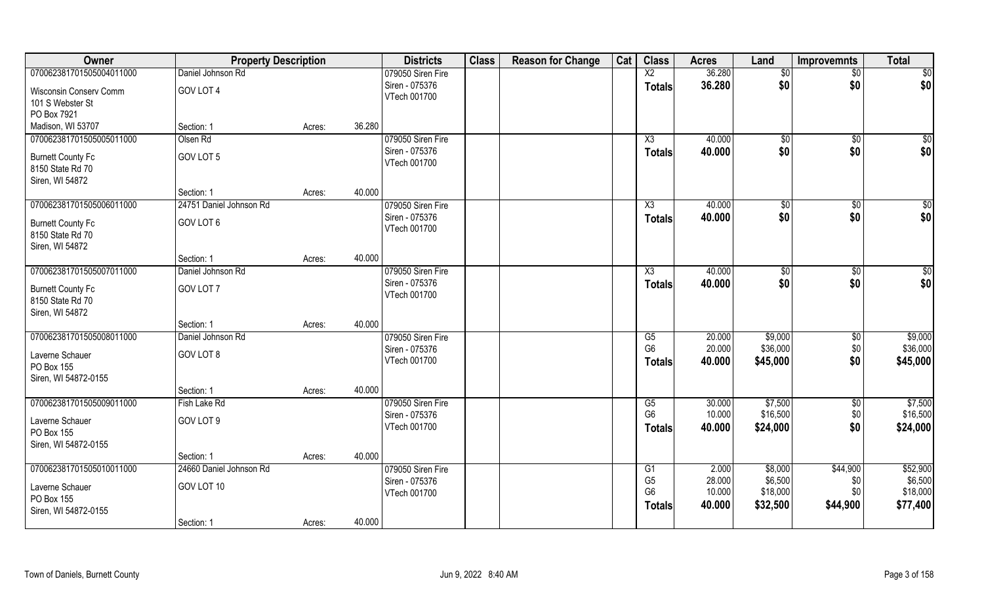| Owner                                      | <b>Property Description</b> |        |        | <b>Districts</b>               | <b>Class</b> | <b>Reason for Change</b> | Cat | <b>Class</b>    | <b>Acres</b> | Land     | <b>Improvemnts</b> | <b>Total</b> |
|--------------------------------------------|-----------------------------|--------|--------|--------------------------------|--------------|--------------------------|-----|-----------------|--------------|----------|--------------------|--------------|
| 070062381701505004011000                   | Daniel Johnson Rd           |        |        | 079050 Siren Fire              |              |                          |     | $\overline{X2}$ | 36.280       | \$0      | \$0                | \$0          |
| Wisconsin Conserv Comm<br>101 S Webster St | GOV LOT 4                   |        |        | Siren - 075376<br>VTech 001700 |              |                          |     | <b>Totals</b>   | 36.280       | \$0      | \$0                | \$0          |
| PO Box 7921                                |                             |        |        |                                |              |                          |     |                 |              |          |                    |              |
| Madison, WI 53707                          | Section: 1                  | Acres: | 36.280 |                                |              |                          |     |                 |              |          |                    |              |
| 070062381701505005011000                   | Olsen Rd                    |        |        | 079050 Siren Fire              |              |                          |     | X3              | 40.000       | \$0      | \$0                | \$0          |
| <b>Burnett County Fc</b>                   | GOV LOT 5                   |        |        | Siren - 075376                 |              |                          |     | <b>Totals</b>   | 40.000       | \$0      | \$0                | \$0          |
| 8150 State Rd 70                           |                             |        |        | VTech 001700                   |              |                          |     |                 |              |          |                    |              |
| Siren, WI 54872                            |                             |        |        |                                |              |                          |     |                 |              |          |                    |              |
|                                            | Section: 1                  | Acres: | 40.000 |                                |              |                          |     |                 |              |          |                    |              |
| 070062381701505006011000                   | 24751 Daniel Johnson Rd     |        |        | 079050 Siren Fire              |              |                          |     | X3              | 40.000       | \$0      | \$0                | \$0          |
| <b>Burnett County Fc</b>                   | GOV LOT 6                   |        |        | Siren - 075376                 |              |                          |     | <b>Totals</b>   | 40.000       | \$0      | \$0                | \$0          |
| 8150 State Rd 70                           |                             |        |        | VTech 001700                   |              |                          |     |                 |              |          |                    |              |
| Siren, WI 54872                            |                             |        |        |                                |              |                          |     |                 |              |          |                    |              |
|                                            | Section: 1                  | Acres: | 40.000 |                                |              |                          |     |                 |              |          |                    |              |
| 070062381701505007011000                   | Daniel Johnson Rd           |        |        | 079050 Siren Fire              |              |                          |     | X3              | 40.000       | \$0      | \$0                | \$0          |
| <b>Burnett County Fc</b>                   | GOV LOT 7                   |        |        | Siren - 075376<br>VTech 001700 |              |                          |     | <b>Totals</b>   | 40.000       | \$0      | \$0                | \$0          |
| 8150 State Rd 70<br>Siren, WI 54872        |                             |        |        |                                |              |                          |     |                 |              |          |                    |              |
|                                            | Section: 1                  | Acres: | 40.000 |                                |              |                          |     |                 |              |          |                    |              |
| 070062381701505008011000                   | Daniel Johnson Rd           |        |        | 079050 Siren Fire              |              |                          |     | G5              | 20.000       | \$9,000  | $\sqrt[6]{3}$      | \$9,000      |
| Laverne Schauer                            | GOV LOT 8                   |        |        | Siren - 075376                 |              |                          |     | G <sub>6</sub>  | 20.000       | \$36,000 | \$0                | \$36,000     |
| PO Box 155                                 |                             |        |        | VTech 001700                   |              |                          |     | <b>Totals</b>   | 40.000       | \$45,000 | \$0                | \$45,000     |
| Siren, WI 54872-0155                       |                             |        |        |                                |              |                          |     |                 |              |          |                    |              |
|                                            | Section: 1                  | Acres: | 40.000 |                                |              |                          |     |                 |              |          |                    |              |
| 070062381701505009011000                   | Fish Lake Rd                |        |        | 079050 Siren Fire              |              |                          |     | G5              | 30.000       | \$7,500  | $\sqrt{6}$         | \$7,500      |
| Laverne Schauer                            | GOV LOT 9                   |        |        | Siren - 075376                 |              |                          |     | G <sub>6</sub>  | 10.000       | \$16,500 | \$0                | \$16,500     |
| PO Box 155                                 |                             |        |        | VTech 001700                   |              |                          |     | <b>Totals</b>   | 40.000       | \$24,000 | \$0                | \$24,000     |
| Siren, WI 54872-0155                       |                             |        |        |                                |              |                          |     |                 |              |          |                    |              |
|                                            | Section: 1                  | Acres: | 40.000 |                                |              |                          |     |                 |              |          |                    |              |
| 070062381701505010011000                   | 24660 Daniel Johnson Rd     |        |        | 079050 Siren Fire              |              |                          |     | G1              | 2.000        | \$8,000  | \$44,900           | \$52,900     |
| Laverne Schauer                            | GOV LOT 10                  |        |        | Siren - 075376                 |              |                          |     | G <sub>5</sub>  | 28.000       | \$6,500  | \$0                | \$6,500      |
| PO Box 155                                 |                             |        |        | VTech 001700                   |              |                          |     | G <sub>6</sub>  | 10.000       | \$18,000 | \$0                | \$18,000     |
| Siren, WI 54872-0155                       |                             |        |        |                                |              |                          |     | <b>Totals</b>   | 40.000       | \$32,500 | \$44,900           | \$77,400     |
|                                            | Section: 1                  | Acres: | 40.000 |                                |              |                          |     |                 |              |          |                    |              |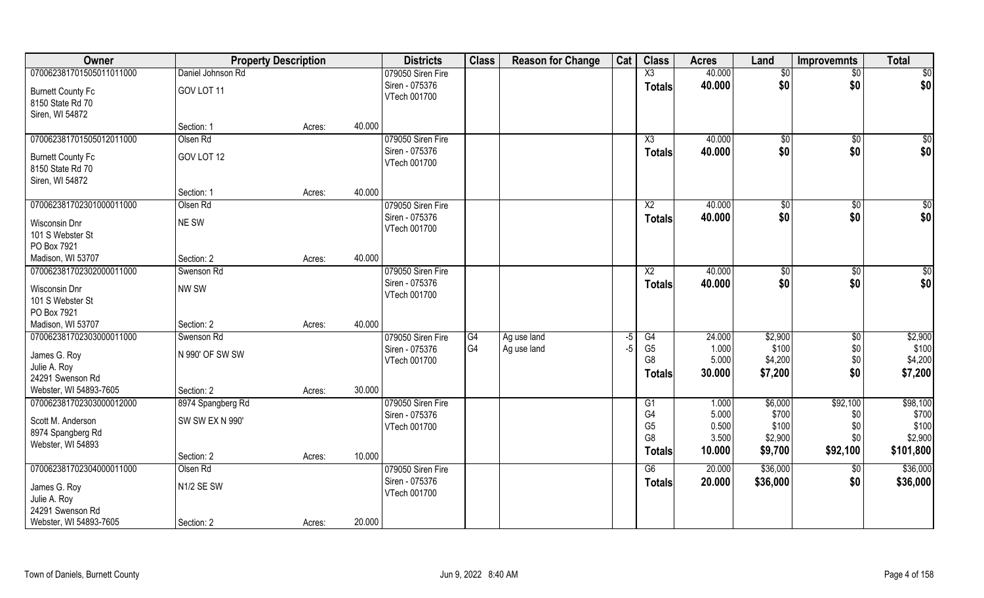| Owner                                         |                          | <b>Property Description</b> |        | <b>Districts</b>               | <b>Class</b> | <b>Reason for Change</b> | Cat | <b>Class</b>           | <b>Acres</b>   | Land           | <b>Improvemnts</b> | <b>Total</b>   |
|-----------------------------------------------|--------------------------|-----------------------------|--------|--------------------------------|--------------|--------------------------|-----|------------------------|----------------|----------------|--------------------|----------------|
| 070062381701505011011000                      | Daniel Johnson Rd        |                             |        | 079050 Siren Fire              |              |                          |     | $\overline{\text{X3}}$ | 40.000         | \$0            | $\sqrt{$0}$        | \$0            |
| <b>Burnett County Fc</b>                      | GOV LOT 11               |                             |        | Siren - 075376<br>VTech 001700 |              |                          |     | <b>Totals</b>          | 40.000         | \$0            | \$0                | \$0            |
| 8150 State Rd 70<br>Siren, WI 54872           |                          |                             |        |                                |              |                          |     |                        |                |                |                    |                |
|                                               | Section: 1               | Acres:                      | 40.000 |                                |              |                          |     |                        |                |                |                    |                |
| 070062381701505012011000                      | Olsen Rd                 |                             |        | 079050 Siren Fire              |              |                          |     | X3                     | 40.000         | $\sqrt[6]{}$   | $\sqrt{$0}$        | $\sqrt{50}$    |
| <b>Burnett County Fc</b>                      | GOV LOT 12               |                             |        | Siren - 075376<br>VTech 001700 |              |                          |     | <b>Totals</b>          | 40.000         | \$0            | \$0                | \$0            |
| 8150 State Rd 70<br>Siren, WI 54872           |                          |                             |        |                                |              |                          |     |                        |                |                |                    |                |
|                                               | Section: 1               | Acres:                      | 40.000 |                                |              |                          |     |                        |                |                |                    |                |
| 070062381702301000011000                      | Olsen Rd                 |                             |        | 079050 Siren Fire              |              |                          |     | $\overline{X2}$        | 40.000         | \$0            | $\overline{50}$    | $\sqrt{50}$    |
| Wisconsin Dnr                                 | NE SW                    |                             |        | Siren - 075376<br>VTech 001700 |              |                          |     | <b>Totals</b>          | 40.000         | \$0            | \$0                | \$0            |
| 101 S Webster St                              |                          |                             |        |                                |              |                          |     |                        |                |                |                    |                |
| PO Box 7921<br>Madison, WI 53707              | Section: 2               | Acres:                      | 40.000 |                                |              |                          |     |                        |                |                |                    |                |
| 070062381702302000011000                      | Swenson Rd               |                             |        | 079050 Siren Fire              |              |                          |     | X <sub>2</sub>         | 40.000         | \$0            | \$0                | $\sqrt{50}$    |
| Wisconsin Dnr                                 | NW SW                    |                             |        | Siren - 075376                 |              |                          |     | <b>Totals</b>          | 40.000         | \$0            | \$0                | \$0            |
| 101 S Webster St                              |                          |                             |        | VTech 001700                   |              |                          |     |                        |                |                |                    |                |
| PO Box 7921                                   |                          |                             | 40.000 |                                |              |                          |     |                        |                |                |                    |                |
| Madison, WI 53707<br>070062381702303000011000 | Section: 2<br>Swenson Rd | Acres:                      |        | 079050 Siren Fire              | G4           | Ag use land              | -5  | G4                     | 24.000         | \$2,900        | $\sqrt[6]{30}$     | \$2,900        |
|                                               |                          |                             |        | Siren - 075376                 | G4           | Ag use land              | -5  | G <sub>5</sub>         | 1.000          | \$100          | \$0                | \$100          |
| James G. Roy                                  | N 990' OF SW SW          |                             |        | VTech 001700                   |              |                          |     | G <sub>8</sub>         | 5.000          | \$4,200        | \$0                | \$4,200        |
| Julie A. Roy                                  |                          |                             |        |                                |              |                          |     | <b>Totals</b>          | 30.000         | \$7,200        | \$0                | \$7,200        |
| 24291 Swenson Rd                              |                          |                             |        |                                |              |                          |     |                        |                |                |                    |                |
| Webster, WI 54893-7605                        | Section: 2               | Acres:                      | 30.000 |                                |              |                          |     |                        |                |                |                    |                |
| 070062381702303000012000                      | 8974 Spangberg Rd        |                             |        | 079050 Siren Fire              |              |                          |     | G1                     | 1.000          | \$6,000        | \$92,100           | \$98,100       |
| Scott M. Anderson                             | <b>SW SW EX N 990'</b>   |                             |        | Siren - 075376                 |              |                          |     | G4<br>G <sub>5</sub>   | 5.000          | \$700<br>\$100 | \$0                | \$700<br>\$100 |
| 8974 Spangberg Rd                             |                          |                             |        | VTech 001700                   |              |                          |     | G <sub>8</sub>         | 0.500<br>3.500 | \$2,900        | \$0<br>\$0         | \$2,900        |
| Webster, WI 54893                             |                          |                             |        |                                |              |                          |     |                        |                |                |                    |                |
|                                               | Section: 2               | Acres:                      | 10.000 |                                |              |                          |     | Totals                 | 10.000         | \$9,700        | \$92,100           | \$101,800      |
| 070062381702304000011000                      | Olsen Rd                 |                             |        | 079050 Siren Fire              |              |                          |     | G6                     | 20.000         | \$36,000       | $\sqrt{$0}$        | \$36,000       |
| James G. Roy                                  | N1/2 SE SW               |                             |        | Siren - 075376                 |              |                          |     | <b>Totals</b>          | 20.000         | \$36,000       | \$0                | \$36,000       |
| Julie A. Roy                                  |                          |                             |        | VTech 001700                   |              |                          |     |                        |                |                |                    |                |
| 24291 Swenson Rd                              |                          |                             |        |                                |              |                          |     |                        |                |                |                    |                |
| Webster, WI 54893-7605                        | Section: 2               | Acres:                      | 20.000 |                                |              |                          |     |                        |                |                |                    |                |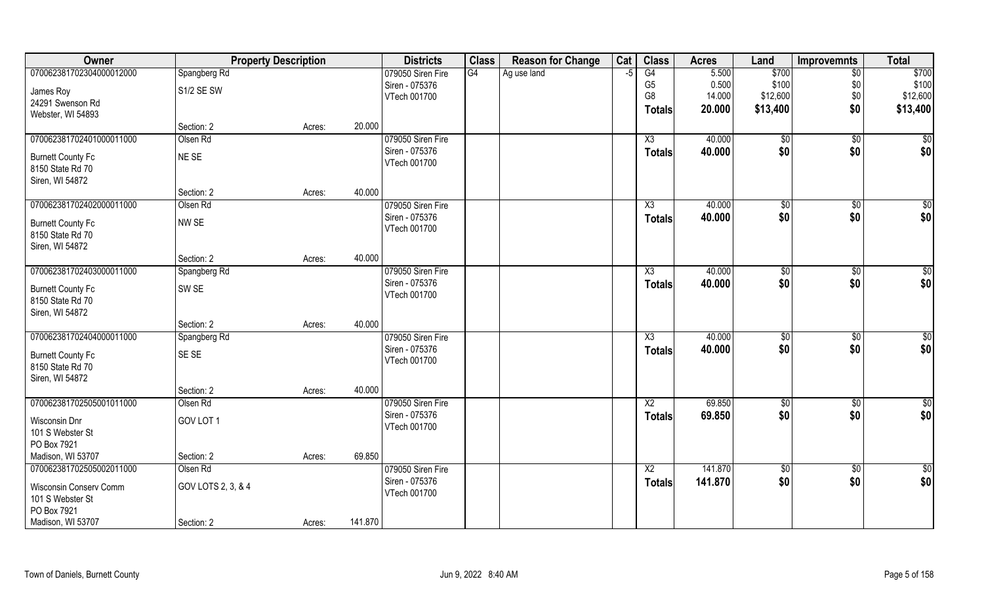| <b>Class</b><br>Owner<br><b>Property Description</b><br><b>Districts</b><br><b>Reason for Change</b> | Cat  | <b>Class</b>           | <b>Acres</b>     | Land            | <b>Improvemnts</b> | <b>Total</b>         |
|------------------------------------------------------------------------------------------------------|------|------------------------|------------------|-----------------|--------------------|----------------------|
| 070062381702304000012000<br>Spangberg Rd<br>079050 Siren Fire<br>G4<br>Ag use land                   | $-5$ | G4                     | 5.500            | \$700           | \$0                | \$700                |
| Siren - 075376<br>S1/2 SE SW<br>James Roy                                                            |      | G <sub>5</sub>         | 0.500            | \$100           | \$0                | \$100                |
| VTech 001700<br>24291 Swenson Rd                                                                     |      | G8                     | 14.000           | \$12,600        | \$0\$              | \$12,600             |
| Webster, WI 54893                                                                                    |      | <b>Totals</b>          | 20.000           | \$13,400        | \$0                | \$13,400             |
| Section: 2<br>20.000<br>Acres:                                                                       |      |                        |                  |                 |                    |                      |
| 070062381702401000011000<br>Olsen Rd<br>079050 Siren Fire                                            |      | X3                     | 40.000           | \$0             | $\overline{50}$    | \$0                  |
| Siren - 075376<br>NE SE<br><b>Burnett County Fc</b>                                                  |      | <b>Totals</b>          | 40.000           | \$0             | \$0                | \$0                  |
| VTech 001700<br>8150 State Rd 70                                                                     |      |                        |                  |                 |                    |                      |
| Siren, WI 54872                                                                                      |      |                        |                  |                 |                    |                      |
| 40.000<br>Section: 2<br>Acres:                                                                       |      |                        |                  |                 |                    |                      |
| 070062381702402000011000<br>Olsen Rd<br>079050 Siren Fire                                            |      | $\overline{X3}$        | 40.000           | \$0             | $\sqrt{6}$         | \$0                  |
| Siren - 075376<br>NW SE<br><b>Burnett County Fc</b>                                                  |      | <b>Totals</b>          | 40.000           | \$0             | \$0                | \$0                  |
| VTech 001700<br>8150 State Rd 70                                                                     |      |                        |                  |                 |                    |                      |
| Siren, WI 54872                                                                                      |      |                        |                  |                 |                    |                      |
| 40.000<br>Section: 2<br>Acres:                                                                       |      |                        |                  |                 |                    |                      |
| 070062381702403000011000<br>079050 Siren Fire<br>Spangberg Rd                                        |      | X3                     | 40.000           | $\sqrt[6]{3}$   | \$0                | \$0                  |
| Siren - 075376<br>SW <sub>SE</sub><br><b>Burnett County Fc</b><br>VTech 001700                       |      | <b>Totals</b>          | 40.000           | \$0             | \$0                | \$0                  |
| 8150 State Rd 70                                                                                     |      |                        |                  |                 |                    |                      |
| Siren, WI 54872                                                                                      |      |                        |                  |                 |                    |                      |
| 40.000<br>Section: 2<br>Acres:                                                                       |      |                        |                  |                 |                    |                      |
| 070062381702404000011000<br>Spangberg Rd<br>079050 Siren Fire<br>Siren - 075376                      |      | $\overline{\text{X3}}$ | 40.000           | \$0             | $\overline{50}$    | \$0                  |
| SE SE<br><b>Burnett County Fc</b><br>VTech 001700                                                    |      | <b>Totals</b>          | 40.000           | \$0             | \$0                | \$0                  |
| 8150 State Rd 70                                                                                     |      |                        |                  |                 |                    |                      |
| Siren, WI 54872                                                                                      |      |                        |                  |                 |                    |                      |
| 40.000<br>Section: 2<br>Acres:                                                                       |      |                        |                  |                 |                    |                      |
| 070062381702505001011000<br>Olsen Rd<br>079050 Siren Fire<br>Siren - 075376                          |      | X2                     | 69.850<br>69.850 | \$0<br>\$0      | $\sqrt{6}$<br>\$0  | $\frac{6}{3}$<br>\$0 |
| GOV LOT 1<br>Wisconsin Dnr<br>VTech 001700                                                           |      | <b>Totals</b>          |                  |                 |                    |                      |
| 101 S Webster St                                                                                     |      |                        |                  |                 |                    |                      |
| PO Box 7921<br>Madison, WI 53707<br>69.850                                                           |      |                        |                  |                 |                    |                      |
| Section: 2<br>Acres:<br>070062381702505002011000<br>Olsen Rd<br>079050 Siren Fire                    |      | X2                     | 141.870          | $\overline{50}$ | $\overline{60}$    | $\frac{1}{6}$        |
| Siren - 075376                                                                                       |      | <b>Totals</b>          | 141.870          | \$0             | \$0                | \$0                  |
| GOV LOTS 2, 3, & 4<br>Wisconsin Conserv Comm<br>VTech 001700                                         |      |                        |                  |                 |                    |                      |
| 101 S Webster St<br>PO Box 7921                                                                      |      |                        |                  |                 |                    |                      |
| 141.870<br>Madison, WI 53707<br>Section: 2<br>Acres:                                                 |      |                        |                  |                 |                    |                      |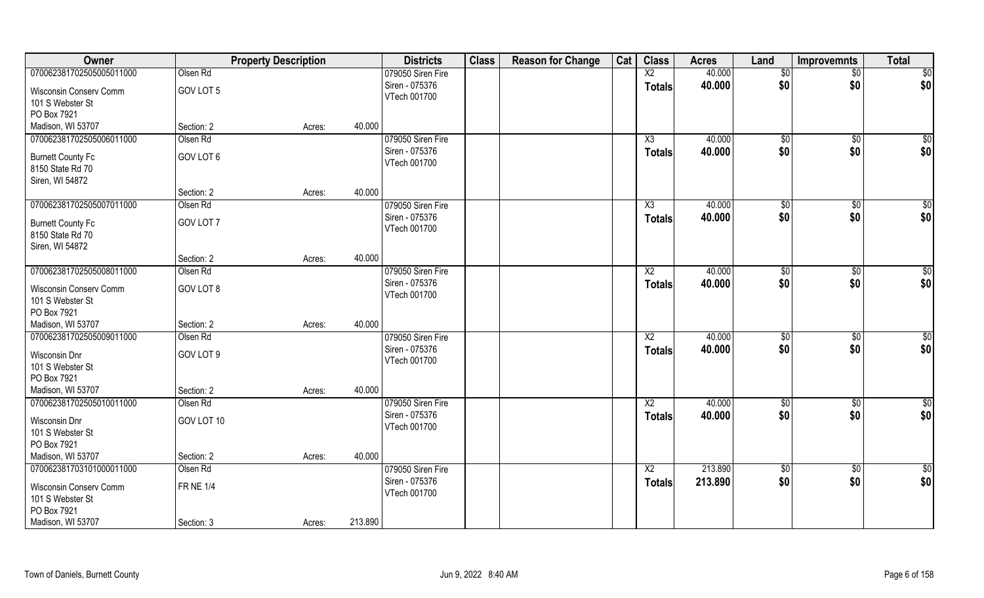| Owner                                      |                  | <b>Property Description</b> |         | <b>Districts</b>               | <b>Class</b> | <b>Reason for Change</b> | Cat | <b>Class</b>    | <b>Acres</b> | Land            | <b>Improvemnts</b> | <b>Total</b>    |
|--------------------------------------------|------------------|-----------------------------|---------|--------------------------------|--------------|--------------------------|-----|-----------------|--------------|-----------------|--------------------|-----------------|
| 070062381702505005011000                   | Olsen Rd         |                             |         | 079050 Siren Fire              |              |                          |     | X2              | 40.000       | \$0             | $\overline{50}$    | $\overline{50}$ |
| Wisconsin Conserv Comm<br>101 S Webster St | GOV LOT 5        |                             |         | Siren - 075376<br>VTech 001700 |              |                          |     | <b>Totals</b>   | 40.000       | \$0             | \$0                | \$0             |
| PO Box 7921                                |                  |                             |         |                                |              |                          |     |                 |              |                 |                    |                 |
| Madison, WI 53707                          | Section: 2       | Acres:                      | 40.000  |                                |              |                          |     |                 |              |                 |                    |                 |
| 070062381702505006011000                   | Olsen Rd         |                             |         | 079050 Siren Fire              |              |                          |     | X3              | 40.000       | \$0             | $\sqrt{50}$        | \$0             |
| <b>Burnett County Fc</b>                   | GOV LOT 6        |                             |         | Siren - 075376                 |              |                          |     | <b>Totals</b>   | 40.000       | \$0             | \$0                | \$0             |
| 8150 State Rd 70                           |                  |                             |         | VTech 001700                   |              |                          |     |                 |              |                 |                    |                 |
| Siren, WI 54872                            |                  |                             |         |                                |              |                          |     |                 |              |                 |                    |                 |
|                                            | Section: 2       | Acres:                      | 40.000  |                                |              |                          |     |                 |              |                 |                    |                 |
| 070062381702505007011000                   | Olsen Rd         |                             |         | 079050 Siren Fire              |              |                          |     | X3              | 40.000       | \$0             | \$0                | $\sqrt{50}$     |
| <b>Burnett County Fc</b>                   | GOV LOT 7        |                             |         | Siren - 075376                 |              |                          |     | <b>Totals</b>   | 40.000       | \$0             | \$0                | \$0             |
| 8150 State Rd 70                           |                  |                             |         | VTech 001700                   |              |                          |     |                 |              |                 |                    |                 |
| Siren, WI 54872                            |                  |                             |         |                                |              |                          |     |                 |              |                 |                    |                 |
|                                            | Section: 2       | Acres:                      | 40.000  |                                |              |                          |     |                 |              |                 |                    |                 |
| 070062381702505008011000                   | Olsen Rd         |                             |         | 079050 Siren Fire              |              |                          |     | X <sub>2</sub>  | 40.000       | $\frac{1}{20}$  | $\sqrt[6]{30}$     | \$0             |
| Wisconsin Conserv Comm                     | GOV LOT 8        |                             |         | Siren - 075376                 |              |                          |     | <b>Totals</b>   | 40.000       | \$0             | \$0                | \$0             |
| 101 S Webster St                           |                  |                             |         | VTech 001700                   |              |                          |     |                 |              |                 |                    |                 |
| PO Box 7921                                |                  |                             |         |                                |              |                          |     |                 |              |                 |                    |                 |
| Madison, WI 53707                          | Section: 2       | Acres:                      | 40.000  |                                |              |                          |     |                 |              |                 |                    |                 |
| 070062381702505009011000                   | Olsen Rd         |                             |         | 079050 Siren Fire              |              |                          |     | $\overline{X2}$ | 40.000       | \$0             | $\sqrt[6]{30}$     | $\sqrt{50}$     |
| Wisconsin Dnr                              | GOV LOT 9        |                             |         | Siren - 075376                 |              |                          |     | <b>Totals</b>   | 40.000       | \$0             | \$0                | \$0             |
| 101 S Webster St                           |                  |                             |         | VTech 001700                   |              |                          |     |                 |              |                 |                    |                 |
| PO Box 7921                                |                  |                             |         |                                |              |                          |     |                 |              |                 |                    |                 |
| Madison, WI 53707                          | Section: 2       | Acres:                      | 40.000  |                                |              |                          |     |                 |              |                 |                    |                 |
| 070062381702505010011000                   | Olsen Rd         |                             |         | 079050 Siren Fire              |              |                          |     | X <sub>2</sub>  | 40.000       | \$0             | \$0                | \$0             |
| Wisconsin Dnr                              | GOV LOT 10       |                             |         | Siren - 075376                 |              |                          |     | <b>Totals</b>   | 40.000       | \$0             | \$0                | \$0             |
| 101 S Webster St                           |                  |                             |         | VTech 001700                   |              |                          |     |                 |              |                 |                    |                 |
| PO Box 7921                                |                  |                             |         |                                |              |                          |     |                 |              |                 |                    |                 |
| Madison, WI 53707                          | Section: 2       | Acres:                      | 40.000  |                                |              |                          |     |                 |              |                 |                    |                 |
| 070062381703101000011000                   | Olsen Rd         |                             |         | 079050 Siren Fire              |              |                          |     | X2              | 213.890      | $\overline{50}$ | $\sqrt{6}$         | \$0             |
|                                            | <b>FR NE 1/4</b> |                             |         | Siren - 075376                 |              |                          |     | <b>Totals</b>   | 213.890      | \$0             | \$0                | \$0             |
| Wisconsin Conserv Comm<br>101 S Webster St |                  |                             |         | VTech 001700                   |              |                          |     |                 |              |                 |                    |                 |
| PO Box 7921                                |                  |                             |         |                                |              |                          |     |                 |              |                 |                    |                 |
| Madison, WI 53707                          | Section: 3       | Acres:                      | 213.890 |                                |              |                          |     |                 |              |                 |                    |                 |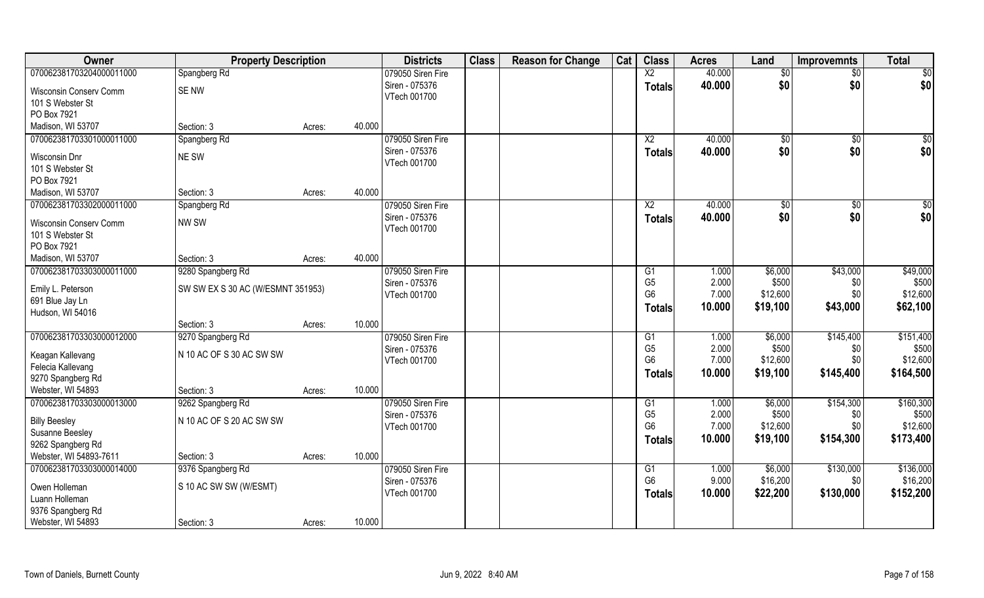| Owner                                              | <b>Property Description</b>       |        |        | <b>Districts</b>  | <b>Class</b> | <b>Reason for Change</b> | Cat | <b>Class</b>             | <b>Acres</b> | Land        | <b>Improvemnts</b> | <b>Total</b> |
|----------------------------------------------------|-----------------------------------|--------|--------|-------------------|--------------|--------------------------|-----|--------------------------|--------------|-------------|--------------------|--------------|
| 070062381703204000011000                           | Spangberg Rd                      |        |        | 079050 Siren Fire |              |                          |     | $\overline{\mathsf{X2}}$ | 40.000       | \$0         | \$0                | \$0          |
| Wisconsin Conserv Comm                             | SE NW                             |        |        | Siren - 075376    |              |                          |     | <b>Totals</b>            | 40.000       | \$0         | \$0                | \$0          |
| 101 S Webster St                                   |                                   |        |        | VTech 001700      |              |                          |     |                          |              |             |                    |              |
| PO Box 7921                                        |                                   |        |        |                   |              |                          |     |                          |              |             |                    |              |
| Madison, WI 53707                                  | Section: 3                        | Acres: | 40.000 |                   |              |                          |     |                          |              |             |                    |              |
| 070062381703301000011000                           | Spangberg Rd                      |        |        | 079050 Siren Fire |              |                          |     | $\overline{X2}$          | 40.000       | $\sqrt{$0}$ | $\sqrt[6]{}$       | \$0          |
| Wisconsin Dnr                                      | NE SW                             |        |        | Siren - 075376    |              |                          |     | <b>Totals</b>            | 40.000       | \$0         | \$0                | \$0          |
| 101 S Webster St                                   |                                   |        |        | VTech 001700      |              |                          |     |                          |              |             |                    |              |
| PO Box 7921                                        |                                   |        |        |                   |              |                          |     |                          |              |             |                    |              |
| Madison, WI 53707                                  | Section: 3                        | Acres: | 40.000 |                   |              |                          |     |                          |              |             |                    |              |
| 070062381703302000011000                           | Spangberg Rd                      |        |        | 079050 Siren Fire |              |                          |     | $\overline{X2}$          | 40.000       | \$0         | $\sqrt{6}$         | \$0          |
| Wisconsin Conserv Comm                             | NW SW                             |        |        | Siren - 075376    |              |                          |     | <b>Totals</b>            | 40.000       | \$0         | \$0                | \$0          |
| 101 S Webster St                                   |                                   |        |        | VTech 001700      |              |                          |     |                          |              |             |                    |              |
| PO Box 7921                                        |                                   |        |        |                   |              |                          |     |                          |              |             |                    |              |
| Madison, WI 53707                                  | Section: 3                        | Acres: | 40.000 |                   |              |                          |     |                          |              |             |                    |              |
| 070062381703303000011000                           | 9280 Spangberg Rd                 |        |        | 079050 Siren Fire |              |                          |     | G1                       | 1.000        | \$6,000     | \$43,000           | \$49,000     |
|                                                    |                                   |        |        | Siren - 075376    |              |                          |     | G <sub>5</sub>           | 2.000        | \$500       | \$0                | \$500        |
| Emily L. Peterson<br>691 Blue Jay Ln               | SW SW EX S 30 AC (W/ESMNT 351953) |        |        | VTech 001700      |              |                          |     | G <sub>6</sub>           | 7.000        | \$12,600    | \$0                | \$12,600     |
| Hudson, WI 54016                                   |                                   |        |        |                   |              |                          |     | <b>Totals</b>            | 10.000       | \$19,100    | \$43,000           | \$62,100     |
|                                                    | Section: 3                        | Acres: | 10.000 |                   |              |                          |     |                          |              |             |                    |              |
| 070062381703303000012000                           | 9270 Spangberg Rd                 |        |        | 079050 Siren Fire |              |                          |     | G1                       | 1.000        | \$6,000     | \$145,400          | \$151,400    |
|                                                    |                                   |        |        | Siren - 075376    |              |                          |     | G <sub>5</sub>           | 2.000        | \$500       | \$0                | \$500        |
| Keagan Kallevang                                   | N 10 AC OF S 30 AC SW SW          |        |        | VTech 001700      |              |                          |     | G <sub>6</sub>           | 7.000        | \$12,600    | \$0                | \$12,600     |
| Felecia Kallevang<br>9270 Spangberg Rd             |                                   |        |        |                   |              |                          |     | <b>Totals</b>            | 10.000       | \$19,100    | \$145,400          | \$164,500    |
| Webster, WI 54893                                  | Section: 3                        | Acres: | 10.000 |                   |              |                          |     |                          |              |             |                    |              |
| 070062381703303000013000                           | 9262 Spangberg Rd                 |        |        | 079050 Siren Fire |              |                          |     | G1                       | 1.000        | \$6,000     | \$154,300          | \$160,300    |
|                                                    |                                   |        |        | Siren - 075376    |              |                          |     | G <sub>5</sub>           | 2.000        | \$500       | \$0                | \$500        |
| <b>Billy Beesley</b>                               | N 10 AC OF S 20 AC SW SW          |        |        | VTech 001700      |              |                          |     | G <sub>6</sub>           | 7.000        | \$12,600    | \$0\$              | \$12,600     |
| Susanne Beesley                                    |                                   |        |        |                   |              |                          |     | <b>Totals</b>            | 10.000       | \$19,100    | \$154,300          | \$173,400    |
| 9262 Spangberg Rd                                  |                                   |        | 10.000 |                   |              |                          |     |                          |              |             |                    |              |
| Webster, WI 54893-7611<br>070062381703303000014000 | Section: 3                        | Acres: |        | 079050 Siren Fire |              |                          |     | G1                       | 1.000        | \$6,000     | \$130,000          | \$136,000    |
|                                                    | 9376 Spangberg Rd                 |        |        | Siren - 075376    |              |                          |     | G <sub>6</sub>           | 9.000        | \$16,200    | \$0                | \$16,200     |
| Owen Holleman                                      | S 10 AC SW SW (W/ESMT)            |        |        | VTech 001700      |              |                          |     | <b>Totals</b>            | 10.000       | \$22,200    | \$130,000          | \$152,200    |
| Luann Holleman                                     |                                   |        |        |                   |              |                          |     |                          |              |             |                    |              |
| 9376 Spangberg Rd                                  |                                   |        |        |                   |              |                          |     |                          |              |             |                    |              |
| Webster, WI 54893                                  | Section: 3                        | Acres: | 10.000 |                   |              |                          |     |                          |              |             |                    |              |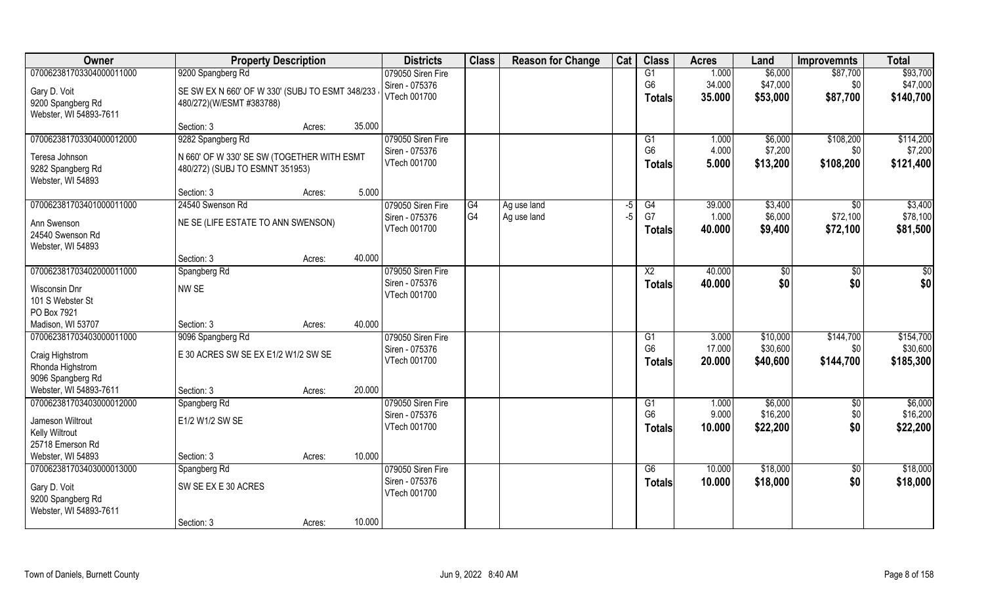| Owner                    | <b>Property Description</b>                     |        |        | <b>Districts</b>               | <b>Class</b> | <b>Reason for Change</b> | Cat | <b>Class</b>    | <b>Acres</b> | Land     | <b>Improvemnts</b> | <b>Total</b>    |
|--------------------------|-------------------------------------------------|--------|--------|--------------------------------|--------------|--------------------------|-----|-----------------|--------------|----------|--------------------|-----------------|
| 070062381703304000011000 | 9200 Spangberg Rd                               |        |        | 079050 Siren Fire              |              |                          |     | $\overline{G1}$ | 1.000        | \$6,000  | \$87,700           | \$93,700        |
| Gary D. Voit             | SE SW EX N 660' OF W 330' (SUBJ TO ESMT 348/233 |        |        | Siren - 075376                 |              |                          |     | G <sub>6</sub>  | 34.000       | \$47,000 | \$0                | \$47,000        |
| 9200 Spangberg Rd        | 480/272)(W/ESMT #383788)                        |        |        | VTech 001700                   |              |                          |     | <b>Totals</b>   | 35.000       | \$53,000 | \$87,700           | \$140,700       |
| Webster, WI 54893-7611   |                                                 |        |        |                                |              |                          |     |                 |              |          |                    |                 |
|                          | Section: 3                                      | Acres: | 35.000 |                                |              |                          |     |                 |              |          |                    |                 |
| 070062381703304000012000 | 9282 Spangberg Rd                               |        |        | 079050 Siren Fire              |              |                          |     | G1              | 1.000        | \$6,000  | \$108,200          | \$114,200       |
| Teresa Johnson           | N 660' OF W 330' SE SW (TOGETHER WITH ESMT      |        |        | Siren - 075376                 |              |                          |     | G <sub>6</sub>  | 4.000        | \$7,200  | \$0                | \$7,200         |
| 9282 Spangberg Rd        | 480/272) (SUBJ TO ESMNT 351953)                 |        |        | VTech 001700                   |              |                          |     | <b>Totals</b>   | 5.000        | \$13,200 | \$108,200          | \$121,400       |
| Webster, WI 54893        |                                                 |        |        |                                |              |                          |     |                 |              |          |                    |                 |
|                          | Section: 3                                      | Acres: | 5.000  |                                |              |                          |     |                 |              |          |                    |                 |
| 070062381703401000011000 | 24540 Swenson Rd                                |        |        | 079050 Siren Fire              | G4           | Ag use land              | -5  | G4              | 39.000       | \$3,400  | $\sqrt{50}$        | \$3,400         |
| Ann Swenson              | NE SE (LIFE ESTATE TO ANN SWENSON)              |        |        | Siren - 075376                 | G4           | Ag use land              | -5  | G7              | 1.000        | \$6,000  | \$72,100           | \$78,100        |
| 24540 Swenson Rd         |                                                 |        |        | VTech 001700                   |              |                          |     | <b>Totals</b>   | 40.000       | \$9,400  | \$72,100           | \$81,500        |
| Webster, WI 54893        |                                                 |        |        |                                |              |                          |     |                 |              |          |                    |                 |
|                          | Section: 3                                      | Acres: | 40.000 |                                |              |                          |     |                 |              |          |                    |                 |
| 070062381703402000011000 | Spangberg Rd                                    |        |        | 079050 Siren Fire              |              |                          |     | X <sub>2</sub>  | 40.000       | \$0      | \$0                | $\overline{50}$ |
| Wisconsin Dnr            | NW SE                                           |        |        | Siren - 075376                 |              |                          |     | <b>Totals</b>   | 40.000       | \$0      | \$0                | \$0             |
| 101 S Webster St         |                                                 |        |        | VTech 001700                   |              |                          |     |                 |              |          |                    |                 |
| PO Box 7921              |                                                 |        |        |                                |              |                          |     |                 |              |          |                    |                 |
| Madison, WI 53707        | Section: 3                                      | Acres: | 40.000 |                                |              |                          |     |                 |              |          |                    |                 |
| 070062381703403000011000 | 9096 Spangberg Rd                               |        |        | 079050 Siren Fire              |              |                          |     | G1              | 3.000        | \$10,000 | \$144,700          | \$154,700       |
| Craig Highstrom          | E 30 ACRES SW SE EX E1/2 W1/2 SW SE             |        |        | Siren - 075376<br>VTech 001700 |              |                          |     | G <sub>6</sub>  | 17.000       | \$30,600 | \$0                | \$30,600        |
| Rhonda Highstrom         |                                                 |        |        |                                |              |                          |     | Totals          | 20.000       | \$40,600 | \$144,700          | \$185,300       |
| 9096 Spangberg Rd        |                                                 |        |        |                                |              |                          |     |                 |              |          |                    |                 |
| Webster, WI 54893-7611   | Section: 3                                      | Acres: | 20.000 |                                |              |                          |     |                 |              |          |                    |                 |
| 070062381703403000012000 | Spangberg Rd                                    |        |        | 079050 Siren Fire              |              |                          |     | G1              | 1.000        | \$6,000  | \$0                | \$6,000         |
| Jameson Wiltrout         | E1/2 W1/2 SW SE                                 |        |        | Siren - 075376<br>VTech 001700 |              |                          |     | G <sub>6</sub>  | 9.000        | \$16,200 | \$0<br>\$0         | \$16,200        |
| <b>Kelly Wiltrout</b>    |                                                 |        |        |                                |              |                          |     | <b>Totals</b>   | 10.000       | \$22,200 |                    | \$22,200        |
| 25718 Emerson Rd         |                                                 |        |        |                                |              |                          |     |                 |              |          |                    |                 |
| Webster, WI 54893        | Section: 3                                      | Acres: | 10.000 |                                |              |                          |     |                 |              |          |                    |                 |
| 070062381703403000013000 | Spangberg Rd                                    |        |        | 079050 Siren Fire              |              |                          |     | G6              | 10.000       | \$18,000 | $\sqrt{6}$         | \$18,000        |
| Gary D. Voit             | SW SE EX E 30 ACRES                             |        |        | Siren - 075376<br>VTech 001700 |              |                          |     | <b>Totals</b>   | 10.000       | \$18,000 | \$0                | \$18,000        |
| 9200 Spangberg Rd        |                                                 |        |        |                                |              |                          |     |                 |              |          |                    |                 |
| Webster, WI 54893-7611   |                                                 |        |        |                                |              |                          |     |                 |              |          |                    |                 |
|                          | Section: 3                                      | Acres: | 10.000 |                                |              |                          |     |                 |              |          |                    |                 |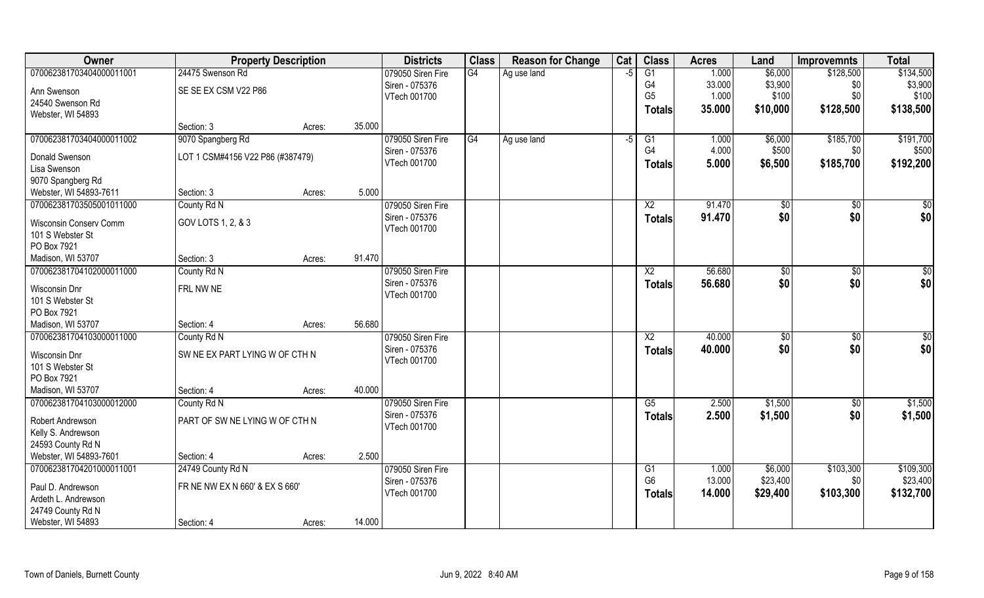| Owner                            |                                  | <b>Property Description</b> |        | <b>Districts</b>  | <b>Class</b> | <b>Reason for Change</b> | Cat  | <b>Class</b>    | <b>Acres</b> | Land           | <b>Improvemnts</b> | <b>Total</b> |
|----------------------------------|----------------------------------|-----------------------------|--------|-------------------|--------------|--------------------------|------|-----------------|--------------|----------------|--------------------|--------------|
| 070062381703404000011001         | 24475 Swenson Rd                 |                             |        | 079050 Siren Fire | G4           | Ag use land              | -5   | $\overline{G1}$ | 1.000        | \$6,000        | \$128,500          | \$134,500    |
| Ann Swenson                      | SE SE EX CSM V22 P86             |                             |        | Siren - 075376    |              |                          |      | G4              | 33.000       | \$3,900        | \$0                | \$3,900      |
| 24540 Swenson Rd                 |                                  |                             |        | VTech 001700      |              |                          |      | G <sub>5</sub>  | 1.000        | \$100          | \$0                | \$100        |
| Webster, WI 54893                |                                  |                             |        |                   |              |                          |      | Totals          | 35.000       | \$10,000       | \$128,500          | \$138,500    |
|                                  | Section: 3                       | Acres:                      | 35.000 |                   |              |                          |      |                 |              |                |                    |              |
| 070062381703404000011002         | 9070 Spangberg Rd                |                             |        | 079050 Siren Fire | G4           | Ag use land              | $-5$ | G1              | 1.000        | \$6,000        | \$185,700          | \$191,700    |
| Donald Swenson                   | LOT 1 CSM#4156 V22 P86 (#387479) |                             |        | Siren - 075376    |              |                          |      | G4              | 4.000        | \$500          | \$0                | \$500        |
| Lisa Swenson                     |                                  |                             |        | VTech 001700      |              |                          |      | <b>Totals</b>   | 5.000        | \$6,500        | \$185,700          | \$192,200    |
| 9070 Spangberg Rd                |                                  |                             |        |                   |              |                          |      |                 |              |                |                    |              |
| Webster, WI 54893-7611           | Section: 3                       | Acres:                      | 5.000  |                   |              |                          |      |                 |              |                |                    |              |
| 070062381703505001011000         | County Rd N                      |                             |        | 079050 Siren Fire |              |                          |      | X <sub>2</sub>  | 91.470       | \$0            | \$0                | \$0          |
| Wisconsin Conserv Comm           | GOV LOTS 1, 2, & 3               |                             |        | Siren - 075376    |              |                          |      | <b>Totals</b>   | 91.470       | \$0            | \$0                | \$0          |
| 101 S Webster St                 |                                  |                             |        | VTech 001700      |              |                          |      |                 |              |                |                    |              |
| PO Box 7921                      |                                  |                             |        |                   |              |                          |      |                 |              |                |                    |              |
| Madison, WI 53707                | Section: 3                       | Acres:                      | 91.470 |                   |              |                          |      |                 |              |                |                    |              |
| 070062381704102000011000         | County Rd N                      |                             |        | 079050 Siren Fire |              |                          |      | X <sub>2</sub>  | 56.680       | \$0            | \$0                | \$0          |
|                                  |                                  |                             |        | Siren - 075376    |              |                          |      | <b>Totals</b>   | 56,680       | \$0            | \$0                | \$0          |
| Wisconsin Dnr                    | FRL NW NE                        |                             |        | VTech 001700      |              |                          |      |                 |              |                |                    |              |
| 101 S Webster St                 |                                  |                             |        |                   |              |                          |      |                 |              |                |                    |              |
| PO Box 7921<br>Madison, WI 53707 | Section: 4                       | Acres:                      | 56.680 |                   |              |                          |      |                 |              |                |                    |              |
| 070062381704103000011000         | County Rd N                      |                             |        | 079050 Siren Fire |              |                          |      | $\overline{X2}$ | 40.000       | $\sqrt[6]{30}$ | $\overline{50}$    | \$0          |
|                                  |                                  |                             |        | Siren - 075376    |              |                          |      | <b>Totals</b>   | 40.000       | \$0            | \$0                | \$0          |
| Wisconsin Dnr                    | SW NE EX PART LYING W OF CTH N   |                             |        | VTech 001700      |              |                          |      |                 |              |                |                    |              |
| 101 S Webster St                 |                                  |                             |        |                   |              |                          |      |                 |              |                |                    |              |
| PO Box 7921                      |                                  |                             |        |                   |              |                          |      |                 |              |                |                    |              |
| Madison, WI 53707                | Section: 4                       | Acres:                      | 40.000 |                   |              |                          |      |                 |              |                |                    |              |
| 070062381704103000012000         | County Rd N                      |                             |        | 079050 Siren Fire |              |                          |      | G5              | 2.500        | \$1,500        | \$0                | \$1,500      |
| Robert Andrewson                 | PART OF SW NE LYING W OF CTH N   |                             |        | Siren - 075376    |              |                          |      | <b>Totals</b>   | 2.500        | \$1,500        | \$0                | \$1,500      |
| Kelly S. Andrewson               |                                  |                             |        | VTech 001700      |              |                          |      |                 |              |                |                    |              |
| 24593 County Rd N                |                                  |                             |        |                   |              |                          |      |                 |              |                |                    |              |
| Webster, WI 54893-7601           | Section: 4                       | Acres:                      | 2.500  |                   |              |                          |      |                 |              |                |                    |              |
| 070062381704201000011001         | 24749 County Rd N                |                             |        | 079050 Siren Fire |              |                          |      | G1              | 1.000        | \$6,000        | \$103,300          | \$109,300    |
| Paul D. Andrewson                | FR NE NW EX N 660' & EX S 660'   |                             |        | Siren - 075376    |              |                          |      | G <sub>6</sub>  | 13.000       | \$23,400       | \$0                | \$23,400     |
| Ardeth L. Andrewson              |                                  |                             |        | VTech 001700      |              |                          |      | <b>Totals</b>   | 14.000       | \$29,400       | \$103,300          | \$132,700    |
| 24749 County Rd N                |                                  |                             |        |                   |              |                          |      |                 |              |                |                    |              |
| Webster, WI 54893                | Section: 4                       | Acres:                      | 14.000 |                   |              |                          |      |                 |              |                |                    |              |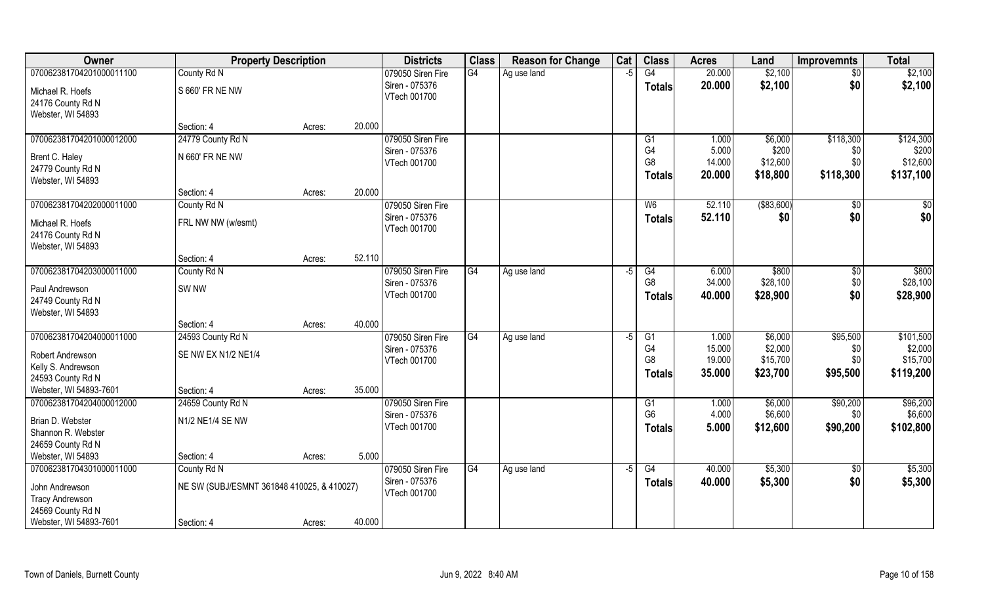| Owner                                       | <b>Property Description</b>                |        |        | <b>Districts</b>               | <b>Class</b>    | <b>Reason for Change</b> | Cat  | <b>Class</b>    | <b>Acres</b> | Land        | <b>Improvemnts</b> | <b>Total</b> |
|---------------------------------------------|--------------------------------------------|--------|--------|--------------------------------|-----------------|--------------------------|------|-----------------|--------------|-------------|--------------------|--------------|
| 070062381704201000011100                    | County Rd N                                |        |        | 079050 Siren Fire              | $\overline{G4}$ | Ag use land              | -5   | G4              | 20.000       | \$2,100     | $\overline{50}$    | \$2,100      |
| Michael R. Hoefs<br>24176 County Rd N       | S 660' FR NE NW                            |        |        | Siren - 075376<br>VTech 001700 |                 |                          |      | <b>Totals</b>   | 20.000       | \$2,100     | \$0                | \$2,100      |
| Webster, WI 54893                           |                                            |        |        |                                |                 |                          |      |                 |              |             |                    |              |
|                                             | Section: 4                                 | Acres: | 20.000 |                                |                 |                          |      |                 |              |             |                    |              |
| 070062381704201000012000                    | 24779 County Rd N                          |        |        | 079050 Siren Fire              |                 |                          |      | G1              | 1.000        | \$6,000     | \$118,300          | \$124,300    |
| Brent C. Haley                              | N 660' FR NE NW                            |        |        | Siren - 075376                 |                 |                          |      | G4              | 5.000        | \$200       | \$0                | \$200        |
| 24779 County Rd N                           |                                            |        |        | VTech 001700                   |                 |                          |      | G8              | 14.000       | \$12,600    | \$0                | \$12,600     |
| Webster, WI 54893                           |                                            |        |        |                                |                 |                          |      | <b>Totals</b>   | 20.000       | \$18,800    | \$118,300          | \$137,100    |
|                                             | Section: 4                                 | Acres: | 20.000 |                                |                 |                          |      |                 |              |             |                    |              |
| 070062381704202000011000                    | County Rd N                                |        |        | 079050 Siren Fire              |                 |                          |      | W <sub>6</sub>  | 52.110       | ( \$83,600) | $\sqrt[6]{30}$     | \$0          |
| Michael R. Hoefs                            | FRL NW NW (w/esmt)                         |        |        | Siren - 075376                 |                 |                          |      | <b>Totals</b>   | 52.110       | \$0         | \$0                | \$0          |
| 24176 County Rd N                           |                                            |        |        | VTech 001700                   |                 |                          |      |                 |              |             |                    |              |
| Webster, WI 54893                           |                                            |        |        |                                |                 |                          |      |                 |              |             |                    |              |
|                                             | Section: 4                                 | Acres: | 52.110 |                                |                 |                          |      |                 |              |             |                    |              |
| 070062381704203000011000                    | County Rd N                                |        |        | 079050 Siren Fire              | G4              | Ag use land              | -5   | G4              | 6.000        | \$800       | $\sqrt[6]{3}$      | \$800        |
| Paul Andrewson                              | SW <sub>NW</sub>                           |        |        | Siren - 075376                 |                 |                          |      | G <sub>8</sub>  | 34.000       | \$28,100    | \$0                | \$28,100     |
| 24749 County Rd N                           |                                            |        |        | VTech 001700                   |                 |                          |      | <b>Totals</b>   | 40.000       | \$28,900    | \$0                | \$28,900     |
| Webster, WI 54893                           |                                            |        |        |                                |                 |                          |      |                 |              |             |                    |              |
|                                             | Section: 4                                 | Acres: | 40.000 |                                |                 |                          |      |                 |              |             |                    |              |
| 070062381704204000011000                    | 24593 County Rd N                          |        |        | 079050 Siren Fire              | G4              | Ag use land              | -5   | $\overline{G1}$ | 1.000        | \$6,000     | \$95,500           | \$101,500    |
| Robert Andrewson                            | SE NW EX N1/2 NE1/4                        |        |        | Siren - 075376                 |                 |                          |      | G <sub>4</sub>  | 15.000       | \$2,000     | \$0                | \$2,000      |
| Kelly S. Andrewson                          |                                            |        |        | VTech 001700                   |                 |                          |      | G <sub>8</sub>  | 19.000       | \$15,700    | \$0                | \$15,700     |
| 24593 County Rd N                           |                                            |        |        |                                |                 |                          |      | Totals          | 35.000       | \$23,700    | \$95,500           | \$119,200    |
| Webster, WI 54893-7601                      | Section: 4                                 | Acres: | 35.000 |                                |                 |                          |      |                 |              |             |                    |              |
| 070062381704204000012000                    | 24659 County Rd N                          |        |        | 079050 Siren Fire              |                 |                          |      | G1              | 1.000        | \$6,000     | \$90,200           | \$96,200     |
|                                             |                                            |        |        | Siren - 075376                 |                 |                          |      | G <sub>6</sub>  | 4.000        | \$6,600     | \$0                | \$6,600      |
| Brian D. Webster<br>Shannon R. Webster      | N1/2 NE1/4 SE NW                           |        |        | VTech 001700                   |                 |                          |      | <b>Totals</b>   | 5.000        | \$12,600    | \$90,200           | \$102,800    |
| 24659 County Rd N                           |                                            |        |        |                                |                 |                          |      |                 |              |             |                    |              |
| Webster, WI 54893                           | Section: 4                                 | Acres: | 5.000  |                                |                 |                          |      |                 |              |             |                    |              |
| 070062381704301000011000                    | County Rd N                                |        |        | 079050 Siren Fire              | G4              | Ag use land              | $-5$ | G4              | 40.000       | \$5,300     | $\overline{30}$    | \$5,300      |
|                                             |                                            |        |        | Siren - 075376                 |                 |                          |      | <b>Totals</b>   | 40.000       | \$5,300     | \$0                | \$5,300      |
| John Andrewson                              | NE SW (SUBJ/ESMNT 361848 410025, & 410027) |        |        | VTech 001700                   |                 |                          |      |                 |              |             |                    |              |
| <b>Tracy Andrewson</b><br>24569 County Rd N |                                            |        |        |                                |                 |                          |      |                 |              |             |                    |              |
| Webster, WI 54893-7601                      | Section: 4                                 | Acres: | 40.000 |                                |                 |                          |      |                 |              |             |                    |              |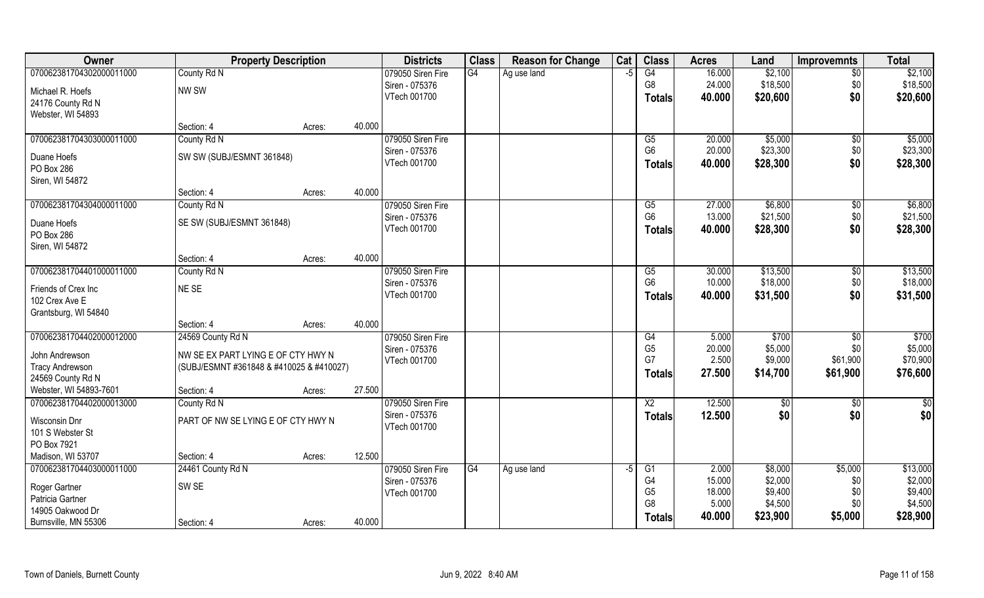| Owner                    | <b>Property Description</b>              |        |        | <b>Districts</b>  | <b>Class</b>    | <b>Reason for Change</b> | Cat  | <b>Class</b>    | <b>Acres</b> | Land     | <b>Improvemnts</b> | <b>Total</b> |
|--------------------------|------------------------------------------|--------|--------|-------------------|-----------------|--------------------------|------|-----------------|--------------|----------|--------------------|--------------|
| 070062381704302000011000 | County Rd N                              |        |        | 079050 Siren Fire | $\overline{G4}$ | Ag use land              | -5   | G4              | 16.000       | \$2,100  | $\overline{50}$    | \$2,100      |
| Michael R. Hoefs         | NW SW                                    |        |        | Siren - 075376    |                 |                          |      | G8              | 24.000       | \$18,500 | \$0                | \$18,500     |
| 24176 County Rd N        |                                          |        |        | VTech 001700      |                 |                          |      | Totals          | 40.000       | \$20,600 | \$0                | \$20,600     |
| Webster, WI 54893        |                                          |        |        |                   |                 |                          |      |                 |              |          |                    |              |
|                          | Section: 4                               | Acres: | 40.000 |                   |                 |                          |      |                 |              |          |                    |              |
| 070062381704303000011000 | County Rd N                              |        |        | 079050 Siren Fire |                 |                          |      | G5              | 20.000       | \$5,000  | \$0                | \$5,000      |
| Duane Hoefs              | SW SW (SUBJ/ESMNT 361848)                |        |        | Siren - 075376    |                 |                          |      | G <sub>6</sub>  | 20.000       | \$23,300 | \$0                | \$23,300     |
| PO Box 286               |                                          |        |        | VTech 001700      |                 |                          |      | <b>Totals</b>   | 40.000       | \$28,300 | \$0                | \$28,300     |
| Siren, WI 54872          |                                          |        |        |                   |                 |                          |      |                 |              |          |                    |              |
|                          | Section: 4                               | Acres: | 40.000 |                   |                 |                          |      |                 |              |          |                    |              |
| 070062381704304000011000 | County Rd N                              |        |        | 079050 Siren Fire |                 |                          |      | G5              | 27.000       | \$6,800  | \$0                | \$6,800      |
| Duane Hoefs              | SE SW (SUBJ/ESMNT 361848)                |        |        | Siren - 075376    |                 |                          |      | G <sub>6</sub>  | 13.000       | \$21,500 | \$0                | \$21,500     |
| PO Box 286               |                                          |        |        | VTech 001700      |                 |                          |      | Totals          | 40.000       | \$28,300 | \$0                | \$28,300     |
| Siren, WI 54872          |                                          |        |        |                   |                 |                          |      |                 |              |          |                    |              |
|                          | Section: 4                               | Acres: | 40.000 |                   |                 |                          |      |                 |              |          |                    |              |
| 070062381704401000011000 | County Rd N                              |        |        | 079050 Siren Fire |                 |                          |      | G5              | 30.000       | \$13,500 | $\sqrt[6]{3}$      | \$13,500     |
| Friends of Crex Inc      | NE SE                                    |        |        | Siren - 075376    |                 |                          |      | G <sub>6</sub>  | 10.000       | \$18,000 | \$0                | \$18,000     |
| 102 Crex Ave E           |                                          |        |        | VTech 001700      |                 |                          |      | Totals          | 40.000       | \$31,500 | \$0                | \$31,500     |
| Grantsburg, WI 54840     |                                          |        |        |                   |                 |                          |      |                 |              |          |                    |              |
|                          | Section: 4                               | Acres: | 40.000 |                   |                 |                          |      |                 |              |          |                    |              |
| 070062381704402000012000 | 24569 County Rd N                        |        |        | 079050 Siren Fire |                 |                          |      | G4              | 5.000        | \$700    | \$0                | \$700        |
| John Andrewson           | NW SE EX PART LYING E OF CTY HWY N       |        |        | Siren - 075376    |                 |                          |      | G <sub>5</sub>  | 20.000       | \$5,000  | \$0                | \$5,000      |
| <b>Tracy Andrewson</b>   | (SUBJ/ESMNT #361848 & #410025 & #410027) |        |        | VTech 001700      |                 |                          |      | G7              | 2.500        | \$9,000  | \$61,900           | \$70,900     |
| 24569 County Rd N        |                                          |        |        |                   |                 |                          |      | Totals          | 27.500       | \$14,700 | \$61,900           | \$76,600     |
| Webster, WI 54893-7601   | Section: 4                               | Acres: | 27.500 |                   |                 |                          |      |                 |              |          |                    |              |
| 070062381704402000013000 | County Rd N                              |        |        | 079050 Siren Fire |                 |                          |      | $\overline{X2}$ | 12.500       | \$0      | \$0                | $rac{1}{6}$  |
| Wisconsin Dnr            | PART OF NW SE LYING E OF CTY HWY N       |        |        | Siren - 075376    |                 |                          |      | <b>Totals</b>   | 12.500       | \$0      | \$0                | \$0          |
| 101 S Webster St         |                                          |        |        | VTech 001700      |                 |                          |      |                 |              |          |                    |              |
| PO Box 7921              |                                          |        |        |                   |                 |                          |      |                 |              |          |                    |              |
| Madison, WI 53707        | Section: 4                               | Acres: | 12.500 |                   |                 |                          |      |                 |              |          |                    |              |
| 070062381704403000011000 | 24461 County Rd N                        |        |        | 079050 Siren Fire | G4              | Ag use land              | $-5$ | G1              | 2.000        | \$8,000  | \$5,000            | \$13,000     |
| Roger Gartner            | SW <sub>SE</sub>                         |        |        | Siren - 075376    |                 |                          |      | G4              | 15.000       | \$2,000  | \$0                | \$2,000      |
| Patricia Gartner         |                                          |        |        | VTech 001700      |                 |                          |      | G <sub>5</sub>  | 18.000       | \$9,400  | \$0                | \$9,400      |
| 14905 Oakwood Dr         |                                          |        |        |                   |                 |                          |      | G <sub>8</sub>  | 5.000        | \$4,500  | \$0                | \$4,500      |
| Burnsville, MN 55306     | Section: 4                               | Acres: | 40.000 |                   |                 |                          |      | Totals          | 40.000       | \$23,900 | \$5,000            | \$28,900     |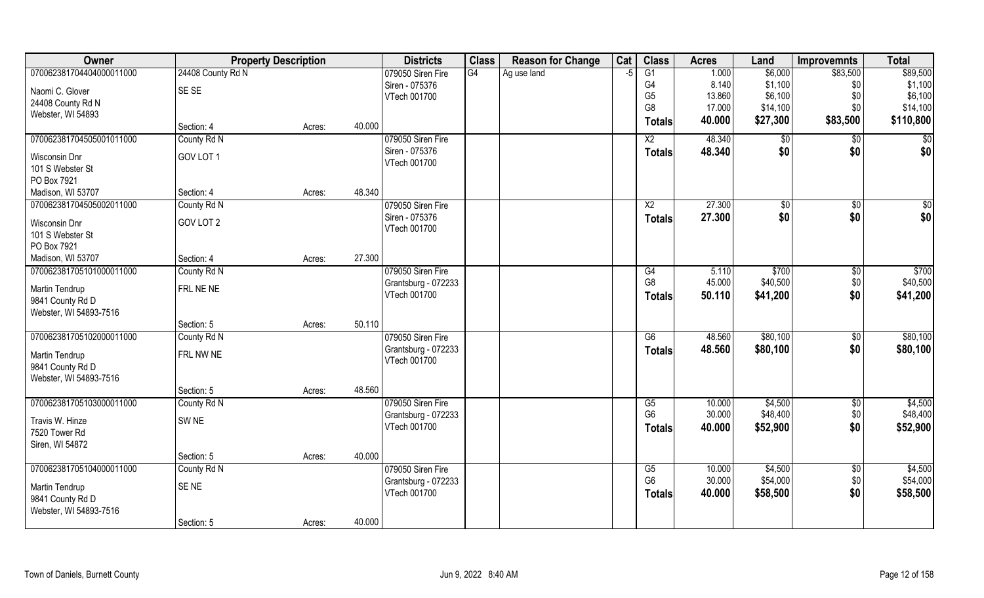| Owner                    | <b>Property Description</b> |        |        | <b>Districts</b>    | <b>Class</b> | <b>Reason for Change</b> | Cat  | <b>Class</b>    | <b>Acres</b> | Land     | <b>Improvemnts</b> | <b>Total</b>    |
|--------------------------|-----------------------------|--------|--------|---------------------|--------------|--------------------------|------|-----------------|--------------|----------|--------------------|-----------------|
| 070062381704404000011000 | 24408 County Rd N           |        |        | 079050 Siren Fire   | G4           | Ag use land              | $-5$ | $\overline{G1}$ | 1.000        | \$6,000  | \$83,500           | \$89,500        |
| Naomi C. Glover          | SE SE                       |        |        | Siren - 075376      |              |                          |      | G4              | 8.140        | \$1,100  | \$0                | \$1,100         |
| 24408 County Rd N        |                             |        |        | VTech 001700        |              |                          |      | G <sub>5</sub>  | 13.860       | \$6,100  | \$0                | \$6,100         |
| Webster, WI 54893        |                             |        |        |                     |              |                          |      | G <sub>8</sub>  | 17.000       | \$14,100 | \$0                | \$14,100        |
|                          | Section: 4                  | Acres: | 40.000 |                     |              |                          |      | <b>Totals</b>   | 40.000       | \$27,300 | \$83,500           | \$110,800       |
| 070062381704505001011000 | County Rd N                 |        |        | 079050 Siren Fire   |              |                          |      | $\overline{X2}$ | 48.340       | \$0      | \$0                | $\overline{50}$ |
| Wisconsin Dnr            | GOV LOT 1                   |        |        | Siren - 075376      |              |                          |      | <b>Totals</b>   | 48.340       | \$0      | \$0                | \$0             |
| 101 S Webster St         |                             |        |        | VTech 001700        |              |                          |      |                 |              |          |                    |                 |
| PO Box 7921              |                             |        |        |                     |              |                          |      |                 |              |          |                    |                 |
| Madison, WI 53707        | Section: 4                  | Acres: | 48.340 |                     |              |                          |      |                 |              |          |                    |                 |
| 070062381704505002011000 | County Rd N                 |        |        | 079050 Siren Fire   |              |                          |      | X <sub>2</sub>  | 27.300       | \$0      | \$0                | \$0             |
| Wisconsin Dnr            | GOV LOT 2                   |        |        | Siren - 075376      |              |                          |      | <b>Totals</b>   | 27.300       | \$0      | \$0                | \$0             |
| 101 S Webster St         |                             |        |        | VTech 001700        |              |                          |      |                 |              |          |                    |                 |
| PO Box 7921              |                             |        |        |                     |              |                          |      |                 |              |          |                    |                 |
| Madison, WI 53707        | Section: 4                  | Acres: | 27.300 |                     |              |                          |      |                 |              |          |                    |                 |
| 070062381705101000011000 | County Rd N                 |        |        | 079050 Siren Fire   |              |                          |      | G4              | 5.110        | \$700    | \$0                | \$700           |
| Martin Tendrup           | FRL NE NE                   |        |        | Grantsburg - 072233 |              |                          |      | G <sub>8</sub>  | 45.000       | \$40,500 | \$0                | \$40,500        |
| 9841 County Rd D         |                             |        |        | VTech 001700        |              |                          |      | <b>Totals</b>   | 50.110       | \$41,200 | \$0                | \$41,200        |
| Webster, WI 54893-7516   |                             |        |        |                     |              |                          |      |                 |              |          |                    |                 |
|                          | Section: 5                  | Acres: | 50.110 |                     |              |                          |      |                 |              |          |                    |                 |
| 070062381705102000011000 | County Rd N                 |        |        | 079050 Siren Fire   |              |                          |      | $\overline{G6}$ | 48.560       | \$80,100 | \$0                | \$80,100        |
| Martin Tendrup           | FRL NW NE                   |        |        | Grantsburg - 072233 |              |                          |      | <b>Totals</b>   | 48.560       | \$80,100 | \$0                | \$80,100        |
| 9841 County Rd D         |                             |        |        | VTech 001700        |              |                          |      |                 |              |          |                    |                 |
| Webster, WI 54893-7516   |                             |        |        |                     |              |                          |      |                 |              |          |                    |                 |
|                          | Section: 5                  | Acres: | 48.560 |                     |              |                          |      |                 |              |          |                    |                 |
| 070062381705103000011000 | County Rd N                 |        |        | 079050 Siren Fire   |              |                          |      | G5              | 10.000       | \$4,500  | $\overline{50}$    | \$4,500         |
| Travis W. Hinze          | SW <sub>NE</sub>            |        |        | Grantsburg - 072233 |              |                          |      | G <sub>6</sub>  | 30.000       | \$48,400 | \$0                | \$48,400        |
| 7520 Tower Rd            |                             |        |        | VTech 001700        |              |                          |      | <b>Totals</b>   | 40.000       | \$52,900 | \$0                | \$52,900        |
| Siren, WI 54872          |                             |        |        |                     |              |                          |      |                 |              |          |                    |                 |
|                          | Section: 5                  | Acres: | 40.000 |                     |              |                          |      |                 |              |          |                    |                 |
| 070062381705104000011000 | County Rd N                 |        |        | 079050 Siren Fire   |              |                          |      | G5              | 10.000       | \$4,500  | \$0                | \$4,500         |
| Martin Tendrup           | SE <sub>NE</sub>            |        |        | Grantsburg - 072233 |              |                          |      | G <sub>6</sub>  | 30.000       | \$54,000 | \$0                | \$54,000        |
| 9841 County Rd D         |                             |        |        | VTech 001700        |              |                          |      | <b>Totals</b>   | 40.000       | \$58,500 | \$0                | \$58,500        |
| Webster, WI 54893-7516   |                             |        |        |                     |              |                          |      |                 |              |          |                    |                 |
|                          | Section: 5                  | Acres: | 40.000 |                     |              |                          |      |                 |              |          |                    |                 |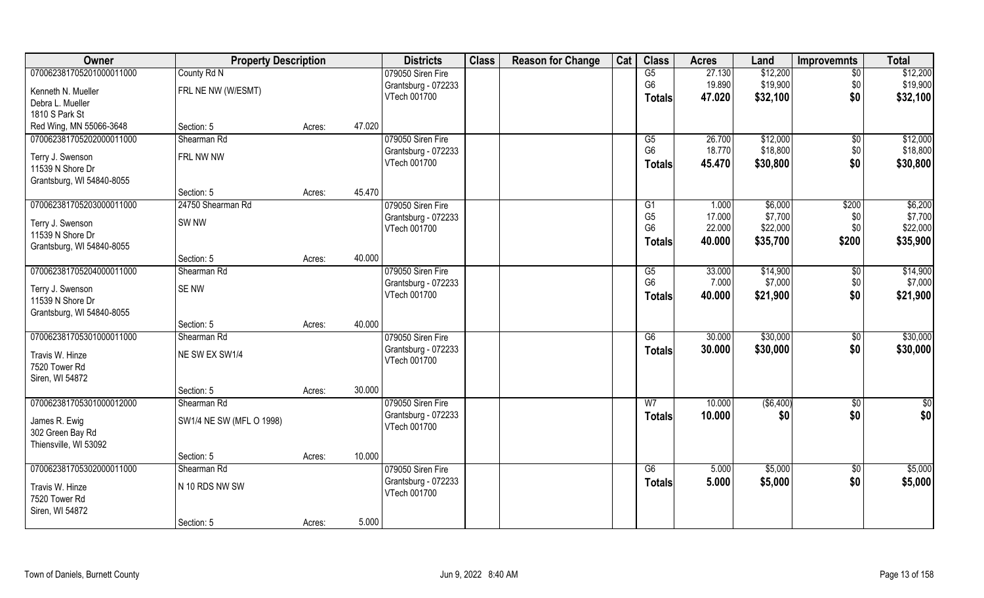| Owner                     | <b>Property Description</b> |        |        | <b>Districts</b>    | <b>Class</b> | <b>Reason for Change</b> | Cat | <b>Class</b>    | <b>Acres</b> | Land       | <b>Improvemnts</b> | <b>Total</b>  |
|---------------------------|-----------------------------|--------|--------|---------------------|--------------|--------------------------|-----|-----------------|--------------|------------|--------------------|---------------|
| 070062381705201000011000  | County Rd N                 |        |        | 079050 Siren Fire   |              |                          |     | G5              | 27.130       | \$12,200   | $\overline{50}$    | \$12,200      |
| Kenneth N. Mueller        | FRL NE NW (W/ESMT)          |        |        | Grantsburg - 072233 |              |                          |     | G <sub>6</sub>  | 19.890       | \$19,900   | \$0                | \$19,900      |
| Debra L. Mueller          |                             |        |        | VTech 001700        |              |                          |     | <b>Totals</b>   | 47.020       | \$32,100   | \$0                | \$32,100      |
| 1810 S Park St            |                             |        |        |                     |              |                          |     |                 |              |            |                    |               |
| Red Wing, MN 55066-3648   | Section: 5                  | Acres: | 47.020 |                     |              |                          |     |                 |              |            |                    |               |
| 070062381705202000011000  | Shearman Rd                 |        |        | 079050 Siren Fire   |              |                          |     | G5              | 26.700       | \$12,000   | $\sqrt{50}$        | \$12,000      |
| Terry J. Swenson          | FRL NW NW                   |        |        | Grantsburg - 072233 |              |                          |     | G <sub>6</sub>  | 18.770       | \$18,800   | \$0                | \$18,800      |
| 11539 N Shore Dr          |                             |        |        | VTech 001700        |              |                          |     | <b>Totals</b>   | 45.470       | \$30,800   | \$0                | \$30,800      |
| Grantsburg, WI 54840-8055 |                             |        |        |                     |              |                          |     |                 |              |            |                    |               |
|                           | Section: 5                  | Acres: | 45.470 |                     |              |                          |     |                 |              |            |                    |               |
| 070062381705203000011000  | 24750 Shearman Rd           |        |        | 079050 Siren Fire   |              |                          |     | G1              | 1.000        | \$6,000    | \$200              | \$6,200       |
| Terry J. Swenson          | SW <sub>NW</sub>            |        |        | Grantsburg - 072233 |              |                          |     | G <sub>5</sub>  | 17.000       | \$7,700    | \$0                | \$7,700       |
| 11539 N Shore Dr          |                             |        |        | VTech 001700        |              |                          |     | G <sub>6</sub>  | 22.000       | \$22,000   | \$0                | \$22,000      |
| Grantsburg, WI 54840-8055 |                             |        |        |                     |              |                          |     | <b>Totals</b>   | 40.000       | \$35,700   | \$200              | \$35,900      |
|                           | Section: 5                  | Acres: | 40.000 |                     |              |                          |     |                 |              |            |                    |               |
| 070062381705204000011000  | Shearman Rd                 |        |        | 079050 Siren Fire   |              |                          |     | G5              | 33.000       | \$14,900   | $\sqrt[6]{30}$     | \$14,900      |
| Terry J. Swenson          | SE NW                       |        |        | Grantsburg - 072233 |              |                          |     | G <sub>6</sub>  | 7.000        | \$7,000    | \$0                | \$7,000       |
| 11539 N Shore Dr          |                             |        |        | VTech 001700        |              |                          |     | <b>Totals</b>   | 40.000       | \$21,900   | \$0                | \$21,900      |
| Grantsburg, WI 54840-8055 |                             |        |        |                     |              |                          |     |                 |              |            |                    |               |
|                           | Section: 5                  | Acres: | 40.000 |                     |              |                          |     |                 |              |            |                    |               |
| 070062381705301000011000  | Shearman Rd                 |        |        | 079050 Siren Fire   |              |                          |     | $\overline{G6}$ | 30.000       | \$30,000   | $\sqrt[6]{30}$     | \$30,000      |
| Travis W. Hinze           | NE SW EX SW1/4              |        |        | Grantsburg - 072233 |              |                          |     | <b>Totals</b>   | 30.000       | \$30,000   | \$0                | \$30,000      |
| 7520 Tower Rd             |                             |        |        | VTech 001700        |              |                          |     |                 |              |            |                    |               |
| Siren, WI 54872           |                             |        |        |                     |              |                          |     |                 |              |            |                    |               |
|                           | Section: 5                  | Acres: | 30.000 |                     |              |                          |     |                 |              |            |                    |               |
| 070062381705301000012000  | Shearman Rd                 |        |        | 079050 Siren Fire   |              |                          |     | W <sub>7</sub>  | 10.000       | ( \$6,400) | \$0                | $\frac{6}{3}$ |
| James R. Ewig             | SW1/4 NE SW (MFL O 1998)    |        |        | Grantsburg - 072233 |              |                          |     | <b>Totals</b>   | 10.000       | \$0        | \$0                | \$0           |
| 302 Green Bay Rd          |                             |        |        | VTech 001700        |              |                          |     |                 |              |            |                    |               |
| Thiensville, WI 53092     |                             |        |        |                     |              |                          |     |                 |              |            |                    |               |
|                           | Section: 5                  | Acres: | 10.000 |                     |              |                          |     |                 |              |            |                    |               |
| 070062381705302000011000  | Shearman Rd                 |        |        | 079050 Siren Fire   |              |                          |     | G6              | 5.000        | \$5,000    | $\sqrt{6}$         | \$5,000       |
| Travis W. Hinze           | N 10 RDS NW SW              |        |        | Grantsburg - 072233 |              |                          |     | <b>Totals</b>   | 5.000        | \$5,000    | \$0                | \$5,000       |
| 7520 Tower Rd             |                             |        |        | VTech 001700        |              |                          |     |                 |              |            |                    |               |
| Siren, WI 54872           |                             |        |        |                     |              |                          |     |                 |              |            |                    |               |
|                           | Section: 5                  | Acres: | 5.000  |                     |              |                          |     |                 |              |            |                    |               |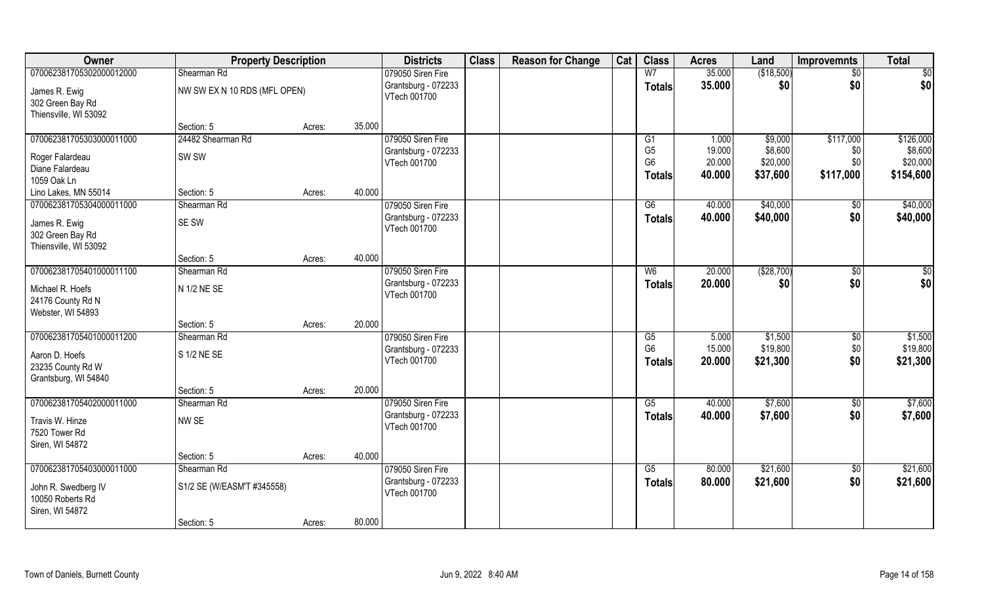| Owner                               | <b>Property Description</b>  |        |        | <b>Districts</b>    | <b>Class</b> | <b>Reason for Change</b> | Cat | <b>Class</b>           | <b>Acres</b> | Land       | <b>Improvemnts</b> | <b>Total</b>  |
|-------------------------------------|------------------------------|--------|--------|---------------------|--------------|--------------------------|-----|------------------------|--------------|------------|--------------------|---------------|
| 070062381705302000012000            | Shearman Rd                  |        |        | 079050 Siren Fire   |              |                          |     | W <sub>7</sub>         | 35.000       | (\$18,500) | $\sqrt{6}$         | \$0           |
| James R. Ewig                       | NW SW EX N 10 RDS (MFL OPEN) |        |        | Grantsburg - 072233 |              |                          |     | <b>Totals</b>          | 35.000       | \$0        | \$0                | \$0           |
| 302 Green Bay Rd                    |                              |        |        | VTech 001700        |              |                          |     |                        |              |            |                    |               |
| Thiensville, WI 53092               |                              |        |        |                     |              |                          |     |                        |              |            |                    |               |
|                                     | Section: 5                   | Acres: | 35.000 |                     |              |                          |     |                        |              |            |                    |               |
| 070062381705303000011000            | 24482 Shearman Rd            |        |        | 079050 Siren Fire   |              |                          |     | G1                     | 1.000        | \$9,000    | \$117,000          | \$126,000     |
| Roger Falardeau                     | SW SW                        |        |        | Grantsburg - 072233 |              |                          |     | G <sub>5</sub>         | 19.000       | \$8,600    | \$0                | \$8,600       |
| Diane Falardeau                     |                              |        |        | VTech 001700        |              |                          |     | G <sub>6</sub>         | 20.000       | \$20,000   | \$0                | \$20,000      |
| 1059 Oak Ln                         |                              |        |        |                     |              |                          |     | <b>Totals</b>          | 40.000       | \$37,600   | \$117,000          | \$154,600     |
| Lino Lakes, MN 55014                | Section: 5                   | Acres: | 40.000 |                     |              |                          |     |                        |              |            |                    |               |
| 070062381705304000011000            | Shearman Rd                  |        |        | 079050 Siren Fire   |              |                          |     | G6                     | 40.000       | \$40,000   | \$0                | \$40,000      |
| James R. Ewig                       | SE SW                        |        |        | Grantsburg - 072233 |              |                          |     | <b>Totals</b>          | 40.000       | \$40,000   | \$0                | \$40,000      |
| 302 Green Bay Rd                    |                              |        |        | VTech 001700        |              |                          |     |                        |              |            |                    |               |
| Thiensville, WI 53092               |                              |        |        |                     |              |                          |     |                        |              |            |                    |               |
|                                     | Section: 5                   | Acres: | 40.000 |                     |              |                          |     |                        |              |            |                    |               |
| 070062381705401000011100            | Shearman Rd                  |        |        | 079050 Siren Fire   |              |                          |     | W <sub>6</sub>         | 20.000       | (\$28,700) | $\sqrt{50}$        | $\frac{6}{3}$ |
| Michael R. Hoefs                    | N 1/2 NE SE                  |        |        | Grantsburg - 072233 |              |                          |     | <b>Totals</b>          | 20.000       | \$0        | \$0                | \$0           |
| 24176 County Rd N                   |                              |        |        | VTech 001700        |              |                          |     |                        |              |            |                    |               |
| Webster, WI 54893                   |                              |        |        |                     |              |                          |     |                        |              |            |                    |               |
|                                     | Section: 5                   | Acres: | 20.000 |                     |              |                          |     |                        |              |            |                    |               |
| 070062381705401000011200            | Shearman Rd                  |        |        | 079050 Siren Fire   |              |                          |     | $\overline{\text{G5}}$ | 5.000        | \$1,500    | $\overline{50}$    | \$1,500       |
|                                     | S 1/2 NE SE                  |        |        | Grantsburg - 072233 |              |                          |     | G <sub>6</sub>         | 15.000       | \$19,800   | \$0                | \$19,800      |
| Aaron D. Hoefs<br>23235 County Rd W |                              |        |        | VTech 001700        |              |                          |     | <b>Totals</b>          | 20.000       | \$21,300   | \$0                | \$21,300      |
| Grantsburg, WI 54840                |                              |        |        |                     |              |                          |     |                        |              |            |                    |               |
|                                     | Section: 5                   | Acres: | 20.000 |                     |              |                          |     |                        |              |            |                    |               |
| 070062381705402000011000            | Shearman Rd                  |        |        | 079050 Siren Fire   |              |                          |     | G5                     | 40.000       | \$7,600    | \$0                | \$7,600       |
|                                     |                              |        |        | Grantsburg - 072233 |              |                          |     | <b>Totals</b>          | 40.000       | \$7,600    | \$0                | \$7,600       |
| Travis W. Hinze<br>7520 Tower Rd    | NW SE                        |        |        | VTech 001700        |              |                          |     |                        |              |            |                    |               |
| Siren, WI 54872                     |                              |        |        |                     |              |                          |     |                        |              |            |                    |               |
|                                     | Section: 5                   | Acres: | 40.000 |                     |              |                          |     |                        |              |            |                    |               |
| 070062381705403000011000            | Shearman Rd                  |        |        | 079050 Siren Fire   |              |                          |     | G5                     | 80.000       | \$21,600   | $\overline{50}$    | \$21,600      |
|                                     |                              |        |        | Grantsburg - 072233 |              |                          |     | <b>Totals</b>          | 80.000       | \$21,600   | \$0                | \$21,600      |
| John R. Swedberg IV                 | S1/2 SE (W/EASM'T #345558)   |        |        | VTech 001700        |              |                          |     |                        |              |            |                    |               |
| 10050 Roberts Rd                    |                              |        |        |                     |              |                          |     |                        |              |            |                    |               |
| Siren, WI 54872                     | Section: 5                   |        | 80.000 |                     |              |                          |     |                        |              |            |                    |               |
|                                     |                              | Acres: |        |                     |              |                          |     |                        |              |            |                    |               |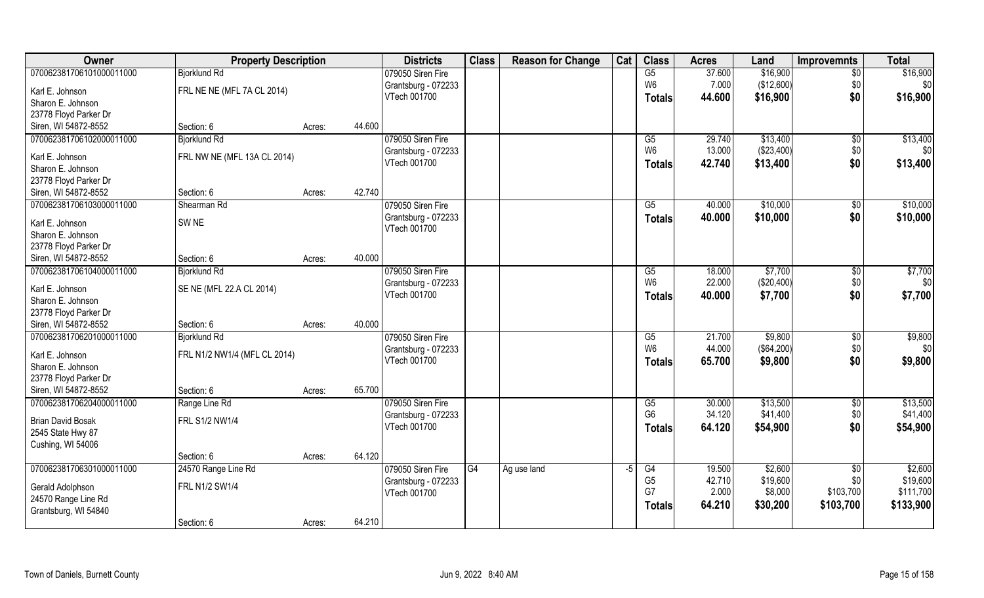| Owner                                         | <b>Property Description</b>  |                  | <b>Districts</b>                    | <b>Class</b> | <b>Reason for Change</b> | Cat | <b>Class</b>    | <b>Acres</b> | Land       | <b>Improvemnts</b> | <b>Total</b> |
|-----------------------------------------------|------------------------------|------------------|-------------------------------------|--------------|--------------------------|-----|-----------------|--------------|------------|--------------------|--------------|
| 070062381706101000011000                      | <b>Bjorklund Rd</b>          |                  | 079050 Siren Fire                   |              |                          |     | G5              | 37.600       | \$16,900   | $\overline{50}$    | \$16,900     |
| Karl E. Johnson                               | FRL NE NE (MFL 7A CL 2014)   |                  | Grantsburg - 072233                 |              |                          |     | W <sub>6</sub>  | 7.000        | (\$12,600) | \$0                | \$0          |
| Sharon E. Johnson                             |                              |                  | VTech 001700                        |              |                          |     | <b>Totals</b>   | 44.600       | \$16,900   | \$0                | \$16,900     |
| 23778 Floyd Parker Dr                         |                              |                  |                                     |              |                          |     |                 |              |            |                    |              |
| Siren, WI 54872-8552                          | Section: 6                   | 44.600<br>Acres: |                                     |              |                          |     |                 |              |            |                    |              |
| 070062381706102000011000                      | <b>Bjorklund Rd</b>          |                  | 079050 Siren Fire                   |              |                          |     | $\overline{G5}$ | 29.740       | \$13,400   | \$0                | \$13,400     |
|                                               |                              |                  | Grantsburg - 072233                 |              |                          |     | W <sub>6</sub>  | 13.000       | (\$23,400) | \$0                | \$0          |
| Karl E. Johnson                               | FRL NW NE (MFL 13A CL 2014)  |                  | VTech 001700                        |              |                          |     | <b>Totals</b>   | 42.740       | \$13,400   | \$0                | \$13,400     |
| Sharon E. Johnson                             |                              |                  |                                     |              |                          |     |                 |              |            |                    |              |
| 23778 Floyd Parker Dr<br>Siren, WI 54872-8552 | Section: 6                   | 42.740           |                                     |              |                          |     |                 |              |            |                    |              |
|                                               |                              | Acres:           |                                     |              |                          |     |                 |              |            |                    |              |
| 070062381706103000011000                      | Shearman Rd                  |                  | 079050 Siren Fire                   |              |                          |     | G5              | 40.000       | \$10,000   | $\sqrt[6]{3}$      | \$10,000     |
| Karl E. Johnson                               | SW <sub>NE</sub>             |                  | Grantsburg - 072233                 |              |                          |     | <b>Totals</b>   | 40.000       | \$10,000   | \$0                | \$10,000     |
| Sharon E. Johnson                             |                              |                  | VTech 001700                        |              |                          |     |                 |              |            |                    |              |
| 23778 Floyd Parker Dr                         |                              |                  |                                     |              |                          |     |                 |              |            |                    |              |
| Siren, WI 54872-8552                          | Section: 6                   | 40.000<br>Acres: |                                     |              |                          |     |                 |              |            |                    |              |
| 070062381706104000011000                      | <b>Bjorklund Rd</b>          |                  | 079050 Siren Fire                   |              |                          |     | G5              | 18.000       | \$7,700    | \$0                | \$7,700      |
| Karl E. Johnson                               | SE NE (MFL 22.A CL 2014)     |                  | Grantsburg - 072233                 |              |                          |     | W <sub>6</sub>  | 22.000       | (\$20,400) | \$0                | \$0          |
| Sharon E. Johnson                             |                              |                  | VTech 001700                        |              |                          |     | <b>Totals</b>   | 40.000       | \$7,700    | \$0                | \$7,700      |
| 23778 Floyd Parker Dr                         |                              |                  |                                     |              |                          |     |                 |              |            |                    |              |
| Siren, WI 54872-8552                          | Section: 6                   | 40.000<br>Acres: |                                     |              |                          |     |                 |              |            |                    |              |
| 070062381706201000011000                      | <b>Bjorklund Rd</b>          |                  | 079050 Siren Fire                   |              |                          |     | G5              | 21.700       | \$9,800    | $\sqrt[6]{30}$     | \$9,800      |
|                                               |                              |                  |                                     |              |                          |     | W <sub>6</sub>  | 44.000       | (\$64,200) | \$0                | \$0          |
| Karl E. Johnson                               | FRL N1/2 NW1/4 (MFL CL 2014) |                  | Grantsburg - 072233<br>VTech 001700 |              |                          |     |                 |              |            | \$0                |              |
| Sharon E. Johnson                             |                              |                  |                                     |              |                          |     | <b>Totals</b>   | 65.700       | \$9,800    |                    | \$9,800      |
| 23778 Floyd Parker Dr                         |                              |                  |                                     |              |                          |     |                 |              |            |                    |              |
| Siren, WI 54872-8552                          | Section: 6                   | 65.700<br>Acres: |                                     |              |                          |     |                 |              |            |                    |              |
| 070062381706204000011000                      | Range Line Rd                |                  | 079050 Siren Fire                   |              |                          |     | G5              | 30.000       | \$13,500   | \$0                | \$13,500     |
| <b>Brian David Bosak</b>                      | FRL S1/2 NW1/4               |                  | Grantsburg - 072233                 |              |                          |     | G <sub>6</sub>  | 34.120       | \$41,400   | \$0                | \$41,400     |
| 2545 State Hwy 87                             |                              |                  | VTech 001700                        |              |                          |     | <b>Totals</b>   | 64.120       | \$54,900   | \$0                | \$54,900     |
| Cushing, WI 54006                             |                              |                  |                                     |              |                          |     |                 |              |            |                    |              |
|                                               | Section: 6                   | 64.120<br>Acres: |                                     |              |                          |     |                 |              |            |                    |              |
| 070062381706301000011000                      | 24570 Range Line Rd          |                  | 079050 Siren Fire                   | G4           | Ag use land              | -5  | G4              | 19.500       | \$2,600    | $\overline{50}$    | \$2,600      |
|                                               |                              |                  | Grantsburg - 072233                 |              |                          |     | G <sub>5</sub>  | 42.710       | \$19,600   | \$0                | \$19,600     |
| Gerald Adolphson                              | FRL N1/2 SW1/4               |                  | VTech 001700                        |              |                          |     | G7              | 2.000        | \$8,000    | \$103,700          | \$111,700    |
| 24570 Range Line Rd                           |                              |                  |                                     |              |                          |     | <b>Totals</b>   | 64.210       | \$30,200   | \$103,700          | \$133,900    |
| Grantsburg, WI 54840                          |                              |                  |                                     |              |                          |     |                 |              |            |                    |              |
|                                               | Section: 6                   | 64.210<br>Acres: |                                     |              |                          |     |                 |              |            |                    |              |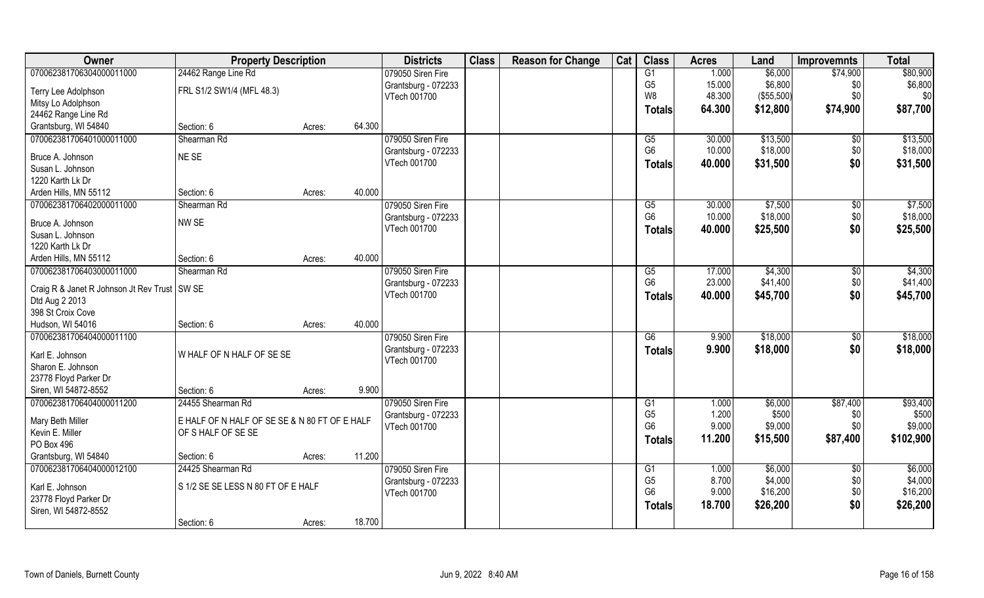| Owner                                          | <b>Property Description</b>                   |        |        | <b>Districts</b>    | <b>Class</b> | <b>Reason for Change</b> | Cat | <b>Class</b>    | <b>Acres</b> | Land       | <b>Improvemnts</b> | <b>Total</b> |
|------------------------------------------------|-----------------------------------------------|--------|--------|---------------------|--------------|--------------------------|-----|-----------------|--------------|------------|--------------------|--------------|
| 070062381706304000011000                       | 24462 Range Line Rd                           |        |        | 079050 Siren Fire   |              |                          |     | $\overline{G1}$ | 1.000        | \$6,000    | \$74,900           | \$80,900     |
| Terry Lee Adolphson                            | FRL S1/2 SW1/4 (MFL 48.3)                     |        |        | Grantsburg - 072233 |              |                          |     | G <sub>5</sub>  | 15.000       | \$6,800    | \$0                | \$6,800      |
| Mitsy Lo Adolphson                             |                                               |        |        | VTech 001700        |              |                          |     | W8              | 48.300       | (\$55,500) | \$0                | \$0          |
| 24462 Range Line Rd                            |                                               |        |        |                     |              |                          |     | <b>Totals</b>   | 64.300       | \$12,800   | \$74,900           | \$87,700     |
| Grantsburg, WI 54840                           | Section: 6                                    | Acres: | 64.300 |                     |              |                          |     |                 |              |            |                    |              |
| 070062381706401000011000                       | Shearman Rd                                   |        |        | 079050 Siren Fire   |              |                          |     | G5              | 30.000       | \$13,500   | \$0                | \$13,500     |
|                                                |                                               |        |        | Grantsburg - 072233 |              |                          |     | G <sub>6</sub>  | 10.000       | \$18,000   | \$0                | \$18,000     |
| Bruce A. Johnson                               | NE SE                                         |        |        | VTech 001700        |              |                          |     | <b>Totals</b>   | 40.000       | \$31,500   | \$0                | \$31,500     |
| Susan L. Johnson                               |                                               |        |        |                     |              |                          |     |                 |              |            |                    |              |
| 1220 Karth Lk Dr                               |                                               |        |        |                     |              |                          |     |                 |              |            |                    |              |
| Arden Hills, MN 55112                          | Section: 6                                    | Acres: | 40.000 |                     |              |                          |     |                 |              |            |                    |              |
| 070062381706402000011000                       | Shearman Rd                                   |        |        | 079050 Siren Fire   |              |                          |     | G5              | 30.000       | \$7,500    | \$0                | \$7,500      |
| Bruce A. Johnson                               | NW SE                                         |        |        | Grantsburg - 072233 |              |                          |     | G <sub>6</sub>  | 10.000       | \$18,000   | \$0                | \$18,000     |
| Susan L. Johnson                               |                                               |        |        | VTech 001700        |              |                          |     | <b>Totals</b>   | 40.000       | \$25,500   | \$0                | \$25,500     |
| 1220 Karth Lk Dr                               |                                               |        |        |                     |              |                          |     |                 |              |            |                    |              |
| Arden Hills, MN 55112                          | Section: 6                                    | Acres: | 40.000 |                     |              |                          |     |                 |              |            |                    |              |
| 070062381706403000011000                       | Shearman Rd                                   |        |        | 079050 Siren Fire   |              |                          |     | G5              | 17.000       | \$4,300    | \$0                | \$4,300      |
|                                                |                                               |        |        | Grantsburg - 072233 |              |                          |     | G <sub>6</sub>  | 23.000       | \$41,400   | \$0                | \$41,400     |
| Craig R & Janet R Johnson Jt Rev Trust   SW SE |                                               |        |        | VTech 001700        |              |                          |     | <b>Totals</b>   | 40.000       | \$45,700   | \$0                | \$45,700     |
| Dtd Aug 2 2013                                 |                                               |        |        |                     |              |                          |     |                 |              |            |                    |              |
| 398 St Croix Cove                              |                                               |        |        |                     |              |                          |     |                 |              |            |                    |              |
| Hudson, WI 54016                               | Section: 6                                    | Acres: | 40.000 |                     |              |                          |     |                 |              |            |                    |              |
| 070062381706404000011100                       |                                               |        |        | 079050 Siren Fire   |              |                          |     | $\overline{G6}$ | 9.900        | \$18,000   | \$0                | \$18,000     |
| Karl E. Johnson                                | W HALF OF N HALF OF SE SE                     |        |        | Grantsburg - 072233 |              |                          |     | <b>Totals</b>   | 9.900        | \$18,000   | \$0                | \$18,000     |
| Sharon E. Johnson                              |                                               |        |        | VTech 001700        |              |                          |     |                 |              |            |                    |              |
| 23778 Floyd Parker Dr                          |                                               |        |        |                     |              |                          |     |                 |              |            |                    |              |
| Siren, WI 54872-8552                           | Section: 6                                    | Acres: | 9.900  |                     |              |                          |     |                 |              |            |                    |              |
| 070062381706404000011200                       | 24455 Shearman Rd                             |        |        | 079050 Siren Fire   |              |                          |     | G1              | 1.000        | \$6,000    | \$87,400           | \$93,400     |
|                                                |                                               |        |        | Grantsburg - 072233 |              |                          |     | G <sub>5</sub>  | 1.200        | \$500      | \$0                | \$500        |
| Mary Beth Miller                               | E HALF OF N HALF OF SE SE & N 80 FT OF E HALF |        |        | VTech 001700        |              |                          |     | G <sub>6</sub>  | 9.000        | \$9,000    | \$0\$              | \$9,000      |
| Kevin E. Miller                                | OF S HALF OF SE SE                            |        |        |                     |              |                          |     | <b>Totals</b>   | 11.200       | \$15,500   | \$87,400           | \$102,900    |
| PO Box 496                                     |                                               |        |        |                     |              |                          |     |                 |              |            |                    |              |
| Grantsburg, WI 54840                           | Section: 6                                    | Acres: | 11.200 |                     |              |                          |     |                 |              |            |                    |              |
| 070062381706404000012100                       | 24425 Shearman Rd                             |        |        | 079050 Siren Fire   |              |                          |     | G1              | 1.000        | \$6,000    | $\overline{50}$    | \$6,000      |
| Karl E. Johnson                                | S 1/2 SE SE LESS N 80 FT OF E HALF            |        |        | Grantsburg - 072233 |              |                          |     | G <sub>5</sub>  | 8.700        | \$4,000    | \$0                | \$4,000      |
| 23778 Floyd Parker Dr                          |                                               |        |        | VTech 001700        |              |                          |     | G <sub>6</sub>  | 9.000        | \$16,200   | \$0                | \$16,200     |
| Siren, WI 54872-8552                           |                                               |        |        |                     |              |                          |     | <b>Totals</b>   | 18.700       | \$26,200   | \$0                | \$26,200     |
|                                                | Section: 6                                    | Acres: | 18.700 |                     |              |                          |     |                 |              |            |                    |              |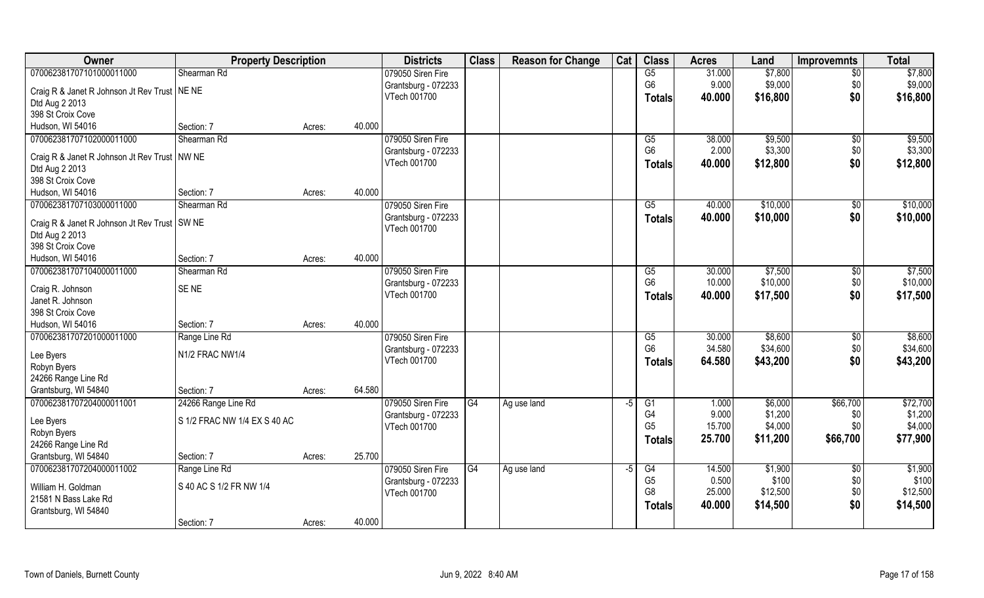| Owner                                          | <b>Property Description</b>  |        |        | <b>Districts</b>    | <b>Class</b>    | <b>Reason for Change</b> | Cat | <b>Class</b>           | <b>Acres</b> | Land     | <b>Improvemnts</b> | <b>Total</b> |
|------------------------------------------------|------------------------------|--------|--------|---------------------|-----------------|--------------------------|-----|------------------------|--------------|----------|--------------------|--------------|
| 070062381707101000011000                       | Shearman Rd                  |        |        | 079050 Siren Fire   |                 |                          |     | G5                     | 31.000       | \$7,800  | $\overline{50}$    | \$7,800      |
| Craig R & Janet R Johnson Jt Rev Trust   NE NE |                              |        |        | Grantsburg - 072233 |                 |                          |     | G <sub>6</sub>         | 9.000        | \$9,000  | \$0                | \$9,000      |
| Dtd Aug 2 2013                                 |                              |        |        | VTech 001700        |                 |                          |     | <b>Totals</b>          | 40.000       | \$16,800 | \$0                | \$16,800     |
| 398 St Croix Cove                              |                              |        |        |                     |                 |                          |     |                        |              |          |                    |              |
| Hudson, WI 54016                               | Section: 7                   | Acres: | 40.000 |                     |                 |                          |     |                        |              |          |                    |              |
| 070062381707102000011000                       | Shearman Rd                  |        |        | 079050 Siren Fire   |                 |                          |     | $\overline{G5}$        | 38.000       | \$9,500  | \$0                | \$9,500      |
|                                                |                              |        |        | Grantsburg - 072233 |                 |                          |     | G <sub>6</sub>         | 2.000        | \$3,300  | \$0                | \$3,300      |
| Craig R & Janet R Johnson Jt Rev Trust   NW NE |                              |        |        | VTech 001700        |                 |                          |     | <b>Totals</b>          | 40.000       | \$12,800 | \$0                | \$12,800     |
| Dtd Aug 2 2013                                 |                              |        |        |                     |                 |                          |     |                        |              |          |                    |              |
| 398 St Croix Cove                              |                              |        |        |                     |                 |                          |     |                        |              |          |                    |              |
| Hudson, WI 54016                               | Section: 7                   | Acres: | 40.000 |                     |                 |                          |     |                        |              |          |                    |              |
| 070062381707103000011000                       | Shearman Rd                  |        |        | 079050 Siren Fire   |                 |                          |     | G5                     | 40.000       | \$10,000 | $\sqrt[6]{30}$     | \$10,000     |
| Craig R & Janet R Johnson Jt Rev Trust   SW NE |                              |        |        | Grantsburg - 072233 |                 |                          |     | <b>Totals</b>          | 40.000       | \$10,000 | \$0                | \$10,000     |
| Dtd Aug 2 2013                                 |                              |        |        | VTech 001700        |                 |                          |     |                        |              |          |                    |              |
| 398 St Croix Cove                              |                              |        |        |                     |                 |                          |     |                        |              |          |                    |              |
| Hudson, WI 54016                               | Section: 7                   | Acres: | 40.000 |                     |                 |                          |     |                        |              |          |                    |              |
| 070062381707104000011000                       | Shearman Rd                  |        |        | 079050 Siren Fire   |                 |                          |     | G5                     | 30.000       | \$7,500  | $\sqrt[6]{3}$      | \$7,500      |
|                                                | SE <sub>NE</sub>             |        |        | Grantsburg - 072233 |                 |                          |     | G <sub>6</sub>         | 10.000       | \$10,000 | \$0                | \$10,000     |
| Craig R. Johnson<br>Janet R. Johnson           |                              |        |        | VTech 001700        |                 |                          |     | <b>Totals</b>          | 40.000       | \$17,500 | \$0                | \$17,500     |
| 398 St Croix Cove                              |                              |        |        |                     |                 |                          |     |                        |              |          |                    |              |
| Hudson, WI 54016                               | Section: 7                   | Acres: | 40.000 |                     |                 |                          |     |                        |              |          |                    |              |
| 070062381707201000011000                       | Range Line Rd                |        |        | 079050 Siren Fire   |                 |                          |     | $\overline{\text{G5}}$ | 30.000       | \$8,600  | $\sqrt[6]{30}$     | \$8,600      |
|                                                |                              |        |        | Grantsburg - 072233 |                 |                          |     | G <sub>6</sub>         | 34.580       | \$34,600 | \$0                | \$34,600     |
| Lee Byers                                      | N1/2 FRAC NW1/4              |        |        | VTech 001700        |                 |                          |     | <b>Totals</b>          | 64.580       | \$43,200 | \$0                | \$43,200     |
| Robyn Byers                                    |                              |        |        |                     |                 |                          |     |                        |              |          |                    |              |
| 24266 Range Line Rd                            |                              |        |        |                     |                 |                          |     |                        |              |          |                    |              |
| Grantsburg, WI 54840                           | Section: 7                   | Acres: | 64.580 |                     |                 |                          |     |                        |              |          |                    |              |
| 070062381707204000011001                       | 24266 Range Line Rd          |        |        | 079050 Siren Fire   | $\overline{G4}$ | Ag use land              | -5  | G1                     | 1.000        | \$6,000  | \$66,700           | \$72,700     |
| Lee Byers                                      | S 1/2 FRAC NW 1/4 EX S 40 AC |        |        | Grantsburg - 072233 |                 |                          |     | G4                     | 9.000        | \$1,200  | \$0                | \$1,200      |
| Robyn Byers                                    |                              |        |        | VTech 001700        |                 |                          |     | G <sub>5</sub>         | 15.700       | \$4,000  | \$0\$              | \$4,000      |
| 24266 Range Line Rd                            |                              |        |        |                     |                 |                          |     | <b>Totals</b>          | 25.700       | \$11,200 | \$66,700           | \$77,900     |
| Grantsburg, WI 54840                           | Section: 7                   | Acres: | 25.700 |                     |                 |                          |     |                        |              |          |                    |              |
| 070062381707204000011002                       | Range Line Rd                |        |        | 079050 Siren Fire   | G4              | Ag use land              | -5  | G4                     | 14.500       | \$1,900  | $\sqrt{6}$         | \$1,900      |
|                                                |                              |        |        | Grantsburg - 072233 |                 |                          |     | G <sub>5</sub>         | 0.500        | \$100    | \$0                | \$100        |
| William H. Goldman                             | S 40 AC S 1/2 FR NW 1/4      |        |        | VTech 001700        |                 |                          |     | G <sub>8</sub>         | 25.000       | \$12,500 | \$0                | \$12,500     |
| 21581 N Bass Lake Rd                           |                              |        |        |                     |                 |                          |     | <b>Totals</b>          | 40.000       | \$14,500 | \$0                | \$14,500     |
| Grantsburg, WI 54840                           |                              |        |        |                     |                 |                          |     |                        |              |          |                    |              |
|                                                | Section: 7                   | Acres: | 40.000 |                     |                 |                          |     |                        |              |          |                    |              |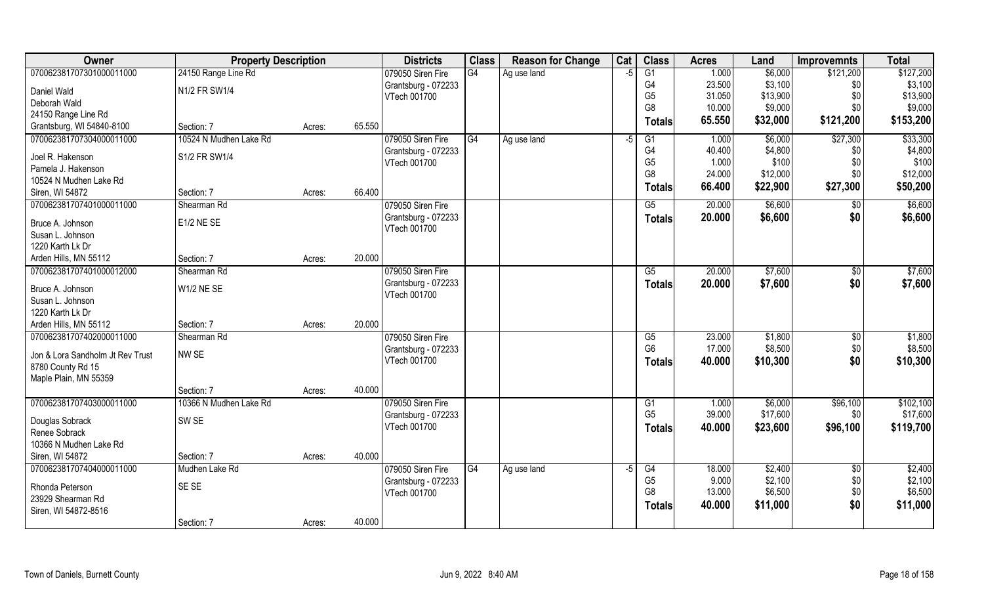| Owner                            | <b>Property Description</b> |        |        | <b>Districts</b>    | <b>Class</b> | <b>Reason for Change</b> | Cat  | <b>Class</b>    | <b>Acres</b> | Land     | <b>Improvemnts</b> | <b>Total</b> |
|----------------------------------|-----------------------------|--------|--------|---------------------|--------------|--------------------------|------|-----------------|--------------|----------|--------------------|--------------|
| 070062381707301000011000         | 24150 Range Line Rd         |        |        | 079050 Siren Fire   | G4           | Ag use land              | $-5$ | $\overline{G1}$ | 1.000        | \$6,000  | \$121,200          | \$127,200    |
| Daniel Wald                      | N1/2 FR SW1/4               |        |        | Grantsburg - 072233 |              |                          |      | G <sub>4</sub>  | 23.500       | \$3,100  | \$0                | \$3,100      |
| Deborah Wald                     |                             |        |        | VTech 001700        |              |                          |      | G <sub>5</sub>  | 31.050       | \$13,900 | \$0                | \$13,900     |
| 24150 Range Line Rd              |                             |        |        |                     |              |                          |      | G <sub>8</sub>  | 10.000       | \$9,000  | \$0                | \$9,000      |
| Grantsburg, WI 54840-8100        | Section: 7                  | Acres: | 65.550 |                     |              |                          |      | <b>Totals</b>   | 65.550       | \$32,000 | \$121,200          | \$153,200    |
| 070062381707304000011000         | 10524 N Mudhen Lake Rd      |        |        | 079050 Siren Fire   | G4           | Ag use land              | -5   | G1              | 1.000        | \$6,000  | \$27,300           | \$33,300     |
| Joel R. Hakenson                 | S1/2 FR SW1/4               |        |        | Grantsburg - 072233 |              |                          |      | G4              | 40.400       | \$4,800  | \$0                | \$4,800      |
| Pamela J. Hakenson               |                             |        |        | VTech 001700        |              |                          |      | G <sub>5</sub>  | 1.000        | \$100    | \$0                | \$100        |
| 10524 N Mudhen Lake Rd           |                             |        |        |                     |              |                          |      | G <sub>8</sub>  | 24.000       | \$12,000 | \$0                | \$12,000     |
| Siren, WI 54872                  | Section: 7                  | Acres: | 66.400 |                     |              |                          |      | Totals          | 66.400       | \$22,900 | \$27,300           | \$50,200     |
| 070062381707401000011000         | Shearman Rd                 |        |        | 079050 Siren Fire   |              |                          |      | G5              | 20.000       | \$6,600  | \$0                | \$6,600      |
|                                  |                             |        |        | Grantsburg - 072233 |              |                          |      | <b>Totals</b>   | 20.000       | \$6,600  | \$0                | \$6,600      |
| Bruce A. Johnson                 | E1/2 NE SE                  |        |        | VTech 001700        |              |                          |      |                 |              |          |                    |              |
| Susan L. Johnson                 |                             |        |        |                     |              |                          |      |                 |              |          |                    |              |
| 1220 Karth Lk Dr                 |                             |        |        |                     |              |                          |      |                 |              |          |                    |              |
| Arden Hills, MN 55112            | Section: 7                  | Acres: | 20.000 |                     |              |                          |      |                 |              |          |                    |              |
| 070062381707401000012000         | Shearman Rd                 |        |        | 079050 Siren Fire   |              |                          |      | G5              | 20.000       | \$7,600  | \$0                | \$7,600      |
| Bruce A. Johnson                 | <b>W1/2 NE SE</b>           |        |        | Grantsburg - 072233 |              |                          |      | <b>Totals</b>   | 20.000       | \$7,600  | \$0                | \$7,600      |
| Susan L. Johnson                 |                             |        |        | VTech 001700        |              |                          |      |                 |              |          |                    |              |
| 1220 Karth Lk Dr                 |                             |        |        |                     |              |                          |      |                 |              |          |                    |              |
| Arden Hills, MN 55112            | Section: 7                  | Acres: | 20.000 |                     |              |                          |      |                 |              |          |                    |              |
| 070062381707402000011000         | Shearman Rd                 |        |        | 079050 Siren Fire   |              |                          |      | G5              | 23.000       | \$1,800  | $\sqrt[6]{}$       | \$1,800      |
|                                  |                             |        |        | Grantsburg - 072233 |              |                          |      | G <sub>6</sub>  | 17.000       | \$8,500  | \$0                | \$8,500      |
| Jon & Lora Sandholm Jt Rev Trust | NW SE                       |        |        | VTech 001700        |              |                          |      |                 | 40.000       | \$10,300 | \$0                | \$10,300     |
| 8780 County Rd 15                |                             |        |        |                     |              |                          |      | <b>Totals</b>   |              |          |                    |              |
| Maple Plain, MN 55359            |                             |        |        |                     |              |                          |      |                 |              |          |                    |              |
|                                  | Section: 7                  | Acres: | 40.000 |                     |              |                          |      |                 |              |          |                    |              |
| 070062381707403000011000         | 10366 N Mudhen Lake Rd      |        |        | 079050 Siren Fire   |              |                          |      | G1              | 1.000        | \$6,000  | \$96,100           | \$102,100    |
| Douglas Sobrack                  | SW SE                       |        |        | Grantsburg - 072233 |              |                          |      | G <sub>5</sub>  | 39.000       | \$17,600 | \$0                | \$17,600     |
| Renee Sobrack                    |                             |        |        | VTech 001700        |              |                          |      | <b>Totals</b>   | 40.000       | \$23,600 | \$96,100           | \$119,700    |
| 10366 N Mudhen Lake Rd           |                             |        |        |                     |              |                          |      |                 |              |          |                    |              |
| Siren, WI 54872                  | Section: 7                  | Acres: | 40.000 |                     |              |                          |      |                 |              |          |                    |              |
| 070062381707404000011000         | Mudhen Lake Rd              |        |        | 079050 Siren Fire   | G4           | Ag use land              | -5   | G4              | 18.000       | \$2,400  | $\overline{60}$    | \$2,400      |
|                                  |                             |        |        | Grantsburg - 072233 |              |                          |      | G <sub>5</sub>  | 9.000        | \$2,100  | \$0                | \$2,100      |
| Rhonda Peterson                  | SE SE                       |        |        | VTech 001700        |              |                          |      | G <sub>8</sub>  | 13.000       | \$6,500  | \$0                | \$6,500      |
| 23929 Shearman Rd                |                             |        |        |                     |              |                          |      | <b>Totals</b>   | 40.000       | \$11,000 | \$0                | \$11,000     |
| Siren, WI 54872-8516             |                             |        |        |                     |              |                          |      |                 |              |          |                    |              |
|                                  | Section: 7                  | Acres: | 40.000 |                     |              |                          |      |                 |              |          |                    |              |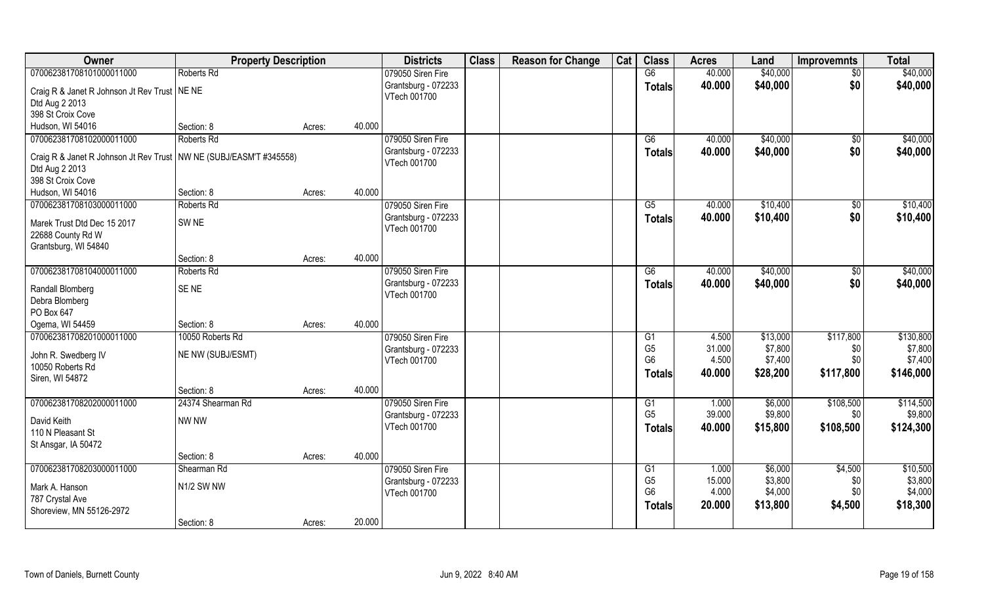| Owner                                                                | <b>Property Description</b> |                  | <b>Districts</b>                    | <b>Class</b> | <b>Reason for Change</b> | Cat | <b>Class</b>   | <b>Acres</b> | Land     | <b>Improvemnts</b> | <b>Total</b> |
|----------------------------------------------------------------------|-----------------------------|------------------|-------------------------------------|--------------|--------------------------|-----|----------------|--------------|----------|--------------------|--------------|
| 070062381708101000011000                                             | Roberts Rd                  |                  | 079050 Siren Fire                   |              |                          |     | G6             | 40.000       | \$40,000 | \$0                | \$40,000     |
| Craig R & Janet R Johnson Jt Rev Trust   NE NE<br>Dtd Aug 2 2013     |                             |                  | Grantsburg - 072233<br>VTech 001700 |              |                          |     | <b>Totals</b>  | 40.000       | \$40,000 | \$0                | \$40,000     |
| 398 St Croix Cove                                                    |                             |                  |                                     |              |                          |     |                |              |          |                    |              |
| Hudson, WI 54016                                                     | Section: 8                  | 40.000<br>Acres: |                                     |              |                          |     |                |              |          |                    |              |
| 070062381708102000011000                                             | Roberts Rd                  |                  | 079050 Siren Fire                   |              |                          |     | G <sub>6</sub> | 40.000       | \$40,000 | \$0                | \$40,000     |
| Craig R & Janet R Johnson Jt Rev Trust   NW NE (SUBJ/EASM'T #345558) |                             |                  | Grantsburg - 072233                 |              |                          |     | <b>Totals</b>  | 40.000       | \$40,000 | \$0                | \$40,000     |
| Dtd Aug 2 2013                                                       |                             |                  | VTech 001700                        |              |                          |     |                |              |          |                    |              |
| 398 St Croix Cove                                                    |                             |                  |                                     |              |                          |     |                |              |          |                    |              |
| Hudson, WI 54016                                                     | Section: 8                  | 40.000<br>Acres: |                                     |              |                          |     |                |              |          |                    |              |
| 070062381708103000011000                                             | Roberts Rd                  |                  | 079050 Siren Fire                   |              |                          |     | G5             | 40.000       | \$10,400 | \$0                | \$10,400     |
| Marek Trust Dtd Dec 15 2017                                          | SW <sub>NE</sub>            |                  | Grantsburg - 072233                 |              |                          |     | <b>Totals</b>  | 40.000       | \$10,400 | \$0                | \$10,400     |
| 22688 County Rd W                                                    |                             |                  | VTech 001700                        |              |                          |     |                |              |          |                    |              |
| Grantsburg, WI 54840                                                 |                             |                  |                                     |              |                          |     |                |              |          |                    |              |
|                                                                      | Section: 8                  | 40.000<br>Acres: |                                     |              |                          |     |                |              |          |                    |              |
| 070062381708104000011000                                             | Roberts Rd                  |                  | 079050 Siren Fire                   |              |                          |     | G6             | 40.000       | \$40,000 | \$0                | \$40,000     |
| Randall Blomberg                                                     | <b>SENE</b>                 |                  | Grantsburg - 072233                 |              |                          |     | <b>Totals</b>  | 40.000       | \$40,000 | \$0                | \$40,000     |
| Debra Blomberg                                                       |                             |                  | VTech 001700                        |              |                          |     |                |              |          |                    |              |
| PO Box 647                                                           |                             |                  |                                     |              |                          |     |                |              |          |                    |              |
| Ogema, WI 54459                                                      | Section: 8                  | 40.000<br>Acres: |                                     |              |                          |     |                |              |          |                    |              |
| 070062381708201000011000                                             | 10050 Roberts Rd            |                  | 079050 Siren Fire                   |              |                          |     | G1             | 4.500        | \$13,000 | \$117,800          | \$130,800    |
| John R. Swedberg IV                                                  | NE NW (SUBJ/ESMT)           |                  | Grantsburg - 072233                 |              |                          |     | G <sub>5</sub> | 31.000       | \$7,800  | \$0                | \$7,800      |
| 10050 Roberts Rd                                                     |                             |                  | VTech 001700                        |              |                          |     | G <sub>6</sub> | 4.500        | \$7,400  | \$0                | \$7,400      |
| Siren, WI 54872                                                      |                             |                  |                                     |              |                          |     | <b>Totals</b>  | 40.000       | \$28,200 | \$117,800          | \$146,000    |
|                                                                      | Section: 8                  | 40.000<br>Acres: |                                     |              |                          |     |                |              |          |                    |              |
| 070062381708202000011000                                             | 24374 Shearman Rd           |                  | 079050 Siren Fire                   |              |                          |     | G1             | 1.000        | \$6,000  | \$108,500          | \$114,500    |
| David Keith                                                          | <b>NW NW</b>                |                  | Grantsburg - 072233                 |              |                          |     | G <sub>5</sub> | 39.000       | \$9,800  | \$0                | \$9,800      |
| 110 N Pleasant St                                                    |                             |                  | VTech 001700                        |              |                          |     | <b>Totals</b>  | 40.000       | \$15,800 | \$108,500          | \$124,300    |
| St Ansgar, IA 50472                                                  |                             |                  |                                     |              |                          |     |                |              |          |                    |              |
|                                                                      | Section: 8                  | 40.000<br>Acres: |                                     |              |                          |     |                |              |          |                    |              |
| 070062381708203000011000                                             | Shearman Rd                 |                  | 079050 Siren Fire                   |              |                          |     | G <sub>1</sub> | 1.000        | \$6,000  | \$4,500            | \$10,500     |
| Mark A. Hanson                                                       | N1/2 SW NW                  |                  | Grantsburg - 072233                 |              |                          |     | G <sub>5</sub> | 15.000       | \$3,800  | \$0                | \$3,800      |
| 787 Crystal Ave                                                      |                             |                  | VTech 001700                        |              |                          |     | G <sub>6</sub> | 4.000        | \$4,000  | \$0                | \$4,000      |
| Shoreview, MN 55126-2972                                             |                             |                  |                                     |              |                          |     | Totals         | 20.000       | \$13,800 | \$4,500            | \$18,300     |
|                                                                      | Section: 8                  | 20.000<br>Acres: |                                     |              |                          |     |                |              |          |                    |              |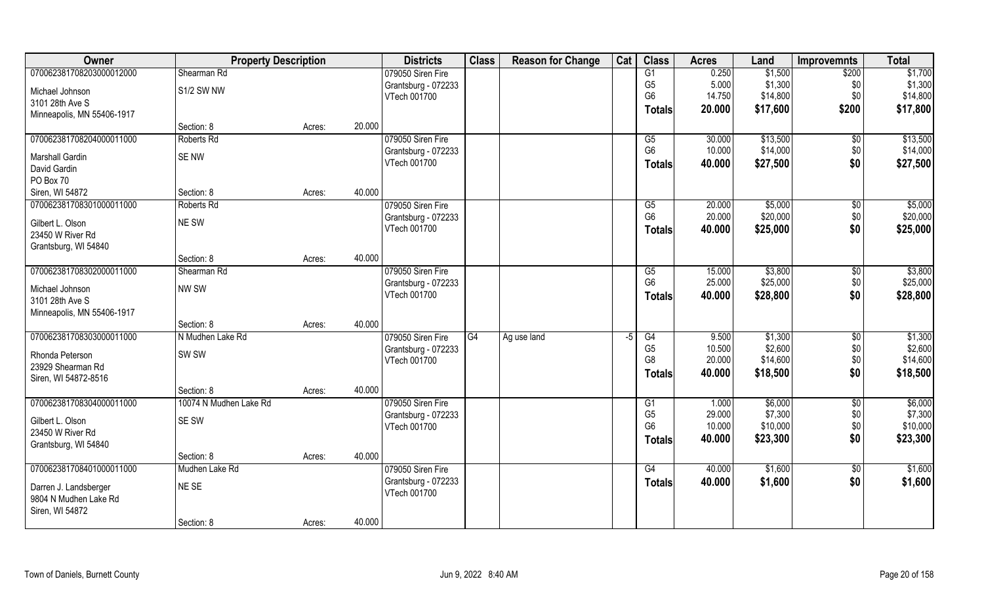| Owner                      | <b>Property Description</b> |        |        | <b>Districts</b>    | <b>Class</b> | <b>Reason for Change</b> | Cat  | <b>Class</b>    | <b>Acres</b> | Land     | <b>Improvemnts</b> | <b>Total</b> |
|----------------------------|-----------------------------|--------|--------|---------------------|--------------|--------------------------|------|-----------------|--------------|----------|--------------------|--------------|
| 070062381708203000012000   | Shearman Rd                 |        |        | 079050 Siren Fire   |              |                          |      | G1              | 0.250        | \$1,500  | \$200              | \$1,700      |
| Michael Johnson            | S1/2 SW NW                  |        |        | Grantsburg - 072233 |              |                          |      | G <sub>5</sub>  | 5.000        | \$1,300  | \$0                | \$1,300      |
| 3101 28th Ave S            |                             |        |        | VTech 001700        |              |                          |      | G <sub>6</sub>  | 14.750       | \$14,800 | \$0                | \$14,800     |
| Minneapolis, MN 55406-1917 |                             |        |        |                     |              |                          |      | Totals          | 20.000       | \$17,600 | \$200              | \$17,800     |
|                            | Section: 8                  | Acres: | 20.000 |                     |              |                          |      |                 |              |          |                    |              |
| 070062381708204000011000   | Roberts Rd                  |        |        | 079050 Siren Fire   |              |                          |      | G <sub>5</sub>  | 30.000       | \$13,500 | \$0                | \$13,500     |
| Marshall Gardin            | <b>SENW</b>                 |        |        | Grantsburg - 072233 |              |                          |      | G <sub>6</sub>  | 10.000       | \$14,000 | \$0                | \$14,000     |
| David Gardin               |                             |        |        | VTech 001700        |              |                          |      | <b>Totals</b>   | 40.000       | \$27,500 | \$0                | \$27,500     |
| PO Box 70                  |                             |        |        |                     |              |                          |      |                 |              |          |                    |              |
| Siren, WI 54872            | Section: 8                  | Acres: | 40.000 |                     |              |                          |      |                 |              |          |                    |              |
| 070062381708301000011000   | Roberts Rd                  |        |        | 079050 Siren Fire   |              |                          |      | G5              | 20.000       | \$5,000  | \$0                | \$5,000      |
| Gilbert L. Olson           | NE SW                       |        |        | Grantsburg - 072233 |              |                          |      | G <sub>6</sub>  | 20.000       | \$20,000 | \$0                | \$20,000     |
| 23450 W River Rd           |                             |        |        | VTech 001700        |              |                          |      | <b>Totals</b>   | 40.000       | \$25,000 | \$0                | \$25,000     |
| Grantsburg, WI 54840       |                             |        |        |                     |              |                          |      |                 |              |          |                    |              |
|                            | Section: 8                  | Acres: | 40.000 |                     |              |                          |      |                 |              |          |                    |              |
| 070062381708302000011000   | Shearman Rd                 |        |        | 079050 Siren Fire   |              |                          |      | G5              | 15.000       | \$3,800  | \$0                | \$3,800      |
| Michael Johnson            | NW SW                       |        |        | Grantsburg - 072233 |              |                          |      | G <sub>6</sub>  | 25.000       | \$25,000 | \$0                | \$25,000     |
| 3101 28th Ave S            |                             |        |        | VTech 001700        |              |                          |      | <b>Totals</b>   | 40.000       | \$28,800 | \$0                | \$28,800     |
| Minneapolis, MN 55406-1917 |                             |        |        |                     |              |                          |      |                 |              |          |                    |              |
|                            | Section: 8                  | Acres: | 40.000 |                     |              |                          |      |                 |              |          |                    |              |
| 070062381708303000011000   | N Mudhen Lake Rd            |        |        | 079050 Siren Fire   | G4           | Ag use land              | $-5$ | $\overline{G4}$ | 9.500        | \$1,300  | $\sqrt[6]{30}$     | \$1,300      |
| Rhonda Peterson            | SW <sub>SW</sub>            |        |        | Grantsburg - 072233 |              |                          |      | G <sub>5</sub>  | 10.500       | \$2,600  | \$0                | \$2,600      |
| 23929 Shearman Rd          |                             |        |        | VTech 001700        |              |                          |      | G <sub>8</sub>  | 20.000       | \$14,600 | \$0                | \$14,600     |
| Siren, WI 54872-8516       |                             |        |        |                     |              |                          |      | <b>Totals</b>   | 40.000       | \$18,500 | \$0                | \$18,500     |
|                            | Section: 8                  | Acres: | 40.000 |                     |              |                          |      |                 |              |          |                    |              |
| 070062381708304000011000   | 10074 N Mudhen Lake Rd      |        |        | 079050 Siren Fire   |              |                          |      | G1              | 1.000        | \$6,000  | $\sqrt{6}$         | \$6,000      |
| Gilbert L. Olson           | <b>SE SW</b>                |        |        | Grantsburg - 072233 |              |                          |      | G <sub>5</sub>  | 29.000       | \$7,300  | \$0                | \$7,300      |
| 23450 W River Rd           |                             |        |        | VTech 001700        |              |                          |      | G <sub>6</sub>  | 10.000       | \$10,000 | \$0                | \$10,000     |
| Grantsburg, WI 54840       |                             |        |        |                     |              |                          |      | <b>Totals</b>   | 40.000       | \$23,300 | \$0                | \$23,300     |
|                            | Section: 8                  | Acres: | 40.000 |                     |              |                          |      |                 |              |          |                    |              |
| 070062381708401000011000   | Mudhen Lake Rd              |        |        | 079050 Siren Fire   |              |                          |      | G4              | 40.000       | \$1,600  | $\overline{60}$    | \$1,600      |
| Darren J. Landsberger      | NE SE                       |        |        | Grantsburg - 072233 |              |                          |      | <b>Totals</b>   | 40.000       | \$1,600  | \$0                | \$1,600      |
| 9804 N Mudhen Lake Rd      |                             |        |        | VTech 001700        |              |                          |      |                 |              |          |                    |              |
| Siren, WI 54872            |                             |        |        |                     |              |                          |      |                 |              |          |                    |              |
|                            | Section: 8                  | Acres: | 40.000 |                     |              |                          |      |                 |              |          |                    |              |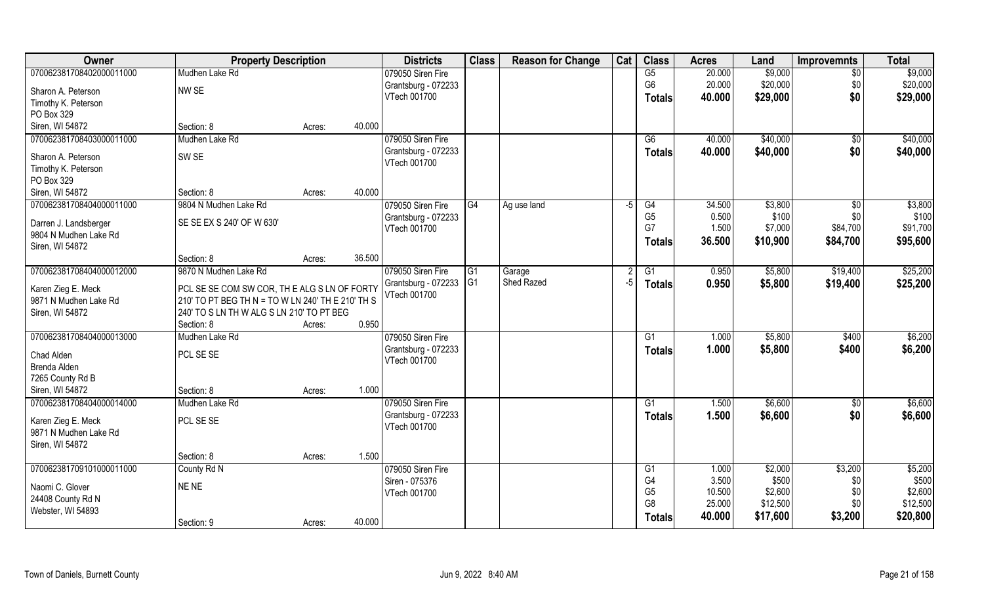| Owner                    | <b>Property Description</b>                       |        |        | <b>Districts</b>    | <b>Class</b>   | <b>Reason for Change</b> | Cat  | <b>Class</b>    | <b>Acres</b> | Land     | <b>Improvemnts</b> | <b>Total</b> |
|--------------------------|---------------------------------------------------|--------|--------|---------------------|----------------|--------------------------|------|-----------------|--------------|----------|--------------------|--------------|
| 070062381708402000011000 | Mudhen Lake Rd                                    |        |        | 079050 Siren Fire   |                |                          |      | $\overline{G5}$ | 20.000       | \$9,000  | $\sqrt{6}$         | \$9,000      |
| Sharon A. Peterson       | NW SE                                             |        |        | Grantsburg - 072233 |                |                          |      | G <sub>6</sub>  | 20.000       | \$20,000 | \$0                | \$20,000     |
| Timothy K. Peterson      |                                                   |        |        | VTech 001700        |                |                          |      | <b>Totals</b>   | 40.000       | \$29,000 | \$0                | \$29,000     |
| PO Box 329               |                                                   |        |        |                     |                |                          |      |                 |              |          |                    |              |
| Siren, WI 54872          | Section: 8                                        | Acres: | 40.000 |                     |                |                          |      |                 |              |          |                    |              |
| 070062381708403000011000 | Mudhen Lake Rd                                    |        |        | 079050 Siren Fire   |                |                          |      | $\overline{G6}$ | 40.000       | \$40,000 | \$0                | \$40,000     |
|                          |                                                   |        |        | Grantsburg - 072233 |                |                          |      | Totals          | 40.000       | \$40,000 | \$0                | \$40,000     |
| Sharon A. Peterson       | SW <sub>SE</sub>                                  |        |        | VTech 001700        |                |                          |      |                 |              |          |                    |              |
| Timothy K. Peterson      |                                                   |        |        |                     |                |                          |      |                 |              |          |                    |              |
| PO Box 329               |                                                   |        |        |                     |                |                          |      |                 |              |          |                    |              |
| Siren, WI 54872          | Section: 8                                        | Acres: | 40.000 |                     |                |                          |      |                 |              |          |                    |              |
| 070062381708404000011000 | 9804 N Mudhen Lake Rd                             |        |        | 079050 Siren Fire   | G4             | Ag use land              | $-5$ | G4              | 34.500       | \$3,800  | $\sqrt[6]{}$       | \$3,800      |
| Darren J. Landsberger    | SE SE EX S 240' OF W 630'                         |        |        | Grantsburg - 072233 |                |                          |      | G <sub>5</sub>  | 0.500        | \$100    | \$0                | \$100        |
| 9804 N Mudhen Lake Rd    |                                                   |        |        | VTech 001700        |                |                          |      | G7              | 1.500        | \$7,000  | \$84,700           | \$91,700     |
| Siren, WI 54872          |                                                   |        |        |                     |                |                          |      | Totals          | 36.500       | \$10,900 | \$84,700           | \$95,600     |
|                          | Section: 8                                        | Acres: | 36.500 |                     |                |                          |      |                 |              |          |                    |              |
| 070062381708404000012000 | 9870 N Mudhen Lake Rd                             |        |        | 079050 Siren Fire   | G1             | Garage                   |      | G1              | 0.950        | \$5,800  | \$19,400           | \$25,200     |
|                          |                                                   |        |        | Grantsburg - 072233 | G <sub>1</sub> | Shed Razed               | -5   | <b>Totals</b>   | 0.950        | \$5,800  | \$19,400           | \$25,200     |
| Karen Zieg E. Meck       | PCL SE SE COM SW COR, THE ALG S LN OF FORTY       |        |        | VTech 001700        |                |                          |      |                 |              |          |                    |              |
| 9871 N Mudhen Lake Rd    | 210' TO PT BEG TH N = TO W LN 240' TH E 210' TH S |        |        |                     |                |                          |      |                 |              |          |                    |              |
| Siren, WI 54872          | 240' TO S LN TH W ALG S LN 210' TO PT BEG         |        | 0.950  |                     |                |                          |      |                 |              |          |                    |              |
|                          | Section: 8                                        | Acres: |        |                     |                |                          |      |                 |              |          |                    |              |
| 070062381708404000013000 | Mudhen Lake Rd                                    |        |        | 079050 Siren Fire   |                |                          |      | G1              | 1.000        | \$5,800  | \$400              | \$6,200      |
| Chad Alden               | PCL SE SE                                         |        |        | Grantsburg - 072233 |                |                          |      | <b>Totals</b>   | 1.000        | \$5,800  | \$400              | \$6,200      |
| Brenda Alden             |                                                   |        |        | VTech 001700        |                |                          |      |                 |              |          |                    |              |
| 7265 County Rd B         |                                                   |        |        |                     |                |                          |      |                 |              |          |                    |              |
| Siren, WI 54872          | Section: 8                                        | Acres: | 1.000  |                     |                |                          |      |                 |              |          |                    |              |
| 070062381708404000014000 | Mudhen Lake Rd                                    |        |        | 079050 Siren Fire   |                |                          |      | $\overline{G1}$ | 1.500        | \$6,600  | $\sqrt{6}$         | \$6,600      |
| Karen Zieg E. Meck       | PCL SE SE                                         |        |        | Grantsburg - 072233 |                |                          |      | <b>Totals</b>   | 1.500        | \$6,600  | \$0                | \$6,600      |
| 9871 N Mudhen Lake Rd    |                                                   |        |        | VTech 001700        |                |                          |      |                 |              |          |                    |              |
| Siren, WI 54872          |                                                   |        |        |                     |                |                          |      |                 |              |          |                    |              |
|                          | Section: 8                                        | Acres: | 1.500  |                     |                |                          |      |                 |              |          |                    |              |
| 070062381709101000011000 | County Rd N                                       |        |        | 079050 Siren Fire   |                |                          |      | G1              | 1.000        | \$2,000  | \$3,200            | \$5,200      |
|                          |                                                   |        |        | Siren - 075376      |                |                          |      | G4              | 3.500        | \$500    | \$0                | \$500        |
| Naomi C. Glover          | NE NE                                             |        |        | VTech 001700        |                |                          |      | G <sub>5</sub>  | 10.500       | \$2,600  | \$0                | \$2,600      |
| 24408 County Rd N        |                                                   |        |        |                     |                |                          |      | G <sub>8</sub>  | 25.000       | \$12,500 | \$0\$              | \$12,500     |
| Webster, WI 54893        |                                                   |        |        |                     |                |                          |      | <b>Totals</b>   | 40.000       | \$17,600 | \$3,200            | \$20,800     |
|                          | Section: 9                                        | Acres: | 40.000 |                     |                |                          |      |                 |              |          |                    |              |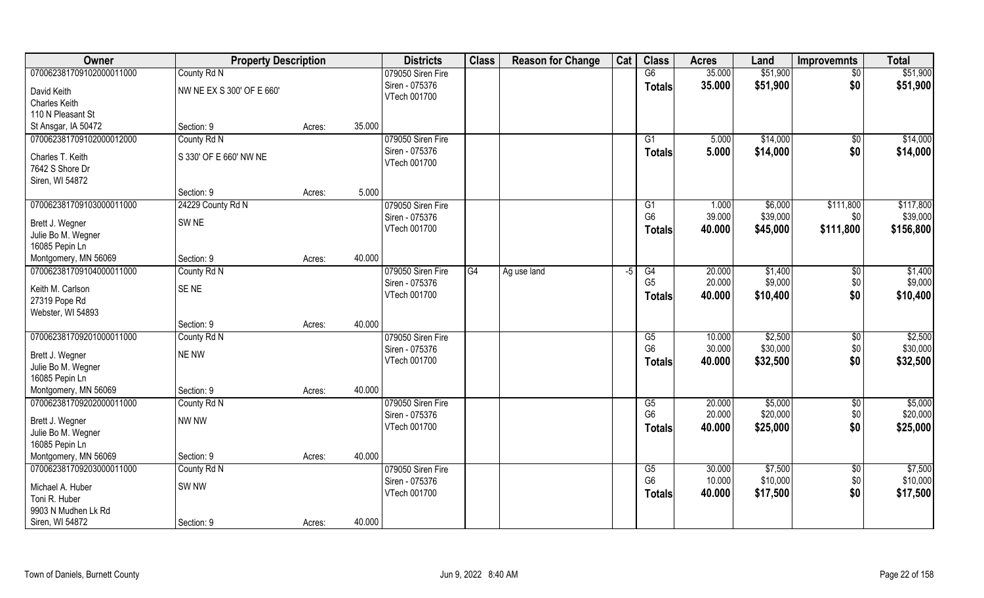| Owner                                 | <b>Property Description</b> |        |        | <b>Districts</b>                    | <b>Class</b> | <b>Reason for Change</b> | Cat | <b>Class</b>         | <b>Acres</b>    | Land                | <b>Improvemnts</b> | <b>Total</b>          |
|---------------------------------------|-----------------------------|--------|--------|-------------------------------------|--------------|--------------------------|-----|----------------------|-----------------|---------------------|--------------------|-----------------------|
| 070062381709102000011000              | County Rd N                 |        |        | 079050 Siren Fire                   |              |                          |     | G6                   | 35.000          | \$51,900            | $\sqrt{6}$         | \$51,900              |
| David Keith                           | NW NE EX S 300' OF E 660'   |        |        | Siren - 075376                      |              |                          |     | <b>Totals</b>        | 35.000          | \$51,900            | \$0                | \$51,900              |
| <b>Charles Keith</b>                  |                             |        |        | VTech 001700                        |              |                          |     |                      |                 |                     |                    |                       |
| 110 N Pleasant St                     |                             |        |        |                                     |              |                          |     |                      |                 |                     |                    |                       |
| St Ansgar, IA 50472                   | Section: 9                  | Acres: | 35.000 |                                     |              |                          |     |                      |                 |                     |                    |                       |
| 070062381709102000012000              | County Rd N                 |        |        | 079050 Siren Fire                   |              |                          |     | G1                   | 5.000           | \$14,000            | \$0                | \$14,000              |
|                                       |                             |        |        | Siren - 075376                      |              |                          |     | <b>Totals</b>        | 5.000           | \$14,000            | \$0                | \$14,000              |
| Charles T. Keith                      | S 330' OF E 660' NW NE      |        |        | VTech 001700                        |              |                          |     |                      |                 |                     |                    |                       |
| 7642 S Shore Dr                       |                             |        |        |                                     |              |                          |     |                      |                 |                     |                    |                       |
| Siren, WI 54872                       | Section: 9                  |        | 5.000  |                                     |              |                          |     |                      |                 |                     |                    |                       |
|                                       |                             | Acres: |        |                                     |              |                          |     |                      |                 |                     |                    |                       |
| 070062381709103000011000              | 24229 County Rd N           |        |        | 079050 Siren Fire<br>Siren - 075376 |              |                          |     | G1<br>G <sub>6</sub> | 1.000<br>39.000 | \$6,000<br>\$39,000 | \$111,800          | \$117,800<br>\$39,000 |
| Brett J. Wegner                       | SW <sub>NE</sub>            |        |        | VTech 001700                        |              |                          |     |                      |                 |                     | \$0                |                       |
| Julie Bo M. Wegner                    |                             |        |        |                                     |              |                          |     | <b>Totals</b>        | 40.000          | \$45,000            | \$111,800          | \$156,800             |
| 16085 Pepin Ln                        |                             |        |        |                                     |              |                          |     |                      |                 |                     |                    |                       |
| Montgomery, MN 56069                  | Section: 9                  | Acres: | 40.000 |                                     |              |                          |     |                      |                 |                     |                    |                       |
| 070062381709104000011000              | County Rd N                 |        |        | 079050 Siren Fire                   | G4           | Ag use land              | -5  | G4                   | 20.000          | \$1,400             | \$0                | \$1,400               |
| Keith M. Carlson                      | SE <sub>NE</sub>            |        |        | Siren - 075376                      |              |                          |     | G <sub>5</sub>       | 20.000          | \$9,000             | \$0                | \$9,000               |
| 27319 Pope Rd                         |                             |        |        | VTech 001700                        |              |                          |     | <b>Totals</b>        | 40.000          | \$10,400            | \$0                | \$10,400              |
| Webster, WI 54893                     |                             |        |        |                                     |              |                          |     |                      |                 |                     |                    |                       |
|                                       | Section: 9                  | Acres: | 40.000 |                                     |              |                          |     |                      |                 |                     |                    |                       |
| 070062381709201000011000              | County Rd N                 |        |        | 079050 Siren Fire                   |              |                          |     | G5                   | 10.000          | \$2,500             | \$0                | \$2,500               |
|                                       |                             |        |        | Siren - 075376                      |              |                          |     | G <sub>6</sub>       | 30.000          | \$30,000            | \$0                | \$30,000              |
| Brett J. Wegner<br>Julie Bo M. Wegner | <b>NE NW</b>                |        |        | VTech 001700                        |              |                          |     | <b>Totals</b>        | 40.000          | \$32,500            | \$0                | \$32,500              |
| 16085 Pepin Ln                        |                             |        |        |                                     |              |                          |     |                      |                 |                     |                    |                       |
| Montgomery, MN 56069                  | Section: 9                  | Acres: | 40.000 |                                     |              |                          |     |                      |                 |                     |                    |                       |
| 070062381709202000011000              | County Rd N                 |        |        | 079050 Siren Fire                   |              |                          |     | G5                   | 20.000          | \$5,000             | $\sqrt{6}$         | \$5,000               |
|                                       |                             |        |        | Siren - 075376                      |              |                          |     | G <sub>6</sub>       | 20.000          | \$20,000            | \$0                | \$20,000              |
| Brett J. Wegner                       | NW NW                       |        |        | VTech 001700                        |              |                          |     | <b>Totals</b>        | 40.000          | \$25,000            | \$0                | \$25,000              |
| Julie Bo M. Wegner                    |                             |        |        |                                     |              |                          |     |                      |                 |                     |                    |                       |
| 16085 Pepin Ln                        |                             |        |        |                                     |              |                          |     |                      |                 |                     |                    |                       |
| Montgomery, MN 56069                  | Section: 9                  | Acres: | 40.000 |                                     |              |                          |     |                      |                 |                     |                    |                       |
| 070062381709203000011000              | County Rd N                 |        |        | 079050 Siren Fire                   |              |                          |     | G5                   | 30.000          | \$7,500             | \$0                | \$7,500               |
| Michael A. Huber                      | SW <sub>NW</sub>            |        |        | Siren - 075376                      |              |                          |     | G <sub>6</sub>       | 10.000          | \$10,000            | $$0$               | \$10,000              |
| Toni R. Huber                         |                             |        |        | VTech 001700                        |              |                          |     | <b>Totals</b>        | 40.000          | \$17,500            | \$0                | \$17,500              |
| 9903 N Mudhen Lk Rd                   |                             |        |        |                                     |              |                          |     |                      |                 |                     |                    |                       |
| Siren, WI 54872                       | Section: 9                  | Acres: | 40.000 |                                     |              |                          |     |                      |                 |                     |                    |                       |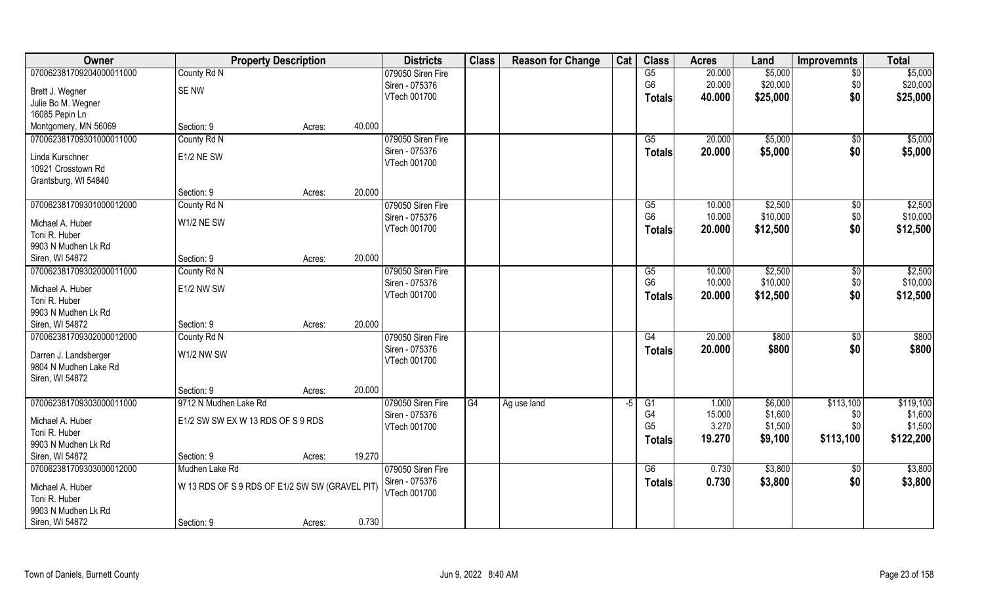| Owner                    | <b>Property Description</b>                    |        | <b>Districts</b>                    | <b>Class</b> | <b>Reason for Change</b> | Cat | <b>Class</b>   | <b>Acres</b>    | Land               | <b>Improvemnts</b>    | <b>Total</b>         |
|--------------------------|------------------------------------------------|--------|-------------------------------------|--------------|--------------------------|-----|----------------|-----------------|--------------------|-----------------------|----------------------|
| 070062381709204000011000 | County Rd N                                    |        | 079050 Siren Fire                   |              |                          |     | G5             | 20.000          | \$5,000            | $\overline{50}$       | \$5,000              |
| Brett J. Wegner          | SE NW                                          |        | Siren - 075376                      |              |                          |     | G <sub>6</sub> | 20.000          | \$20,000           | \$0                   | \$20,000             |
| Julie Bo M. Wegner       |                                                |        | VTech 001700                        |              |                          |     | <b>Totals</b>  | 40.000          | \$25,000           | \$0                   | \$25,000             |
| 16085 Pepin Ln           |                                                |        |                                     |              |                          |     |                |                 |                    |                       |                      |
| Montgomery, MN 56069     | Section: 9                                     | Acres: | 40.000                              |              |                          |     |                |                 |                    |                       |                      |
| 070062381709301000011000 | County Rd N                                    |        | 079050 Siren Fire                   |              |                          |     | G5             | 20.000          | \$5,000            | $\sqrt{$0}$           | \$5,000              |
|                          |                                                |        | Siren - 075376                      |              |                          |     | <b>Totals</b>  | 20.000          | \$5,000            | \$0                   | \$5,000              |
| Linda Kurschner          | E1/2 NE SW                                     |        | VTech 001700                        |              |                          |     |                |                 |                    |                       |                      |
| 10921 Crosstown Rd       |                                                |        |                                     |              |                          |     |                |                 |                    |                       |                      |
| Grantsburg, WI 54840     | Section: 9                                     |        | 20.000                              |              |                          |     |                |                 |                    |                       |                      |
| 070062381709301000012000 |                                                | Acres: |                                     |              |                          |     | G5             | 10.000          | \$2,500            |                       | \$2,500              |
|                          | County Rd N                                    |        | 079050 Siren Fire<br>Siren - 075376 |              |                          |     | G <sub>6</sub> | 10.000          | \$10,000           | $\sqrt[6]{30}$<br>\$0 | \$10,000             |
| Michael A. Huber         | W1/2 NE SW                                     |        | VTech 001700                        |              |                          |     |                | 20.000          | \$12,500           | \$0                   | \$12,500             |
| Toni R. Huber            |                                                |        |                                     |              |                          |     | <b>Totals</b>  |                 |                    |                       |                      |
| 9903 N Mudhen Lk Rd      |                                                |        |                                     |              |                          |     |                |                 |                    |                       |                      |
| Siren, WI 54872          | Section: 9                                     | Acres: | 20.000                              |              |                          |     |                |                 |                    |                       |                      |
| 070062381709302000011000 | County Rd N                                    |        | 079050 Siren Fire                   |              |                          |     | G5             | 10.000          | \$2,500            | \$0                   | \$2,500              |
| Michael A. Huber         | <b>E1/2 NW SW</b>                              |        | Siren - 075376                      |              |                          |     | G <sub>6</sub> | 10.000          | \$10,000           | \$0                   | \$10,000             |
| Toni R. Huber            |                                                |        | VTech 001700                        |              |                          |     | <b>Totals</b>  | 20.000          | \$12,500           | \$0                   | \$12,500             |
| 9903 N Mudhen Lk Rd      |                                                |        |                                     |              |                          |     |                |                 |                    |                       |                      |
| Siren, WI 54872          | Section: 9                                     | Acres: | 20.000                              |              |                          |     |                |                 |                    |                       |                      |
| 070062381709302000012000 | County Rd N                                    |        | 079050 Siren Fire                   |              |                          |     | G4             | 20.000          | \$800              | $\sqrt[6]{30}$        | \$800                |
|                          |                                                |        | Siren - 075376                      |              |                          |     | <b>Totals</b>  | 20.000          | \$800              | \$0                   | \$800                |
| Darren J. Landsberger    | W1/2 NW SW                                     |        | VTech 001700                        |              |                          |     |                |                 |                    |                       |                      |
| 9804 N Mudhen Lake Rd    |                                                |        |                                     |              |                          |     |                |                 |                    |                       |                      |
| Siren, WI 54872          |                                                |        |                                     |              |                          |     |                |                 |                    |                       |                      |
|                          | Section: 9                                     | Acres: | 20.000                              |              |                          |     |                |                 |                    |                       |                      |
| 070062381709303000011000 | 9712 N Mudhen Lake Rd                          |        | 079050 Siren Fire                   | G4           | Ag use land              | -5  | G1<br>G4       | 1.000<br>15.000 | \$6,000<br>\$1,600 | \$113,100             | \$119,100<br>\$1,600 |
| Michael A. Huber         | E1/2 SW SW EX W 13 RDS OF S 9 RDS              |        | Siren - 075376<br>VTech 001700      |              |                          |     | G <sub>5</sub> | 3.270           | \$1,500            | \$0<br>\$0            | \$1,500              |
| Toni R. Huber            |                                                |        |                                     |              |                          |     |                | 19.270          |                    |                       | \$122,200            |
| 9903 N Mudhen Lk Rd      |                                                |        |                                     |              |                          |     | <b>Totals</b>  |                 | \$9,100            | \$113,100             |                      |
| Siren, WI 54872          | Section: 9                                     | Acres: | 19.270                              |              |                          |     |                |                 |                    |                       |                      |
| 070062381709303000012000 | Mudhen Lake Rd                                 |        | 079050 Siren Fire                   |              |                          |     | G6             | 0.730           | \$3,800            | $\overline{50}$       | \$3,800              |
| Michael A. Huber         | W 13 RDS OF S 9 RDS OF E1/2 SW SW (GRAVEL PIT) |        | Siren - 075376                      |              |                          |     | <b>Totals</b>  | 0.730           | \$3,800            | \$0                   | \$3,800              |
| Toni R. Huber            |                                                |        | VTech 001700                        |              |                          |     |                |                 |                    |                       |                      |
| 9903 N Mudhen Lk Rd      |                                                |        |                                     |              |                          |     |                |                 |                    |                       |                      |
| Siren, WI 54872          | Section: 9                                     | Acres: | 0.730                               |              |                          |     |                |                 |                    |                       |                      |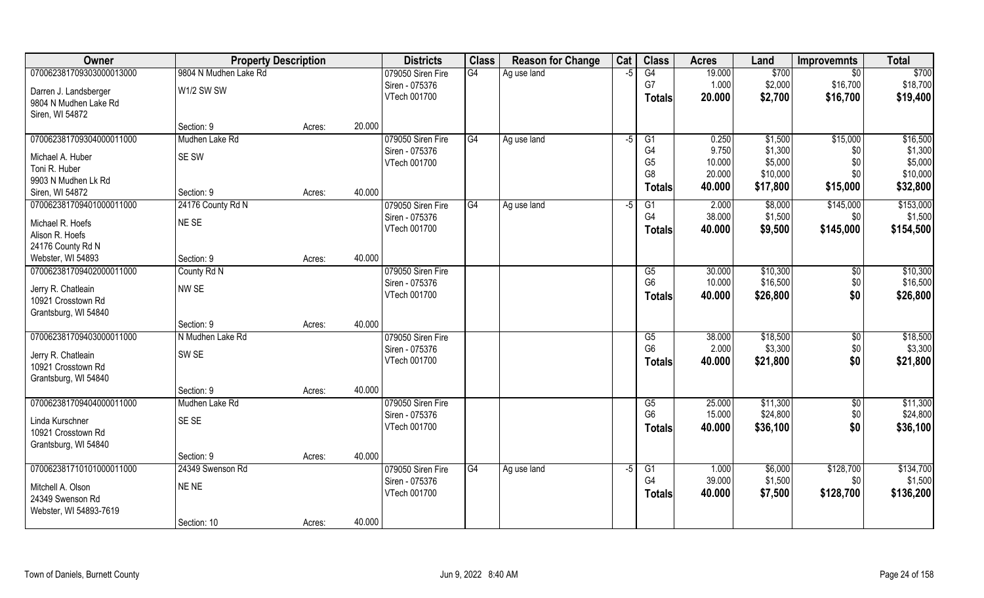| Owner                    | <b>Property Description</b> |        |        | <b>Districts</b>  | <b>Class</b> | <b>Reason for Change</b> | Cat  | <b>Class</b>                     | <b>Acres</b>     | Land                | <b>Improvemnts</b> | <b>Total</b>        |
|--------------------------|-----------------------------|--------|--------|-------------------|--------------|--------------------------|------|----------------------------------|------------------|---------------------|--------------------|---------------------|
| 070062381709303000013000 | 9804 N Mudhen Lake Rd       |        |        | 079050 Siren Fire | G4           | Ag use land              | -5   | G4                               | 19.000           | \$700               | $\overline{50}$    | \$700               |
| Darren J. Landsberger    | W1/2 SW SW                  |        |        | Siren - 075376    |              |                          |      | G7                               | 1.000            | \$2,000             | \$16,700           | \$18,700            |
| 9804 N Mudhen Lake Rd    |                             |        |        | VTech 001700      |              |                          |      | <b>Totals</b>                    | 20.000           | \$2,700             | \$16,700           | \$19,400            |
| Siren, WI 54872          |                             |        |        |                   |              |                          |      |                                  |                  |                     |                    |                     |
|                          | Section: 9                  | Acres: | 20.000 |                   |              |                          |      |                                  |                  |                     |                    |                     |
| 070062381709304000011000 | Mudhen Lake Rd              |        |        | 079050 Siren Fire | G4           | Ag use land              | $-5$ | G1                               | 0.250            | \$1,500             | \$15,000           | \$16,500            |
| Michael A. Huber         | <b>SE SW</b>                |        |        | Siren - 075376    |              |                          |      | G4                               | 9.750            | \$1,300             | \$0                | \$1,300             |
| Toni R. Huber            |                             |        |        | VTech 001700      |              |                          |      | G <sub>5</sub><br>G <sub>8</sub> | 10.000<br>20.000 | \$5,000<br>\$10,000 | \$0<br>\$0         | \$5,000<br>\$10,000 |
| 9903 N Mudhen Lk Rd      |                             |        |        |                   |              |                          |      |                                  | 40.000           | \$17,800            | \$15,000           | \$32,800            |
| Siren, WI 54872          | Section: 9                  | Acres: | 40.000 |                   |              |                          |      | <b>Totals</b>                    |                  |                     |                    |                     |
| 070062381709401000011000 | 24176 County Rd N           |        |        | 079050 Siren Fire | G4           | Ag use land              | -5   | G1                               | 2.000            | \$8,000             | \$145,000          | \$153,000           |
| Michael R. Hoefs         | NE SE                       |        |        | Siren - 075376    |              |                          |      | G <sub>4</sub>                   | 38.000           | \$1,500             | \$0                | \$1,500             |
| Alison R. Hoefs          |                             |        |        | VTech 001700      |              |                          |      | <b>Totals</b>                    | 40.000           | \$9,500             | \$145,000          | \$154,500           |
| 24176 County Rd N        |                             |        |        |                   |              |                          |      |                                  |                  |                     |                    |                     |
| Webster, WI 54893        | Section: 9                  | Acres: | 40.000 |                   |              |                          |      |                                  |                  |                     |                    |                     |
| 070062381709402000011000 | County Rd N                 |        |        | 079050 Siren Fire |              |                          |      | G5                               | 30.000           | \$10,300            | $\sqrt[6]{3}$      | \$10,300            |
| Jerry R. Chatleain       | NW SE                       |        |        | Siren - 075376    |              |                          |      | G <sub>6</sub>                   | 10.000           | \$16,500            | \$0                | \$16,500            |
| 10921 Crosstown Rd       |                             |        |        | VTech 001700      |              |                          |      | <b>Totals</b>                    | 40.000           | \$26,800            | \$0                | \$26,800            |
| Grantsburg, WI 54840     |                             |        |        |                   |              |                          |      |                                  |                  |                     |                    |                     |
|                          | Section: 9                  | Acres: | 40.000 |                   |              |                          |      |                                  |                  |                     |                    |                     |
| 070062381709403000011000 | N Mudhen Lake Rd            |        |        | 079050 Siren Fire |              |                          |      | G5                               | 38.000           | \$18,500            | \$0                | \$18,500            |
| Jerry R. Chatleain       | SW <sub>SE</sub>            |        |        | Siren - 075376    |              |                          |      | G <sub>6</sub>                   | 2.000            | \$3,300             | \$0                | \$3,300             |
| 10921 Crosstown Rd       |                             |        |        | VTech 001700      |              |                          |      | <b>Totals</b>                    | 40.000           | \$21,800            | \$0                | \$21,800            |
| Grantsburg, WI 54840     |                             |        |        |                   |              |                          |      |                                  |                  |                     |                    |                     |
|                          | Section: 9                  | Acres: | 40.000 |                   |              |                          |      |                                  |                  |                     |                    |                     |
| 070062381709404000011000 | Mudhen Lake Rd              |        |        | 079050 Siren Fire |              |                          |      | G5                               | 25.000           | \$11,300            | \$0                | \$11,300            |
| Linda Kurschner          | SE SE                       |        |        | Siren - 075376    |              |                          |      | G <sub>6</sub>                   | 15.000           | \$24,800            | \$0                | \$24,800            |
| 10921 Crosstown Rd       |                             |        |        | VTech 001700      |              |                          |      | <b>Totals</b>                    | 40.000           | \$36,100            | \$0                | \$36,100            |
| Grantsburg, WI 54840     |                             |        |        |                   |              |                          |      |                                  |                  |                     |                    |                     |
|                          | Section: 9                  | Acres: | 40.000 |                   |              |                          |      |                                  |                  |                     |                    |                     |
| 070062381710101000011000 | 24349 Swenson Rd            |        |        | 079050 Siren Fire | G4           | Ag use land              | $-5$ | G1                               | 1.000            | \$6,000             | \$128,700          | \$134,700           |
| Mitchell A. Olson        | NE NE                       |        |        | Siren - 075376    |              |                          |      | G4                               | 39.000           | \$1,500             | \$0                | \$1,500             |
| 24349 Swenson Rd         |                             |        |        | VTech 001700      |              |                          |      | <b>Totals</b>                    | 40.000           | \$7,500             | \$128,700          | \$136,200           |
| Webster, WI 54893-7619   |                             |        |        |                   |              |                          |      |                                  |                  |                     |                    |                     |
|                          | Section: 10                 | Acres: | 40.000 |                   |              |                          |      |                                  |                  |                     |                    |                     |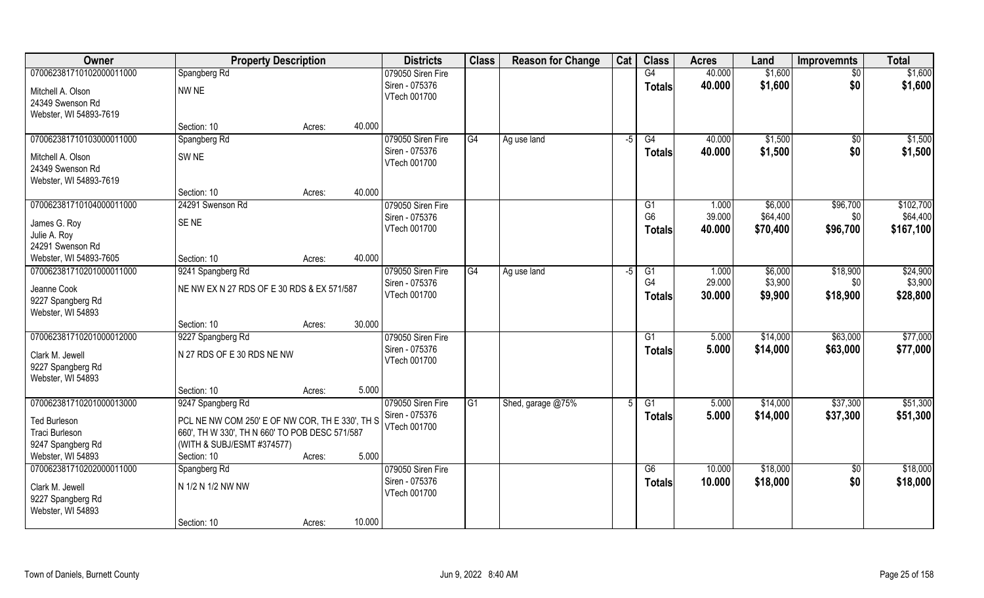| Owner                                                           | <b>Property Description</b>                     |        |        | <b>Districts</b>               | <b>Class</b> | <b>Reason for Change</b> | Cat  | <b>Class</b>                    | <b>Acres</b>     | Land                 | <b>Improvemnts</b> | <b>Total</b>          |
|-----------------------------------------------------------------|-------------------------------------------------|--------|--------|--------------------------------|--------------|--------------------------|------|---------------------------------|------------------|----------------------|--------------------|-----------------------|
| 070062381710102000011000                                        | Spangberg Rd                                    |        |        | 079050 Siren Fire              |              |                          |      | $\overline{G4}$                 | 40.000           | \$1,600              | \$0                | \$1,600               |
| Mitchell A. Olson<br>24349 Swenson Rd<br>Webster, WI 54893-7619 | NW <sub>NE</sub>                                |        |        | Siren - 075376<br>VTech 001700 |              |                          |      | <b>Totals</b>                   | 40.000           | \$1,600              | \$0                | \$1,600               |
|                                                                 | Section: 10                                     | Acres: | 40.000 |                                |              |                          |      |                                 |                  |                      |                    |                       |
| 070062381710103000011000                                        | Spangberg Rd                                    |        |        | 079050 Siren Fire              | G4           | Ag use land              | $-5$ | G4                              | 40.000           | \$1,500              | $\sqrt{$0}$        | \$1,500               |
| Mitchell A. Olson<br>24349 Swenson Rd<br>Webster, WI 54893-7619 | SW <sub>NE</sub>                                |        |        | Siren - 075376<br>VTech 001700 |              |                          |      | <b>Totals</b>                   | 40.000           | \$1,500              | \$0                | \$1,500               |
|                                                                 | Section: 10                                     | Acres: | 40.000 |                                |              |                          |      |                                 |                  |                      |                    |                       |
| 070062381710104000011000                                        | 24291 Swenson Rd                                |        |        | 079050 Siren Fire              |              |                          |      | G1                              | 1.000            | \$6,000              | \$96,700           | \$102,700             |
| James G. Roy                                                    | SE <sub>NE</sub>                                |        |        | Siren - 075376<br>VTech 001700 |              |                          |      | G <sub>6</sub><br><b>Totals</b> | 39.000<br>40.000 | \$64,400<br>\$70,400 | \$0<br>\$96,700    | \$64,400<br>\$167,100 |
| Julie A. Roy                                                    |                                                 |        |        |                                |              |                          |      |                                 |                  |                      |                    |                       |
| 24291 Swenson Rd                                                |                                                 |        |        |                                |              |                          |      |                                 |                  |                      |                    |                       |
| Webster, WI 54893-7605<br>070062381710201000011000              | Section: 10<br>9241 Spangberg Rd                | Acres: | 40.000 | 079050 Siren Fire              | G4           | Ag use land              | $-5$ | G1                              | 1.000            | \$6,000              | \$18,900           | \$24,900              |
|                                                                 |                                                 |        |        | Siren - 075376                 |              |                          |      | G4                              | 29.000           | \$3,900              | \$0                | \$3,900               |
| Jeanne Cook<br>9227 Spangberg Rd<br>Webster, WI 54893           | NE NW EX N 27 RDS OF E 30 RDS & EX 571/587      |        |        | VTech 001700                   |              |                          |      | <b>Totals</b>                   | 30.000           | \$9,900              | \$18,900           | \$28,800              |
|                                                                 | Section: 10                                     | Acres: | 30.000 |                                |              |                          |      |                                 |                  |                      |                    |                       |
| 070062381710201000012000                                        | 9227 Spangberg Rd                               |        |        | 079050 Siren Fire              |              |                          |      | G1                              | 5.000            | \$14,000             | \$63,000           | \$77,000              |
| Clark M. Jewell<br>9227 Spangberg Rd                            | N 27 RDS OF E 30 RDS NE NW                      |        |        | Siren - 075376<br>VTech 001700 |              |                          |      | <b>Totals</b>                   | 5.000            | \$14,000             | \$63,000           | \$77,000              |
| Webster, WI 54893                                               |                                                 |        |        |                                |              |                          |      |                                 |                  |                      |                    |                       |
|                                                                 | Section: 10                                     | Acres: | 5.000  |                                |              |                          |      |                                 |                  |                      |                    |                       |
| 070062381710201000013000                                        | 9247 Spangberg Rd                               |        |        | 079050 Siren Fire              | G1           | Shed, garage @75%        |      | G1                              | 5.000            | \$14,000             | \$37,300           | \$51,300              |
| <b>Ted Burleson</b>                                             | PCL NE NW COM 250' E OF NW COR, TH E 330', TH S |        |        | Siren - 075376<br>VTech 001700 |              |                          |      | <b>Totals</b>                   | 5.000            | \$14,000             | \$37,300           | \$51,300              |
| Traci Burleson                                                  | 660', TH W 330', TH N 660' TO POB DESC 571/587  |        |        |                                |              |                          |      |                                 |                  |                      |                    |                       |
| 9247 Spangberg Rd                                               | (WITH & SUBJ/ESMT #374577)                      |        | 5.000  |                                |              |                          |      |                                 |                  |                      |                    |                       |
| Webster, WI 54893<br>070062381710202000011000                   | Section: 10<br>Spangberg Rd                     | Acres: |        | 079050 Siren Fire              |              |                          |      | G6                              | 10.000           | \$18,000             | $\sqrt{6}$         | \$18,000              |
|                                                                 |                                                 |        |        | Siren - 075376                 |              |                          |      | <b>Totals</b>                   | 10.000           | \$18,000             | \$0                | \$18,000              |
| Clark M. Jewell<br>9227 Spangberg Rd<br>Webster, WI 54893       | N 1/2 N 1/2 NW NW                               |        |        | VTech 001700                   |              |                          |      |                                 |                  |                      |                    |                       |
|                                                                 | Section: 10                                     | Acres: | 10.000 |                                |              |                          |      |                                 |                  |                      |                    |                       |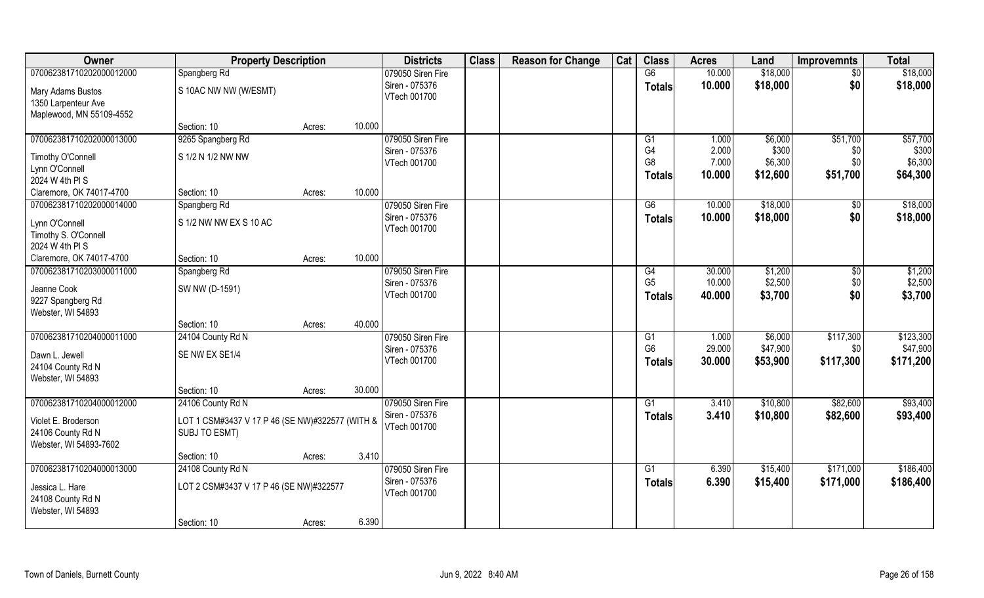| Owner                                                                | <b>Property Description</b>                                      |        |        | <b>Districts</b>               | <b>Class</b> | <b>Reason for Change</b> | Cat | <b>Class</b>                               | <b>Acres</b>             | Land                         | <b>Improvemnts</b>     | <b>Total</b>                 |
|----------------------------------------------------------------------|------------------------------------------------------------------|--------|--------|--------------------------------|--------------|--------------------------|-----|--------------------------------------------|--------------------------|------------------------------|------------------------|------------------------------|
| 070062381710202000012000                                             | Spangberg Rd                                                     |        |        | 079050 Siren Fire              |              |                          |     | G6                                         | 10.000                   | \$18,000                     | $\sqrt{6}$             | \$18,000                     |
| Mary Adams Bustos<br>1350 Larpenteur Ave<br>Maplewood, MN 55109-4552 | S 10AC NW NW (W/ESMT)                                            |        |        | Siren - 075376<br>VTech 001700 |              |                          |     | <b>Totals</b>                              | 10.000                   | \$18,000                     | \$0                    | \$18,000                     |
|                                                                      | Section: 10                                                      | Acres: | 10.000 |                                |              |                          |     |                                            |                          |                              |                        |                              |
| 070062381710202000013000                                             | 9265 Spangberg Rd                                                |        |        | 079050 Siren Fire              |              |                          |     | G1                                         | 1.000                    | \$6,000                      | \$51,700               | \$57,700                     |
| Timothy O'Connell<br>Lynn O'Connell<br>2024 W 4th PI S               | S 1/2 N 1/2 NW NW                                                |        |        | Siren - 075376<br>VTech 001700 |              |                          |     | G <sub>4</sub><br>G <sub>8</sub><br>Totals | 2.000<br>7.000<br>10.000 | \$300<br>\$6,300<br>\$12,600 | \$0<br>\$0<br>\$51,700 | \$300<br>\$6,300<br>\$64,300 |
| Claremore, OK 74017-4700                                             | Section: 10                                                      | Acres: | 10.000 |                                |              |                          |     |                                            |                          |                              |                        |                              |
| 070062381710202000014000                                             | Spangberg Rd                                                     |        |        | 079050 Siren Fire              |              |                          |     | G6                                         | 10.000                   | \$18,000                     | $\sqrt[6]{30}$         | \$18,000                     |
| Lynn O'Connell<br>Timothy S. O'Connell<br>2024 W 4th PI S            | S 1/2 NW NW EX S 10 AC                                           |        |        | Siren - 075376<br>VTech 001700 |              |                          |     | <b>Totals</b>                              | 10.000                   | \$18,000                     | \$0                    | \$18,000                     |
| Claremore, OK 74017-4700                                             | Section: 10                                                      | Acres: | 10.000 |                                |              |                          |     |                                            |                          |                              |                        |                              |
| 070062381710203000011000                                             | Spangberg Rd                                                     |        |        | 079050 Siren Fire              |              |                          |     | G4                                         | 30.000                   | \$1,200                      | $\sqrt[6]{3}$          | \$1,200                      |
| Jeanne Cook<br>9227 Spangberg Rd<br>Webster, WI 54893                | SW NW (D-1591)                                                   |        |        | Siren - 075376<br>VTech 001700 |              |                          |     | G <sub>5</sub><br><b>Totals</b>            | 10.000<br>40.000         | \$2,500<br>\$3,700           | \$0<br>\$0             | \$2,500<br>\$3,700           |
|                                                                      | Section: 10                                                      | Acres: | 40.000 |                                |              |                          |     |                                            |                          |                              |                        |                              |
| 070062381710204000011000                                             | 24104 County Rd N                                                |        |        | 079050 Siren Fire              |              |                          |     | G1                                         | 1.000                    | \$6,000                      | \$117,300              | \$123,300                    |
| Dawn L. Jewell<br>24104 County Rd N<br>Webster, WI 54893             | SE NW EX SE1/4                                                   |        |        | Siren - 075376<br>VTech 001700 |              |                          |     | G <sub>6</sub><br><b>Totals</b>            | 29.000<br>30.000         | \$47,900<br>\$53,900         | \$0<br>\$117,300       | \$47,900<br>\$171,200        |
|                                                                      | Section: 10                                                      | Acres: | 30.000 |                                |              |                          |     |                                            |                          |                              |                        |                              |
| 070062381710204000012000                                             | 24106 County Rd N                                                |        |        | 079050 Siren Fire              |              |                          |     | G1                                         | 3.410                    | \$10,800                     | \$82,600               | \$93,400                     |
| Violet E. Broderson<br>24106 County Rd N<br>Webster, WI 54893-7602   | LOT 1 CSM#3437 V 17 P 46 (SE NW)#322577 (WITH &<br>SUBJ TO ESMT) |        |        | Siren - 075376<br>VTech 001700 |              |                          |     | <b>Totals</b>                              | 3.410                    | \$10,800                     | \$82,600               | \$93,400                     |
|                                                                      | Section: 10                                                      | Acres: | 3.410  |                                |              |                          |     |                                            |                          |                              |                        |                              |
| 070062381710204000013000                                             | 24108 County Rd N                                                |        |        | 079050 Siren Fire              |              |                          |     | G1                                         | 6.390                    | \$15,400                     | \$171,000              | \$186,400                    |
| Jessica L. Hare<br>24108 County Rd N<br>Webster, WI 54893            | LOT 2 CSM#3437 V 17 P 46 (SE NW)#322577                          |        |        | Siren - 075376<br>VTech 001700 |              |                          |     | <b>Totals</b>                              | 6.390                    | \$15,400                     | \$171,000              | \$186,400                    |
|                                                                      | Section: 10                                                      | Acres: | 6.390  |                                |              |                          |     |                                            |                          |                              |                        |                              |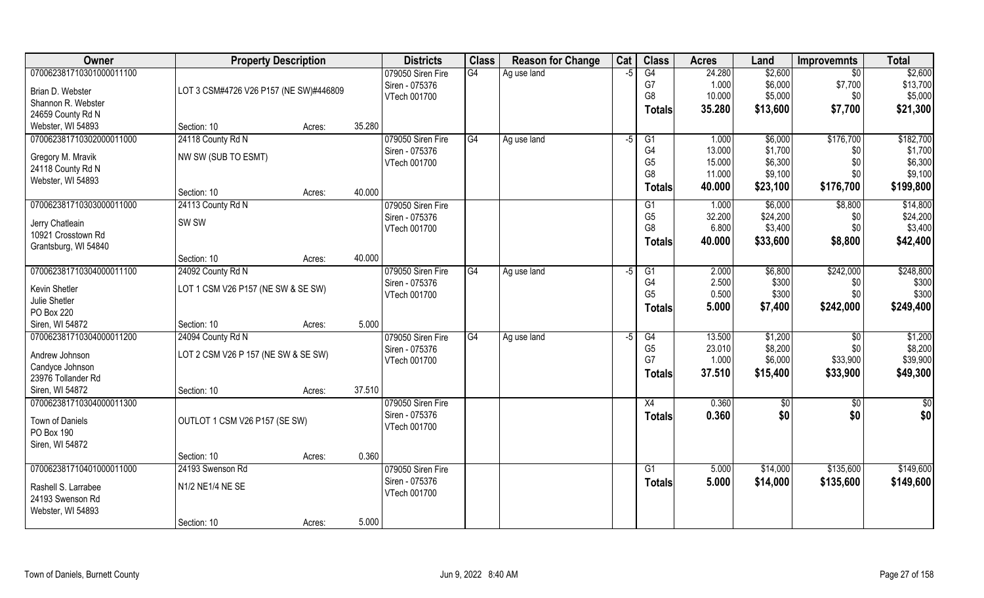| Owner                                  | <b>Property Description</b>            |        |        | <b>Districts</b>               | <b>Class</b> | <b>Reason for Change</b> | Cat | <b>Class</b>                      | <b>Acres</b>    | Land               | <b>Improvemnts</b> | <b>Total</b>       |
|----------------------------------------|----------------------------------------|--------|--------|--------------------------------|--------------|--------------------------|-----|-----------------------------------|-----------------|--------------------|--------------------|--------------------|
| 070062381710301000011100               |                                        |        |        | 079050 Siren Fire              | G4           | Ag use land              | -5  | G4                                | 24.280          | \$2,600            | $\overline{50}$    | \$2,600            |
| Brian D. Webster                       | LOT 3 CSM#4726 V26 P157 (NE SW)#446809 |        |        | Siren - 075376                 |              |                          |     | G7                                | 1.000           | \$6,000            | \$7,700            | \$13,700           |
| Shannon R. Webster                     |                                        |        |        | VTech 001700                   |              |                          |     | G8                                | 10.000          | \$5,000            | \$0                | \$5,000            |
| 24659 County Rd N                      |                                        |        |        |                                |              |                          |     | <b>Totals</b>                     | 35.280          | \$13,600           | \$7,700            | \$21,300           |
| Webster, WI 54893                      | Section: 10                            | Acres: | 35.280 |                                |              |                          |     |                                   |                 |                    |                    |                    |
| 070062381710302000011000               | 24118 County Rd N                      |        |        | 079050 Siren Fire              | G4           | Ag use land              | -5  | G1                                | 1.000           | \$6,000            | \$176,700          | \$182,700          |
|                                        | NW SW (SUB TO ESMT)                    |        |        | Siren - 075376                 |              |                          |     | G4                                | 13.000          | \$1,700            | \$0                | \$1,700            |
| Gregory M. Mravik<br>24118 County Rd N |                                        |        |        | VTech 001700                   |              |                          |     | G <sub>5</sub>                    | 15.000          | \$6,300            | \$0                | \$6,300            |
| Webster, WI 54893                      |                                        |        |        |                                |              |                          |     | G <sub>8</sub>                    | 11.000          | \$9,100            | \$0                | \$9,100            |
|                                        | Section: 10                            | Acres: | 40.000 |                                |              |                          |     | Totals                            | 40.000          | \$23,100           | \$176,700          | \$199,800          |
| 070062381710303000011000               | 24113 County Rd N                      |        |        | 079050 Siren Fire              |              |                          |     | G1                                | 1.000           | \$6,000            | \$8,800            | \$14,800           |
|                                        | SW <sub>SW</sub>                       |        |        | Siren - 075376                 |              |                          |     | G <sub>5</sub>                    | 32.200          | \$24,200           | \$0                | \$24,200           |
| Jerry Chatleain<br>10921 Crosstown Rd  |                                        |        |        | VTech 001700                   |              |                          |     | G <sub>8</sub>                    | 6.800           | \$3,400            | \$0                | \$3,400            |
| Grantsburg, WI 54840                   |                                        |        |        |                                |              |                          |     | <b>Totals</b>                     | 40.000          | \$33,600           | \$8,800            | \$42,400           |
|                                        | Section: 10                            | Acres: | 40.000 |                                |              |                          |     |                                   |                 |                    |                    |                    |
| 070062381710304000011100               | 24092 County Rd N                      |        |        | 079050 Siren Fire              | G4           | Ag use land              | -5  | G1                                | 2.000           | \$6,800            | \$242,000          | \$248,800          |
|                                        |                                        |        |        | Siren - 075376                 |              |                          |     | G <sub>4</sub>                    | 2.500           | \$300              | \$0                | \$300              |
| Kevin Shetler                          | LOT 1 CSM V26 P157 (NE SW & SE SW)     |        |        | VTech 001700                   |              |                          |     | G <sub>5</sub>                    | 0.500           | \$300              | \$0                | \$300              |
| Julie Shetler                          |                                        |        |        |                                |              |                          |     | <b>Totals</b>                     | 5.000           | \$7,400            | \$242,000          | \$249,400          |
| PO Box 220                             |                                        |        |        |                                |              |                          |     |                                   |                 |                    |                    |                    |
| Siren, WI 54872                        | Section: 10                            | Acres: | 5.000  |                                |              |                          |     |                                   |                 |                    |                    |                    |
| 070062381710304000011200               | 24094 County Rd N                      |        |        | 079050 Siren Fire              | G4           | Ag use land              | -5  | $\overline{G4}$<br>G <sub>5</sub> | 13.500          | \$1,200<br>\$8,200 | \$0<br>\$0         | \$1,200<br>\$8,200 |
| Andrew Johnson                         | LOT 2 CSM V26 P 157 (NE SW & SE SW)    |        |        | Siren - 075376<br>VTech 001700 |              |                          |     | G7                                | 23.010<br>1.000 | \$6,000            | \$33,900           | \$39,900           |
| Candyce Johnson                        |                                        |        |        |                                |              |                          |     |                                   | 37.510          | \$15,400           | \$33,900           | \$49,300           |
| 23976 Tollander Rd                     |                                        |        |        |                                |              |                          |     | <b>Totals</b>                     |                 |                    |                    |                    |
| Siren, WI 54872                        | Section: 10                            | Acres: | 37.510 |                                |              |                          |     |                                   |                 |                    |                    |                    |
| 070062381710304000011300               |                                        |        |        | 079050 Siren Fire              |              |                          |     | X4                                | 0.360           | \$0                | \$0                | $\frac{1}{2}$      |
| Town of Daniels                        | OUTLOT 1 CSM V26 P157 (SE SW)          |        |        | Siren - 075376                 |              |                          |     | <b>Totals</b>                     | 0.360           | \$0                | \$0                | \$0                |
| PO Box 190                             |                                        |        |        | VTech 001700                   |              |                          |     |                                   |                 |                    |                    |                    |
| Siren, WI 54872                        |                                        |        |        |                                |              |                          |     |                                   |                 |                    |                    |                    |
|                                        | Section: 10                            | Acres: | 0.360  |                                |              |                          |     |                                   |                 |                    |                    |                    |
| 070062381710401000011000               | 24193 Swenson Rd                       |        |        | 079050 Siren Fire              |              |                          |     | G1                                | 5.000           | \$14,000           | \$135,600          | \$149,600          |
| Rashell S. Larrabee                    | N1/2 NE1/4 NE SE                       |        |        | Siren - 075376                 |              |                          |     | <b>Totals</b>                     | 5.000           | \$14,000           | \$135,600          | \$149,600          |
| 24193 Swenson Rd                       |                                        |        |        | VTech 001700                   |              |                          |     |                                   |                 |                    |                    |                    |
| Webster, WI 54893                      |                                        |        |        |                                |              |                          |     |                                   |                 |                    |                    |                    |
|                                        | Section: 10                            | Acres: | 5.000  |                                |              |                          |     |                                   |                 |                    |                    |                    |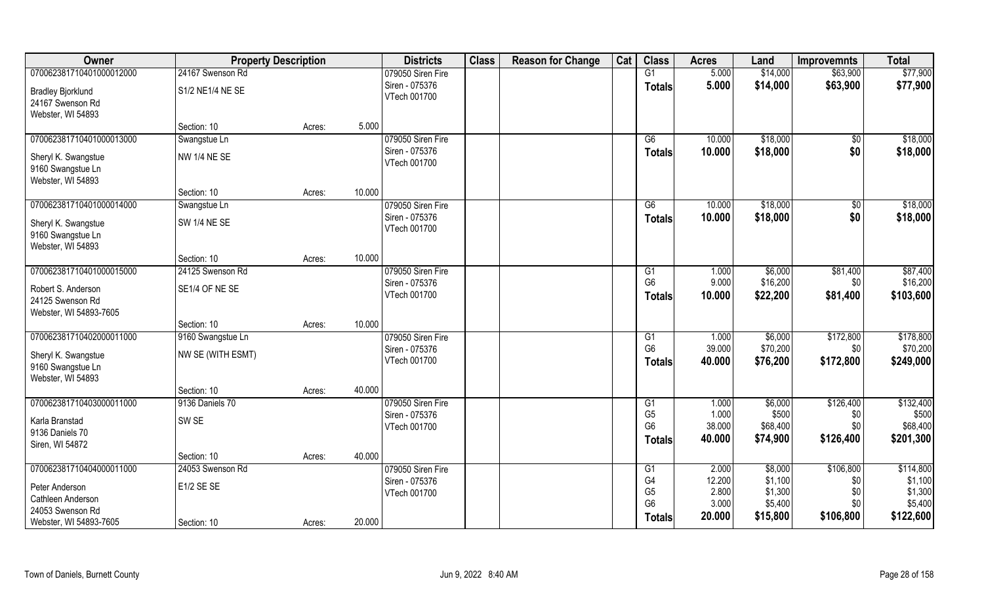| Owner                                                             | <b>Property Description</b> |        |        | <b>Districts</b>               | <b>Class</b> | <b>Reason for Change</b> | Cat | <b>Class</b>                                      | <b>Acres</b>              | Land                          | <b>Improvemnts</b>      | <b>Total</b>                   |
|-------------------------------------------------------------------|-----------------------------|--------|--------|--------------------------------|--------------|--------------------------|-----|---------------------------------------------------|---------------------------|-------------------------------|-------------------------|--------------------------------|
| 070062381710401000012000                                          | 24167 Swenson Rd            |        |        | 079050 Siren Fire              |              |                          |     | $\overline{G1}$                                   | 5.000                     | \$14,000                      | \$63,900                | \$77,900                       |
| <b>Bradley Bjorklund</b><br>24167 Swenson Rd<br>Webster, WI 54893 | S1/2 NE1/4 NE SE            |        |        | Siren - 075376<br>VTech 001700 |              |                          |     | <b>Totals</b>                                     | 5.000                     | \$14,000                      | \$63,900                | \$77,900                       |
|                                                                   | Section: 10                 | Acres: | 5.000  |                                |              |                          |     |                                                   |                           |                               |                         |                                |
| 070062381710401000013000                                          | Swangstue Ln                |        |        | 079050 Siren Fire              |              |                          |     | G <sub>6</sub>                                    | 10.000                    | \$18,000                      | \$0                     | \$18,000                       |
| Sheryl K. Swangstue<br>9160 Swangstue Ln<br>Webster, WI 54893     | NW 1/4 NE SE                |        |        | Siren - 075376<br>VTech 001700 |              |                          |     | <b>Totals</b>                                     | 10.000                    | \$18,000                      | \$0                     | \$18,000                       |
|                                                                   | Section: 10                 | Acres: | 10.000 |                                |              |                          |     |                                                   |                           |                               |                         |                                |
| 070062381710401000014000                                          | Swangstue Ln                |        |        | 079050 Siren Fire              |              |                          |     | G6                                                | 10.000                    | \$18,000                      | \$0                     | \$18,000                       |
| Sheryl K. Swangstue<br>9160 Swangstue Ln<br>Webster, WI 54893     | SW 1/4 NE SE                |        |        | Siren - 075376<br>VTech 001700 |              |                          |     | <b>Totals</b>                                     | 10.000                    | \$18,000                      | \$0                     | \$18,000                       |
|                                                                   | Section: 10                 | Acres: | 10.000 |                                |              |                          |     |                                                   |                           |                               |                         |                                |
| 070062381710401000015000                                          | 24125 Swenson Rd            |        |        | 079050 Siren Fire              |              |                          |     | G <sub>1</sub>                                    | 1.000                     | \$6,000                       | \$81,400                | \$87,400                       |
| Robert S. Anderson<br>24125 Swenson Rd<br>Webster, WI 54893-7605  | SE1/4 OF NE SE              |        |        | Siren - 075376<br>VTech 001700 |              |                          |     | G <sub>6</sub><br><b>Totals</b>                   | 9.000<br>10.000           | \$16,200<br>\$22,200          | \$0<br>\$81,400         | \$16,200<br>\$103,600          |
|                                                                   | Section: 10                 | Acres: | 10.000 |                                |              |                          |     |                                                   |                           |                               |                         |                                |
| 070062381710402000011000                                          | 9160 Swangstue Ln           |        |        | 079050 Siren Fire              |              |                          |     | G1                                                | 1.000                     | \$6,000                       | \$172,800               | \$178,800                      |
| Sheryl K. Swangstue<br>9160 Swangstue Ln<br>Webster, WI 54893     | NW SE (WITH ESMT)           |        |        | Siren - 075376<br>VTech 001700 |              |                          |     | G <sub>6</sub><br><b>Totals</b>                   | 39.000<br>40.000          | \$70,200<br>\$76,200          | \$0<br>\$172,800        | \$70,200<br>\$249,000          |
|                                                                   | Section: 10                 | Acres: | 40.000 |                                |              |                          |     |                                                   |                           |                               |                         |                                |
| 070062381710403000011000                                          | 9136 Daniels 70             |        |        | 079050 Siren Fire              |              |                          |     | G1                                                | 1.000                     | \$6,000                       | \$126,400               | \$132,400                      |
| Karla Branstad<br>9136 Daniels 70<br>Siren, WI 54872              | SW <sub>SE</sub>            |        |        | Siren - 075376<br>VTech 001700 |              |                          |     | G <sub>5</sub><br>G <sub>6</sub><br><b>Totals</b> | 1.000<br>38.000<br>40.000 | \$500<br>\$68,400<br>\$74,900 | \$0<br>\$0<br>\$126,400 | \$500<br>\$68,400<br>\$201,300 |
|                                                                   | Section: 10                 | Acres: | 40.000 |                                |              |                          |     |                                                   |                           |                               |                         |                                |
| 070062381710404000011000                                          | 24053 Swenson Rd            |        |        | 079050 Siren Fire              |              |                          |     | G <sub>1</sub>                                    | 2.000                     | \$8,000                       | \$106,800               | \$114,800                      |
| Peter Anderson<br>Cathleen Anderson                               | E1/2 SE SE                  |        |        | Siren - 075376<br>VTech 001700 |              |                          |     | G4<br>G <sub>5</sub><br>G <sub>6</sub>            | 12.200<br>2.800<br>3.000  | \$1,100<br>\$1,300<br>\$5,400 | \$0<br>\$0<br>\$0       | \$1,100<br>\$1,300<br>\$5,400  |
| 24053 Swenson Rd<br>Webster, WI 54893-7605                        | Section: 10                 | Acres: | 20.000 |                                |              |                          |     | Totals                                            | 20.000                    | \$15,800                      | \$106,800               | \$122,600                      |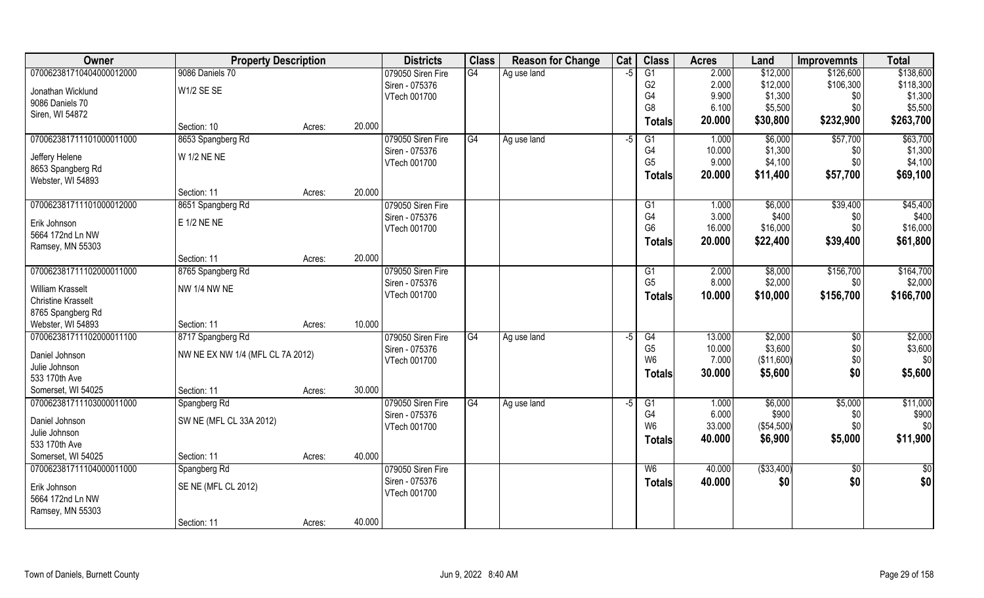| Owner                                                | <b>Property Description</b>      |        |        | <b>Districts</b>  | <b>Class</b> | <b>Reason for Change</b> | Cat  | <b>Class</b>                     | <b>Acres</b>    | Land             | <b>Improvemnts</b> | <b>Total</b> |
|------------------------------------------------------|----------------------------------|--------|--------|-------------------|--------------|--------------------------|------|----------------------------------|-----------------|------------------|--------------------|--------------|
| 070062381710404000012000                             | 9086 Daniels 70                  |        |        | 079050 Siren Fire | G4           | Ag use land              | -5   | $\overline{G1}$                  | 2.000           | \$12,000         | \$126,600          | \$138,600    |
| Jonathan Wicklund                                    | W1/2 SE SE                       |        |        | Siren - 075376    |              |                          |      | G <sub>2</sub>                   | 2.000           | \$12,000         | \$106,300          | \$118,300    |
| 9086 Daniels 70                                      |                                  |        |        | VTech 001700      |              |                          |      | G4                               | 9.900           | \$1,300          | \$0                | \$1,300      |
| Siren, WI 54872                                      |                                  |        |        |                   |              |                          |      | G <sub>8</sub>                   | 6.100           | \$5,500          | \$0                | \$5,500      |
|                                                      | Section: 10                      | Acres: | 20.000 |                   |              |                          |      | <b>Totals</b>                    | 20.000          | \$30,800         | \$232,900          | \$263,700    |
| 070062381711101000011000                             | 8653 Spangberg Rd                |        |        | 079050 Siren Fire | G4           | Ag use land              | $-5$ | G1                               | 1.000           | \$6,000          | \$57,700           | \$63,700     |
| Jeffery Helene                                       | W 1/2 NE NE                      |        |        | Siren - 075376    |              |                          |      | G4                               | 10.000          | \$1,300          | \$0                | \$1,300      |
| 8653 Spangberg Rd                                    |                                  |        |        | VTech 001700      |              |                          |      | G <sub>5</sub>                   | 9.000           | \$4,100          | \$0                | \$4,100      |
| Webster, WI 54893                                    |                                  |        |        |                   |              |                          |      | <b>Totals</b>                    | 20.000          | \$11,400         | \$57,700           | \$69,100     |
|                                                      | Section: 11                      | Acres: | 20.000 |                   |              |                          |      |                                  |                 |                  |                    |              |
| 070062381711101000012000                             | 8651 Spangberg Rd                |        |        | 079050 Siren Fire |              |                          |      | G1                               | 1.000           | \$6,000          | \$39,400           | \$45,400     |
| Erik Johnson                                         | E 1/2 NE NE                      |        |        | Siren - 075376    |              |                          |      | G4                               | 3.000           | \$400            | \$0                | \$400        |
| 5664 172nd Ln NW                                     |                                  |        |        | VTech 001700      |              |                          |      | G <sub>6</sub>                   | 16.000          | \$16,000         | \$0                | \$16,000     |
| Ramsey, MN 55303                                     |                                  |        |        |                   |              |                          |      | Totals                           | 20.000          | \$22,400         | \$39,400           | \$61,800     |
|                                                      | Section: 11                      | Acres: | 20.000 |                   |              |                          |      |                                  |                 |                  |                    |              |
| 070062381711102000011000                             | 8765 Spangberg Rd                |        |        | 079050 Siren Fire |              |                          |      | G1                               | 2.000           | \$8,000          | \$156,700          | \$164,700    |
|                                                      | <b>NW 1/4 NW NE</b>              |        |        | Siren - 075376    |              |                          |      | G <sub>5</sub>                   | 8.000           | \$2,000          | \$0                | \$2,000      |
| <b>William Krasselt</b><br><b>Christine Krasselt</b> |                                  |        |        | VTech 001700      |              |                          |      | <b>Totals</b>                    | 10.000          | \$10,000         | \$156,700          | \$166,700    |
| 8765 Spangberg Rd                                    |                                  |        |        |                   |              |                          |      |                                  |                 |                  |                    |              |
| Webster, WI 54893                                    | Section: 11                      | Acres: | 10.000 |                   |              |                          |      |                                  |                 |                  |                    |              |
| 070062381711102000011100                             | 8717 Spangberg Rd                |        |        | 079050 Siren Fire | G4           | Ag use land              | $-5$ | G4                               | 13.000          | \$2,000          | $\sqrt[6]{30}$     | \$2,000      |
|                                                      |                                  |        |        | Siren - 075376    |              |                          |      | G <sub>5</sub>                   | 10.000          | \$3,600          | \$0                | \$3,600      |
| Daniel Johnson                                       | NW NE EX NW 1/4 (MFL CL 7A 2012) |        |        | VTech 001700      |              |                          |      | W <sub>6</sub>                   | 7.000           | (\$11,600)       | \$0                | \$0          |
| Julie Johnson                                        |                                  |        |        |                   |              |                          |      | <b>Totals</b>                    | 30.000          | \$5,600          | \$0                | \$5,600      |
| 533 170th Ave                                        |                                  |        |        |                   |              |                          |      |                                  |                 |                  |                    |              |
| Somerset, WI 54025                                   | Section: 11                      | Acres: | 30.000 |                   |              |                          |      |                                  |                 |                  |                    |              |
| 070062381711103000011000                             | Spangberg Rd                     |        |        | 079050 Siren Fire | G4           | Ag use land              | -5   | G1                               | 1.000           | \$6,000<br>\$900 | \$5,000            | \$11,000     |
| Daniel Johnson                                       | SW NE (MFL CL 33A 2012)          |        |        | Siren - 075376    |              |                          |      | G <sub>4</sub><br>W <sub>6</sub> | 6.000<br>33.000 | (\$54,500)       | \$0<br>\$0\$       | \$900<br>\$0 |
| Julie Johnson                                        |                                  |        |        | VTech 001700      |              |                          |      |                                  | 40.000          |                  | \$5,000            | \$11,900     |
| 533 170th Ave                                        |                                  |        |        |                   |              |                          |      | <b>Totals</b>                    |                 | \$6,900          |                    |              |
| Somerset, WI 54025                                   | Section: 11                      | Acres: | 40.000 |                   |              |                          |      |                                  |                 |                  |                    |              |
| 070062381711104000011000                             | Spangberg Rd                     |        |        | 079050 Siren Fire |              |                          |      | W <sub>6</sub>                   | 40.000          | ( \$33,400)      | $\sqrt[6]{30}$     | \$0          |
| Erik Johnson                                         | SE NE (MFL CL 2012)              |        |        | Siren - 075376    |              |                          |      | <b>Totals</b>                    | 40.000          | \$0              | \$0                | \$0          |
| 5664 172nd Ln NW                                     |                                  |        |        | VTech 001700      |              |                          |      |                                  |                 |                  |                    |              |
| Ramsey, MN 55303                                     |                                  |        |        |                   |              |                          |      |                                  |                 |                  |                    |              |
|                                                      | Section: 11                      | Acres: | 40.000 |                   |              |                          |      |                                  |                 |                  |                    |              |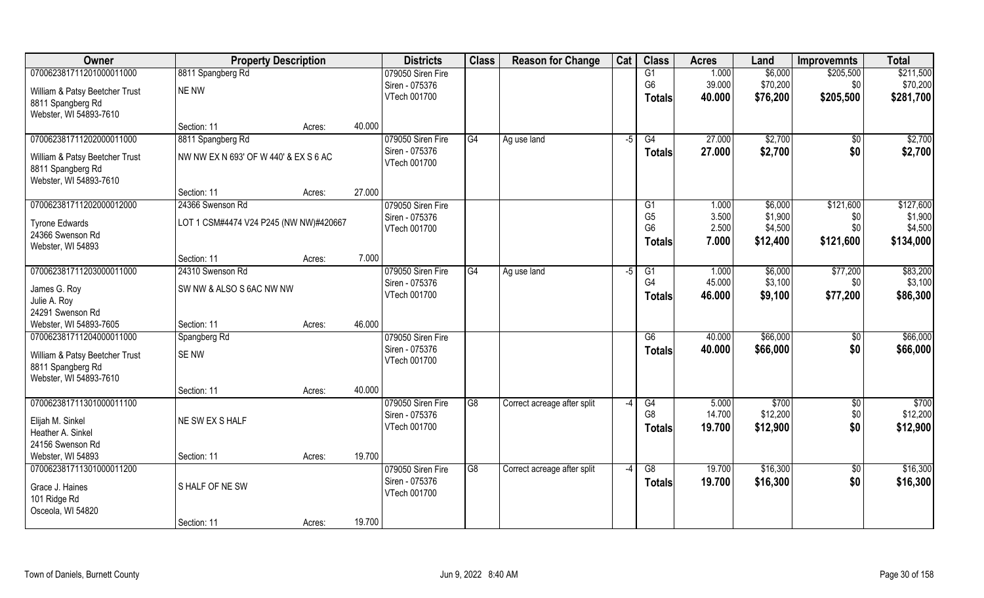| Owner                          | <b>Property Description</b>            |        |        | <b>Districts</b>               | <b>Class</b>   | <b>Reason for Change</b>    | Cat  | <b>Class</b>                     | <b>Acres</b>    | Land               | <b>Improvemnts</b> | <b>Total</b>                  |
|--------------------------------|----------------------------------------|--------|--------|--------------------------------|----------------|-----------------------------|------|----------------------------------|-----------------|--------------------|--------------------|-------------------------------|
| 070062381711201000011000       | 8811 Spangberg Rd                      |        |        | 079050 Siren Fire              |                |                             |      | $\overline{G1}$                  | 1.000           | \$6,000            | \$205,500          | \$211,500                     |
| William & Patsy Beetcher Trust | <b>NE NW</b>                           |        |        | Siren - 075376                 |                |                             |      | G <sub>6</sub>                   | 39.000          | \$70,200           | \$0                | \$70,200                      |
| 8811 Spangberg Rd              |                                        |        |        | VTech 001700                   |                |                             |      | <b>Totals</b>                    | 40.000          | \$76,200           | \$205,500          | \$281,700                     |
| Webster, WI 54893-7610         |                                        |        |        |                                |                |                             |      |                                  |                 |                    |                    |                               |
|                                | Section: 11                            | Acres: | 40.000 |                                |                |                             |      |                                  |                 |                    |                    |                               |
| 070062381711202000011000       | 8811 Spangberg Rd                      |        |        | 079050 Siren Fire              | G4             | Ag use land                 | $-5$ | G4                               | 27.000          | \$2,700            | $\sqrt{$0}$        | \$2,700                       |
| William & Patsy Beetcher Trust | NW NW EX N 693' OF W 440' & EX S 6 AC  |        |        | Siren - 075376                 |                |                             |      | <b>Totals</b>                    | 27.000          | \$2,700            | \$0                | \$2,700                       |
| 8811 Spangberg Rd              |                                        |        |        | VTech 001700                   |                |                             |      |                                  |                 |                    |                    |                               |
| Webster, WI 54893-7610         |                                        |        |        |                                |                |                             |      |                                  |                 |                    |                    |                               |
|                                | Section: 11                            | Acres: | 27.000 |                                |                |                             |      |                                  |                 |                    |                    |                               |
| 070062381711202000012000       | 24366 Swenson Rd                       |        |        | 079050 Siren Fire              |                |                             |      | G1                               | 1.000           | \$6,000            | \$121,600          | \$127,600                     |
| <b>Tyrone Edwards</b>          | LOT 1 CSM#4474 V24 P245 (NW NW)#420667 |        |        | Siren - 075376<br>VTech 001700 |                |                             |      | G <sub>5</sub><br>G <sub>6</sub> | 3.500<br>2.500  | \$1,900<br>\$4,500 | \$0<br>\$0         | \$1,900<br>\$4,500            |
| 24366 Swenson Rd               |                                        |        |        |                                |                |                             |      | <b>Totals</b>                    | 7.000           | \$12,400           | \$121,600          | \$134,000                     |
| Webster, WI 54893              |                                        |        |        |                                |                |                             |      |                                  |                 |                    |                    |                               |
|                                | Section: 11                            | Acres: | 7.000  |                                |                |                             |      |                                  |                 |                    |                    |                               |
| 070062381711203000011000       | 24310 Swenson Rd                       |        |        | 079050 Siren Fire              | G <sub>4</sub> | Ag use land                 | -5   | G1<br>G <sub>4</sub>             | 1.000<br>45.000 | \$6,000            | \$77,200           | \$83,200                      |
| James G. Roy                   | SW NW & ALSO S 6AC NW NW               |        |        | Siren - 075376<br>VTech 001700 |                |                             |      |                                  | 46.000          | \$3,100<br>\$9,100 | \$0<br>\$77,200    | \$3,100<br>\$86,300           |
| Julie A. Roy                   |                                        |        |        |                                |                |                             |      | <b>Totals</b>                    |                 |                    |                    |                               |
| 24291 Swenson Rd               |                                        |        |        |                                |                |                             |      |                                  |                 |                    |                    |                               |
| Webster, WI 54893-7605         | Section: 11                            | Acres: | 46.000 |                                |                |                             |      |                                  |                 |                    |                    |                               |
| 070062381711204000011000       | Spangberg Rd                           |        |        | 079050 Siren Fire              |                |                             |      | $\overline{G6}$                  | 40.000          | \$66,000           | $\overline{50}$    | \$66,000                      |
| William & Patsy Beetcher Trust | <b>SENW</b>                            |        |        | Siren - 075376<br>VTech 001700 |                |                             |      | <b>Totals</b>                    | 40.000          | \$66,000           | \$0                | \$66,000                      |
| 8811 Spangberg Rd              |                                        |        |        |                                |                |                             |      |                                  |                 |                    |                    |                               |
| Webster, WI 54893-7610         |                                        |        |        |                                |                |                             |      |                                  |                 |                    |                    |                               |
|                                | Section: 11                            | Acres: | 40.000 |                                |                |                             |      |                                  |                 |                    |                    |                               |
| 070062381711301000011100       |                                        |        |        | 079050 Siren Fire              | G <sub>8</sub> | Correct acreage after split | $-4$ | G4<br>G <sub>8</sub>             | 5.000<br>14.700 | \$700              | $\sqrt{$0}$        | $\overline{$700}$<br>\$12,200 |
| Elijah M. Sinkel               | NE SW EX S HALF                        |        |        | Siren - 075376<br>VTech 001700 |                |                             |      |                                  | 19.700          | \$12,200           | \$0<br>\$0         |                               |
| Heather A. Sinkel              |                                        |        |        |                                |                |                             |      | <b>Totals</b>                    |                 | \$12,900           |                    | \$12,900                      |
| 24156 Swenson Rd               |                                        |        |        |                                |                |                             |      |                                  |                 |                    |                    |                               |
| Webster, WI 54893              | Section: 11                            | Acres: | 19.700 |                                |                |                             |      |                                  |                 |                    |                    |                               |
| 070062381711301000011200       |                                        |        |        | 079050 Siren Fire              | G <sub>8</sub> | Correct acreage after split | $-4$ | G8                               | 19.700          | \$16,300           | $\sqrt{$0}$        | \$16,300                      |
| Grace J. Haines                | S HALF OF NE SW                        |        |        | Siren - 075376<br>VTech 001700 |                |                             |      | <b>Totals</b>                    | 19.700          | \$16,300           | \$0                | \$16,300                      |
| 101 Ridge Rd                   |                                        |        |        |                                |                |                             |      |                                  |                 |                    |                    |                               |
| Osceola, WI 54820              |                                        |        |        |                                |                |                             |      |                                  |                 |                    |                    |                               |
|                                | Section: 11                            | Acres: | 19.700 |                                |                |                             |      |                                  |                 |                    |                    |                               |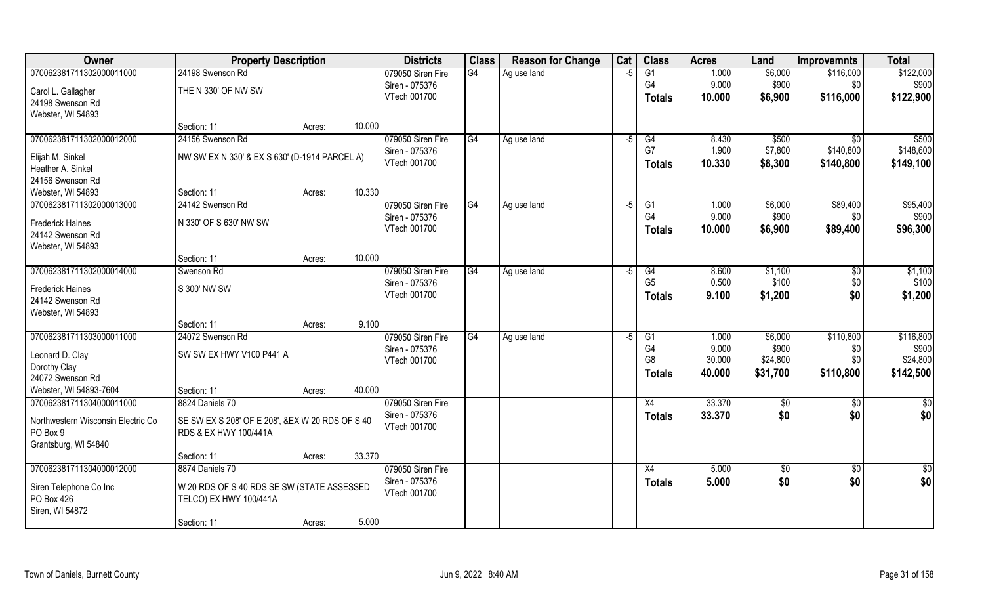| Owner                                          | <b>Property Description</b>                                              |        |        | <b>Districts</b>  | <b>Class</b>    | <b>Reason for Change</b> | Cat  | <b>Class</b>    | <b>Acres</b> | Land     | <b>Improvemnts</b> | <b>Total</b> |
|------------------------------------------------|--------------------------------------------------------------------------|--------|--------|-------------------|-----------------|--------------------------|------|-----------------|--------------|----------|--------------------|--------------|
| 070062381711302000011000                       | 24198 Swenson Rd                                                         |        |        | 079050 Siren Fire | $\overline{G4}$ | Ag use land              | -5   | $\overline{G1}$ | 1.000        | \$6,000  | \$116,000          | \$122,000    |
| Carol L. Gallagher                             | THE N 330' OF NW SW                                                      |        |        | Siren - 075376    |                 |                          |      | G4              | 9.000        | \$900    | \$0                | \$900        |
| 24198 Swenson Rd                               |                                                                          |        |        | VTech 001700      |                 |                          |      | <b>Totals</b>   | 10.000       | \$6,900  | \$116,000          | \$122,900    |
| Webster, WI 54893                              |                                                                          |        |        |                   |                 |                          |      |                 |              |          |                    |              |
|                                                | Section: 11                                                              | Acres: | 10.000 |                   |                 |                          |      |                 |              |          |                    |              |
| 070062381711302000012000                       | 24156 Swenson Rd                                                         |        |        | 079050 Siren Fire | G4              | Ag use land              | $-5$ | G4              | 8.430        | \$500    | $\overline{50}$    | \$500        |
| Elijah M. Sinkel                               | NW SW EX N 330' & EX S 630' (D-1914 PARCEL A)                            |        |        | Siren - 075376    |                 |                          |      | G7              | 1.900        | \$7,800  | \$140,800          | \$148,600    |
| Heather A. Sinkel                              |                                                                          |        |        | VTech 001700      |                 |                          |      | <b>Totals</b>   | 10.330       | \$8,300  | \$140,800          | \$149,100    |
| 24156 Swenson Rd                               |                                                                          |        |        |                   |                 |                          |      |                 |              |          |                    |              |
| Webster, WI 54893                              | Section: 11                                                              | Acres: | 10.330 |                   |                 |                          |      |                 |              |          |                    |              |
| 070062381711302000013000                       | 24142 Swenson Rd                                                         |        |        | 079050 Siren Fire | G4              | Ag use land              | -5   | G1              | 1.000        | \$6,000  | \$89,400           | \$95,400     |
| <b>Frederick Haines</b>                        | N 330' OF S 630' NW SW                                                   |        |        | Siren - 075376    |                 |                          |      | G <sub>4</sub>  | 9.000        | \$900    | \$0                | \$900        |
| 24142 Swenson Rd                               |                                                                          |        |        | VTech 001700      |                 |                          |      | <b>Totals</b>   | 10.000       | \$6,900  | \$89,400           | \$96,300     |
| Webster, WI 54893                              |                                                                          |        |        |                   |                 |                          |      |                 |              |          |                    |              |
|                                                | Section: 11                                                              | Acres: | 10.000 |                   |                 |                          |      |                 |              |          |                    |              |
| 070062381711302000014000                       | Swenson Rd                                                               |        |        | 079050 Siren Fire | G4              | Ag use land              | -5   | G4              | 8.600        | \$1,100  | $\sqrt[6]{3}$      | \$1,100      |
| <b>Frederick Haines</b>                        | S 300' NW SW                                                             |        |        | Siren - 075376    |                 |                          |      | G <sub>5</sub>  | 0.500        | \$100    | \$0                | \$100        |
| 24142 Swenson Rd                               |                                                                          |        |        | VTech 001700      |                 |                          |      | <b>Totals</b>   | 9.100        | \$1,200  | \$0                | \$1,200      |
| Webster, WI 54893                              |                                                                          |        |        |                   |                 |                          |      |                 |              |          |                    |              |
|                                                | Section: 11                                                              | Acres: | 9.100  |                   |                 |                          |      |                 |              |          |                    |              |
| 070062381711303000011000                       | 24072 Swenson Rd                                                         |        |        | 079050 Siren Fire | G4              | Ag use land              | $-5$ | G1              | 1.000        | \$6,000  | \$110,800          | \$116,800    |
|                                                | SW SW EX HWY V100 P441 A                                                 |        |        | Siren - 075376    |                 |                          |      | G4              | 9.000        | \$900    | \$0                | \$900        |
| Leonard D. Clay<br>Dorothy Clay                |                                                                          |        |        | VTech 001700      |                 |                          |      | G <sub>8</sub>  | 30.000       | \$24,800 | \$0                | \$24,800     |
| 24072 Swenson Rd                               |                                                                          |        |        |                   |                 |                          |      | <b>Totals</b>   | 40.000       | \$31,700 | \$110,800          | \$142,500    |
| Webster, WI 54893-7604                         | Section: 11                                                              | Acres: | 40.000 |                   |                 |                          |      |                 |              |          |                    |              |
| 070062381711304000011000                       | 8824 Daniels 70                                                          |        |        | 079050 Siren Fire |                 |                          |      | X4              | 33.370       | \$0      | $\overline{30}$    | \$0          |
|                                                |                                                                          |        |        | Siren - 075376    |                 |                          |      | <b>Totals</b>   | 33.370       | \$0      | \$0                | \$0          |
| Northwestern Wisconsin Electric Co<br>PO Box 9 | SE SW EX S 208' OF E 208', &EX W 20 RDS OF S 40<br>RDS & EX HWY 100/441A |        |        | VTech 001700      |                 |                          |      |                 |              |          |                    |              |
| Grantsburg, WI 54840                           |                                                                          |        |        |                   |                 |                          |      |                 |              |          |                    |              |
|                                                | Section: 11                                                              | Acres: | 33.370 |                   |                 |                          |      |                 |              |          |                    |              |
| 070062381711304000012000                       | 8874 Daniels 70                                                          |        |        | 079050 Siren Fire |                 |                          |      | X4              | 5.000        | \$0      | $\overline{50}$    | \$0          |
|                                                |                                                                          |        |        | Siren - 075376    |                 |                          |      | <b>Totals</b>   | 5.000        | \$0      | \$0                | \$0          |
| Siren Telephone Co Inc<br>PO Box 426           | W 20 RDS OF S 40 RDS SE SW (STATE ASSESSED<br>TELCO) EX HWY 100/441A     |        |        | VTech 001700      |                 |                          |      |                 |              |          |                    |              |
| Siren, WI 54872                                |                                                                          |        |        |                   |                 |                          |      |                 |              |          |                    |              |
|                                                | Section: 11                                                              | Acres: | 5.000  |                   |                 |                          |      |                 |              |          |                    |              |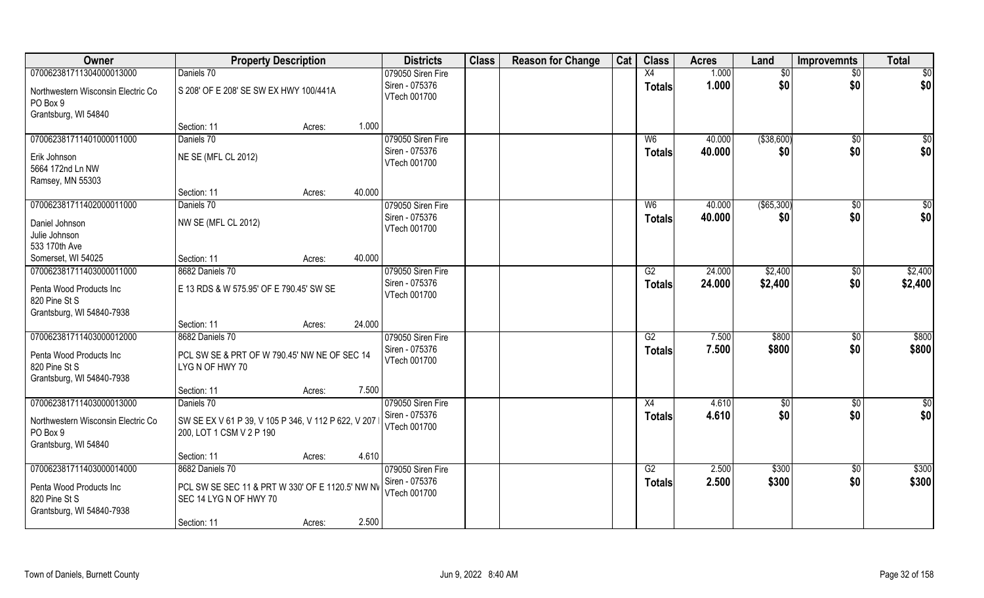| 070062381711304000013000<br>Daniels 70<br>079050 Siren Fire<br>1.000<br>X4<br>$\overline{50}$<br>$\overline{50}$<br>\$0<br>1.000<br>\$0<br>\$0<br>Siren - 075376<br>\$0<br><b>Totals</b><br>S 208' OF E 208' SE SW EX HWY 100/441A<br>Northwestern Wisconsin Electric Co<br>VTech 001700<br>PO Box 9<br>Grantsburg, WI 54840<br>1.000<br>Section: 11<br>Acres:<br>Daniels 70<br>079050 Siren Fire<br>( \$38,600)<br>070062381711401000011000<br>40.000<br>$\sqrt{50}$<br>W <sub>6</sub><br>\$0<br>\$0<br>\$0<br>Siren - 075376<br>40.000<br>\$0<br><b>Totals</b><br>NE SE (MFL CL 2012)<br>Erik Johnson<br>VTech 001700<br>5664 172nd Ln NW<br>Ramsey, MN 55303<br>40.000<br>Section: 11<br>Acres:<br>$($ \$65,300)<br>070062381711402000011000<br>079050 Siren Fire<br>W <sub>6</sub><br>40.000<br>\$0<br>\$0<br>Daniels 70<br>\$0<br>\$0<br>Siren - 075376<br>40.000<br>\$0<br><b>Totals</b><br>Daniel Johnson<br>NW SE (MFL CL 2012)<br>VTech 001700<br>Julie Johnson<br>533 170th Ave<br>40.000<br>Somerset, WI 54025<br>Section: 11<br>Acres:<br>079050 Siren Fire<br>\$2,400<br>\$2,400<br>070062381711403000011000<br>8682 Daniels 70<br>24.000<br>G2<br>\$0<br>Siren - 075376<br>24.000<br>\$0<br>\$2,400<br>\$2,400<br><b>Totals</b><br>E 13 RDS & W 575.95' OF E 790.45' SW SE<br>Penta Wood Products Inc<br>VTech 001700 | Owner         | <b>Property Description</b> | <b>Districts</b> | <b>Class</b> | <b>Reason for Change</b> | Cat | <b>Class</b> | <b>Acres</b> | Land | <b>Improvemnts</b> | <b>Total</b> |
|-------------------------------------------------------------------------------------------------------------------------------------------------------------------------------------------------------------------------------------------------------------------------------------------------------------------------------------------------------------------------------------------------------------------------------------------------------------------------------------------------------------------------------------------------------------------------------------------------------------------------------------------------------------------------------------------------------------------------------------------------------------------------------------------------------------------------------------------------------------------------------------------------------------------------------------------------------------------------------------------------------------------------------------------------------------------------------------------------------------------------------------------------------------------------------------------------------------------------------------------------------------------------------------------------------------------------------------|---------------|-----------------------------|------------------|--------------|--------------------------|-----|--------------|--------------|------|--------------------|--------------|
|                                                                                                                                                                                                                                                                                                                                                                                                                                                                                                                                                                                                                                                                                                                                                                                                                                                                                                                                                                                                                                                                                                                                                                                                                                                                                                                                     |               |                             |                  |              |                          |     |              |              |      |                    |              |
|                                                                                                                                                                                                                                                                                                                                                                                                                                                                                                                                                                                                                                                                                                                                                                                                                                                                                                                                                                                                                                                                                                                                                                                                                                                                                                                                     |               |                             |                  |              |                          |     |              |              |      |                    |              |
|                                                                                                                                                                                                                                                                                                                                                                                                                                                                                                                                                                                                                                                                                                                                                                                                                                                                                                                                                                                                                                                                                                                                                                                                                                                                                                                                     |               |                             |                  |              |                          |     |              |              |      |                    |              |
|                                                                                                                                                                                                                                                                                                                                                                                                                                                                                                                                                                                                                                                                                                                                                                                                                                                                                                                                                                                                                                                                                                                                                                                                                                                                                                                                     |               |                             |                  |              |                          |     |              |              |      |                    |              |
|                                                                                                                                                                                                                                                                                                                                                                                                                                                                                                                                                                                                                                                                                                                                                                                                                                                                                                                                                                                                                                                                                                                                                                                                                                                                                                                                     |               |                             |                  |              |                          |     |              |              |      |                    |              |
|                                                                                                                                                                                                                                                                                                                                                                                                                                                                                                                                                                                                                                                                                                                                                                                                                                                                                                                                                                                                                                                                                                                                                                                                                                                                                                                                     |               |                             |                  |              |                          |     |              |              |      |                    |              |
|                                                                                                                                                                                                                                                                                                                                                                                                                                                                                                                                                                                                                                                                                                                                                                                                                                                                                                                                                                                                                                                                                                                                                                                                                                                                                                                                     |               |                             |                  |              |                          |     |              |              |      |                    |              |
|                                                                                                                                                                                                                                                                                                                                                                                                                                                                                                                                                                                                                                                                                                                                                                                                                                                                                                                                                                                                                                                                                                                                                                                                                                                                                                                                     |               |                             |                  |              |                          |     |              |              |      |                    |              |
|                                                                                                                                                                                                                                                                                                                                                                                                                                                                                                                                                                                                                                                                                                                                                                                                                                                                                                                                                                                                                                                                                                                                                                                                                                                                                                                                     |               |                             |                  |              |                          |     |              |              |      |                    |              |
|                                                                                                                                                                                                                                                                                                                                                                                                                                                                                                                                                                                                                                                                                                                                                                                                                                                                                                                                                                                                                                                                                                                                                                                                                                                                                                                                     |               |                             |                  |              |                          |     |              |              |      |                    |              |
|                                                                                                                                                                                                                                                                                                                                                                                                                                                                                                                                                                                                                                                                                                                                                                                                                                                                                                                                                                                                                                                                                                                                                                                                                                                                                                                                     |               |                             |                  |              |                          |     |              |              |      |                    |              |
|                                                                                                                                                                                                                                                                                                                                                                                                                                                                                                                                                                                                                                                                                                                                                                                                                                                                                                                                                                                                                                                                                                                                                                                                                                                                                                                                     |               |                             |                  |              |                          |     |              |              |      |                    |              |
|                                                                                                                                                                                                                                                                                                                                                                                                                                                                                                                                                                                                                                                                                                                                                                                                                                                                                                                                                                                                                                                                                                                                                                                                                                                                                                                                     |               |                             |                  |              |                          |     |              |              |      |                    |              |
|                                                                                                                                                                                                                                                                                                                                                                                                                                                                                                                                                                                                                                                                                                                                                                                                                                                                                                                                                                                                                                                                                                                                                                                                                                                                                                                                     |               |                             |                  |              |                          |     |              |              |      |                    |              |
|                                                                                                                                                                                                                                                                                                                                                                                                                                                                                                                                                                                                                                                                                                                                                                                                                                                                                                                                                                                                                                                                                                                                                                                                                                                                                                                                     |               |                             |                  |              |                          |     |              |              |      |                    |              |
|                                                                                                                                                                                                                                                                                                                                                                                                                                                                                                                                                                                                                                                                                                                                                                                                                                                                                                                                                                                                                                                                                                                                                                                                                                                                                                                                     |               |                             |                  |              |                          |     |              |              |      |                    |              |
|                                                                                                                                                                                                                                                                                                                                                                                                                                                                                                                                                                                                                                                                                                                                                                                                                                                                                                                                                                                                                                                                                                                                                                                                                                                                                                                                     | 820 Pine St S |                             |                  |              |                          |     |              |              |      |                    |              |
| Grantsburg, WI 54840-7938                                                                                                                                                                                                                                                                                                                                                                                                                                                                                                                                                                                                                                                                                                                                                                                                                                                                                                                                                                                                                                                                                                                                                                                                                                                                                                           |               |                             |                  |              |                          |     |              |              |      |                    |              |
| 24.000<br>Section: 11<br>Acres:                                                                                                                                                                                                                                                                                                                                                                                                                                                                                                                                                                                                                                                                                                                                                                                                                                                                                                                                                                                                                                                                                                                                                                                                                                                                                                     |               |                             |                  |              |                          |     |              |              |      |                    |              |
| \$800<br>\$800<br>070062381711403000012000<br>8682 Daniels 70<br>$\overline{G2}$<br>7.500<br>\$0<br>079050 Siren Fire                                                                                                                                                                                                                                                                                                                                                                                                                                                                                                                                                                                                                                                                                                                                                                                                                                                                                                                                                                                                                                                                                                                                                                                                               |               |                             |                  |              |                          |     |              |              |      |                    |              |
| \$800<br>Siren - 075376<br>7.500<br>\$800<br>\$0<br><b>Totals</b><br>Penta Wood Products Inc<br>PCL SW SE & PRT OF W 790.45' NW NE OF SEC 14                                                                                                                                                                                                                                                                                                                                                                                                                                                                                                                                                                                                                                                                                                                                                                                                                                                                                                                                                                                                                                                                                                                                                                                        |               |                             |                  |              |                          |     |              |              |      |                    |              |
| VTech 001700<br>820 Pine St S<br>LYGN OF HWY 70                                                                                                                                                                                                                                                                                                                                                                                                                                                                                                                                                                                                                                                                                                                                                                                                                                                                                                                                                                                                                                                                                                                                                                                                                                                                                     |               |                             |                  |              |                          |     |              |              |      |                    |              |
| Grantsburg, WI 54840-7938                                                                                                                                                                                                                                                                                                                                                                                                                                                                                                                                                                                                                                                                                                                                                                                                                                                                                                                                                                                                                                                                                                                                                                                                                                                                                                           |               |                             |                  |              |                          |     |              |              |      |                    |              |
| 7.500<br>Section: 11<br>Acres:                                                                                                                                                                                                                                                                                                                                                                                                                                                                                                                                                                                                                                                                                                                                                                                                                                                                                                                                                                                                                                                                                                                                                                                                                                                                                                      |               |                             |                  |              |                          |     |              |              |      |                    |              |
| \$0<br>070062381711403000013000<br>079050 Siren Fire<br>X4<br>4.610<br>Daniels 70<br>\$0<br>\$0                                                                                                                                                                                                                                                                                                                                                                                                                                                                                                                                                                                                                                                                                                                                                                                                                                                                                                                                                                                                                                                                                                                                                                                                                                     |               |                             |                  |              |                          |     |              |              |      |                    |              |
| \$0<br>\$0<br>\$0<br>Siren - 075376<br>4.610<br><b>Totals</b>                                                                                                                                                                                                                                                                                                                                                                                                                                                                                                                                                                                                                                                                                                                                                                                                                                                                                                                                                                                                                                                                                                                                                                                                                                                                       |               |                             |                  |              |                          |     |              |              |      |                    |              |
| Northwestern Wisconsin Electric Co<br>SW SE EX V 61 P 39, V 105 P 346, V 112 P 622, V 207<br>VTech 001700<br>PO Box 9<br>200, LOT 1 CSM V 2 P 190                                                                                                                                                                                                                                                                                                                                                                                                                                                                                                                                                                                                                                                                                                                                                                                                                                                                                                                                                                                                                                                                                                                                                                                   |               |                             |                  |              |                          |     |              |              |      |                    |              |
| Grantsburg, WI 54840                                                                                                                                                                                                                                                                                                                                                                                                                                                                                                                                                                                                                                                                                                                                                                                                                                                                                                                                                                                                                                                                                                                                                                                                                                                                                                                |               |                             |                  |              |                          |     |              |              |      |                    |              |
| 4.610<br>Section: 11<br>Acres:                                                                                                                                                                                                                                                                                                                                                                                                                                                                                                                                                                                                                                                                                                                                                                                                                                                                                                                                                                                                                                                                                                                                                                                                                                                                                                      |               |                             |                  |              |                          |     |              |              |      |                    |              |
| 070062381711403000014000<br>079050 Siren Fire<br>\$300<br>\$300<br>8682 Daniels 70<br>G2<br>2.500<br>$\overline{30}$                                                                                                                                                                                                                                                                                                                                                                                                                                                                                                                                                                                                                                                                                                                                                                                                                                                                                                                                                                                                                                                                                                                                                                                                                |               |                             |                  |              |                          |     |              |              |      |                    |              |
| \$0<br>Siren - 075376<br>2.500<br>\$300<br>\$300<br><b>Totals</b>                                                                                                                                                                                                                                                                                                                                                                                                                                                                                                                                                                                                                                                                                                                                                                                                                                                                                                                                                                                                                                                                                                                                                                                                                                                                   |               |                             |                  |              |                          |     |              |              |      |                    |              |
| PCL SW SE SEC 11 & PRT W 330' OF E 1120.5' NW NV<br>Penta Wood Products Inc<br>VTech 001700<br>820 Pine St S                                                                                                                                                                                                                                                                                                                                                                                                                                                                                                                                                                                                                                                                                                                                                                                                                                                                                                                                                                                                                                                                                                                                                                                                                        |               |                             |                  |              |                          |     |              |              |      |                    |              |
| SEC 14 LYG N OF HWY 70<br>Grantsburg, WI 54840-7938                                                                                                                                                                                                                                                                                                                                                                                                                                                                                                                                                                                                                                                                                                                                                                                                                                                                                                                                                                                                                                                                                                                                                                                                                                                                                 |               |                             |                  |              |                          |     |              |              |      |                    |              |
| 2.500<br>Section: 11<br>Acres:                                                                                                                                                                                                                                                                                                                                                                                                                                                                                                                                                                                                                                                                                                                                                                                                                                                                                                                                                                                                                                                                                                                                                                                                                                                                                                      |               |                             |                  |              |                          |     |              |              |      |                    |              |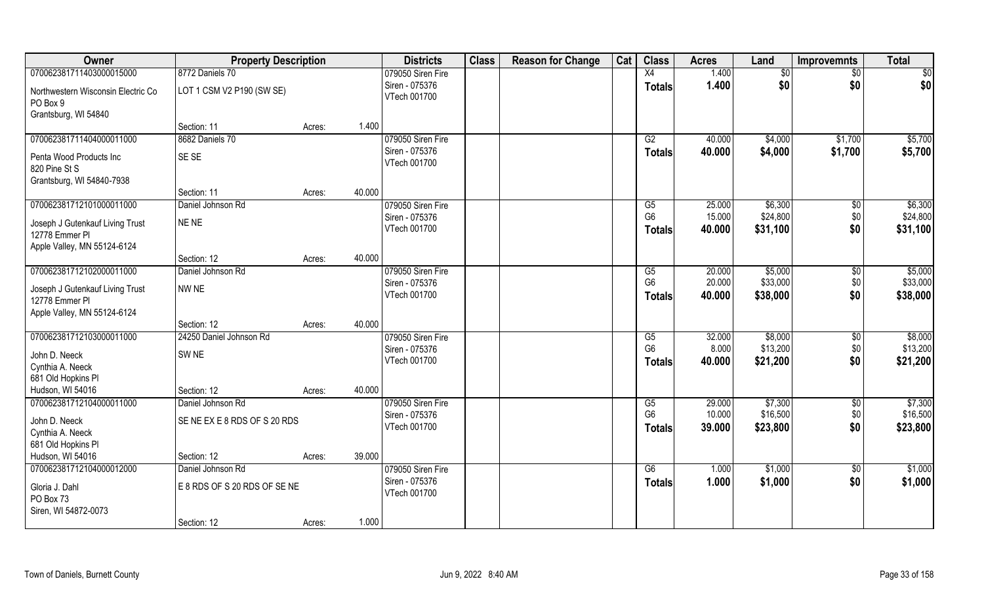| 070062381711403000015000<br>8772 Daniels 70<br>1.400<br>079050 Siren Fire<br>X4<br>\$0<br>\$0<br>\$0<br>\$0<br>\$0<br>Siren - 075376<br>1.400<br>\$0<br><b>Totals</b><br>LOT 1 CSM V2 P190 (SW SE)<br>Northwestern Wisconsin Electric Co<br>VTech 001700<br>PO Box 9<br>Grantsburg, WI 54840<br>1.400<br>Section: 11<br>Acres:<br>070062381711404000011000<br>8682 Daniels 70<br>079050 Siren Fire<br>\$4,000<br>\$1,700<br>G2<br>40.000<br>\$4,000<br>Siren - 075376<br>40.000<br>\$1,700<br><b>Totals</b><br>SE SE<br>Penta Wood Products Inc<br>VTech 001700<br>820 Pine St S<br>Grantsburg, WI 54840-7938<br>40.000<br>Section: 11<br>Acres:<br>070062381712101000011000<br>\$6,300<br>Daniel Johnson Rd<br>079050 Siren Fire<br>G5<br>25.000<br>\$0<br>G <sub>6</sub><br>\$24,800<br>\$0<br>15.000<br>Siren - 075376<br>NE NE<br>Joseph J Gutenkauf Living Trust<br>\$0<br>VTech 001700<br>40.000<br>\$31,100<br><b>Totals</b><br>12778 Emmer PI<br>Apple Valley, MN 55124-6124<br>40.000<br>Section: 12<br>Acres:<br>070062381712102000011000<br>079050 Siren Fire<br>\$5,000<br>Daniel Johnson Rd<br>20.000<br>$\sqrt[6]{3}$<br>G5<br>G <sub>6</sub><br>20.000<br>\$33,000<br>\$0<br>Siren - 075376<br>NW NE<br>Joseph J Gutenkauf Living Trust<br>\$0<br>VTech 001700<br>40.000<br>\$38,000<br><b>Totals</b><br>12778 Emmer PI<br>Apple Valley, MN 55124-6124<br>40.000<br>Section: 12<br>Acres:<br>070062381712103000011000<br>24250 Daniel Johnson Rd<br>32.000<br>\$8,000<br>079050 Siren Fire<br>G5<br>\$0<br>\$13,200<br>\$0<br>G <sub>6</sub><br>8.000<br>Siren - 075376<br>SW NE<br>John D. Neeck<br>\$0<br>VTech 001700<br>40.000<br>\$21,200<br><b>Totals</b><br>Cynthia A. Neeck<br>681 Old Hopkins PI<br>40.000<br>Hudson, WI 54016<br>Section: 12<br>Acres:<br>\$7,300<br>070062381712104000011000<br>Daniel Johnson Rd<br>079050 Siren Fire<br>29.000<br>G5<br>\$0<br>10.000<br>\$16,500<br>\$0<br>G <sub>6</sub><br>Siren - 075376<br>John D. Neeck<br>SE NE EX E 8 RDS OF S 20 RDS<br>\$0<br>VTech 001700<br>39.000<br>\$23,800<br><b>Totals</b><br>Cynthia A. Neeck<br>681 Old Hopkins PI<br>Hudson, WI 54016<br>39.000<br>Section: 12<br>Acres:<br>070062381712104000012000<br>Daniel Johnson Rd<br>079050 Siren Fire<br>G6<br>\$1,000<br>$\overline{60}$<br>1.000<br>\$0<br>Siren - 075376<br>1.000<br>\$1,000<br><b>Totals</b><br>E 8 RDS OF S 20 RDS OF SE NE<br>Gloria J. Dahl<br>VTech 001700<br>PO Box 73<br>Siren, WI 54872-0073 | Owner | <b>Property Description</b> |        |       | <b>Districts</b> | <b>Class</b> | <b>Reason for Change</b> | Cat | <b>Class</b> | <b>Acres</b> | Land | <b>Improvemnts</b> | <b>Total</b> |
|------------------------------------------------------------------------------------------------------------------------------------------------------------------------------------------------------------------------------------------------------------------------------------------------------------------------------------------------------------------------------------------------------------------------------------------------------------------------------------------------------------------------------------------------------------------------------------------------------------------------------------------------------------------------------------------------------------------------------------------------------------------------------------------------------------------------------------------------------------------------------------------------------------------------------------------------------------------------------------------------------------------------------------------------------------------------------------------------------------------------------------------------------------------------------------------------------------------------------------------------------------------------------------------------------------------------------------------------------------------------------------------------------------------------------------------------------------------------------------------------------------------------------------------------------------------------------------------------------------------------------------------------------------------------------------------------------------------------------------------------------------------------------------------------------------------------------------------------------------------------------------------------------------------------------------------------------------------------------------------------------------------------------------------------------------------------------------------------------------------------------------------------------------------------------------------------------------------------------------------------------------------------------------------------------------------------------------------------------------------------------------------------------------------------------------------------------------------|-------|-----------------------------|--------|-------|------------------|--------------|--------------------------|-----|--------------|--------------|------|--------------------|--------------|
|                                                                                                                                                                                                                                                                                                                                                                                                                                                                                                                                                                                                                                                                                                                                                                                                                                                                                                                                                                                                                                                                                                                                                                                                                                                                                                                                                                                                                                                                                                                                                                                                                                                                                                                                                                                                                                                                                                                                                                                                                                                                                                                                                                                                                                                                                                                                                                                                                                                                  |       |                             |        |       |                  |              |                          |     |              |              |      |                    |              |
|                                                                                                                                                                                                                                                                                                                                                                                                                                                                                                                                                                                                                                                                                                                                                                                                                                                                                                                                                                                                                                                                                                                                                                                                                                                                                                                                                                                                                                                                                                                                                                                                                                                                                                                                                                                                                                                                                                                                                                                                                                                                                                                                                                                                                                                                                                                                                                                                                                                                  |       |                             |        |       |                  |              |                          |     |              |              |      |                    |              |
| \$5,700<br>\$5,700<br>\$6,300<br>\$24,800<br>\$31,100<br>\$5,000<br>\$33,000<br>\$38,000<br>\$8,000<br>\$13,200<br>\$21,200<br>\$7,300<br>\$16,500<br>\$23,800<br>\$1,000<br>\$1,000                                                                                                                                                                                                                                                                                                                                                                                                                                                                                                                                                                                                                                                                                                                                                                                                                                                                                                                                                                                                                                                                                                                                                                                                                                                                                                                                                                                                                                                                                                                                                                                                                                                                                                                                                                                                                                                                                                                                                                                                                                                                                                                                                                                                                                                                             |       |                             |        |       |                  |              |                          |     |              |              |      |                    |              |
|                                                                                                                                                                                                                                                                                                                                                                                                                                                                                                                                                                                                                                                                                                                                                                                                                                                                                                                                                                                                                                                                                                                                                                                                                                                                                                                                                                                                                                                                                                                                                                                                                                                                                                                                                                                                                                                                                                                                                                                                                                                                                                                                                                                                                                                                                                                                                                                                                                                                  |       |                             |        |       |                  |              |                          |     |              |              |      |                    |              |
|                                                                                                                                                                                                                                                                                                                                                                                                                                                                                                                                                                                                                                                                                                                                                                                                                                                                                                                                                                                                                                                                                                                                                                                                                                                                                                                                                                                                                                                                                                                                                                                                                                                                                                                                                                                                                                                                                                                                                                                                                                                                                                                                                                                                                                                                                                                                                                                                                                                                  |       |                             |        |       |                  |              |                          |     |              |              |      |                    |              |
|                                                                                                                                                                                                                                                                                                                                                                                                                                                                                                                                                                                                                                                                                                                                                                                                                                                                                                                                                                                                                                                                                                                                                                                                                                                                                                                                                                                                                                                                                                                                                                                                                                                                                                                                                                                                                                                                                                                                                                                                                                                                                                                                                                                                                                                                                                                                                                                                                                                                  |       |                             |        |       |                  |              |                          |     |              |              |      |                    |              |
|                                                                                                                                                                                                                                                                                                                                                                                                                                                                                                                                                                                                                                                                                                                                                                                                                                                                                                                                                                                                                                                                                                                                                                                                                                                                                                                                                                                                                                                                                                                                                                                                                                                                                                                                                                                                                                                                                                                                                                                                                                                                                                                                                                                                                                                                                                                                                                                                                                                                  |       |                             |        |       |                  |              |                          |     |              |              |      |                    |              |
|                                                                                                                                                                                                                                                                                                                                                                                                                                                                                                                                                                                                                                                                                                                                                                                                                                                                                                                                                                                                                                                                                                                                                                                                                                                                                                                                                                                                                                                                                                                                                                                                                                                                                                                                                                                                                                                                                                                                                                                                                                                                                                                                                                                                                                                                                                                                                                                                                                                                  |       |                             |        |       |                  |              |                          |     |              |              |      |                    |              |
|                                                                                                                                                                                                                                                                                                                                                                                                                                                                                                                                                                                                                                                                                                                                                                                                                                                                                                                                                                                                                                                                                                                                                                                                                                                                                                                                                                                                                                                                                                                                                                                                                                                                                                                                                                                                                                                                                                                                                                                                                                                                                                                                                                                                                                                                                                                                                                                                                                                                  |       |                             |        |       |                  |              |                          |     |              |              |      |                    |              |
|                                                                                                                                                                                                                                                                                                                                                                                                                                                                                                                                                                                                                                                                                                                                                                                                                                                                                                                                                                                                                                                                                                                                                                                                                                                                                                                                                                                                                                                                                                                                                                                                                                                                                                                                                                                                                                                                                                                                                                                                                                                                                                                                                                                                                                                                                                                                                                                                                                                                  |       |                             |        |       |                  |              |                          |     |              |              |      |                    |              |
|                                                                                                                                                                                                                                                                                                                                                                                                                                                                                                                                                                                                                                                                                                                                                                                                                                                                                                                                                                                                                                                                                                                                                                                                                                                                                                                                                                                                                                                                                                                                                                                                                                                                                                                                                                                                                                                                                                                                                                                                                                                                                                                                                                                                                                                                                                                                                                                                                                                                  |       |                             |        |       |                  |              |                          |     |              |              |      |                    |              |
|                                                                                                                                                                                                                                                                                                                                                                                                                                                                                                                                                                                                                                                                                                                                                                                                                                                                                                                                                                                                                                                                                                                                                                                                                                                                                                                                                                                                                                                                                                                                                                                                                                                                                                                                                                                                                                                                                                                                                                                                                                                                                                                                                                                                                                                                                                                                                                                                                                                                  |       |                             |        |       |                  |              |                          |     |              |              |      |                    |              |
|                                                                                                                                                                                                                                                                                                                                                                                                                                                                                                                                                                                                                                                                                                                                                                                                                                                                                                                                                                                                                                                                                                                                                                                                                                                                                                                                                                                                                                                                                                                                                                                                                                                                                                                                                                                                                                                                                                                                                                                                                                                                                                                                                                                                                                                                                                                                                                                                                                                                  |       |                             |        |       |                  |              |                          |     |              |              |      |                    |              |
|                                                                                                                                                                                                                                                                                                                                                                                                                                                                                                                                                                                                                                                                                                                                                                                                                                                                                                                                                                                                                                                                                                                                                                                                                                                                                                                                                                                                                                                                                                                                                                                                                                                                                                                                                                                                                                                                                                                                                                                                                                                                                                                                                                                                                                                                                                                                                                                                                                                                  |       |                             |        |       |                  |              |                          |     |              |              |      |                    |              |
|                                                                                                                                                                                                                                                                                                                                                                                                                                                                                                                                                                                                                                                                                                                                                                                                                                                                                                                                                                                                                                                                                                                                                                                                                                                                                                                                                                                                                                                                                                                                                                                                                                                                                                                                                                                                                                                                                                                                                                                                                                                                                                                                                                                                                                                                                                                                                                                                                                                                  |       |                             |        |       |                  |              |                          |     |              |              |      |                    |              |
|                                                                                                                                                                                                                                                                                                                                                                                                                                                                                                                                                                                                                                                                                                                                                                                                                                                                                                                                                                                                                                                                                                                                                                                                                                                                                                                                                                                                                                                                                                                                                                                                                                                                                                                                                                                                                                                                                                                                                                                                                                                                                                                                                                                                                                                                                                                                                                                                                                                                  |       |                             |        |       |                  |              |                          |     |              |              |      |                    |              |
|                                                                                                                                                                                                                                                                                                                                                                                                                                                                                                                                                                                                                                                                                                                                                                                                                                                                                                                                                                                                                                                                                                                                                                                                                                                                                                                                                                                                                                                                                                                                                                                                                                                                                                                                                                                                                                                                                                                                                                                                                                                                                                                                                                                                                                                                                                                                                                                                                                                                  |       |                             |        |       |                  |              |                          |     |              |              |      |                    |              |
|                                                                                                                                                                                                                                                                                                                                                                                                                                                                                                                                                                                                                                                                                                                                                                                                                                                                                                                                                                                                                                                                                                                                                                                                                                                                                                                                                                                                                                                                                                                                                                                                                                                                                                                                                                                                                                                                                                                                                                                                                                                                                                                                                                                                                                                                                                                                                                                                                                                                  |       |                             |        |       |                  |              |                          |     |              |              |      |                    |              |
|                                                                                                                                                                                                                                                                                                                                                                                                                                                                                                                                                                                                                                                                                                                                                                                                                                                                                                                                                                                                                                                                                                                                                                                                                                                                                                                                                                                                                                                                                                                                                                                                                                                                                                                                                                                                                                                                                                                                                                                                                                                                                                                                                                                                                                                                                                                                                                                                                                                                  |       |                             |        |       |                  |              |                          |     |              |              |      |                    |              |
|                                                                                                                                                                                                                                                                                                                                                                                                                                                                                                                                                                                                                                                                                                                                                                                                                                                                                                                                                                                                                                                                                                                                                                                                                                                                                                                                                                                                                                                                                                                                                                                                                                                                                                                                                                                                                                                                                                                                                                                                                                                                                                                                                                                                                                                                                                                                                                                                                                                                  |       |                             |        |       |                  |              |                          |     |              |              |      |                    |              |
|                                                                                                                                                                                                                                                                                                                                                                                                                                                                                                                                                                                                                                                                                                                                                                                                                                                                                                                                                                                                                                                                                                                                                                                                                                                                                                                                                                                                                                                                                                                                                                                                                                                                                                                                                                                                                                                                                                                                                                                                                                                                                                                                                                                                                                                                                                                                                                                                                                                                  |       |                             |        |       |                  |              |                          |     |              |              |      |                    |              |
|                                                                                                                                                                                                                                                                                                                                                                                                                                                                                                                                                                                                                                                                                                                                                                                                                                                                                                                                                                                                                                                                                                                                                                                                                                                                                                                                                                                                                                                                                                                                                                                                                                                                                                                                                                                                                                                                                                                                                                                                                                                                                                                                                                                                                                                                                                                                                                                                                                                                  |       |                             |        |       |                  |              |                          |     |              |              |      |                    |              |
|                                                                                                                                                                                                                                                                                                                                                                                                                                                                                                                                                                                                                                                                                                                                                                                                                                                                                                                                                                                                                                                                                                                                                                                                                                                                                                                                                                                                                                                                                                                                                                                                                                                                                                                                                                                                                                                                                                                                                                                                                                                                                                                                                                                                                                                                                                                                                                                                                                                                  |       |                             |        |       |                  |              |                          |     |              |              |      |                    |              |
|                                                                                                                                                                                                                                                                                                                                                                                                                                                                                                                                                                                                                                                                                                                                                                                                                                                                                                                                                                                                                                                                                                                                                                                                                                                                                                                                                                                                                                                                                                                                                                                                                                                                                                                                                                                                                                                                                                                                                                                                                                                                                                                                                                                                                                                                                                                                                                                                                                                                  |       |                             |        |       |                  |              |                          |     |              |              |      |                    |              |
|                                                                                                                                                                                                                                                                                                                                                                                                                                                                                                                                                                                                                                                                                                                                                                                                                                                                                                                                                                                                                                                                                                                                                                                                                                                                                                                                                                                                                                                                                                                                                                                                                                                                                                                                                                                                                                                                                                                                                                                                                                                                                                                                                                                                                                                                                                                                                                                                                                                                  |       |                             |        |       |                  |              |                          |     |              |              |      |                    |              |
|                                                                                                                                                                                                                                                                                                                                                                                                                                                                                                                                                                                                                                                                                                                                                                                                                                                                                                                                                                                                                                                                                                                                                                                                                                                                                                                                                                                                                                                                                                                                                                                                                                                                                                                                                                                                                                                                                                                                                                                                                                                                                                                                                                                                                                                                                                                                                                                                                                                                  |       |                             |        |       |                  |              |                          |     |              |              |      |                    |              |
|                                                                                                                                                                                                                                                                                                                                                                                                                                                                                                                                                                                                                                                                                                                                                                                                                                                                                                                                                                                                                                                                                                                                                                                                                                                                                                                                                                                                                                                                                                                                                                                                                                                                                                                                                                                                                                                                                                                                                                                                                                                                                                                                                                                                                                                                                                                                                                                                                                                                  |       |                             |        |       |                  |              |                          |     |              |              |      |                    |              |
|                                                                                                                                                                                                                                                                                                                                                                                                                                                                                                                                                                                                                                                                                                                                                                                                                                                                                                                                                                                                                                                                                                                                                                                                                                                                                                                                                                                                                                                                                                                                                                                                                                                                                                                                                                                                                                                                                                                                                                                                                                                                                                                                                                                                                                                                                                                                                                                                                                                                  |       |                             |        |       |                  |              |                          |     |              |              |      |                    |              |
|                                                                                                                                                                                                                                                                                                                                                                                                                                                                                                                                                                                                                                                                                                                                                                                                                                                                                                                                                                                                                                                                                                                                                                                                                                                                                                                                                                                                                                                                                                                                                                                                                                                                                                                                                                                                                                                                                                                                                                                                                                                                                                                                                                                                                                                                                                                                                                                                                                                                  |       |                             |        |       |                  |              |                          |     |              |              |      |                    |              |
|                                                                                                                                                                                                                                                                                                                                                                                                                                                                                                                                                                                                                                                                                                                                                                                                                                                                                                                                                                                                                                                                                                                                                                                                                                                                                                                                                                                                                                                                                                                                                                                                                                                                                                                                                                                                                                                                                                                                                                                                                                                                                                                                                                                                                                                                                                                                                                                                                                                                  |       |                             |        |       |                  |              |                          |     |              |              |      |                    |              |
|                                                                                                                                                                                                                                                                                                                                                                                                                                                                                                                                                                                                                                                                                                                                                                                                                                                                                                                                                                                                                                                                                                                                                                                                                                                                                                                                                                                                                                                                                                                                                                                                                                                                                                                                                                                                                                                                                                                                                                                                                                                                                                                                                                                                                                                                                                                                                                                                                                                                  |       |                             |        |       |                  |              |                          |     |              |              |      |                    |              |
|                                                                                                                                                                                                                                                                                                                                                                                                                                                                                                                                                                                                                                                                                                                                                                                                                                                                                                                                                                                                                                                                                                                                                                                                                                                                                                                                                                                                                                                                                                                                                                                                                                                                                                                                                                                                                                                                                                                                                                                                                                                                                                                                                                                                                                                                                                                                                                                                                                                                  |       |                             |        |       |                  |              |                          |     |              |              |      |                    |              |
|                                                                                                                                                                                                                                                                                                                                                                                                                                                                                                                                                                                                                                                                                                                                                                                                                                                                                                                                                                                                                                                                                                                                                                                                                                                                                                                                                                                                                                                                                                                                                                                                                                                                                                                                                                                                                                                                                                                                                                                                                                                                                                                                                                                                                                                                                                                                                                                                                                                                  |       |                             |        |       |                  |              |                          |     |              |              |      |                    |              |
|                                                                                                                                                                                                                                                                                                                                                                                                                                                                                                                                                                                                                                                                                                                                                                                                                                                                                                                                                                                                                                                                                                                                                                                                                                                                                                                                                                                                                                                                                                                                                                                                                                                                                                                                                                                                                                                                                                                                                                                                                                                                                                                                                                                                                                                                                                                                                                                                                                                                  |       | Section: 12                 | Acres: | 1.000 |                  |              |                          |     |              |              |      |                    |              |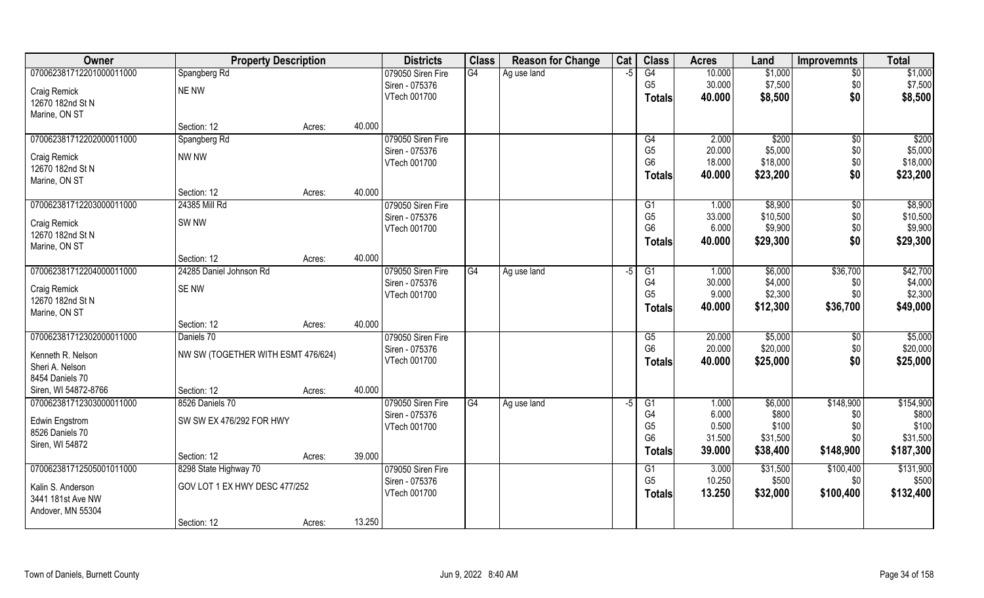| Owner                    | <b>Property Description</b>        |        |        | <b>Districts</b>  | <b>Class</b> | <b>Reason for Change</b> | Cat | <b>Class</b>   | <b>Acres</b> | Land     | <b>Improvemnts</b> | <b>Total</b> |
|--------------------------|------------------------------------|--------|--------|-------------------|--------------|--------------------------|-----|----------------|--------------|----------|--------------------|--------------|
| 070062381712201000011000 | Spangberg Rd                       |        |        | 079050 Siren Fire | G4           | Ag use land              | -5  | G4             | 10.000       | \$1,000  | $\overline{50}$    | \$1,000      |
| Craig Remick             | <b>NE NW</b>                       |        |        | Siren - 075376    |              |                          |     | G <sub>5</sub> | 30.000       | \$7,500  | \$0                | \$7,500      |
| 12670 182nd St N         |                                    |        |        | VTech 001700      |              |                          |     | <b>Totals</b>  | 40.000       | \$8,500  | \$0                | \$8,500      |
| Marine, ON ST            |                                    |        |        |                   |              |                          |     |                |              |          |                    |              |
|                          | Section: 12                        | Acres: | 40.000 |                   |              |                          |     |                |              |          |                    |              |
| 070062381712202000011000 | Spangberg Rd                       |        |        | 079050 Siren Fire |              |                          |     | G4             | 2.000        | \$200    | \$0                | \$200        |
| Craig Remick             | NW NW                              |        |        | Siren - 075376    |              |                          |     | G <sub>5</sub> | 20.000       | \$5,000  | \$0                | \$5,000      |
| 12670 182nd St N         |                                    |        |        | VTech 001700      |              |                          |     | G <sub>6</sub> | 18.000       | \$18,000 | \$0                | \$18,000     |
| Marine, ON ST            |                                    |        |        |                   |              |                          |     | <b>Totals</b>  | 40.000       | \$23,200 | \$0                | \$23,200     |
|                          | Section: 12                        | Acres: | 40.000 |                   |              |                          |     |                |              |          |                    |              |
| 070062381712203000011000 | 24385 Mill Rd                      |        |        | 079050 Siren Fire |              |                          |     | G1             | 1.000        | \$8,900  | $\sqrt[6]{30}$     | \$8,900      |
| Craig Remick             | SW <sub>NW</sub>                   |        |        | Siren - 075376    |              |                          |     | G <sub>5</sub> | 33.000       | \$10,500 | \$0                | \$10,500     |
| 12670 182nd St N         |                                    |        |        | VTech 001700      |              |                          |     | G <sub>6</sub> | 6.000        | \$9,900  | \$0                | \$9,900      |
| Marine, ON ST            |                                    |        |        |                   |              |                          |     | <b>Totals</b>  | 40.000       | \$29,300 | \$0                | \$29,300     |
|                          | Section: 12                        | Acres: | 40.000 |                   |              |                          |     |                |              |          |                    |              |
| 070062381712204000011000 | 24285 Daniel Johnson Rd            |        |        | 079050 Siren Fire | G4           | Ag use land              | -5  | G1             | 1.000        | \$6,000  | \$36,700           | \$42,700     |
| Craig Remick             | SE NW                              |        |        | Siren - 075376    |              |                          |     | G <sub>4</sub> | 30.000       | \$4,000  | \$0                | \$4,000      |
| 12670 182nd St N         |                                    |        |        | VTech 001700      |              |                          |     | G <sub>5</sub> | 9.000        | \$2,300  | \$0                | \$2,300      |
| Marine, ON ST            |                                    |        |        |                   |              |                          |     | <b>Totals</b>  | 40.000       | \$12,300 | \$36,700           | \$49,000     |
|                          | Section: 12                        | Acres: | 40.000 |                   |              |                          |     |                |              |          |                    |              |
| 070062381712302000011000 | Daniels 70                         |        |        | 079050 Siren Fire |              |                          |     | G5             | 20.000       | \$5,000  | $\overline{50}$    | \$5,000      |
| Kenneth R. Nelson        | NW SW (TOGETHER WITH ESMT 476/624) |        |        | Siren - 075376    |              |                          |     | G <sub>6</sub> | 20.000       | \$20,000 | \$0                | \$20,000     |
| Sheri A. Nelson          |                                    |        |        | VTech 001700      |              |                          |     | <b>Totals</b>  | 40.000       | \$25,000 | \$0                | \$25,000     |
| 8454 Daniels 70          |                                    |        |        |                   |              |                          |     |                |              |          |                    |              |
| Siren, WI 54872-8766     | Section: 12                        | Acres: | 40.000 |                   |              |                          |     |                |              |          |                    |              |
| 070062381712303000011000 | 8526 Daniels 70                    |        |        | 079050 Siren Fire | G4           | Ag use land              | -5  | G1             | 1.000        | \$6,000  | \$148,900          | \$154,900    |
| Edwin Engstrom           | SW SW EX 476/292 FOR HWY           |        |        | Siren - 075376    |              |                          |     | G4             | 6.000        | \$800    | \$0                | \$800        |
| 8526 Daniels 70          |                                    |        |        | VTech 001700      |              |                          |     | G <sub>5</sub> | 0.500        | \$100    | \$0                | \$100        |
| Siren, WI 54872          |                                    |        |        |                   |              |                          |     | G <sub>6</sub> | 31.500       | \$31,500 | \$0                | \$31,500     |
|                          | Section: 12                        | Acres: | 39.000 |                   |              |                          |     | <b>Totals</b>  | 39.000       | \$38,400 | \$148,900          | \$187,300    |
| 070062381712505001011000 | 8298 State Highway 70              |        |        | 079050 Siren Fire |              |                          |     | G1             | 3.000        | \$31,500 | \$100,400          | \$131,900    |
| Kalin S. Anderson        | GOV LOT 1 EX HWY DESC 477/252      |        |        | Siren - 075376    |              |                          |     | G <sub>5</sub> | 10.250       | \$500    | \$0                | \$500        |
| 3441 181st Ave NW        |                                    |        |        | VTech 001700      |              |                          |     | <b>Totals</b>  | 13.250       | \$32,000 | \$100,400          | \$132,400    |
| Andover, MN 55304        |                                    |        |        |                   |              |                          |     |                |              |          |                    |              |
|                          | Section: 12                        | Acres: | 13.250 |                   |              |                          |     |                |              |          |                    |              |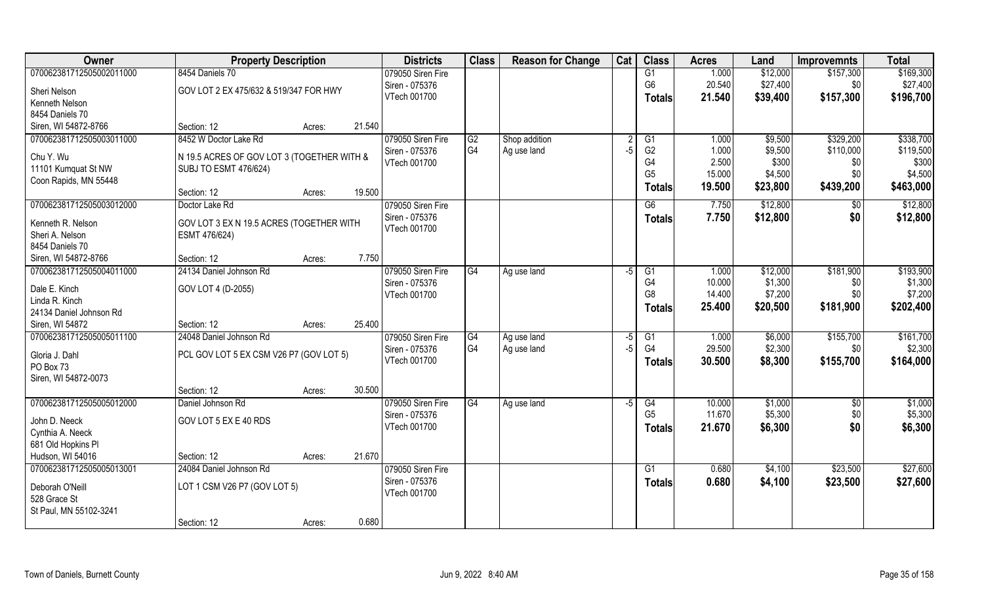| Owner                    | <b>Property Description</b>                |        |        | <b>Districts</b>  | <b>Class</b> | <b>Reason for Change</b> | Cat            | <b>Class</b>    | <b>Acres</b> | Land     | <b>Improvemnts</b> | <b>Total</b> |
|--------------------------|--------------------------------------------|--------|--------|-------------------|--------------|--------------------------|----------------|-----------------|--------------|----------|--------------------|--------------|
| 070062381712505002011000 | 8454 Daniels 70                            |        |        | 079050 Siren Fire |              |                          |                | G1              | 1.000        | \$12,000 | \$157,300          | \$169,300    |
| Sheri Nelson             | GOV LOT 2 EX 475/632 & 519/347 FOR HWY     |        |        | Siren - 075376    |              |                          |                | G <sub>6</sub>  | 20.540       | \$27,400 | \$0                | \$27,400     |
| Kenneth Nelson           |                                            |        |        | VTech 001700      |              |                          |                | <b>Totals</b>   | 21.540       | \$39,400 | \$157,300          | \$196,700    |
| 8454 Daniels 70          |                                            |        |        |                   |              |                          |                |                 |              |          |                    |              |
| Siren, WI 54872-8766     | Section: 12                                | Acres: | 21.540 |                   |              |                          |                |                 |              |          |                    |              |
| 070062381712505003011000 | 8452 W Doctor Lake Rd                      |        |        | 079050 Siren Fire | G2           | Shop addition            | $\overline{2}$ | G1              | 1.000        | \$9,500  | \$329,200          | \$338,700    |
| Chu Y. Wu                | N 19.5 ACRES OF GOV LOT 3 (TOGETHER WITH & |        |        | Siren - 075376    | G4           | Ag use land              | $-5$           | G <sub>2</sub>  | 1.000        | \$9,500  | \$110,000          | \$119,500    |
| 11101 Kumquat St NW      | <b>SUBJ TO ESMT 476/624)</b>               |        |        | VTech 001700      |              |                          |                | G4              | 2.500        | \$300    | \$0                | \$300        |
| Coon Rapids, MN 55448    |                                            |        |        |                   |              |                          |                | G <sub>5</sub>  | 15.000       | \$4,500  | \$0                | \$4,500      |
|                          | Section: 12                                | Acres: | 19.500 |                   |              |                          |                | <b>Totals</b>   | 19.500       | \$23,800 | \$439,200          | \$463,000    |
| 070062381712505003012000 | Doctor Lake Rd                             |        |        | 079050 Siren Fire |              |                          |                | G6              | 7.750        | \$12,800 | \$0                | \$12,800     |
| Kenneth R. Nelson        | GOV LOT 3 EX N 19.5 ACRES (TOGETHER WITH   |        |        | Siren - 075376    |              |                          |                | <b>Totals</b>   | 7.750        | \$12,800 | \$0                | \$12,800     |
| Sheri A. Nelson          | ESMT 476/624)                              |        |        | VTech 001700      |              |                          |                |                 |              |          |                    |              |
| 8454 Daniels 70          |                                            |        |        |                   |              |                          |                |                 |              |          |                    |              |
| Siren, WI 54872-8766     | Section: 12                                | Acres: | 7.750  |                   |              |                          |                |                 |              |          |                    |              |
| 070062381712505004011000 | 24134 Daniel Johnson Rd                    |        |        | 079050 Siren Fire | G4           | Ag use land              | -5             | G1              | 1.000        | \$12,000 | \$181,900          | \$193,900    |
| Dale E. Kinch            | GOV LOT 4 (D-2055)                         |        |        | Siren - 075376    |              |                          |                | G <sub>4</sub>  | 10.000       | \$1,300  | \$0                | \$1,300      |
| Linda R. Kinch           |                                            |        |        | VTech 001700      |              |                          |                | G8              | 14.400       | \$7,200  | \$0                | \$7,200      |
| 24134 Daniel Johnson Rd  |                                            |        |        |                   |              |                          |                | <b>Totals</b>   | 25.400       | \$20,500 | \$181,900          | \$202,400    |
| Siren, WI 54872          | Section: 12                                | Acres: | 25.400 |                   |              |                          |                |                 |              |          |                    |              |
| 070062381712505005011100 | 24048 Daniel Johnson Rd                    |        |        | 079050 Siren Fire | G4           | Ag use land              | -5             | $\overline{G1}$ | 1.000        | \$6,000  | \$155,700          | \$161,700    |
| Gloria J. Dahl           | PCL GOV LOT 5 EX CSM V26 P7 (GOV LOT 5)    |        |        | Siren - 075376    | G4           | Ag use land              | -5             | G4              | 29.500       | \$2,300  | \$0                | \$2,300      |
| PO Box 73                |                                            |        |        | VTech 001700      |              |                          |                | <b>Totals</b>   | 30.500       | \$8,300  | \$155,700          | \$164,000    |
| Siren, WI 54872-0073     |                                            |        |        |                   |              |                          |                |                 |              |          |                    |              |
|                          | Section: 12                                | Acres: | 30.500 |                   |              |                          |                |                 |              |          |                    |              |
| 070062381712505005012000 | Daniel Johnson Rd                          |        |        | 079050 Siren Fire | G4           | Ag use land              | $-5$           | G4              | 10.000       | \$1,000  | \$0                | \$1,000      |
| John D. Neeck            | GOV LOT 5 EX E 40 RDS                      |        |        | Siren - 075376    |              |                          |                | G <sub>5</sub>  | 11.670       | \$5,300  | \$0                | \$5,300      |
| Cynthia A. Neeck         |                                            |        |        | VTech 001700      |              |                          |                | <b>Totals</b>   | 21.670       | \$6,300  | \$0                | \$6,300      |
| 681 Old Hopkins PI       |                                            |        |        |                   |              |                          |                |                 |              |          |                    |              |
| Hudson, WI 54016         | Section: 12                                | Acres: | 21.670 |                   |              |                          |                |                 |              |          |                    |              |
| 070062381712505005013001 | 24084 Daniel Johnson Rd                    |        |        | 079050 Siren Fire |              |                          |                | G1              | 0.680        | \$4,100  | \$23,500           | \$27,600     |
| Deborah O'Neill          | LOT 1 CSM V26 P7 (GOV LOT 5)               |        |        | Siren - 075376    |              |                          |                | <b>Totals</b>   | 0.680        | \$4,100  | \$23,500           | \$27,600     |
| 528 Grace St             |                                            |        |        | VTech 001700      |              |                          |                |                 |              |          |                    |              |
| St Paul, MN 55102-3241   |                                            |        |        |                   |              |                          |                |                 |              |          |                    |              |
|                          | Section: 12                                | Acres: | 0.680  |                   |              |                          |                |                 |              |          |                    |              |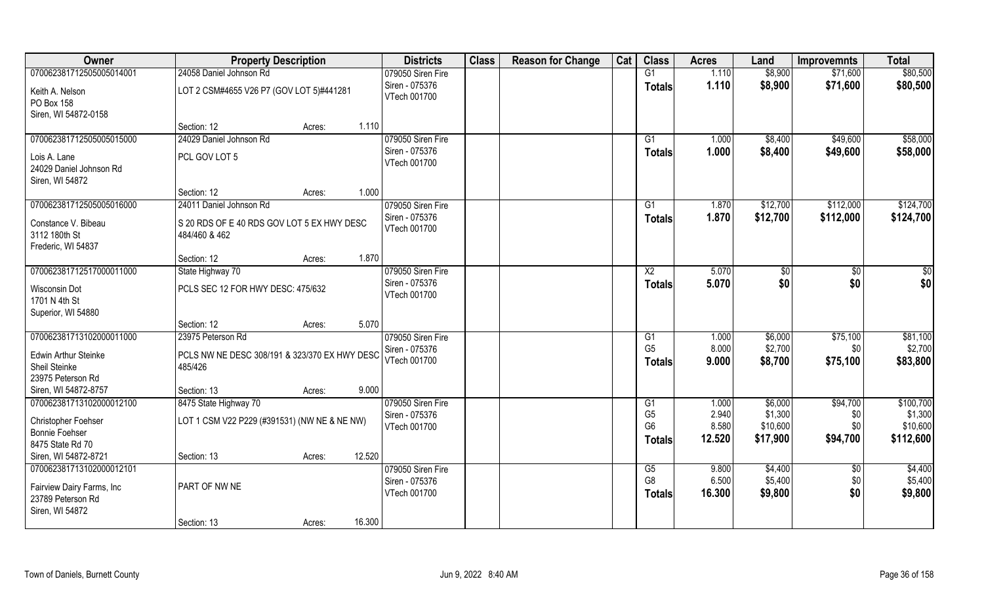| Owner                       | <b>Property Description</b>                   | <b>Districts</b>  | <b>Class</b> | <b>Reason for Change</b> | Cat | <b>Class</b>                     | <b>Acres</b>    | Land                 | <b>Improvemnts</b> | <b>Total</b>          |
|-----------------------------|-----------------------------------------------|-------------------|--------------|--------------------------|-----|----------------------------------|-----------------|----------------------|--------------------|-----------------------|
| 070062381712505005014001    | 24058 Daniel Johnson Rd                       | 079050 Siren Fire |              |                          |     | G1                               | 1.110           | \$8,900              | \$71,600           | \$80,500              |
| Keith A. Nelson             | LOT 2 CSM#4655 V26 P7 (GOV LOT 5)#441281      | Siren - 075376    |              |                          |     | <b>Totals</b>                    | 1.110           | \$8,900              | \$71,600           | \$80,500              |
| PO Box 158                  |                                               | VTech 001700      |              |                          |     |                                  |                 |                      |                    |                       |
| Siren, WI 54872-0158        |                                               |                   |              |                          |     |                                  |                 |                      |                    |                       |
|                             | 1.110<br>Section: 12<br>Acres:                |                   |              |                          |     |                                  |                 |                      |                    |                       |
| 070062381712505005015000    | 24029 Daniel Johnson Rd                       | 079050 Siren Fire |              |                          |     | G1                               | 1.000           | \$8,400              | \$49,600           | \$58,000              |
| Lois A. Lane                | PCL GOV LOT 5                                 | Siren - 075376    |              |                          |     | <b>Totals</b>                    | 1.000           | \$8,400              | \$49,600           | \$58,000              |
| 24029 Daniel Johnson Rd     |                                               | VTech 001700      |              |                          |     |                                  |                 |                      |                    |                       |
| Siren, WI 54872             |                                               |                   |              |                          |     |                                  |                 |                      |                    |                       |
|                             | 1.000<br>Section: 12<br>Acres:                |                   |              |                          |     |                                  |                 |                      |                    |                       |
| 070062381712505005016000    | 24011 Daniel Johnson Rd                       | 079050 Siren Fire |              |                          |     | G1                               | 1.870           | \$12,700             | \$112,000          | \$124,700             |
| Constance V. Bibeau         | S 20 RDS OF E 40 RDS GOV LOT 5 EX HWY DESC    | Siren - 075376    |              |                          |     | <b>Totals</b>                    | 1.870           | \$12,700             | \$112,000          | \$124,700             |
| 3112 180th St               | 484/460 & 462                                 | VTech 001700      |              |                          |     |                                  |                 |                      |                    |                       |
| Frederic, WI 54837          |                                               |                   |              |                          |     |                                  |                 |                      |                    |                       |
|                             | 1.870<br>Section: 12<br>Acres:                |                   |              |                          |     |                                  |                 |                      |                    |                       |
| 070062381712517000011000    | State Highway 70                              | 079050 Siren Fire |              |                          |     | X <sub>2</sub>                   | 5.070           | \$0                  | $\sqrt{50}$        | \$0                   |
| Wisconsin Dot               | PCLS SEC 12 FOR HWY DESC: 475/632             | Siren - 075376    |              |                          |     | <b>Totals</b>                    | 5.070           | \$0                  | \$0                | \$0                   |
| 1701 N 4th St               |                                               | VTech 001700      |              |                          |     |                                  |                 |                      |                    |                       |
| Superior, WI 54880          |                                               |                   |              |                          |     |                                  |                 |                      |                    |                       |
|                             | 5.070<br>Section: 12<br>Acres:                |                   |              |                          |     |                                  |                 |                      |                    |                       |
| 070062381713102000011000    | 23975 Peterson Rd                             | 079050 Siren Fire |              |                          |     | G1                               | 1.000           | \$6,000              | \$75,100           | \$81,100              |
| <b>Edwin Arthur Steinke</b> | PCLS NW NE DESC 308/191 & 323/370 EX HWY DESC | Siren - 075376    |              |                          |     | G <sub>5</sub>                   | 8.000           | \$2,700              | \$0                | \$2,700               |
| Sheil Steinke               | 485/426                                       | VTech 001700      |              |                          |     | Totals                           | 9.000           | \$8,700              | \$75,100           | \$83,800              |
| 23975 Peterson Rd           |                                               |                   |              |                          |     |                                  |                 |                      |                    |                       |
| Siren, WI 54872-8757        | 9.000<br>Section: 13<br>Acres:                |                   |              |                          |     |                                  |                 |                      |                    |                       |
| 070062381713102000012100    | 8475 State Highway 70                         | 079050 Siren Fire |              |                          |     | G1                               | 1.000           | \$6,000              | \$94,700           | \$100,700             |
| Christopher Foehser         | LOT 1 CSM V22 P229 (#391531) (NW NE & NE NW)  | Siren - 075376    |              |                          |     | G <sub>5</sub><br>G <sub>6</sub> | 2.940           | \$1,300              | \$0                | \$1,300               |
| <b>Bonnie Foehser</b>       |                                               | VTech 001700      |              |                          |     |                                  | 8.580<br>12.520 | \$10,600<br>\$17,900 | \$0<br>\$94,700    | \$10,600<br>\$112,600 |
| 8475 State Rd 70            |                                               |                   |              |                          |     | <b>Totals</b>                    |                 |                      |                    |                       |
| Siren, WI 54872-8721        | 12.520<br>Section: 13<br>Acres:               |                   |              |                          |     |                                  |                 |                      |                    |                       |
| 070062381713102000012101    |                                               | 079050 Siren Fire |              |                          |     | G5                               | 9.800           | \$4,400              | $\sqrt[6]{30}$     | \$4,400               |
| Fairview Dairy Farms, Inc   | PART OF NW NE                                 | Siren - 075376    |              |                          |     | G <sub>8</sub>                   | 6.500           | \$5,400              | \$0                | \$5,400               |
| 23789 Peterson Rd           |                                               | VTech 001700      |              |                          |     | <b>Totals</b>                    | 16.300          | \$9,800              | \$0                | \$9,800               |
| Siren, WI 54872             |                                               |                   |              |                          |     |                                  |                 |                      |                    |                       |
|                             | 16.300<br>Section: 13<br>Acres:               |                   |              |                          |     |                                  |                 |                      |                    |                       |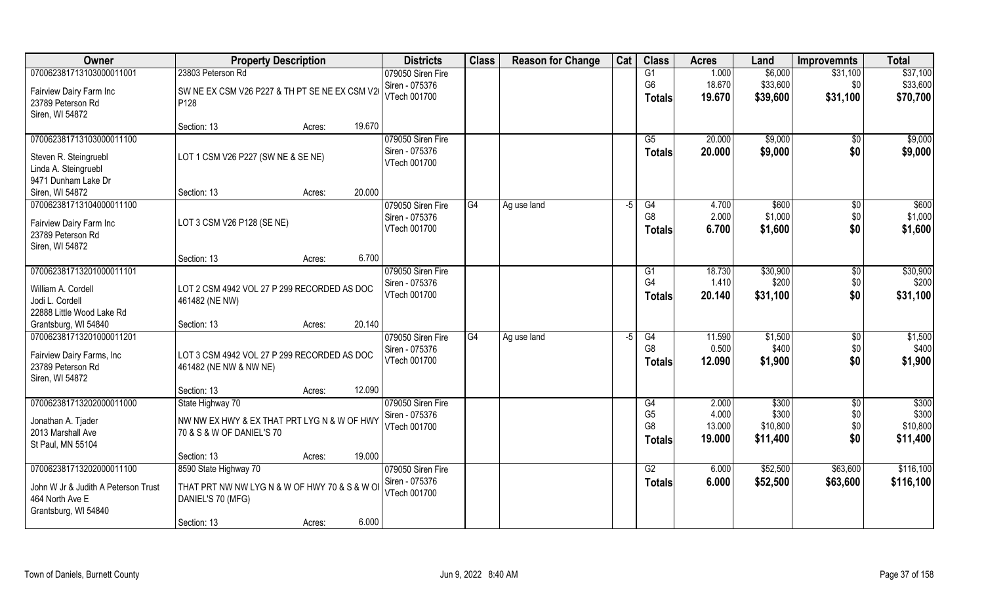| Owner                                          | <b>Property Description</b>                    |                  | <b>Districts</b>  | <b>Class</b> | <b>Reason for Change</b> | Cat  | <b>Class</b>    | <b>Acres</b> | Land     | <b>Improvemnts</b> | <b>Total</b> |
|------------------------------------------------|------------------------------------------------|------------------|-------------------|--------------|--------------------------|------|-----------------|--------------|----------|--------------------|--------------|
| 070062381713103000011001                       | 23803 Peterson Rd                              |                  | 079050 Siren Fire |              |                          |      | G1              | 1.000        | \$6,000  | \$31,100           | \$37,100     |
| Fairview Dairy Farm Inc                        | SW NE EX CSM V26 P227 & TH PT SE NE EX CSM V26 |                  | Siren - 075376    |              |                          |      | G <sub>6</sub>  | 18.670       | \$33,600 | \$0                | \$33,600     |
| 23789 Peterson Rd                              | P128                                           |                  | VTech 001700      |              |                          |      | Totals          | 19.670       | \$39,600 | \$31,100           | \$70,700     |
| Siren, WI 54872                                |                                                |                  |                   |              |                          |      |                 |              |          |                    |              |
|                                                | Section: 13                                    | 19.670<br>Acres: |                   |              |                          |      |                 |              |          |                    |              |
| 070062381713103000011100                       |                                                |                  | 079050 Siren Fire |              |                          |      | G5              | 20.000       | \$9,000  | $\overline{50}$    | \$9,000      |
| Steven R. Steingruebl                          | LOT 1 CSM V26 P227 (SW NE & SE NE)             |                  | Siren - 075376    |              |                          |      | <b>Totals</b>   | 20.000       | \$9,000  | \$0                | \$9,000      |
| Linda A. Steingruebl                           |                                                |                  | VTech 001700      |              |                          |      |                 |              |          |                    |              |
| 9471 Dunham Lake Dr                            |                                                |                  |                   |              |                          |      |                 |              |          |                    |              |
| Siren, WI 54872                                | Section: 13                                    | 20.000<br>Acres: |                   |              |                          |      |                 |              |          |                    |              |
| 070062381713104000011100                       |                                                |                  | 079050 Siren Fire | G4           | Ag use land              | $-5$ | G4              | 4.700        | \$600    | $\sqrt[6]{30}$     | \$600        |
| Fairview Dairy Farm Inc                        | LOT 3 CSM V26 P128 (SE NE)                     |                  | Siren - 075376    |              |                          |      | G <sub>8</sub>  | 2.000        | \$1,000  | \$0                | \$1,000      |
| 23789 Peterson Rd                              |                                                |                  | VTech 001700      |              |                          |      | <b>Totals</b>   | 6.700        | \$1,600  | \$0                | \$1,600      |
| Siren, WI 54872                                |                                                |                  |                   |              |                          |      |                 |              |          |                    |              |
|                                                | Section: 13                                    | 6.700<br>Acres:  |                   |              |                          |      |                 |              |          |                    |              |
| 070062381713201000011101                       |                                                |                  | 079050 Siren Fire |              |                          |      | G1              | 18.730       | \$30,900 | $\sqrt[6]{3}$      | \$30,900     |
| William A. Cordell                             | LOT 2 CSM 4942 VOL 27 P 299 RECORDED AS DOC    |                  | Siren - 075376    |              |                          |      | G4              | 1.410        | \$200    | \$0                | \$200        |
| Jodi L. Cordell                                | 461482 (NE NW)                                 |                  | VTech 001700      |              |                          |      | <b>Totals</b>   | 20.140       | \$31,100 | \$0                | \$31,100     |
| 22888 Little Wood Lake Rd                      |                                                |                  |                   |              |                          |      |                 |              |          |                    |              |
| Grantsburg, WI 54840                           | Section: 13                                    | 20.140<br>Acres: |                   |              |                          |      |                 |              |          |                    |              |
| 070062381713201000011201                       |                                                |                  | 079050 Siren Fire | G4           | Ag use land              | -5   | $\overline{G4}$ | 11.590       | \$1,500  | $\sqrt{6}$         | \$1,500      |
|                                                |                                                |                  | Siren - 075376    |              |                          |      | G <sub>8</sub>  | 0.500        | \$400    | \$0                | \$400        |
| Fairview Dairy Farms, Inc<br>23789 Peterson Rd | LOT 3 CSM 4942 VOL 27 P 299 RECORDED AS DOC    |                  | VTech 001700      |              |                          |      | Totals          | 12.090       | \$1,900  | \$0                | \$1,900      |
| Siren, WI 54872                                | 461482 (NE NW & NW NE)                         |                  |                   |              |                          |      |                 |              |          |                    |              |
|                                                | Section: 13                                    | 12.090<br>Acres: |                   |              |                          |      |                 |              |          |                    |              |
| 070062381713202000011000                       | State Highway 70                               |                  | 079050 Siren Fire |              |                          |      | G4              | 2.000        | \$300    | $\sqrt{6}$         | \$300        |
|                                                |                                                |                  | Siren - 075376    |              |                          |      | G <sub>5</sub>  | 4.000        | \$300    | \$0                | \$300        |
| Jonathan A. Tjader                             | NW NW EX HWY & EX THAT PRT LYG N & W OF HWY    |                  | VTech 001700      |              |                          |      | G <sub>8</sub>  | 13.000       | \$10,800 | \$0                | \$10,800     |
| 2013 Marshall Ave<br>St Paul, MN 55104         | 70 & S & W OF DANIEL'S 70                      |                  |                   |              |                          |      | Totals          | 19.000       | \$11,400 | \$0                | \$11,400     |
|                                                | Section: 13                                    | 19.000<br>Acres: |                   |              |                          |      |                 |              |          |                    |              |
| 070062381713202000011100                       | 8590 State Highway 70                          |                  | 079050 Siren Fire |              |                          |      | G2              | 6.000        | \$52,500 | \$63,600           | \$116,100    |
|                                                |                                                |                  | Siren - 075376    |              |                          |      | Totals          | 6.000        | \$52,500 | \$63,600           | \$116,100    |
| John W Jr & Judith A Peterson Trust            | THAT PRT NW NW LYG N & W OF HWY 70 & S & W OF  |                  | VTech 001700      |              |                          |      |                 |              |          |                    |              |
| 464 North Ave E                                | DANIEL'S 70 (MFG)                              |                  |                   |              |                          |      |                 |              |          |                    |              |
| Grantsburg, WI 54840                           | Section: 13                                    | 6.000<br>Acres:  |                   |              |                          |      |                 |              |          |                    |              |
|                                                |                                                |                  |                   |              |                          |      |                 |              |          |                    |              |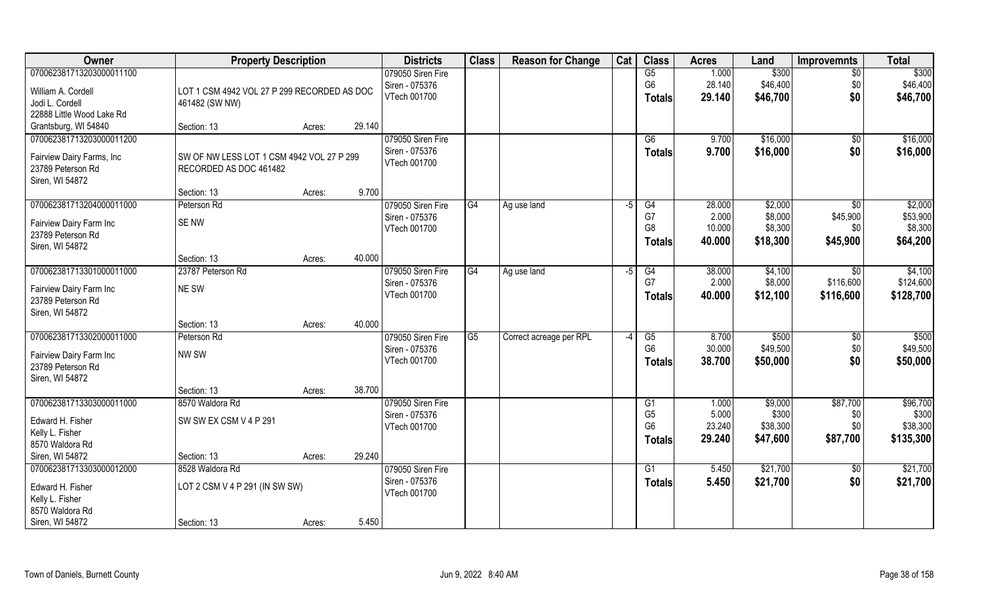| Owner                                | <b>Property Description</b>                 |                  | <b>Districts</b>               | <b>Class</b> | <b>Reason for Change</b> | Cat  | <b>Class</b>           | <b>Acres</b> | Land     | <b>Improvemnts</b> | <b>Total</b> |
|--------------------------------------|---------------------------------------------|------------------|--------------------------------|--------------|--------------------------|------|------------------------|--------------|----------|--------------------|--------------|
| 070062381713203000011100             |                                             |                  | 079050 Siren Fire              |              |                          |      | G5                     | 1.000        | \$300    | $\overline{50}$    | \$300        |
| William A. Cordell                   | LOT 1 CSM 4942 VOL 27 P 299 RECORDED AS DOC |                  | Siren - 075376                 |              |                          |      | G <sub>6</sub>         | 28.140       | \$46,400 | \$0                | \$46,400     |
| Jodi L. Cordell                      | 461482 (SW NW)                              |                  | VTech 001700                   |              |                          |      | <b>Totals</b>          | 29.140       | \$46,700 | \$0                | \$46,700     |
| 22888 Little Wood Lake Rd            |                                             |                  |                                |              |                          |      |                        |              |          |                    |              |
| Grantsburg, WI 54840                 | Section: 13                                 | 29.140<br>Acres: |                                |              |                          |      |                        |              |          |                    |              |
| 070062381713203000011200             |                                             |                  | 079050 Siren Fire              |              |                          |      | G6                     | 9.700        | \$16,000 | \$0                | \$16,000     |
|                                      |                                             |                  | Siren - 075376                 |              |                          |      | <b>Totals</b>          | 9.700        | \$16,000 | \$0                | \$16,000     |
| Fairview Dairy Farms, Inc            | SW OF NW LESS LOT 1 CSM 4942 VOL 27 P 299   |                  | VTech 001700                   |              |                          |      |                        |              |          |                    |              |
| 23789 Peterson Rd<br>Siren, WI 54872 | RECORDED AS DOC 461482                      |                  |                                |              |                          |      |                        |              |          |                    |              |
|                                      | Section: 13                                 | 9.700<br>Acres:  |                                |              |                          |      |                        |              |          |                    |              |
| 070062381713204000011000             | Peterson Rd                                 |                  | 079050 Siren Fire              | G4           | Ag use land              | $-5$ | G4                     | 28.000       | \$2,000  | $\sqrt{6}$         | \$2,000      |
|                                      |                                             |                  | Siren - 075376                 |              |                          |      | G7                     | 2.000        | \$8,000  | \$45,900           | \$53,900     |
| Fairview Dairy Farm Inc              | SE NW                                       |                  | VTech 001700                   |              |                          |      | G <sub>8</sub>         | 10.000       | \$8,300  | \$0                | \$8,300      |
| 23789 Peterson Rd                    |                                             |                  |                                |              |                          |      | Totals                 | 40.000       | \$18,300 | \$45,900           | \$64,200     |
| Siren, WI 54872                      |                                             |                  |                                |              |                          |      |                        |              |          |                    |              |
|                                      | Section: 13                                 | 40.000<br>Acres: |                                |              |                          |      |                        |              |          |                    |              |
| 070062381713301000011000             | 23787 Peterson Rd                           |                  | 079050 Siren Fire              | G4           | Ag use land              | -5   | G4                     | 38.000       | \$4,100  | -S0                | \$4,100      |
| Fairview Dairy Farm Inc              | NE SW                                       |                  | Siren - 075376<br>VTech 001700 |              |                          |      | G7                     | 2.000        | \$8,000  | \$116,600          | \$124,600    |
| 23789 Peterson Rd                    |                                             |                  |                                |              |                          |      | <b>Totals</b>          | 40.000       | \$12,100 | \$116,600          | \$128,700    |
| Siren, WI 54872                      |                                             |                  |                                |              |                          |      |                        |              |          |                    |              |
|                                      | Section: 13                                 | 40.000<br>Acres: |                                |              |                          |      |                        |              |          |                    |              |
| 070062381713302000011000             | Peterson Rd                                 |                  | 079050 Siren Fire              | G5           | Correct acreage per RPL  | $-4$ | $\overline{\text{G5}}$ | 8.700        | \$500    | \$0                | \$500        |
| Fairview Dairy Farm Inc              | NW SW                                       |                  | Siren - 075376                 |              |                          |      | G <sub>6</sub>         | 30.000       | \$49,500 | \$0                | \$49,500     |
| 23789 Peterson Rd                    |                                             |                  | VTech 001700                   |              |                          |      | <b>Totals</b>          | 38.700       | \$50,000 | \$0                | \$50,000     |
| Siren, WI 54872                      |                                             |                  |                                |              |                          |      |                        |              |          |                    |              |
|                                      | Section: 13                                 | 38.700<br>Acres: |                                |              |                          |      |                        |              |          |                    |              |
| 070062381713303000011000             | 8570 Waldora Rd                             |                  | 079050 Siren Fire              |              |                          |      | G1                     | 1.000        | \$9,000  | \$87,700           | \$96,700     |
| Edward H. Fisher                     | SW SW EX CSM V 4 P 291                      |                  | Siren - 075376                 |              |                          |      | G <sub>5</sub>         | 5.000        | \$300    | \$0                | \$300        |
| Kelly L. Fisher                      |                                             |                  | VTech 001700                   |              |                          |      | G <sub>6</sub>         | 23.240       | \$38,300 | \$0                | \$38,300     |
| 8570 Waldora Rd                      |                                             |                  |                                |              |                          |      | Totals                 | 29.240       | \$47,600 | \$87,700           | \$135,300    |
| Siren, WI 54872                      | Section: 13                                 | 29.240<br>Acres: |                                |              |                          |      |                        |              |          |                    |              |
| 070062381713303000012000             | 8528 Waldora Rd                             |                  | 079050 Siren Fire              |              |                          |      | G1                     | 5.450        | \$21,700 | $\sqrt{$0}$        | \$21,700     |
|                                      |                                             |                  | Siren - 075376                 |              |                          |      | <b>Totals</b>          | 5.450        | \$21,700 | \$0                | \$21,700     |
| Edward H. Fisher                     | LOT 2 CSM V 4 P 291 (IN SW SW)              |                  | VTech 001700                   |              |                          |      |                        |              |          |                    |              |
| Kelly L. Fisher                      |                                             |                  |                                |              |                          |      |                        |              |          |                    |              |
| 8570 Waldora Rd<br>Siren, WI 54872   | Section: 13                                 | 5.450            |                                |              |                          |      |                        |              |          |                    |              |
|                                      |                                             | Acres:           |                                |              |                          |      |                        |              |          |                    |              |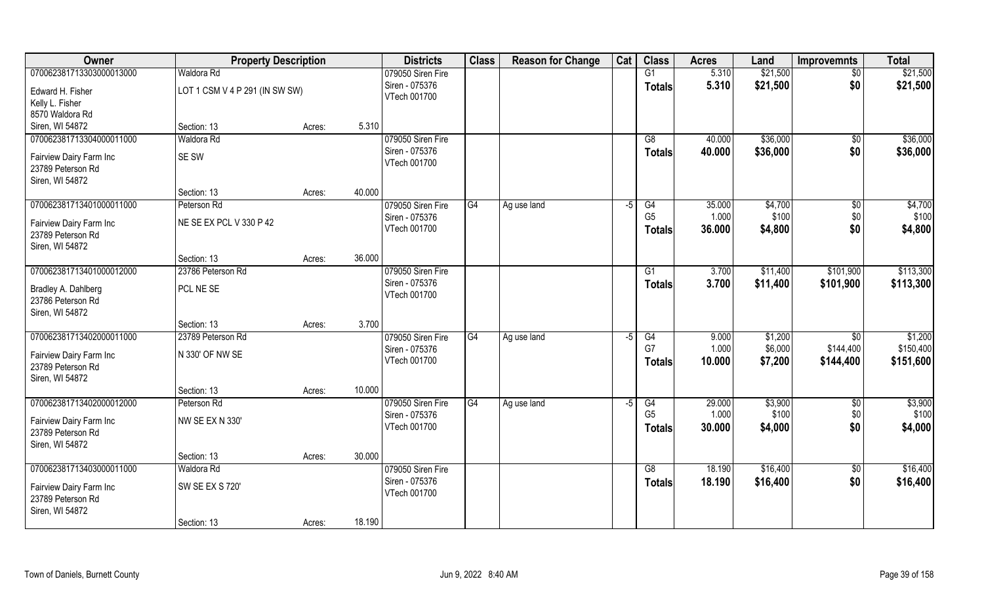| Owner                    | <b>Property Description</b>    |        |        | <b>Districts</b>               | <b>Class</b>    | <b>Reason for Change</b> | Cat  | <b>Class</b>    | <b>Acres</b> | Land     | <b>Improvemnts</b> | <b>Total</b> |
|--------------------------|--------------------------------|--------|--------|--------------------------------|-----------------|--------------------------|------|-----------------|--------------|----------|--------------------|--------------|
| 070062381713303000013000 | Waldora Rd                     |        |        | 079050 Siren Fire              |                 |                          |      | $\overline{G1}$ | 5.310        | \$21,500 | $\sqrt{$0}$        | \$21,500     |
| Edward H. Fisher         | LOT 1 CSM V 4 P 291 (IN SW SW) |        |        | Siren - 075376<br>VTech 001700 |                 |                          |      | <b>Totals</b>   | 5.310        | \$21,500 | \$0                | \$21,500     |
| Kelly L. Fisher          |                                |        |        |                                |                 |                          |      |                 |              |          |                    |              |
| 8570 Waldora Rd          |                                |        |        |                                |                 |                          |      |                 |              |          |                    |              |
| Siren, WI 54872          | Section: 13                    | Acres: | 5.310  |                                |                 |                          |      |                 |              |          |                    |              |
| 070062381713304000011000 | Waldora Rd                     |        |        | 079050 Siren Fire              |                 |                          |      | G8              | 40.000       | \$36,000 | \$0                | \$36,000     |
| Fairview Dairy Farm Inc  | <b>SE SW</b>                   |        |        | Siren - 075376                 |                 |                          |      | <b>Totals</b>   | 40.000       | \$36,000 | \$0                | \$36,000     |
| 23789 Peterson Rd        |                                |        |        | VTech 001700                   |                 |                          |      |                 |              |          |                    |              |
| Siren, WI 54872          |                                |        |        |                                |                 |                          |      |                 |              |          |                    |              |
|                          | Section: 13                    | Acres: | 40.000 |                                |                 |                          |      |                 |              |          |                    |              |
| 070062381713401000011000 | Peterson Rd                    |        |        | 079050 Siren Fire              | $\overline{G4}$ | Ag use land              | -5   | G4              | 35.000       | \$4,700  | $\sqrt[6]{3}$      | \$4,700      |
| Fairview Dairy Farm Inc  | NE SE EX PCL V 330 P 42        |        |        | Siren - 075376                 |                 |                          |      | G <sub>5</sub>  | 1.000        | \$100    | \$0                | \$100        |
| 23789 Peterson Rd        |                                |        |        | VTech 001700                   |                 |                          |      | <b>Totals</b>   | 36.000       | \$4,800  | \$0                | \$4,800      |
| Siren, WI 54872          |                                |        |        |                                |                 |                          |      |                 |              |          |                    |              |
|                          | Section: 13                    | Acres: | 36.000 |                                |                 |                          |      |                 |              |          |                    |              |
| 070062381713401000012000 | 23786 Peterson Rd              |        |        | 079050 Siren Fire              |                 |                          |      | G1              | 3.700        | \$11,400 | \$101,900          | \$113,300    |
|                          |                                |        |        | Siren - 075376                 |                 |                          |      | <b>Totals</b>   | 3.700        | \$11,400 | \$101,900          | \$113,300    |
| Bradley A. Dahlberg      | PCL NE SE                      |        |        | VTech 001700                   |                 |                          |      |                 |              |          |                    |              |
| 23786 Peterson Rd        |                                |        |        |                                |                 |                          |      |                 |              |          |                    |              |
| Siren, WI 54872          |                                |        |        |                                |                 |                          |      |                 |              |          |                    |              |
|                          | Section: 13                    | Acres: | 3.700  |                                |                 |                          |      |                 |              |          |                    |              |
| 070062381713402000011000 | 23789 Peterson Rd              |        |        | 079050 Siren Fire              | G4              | Ag use land              | $-5$ | G4              | 9.000        | \$1,200  | $\overline{50}$    | \$1,200      |
| Fairview Dairy Farm Inc  | N 330' OF NW SE                |        |        | Siren - 075376                 |                 |                          |      | G7              | 1.000        | \$6,000  | \$144,400          | \$150,400    |
| 23789 Peterson Rd        |                                |        |        | VTech 001700                   |                 |                          |      | <b>Totals</b>   | 10.000       | \$7,200  | \$144,400          | \$151,600    |
| Siren, WI 54872          |                                |        |        |                                |                 |                          |      |                 |              |          |                    |              |
|                          | Section: 13                    | Acres: | 10.000 |                                |                 |                          |      |                 |              |          |                    |              |
| 070062381713402000012000 | Peterson Rd                    |        |        | 079050 Siren Fire              | G4              | Ag use land              | -5   | G4              | 29.000       | \$3,900  | $\sqrt{$0}$        | \$3,900      |
| Fairview Dairy Farm Inc  | NW SE EX N 330'                |        |        | Siren - 075376                 |                 |                          |      | G <sub>5</sub>  | 1.000        | \$100    | \$0                | \$100        |
| 23789 Peterson Rd        |                                |        |        | VTech 001700                   |                 |                          |      | <b>Totals</b>   | 30.000       | \$4,000  | \$0                | \$4,000      |
| Siren, WI 54872          |                                |        |        |                                |                 |                          |      |                 |              |          |                    |              |
|                          | Section: 13                    | Acres: | 30.000 |                                |                 |                          |      |                 |              |          |                    |              |
| 070062381713403000011000 | Waldora Rd                     |        |        | 079050 Siren Fire              |                 |                          |      | G8              | 18.190       | \$16,400 | \$0                | \$16,400     |
|                          |                                |        |        | Siren - 075376                 |                 |                          |      | <b>Totals</b>   | 18.190       | \$16,400 | \$0                | \$16,400     |
| Fairview Dairy Farm Inc  | <b>SW SE EX S 720'</b>         |        |        | VTech 001700                   |                 |                          |      |                 |              |          |                    |              |
| 23789 Peterson Rd        |                                |        |        |                                |                 |                          |      |                 |              |          |                    |              |
| Siren, WI 54872          | Section: 13                    | Acres: | 18.190 |                                |                 |                          |      |                 |              |          |                    |              |
|                          |                                |        |        |                                |                 |                          |      |                 |              |          |                    |              |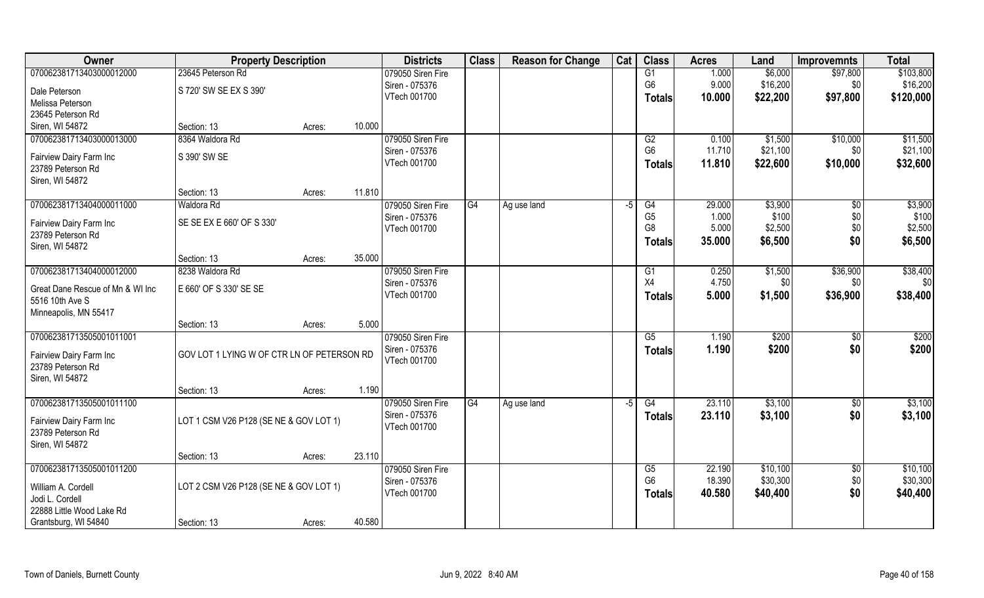| Owner                                        | <b>Property Description</b>                |        |        | <b>Districts</b>               | <b>Class</b> | <b>Reason for Change</b> | Cat  | <b>Class</b>    | <b>Acres</b> | Land     | <b>Improvemnts</b> | <b>Total</b> |
|----------------------------------------------|--------------------------------------------|--------|--------|--------------------------------|--------------|--------------------------|------|-----------------|--------------|----------|--------------------|--------------|
| 070062381713403000012000                     | 23645 Peterson Rd                          |        |        | 079050 Siren Fire              |              |                          |      | G1              | 1.000        | \$6,000  | \$97,800           | \$103,800    |
| Dale Peterson                                | S 720' SW SE EX S 390'                     |        |        | Siren - 075376                 |              |                          |      | G <sub>6</sub>  | 9.000        | \$16,200 | \$0                | \$16,200     |
| Melissa Peterson                             |                                            |        |        | VTech 001700                   |              |                          |      | <b>Totals</b>   | 10.000       | \$22,200 | \$97,800           | \$120,000    |
| 23645 Peterson Rd                            |                                            |        |        |                                |              |                          |      |                 |              |          |                    |              |
| Siren, WI 54872                              | Section: 13                                | Acres: | 10.000 |                                |              |                          |      |                 |              |          |                    |              |
| 070062381713403000013000                     | 8364 Waldora Rd                            |        |        | 079050 Siren Fire              |              |                          |      | G2              | 0.100        | \$1,500  | \$10,000           | \$11,500     |
|                                              | S 390' SW SE                               |        |        | Siren - 075376                 |              |                          |      | G <sub>6</sub>  | 11.710       | \$21,100 | \$0                | \$21,100     |
| Fairview Dairy Farm Inc<br>23789 Peterson Rd |                                            |        |        | VTech 001700                   |              |                          |      | <b>Totals</b>   | 11.810       | \$22,600 | \$10,000           | \$32,600     |
| Siren, WI 54872                              |                                            |        |        |                                |              |                          |      |                 |              |          |                    |              |
|                                              | Section: 13                                | Acres: | 11.810 |                                |              |                          |      |                 |              |          |                    |              |
| 070062381713404000011000                     | Waldora Rd                                 |        |        | 079050 Siren Fire              | G4           | Ag use land              | $-5$ | G4              | 29.000       | \$3,900  | \$0                | \$3,900      |
|                                              |                                            |        |        | Siren - 075376                 |              |                          |      | G <sub>5</sub>  | 1.000        | \$100    | \$0                | \$100        |
| Fairview Dairy Farm Inc                      | SE SE EX E 660' OF S 330'                  |        |        | VTech 001700                   |              |                          |      | G <sub>8</sub>  | 5.000        | \$2,500  | \$0                | \$2,500      |
| 23789 Peterson Rd                            |                                            |        |        |                                |              |                          |      | <b>Totals</b>   | 35.000       | \$6,500  | \$0                | \$6,500      |
| Siren, WI 54872                              | Section: 13                                | Acres: | 35.000 |                                |              |                          |      |                 |              |          |                    |              |
| 070062381713404000012000                     | 8238 Waldora Rd                            |        |        | 079050 Siren Fire              |              |                          |      | G1              | 0.250        | \$1,500  | \$36,900           | \$38,400     |
|                                              |                                            |        |        | Siren - 075376                 |              |                          |      | <b>X4</b>       | 4.750        | \$0      | \$0                | \$0          |
| Great Dane Rescue of Mn & WI Inc             | E 660' OF S 330' SE SE                     |        |        | VTech 001700                   |              |                          |      | <b>Totals</b>   | 5.000        | \$1,500  | \$36,900           | \$38,400     |
| 5516 10th Ave S                              |                                            |        |        |                                |              |                          |      |                 |              |          |                    |              |
| Minneapolis, MN 55417                        |                                            |        |        |                                |              |                          |      |                 |              |          |                    |              |
|                                              | Section: 13                                | Acres: | 5.000  |                                |              |                          |      |                 |              |          |                    |              |
| 070062381713505001011001                     |                                            |        |        | 079050 Siren Fire              |              |                          |      | $\overline{G5}$ | 1.190        | \$200    | \$0                | \$200        |
| Fairview Dairy Farm Inc                      | GOV LOT 1 LYING W OF CTR LN OF PETERSON RD |        |        | Siren - 075376<br>VTech 001700 |              |                          |      | <b>Totals</b>   | 1.190        | \$200    | \$0                | \$200        |
| 23789 Peterson Rd                            |                                            |        |        |                                |              |                          |      |                 |              |          |                    |              |
| Siren, WI 54872                              |                                            |        |        |                                |              |                          |      |                 |              |          |                    |              |
|                                              | Section: 13                                | Acres: | 1.190  |                                |              |                          |      |                 |              |          |                    |              |
| 070062381713505001011100                     |                                            |        |        | 079050 Siren Fire              | G4           | Ag use land              | -5   | G4              | 23.110       | \$3,100  | \$0                | \$3,100      |
| Fairview Dairy Farm Inc                      | LOT 1 CSM V26 P128 (SE NE & GOV LOT 1)     |        |        | Siren - 075376                 |              |                          |      | <b>Totals</b>   | 23.110       | \$3,100  | \$0                | \$3,100      |
| 23789 Peterson Rd                            |                                            |        |        | VTech 001700                   |              |                          |      |                 |              |          |                    |              |
| Siren, WI 54872                              |                                            |        |        |                                |              |                          |      |                 |              |          |                    |              |
|                                              | Section: 13                                | Acres: | 23.110 |                                |              |                          |      |                 |              |          |                    |              |
| 070062381713505001011200                     |                                            |        |        | 079050 Siren Fire              |              |                          |      | G5              | 22.190       | \$10,100 | $\sqrt{6}$         | \$10,100     |
| William A. Cordell                           | LOT 2 CSM V26 P128 (SE NE & GOV LOT 1)     |        |        | Siren - 075376                 |              |                          |      | G <sub>6</sub>  | 18.390       | \$30,300 | \$0                | \$30,300     |
| Jodi L. Cordell                              |                                            |        |        | VTech 001700                   |              |                          |      | <b>Totals</b>   | 40.580       | \$40,400 | \$0                | \$40,400     |
| 22888 Little Wood Lake Rd                    |                                            |        |        |                                |              |                          |      |                 |              |          |                    |              |
| Grantsburg, WI 54840                         | Section: 13                                | Acres: | 40.580 |                                |              |                          |      |                 |              |          |                    |              |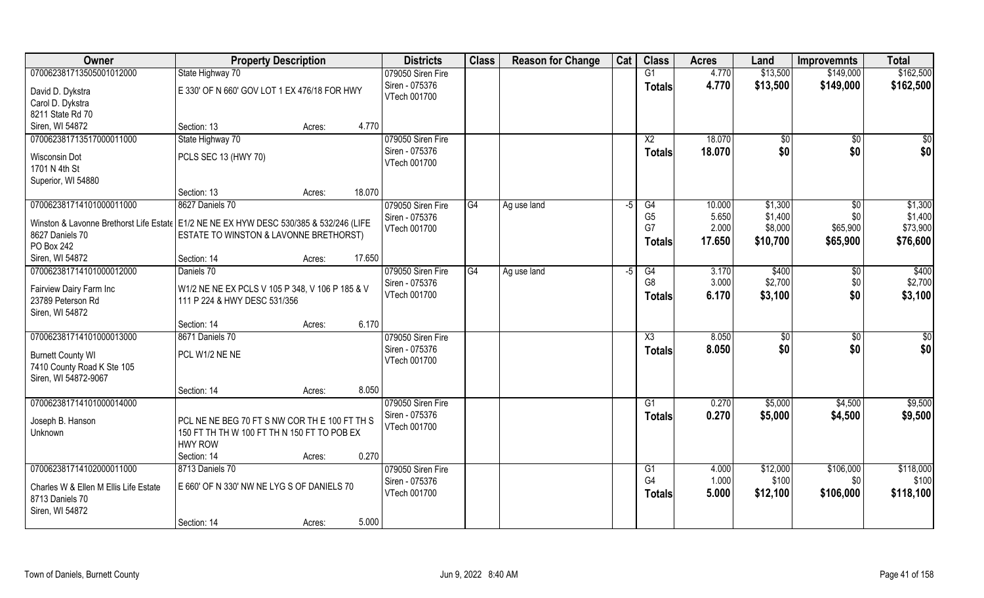| Owner                                                                                    | <b>Property Description</b>                                                     |        |        | <b>Districts</b>  | <b>Class</b> | <b>Reason for Change</b> | Cat  | <b>Class</b>    | <b>Acres</b> | Land       | <b>Improvemnts</b> | <b>Total</b> |
|------------------------------------------------------------------------------------------|---------------------------------------------------------------------------------|--------|--------|-------------------|--------------|--------------------------|------|-----------------|--------------|------------|--------------------|--------------|
| 070062381713505001012000                                                                 | State Highway 70                                                                |        |        | 079050 Siren Fire |              |                          |      | G1              | 4.770        | \$13,500   | \$149,000          | \$162,500    |
| David D. Dykstra                                                                         | E 330' OF N 660' GOV LOT 1 EX 476/18 FOR HWY                                    |        |        | Siren - 075376    |              |                          |      | <b>Totals</b>   | 4.770        | \$13,500   | \$149,000          | \$162,500    |
| Carol D. Dykstra                                                                         |                                                                                 |        |        | VTech 001700      |              |                          |      |                 |              |            |                    |              |
| 8211 State Rd 70                                                                         |                                                                                 |        |        |                   |              |                          |      |                 |              |            |                    |              |
| Siren, WI 54872                                                                          | Section: 13                                                                     | Acres: | 4.770  |                   |              |                          |      |                 |              |            |                    |              |
| 070062381713517000011000                                                                 | State Highway 70                                                                |        |        | 079050 Siren Fire |              |                          |      | $\overline{X2}$ | 18.070       | $\sqrt{6}$ | \$0                | \$0          |
| Wisconsin Dot                                                                            | PCLS SEC 13 (HWY 70)                                                            |        |        | Siren - 075376    |              |                          |      | <b>Totals</b>   | 18.070       | \$0        | \$0                | \$0          |
| 1701 N 4th St                                                                            |                                                                                 |        |        | VTech 001700      |              |                          |      |                 |              |            |                    |              |
| Superior, WI 54880                                                                       |                                                                                 |        |        |                   |              |                          |      |                 |              |            |                    |              |
|                                                                                          | Section: 13                                                                     | Acres: | 18.070 |                   |              |                          |      |                 |              |            |                    |              |
| 070062381714101000011000                                                                 | 8627 Daniels 70                                                                 |        |        | 079050 Siren Fire | G4           | Ag use land              | $-5$ | G4              | 10.000       | \$1,300    | $\sqrt{6}$         | \$1,300      |
| Winston & Lavonne Brethorst Life Estate   E1/2 NE NE EX HYW DESC 530/385 & 532/246 (LIFE |                                                                                 |        |        | Siren - 075376    |              |                          |      | G <sub>5</sub>  | 5.650        | \$1,400    | \$0                | \$1,400      |
| 8627 Daniels 70                                                                          | ESTATE TO WINSTON & LAVONNE BRETHORST)                                          |        |        | VTech 001700      |              |                          |      | G7              | 2.000        | \$8,000    | \$65,900           | \$73,900     |
| PO Box 242                                                                               |                                                                                 |        |        |                   |              |                          |      | <b>Totals</b>   | 17.650       | \$10,700   | \$65,900           | \$76,600     |
| Siren, WI 54872                                                                          | Section: 14                                                                     | Acres: | 17.650 |                   |              |                          |      |                 |              |            |                    |              |
| 070062381714101000012000                                                                 | Daniels 70                                                                      |        |        | 079050 Siren Fire | G4           | Ag use land              | -5   | G4              | 3.170        | \$400      | \$0                | \$400        |
|                                                                                          |                                                                                 |        |        | Siren - 075376    |              |                          |      | G <sub>8</sub>  | 3.000        | \$2,700    | \$0                | \$2,700      |
| Fairview Dairy Farm Inc<br>23789 Peterson Rd                                             | W1/2 NE NE EX PCLS V 105 P 348, V 106 P 185 & V<br>111 P 224 & HWY DESC 531/356 |        |        | VTech 001700      |              |                          |      | <b>Totals</b>   | 6.170        | \$3,100    | \$0                | \$3,100      |
| Siren, WI 54872                                                                          |                                                                                 |        |        |                   |              |                          |      |                 |              |            |                    |              |
|                                                                                          | Section: 14                                                                     | Acres: | 6.170  |                   |              |                          |      |                 |              |            |                    |              |
| 070062381714101000013000                                                                 | 8671 Daniels 70                                                                 |        |        | 079050 Siren Fire |              |                          |      | X3              | 8.050        | \$0        | $\sqrt[6]{30}$     | \$0          |
|                                                                                          |                                                                                 |        |        | Siren - 075376    |              |                          |      | <b>Totals</b>   | 8.050        | \$0        | \$0                | \$0          |
| <b>Burnett County WI</b>                                                                 | PCL W1/2 NE NE                                                                  |        |        | VTech 001700      |              |                          |      |                 |              |            |                    |              |
| 7410 County Road K Ste 105<br>Siren, WI 54872-9067                                       |                                                                                 |        |        |                   |              |                          |      |                 |              |            |                    |              |
|                                                                                          | Section: 14                                                                     | Acres: | 8.050  |                   |              |                          |      |                 |              |            |                    |              |
| 070062381714101000014000                                                                 |                                                                                 |        |        | 079050 Siren Fire |              |                          |      | G1              | 0.270        | \$5,000    | \$4,500            | \$9,500      |
|                                                                                          |                                                                                 |        |        | Siren - 075376    |              |                          |      | <b>Totals</b>   | 0.270        | \$5,000    | \$4,500            | \$9,500      |
| Joseph B. Hanson                                                                         | PCL NE NE BEG 70 FT S NW COR TH E 100 FT TH S                                   |        |        | VTech 001700      |              |                          |      |                 |              |            |                    |              |
| Unknown                                                                                  | 150 FT TH TH W 100 FT TH N 150 FT TO POB EX                                     |        |        |                   |              |                          |      |                 |              |            |                    |              |
|                                                                                          | <b>HWY ROW</b>                                                                  |        | 0.270  |                   |              |                          |      |                 |              |            |                    |              |
| 070062381714102000011000                                                                 | Section: 14<br>8713 Daniels 70                                                  | Acres: |        | 079050 Siren Fire |              |                          |      | G1              | 4.000        | \$12,000   | \$106,000          | \$118,000    |
|                                                                                          |                                                                                 |        |        | Siren - 075376    |              |                          |      | G4              | 1.000        | \$100      | \$0                | \$100        |
| Charles W & Ellen M Ellis Life Estate                                                    | E 660' OF N 330' NW NE LYG S OF DANIELS 70                                      |        |        | VTech 001700      |              |                          |      | Totals          | 5.000        | \$12,100   | \$106,000          | \$118,100    |
| 8713 Daniels 70                                                                          |                                                                                 |        |        |                   |              |                          |      |                 |              |            |                    |              |
| Siren, WI 54872                                                                          |                                                                                 |        |        |                   |              |                          |      |                 |              |            |                    |              |
|                                                                                          | Section: 14                                                                     | Acres: | 5.000  |                   |              |                          |      |                 |              |            |                    |              |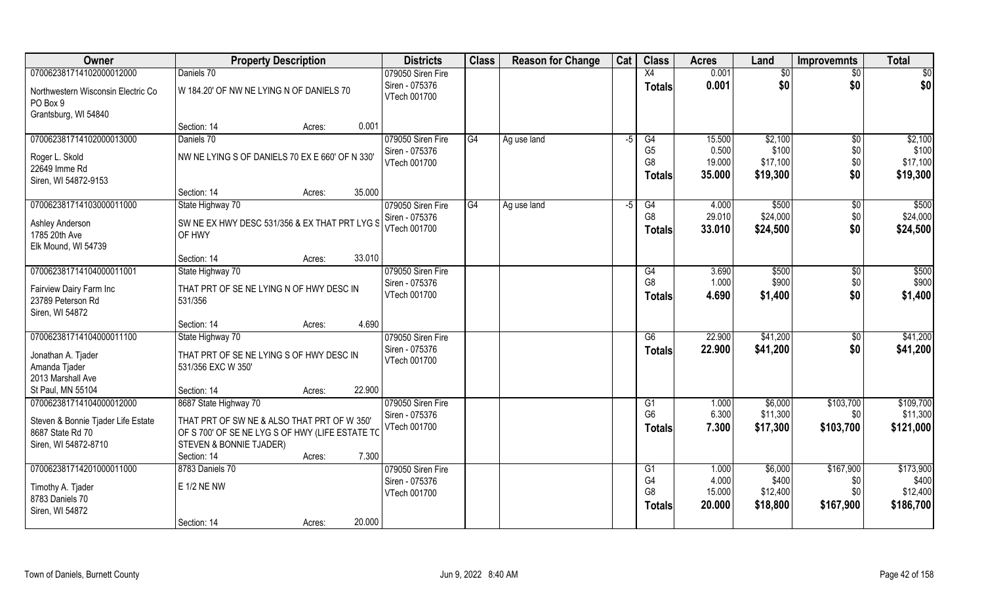| Owner                                                  | <b>Property Description</b>                                                                    | <b>Districts</b>               | <b>Class</b> | <b>Reason for Change</b> | Cat  | <b>Class</b>                     | <b>Acres</b>    | Land              | <b>Improvemnts</b> | <b>Total</b>      |
|--------------------------------------------------------|------------------------------------------------------------------------------------------------|--------------------------------|--------------|--------------------------|------|----------------------------------|-----------------|-------------------|--------------------|-------------------|
| 070062381714102000012000                               | Daniels 70                                                                                     | 079050 Siren Fire              |              |                          |      | X4                               | 0.001           | \$0               | $\sqrt{$0}$        | $\sqrt{50}$       |
| Northwestern Wisconsin Electric Co<br>PO Box 9         | W 184.20' OF NW NE LYING N OF DANIELS 70                                                       | Siren - 075376<br>VTech 001700 |              |                          |      | <b>Totals</b>                    | 0.001           | \$0               | \$0                | \$0               |
| Grantsburg, WI 54840                                   |                                                                                                |                                |              |                          |      |                                  |                 |                   |                    |                   |
|                                                        | 0.001<br>Section: 14<br>Acres:                                                                 |                                |              |                          |      |                                  |                 |                   |                    |                   |
| 070062381714102000013000                               | Daniels 70                                                                                     | 079050 Siren Fire              | G4           | Ag use land              | $-5$ | G4                               | 15.500          | \$2,100           | \$0                | \$2,100           |
| Roger L. Skold                                         | NW NE LYING S OF DANIELS 70 EX E 660' OF N 330'                                                | Siren - 075376                 |              |                          |      | G <sub>5</sub><br>G <sub>8</sub> | 0.500<br>19.000 | \$100<br>\$17,100 | \$0                | \$100<br>\$17,100 |
| 22649 Imme Rd                                          |                                                                                                | VTech 001700                   |              |                          |      |                                  |                 |                   | \$0                |                   |
| Siren, WI 54872-9153                                   |                                                                                                |                                |              |                          |      | <b>Totals</b>                    | 35.000          | \$19,300          | \$0                | \$19,300          |
|                                                        | 35.000<br>Section: 14<br>Acres:                                                                |                                |              |                          |      |                                  |                 |                   |                    |                   |
| 070062381714103000011000                               | State Highway 70                                                                               | 079050 Siren Fire              | G4           | Ag use land              | $-5$ | G4                               | 4.000           | \$500             | $\sqrt[6]{30}$     | \$500             |
| Ashley Anderson                                        | SW NE EX HWY DESC 531/356 & EX THAT PRT LYG S                                                  | Siren - 075376                 |              |                          |      | G <sub>8</sub>                   | 29.010          | \$24,000          | \$0                | \$24,000          |
| 1785 20th Ave                                          | OF HWY                                                                                         | VTech 001700                   |              |                          |      | <b>Totals</b>                    | 33.010          | \$24,500          | \$0                | \$24,500          |
| Elk Mound, WI 54739                                    |                                                                                                |                                |              |                          |      |                                  |                 |                   |                    |                   |
|                                                        | 33.010<br>Section: 14<br>Acres:                                                                |                                |              |                          |      |                                  |                 |                   |                    |                   |
| 070062381714104000011001                               | State Highway 70                                                                               | 079050 Siren Fire              |              |                          |      | G4                               | 3.690           | \$500             | \$0                | \$500             |
| Fairview Dairy Farm Inc                                | THAT PRT OF SE NE LYING N OF HWY DESC IN                                                       | Siren - 075376                 |              |                          |      | G <sub>8</sub>                   | 1.000           | \$900             | \$0                | \$900             |
| 23789 Peterson Rd                                      | 531/356                                                                                        | VTech 001700                   |              |                          |      | <b>Totals</b>                    | 4.690           | \$1,400           | \$0                | \$1,400           |
| Siren, WI 54872                                        |                                                                                                |                                |              |                          |      |                                  |                 |                   |                    |                   |
|                                                        | 4.690<br>Section: 14<br>Acres:                                                                 |                                |              |                          |      |                                  |                 |                   |                    |                   |
| 070062381714104000011100                               | State Highway 70                                                                               | 079050 Siren Fire              |              |                          |      | $\overline{G6}$                  | 22.900          | \$41,200          | \$0                | \$41,200          |
| Jonathan A. Tjader                                     | THAT PRT OF SE NE LYING S OF HWY DESC IN                                                       | Siren - 075376                 |              |                          |      | <b>Totals</b>                    | 22.900          | \$41,200          | \$0                | \$41,200          |
| Amanda Tjader                                          | 531/356 EXC W 350'                                                                             | VTech 001700                   |              |                          |      |                                  |                 |                   |                    |                   |
| 2013 Marshall Ave                                      |                                                                                                |                                |              |                          |      |                                  |                 |                   |                    |                   |
| St Paul, MN 55104                                      | 22.900<br>Section: 14<br>Acres:                                                                |                                |              |                          |      |                                  |                 |                   |                    |                   |
| 070062381714104000012000                               | 8687 State Highway 70                                                                          | 079050 Siren Fire              |              |                          |      | G1                               | 1.000           | \$6,000           | \$103,700          | \$109,700         |
|                                                        |                                                                                                | Siren - 075376                 |              |                          |      | G <sub>6</sub>                   | 6.300           | \$11,300          | \$0                | \$11,300          |
| Steven & Bonnie Tjader Life Estate<br>8687 State Rd 70 | THAT PRT OF SW NE & ALSO THAT PRT OF W 350'<br>OF S 700' OF SE NE LYG S OF HWY (LIFE ESTATE TO | VTech 001700                   |              |                          |      | <b>Totals</b>                    | 7.300           | \$17,300          | \$103,700          | \$121,000         |
| Siren, WI 54872-8710                                   | <b>STEVEN &amp; BONNIE TJADER)</b>                                                             |                                |              |                          |      |                                  |                 |                   |                    |                   |
|                                                        | 7.300<br>Section: 14<br>Acres:                                                                 |                                |              |                          |      |                                  |                 |                   |                    |                   |
| 070062381714201000011000                               | 8783 Daniels 70                                                                                | 079050 Siren Fire              |              |                          |      | G1                               | 1.000           | \$6,000           | \$167,900          | \$173,900         |
|                                                        |                                                                                                | Siren - 075376                 |              |                          |      | G4                               | 4.000           | \$400             | \$0                | \$400             |
| Timothy A. Tjader                                      | <b>E 1/2 NE NW</b>                                                                             | VTech 001700                   |              |                          |      | G <sub>8</sub>                   | 15.000          | \$12,400          | \$0                | \$12,400          |
| 8783 Daniels 70                                        |                                                                                                |                                |              |                          |      | <b>Totals</b>                    | 20.000          | \$18,800          | \$167,900          | \$186,700         |
| Siren, WI 54872                                        | 20.000<br>Section: 14<br>Acres:                                                                |                                |              |                          |      |                                  |                 |                   |                    |                   |
|                                                        |                                                                                                |                                |              |                          |      |                                  |                 |                   |                    |                   |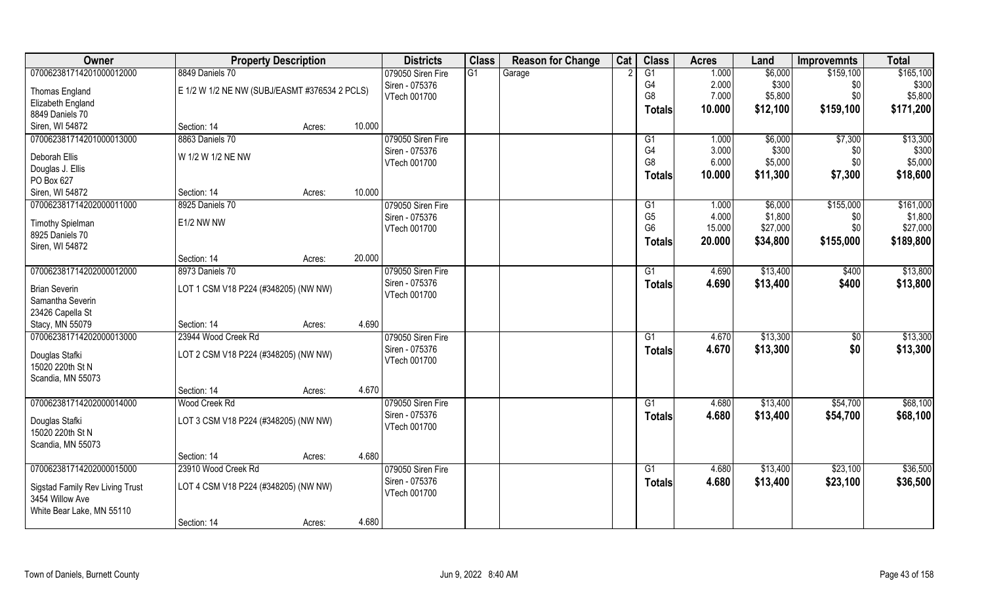| Owner                           | <b>Property Description</b>                   |        |        | <b>Districts</b>  | <b>Class</b> | <b>Reason for Change</b> | Cat | <b>Class</b>    | <b>Acres</b> | Land     | <b>Improvemnts</b> | <b>Total</b> |
|---------------------------------|-----------------------------------------------|--------|--------|-------------------|--------------|--------------------------|-----|-----------------|--------------|----------|--------------------|--------------|
| 070062381714201000012000        | 8849 Daniels 70                               |        |        | 079050 Siren Fire | G1           | Garage                   |     | G1              | 1.000        | \$6,000  | \$159,100          | \$165,100    |
| Thomas England                  | E 1/2 W 1/2 NE NW (SUBJ/EASMT #376534 2 PCLS) |        |        | Siren - 075376    |              |                          |     | G4              | 2.000        | \$300    | \$0                | \$300        |
| Elizabeth England               |                                               |        |        | VTech 001700      |              |                          |     | G <sub>8</sub>  | 7.000        | \$5,800  | \$0                | \$5,800      |
| 8849 Daniels 70                 |                                               |        |        |                   |              |                          |     | <b>Totals</b>   | 10.000       | \$12,100 | \$159,100          | \$171,200    |
| Siren, WI 54872                 | Section: 14                                   | Acres: | 10.000 |                   |              |                          |     |                 |              |          |                    |              |
| 070062381714201000013000        | 8863 Daniels 70                               |        |        | 079050 Siren Fire |              |                          |     | G1              | 1.000        | \$6,000  | \$7,300            | \$13,300     |
|                                 |                                               |        |        | Siren - 075376    |              |                          |     | G4              | 3.000        | \$300    | \$0                | \$300        |
| Deborah Ellis                   | W 1/2 W 1/2 NE NW                             |        |        | VTech 001700      |              |                          |     | G <sub>8</sub>  | 6.000        | \$5,000  | \$0                | \$5,000      |
| Douglas J. Ellis<br>PO Box 627  |                                               |        |        |                   |              |                          |     | <b>Totals</b>   | 10.000       | \$11,300 | \$7,300            | \$18,600     |
| Siren, WI 54872                 | Section: 14                                   | Acres: | 10.000 |                   |              |                          |     |                 |              |          |                    |              |
| 070062381714202000011000        | 8925 Daniels 70                               |        |        | 079050 Siren Fire |              |                          |     | G1              | 1.000        | \$6,000  |                    | \$161,000    |
|                                 |                                               |        |        | Siren - 075376    |              |                          |     | G <sub>5</sub>  | 4.000        | \$1,800  | \$155,000<br>\$0   | \$1,800      |
| <b>Timothy Spielman</b>         | <b>E1/2 NW NW</b>                             |        |        | VTech 001700      |              |                          |     | G <sub>6</sub>  | 15.000       | \$27,000 | \$0                | \$27,000     |
| 8925 Daniels 70                 |                                               |        |        |                   |              |                          |     |                 | 20.000       | \$34,800 | \$155,000          | \$189,800    |
| Siren, WI 54872                 |                                               |        |        |                   |              |                          |     | <b>Totals</b>   |              |          |                    |              |
|                                 | Section: 14                                   | Acres: | 20.000 |                   |              |                          |     |                 |              |          |                    |              |
| 070062381714202000012000        | 8973 Daniels 70                               |        |        | 079050 Siren Fire |              |                          |     | G1              | 4.690        | \$13,400 | \$400              | \$13,800     |
| <b>Brian Severin</b>            | LOT 1 CSM V18 P224 (#348205) (NW NW)          |        |        | Siren - 075376    |              |                          |     | <b>Totals</b>   | 4.690        | \$13,400 | \$400              | \$13,800     |
| Samantha Severin                |                                               |        |        | VTech 001700      |              |                          |     |                 |              |          |                    |              |
| 23426 Capella St                |                                               |        |        |                   |              |                          |     |                 |              |          |                    |              |
| Stacy, MN 55079                 | Section: 14                                   | Acres: | 4.690  |                   |              |                          |     |                 |              |          |                    |              |
| 070062381714202000013000        | 23944 Wood Creek Rd                           |        |        | 079050 Siren Fire |              |                          |     | G1              | 4.670        | \$13,300 | \$0                | \$13,300     |
|                                 |                                               |        |        | Siren - 075376    |              |                          |     | <b>Totals</b>   | 4.670        | \$13,300 | \$0                | \$13,300     |
| Douglas Stafki                  | LOT 2 CSM V18 P224 (#348205) (NW NW)          |        |        | VTech 001700      |              |                          |     |                 |              |          |                    |              |
| 15020 220th St N                |                                               |        |        |                   |              |                          |     |                 |              |          |                    |              |
| Scandia, MN 55073               |                                               |        |        |                   |              |                          |     |                 |              |          |                    |              |
|                                 | Section: 14                                   | Acres: | 4.670  |                   |              |                          |     |                 |              |          |                    |              |
| 070062381714202000014000        | <b>Wood Creek Rd</b>                          |        |        | 079050 Siren Fire |              |                          |     | G1              | 4.680        | \$13,400 | \$54,700           | \$68,100     |
| Douglas Stafki                  | LOT 3 CSM V18 P224 (#348205) (NW NW)          |        |        | Siren - 075376    |              |                          |     | <b>Totals</b>   | 4.680        | \$13,400 | \$54,700           | \$68,100     |
| 15020 220th St N                |                                               |        |        | VTech 001700      |              |                          |     |                 |              |          |                    |              |
| Scandia, MN 55073               |                                               |        |        |                   |              |                          |     |                 |              |          |                    |              |
|                                 | Section: 14                                   | Acres: | 4.680  |                   |              |                          |     |                 |              |          |                    |              |
| 070062381714202000015000        | 23910 Wood Creek Rd                           |        |        | 079050 Siren Fire |              |                          |     | $\overline{G1}$ | 4.680        | \$13,400 | \$23,100           | \$36,500     |
| Sigstad Family Rev Living Trust | LOT 4 CSM V18 P224 (#348205) (NW NW)          |        |        | Siren - 075376    |              |                          |     | <b>Totals</b>   | 4.680        | \$13,400 | \$23,100           | \$36,500     |
| 3454 Willow Ave                 |                                               |        |        | VTech 001700      |              |                          |     |                 |              |          |                    |              |
| White Bear Lake, MN 55110       |                                               |        |        |                   |              |                          |     |                 |              |          |                    |              |
|                                 | Section: 14                                   | Acres: | 4.680  |                   |              |                          |     |                 |              |          |                    |              |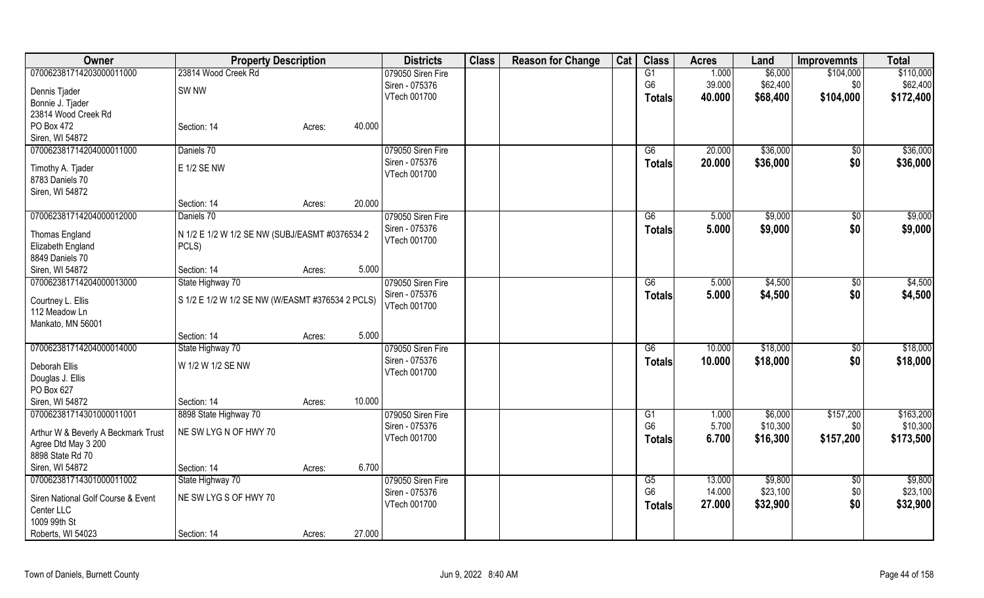| Owner                               | <b>Property Description</b>                      |                  | <b>Districts</b>  | <b>Class</b> | <b>Reason for Change</b> | Cat | <b>Class</b>    | <b>Acres</b> | Land     | <b>Improvemnts</b> | <b>Total</b> |
|-------------------------------------|--------------------------------------------------|------------------|-------------------|--------------|--------------------------|-----|-----------------|--------------|----------|--------------------|--------------|
| 070062381714203000011000            | 23814 Wood Creek Rd                              |                  | 079050 Siren Fire |              |                          |     | G1              | 1.000        | \$6,000  | \$104,000          | \$110,000    |
| Dennis Tjader                       | SW <sub>NW</sub>                                 |                  | Siren - 075376    |              |                          |     | G <sub>6</sub>  | 39.000       | \$62,400 | \$0                | \$62,400     |
| Bonnie J. Tjader                    |                                                  |                  | VTech 001700      |              |                          |     | <b>Totals</b>   | 40.000       | \$68,400 | \$104,000          | \$172,400    |
| 23814 Wood Creek Rd                 |                                                  |                  |                   |              |                          |     |                 |              |          |                    |              |
| PO Box 472                          | Section: 14                                      | 40.000<br>Acres: |                   |              |                          |     |                 |              |          |                    |              |
| Siren, WI 54872                     |                                                  |                  |                   |              |                          |     |                 |              |          |                    |              |
| 070062381714204000011000            | Daniels 70                                       |                  | 079050 Siren Fire |              |                          |     | G6              | 20.000       | \$36,000 | \$0                | \$36,000     |
|                                     |                                                  |                  | Siren - 075376    |              |                          |     | <b>Totals</b>   | 20.000       | \$36,000 | \$0                | \$36,000     |
| Timothy A. Tjader                   | <b>E 1/2 SE NW</b>                               |                  | VTech 001700      |              |                          |     |                 |              |          |                    |              |
| 8783 Daniels 70                     |                                                  |                  |                   |              |                          |     |                 |              |          |                    |              |
| Siren, WI 54872                     |                                                  |                  |                   |              |                          |     |                 |              |          |                    |              |
|                                     | Section: 14                                      | 20.000<br>Acres: |                   |              |                          |     |                 |              |          |                    |              |
| 070062381714204000012000            | Daniels 70                                       |                  | 079050 Siren Fire |              |                          |     | $\overline{G6}$ | 5.000        | \$9,000  | \$0                | \$9,000      |
| Thomas England                      | N 1/2 E 1/2 W 1/2 SE NW (SUBJ/EASMT #0376534 2   |                  | Siren - 075376    |              |                          |     | <b>Totals</b>   | 5.000        | \$9,000  | \$0                | \$9,000      |
| Elizabeth England                   | PCLS)                                            |                  | VTech 001700      |              |                          |     |                 |              |          |                    |              |
| 8849 Daniels 70                     |                                                  |                  |                   |              |                          |     |                 |              |          |                    |              |
| Siren, WI 54872                     | Section: 14                                      | 5.000<br>Acres:  |                   |              |                          |     |                 |              |          |                    |              |
| 070062381714204000013000            | State Highway 70                                 |                  | 079050 Siren Fire |              |                          |     | G6              | 5.000        | \$4,500  | \$0                | \$4,500      |
|                                     |                                                  |                  | Siren - 075376    |              |                          |     | <b>Totals</b>   | 5.000        | \$4,500  | \$0                | \$4,500      |
| Courtney L. Ellis                   | S 1/2 E 1/2 W 1/2 SE NW (W/EASMT #376534 2 PCLS) |                  | VTech 001700      |              |                          |     |                 |              |          |                    |              |
| 112 Meadow Ln                       |                                                  |                  |                   |              |                          |     |                 |              |          |                    |              |
| Mankato, MN 56001                   | Section: 14                                      | 5.000            |                   |              |                          |     |                 |              |          |                    |              |
| 070062381714204000014000            | State Highway 70                                 | Acres:           | 079050 Siren Fire |              |                          |     | G6              | 10.000       | \$18,000 |                    | \$18,000     |
|                                     |                                                  |                  | Siren - 075376    |              |                          |     |                 | 10.000       |          | $\sqrt[6]{3}$      |              |
| Deborah Ellis                       | W 1/2 W 1/2 SE NW                                |                  | VTech 001700      |              |                          |     | <b>Totals</b>   |              | \$18,000 | \$0                | \$18,000     |
| Douglas J. Ellis                    |                                                  |                  |                   |              |                          |     |                 |              |          |                    |              |
| PO Box 627                          |                                                  |                  |                   |              |                          |     |                 |              |          |                    |              |
| Siren, WI 54872                     | Section: 14                                      | 10.000<br>Acres: |                   |              |                          |     |                 |              |          |                    |              |
| 070062381714301000011001            | 8898 State Highway 70                            |                  | 079050 Siren Fire |              |                          |     | G1              | 1.000        | \$6,000  | \$157,200          | \$163,200    |
| Arthur W & Beverly A Beckmark Trust | NE SW LYG N OF HWY 70                            |                  | Siren - 075376    |              |                          |     | G <sub>6</sub>  | 5.700        | \$10,300 | \$0                | \$10,300     |
| Agree Dtd May 3 200                 |                                                  |                  | VTech 001700      |              |                          |     | <b>Totals</b>   | 6.700        | \$16,300 | \$157,200          | \$173,500    |
| 8898 State Rd 70                    |                                                  |                  |                   |              |                          |     |                 |              |          |                    |              |
| Siren, WI 54872                     | Section: 14                                      | 6.700<br>Acres:  |                   |              |                          |     |                 |              |          |                    |              |
| 070062381714301000011002            | State Highway 70                                 |                  | 079050 Siren Fire |              |                          |     | G5              | 13.000       | \$9,800  | $\overline{50}$    | \$9,800      |
|                                     |                                                  |                  | Siren - 075376    |              |                          |     | G <sub>6</sub>  | 14.000       | \$23,100 | \$0                | \$23,100     |
| Siren National Golf Course & Event  | NE SW LYG S OF HWY 70                            |                  | VTech 001700      |              |                          |     | <b>Totals</b>   | 27.000       | \$32,900 | \$0                | \$32,900     |
| Center LLC                          |                                                  |                  |                   |              |                          |     |                 |              |          |                    |              |
| 1009 99th St                        |                                                  |                  |                   |              |                          |     |                 |              |          |                    |              |
| Roberts, WI 54023                   | Section: 14                                      | 27.000<br>Acres: |                   |              |                          |     |                 |              |          |                    |              |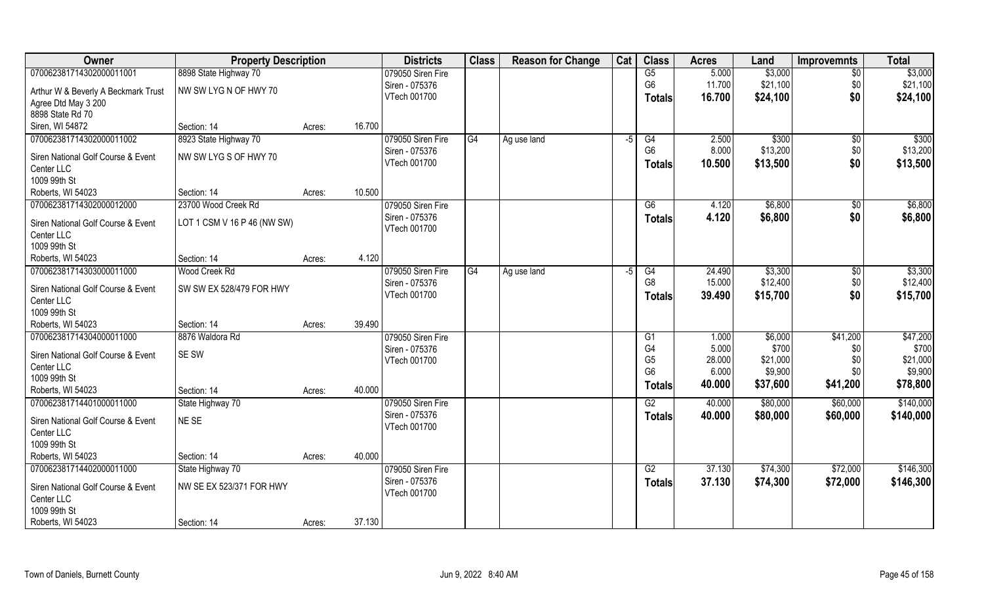| Owner                                            | <b>Property Description</b> |                  | <b>Districts</b>               | <b>Class</b> | <b>Reason for Change</b> | Cat | <b>Class</b>         | <b>Acres</b> | Land     | <b>Improvemnts</b> | <b>Total</b> |
|--------------------------------------------------|-----------------------------|------------------|--------------------------------|--------------|--------------------------|-----|----------------------|--------------|----------|--------------------|--------------|
| 070062381714302000011001                         | 8898 State Highway 70       |                  | 079050 Siren Fire              |              |                          |     | G5                   | 5.000        | \$3,000  | $\sqrt{6}$         | \$3,000      |
| Arthur W & Beverly A Beckmark Trust              | NW SW LYG N OF HWY 70       |                  | Siren - 075376                 |              |                          |     | G <sub>6</sub>       | 11.700       | \$21,100 | \$0                | \$21,100     |
| Agree Dtd May 3 200                              |                             |                  | VTech 001700                   |              |                          |     | Totals               | 16.700       | \$24,100 | \$0                | \$24,100     |
| 8898 State Rd 70                                 |                             |                  |                                |              |                          |     |                      |              |          |                    |              |
| Siren, WI 54872                                  | Section: 14                 | 16.700<br>Acres: |                                |              |                          |     |                      |              |          |                    |              |
| 070062381714302000011002                         | 8923 State Highway 70       |                  | 079050 Siren Fire              | G4           | Ag use land              | -5  | G4                   | 2.500        | \$300    | $\sqrt{$0}$        | \$300        |
|                                                  | NW SW LYG S OF HWY 70       |                  | Siren - 075376                 |              |                          |     | G <sub>6</sub>       | 8.000        | \$13,200 | \$0                | \$13,200     |
| Siren National Golf Course & Event<br>Center LLC |                             |                  | VTech 001700                   |              |                          |     | <b>Totals</b>        | 10.500       | \$13,500 | \$0                | \$13,500     |
| 1009 99th St                                     |                             |                  |                                |              |                          |     |                      |              |          |                    |              |
| Roberts, WI 54023                                | Section: 14                 | Acres:           | 10.500                         |              |                          |     |                      |              |          |                    |              |
| 070062381714302000012000                         | 23700 Wood Creek Rd         |                  | 079050 Siren Fire              |              |                          |     | G6                   | 4.120        | \$6,800  | $\sqrt{50}$        | \$6,800      |
|                                                  |                             |                  | Siren - 075376                 |              |                          |     | <b>Totals</b>        | 4.120        | \$6,800  | \$0                | \$6,800      |
| Siren National Golf Course & Event               | LOT 1 CSM V 16 P 46 (NW SW) |                  | VTech 001700                   |              |                          |     |                      |              |          |                    |              |
| Center LLC                                       |                             |                  |                                |              |                          |     |                      |              |          |                    |              |
| 1009 99th St                                     |                             |                  |                                |              |                          |     |                      |              |          |                    |              |
| Roberts, WI 54023                                | Section: 14                 | Acres:           | 4.120                          |              |                          |     |                      |              |          |                    |              |
| 070062381714303000011000                         | Wood Creek Rd               |                  | 079050 Siren Fire              | G4           | Ag use land              | -5  | G4<br>G <sub>8</sub> | 24.490       | \$3,300  | \$0                | \$3,300      |
| Siren National Golf Course & Event               | SW SW EX 528/479 FOR HWY    |                  | Siren - 075376<br>VTech 001700 |              |                          |     |                      | 15.000       | \$12,400 | \$0                | \$12,400     |
| Center LLC                                       |                             |                  |                                |              |                          |     | <b>Totals</b>        | 39.490       | \$15,700 | \$0                | \$15,700     |
| 1009 99th St                                     |                             |                  |                                |              |                          |     |                      |              |          |                    |              |
| Roberts, WI 54023                                | Section: 14                 | Acres:           | 39.490                         |              |                          |     |                      |              |          |                    |              |
| 070062381714304000011000                         | 8876 Waldora Rd             |                  | 079050 Siren Fire              |              |                          |     | G1                   | 1.000        | \$6,000  | \$41,200           | \$47,200     |
| Siren National Golf Course & Event               | SE SW                       |                  | Siren - 075376                 |              |                          |     | G4                   | 5.000        | \$700    | \$0                | \$700        |
| Center LLC                                       |                             |                  | VTech 001700                   |              |                          |     | G <sub>5</sub>       | 28.000       | \$21,000 | \$0                | \$21,000     |
| 1009 99th St                                     |                             |                  |                                |              |                          |     | G <sub>6</sub>       | 6.000        | \$9,900  | \$0                | \$9,900      |
| Roberts, WI 54023                                | Section: 14                 | 40.000<br>Acres: |                                |              |                          |     | <b>Totals</b>        | 40.000       | \$37,600 | \$41,200           | \$78,800     |
| 070062381714401000011000                         | State Highway 70            |                  | 079050 Siren Fire              |              |                          |     | G2                   | 40.000       | \$80,000 | \$60,000           | \$140,000    |
| Siren National Golf Course & Event               | NE SE                       |                  | Siren - 075376                 |              |                          |     | <b>Totals</b>        | 40.000       | \$80,000 | \$60,000           | \$140,000    |
| Center LLC                                       |                             |                  | VTech 001700                   |              |                          |     |                      |              |          |                    |              |
| 1009 99th St                                     |                             |                  |                                |              |                          |     |                      |              |          |                    |              |
| Roberts, WI 54023                                | Section: 14                 | 40.000<br>Acres: |                                |              |                          |     |                      |              |          |                    |              |
| 070062381714402000011000                         | State Highway 70            |                  | 079050 Siren Fire              |              |                          |     | G2                   | 37.130       | \$74,300 | \$72,000           | \$146,300    |
|                                                  |                             |                  | Siren - 075376                 |              |                          |     | <b>Totals</b>        | 37.130       | \$74,300 | \$72,000           | \$146,300    |
| Siren National Golf Course & Event               | NW SE EX 523/371 FOR HWY    |                  | VTech 001700                   |              |                          |     |                      |              |          |                    |              |
| Center LLC<br>1009 99th St                       |                             |                  |                                |              |                          |     |                      |              |          |                    |              |
|                                                  |                             |                  |                                |              |                          |     |                      |              |          |                    |              |
| Roberts, WI 54023                                | Section: 14                 | 37.130<br>Acres: |                                |              |                          |     |                      |              |          |                    |              |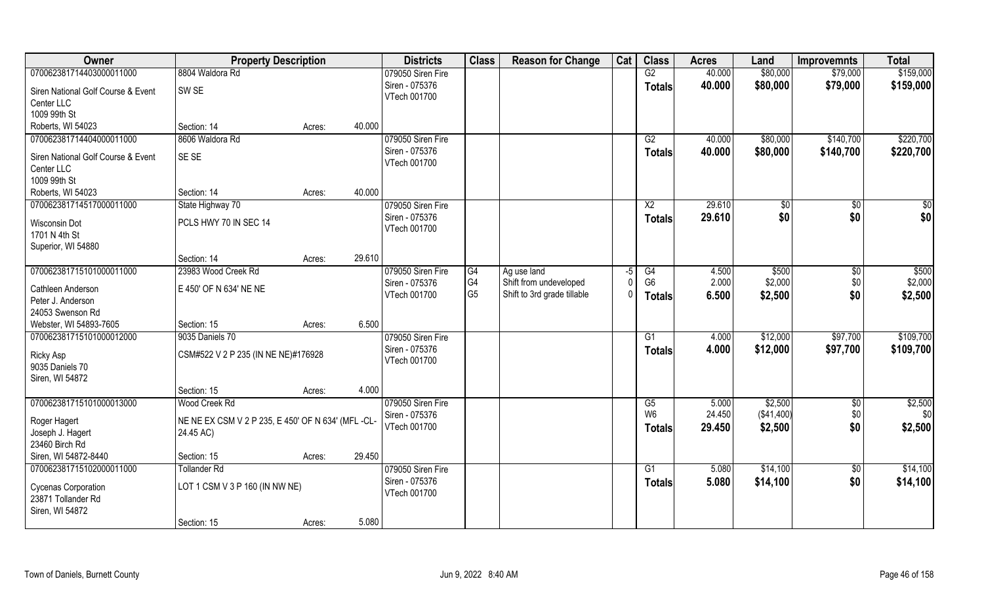| 070062381714403000011000<br>8804 Waldora Rd<br>079050 Siren Fire<br>G2<br>40.000<br>\$80,000<br>\$79,000<br>Siren - 075376<br>40.000<br>\$80,000<br>\$79,000<br><b>Totals</b><br>SW <sub>SE</sub><br>Siren National Golf Course & Event<br>VTech 001700<br>Center LLC<br>1009 99th St<br>Roberts, WI 54023<br>Section: 14<br>40.000<br>Acres:<br>079050 Siren Fire<br>070062381714404000011000<br>8606 Waldora Rd<br>\$80,000<br>\$140,700<br>G2<br>40.000<br>Siren - 075376<br>40.000<br>\$80,000<br>\$140,700<br><b>Totals</b><br>SE SE<br>Siren National Golf Course & Event<br>VTech 001700<br>Center LLC<br>1009 99th St | Owner             | <b>Property Description</b> |        |        | <b>Districts</b> | <b>Class</b> | <b>Reason for Change</b> | Cat | <b>Class</b> | <b>Acres</b> | Land | <b>Improvemnts</b> | <b>Total</b> |
|-------------------------------------------------------------------------------------------------------------------------------------------------------------------------------------------------------------------------------------------------------------------------------------------------------------------------------------------------------------------------------------------------------------------------------------------------------------------------------------------------------------------------------------------------------------------------------------------------------------------------------|-------------------|-----------------------------|--------|--------|------------------|--------------|--------------------------|-----|--------------|--------------|------|--------------------|--------------|
|                                                                                                                                                                                                                                                                                                                                                                                                                                                                                                                                                                                                                               |                   |                             |        |        |                  |              |                          |     |              |              |      |                    | \$159,000    |
|                                                                                                                                                                                                                                                                                                                                                                                                                                                                                                                                                                                                                               |                   |                             |        |        |                  |              |                          |     |              |              |      |                    | \$159,000    |
|                                                                                                                                                                                                                                                                                                                                                                                                                                                                                                                                                                                                                               |                   |                             |        |        |                  |              |                          |     |              |              |      |                    |              |
|                                                                                                                                                                                                                                                                                                                                                                                                                                                                                                                                                                                                                               |                   |                             |        |        |                  |              |                          |     |              |              |      |                    |              |
|                                                                                                                                                                                                                                                                                                                                                                                                                                                                                                                                                                                                                               |                   |                             |        |        |                  |              |                          |     |              |              |      |                    |              |
|                                                                                                                                                                                                                                                                                                                                                                                                                                                                                                                                                                                                                               |                   |                             |        |        |                  |              |                          |     |              |              |      |                    | \$220,700    |
|                                                                                                                                                                                                                                                                                                                                                                                                                                                                                                                                                                                                                               |                   |                             |        |        |                  |              |                          |     |              |              |      |                    | \$220,700    |
|                                                                                                                                                                                                                                                                                                                                                                                                                                                                                                                                                                                                                               |                   |                             |        |        |                  |              |                          |     |              |              |      |                    |              |
|                                                                                                                                                                                                                                                                                                                                                                                                                                                                                                                                                                                                                               |                   |                             |        |        |                  |              |                          |     |              |              |      |                    |              |
|                                                                                                                                                                                                                                                                                                                                                                                                                                                                                                                                                                                                                               | Roberts, WI 54023 | Section: 14                 | Acres: | 40.000 |                  |              |                          |     |              |              |      |                    |              |
| 070062381714517000011000<br>079050 Siren Fire<br>$\overline{X2}$<br>29.610<br>State Highway 70<br>\$0<br>\$0                                                                                                                                                                                                                                                                                                                                                                                                                                                                                                                  |                   |                             |        |        |                  |              |                          |     |              |              |      |                    | \$0          |
| \$0<br>Siren - 075376<br>\$0<br>29.610<br><b>Totals</b><br>PCLS HWY 70 IN SEC 14<br>Wisconsin Dot                                                                                                                                                                                                                                                                                                                                                                                                                                                                                                                             |                   |                             |        |        |                  |              |                          |     |              |              |      |                    | \$0          |
| VTech 001700<br>1701 N 4th St                                                                                                                                                                                                                                                                                                                                                                                                                                                                                                                                                                                                 |                   |                             |        |        |                  |              |                          |     |              |              |      |                    |              |
| Superior, WI 54880                                                                                                                                                                                                                                                                                                                                                                                                                                                                                                                                                                                                            |                   |                             |        |        |                  |              |                          |     |              |              |      |                    |              |
| 29.610<br>Section: 14<br>Acres:                                                                                                                                                                                                                                                                                                                                                                                                                                                                                                                                                                                               |                   |                             |        |        |                  |              |                          |     |              |              |      |                    |              |
| 070062381715101000011000<br>23983 Wood Creek Rd<br>079050 Siren Fire<br>\$500<br>G4<br>Ag use land<br>$-5$<br>G4<br>4.500<br>\$0                                                                                                                                                                                                                                                                                                                                                                                                                                                                                              |                   |                             |        |        |                  |              |                          |     |              |              |      |                    | \$500        |
| G <sub>6</sub><br>2.000<br>\$2,000<br>G4<br>\$0<br>Shift from undeveloped<br>Siren - 075376<br>E 450' OF N 634' NE NE<br>Cathleen Anderson                                                                                                                                                                                                                                                                                                                                                                                                                                                                                    |                   |                             |        |        |                  |              |                          |     |              |              |      |                    | \$2,000      |
| G <sub>5</sub><br>\$0<br>Shift to 3rd grade tillable<br>VTech 001700<br>6.500<br>\$2,500<br><b>Totals</b><br>Peter J. Anderson                                                                                                                                                                                                                                                                                                                                                                                                                                                                                                |                   |                             |        |        |                  |              |                          |     |              |              |      |                    | \$2,500      |
| 24053 Swenson Rd                                                                                                                                                                                                                                                                                                                                                                                                                                                                                                                                                                                                              |                   |                             |        |        |                  |              |                          |     |              |              |      |                    |              |
| 6.500<br>Webster, WI 54893-7605<br>Section: 15<br>Acres:                                                                                                                                                                                                                                                                                                                                                                                                                                                                                                                                                                      |                   |                             |        |        |                  |              |                          |     |              |              |      |                    |              |
| \$97,700<br>070062381715101000012000<br>9035 Daniels 70<br>079050 Siren Fire<br>G1<br>4.000<br>\$12,000                                                                                                                                                                                                                                                                                                                                                                                                                                                                                                                       |                   |                             |        |        |                  |              |                          |     |              |              |      |                    | \$109,700    |
| Siren - 075376<br>4.000<br>\$12,000<br>\$97,700<br><b>Totals</b>                                                                                                                                                                                                                                                                                                                                                                                                                                                                                                                                                              |                   |                             |        |        |                  |              |                          |     |              |              |      |                    | \$109,700    |
| CSM#522 V 2 P 235 (IN NE NE)#176928<br>Ricky Asp<br>VTech 001700<br>9035 Daniels 70                                                                                                                                                                                                                                                                                                                                                                                                                                                                                                                                           |                   |                             |        |        |                  |              |                          |     |              |              |      |                    |              |
| Siren, WI 54872                                                                                                                                                                                                                                                                                                                                                                                                                                                                                                                                                                                                               |                   |                             |        |        |                  |              |                          |     |              |              |      |                    |              |
| 4.000<br>Section: 15<br>Acres:                                                                                                                                                                                                                                                                                                                                                                                                                                                                                                                                                                                                |                   |                             |        |        |                  |              |                          |     |              |              |      |                    |              |
| 070062381715101000013000<br><b>Wood Creek Rd</b><br>079050 Siren Fire<br>G5<br>5.000<br>\$2,500<br>\$0                                                                                                                                                                                                                                                                                                                                                                                                                                                                                                                        |                   |                             |        |        |                  |              |                          |     |              |              |      |                    | \$2,500      |
| \$0<br>W <sub>6</sub><br>24.450<br>(\$41,400)<br>Siren - 075376                                                                                                                                                                                                                                                                                                                                                                                                                                                                                                                                                               |                   |                             |        |        |                  |              |                          |     |              |              |      |                    | \$0          |
| Roger Hagert<br>NE NE EX CSM V 2 P 235, E 450' OF N 634' (MFL -CL-<br>\$0<br>VTech 001700<br>29.450<br>\$2,500<br><b>Totals</b>                                                                                                                                                                                                                                                                                                                                                                                                                                                                                               |                   |                             |        |        |                  |              |                          |     |              |              |      |                    | \$2,500      |
| Joseph J. Hagert<br>24.45 AC)<br>23460 Birch Rd                                                                                                                                                                                                                                                                                                                                                                                                                                                                                                                                                                               |                   |                             |        |        |                  |              |                          |     |              |              |      |                    |              |
| Siren, WI 54872-8440<br>29.450<br>Section: 15<br>Acres:                                                                                                                                                                                                                                                                                                                                                                                                                                                                                                                                                                       |                   |                             |        |        |                  |              |                          |     |              |              |      |                    |              |
| 070062381715102000011000<br>079050 Siren Fire<br>\$14,100<br><b>Tollander Rd</b><br>G1<br>5.080<br>$\sqrt{6}$                                                                                                                                                                                                                                                                                                                                                                                                                                                                                                                 |                   |                             |        |        |                  |              |                          |     |              |              |      |                    | \$14,100     |
| \$0<br>Siren - 075376<br>\$14,100<br>5.080<br><b>Totals</b>                                                                                                                                                                                                                                                                                                                                                                                                                                                                                                                                                                   |                   |                             |        |        |                  |              |                          |     |              |              |      |                    | \$14,100     |
| LOT 1 CSM V 3 P 160 (IN NW NE)<br>Cycenas Corporation<br>VTech 001700<br>23871 Tollander Rd                                                                                                                                                                                                                                                                                                                                                                                                                                                                                                                                   |                   |                             |        |        |                  |              |                          |     |              |              |      |                    |              |
| Siren, WI 54872                                                                                                                                                                                                                                                                                                                                                                                                                                                                                                                                                                                                               |                   |                             |        |        |                  |              |                          |     |              |              |      |                    |              |
| 5.080<br>Section: 15<br>Acres:                                                                                                                                                                                                                                                                                                                                                                                                                                                                                                                                                                                                |                   |                             |        |        |                  |              |                          |     |              |              |      |                    |              |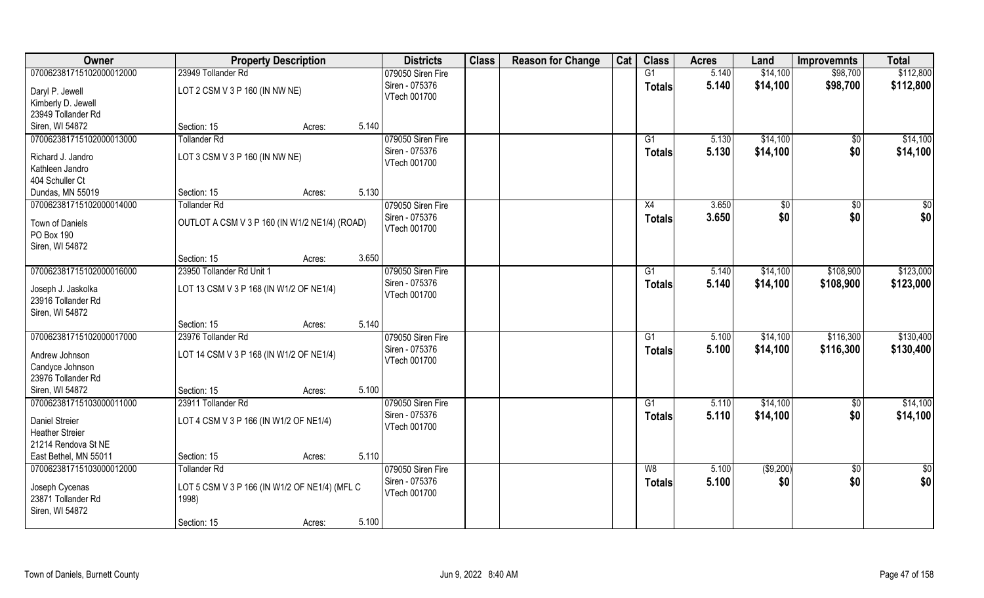| Owner                                | <b>Property Description</b>                            | <b>Districts</b>  | <b>Class</b> | <b>Reason for Change</b> | Cat | <b>Class</b>  | <b>Acres</b> | Land         | <b>Improvemnts</b> | <b>Total</b> |
|--------------------------------------|--------------------------------------------------------|-------------------|--------------|--------------------------|-----|---------------|--------------|--------------|--------------------|--------------|
| 070062381715102000012000             | 23949 Tollander Rd                                     | 079050 Siren Fire |              |                          |     | G1            | 5.140        | \$14,100     | \$98,700           | \$112,800    |
| Daryl P. Jewell                      | LOT 2 CSM V 3 P 160 (IN NW NE)                         | Siren - 075376    |              |                          |     | <b>Totals</b> | 5.140        | \$14,100     | \$98,700           | \$112,800    |
| Kimberly D. Jewell                   |                                                        | VTech 001700      |              |                          |     |               |              |              |                    |              |
| 23949 Tollander Rd                   |                                                        |                   |              |                          |     |               |              |              |                    |              |
| Siren, WI 54872                      | 5.140<br>Section: 15<br>Acres:                         |                   |              |                          |     |               |              |              |                    |              |
| 070062381715102000013000             | <b>Tollander Rd</b>                                    | 079050 Siren Fire |              |                          |     | G1            | 5.130        | \$14,100     | $\overline{50}$    | \$14,100     |
| Richard J. Jandro                    | LOT 3 CSM V 3 P 160 (IN NW NE)                         | Siren - 075376    |              |                          |     | <b>Totals</b> | 5.130        | \$14,100     | \$0                | \$14,100     |
| Kathleen Jandro                      |                                                        | VTech 001700      |              |                          |     |               |              |              |                    |              |
| 404 Schuller Ct                      |                                                        |                   |              |                          |     |               |              |              |                    |              |
| Dundas, MN 55019                     | 5.130<br>Section: 15<br>Acres:                         |                   |              |                          |     |               |              |              |                    |              |
| 070062381715102000014000             | <b>Tollander Rd</b>                                    | 079050 Siren Fire |              |                          |     | X4            | 3.650        | $\sqrt[6]{}$ | \$0                | \$0          |
| Town of Daniels                      | OUTLOT A CSM V 3 P 160 (IN W1/2 NE1/4) (ROAD)          | Siren - 075376    |              |                          |     | <b>Totals</b> | 3.650        | \$0          | \$0                | \$0          |
| PO Box 190                           |                                                        | VTech 001700      |              |                          |     |               |              |              |                    |              |
| Siren, WI 54872                      |                                                        |                   |              |                          |     |               |              |              |                    |              |
|                                      | 3.650<br>Section: 15<br>Acres:                         |                   |              |                          |     |               |              |              |                    |              |
| 070062381715102000016000             | 23950 Tollander Rd Unit 1                              | 079050 Siren Fire |              |                          |     | G1            | 5.140        | \$14,100     | \$108,900          | \$123,000    |
| Joseph J. Jaskolka                   | LOT 13 CSM V 3 P 168 (IN W1/2 OF NE1/4)                | Siren - 075376    |              |                          |     | <b>Totals</b> | 5.140        | \$14,100     | \$108,900          | \$123,000    |
| 23916 Tollander Rd                   |                                                        | VTech 001700      |              |                          |     |               |              |              |                    |              |
| Siren, WI 54872                      |                                                        |                   |              |                          |     |               |              |              |                    |              |
|                                      | 5.140<br>Section: 15<br>Acres:                         |                   |              |                          |     |               |              |              |                    |              |
| 070062381715102000017000             | 23976 Tollander Rd                                     | 079050 Siren Fire |              |                          |     | G1            | 5.100        | \$14,100     | \$116,300          | \$130,400    |
| Andrew Johnson                       | LOT 14 CSM V 3 P 168 (IN W1/2 OF NE1/4)                | Siren - 075376    |              |                          |     | <b>Totals</b> | 5.100        | \$14,100     | \$116,300          | \$130,400    |
| Candyce Johnson                      |                                                        | VTech 001700      |              |                          |     |               |              |              |                    |              |
| 23976 Tollander Rd                   |                                                        |                   |              |                          |     |               |              |              |                    |              |
| Siren, WI 54872                      | 5.100<br>Section: 15<br>Acres:                         |                   |              |                          |     |               |              |              |                    |              |
| 070062381715103000011000             | 23911 Tollander Rd                                     | 079050 Siren Fire |              |                          |     | G1            | 5.110        | \$14,100     | \$0                | \$14,100     |
| Daniel Streier                       | LOT 4 CSM V 3 P 166 (IN W1/2 OF NE1/4)                 | Siren - 075376    |              |                          |     | <b>Totals</b> | 5.110        | \$14,100     | \$0                | \$14,100     |
| <b>Heather Streier</b>               |                                                        | VTech 001700      |              |                          |     |               |              |              |                    |              |
| 21214 Rendova St NE                  |                                                        |                   |              |                          |     |               |              |              |                    |              |
| East Bethel, MN 55011                | 5.110<br>Section: 15<br>Acres:                         |                   |              |                          |     |               |              |              |                    |              |
| 070062381715103000012000             | <b>Tollander Rd</b>                                    | 079050 Siren Fire |              |                          |     | W8            | 5.100        | ( \$9,200)   | $\sqrt{6}$         | \$0          |
|                                      |                                                        | Siren - 075376    |              |                          |     | <b>Totals</b> | 5.100        | \$0          | \$0                | \$0          |
| Joseph Cycenas<br>23871 Tollander Rd | LOT 5 CSM V 3 P 166 (IN W1/2 OF NE1/4) (MFL C<br>1998) | VTech 001700      |              |                          |     |               |              |              |                    |              |
| Siren, WI 54872                      |                                                        |                   |              |                          |     |               |              |              |                    |              |
|                                      | 5.100<br>Section: 15<br>Acres:                         |                   |              |                          |     |               |              |              |                    |              |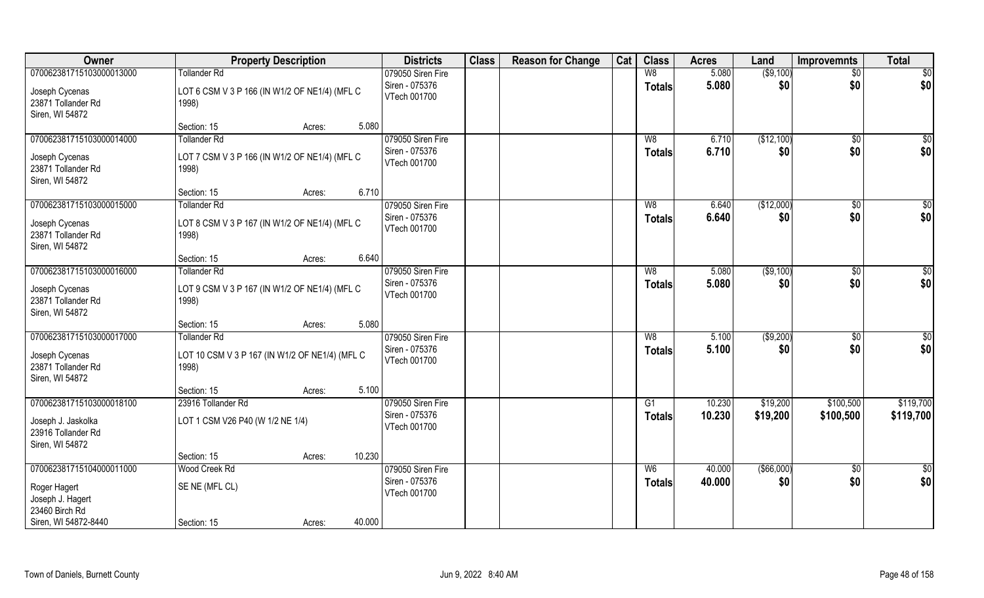| Owner                                                       | <b>Property Description</b>                             |                  | <b>Districts</b>               | <b>Class</b> | <b>Reason for Change</b> | Cat | <b>Class</b>   | <b>Acres</b> | Land          | <b>Improvemnts</b> | <b>Total</b>    |
|-------------------------------------------------------------|---------------------------------------------------------|------------------|--------------------------------|--------------|--------------------------|-----|----------------|--------------|---------------|--------------------|-----------------|
| 070062381715103000013000                                    | <b>Tollander Rd</b>                                     |                  | 079050 Siren Fire              |              |                          |     | W8             | 5.080        | ( \$9,100)    | $\sqrt{$0}$        | \$0             |
| Joseph Cycenas<br>23871 Tollander Rd<br>Siren, WI 54872     | LOT 6 CSM V 3 P 166 (IN W1/2 OF NE1/4) (MFL C<br>1998)  |                  | Siren - 075376<br>VTech 001700 |              |                          |     | <b>Totals</b>  | 5.080        | \$0           | \$0                | \$0             |
|                                                             | Section: 15                                             | 5.080<br>Acres:  |                                |              |                          |     |                |              |               |                    |                 |
| 070062381715103000014000                                    | <b>Tollander Rd</b>                                     |                  | 079050 Siren Fire              |              |                          |     | W8             | 6.710        | (\$12,100)    | $\sqrt{$0}$        | \$0             |
| Joseph Cycenas<br>23871 Tollander Rd<br>Siren, WI 54872     | LOT 7 CSM V 3 P 166 (IN W1/2 OF NE1/4) (MFL C<br>1998)  |                  | Siren - 075376<br>VTech 001700 |              |                          |     | <b>Totals</b>  | 6.710        | \$0           | \$0                | \$0             |
|                                                             | Section: 15                                             | 6.710<br>Acres:  |                                |              |                          |     |                |              |               |                    |                 |
| 070062381715103000015000                                    | <b>Tollander Rd</b>                                     |                  | 079050 Siren Fire              |              |                          |     | W <sub>8</sub> | 6.640        | (\$12,000)    | $\sqrt{50}$        | $\sqrt{50}$     |
| Joseph Cycenas<br>23871 Tollander Rd<br>Siren, WI 54872     | LOT 8 CSM V 3 P 167 (IN W1/2 OF NE1/4) (MFL C<br>1998)  |                  | Siren - 075376<br>VTech 001700 |              |                          |     | <b>Totals</b>  | 6.640        | \$0           | \$0                | \$0             |
|                                                             | Section: 15                                             | 6.640<br>Acres:  |                                |              |                          |     |                |              |               |                    |                 |
| 070062381715103000016000                                    | <b>Tollander Rd</b>                                     |                  | 079050 Siren Fire              |              |                          |     | W <sub>8</sub> | 5.080        | ( \$9,100)    | $\sqrt[6]{3}$      | \$0             |
| Joseph Cycenas<br>23871 Tollander Rd<br>Siren, WI 54872     | LOT 9 CSM V 3 P 167 (IN W1/2 OF NE1/4) (MFL C<br>1998)  |                  | Siren - 075376<br>VTech 001700 |              |                          |     | <b>Totals</b>  | 5.080        | \$0           | \$0                | \$0             |
|                                                             | Section: 15                                             | 5.080<br>Acres:  |                                |              |                          |     |                |              |               |                    |                 |
| 070062381715103000017000                                    | <b>Tollander Rd</b>                                     |                  | 079050 Siren Fire              |              |                          |     | W8             | 5.100        | ( \$9,200)    | $\overline{50}$    | $\overline{50}$ |
| Joseph Cycenas<br>23871 Tollander Rd<br>Siren, WI 54872     | LOT 10 CSM V 3 P 167 (IN W1/2 OF NE1/4) (MFL C<br>1998) |                  | Siren - 075376<br>VTech 001700 |              |                          |     | <b>Totals</b>  | 5.100        | \$0           | \$0                | \$0             |
|                                                             | Section: 15                                             | 5.100<br>Acres:  |                                |              |                          |     |                |              |               |                    |                 |
| 070062381715103000018100                                    | 23916 Tollander Rd                                      |                  | 079050 Siren Fire              |              |                          |     | G1             | 10.230       | \$19,200      | \$100,500          | \$119,700       |
| Joseph J. Jaskolka<br>23916 Tollander Rd<br>Siren, WI 54872 | LOT 1 CSM V26 P40 (W 1/2 NE 1/4)                        |                  | Siren - 075376<br>VTech 001700 |              |                          |     | <b>Totals</b>  | 10.230       | \$19,200      | \$100,500          | \$119,700       |
|                                                             | Section: 15                                             | 10.230<br>Acres: |                                |              |                          |     |                |              |               |                    |                 |
| 070062381715104000011000                                    | Wood Creek Rd                                           |                  | 079050 Siren Fire              |              |                          |     | W <sub>6</sub> | 40.000       | $($ \$66,000) | $\sqrt{$0}$        | $\overline{50}$ |
| Roger Hagert<br>Joseph J. Hagert<br>23460 Birch Rd          | SE NE (MFL CL)                                          |                  | Siren - 075376<br>VTech 001700 |              |                          |     | <b>Totals</b>  | 40.000       | \$0           | \$0                | \$0             |
| Siren, WI 54872-8440                                        | Section: 15                                             | 40.000<br>Acres: |                                |              |                          |     |                |              |               |                    |                 |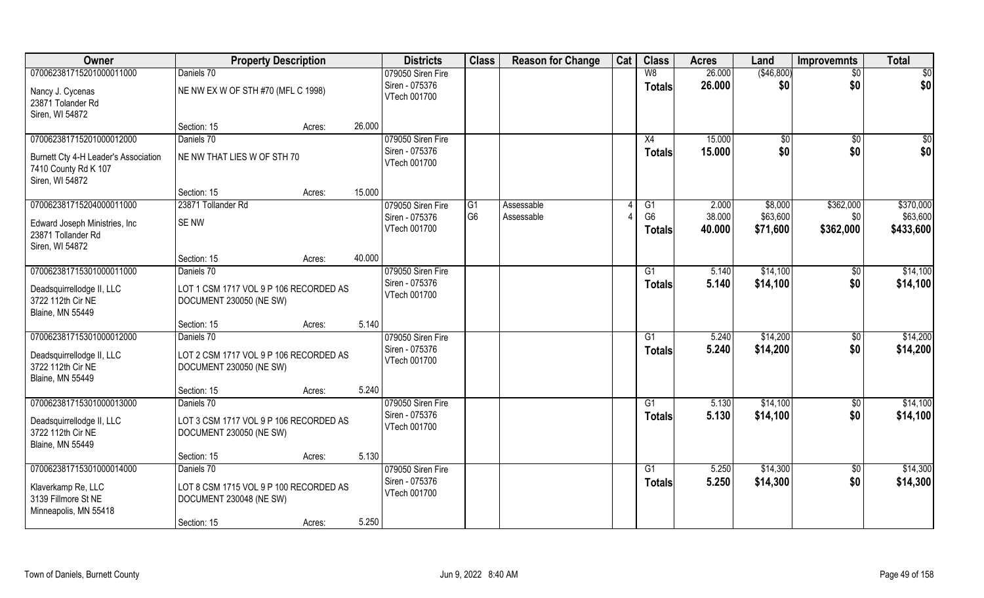| Owner                                                                           | <b>Property Description</b>                                       |        |        | <b>Districts</b>               | <b>Class</b>   | <b>Reason for Change</b> | Cat | <b>Class</b>                    | <b>Acres</b>     | Land                 | <b>Improvemnts</b> | <b>Total</b>          |
|---------------------------------------------------------------------------------|-------------------------------------------------------------------|--------|--------|--------------------------------|----------------|--------------------------|-----|---------------------------------|------------------|----------------------|--------------------|-----------------------|
| 070062381715201000011000                                                        | Daniels 70                                                        |        |        | 079050 Siren Fire              |                |                          |     | W8                              | 26.000           | (\$46,800)           | $\sqrt{$0}$        | $\overline{50}$       |
| Nancy J. Cycenas<br>23871 Tolander Rd<br>Siren, WI 54872                        | NE NW EX W OF STH #70 (MFL C 1998)                                |        |        | Siren - 075376<br>VTech 001700 |                |                          |     | <b>Totals</b>                   | 26.000           | \$0                  | \$0                | \$0                   |
|                                                                                 | Section: 15                                                       | Acres: | 26.000 |                                |                |                          |     |                                 |                  |                      |                    |                       |
| 070062381715201000012000                                                        | Daniels 70                                                        |        |        | 079050 Siren Fire              |                |                          |     | X4                              | 15.000           | \$0                  | \$0                | $\sqrt{50}$           |
| Burnett Cty 4-H Leader's Association<br>7410 County Rd K 107<br>Siren, WI 54872 | NE NW THAT LIES W OF STH 70                                       |        |        | Siren - 075376<br>VTech 001700 |                |                          |     | <b>Totals</b>                   | 15.000           | \$0                  | \$0                | \$0                   |
|                                                                                 | Section: 15                                                       | Acres: | 15.000 |                                |                |                          |     |                                 |                  |                      |                    |                       |
| 070062381715204000011000                                                        | 23871 Tollander Rd                                                |        |        | 079050 Siren Fire              | G <sub>1</sub> | Assessable               |     | G1                              | 2.000            | \$8,000              | \$362,000          | \$370,000             |
| Edward Joseph Ministries, Inc.<br>23871 Tollander Rd<br>Siren, WI 54872         | <b>SENW</b>                                                       |        |        | Siren - 075376<br>VTech 001700 | G <sub>6</sub> | Assessable               |     | G <sub>6</sub><br><b>Totals</b> | 38.000<br>40.000 | \$63,600<br>\$71,600 | \$0<br>\$362,000   | \$63,600<br>\$433,600 |
|                                                                                 | Section: 15                                                       | Acres: | 40.000 |                                |                |                          |     |                                 |                  |                      |                    |                       |
| 070062381715301000011000                                                        | Daniels 70                                                        |        |        | 079050 Siren Fire              |                |                          |     | G1                              | 5.140            | \$14,100             | $\sqrt[6]{3}$      | \$14,100              |
| Deadsquirrellodge II, LLC<br>3722 112th Cir NE<br><b>Blaine, MN 55449</b>       | LOT 1 CSM 1717 VOL 9 P 106 RECORDED AS<br>DOCUMENT 230050 (NE SW) |        |        | Siren - 075376<br>VTech 001700 |                |                          |     | <b>Totals</b>                   | 5.140            | \$14,100             | \$0                | \$14,100              |
|                                                                                 | Section: 15                                                       | Acres: | 5.140  |                                |                |                          |     |                                 |                  |                      |                    |                       |
| 070062381715301000012000                                                        | Daniels 70                                                        |        |        | 079050 Siren Fire              |                |                          |     | G <sub>1</sub>                  | 5.240            | \$14,200             | $\sqrt[6]{30}$     | \$14,200              |
| Deadsquirrellodge II, LLC<br>3722 112th Cir NE<br><b>Blaine, MN 55449</b>       | LOT 2 CSM 1717 VOL 9 P 106 RECORDED AS<br>DOCUMENT 230050 (NE SW) |        |        | Siren - 075376<br>VTech 001700 |                |                          |     | <b>Totals</b>                   | 5.240            | \$14,200             | \$0                | \$14,200              |
|                                                                                 | Section: 15                                                       | Acres: | 5.240  |                                |                |                          |     |                                 |                  |                      |                    |                       |
| 070062381715301000013000                                                        | Daniels 70                                                        |        |        | 079050 Siren Fire              |                |                          |     | G1                              | 5.130            | \$14,100             | $\sqrt{$0}$        | \$14,100              |
| Deadsquirrellodge II, LLC<br>3722 112th Cir NE<br><b>Blaine, MN 55449</b>       | LOT 3 CSM 1717 VOL 9 P 106 RECORDED AS<br>DOCUMENT 230050 (NE SW) |        |        | Siren - 075376<br>VTech 001700 |                |                          |     | <b>Totals</b>                   | 5.130            | \$14,100             | \$0                | \$14,100              |
|                                                                                 | Section: 15                                                       | Acres: | 5.130  |                                |                |                          |     |                                 |                  |                      |                    |                       |
| 070062381715301000014000                                                        | Daniels 70                                                        |        |        | 079050 Siren Fire              |                |                          |     | G1                              | 5.250            | \$14,300             | $\sqrt{$0}$        | \$14,300              |
| Klaverkamp Re, LLC<br>3139 Fillmore St NE<br>Minneapolis, MN 55418              | LOT 8 CSM 1715 VOL 9 P 100 RECORDED AS<br>DOCUMENT 230048 (NE SW) |        |        | Siren - 075376<br>VTech 001700 |                |                          |     | <b>Totals</b>                   | 5.250            | \$14,300             | \$0                | \$14,300              |
|                                                                                 | Section: 15                                                       | Acres: | 5.250  |                                |                |                          |     |                                 |                  |                      |                    |                       |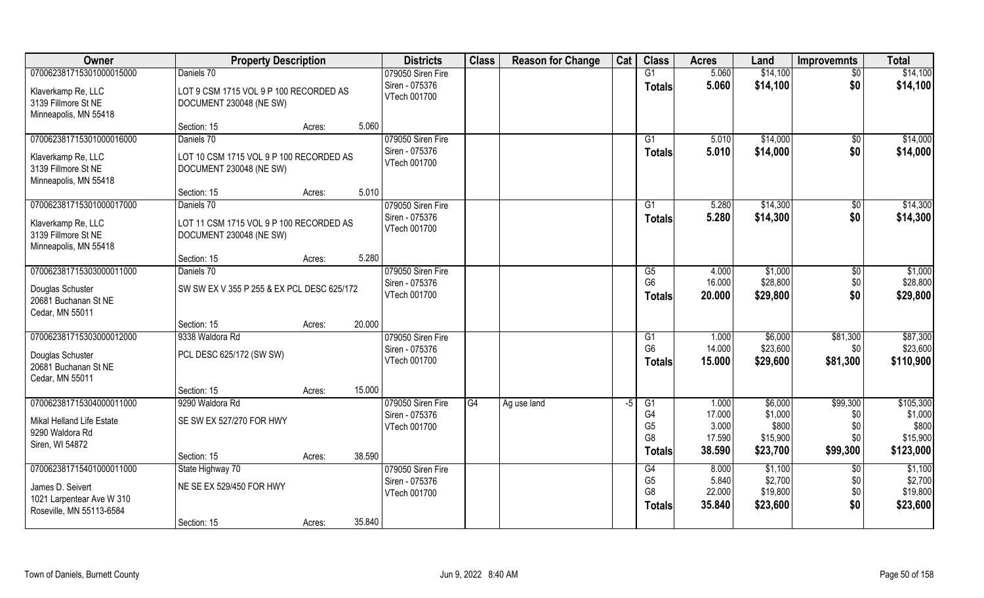| Owner                                    | <b>Property Description</b>                |                  | <b>Districts</b>  | <b>Class</b> | <b>Reason for Change</b> | Cat | <b>Class</b>   | <b>Acres</b> | Land     | <b>Improvemnts</b> | <b>Total</b> |
|------------------------------------------|--------------------------------------------|------------------|-------------------|--------------|--------------------------|-----|----------------|--------------|----------|--------------------|--------------|
| 070062381715301000015000                 | Daniels 70                                 |                  | 079050 Siren Fire |              |                          |     | G1             | 5.060        | \$14,100 | \$0                | \$14,100     |
| Klaverkamp Re, LLC                       | LOT 9 CSM 1715 VOL 9 P 100 RECORDED AS     |                  | Siren - 075376    |              |                          |     | <b>Totals</b>  | 5.060        | \$14,100 | \$0                | \$14,100     |
| 3139 Fillmore St NE                      | DOCUMENT 230048 (NE SW)                    |                  | VTech 001700      |              |                          |     |                |              |          |                    |              |
| Minneapolis, MN 55418                    |                                            |                  |                   |              |                          |     |                |              |          |                    |              |
|                                          | Section: 15                                | 5.060<br>Acres:  |                   |              |                          |     |                |              |          |                    |              |
| 070062381715301000016000                 | Daniels 70                                 |                  | 079050 Siren Fire |              |                          |     | G <sub>1</sub> | 5.010        | \$14,000 | \$0                | \$14,000     |
| Klaverkamp Re, LLC                       | LOT 10 CSM 1715 VOL 9 P 100 RECORDED AS    |                  | Siren - 075376    |              |                          |     | <b>Totals</b>  | 5.010        | \$14,000 | \$0                | \$14,000     |
| 3139 Fillmore St NE                      | DOCUMENT 230048 (NE SW)                    |                  | VTech 001700      |              |                          |     |                |              |          |                    |              |
| Minneapolis, MN 55418                    |                                            |                  |                   |              |                          |     |                |              |          |                    |              |
|                                          | Section: 15                                | 5.010<br>Acres:  |                   |              |                          |     |                |              |          |                    |              |
| 070062381715301000017000                 | Daniels 70                                 |                  | 079050 Siren Fire |              |                          |     | G1             | 5.280        | \$14,300 | \$0                | \$14,300     |
| Klaverkamp Re, LLC                       | LOT 11 CSM 1715 VOL 9 P 100 RECORDED AS    |                  | Siren - 075376    |              |                          |     | <b>Totals</b>  | 5.280        | \$14,300 | \$0                | \$14,300     |
| 3139 Fillmore St NE                      | DOCUMENT 230048 (NE SW)                    |                  | VTech 001700      |              |                          |     |                |              |          |                    |              |
| Minneapolis, MN 55418                    |                                            |                  |                   |              |                          |     |                |              |          |                    |              |
|                                          | Section: 15                                | 5.280<br>Acres:  |                   |              |                          |     |                |              |          |                    |              |
| 070062381715303000011000                 | Daniels 70                                 |                  | 079050 Siren Fire |              |                          |     | G5             | 4.000        | \$1,000  | \$0                | \$1,000      |
| Douglas Schuster                         | SW SW EX V 355 P 255 & EX PCL DESC 625/172 |                  | Siren - 075376    |              |                          |     | G <sub>6</sub> | 16.000       | \$28,800 | \$0                | \$28,800     |
| 20681 Buchanan St NE                     |                                            |                  | VTech 001700      |              |                          |     | <b>Totals</b>  | 20.000       | \$29,800 | \$0                | \$29,800     |
| Cedar, MN 55011                          |                                            |                  |                   |              |                          |     |                |              |          |                    |              |
|                                          | Section: 15                                | 20.000<br>Acres: |                   |              |                          |     |                |              |          |                    |              |
| 070062381715303000012000                 | 9338 Waldora Rd                            |                  | 079050 Siren Fire |              |                          |     | G1             | 1.000        | \$6,000  | \$81,300           | \$87,300     |
|                                          |                                            |                  | Siren - 075376    |              |                          |     | G <sub>6</sub> | 14.000       | \$23,600 | \$0                | \$23,600     |
| Douglas Schuster<br>20681 Buchanan St NE | PCL DESC 625/172 (SW SW)                   |                  | VTech 001700      |              |                          |     | <b>Totals</b>  | 15.000       | \$29,600 | \$81,300           | \$110,900    |
| Cedar, MN 55011                          |                                            |                  |                   |              |                          |     |                |              |          |                    |              |
|                                          | Section: 15                                | 15.000<br>Acres: |                   |              |                          |     |                |              |          |                    |              |
| 070062381715304000011000                 | 9290 Waldora Rd                            |                  | 079050 Siren Fire | G4           | Ag use land              | -5  | G1             | 1.000        | \$6,000  | \$99,300           | \$105,300    |
|                                          |                                            |                  | Siren - 075376    |              |                          |     | G4             | 17.000       | \$1,000  | \$0                | \$1,000      |
| Mikal Helland Life Estate                | SE SW EX 527/270 FOR HWY                   |                  | VTech 001700      |              |                          |     | G <sub>5</sub> | 3.000        | \$800    | \$0                | \$800        |
| 9290 Waldora Rd<br>Siren, WI 54872       |                                            |                  |                   |              |                          |     | G <sub>8</sub> | 17.590       | \$15,900 | \$0                | \$15,900     |
|                                          | Section: 15                                | 38.590<br>Acres: |                   |              |                          |     | <b>Totals</b>  | 38.590       | \$23,700 | \$99,300           | \$123,000    |
| 070062381715401000011000                 | State Highway 70                           |                  | 079050 Siren Fire |              |                          |     | G4             | 8.000        | \$1,100  | $\overline{50}$    | \$1,100      |
|                                          |                                            |                  | Siren - 075376    |              |                          |     | G <sub>5</sub> | 5.840        | \$2,700  | \$0                | \$2,700      |
| James D. Seivert                         | NE SE EX 529/450 FOR HWY                   |                  | VTech 001700      |              |                          |     | G <sub>8</sub> | 22.000       | \$19,800 | \$0                | \$19,800     |
| 1021 Larpentear Ave W 310                |                                            |                  |                   |              |                          |     | <b>Totals</b>  | 35.840       | \$23,600 | \$0                | \$23,600     |
| Roseville, MN 55113-6584                 |                                            |                  |                   |              |                          |     |                |              |          |                    |              |
|                                          | Section: 15                                | 35.840<br>Acres: |                   |              |                          |     |                |              |          |                    |              |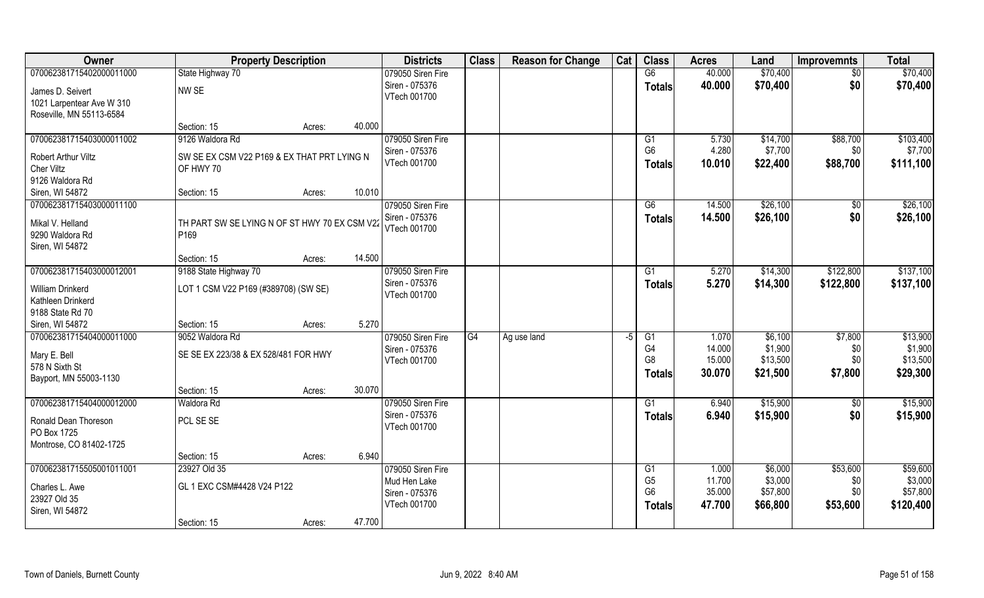| Owner                          | <b>Property Description</b>                   |                  | <b>Districts</b>  | <b>Class</b> | <b>Reason for Change</b> | Cat  | <b>Class</b>   | <b>Acres</b> | Land     | <b>Improvemnts</b> | <b>Total</b> |
|--------------------------------|-----------------------------------------------|------------------|-------------------|--------------|--------------------------|------|----------------|--------------|----------|--------------------|--------------|
| 070062381715402000011000       | State Highway 70                              |                  | 079050 Siren Fire |              |                          |      | G6             | 40.000       | \$70,400 | $\sqrt{6}$         | \$70,400     |
| James D. Seivert               | NW SE                                         |                  | Siren - 075376    |              |                          |      | <b>Totals</b>  | 40.000       | \$70,400 | \$0                | \$70,400     |
| 1021 Larpentear Ave W 310      |                                               |                  | VTech 001700      |              |                          |      |                |              |          |                    |              |
| Roseville, MN 55113-6584       |                                               |                  |                   |              |                          |      |                |              |          |                    |              |
|                                | Section: 15                                   | 40.000<br>Acres: |                   |              |                          |      |                |              |          |                    |              |
| 070062381715403000011002       | 9126 Waldora Rd                               |                  | 079050 Siren Fire |              |                          |      | G1             | 5.730        | \$14,700 | \$88,700           | \$103,400    |
| Robert Arthur Viltz            | SW SE EX CSM V22 P169 & EX THAT PRT LYING N   |                  | Siren - 075376    |              |                          |      | G <sub>6</sub> | 4.280        | \$7,700  | \$0                | \$7,700      |
| Cher Viltz                     | OF HWY 70                                     |                  | VTech 001700      |              |                          |      | <b>Totals</b>  | 10.010       | \$22,400 | \$88,700           | \$111,100    |
| 9126 Waldora Rd                |                                               |                  |                   |              |                          |      |                |              |          |                    |              |
| Siren, WI 54872                | Section: 15                                   | 10.010<br>Acres: |                   |              |                          |      |                |              |          |                    |              |
| 070062381715403000011100       |                                               |                  | 079050 Siren Fire |              |                          |      | G6             | 14.500       | \$26,100 | \$0                | \$26,100     |
| Mikal V. Helland               | TH PART SW SE LYING N OF ST HWY 70 EX CSM V22 |                  | Siren - 075376    |              |                          |      | <b>Totals</b>  | 14.500       | \$26,100 | \$0                | \$26,100     |
| 9290 Waldora Rd                | P169                                          |                  | VTech 001700      |              |                          |      |                |              |          |                    |              |
| Siren, WI 54872                |                                               |                  |                   |              |                          |      |                |              |          |                    |              |
|                                | Section: 15                                   | 14.500<br>Acres: |                   |              |                          |      |                |              |          |                    |              |
| 070062381715403000012001       | 9188 State Highway 70                         |                  | 079050 Siren Fire |              |                          |      | G1             | 5.270        | \$14,300 | \$122,800          | \$137,100    |
| William Drinkerd               | LOT 1 CSM V22 P169 (#389708) (SW SE)          |                  | Siren - 075376    |              |                          |      | <b>Totals</b>  | 5.270        | \$14,300 | \$122,800          | \$137,100    |
| Kathleen Drinkerd              |                                               |                  | VTech 001700      |              |                          |      |                |              |          |                    |              |
| 9188 State Rd 70               |                                               |                  |                   |              |                          |      |                |              |          |                    |              |
| Siren, WI 54872                | Section: 15                                   | 5.270<br>Acres:  |                   |              |                          |      |                |              |          |                    |              |
| 070062381715404000011000       | 9052 Waldora Rd                               |                  | 079050 Siren Fire | G4           | Ag use land              | $-5$ | G1             | 1.070        | \$6,100  | \$7,800            | \$13,900     |
| Mary E. Bell                   | SE SE EX 223/38 & EX 528/481 FOR HWY          |                  | Siren - 075376    |              |                          |      | G <sub>4</sub> | 14.000       | \$1,900  | \$0                | \$1,900      |
| 578 N Sixth St                 |                                               |                  | VTech 001700      |              |                          |      | G <sub>8</sub> | 15.000       | \$13,500 | \$0                | \$13,500     |
| Bayport, MN 55003-1130         |                                               |                  |                   |              |                          |      | <b>Totals</b>  | 30.070       | \$21,500 | \$7,800            | \$29,300     |
|                                | Section: 15                                   | 30.070<br>Acres: |                   |              |                          |      |                |              |          |                    |              |
| 070062381715404000012000       | <b>Waldora Rd</b>                             |                  | 079050 Siren Fire |              |                          |      | G1             | 6.940        | \$15,900 | $\sqrt{$0}$        | \$15,900     |
| Ronald Dean Thoreson           | PCL SE SE                                     |                  | Siren - 075376    |              |                          |      | <b>Totals</b>  | 6.940        | \$15,900 | \$0                | \$15,900     |
| PO Box 1725                    |                                               |                  | VTech 001700      |              |                          |      |                |              |          |                    |              |
| Montrose, CO 81402-1725        |                                               |                  |                   |              |                          |      |                |              |          |                    |              |
|                                | Section: 15                                   | 6.940<br>Acres:  |                   |              |                          |      |                |              |          |                    |              |
| 070062381715505001011001       | 23927 Old 35                                  |                  | 079050 Siren Fire |              |                          |      | G1             | 1.000        | \$6,000  | \$53,600           | \$59,600     |
|                                | GL 1 EXC CSM#4428 V24 P122                    |                  | Mud Hen Lake      |              |                          |      | G <sub>5</sub> | 11.700       | \$3,000  | \$0                | \$3,000      |
| Charles L. Awe<br>23927 Old 35 |                                               |                  | Siren - 075376    |              |                          |      | G <sub>6</sub> | 35.000       | \$57,800 | \$0                | \$57,800     |
| Siren, WI 54872                |                                               |                  | VTech 001700      |              |                          |      | <b>Totals</b>  | 47.700       | \$66,800 | \$53,600           | \$120,400    |
|                                | Section: 15                                   | 47.700<br>Acres: |                   |              |                          |      |                |              |          |                    |              |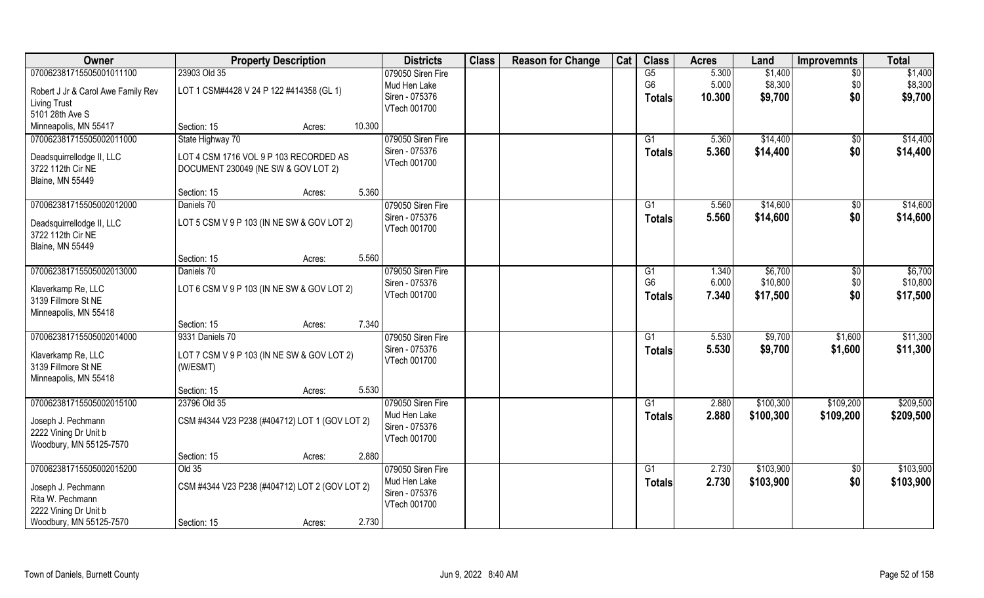| Owner                              | <b>Property Description</b>                    | <b>Districts</b>  | <b>Class</b> | <b>Reason for Change</b> | Cat | <b>Class</b>    | <b>Acres</b> | Land      | <b>Improvemnts</b> | <b>Total</b> |
|------------------------------------|------------------------------------------------|-------------------|--------------|--------------------------|-----|-----------------|--------------|-----------|--------------------|--------------|
| 070062381715505001011100           | 23903 Old 35                                   | 079050 Siren Fire |              |                          |     | G5              | 5.300        | \$1,400   | $\sqrt{6}$         | \$1,400      |
| Robert J Jr & Carol Awe Family Rev | LOT 1 CSM#4428 V 24 P 122 #414358 (GL 1)       | Mud Hen Lake      |              |                          |     | G <sub>6</sub>  | 5.000        | \$8,300   | \$0                | \$8,300      |
| <b>Living Trust</b>                |                                                | Siren - 075376    |              |                          |     | Totals          | 10.300       | \$9,700   | \$0                | \$9,700      |
| 5101 28th Ave S                    |                                                | VTech 001700      |              |                          |     |                 |              |           |                    |              |
| Minneapolis, MN 55417              | 10.300<br>Section: 15<br>Acres:                |                   |              |                          |     |                 |              |           |                    |              |
| 070062381715505002011000           | State Highway 70                               | 079050 Siren Fire |              |                          |     | $\overline{G1}$ | 5.360        | \$14,400  | \$0                | \$14,400     |
|                                    |                                                | Siren - 075376    |              |                          |     | Totals          | 5.360        | \$14,400  | \$0                | \$14,400     |
| Deadsquirrellodge II, LLC          | LOT 4 CSM 1716 VOL 9 P 103 RECORDED AS         | VTech 001700      |              |                          |     |                 |              |           |                    |              |
| 3722 112th Cir NE                  | DOCUMENT 230049 (NE SW & GOV LOT 2)            |                   |              |                          |     |                 |              |           |                    |              |
| <b>Blaine, MN 55449</b>            | 5.360                                          |                   |              |                          |     |                 |              |           |                    |              |
|                                    | Section: 15<br>Acres:                          |                   |              |                          |     |                 |              |           |                    |              |
| 070062381715505002012000           | Daniels 70                                     | 079050 Siren Fire |              |                          |     | G1              | 5.560        | \$14,600  | \$0                | \$14,600     |
| Deadsquirrellodge II, LLC          | LOT 5 CSM V 9 P 103 (IN NE SW & GOV LOT 2)     | Siren - 075376    |              |                          |     | <b>Totals</b>   | 5.560        | \$14,600  | \$0                | \$14,600     |
| 3722 112th Cir NE                  |                                                | VTech 001700      |              |                          |     |                 |              |           |                    |              |
| <b>Blaine, MN 55449</b>            |                                                |                   |              |                          |     |                 |              |           |                    |              |
|                                    | 5.560<br>Section: 15<br>Acres:                 |                   |              |                          |     |                 |              |           |                    |              |
| 070062381715505002013000           | Daniels 70                                     | 079050 Siren Fire |              |                          |     | G1              | 1.340        | \$6,700   | $\sqrt[6]{3}$      | \$6,700      |
|                                    |                                                | Siren - 075376    |              |                          |     | G <sub>6</sub>  | 6.000        | \$10,800  | \$0                | \$10,800     |
| Klaverkamp Re, LLC                 | LOT 6 CSM V 9 P 103 (IN NE SW & GOV LOT 2)     | VTech 001700      |              |                          |     | Totals          | 7.340        | \$17,500  | \$0                | \$17,500     |
| 3139 Fillmore St NE                |                                                |                   |              |                          |     |                 |              |           |                    |              |
| Minneapolis, MN 55418              | 7.340                                          |                   |              |                          |     |                 |              |           |                    |              |
| 070062381715505002014000           | Section: 15<br>Acres:<br>9331 Daniels 70       | 079050 Siren Fire |              |                          |     | $\overline{G1}$ | 5.530        | \$9,700   | \$1,600            | \$11,300     |
|                                    |                                                | Siren - 075376    |              |                          |     |                 |              |           |                    |              |
| Klaverkamp Re, LLC                 | LOT 7 CSM V 9 P 103 (IN NE SW & GOV LOT 2)     | VTech 001700      |              |                          |     | <b>Totals</b>   | 5.530        | \$9,700   | \$1,600            | \$11,300     |
| 3139 Fillmore St NE                | (W/ESMT)                                       |                   |              |                          |     |                 |              |           |                    |              |
| Minneapolis, MN 55418              |                                                |                   |              |                          |     |                 |              |           |                    |              |
|                                    | 5.530<br>Section: 15<br>Acres:                 |                   |              |                          |     |                 |              |           |                    |              |
| 070062381715505002015100           | 23796 Old 35                                   | 079050 Siren Fire |              |                          |     | G1              | 2.880        | \$100,300 | \$109,200          | \$209,500    |
| Joseph J. Pechmann                 | CSM #4344 V23 P238 (#404712) LOT 1 (GOV LOT 2) | Mud Hen Lake      |              |                          |     | <b>Totals</b>   | 2.880        | \$100,300 | \$109,200          | \$209,500    |
| 2222 Vining Dr Unit b              |                                                | Siren - 075376    |              |                          |     |                 |              |           |                    |              |
| Woodbury, MN 55125-7570            |                                                | VTech 001700      |              |                          |     |                 |              |           |                    |              |
|                                    | 2.880<br>Section: 15<br>Acres:                 |                   |              |                          |     |                 |              |           |                    |              |
| 070062381715505002015200           | Old 35                                         | 079050 Siren Fire |              |                          |     | G1              | 2.730        | \$103,900 | $\frac{6}{3}$      | \$103,900    |
|                                    |                                                | Mud Hen Lake      |              |                          |     | <b>Totals</b>   | 2.730        | \$103,900 | \$0                | \$103,900    |
| Joseph J. Pechmann                 | CSM #4344 V23 P238 (#404712) LOT 2 (GOV LOT 2) | Siren - 075376    |              |                          |     |                 |              |           |                    |              |
| Rita W. Pechmann                   |                                                | VTech 001700      |              |                          |     |                 |              |           |                    |              |
| 2222 Vining Dr Unit b              |                                                |                   |              |                          |     |                 |              |           |                    |              |
| Woodbury, MN 55125-7570            | 2.730<br>Section: 15<br>Acres:                 |                   |              |                          |     |                 |              |           |                    |              |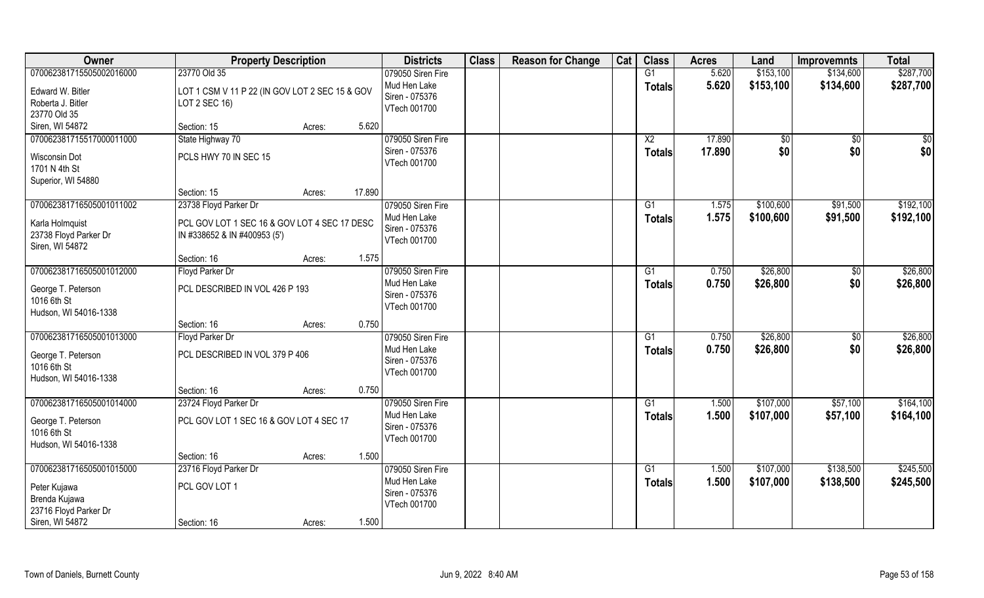| Owner                                    | <b>Property Description</b>                    |                  | <b>Districts</b>               | <b>Class</b> | <b>Reason for Change</b> | Cat | <b>Class</b>    | <b>Acres</b> | Land      | <b>Improvemnts</b> | <b>Total</b> |
|------------------------------------------|------------------------------------------------|------------------|--------------------------------|--------------|--------------------------|-----|-----------------|--------------|-----------|--------------------|--------------|
| 070062381715505002016000                 | 23770 Old 35                                   |                  | 079050 Siren Fire              |              |                          |     | G1              | 5.620        | \$153,100 | \$134,600          | \$287,700    |
| Edward W. Bitler                         | LOT 1 CSM V 11 P 22 (IN GOV LOT 2 SEC 15 & GOV |                  | Mud Hen Lake                   |              |                          |     | <b>Totals</b>   | 5.620        | \$153,100 | \$134,600          | \$287,700    |
| Roberta J. Bitler                        | LOT 2 SEC 16)                                  |                  | Siren - 075376                 |              |                          |     |                 |              |           |                    |              |
| 23770 Old 35                             |                                                |                  | VTech 001700                   |              |                          |     |                 |              |           |                    |              |
| Siren, WI 54872                          | Section: 15                                    | 5.620<br>Acres:  |                                |              |                          |     |                 |              |           |                    |              |
| 070062381715517000011000                 | State Highway 70                               |                  | 079050 Siren Fire              |              |                          |     | $\overline{X2}$ | 17.890       | \$0       | \$0                | \$0          |
| Wisconsin Dot                            | PCLS HWY 70 IN SEC 15                          |                  | Siren - 075376                 |              |                          |     | Totals          | 17.890       | \$0       | \$0                | \$0          |
| 1701 N 4th St                            |                                                |                  | VTech 001700                   |              |                          |     |                 |              |           |                    |              |
| Superior, WI 54880                       |                                                |                  |                                |              |                          |     |                 |              |           |                    |              |
|                                          | Section: 15                                    | 17.890<br>Acres: |                                |              |                          |     |                 |              |           |                    |              |
| 070062381716505001011002                 | 23738 Floyd Parker Dr                          |                  | 079050 Siren Fire              |              |                          |     | G1              | 1.575        | \$100,600 | \$91,500           | \$192,100    |
|                                          |                                                |                  | Mud Hen Lake                   |              |                          |     | <b>Totals</b>   | 1.575        | \$100,600 | \$91,500           | \$192,100    |
| Karla Holmquist                          | PCL GOV LOT 1 SEC 16 & GOV LOT 4 SEC 17 DESC   |                  | Siren - 075376                 |              |                          |     |                 |              |           |                    |              |
| 23738 Floyd Parker Dr<br>Siren, WI 54872 | IN #338652 & IN #400953 (5')                   |                  | VTech 001700                   |              |                          |     |                 |              |           |                    |              |
|                                          | Section: 16                                    | 1.575<br>Acres:  |                                |              |                          |     |                 |              |           |                    |              |
| 070062381716505001012000                 | Floyd Parker Dr                                |                  | 079050 Siren Fire              |              |                          |     | G1              | 0.750        | \$26,800  | \$0                | \$26,800     |
|                                          |                                                |                  | Mud Hen Lake                   |              |                          |     | <b>Totals</b>   | 0.750        | \$26,800  | \$0                | \$26,800     |
| George T. Peterson                       | PCL DESCRIBED IN VOL 426 P 193                 |                  | Siren - 075376                 |              |                          |     |                 |              |           |                    |              |
| 1016 6th St                              |                                                |                  | VTech 001700                   |              |                          |     |                 |              |           |                    |              |
| Hudson, WI 54016-1338                    | Section: 16                                    | 0.750<br>Acres:  |                                |              |                          |     |                 |              |           |                    |              |
| 070062381716505001013000                 | Floyd Parker Dr                                |                  | 079050 Siren Fire              |              |                          |     | G1              | 0.750        | \$26,800  | \$0                | \$26,800     |
|                                          |                                                |                  | Mud Hen Lake                   |              |                          |     |                 | 0.750        | \$26,800  | \$0                | \$26,800     |
| George T. Peterson                       | PCL DESCRIBED IN VOL 379 P 406                 |                  | Siren - 075376                 |              |                          |     | <b>Totals</b>   |              |           |                    |              |
| 1016 6th St                              |                                                |                  | VTech 001700                   |              |                          |     |                 |              |           |                    |              |
| Hudson, WI 54016-1338                    |                                                |                  |                                |              |                          |     |                 |              |           |                    |              |
|                                          | Section: 16                                    | 0.750<br>Acres:  |                                |              |                          |     |                 |              |           |                    |              |
| 070062381716505001014000                 | 23724 Floyd Parker Dr                          |                  | 079050 Siren Fire              |              |                          |     | G1              | 1.500        | \$107,000 | \$57,100           | \$164,100    |
| George T. Peterson                       | PCL GOV LOT 1 SEC 16 & GOV LOT 4 SEC 17        |                  | Mud Hen Lake<br>Siren - 075376 |              |                          |     | <b>Totals</b>   | 1.500        | \$107,000 | \$57,100           | \$164,100    |
| 1016 6th St                              |                                                |                  | VTech 001700                   |              |                          |     |                 |              |           |                    |              |
| Hudson, WI 54016-1338                    |                                                |                  |                                |              |                          |     |                 |              |           |                    |              |
|                                          | Section: 16                                    | 1.500<br>Acres:  |                                |              |                          |     |                 |              |           |                    |              |
| 070062381716505001015000                 | 23716 Floyd Parker Dr                          |                  | 079050 Siren Fire              |              |                          |     | G1              | 1.500        | \$107,000 | \$138,500          | \$245,500    |
| Peter Kujawa                             | PCL GOV LOT 1                                  |                  | Mud Hen Lake                   |              |                          |     | <b>Totals</b>   | 1.500        | \$107,000 | \$138,500          | \$245,500    |
| Brenda Kujawa                            |                                                |                  | Siren - 075376<br>VTech 001700 |              |                          |     |                 |              |           |                    |              |
| 23716 Floyd Parker Dr                    |                                                |                  |                                |              |                          |     |                 |              |           |                    |              |
| Siren, WI 54872                          | Section: 16                                    | 1.500<br>Acres:  |                                |              |                          |     |                 |              |           |                    |              |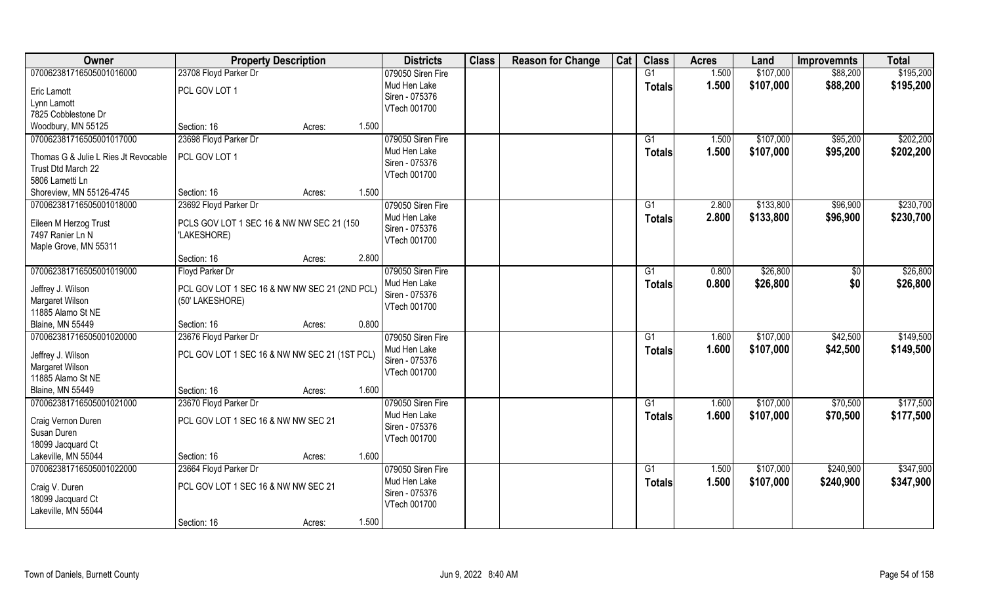| Owner                                     | <b>Property Description</b>                              |        |       | <b>Districts</b>               | <b>Class</b> | <b>Reason for Change</b> | Cat | <b>Class</b>    | <b>Acres</b> | Land      | <b>Improvemnts</b> | <b>Total</b> |
|-------------------------------------------|----------------------------------------------------------|--------|-------|--------------------------------|--------------|--------------------------|-----|-----------------|--------------|-----------|--------------------|--------------|
| 070062381716505001016000                  | 23708 Floyd Parker Dr                                    |        |       | 079050 Siren Fire              |              |                          |     | G1              | 1.500        | \$107,000 | \$88,200           | \$195,200    |
| Eric Lamott                               | PCL GOV LOT 1                                            |        |       | Mud Hen Lake                   |              |                          |     | <b>Totals</b>   | 1.500        | \$107,000 | \$88,200           | \$195,200    |
| Lynn Lamott                               |                                                          |        |       | Siren - 075376                 |              |                          |     |                 |              |           |                    |              |
| 7825 Cobblestone Dr                       |                                                          |        |       | VTech 001700                   |              |                          |     |                 |              |           |                    |              |
| Woodbury, MN 55125                        | Section: 16                                              | Acres: | 1.500 |                                |              |                          |     |                 |              |           |                    |              |
| 070062381716505001017000                  | 23698 Floyd Parker Dr                                    |        |       | 079050 Siren Fire              |              |                          |     | G1              | 1.500        | \$107,000 | \$95,200           | \$202,200    |
| Thomas G & Julie L Ries Jt Revocable      | PCL GOV LOT 1                                            |        |       | Mud Hen Lake                   |              |                          |     | <b>Totals</b>   | 1.500        | \$107,000 | \$95,200           | \$202,200    |
| Trust Dtd March 22                        |                                                          |        |       | Siren - 075376                 |              |                          |     |                 |              |           |                    |              |
| 5806 Lametti Ln                           |                                                          |        |       | VTech 001700                   |              |                          |     |                 |              |           |                    |              |
| Shoreview, MN 55126-4745                  | Section: 16                                              | Acres: | 1.500 |                                |              |                          |     |                 |              |           |                    |              |
| 070062381716505001018000                  | 23692 Floyd Parker Dr                                    |        |       | 079050 Siren Fire              |              |                          |     | G1              | 2.800        | \$133,800 | \$96,900           | \$230,700    |
|                                           |                                                          |        |       | Mud Hen Lake                   |              |                          |     | <b>Totals</b>   | 2.800        | \$133,800 | \$96,900           | \$230,700    |
| Eileen M Herzog Trust<br>7497 Ranier Ln N | PCLS GOV LOT 1 SEC 16 & NW NW SEC 21 (150<br>'LAKESHORE) |        |       | Siren - 075376                 |              |                          |     |                 |              |           |                    |              |
| Maple Grove, MN 55311                     |                                                          |        |       | VTech 001700                   |              |                          |     |                 |              |           |                    |              |
|                                           | Section: 16                                              | Acres: | 2.800 |                                |              |                          |     |                 |              |           |                    |              |
| 070062381716505001019000                  | Floyd Parker Dr                                          |        |       | 079050 Siren Fire              |              |                          |     | G1              | 0.800        | \$26,800  | \$0                | \$26,800     |
|                                           |                                                          |        |       | Mud Hen Lake                   |              |                          |     | <b>Totals</b>   | 0.800        | \$26,800  | \$0                | \$26,800     |
| Jeffrey J. Wilson                         | PCL GOV LOT 1 SEC 16 & NW NW SEC 21 (2ND PCL)            |        |       | Siren - 075376                 |              |                          |     |                 |              |           |                    |              |
| Margaret Wilson                           | (50' LAKESHORE)                                          |        |       | VTech 001700                   |              |                          |     |                 |              |           |                    |              |
| 11885 Alamo St NE                         |                                                          |        | 0.800 |                                |              |                          |     |                 |              |           |                    |              |
| <b>Blaine, MN 55449</b>                   | Section: 16                                              | Acres: |       |                                |              |                          |     |                 |              |           |                    |              |
| 070062381716505001020000                  | 23676 Floyd Parker Dr                                    |        |       | 079050 Siren Fire              |              |                          |     | G1              | 1.600        | \$107,000 | \$42,500           | \$149,500    |
| Jeffrey J. Wilson                         | PCL GOV LOT 1 SEC 16 & NW NW SEC 21 (1ST PCL)            |        |       | Mud Hen Lake<br>Siren - 075376 |              |                          |     | <b>Totals</b>   | 1.600        | \$107,000 | \$42,500           | \$149,500    |
| Margaret Wilson                           |                                                          |        |       | VTech 001700                   |              |                          |     |                 |              |           |                    |              |
| 11885 Alamo St NE                         |                                                          |        |       |                                |              |                          |     |                 |              |           |                    |              |
| <b>Blaine, MN 55449</b>                   | Section: 16                                              | Acres: | 1.600 |                                |              |                          |     |                 |              |           |                    |              |
| 070062381716505001021000                  | 23670 Floyd Parker Dr                                    |        |       | 079050 Siren Fire              |              |                          |     | G1              | 1.600        | \$107,000 | \$70,500           | \$177,500    |
| Craig Vernon Duren                        | PCL GOV LOT 1 SEC 16 & NW NW SEC 21                      |        |       | Mud Hen Lake                   |              |                          |     | <b>Totals</b>   | 1.600        | \$107,000 | \$70,500           | \$177,500    |
| Susan Duren                               |                                                          |        |       | Siren - 075376                 |              |                          |     |                 |              |           |                    |              |
| 18099 Jacquard Ct                         |                                                          |        |       | VTech 001700                   |              |                          |     |                 |              |           |                    |              |
| Lakeville, MN 55044                       | Section: 16                                              | Acres: | 1.600 |                                |              |                          |     |                 |              |           |                    |              |
| 070062381716505001022000                  | 23664 Floyd Parker Dr                                    |        |       | 079050 Siren Fire              |              |                          |     | $\overline{G1}$ | 1.500        | \$107,000 | \$240,900          | \$347,900    |
| Craig V. Duren                            | PCL GOV LOT 1 SEC 16 & NW NW SEC 21                      |        |       | Mud Hen Lake                   |              |                          |     | <b>Totals</b>   | 1.500        | \$107,000 | \$240,900          | \$347,900    |
| 18099 Jacquard Ct                         |                                                          |        |       | Siren - 075376                 |              |                          |     |                 |              |           |                    |              |
| Lakeville, MN 55044                       |                                                          |        |       | VTech 001700                   |              |                          |     |                 |              |           |                    |              |
|                                           | Section: 16                                              | Acres: | 1.500 |                                |              |                          |     |                 |              |           |                    |              |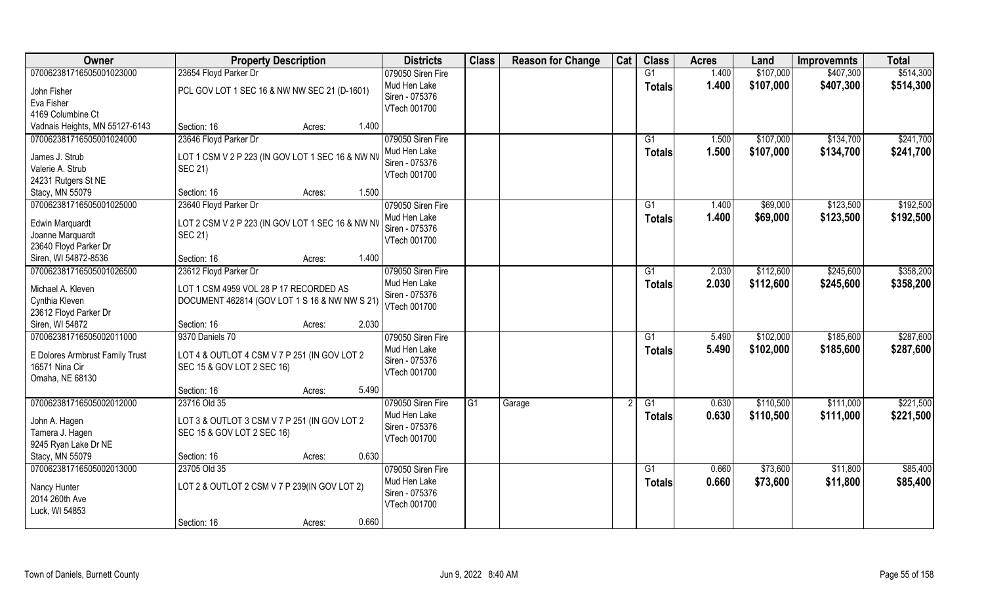| <b>Owner</b>                             | <b>Property Description</b>                      |                 | <b>Districts</b>               | <b>Class</b> | <b>Reason for Change</b> | Cat | <b>Class</b>    | <b>Acres</b> | Land      | <b>Improvemnts</b> | <b>Total</b> |
|------------------------------------------|--------------------------------------------------|-----------------|--------------------------------|--------------|--------------------------|-----|-----------------|--------------|-----------|--------------------|--------------|
| 070062381716505001023000                 | 23654 Floyd Parker Dr                            |                 | 079050 Siren Fire              |              |                          |     | G1              | 1.400        | \$107,000 | \$407,300          | \$514,300    |
| John Fisher                              | PCL GOV LOT 1 SEC 16 & NW NW SEC 21 (D-1601)     |                 | Mud Hen Lake<br>Siren - 075376 |              |                          |     | <b>Totals</b>   | 1.400        | \$107,000 | \$407,300          | \$514,300    |
| Eva Fisher                               |                                                  |                 | VTech 001700                   |              |                          |     |                 |              |           |                    |              |
| 4169 Columbine Ct                        |                                                  |                 |                                |              |                          |     |                 |              |           |                    |              |
| Vadnais Heights, MN 55127-6143           | Section: 16                                      | 1.400<br>Acres: |                                |              |                          |     |                 |              |           |                    |              |
| 070062381716505001024000                 | 23646 Floyd Parker Dr                            |                 | 079050 Siren Fire              |              |                          |     | G1              | 1.500        | \$107,000 | \$134,700          | \$241,700    |
| James J. Strub                           | LOT 1 CSM V 2 P 223 (IN GOV LOT 1 SEC 16 & NW NV |                 | Mud Hen Lake                   |              |                          |     | Totals          | 1.500        | \$107,000 | \$134,700          | \$241,700    |
| Valerie A. Strub                         | <b>SEC 21)</b>                                   |                 | Siren - 075376                 |              |                          |     |                 |              |           |                    |              |
| 24231 Rutgers St NE                      |                                                  |                 | VTech 001700                   |              |                          |     |                 |              |           |                    |              |
| Stacy, MN 55079                          | Section: 16                                      | 1.500<br>Acres: |                                |              |                          |     |                 |              |           |                    |              |
| 070062381716505001025000                 | 23640 Floyd Parker Dr                            |                 | 079050 Siren Fire              |              |                          |     | G1              | 1.400        | \$69,000  | \$123,500          | \$192,500    |
| <b>Edwin Marquardt</b>                   | LOT 2 CSM V 2 P 223 (IN GOV LOT 1 SEC 16 & NW NV |                 | Mud Hen Lake                   |              |                          |     | <b>Totals</b>   | 1.400        | \$69,000  | \$123,500          | \$192,500    |
| Joanne Marquardt                         | <b>SEC 21)</b>                                   |                 | Siren - 075376                 |              |                          |     |                 |              |           |                    |              |
| 23640 Floyd Parker Dr                    |                                                  |                 | VTech 001700                   |              |                          |     |                 |              |           |                    |              |
| Siren, WI 54872-8536                     | Section: 16                                      | 1.400<br>Acres: |                                |              |                          |     |                 |              |           |                    |              |
| 070062381716505001026500                 | 23612 Floyd Parker Dr                            |                 | 079050 Siren Fire              |              |                          |     | G1              | 2.030        | \$112,600 | \$245,600          | \$358,200    |
|                                          |                                                  |                 | Mud Hen Lake                   |              |                          |     | <b>Totals</b>   | 2.030        | \$112,600 | \$245,600          | \$358,200    |
| Michael A. Kleven                        | LOT 1 CSM 4959 VOL 28 P 17 RECORDED AS           |                 | Siren - 075376                 |              |                          |     |                 |              |           |                    |              |
| Cynthia Kleven                           | DOCUMENT 462814 (GOV LOT 1 S 16 & NW NW S 21)    |                 | VTech 001700                   |              |                          |     |                 |              |           |                    |              |
| 23612 Floyd Parker Dr<br>Siren, WI 54872 | Section: 16                                      | 2.030           |                                |              |                          |     |                 |              |           |                    |              |
| 070062381716505002011000                 | 9370 Daniels 70                                  | Acres:          | 079050 Siren Fire              |              |                          |     | $\overline{G1}$ | 5.490        | \$102,000 | \$185,600          | \$287,600    |
|                                          |                                                  |                 | Mud Hen Lake                   |              |                          |     |                 |              |           |                    |              |
| E Dolores Armbrust Family Trust          | LOT 4 & OUTLOT 4 CSM V 7 P 251 (IN GOV LOT 2     |                 | Siren - 075376                 |              |                          |     | <b>Totals</b>   | 5.490        | \$102,000 | \$185,600          | \$287,600    |
| 16571 Nina Cir                           | SEC 15 & GOV LOT 2 SEC 16)                       |                 | VTech 001700                   |              |                          |     |                 |              |           |                    |              |
| Omaha, NE 68130                          |                                                  |                 |                                |              |                          |     |                 |              |           |                    |              |
|                                          | Section: 16                                      | 5.490<br>Acres: |                                |              |                          |     |                 |              |           |                    |              |
| 070062381716505002012000                 | 23716 Old 35                                     |                 | 079050 Siren Fire              | G1           | Garage                   |     | G1              | 0.630        | \$110,500 | \$111,000          | \$221,500    |
| John A. Hagen                            | LOT 3 & OUTLOT 3 CSM V 7 P 251 (IN GOV LOT 2     |                 | Mud Hen Lake                   |              |                          |     | <b>Totals</b>   | 0.630        | \$110,500 | \$111,000          | \$221,500    |
| Tamera J. Hagen                          | SEC 15 & GOV LOT 2 SEC 16)                       |                 | Siren - 075376                 |              |                          |     |                 |              |           |                    |              |
| 9245 Ryan Lake Dr NE                     |                                                  |                 | VTech 001700                   |              |                          |     |                 |              |           |                    |              |
| Stacy, MN 55079                          | Section: 16                                      | 0.630<br>Acres: |                                |              |                          |     |                 |              |           |                    |              |
| 070062381716505002013000                 | 23705 Old 35                                     |                 | 079050 Siren Fire              |              |                          |     | G1              | 0.660        | \$73,600  | \$11,800           | \$85,400     |
| Nancy Hunter                             | LOT 2 & OUTLOT 2 CSM V 7 P 239(IN GOV LOT 2)     |                 | Mud Hen Lake                   |              |                          |     | Totals          | 0.660        | \$73,600  | \$11,800           | \$85,400     |
| 2014 260th Ave                           |                                                  |                 | Siren - 075376                 |              |                          |     |                 |              |           |                    |              |
| Luck, WI 54853                           |                                                  |                 | VTech 001700                   |              |                          |     |                 |              |           |                    |              |
|                                          | Section: 16                                      | 0.660<br>Acres: |                                |              |                          |     |                 |              |           |                    |              |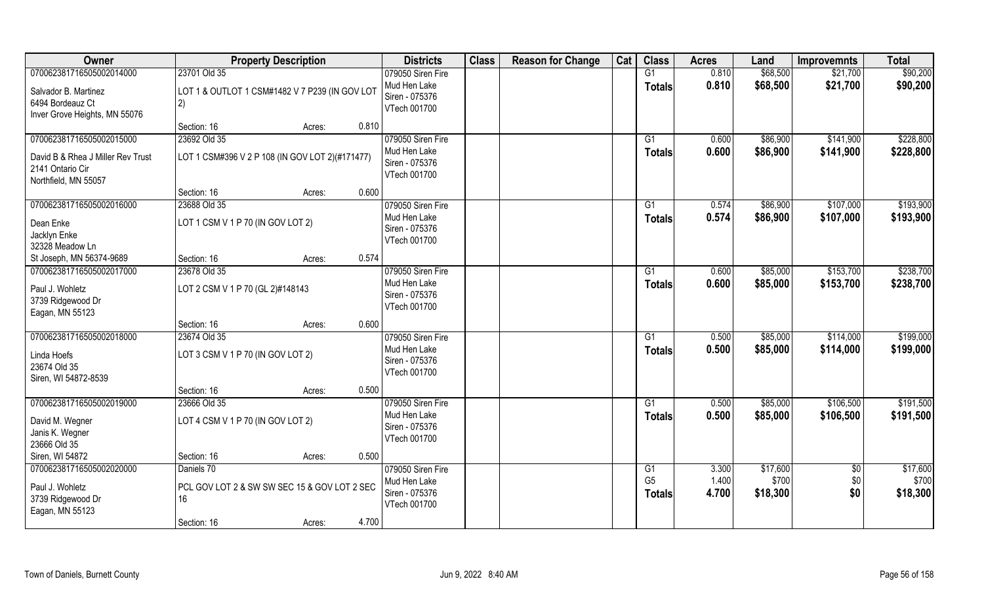| Owner                             | <b>Property Description</b>                      | <b>Districts</b>                  | <b>Class</b> | <b>Reason for Change</b> | Cat | <b>Class</b>    | <b>Acres</b>   | Land                 | <b>Improvemnts</b>     | <b>Total</b>           |
|-----------------------------------|--------------------------------------------------|-----------------------------------|--------------|--------------------------|-----|-----------------|----------------|----------------------|------------------------|------------------------|
| 070062381716505002014000          | 23701 Old 35                                     | 079050 Siren Fire                 |              |                          |     | G1              | 0.810          | \$68,500             | \$21,700               | \$90,200               |
| Salvador B. Martinez              | LOT 1 & OUTLOT 1 CSM#1482 V 7 P239 (IN GOV LOT   | Mud Hen Lake                      |              |                          |     | <b>Totals</b>   | 0.810          | \$68,500             | \$21,700               | \$90,200               |
| 6494 Bordeauz Ct                  | 2)                                               | Siren - 075376<br>VTech 001700    |              |                          |     |                 |                |                      |                        |                        |
| Inver Grove Heights, MN 55076     |                                                  |                                   |              |                          |     |                 |                |                      |                        |                        |
|                                   | 0.810<br>Section: 16<br>Acres:                   |                                   |              |                          |     |                 |                |                      |                        |                        |
| 070062381716505002015000          | 23692 Old 35                                     | 079050 Siren Fire<br>Mud Hen Lake |              |                          |     | G1              | 0.600<br>0.600 | \$86,900<br>\$86,900 | \$141,900<br>\$141,900 | \$228,800<br>\$228,800 |
| David B & Rhea J Miller Rev Trust | LOT 1 CSM#396 V 2 P 108 (IN GOV LOT 2) (#171477) | Siren - 075376                    |              |                          |     | <b>Totals</b>   |                |                      |                        |                        |
| 2141 Ontario Cir                  |                                                  | VTech 001700                      |              |                          |     |                 |                |                      |                        |                        |
| Northfield, MN 55057              | 0.600<br>Section: 16<br>Acres:                   |                                   |              |                          |     |                 |                |                      |                        |                        |
| 070062381716505002016000          | 23688 Old 35                                     | 079050 Siren Fire                 |              |                          |     | G1              | 0.574          | \$86,900             | \$107,000              | \$193,900              |
|                                   |                                                  | Mud Hen Lake                      |              |                          |     | <b>Totals</b>   | 0.574          | \$86,900             | \$107,000              | \$193,900              |
| Dean Enke<br>Jacklyn Enke         | LOT 1 CSM V 1 P 70 (IN GOV LOT 2)                | Siren - 075376                    |              |                          |     |                 |                |                      |                        |                        |
| 32328 Meadow Ln                   |                                                  | VTech 001700                      |              |                          |     |                 |                |                      |                        |                        |
| St Joseph, MN 56374-9689          | 0.574<br>Section: 16<br>Acres:                   |                                   |              |                          |     |                 |                |                      |                        |                        |
| 070062381716505002017000          | 23678 Old 35                                     | 079050 Siren Fire                 |              |                          |     | G1              | 0.600          | \$85,000             | \$153,700              | \$238,700              |
| Paul J. Wohletz                   | LOT 2 CSM V 1 P 70 (GL 2)#148143                 | Mud Hen Lake                      |              |                          |     | <b>Totals</b>   | 0.600          | \$85,000             | \$153,700              | \$238,700              |
| 3739 Ridgewood Dr                 |                                                  | Siren - 075376                    |              |                          |     |                 |                |                      |                        |                        |
| Eagan, MN 55123                   |                                                  | VTech 001700                      |              |                          |     |                 |                |                      |                        |                        |
|                                   | Section: 16<br>0.600<br>Acres:                   |                                   |              |                          |     |                 |                |                      |                        |                        |
| 070062381716505002018000          | 23674 Old 35                                     | 079050 Siren Fire                 |              |                          |     | G1              | 0.500          | \$85,000             | \$114,000              | \$199,000              |
| Linda Hoefs                       | LOT 3 CSM V 1 P 70 (IN GOV LOT 2)                | Mud Hen Lake<br>Siren - 075376    |              |                          |     | <b>Totals</b>   | 0.500          | \$85,000             | \$114,000              | \$199,000              |
| 23674 Old 35                      |                                                  | VTech 001700                      |              |                          |     |                 |                |                      |                        |                        |
| Siren, WI 54872-8539              |                                                  |                                   |              |                          |     |                 |                |                      |                        |                        |
| 070062381716505002019000          | 0.500<br>Section: 16<br>Acres:                   |                                   |              |                          |     | $\overline{G1}$ |                |                      |                        | \$191,500              |
|                                   | 23666 Old 35                                     | 079050 Siren Fire<br>Mud Hen Lake |              |                          |     | <b>Totals</b>   | 0.500<br>0.500 | \$85,000<br>\$85,000 | \$106,500<br>\$106,500 | \$191,500              |
| David M. Wegner                   | LOT 4 CSM V 1 P 70 (IN GOV LOT 2)                | Siren - 075376                    |              |                          |     |                 |                |                      |                        |                        |
| Janis K. Wegner<br>23666 Old 35   |                                                  | VTech 001700                      |              |                          |     |                 |                |                      |                        |                        |
| Siren, WI 54872                   | 0.500<br>Section: 16<br>Acres:                   |                                   |              |                          |     |                 |                |                      |                        |                        |
| 070062381716505002020000          | Daniels 70                                       | 079050 Siren Fire                 |              |                          |     | G1              | 3.300          | \$17,600             | \$0                    | \$17,600               |
| Paul J. Wohletz                   | PCL GOV LOT 2 & SW SW SEC 15 & GOV LOT 2 SEC     | Mud Hen Lake                      |              |                          |     | G <sub>5</sub>  | 1.400          | \$700                | \$0                    | \$700                  |
| 3739 Ridgewood Dr                 | 16                                               | Siren - 075376                    |              |                          |     | <b>Totals</b>   | 4.700          | \$18,300             | \$0                    | \$18,300               |
| Eagan, MN 55123                   |                                                  | VTech 001700                      |              |                          |     |                 |                |                      |                        |                        |
|                                   | 4.700<br>Section: 16<br>Acres:                   |                                   |              |                          |     |                 |                |                      |                        |                        |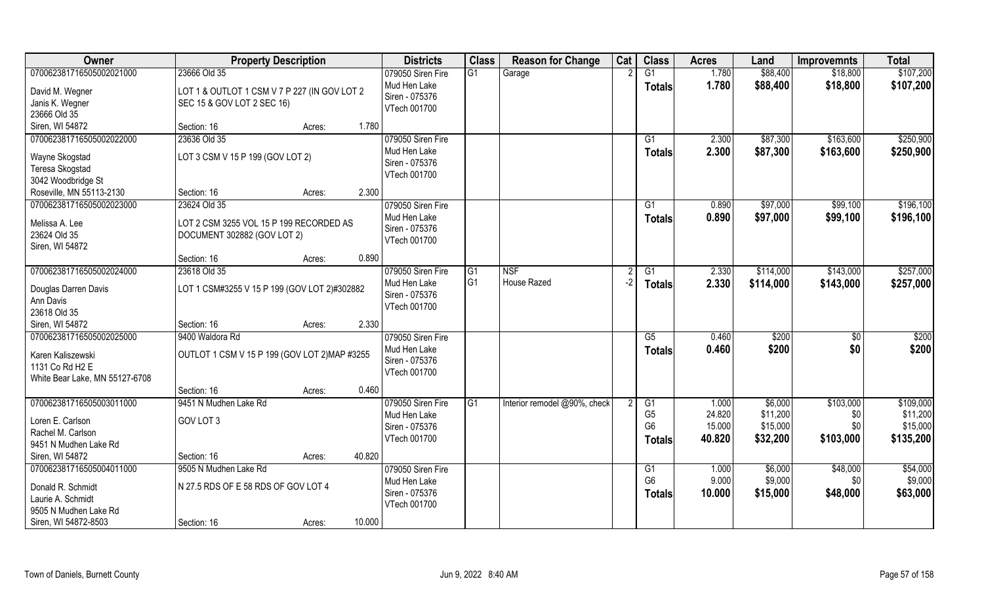| Owner                                                                                                               | <b>Property Description</b>                                                                |        |        | <b>Districts</b>                                                    | <b>Class</b>         | <b>Reason for Change</b>     | Cat  | <b>Class</b>                                     | <b>Acres</b>                        | Land                                        | <b>Improvemnts</b>                   | <b>Total</b>                                   |
|---------------------------------------------------------------------------------------------------------------------|--------------------------------------------------------------------------------------------|--------|--------|---------------------------------------------------------------------|----------------------|------------------------------|------|--------------------------------------------------|-------------------------------------|---------------------------------------------|--------------------------------------|------------------------------------------------|
| 070062381716505002021000<br>David M. Wegner<br>Janis K. Wegner<br>23666 Old 35                                      | 23666 Old 35<br>LOT 1 & OUTLOT 1 CSM V 7 P 227 (IN GOV LOT 2<br>SEC 15 & GOV LOT 2 SEC 16) |        |        | 079050 Siren Fire<br>Mud Hen Lake<br>Siren - 075376<br>VTech 001700 | G1                   | Garage                       |      | $\overline{G1}$<br><b>Totals</b>                 | 1.780<br>1.780                      | \$88,400<br>\$88,400                        | \$18,800<br>\$18,800                 | \$107,200<br>\$107,200                         |
| Siren, WI 54872                                                                                                     | Section: 16                                                                                | Acres: | 1.780  |                                                                     |                      |                              |      |                                                  |                                     |                                             |                                      |                                                |
| 070062381716505002022000<br>Wayne Skogstad<br>Teresa Skogstad<br>3042 Woodbridge St                                 | 23636 Old 35<br>LOT 3 CSM V 15 P 199 (GOV LOT 2)                                           |        |        | 079050 Siren Fire<br>Mud Hen Lake<br>Siren - 075376<br>VTech 001700 |                      |                              |      | G1<br>Totals                                     | 2.300<br>2.300                      | \$87,300<br>\$87,300                        | \$163,600<br>\$163,600               | \$250,900<br>\$250,900                         |
| Roseville, MN 55113-2130                                                                                            | Section: 16                                                                                | Acres: | 2.300  |                                                                     |                      |                              |      |                                                  |                                     |                                             |                                      |                                                |
| 070062381716505002023000<br>Melissa A. Lee<br>23624 Old 35<br>Siren, WI 54872                                       | 23624 Old 35<br>LOT 2 CSM 3255 VOL 15 P 199 RECORDED AS<br>DOCUMENT 302882 (GOV LOT 2)     |        |        | 079050 Siren Fire<br>Mud Hen Lake<br>Siren - 075376<br>VTech 001700 |                      |                              |      | G1<br><b>Totals</b>                              | 0.890<br>0.890                      | \$97,000<br>\$97,000                        | \$99,100<br>\$99,100                 | \$196,100<br>\$196,100                         |
|                                                                                                                     | Section: 16                                                                                | Acres: | 0.890  |                                                                     |                      |                              |      |                                                  |                                     |                                             |                                      |                                                |
| 070062381716505002024000<br>Douglas Darren Davis<br>Ann Davis<br>23618 Old 35                                       | 23618 Old 35<br>LOT 1 CSM#3255 V 15 P 199 (GOV LOT 2)#302882                               |        |        | 079050 Siren Fire<br>Mud Hen Lake<br>Siren - 075376<br>VTech 001700 | G1<br>G <sub>1</sub> | <b>NSF</b><br>House Razed    | $-2$ | G1<br><b>Totals</b>                              | 2.330<br>2.330                      | \$114,000<br>\$114,000                      | \$143,000<br>\$143,000               | \$257,000<br>\$257,000                         |
| Siren, WI 54872                                                                                                     | Section: 16                                                                                | Acres: | 2.330  |                                                                     |                      |                              |      |                                                  |                                     |                                             |                                      |                                                |
| 070062381716505002025000<br>Karen Kaliszewski<br>1131 Co Rd H2 E<br>White Bear Lake, MN 55127-6708                  | 9400 Waldora Rd<br>OUTLOT 1 CSM V 15 P 199 (GOV LOT 2) MAP #3255                           |        |        | 079050 Siren Fire<br>Mud Hen Lake<br>Siren - 075376<br>VTech 001700 |                      |                              |      | $\overline{G5}$<br><b>Totals</b>                 | 0.460<br>0.460                      | \$200<br>\$200                              | $\overline{50}$<br>\$0               | \$200<br>\$200                                 |
|                                                                                                                     | Section: 16                                                                                | Acres: | 0.460  |                                                                     |                      |                              |      |                                                  |                                     |                                             |                                      |                                                |
| 070062381716505003011000<br>Loren E. Carlson<br>Rachel M. Carlson<br>9451 N Mudhen Lake Rd                          | 9451 N Mudhen Lake Rd<br>GOV LOT 3                                                         |        |        | 079050 Siren Fire<br>Mud Hen Lake<br>Siren - 075376<br>VTech 001700 | G1                   | Interior remodel @90%, check |      | G1<br>G <sub>5</sub><br>G <sub>6</sub><br>Totals | 1.000<br>24.820<br>15.000<br>40.820 | \$6,000<br>\$11,200<br>\$15,000<br>\$32,200 | \$103,000<br>\$0<br>\$0<br>\$103,000 | \$109,000<br>\$11,200<br>\$15,000<br>\$135,200 |
| Siren, WI 54872                                                                                                     | Section: 16                                                                                | Acres: | 40.820 |                                                                     |                      |                              |      |                                                  |                                     |                                             |                                      |                                                |
| 070062381716505004011000<br>Donald R. Schmidt<br>Laurie A. Schmidt<br>9505 N Mudhen Lake Rd<br>Siren, WI 54872-8503 | 9505 N Mudhen Lake Rd<br>N 27.5 RDS OF E 58 RDS OF GOV LOT 4<br>Section: 16                | Acres: | 10.000 | 079050 Siren Fire<br>Mud Hen Lake<br>Siren - 075376<br>VTech 001700 |                      |                              |      | G1<br>G <sub>6</sub><br><b>Totals</b>            | 1.000<br>9.000<br>10.000            | \$6,000<br>\$9,000<br>\$15,000              | \$48,000<br>\$0<br>\$48,000          | \$54,000<br>\$9,000<br>\$63,000                |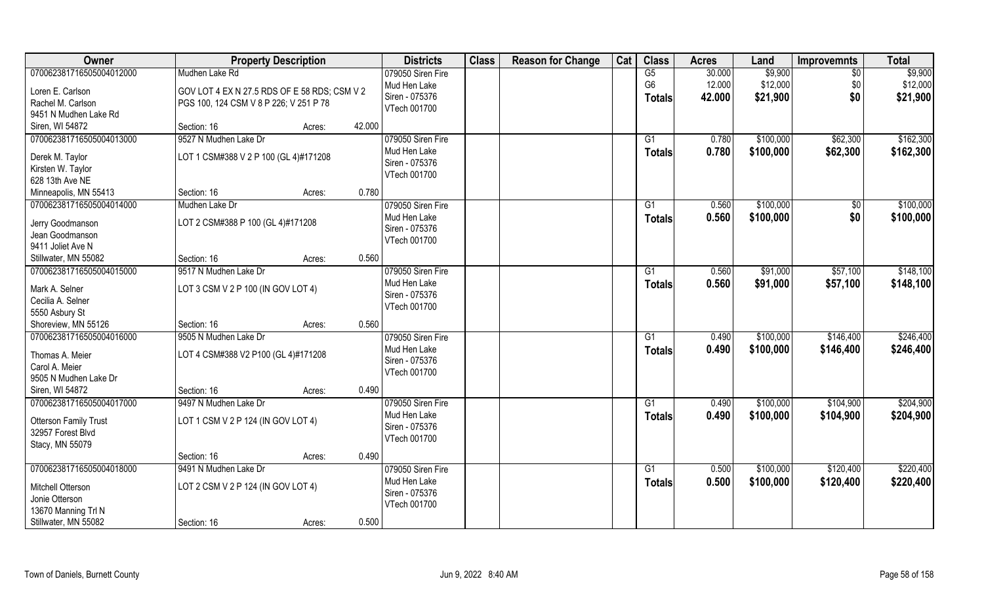| Owner                    | <b>Property Description</b>                  |        |        | <b>Districts</b>                  | <b>Class</b> | <b>Reason for Change</b> | Cat | <b>Class</b>         | <b>Acres</b>     | Land                | <b>Improvemnts</b>     | <b>Total</b>        |
|--------------------------|----------------------------------------------|--------|--------|-----------------------------------|--------------|--------------------------|-----|----------------------|------------------|---------------------|------------------------|---------------------|
| 070062381716505004012000 | Mudhen Lake Rd                               |        |        | 079050 Siren Fire<br>Mud Hen Lake |              |                          |     | G5<br>G <sub>6</sub> | 30.000<br>12.000 | \$9,900<br>\$12,000 | $\overline{50}$<br>\$0 | \$9,900<br>\$12,000 |
| Loren E. Carlson         | GOV LOT 4 EX N 27.5 RDS OF E 58 RDS; CSM V 2 |        |        | Siren - 075376                    |              |                          |     | <b>Totals</b>        | 42.000           | \$21,900            | \$0                    | \$21,900            |
| Rachel M. Carlson        | PGS 100, 124 CSM V 8 P 226; V 251 P 78       |        |        | VTech 001700                      |              |                          |     |                      |                  |                     |                        |                     |
| 9451 N Mudhen Lake Rd    |                                              |        |        |                                   |              |                          |     |                      |                  |                     |                        |                     |
| Siren, WI 54872          | Section: 16                                  | Acres: | 42.000 |                                   |              |                          |     |                      |                  |                     |                        |                     |
| 070062381716505004013000 | 9527 N Mudhen Lake Dr                        |        |        | 079050 Siren Fire                 |              |                          |     | G1                   | 0.780            | \$100,000           | \$62,300               | \$162,300           |
| Derek M. Taylor          | LOT 1 CSM#388 V 2 P 100 (GL 4)#171208        |        |        | Mud Hen Lake                      |              |                          |     | <b>Totals</b>        | 0.780            | \$100,000           | \$62,300               | \$162,300           |
| Kirsten W. Taylor        |                                              |        |        | Siren - 075376                    |              |                          |     |                      |                  |                     |                        |                     |
| 628 13th Ave NE          |                                              |        |        | VTech 001700                      |              |                          |     |                      |                  |                     |                        |                     |
| Minneapolis, MN 55413    | Section: 16                                  | Acres: | 0.780  |                                   |              |                          |     |                      |                  |                     |                        |                     |
| 070062381716505004014000 | Mudhen Lake Dr                               |        |        | 079050 Siren Fire                 |              |                          |     | G1                   | 0.560            | \$100,000           | $\frac{6}{3}$          | \$100,000           |
| Jerry Goodmanson         | LOT 2 CSM#388 P 100 (GL 4)#171208            |        |        | Mud Hen Lake                      |              |                          |     | <b>Totals</b>        | 0.560            | \$100,000           | \$0                    | \$100,000           |
| Jean Goodmanson          |                                              |        |        | Siren - 075376                    |              |                          |     |                      |                  |                     |                        |                     |
| 9411 Joliet Ave N        |                                              |        |        | VTech 001700                      |              |                          |     |                      |                  |                     |                        |                     |
| Stillwater, MN 55082     | Section: 16                                  | Acres: | 0.560  |                                   |              |                          |     |                      |                  |                     |                        |                     |
| 070062381716505004015000 | 9517 N Mudhen Lake Dr                        |        |        | 079050 Siren Fire                 |              |                          |     | G1                   | 0.560            | \$91,000            | \$57,100               | \$148,100           |
|                          |                                              |        |        | Mud Hen Lake                      |              |                          |     |                      | 0.560            | \$91,000            | \$57,100               |                     |
| Mark A. Selner           | LOT 3 CSM V 2 P 100 (IN GOV LOT 4)           |        |        | Siren - 075376                    |              |                          |     | <b>Totals</b>        |                  |                     |                        | \$148,100           |
| Cecilia A. Selner        |                                              |        |        | VTech 001700                      |              |                          |     |                      |                  |                     |                        |                     |
| 5550 Asbury St           |                                              |        |        |                                   |              |                          |     |                      |                  |                     |                        |                     |
| Shoreview, MN 55126      | Section: 16                                  | Acres: | 0.560  |                                   |              |                          |     |                      |                  |                     |                        |                     |
| 070062381716505004016000 | 9505 N Mudhen Lake Dr                        |        |        | 079050 Siren Fire                 |              |                          |     | G1                   | 0.490            | \$100,000           | \$146,400              | \$246,400           |
| Thomas A. Meier          | LOT 4 CSM#388 V2 P100 (GL 4)#171208          |        |        | Mud Hen Lake                      |              |                          |     | <b>Totals</b>        | 0.490            | \$100,000           | \$146,400              | \$246,400           |
| Carol A. Meier           |                                              |        |        | Siren - 075376                    |              |                          |     |                      |                  |                     |                        |                     |
| 9505 N Mudhen Lake Dr    |                                              |        |        | VTech 001700                      |              |                          |     |                      |                  |                     |                        |                     |
| Siren, WI 54872          | Section: 16                                  | Acres: | 0.490  |                                   |              |                          |     |                      |                  |                     |                        |                     |
| 070062381716505004017000 | 9497 N Mudhen Lake Dr                        |        |        | 079050 Siren Fire                 |              |                          |     | G1                   | 0.490            | \$100,000           | \$104,900              | \$204,900           |
|                          |                                              |        |        | Mud Hen Lake                      |              |                          |     | <b>Totals</b>        | 0.490            | \$100,000           | \$104,900              | \$204,900           |
| Otterson Family Trust    | LOT 1 CSM V 2 P 124 (IN GOV LOT 4)           |        |        | Siren - 075376                    |              |                          |     |                      |                  |                     |                        |                     |
| 32957 Forest Blvd        |                                              |        |        | VTech 001700                      |              |                          |     |                      |                  |                     |                        |                     |
| Stacy, MN 55079          |                                              |        |        |                                   |              |                          |     |                      |                  |                     |                        |                     |
|                          | Section: 16                                  | Acres: | 0.490  |                                   |              |                          |     |                      |                  |                     |                        |                     |
| 070062381716505004018000 | 9491 N Mudhen Lake Dr                        |        |        | 079050 Siren Fire                 |              |                          |     | G1                   | 0.500            | \$100,000           | \$120,400              | \$220,400           |
| Mitchell Otterson        | LOT 2 CSM V 2 P 124 (IN GOV LOT 4)           |        |        | Mud Hen Lake                      |              |                          |     | <b>Totals</b>        | 0.500            | \$100,000           | \$120,400              | \$220,400           |
| Jonie Otterson           |                                              |        |        | Siren - 075376                    |              |                          |     |                      |                  |                     |                        |                     |
| 13670 Manning Trl N      |                                              |        |        | VTech 001700                      |              |                          |     |                      |                  |                     |                        |                     |
| Stillwater, MN 55082     | Section: 16                                  | Acres: | 0.500  |                                   |              |                          |     |                      |                  |                     |                        |                     |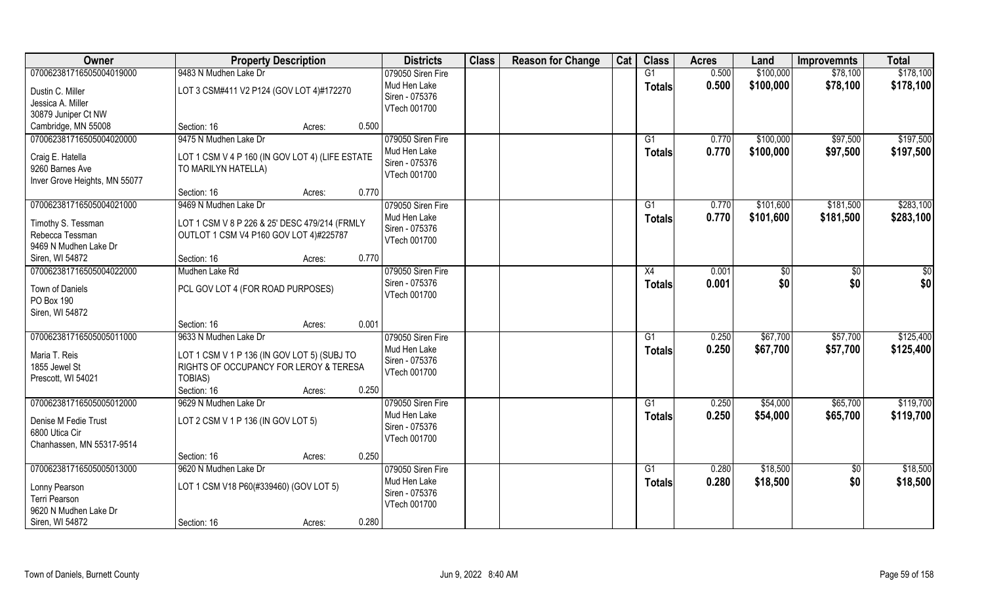| Owner                                                                | <b>Property Description</b>                                                                      |        |       | <b>Districts</b>                                    | <b>Class</b> | <b>Reason for Change</b> | Cat | <b>Class</b>        | <b>Acres</b>   | Land                   | <b>Improvemnts</b>   | <b>Total</b>           |
|----------------------------------------------------------------------|--------------------------------------------------------------------------------------------------|--------|-------|-----------------------------------------------------|--------------|--------------------------|-----|---------------------|----------------|------------------------|----------------------|------------------------|
| 070062381716505004019000<br>Dustin C. Miller                         | 9483 N Mudhen Lake Dr<br>LOT 3 CSM#411 V2 P124 (GOV LOT 4)#172270                                |        |       | 079050 Siren Fire<br>Mud Hen Lake<br>Siren - 075376 |              |                          |     | G1<br><b>Totals</b> | 0.500<br>0.500 | \$100,000<br>\$100,000 | \$78,100<br>\$78,100 | \$178,100<br>\$178,100 |
| Jessica A. Miller<br>30879 Juniper Ct NW<br>Cambridge, MN 55008      | Section: 16                                                                                      | Acres: | 0.500 | VTech 001700                                        |              |                          |     |                     |                |                        |                      |                        |
| 070062381716505004020000                                             | 9475 N Mudhen Lake Dr                                                                            |        |       | 079050 Siren Fire                                   |              |                          |     | G1                  | 0.770          | \$100,000              | \$97,500             | \$197,500              |
| Craig E. Hatella<br>9260 Barnes Ave<br>Inver Grove Heights, MN 55077 | LOT 1 CSM V 4 P 160 (IN GOV LOT 4) (LIFE ESTATE<br>TO MARILYN HATELLA)                           |        |       | Mud Hen Lake<br>Siren - 075376<br>VTech 001700      |              |                          |     | <b>Totals</b>       | 0.770          | \$100,000              | \$97,500             | \$197,500              |
|                                                                      | Section: 16                                                                                      | Acres: | 0.770 |                                                     |              |                          |     |                     |                |                        |                      |                        |
| 070062381716505004021000                                             | 9469 N Mudhen Lake Dr                                                                            |        |       | 079050 Siren Fire                                   |              |                          |     | G1                  | 0.770          | \$101,600              | \$181,500            | \$283,100              |
| Timothy S. Tessman<br>Rebecca Tessman<br>9469 N Mudhen Lake Dr       | LOT 1 CSM V 8 P 226 & 25' DESC 479/214 (FRMLY<br>OUTLOT 1 CSM V4 P160 GOV LOT 4)#225787          |        |       | Mud Hen Lake<br>Siren - 075376<br>VTech 001700      |              |                          |     | <b>Totals</b>       | 0.770          | \$101,600              | \$181,500            | \$283,100              |
| Siren, WI 54872                                                      | Section: 16                                                                                      | Acres: | 0.770 |                                                     |              |                          |     |                     |                |                        |                      |                        |
| 070062381716505004022000                                             | Mudhen Lake Rd                                                                                   |        |       | 079050 Siren Fire                                   |              |                          |     | X4                  | 0.001          | \$0                    | \$0                  | $\frac{6}{3}$          |
| Town of Daniels<br>PO Box 190<br>Siren, WI 54872                     | PCL GOV LOT 4 (FOR ROAD PURPOSES)                                                                |        |       | Siren - 075376<br>VTech 001700                      |              |                          |     | <b>Totals</b>       | 0.001          | \$0                    | \$0                  | \$0                    |
|                                                                      | Section: 16                                                                                      | Acres: | 0.001 |                                                     |              |                          |     |                     |                |                        |                      |                        |
| 070062381716505005011000                                             | 9633 N Mudhen Lake Dr                                                                            |        |       | 079050 Siren Fire                                   |              |                          |     | G1                  | 0.250          | \$67,700               | \$57,700             | \$125,400              |
| Maria T. Reis<br>1855 Jewel St<br>Prescott, WI 54021                 | LOT 1 CSM V 1 P 136 (IN GOV LOT 5) (SUBJ TO<br>RIGHTS OF OCCUPANCY FOR LEROY & TERESA<br>TOBIAS) |        |       | Mud Hen Lake<br>Siren - 075376<br>VTech 001700      |              |                          |     | <b>Totals</b>       | 0.250          | \$67,700               | \$57,700             | \$125,400              |
|                                                                      | Section: 16                                                                                      | Acres: | 0.250 |                                                     |              |                          |     |                     |                |                        |                      |                        |
| 070062381716505005012000                                             | 9629 N Mudhen Lake Dr                                                                            |        |       | 079050 Siren Fire                                   |              |                          |     | G1                  | 0.250          | \$54,000               | \$65,700             | \$119,700              |
| Denise M Fedie Trust<br>6800 Utica Cir<br>Chanhassen, MN 55317-9514  | LOT 2 CSM V 1 P 136 (IN GOV LOT 5)                                                               |        |       | Mud Hen Lake<br>Siren - 075376<br>VTech 001700      |              |                          |     | <b>Totals</b>       | 0.250          | \$54,000               | \$65,700             | \$119,700              |
|                                                                      | Section: 16                                                                                      | Acres: | 0.250 |                                                     |              |                          |     |                     |                |                        |                      |                        |
| 070062381716505005013000                                             | 9620 N Mudhen Lake Dr                                                                            |        |       | 079050 Siren Fire                                   |              |                          |     | G1                  | 0.280          | \$18,500               | $\overline{50}$      | \$18,500               |
| Lonny Pearson<br>Terri Pearson<br>9620 N Mudhen Lake Dr              | LOT 1 CSM V18 P60(#339460) (GOV LOT 5)                                                           |        |       | Mud Hen Lake<br>Siren - 075376<br>VTech 001700      |              |                          |     | <b>Totals</b>       | 0.280          | \$18,500               | \$0                  | \$18,500               |
| Siren, WI 54872                                                      | Section: 16                                                                                      | Acres: | 0.280 |                                                     |              |                          |     |                     |                |                        |                      |                        |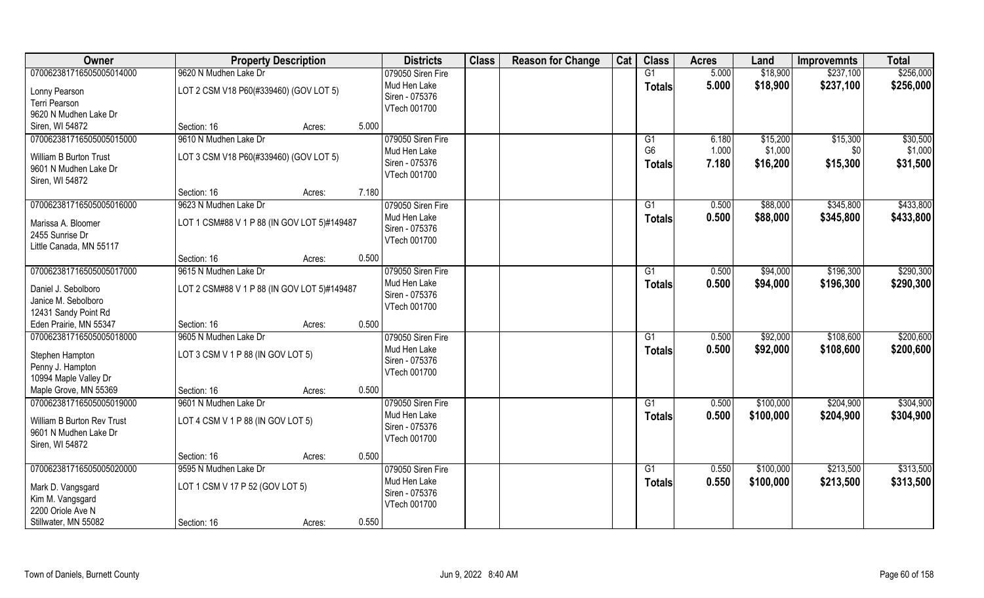| Owner                               | <b>Property Description</b>                 |       | <b>Districts</b>  | <b>Class</b> | <b>Reason for Change</b> | Cat | <b>Class</b>   | <b>Acres</b> | Land      | <b>Improvemnts</b> | <b>Total</b> |
|-------------------------------------|---------------------------------------------|-------|-------------------|--------------|--------------------------|-----|----------------|--------------|-----------|--------------------|--------------|
| 070062381716505005014000            | 9620 N Mudhen Lake Dr                       |       | 079050 Siren Fire |              |                          |     | G1             | 5.000        | \$18,900  | \$237,100          | \$256,000    |
| Lonny Pearson                       | LOT 2 CSM V18 P60(#339460) (GOV LOT 5)      |       | Mud Hen Lake      |              |                          |     | <b>Totals</b>  | 5.000        | \$18,900  | \$237,100          | \$256,000    |
| Terri Pearson                       |                                             |       | Siren - 075376    |              |                          |     |                |              |           |                    |              |
| 9620 N Mudhen Lake Dr               |                                             |       | VTech 001700      |              |                          |     |                |              |           |                    |              |
| Siren, WI 54872                     | Section: 16<br>Acres:                       | 5.000 |                   |              |                          |     |                |              |           |                    |              |
| 070062381716505005015000            | 9610 N Mudhen Lake Dr                       |       | 079050 Siren Fire |              |                          |     | G1             | 6.180        | \$15,200  | \$15,300           | \$30,500     |
| William B Burton Trust              | LOT 3 CSM V18 P60(#339460) (GOV LOT 5)      |       | Mud Hen Lake      |              |                          |     | G <sub>6</sub> | 1.000        | \$1,000   | \$0                | \$1,000      |
| 9601 N Mudhen Lake Dr               |                                             |       | Siren - 075376    |              |                          |     | <b>Totals</b>  | 7.180        | \$16,200  | \$15,300           | \$31,500     |
| Siren, WI 54872                     |                                             |       | VTech 001700      |              |                          |     |                |              |           |                    |              |
|                                     | Section: 16<br>Acres:                       | 7.180 |                   |              |                          |     |                |              |           |                    |              |
| 070062381716505005016000            | 9623 N Mudhen Lake Dr                       |       | 079050 Siren Fire |              |                          |     | G1             | 0.500        | \$88,000  | \$345,800          | \$433,800    |
| Marissa A. Bloomer                  | LOT 1 CSM#88 V 1 P 88 (IN GOV LOT 5)#149487 |       | Mud Hen Lake      |              |                          |     | <b>Totals</b>  | 0.500        | \$88,000  | \$345,800          | \$433,800    |
| 2455 Sunrise Dr                     |                                             |       | Siren - 075376    |              |                          |     |                |              |           |                    |              |
| Little Canada, MN 55117             |                                             |       | VTech 001700      |              |                          |     |                |              |           |                    |              |
|                                     | Section: 16<br>Acres:                       | 0.500 |                   |              |                          |     |                |              |           |                    |              |
| 070062381716505005017000            | 9615 N Mudhen Lake Dr                       |       | 079050 Siren Fire |              |                          |     | G1             | 0.500        | \$94,000  | \$196,300          | \$290,300    |
| Daniel J. Sebolboro                 | LOT 2 CSM#88 V 1 P 88 (IN GOV LOT 5)#149487 |       | Mud Hen Lake      |              |                          |     | <b>Totals</b>  | 0.500        | \$94,000  | \$196,300          | \$290,300    |
| Janice M. Sebolboro                 |                                             |       | Siren - 075376    |              |                          |     |                |              |           |                    |              |
| 12431 Sandy Point Rd                |                                             |       | VTech 001700      |              |                          |     |                |              |           |                    |              |
| Eden Prairie, MN 55347              | Section: 16<br>Acres:                       | 0.500 |                   |              |                          |     |                |              |           |                    |              |
| 070062381716505005018000            | 9605 N Mudhen Lake Dr                       |       | 079050 Siren Fire |              |                          |     | G1             | 0.500        | \$92,000  | \$108,600          | \$200,600    |
|                                     | LOT 3 CSM V 1 P 88 (IN GOV LOT 5)           |       | Mud Hen Lake      |              |                          |     | <b>Totals</b>  | 0.500        | \$92,000  | \$108,600          | \$200,600    |
| Stephen Hampton<br>Penny J. Hampton |                                             |       | Siren - 075376    |              |                          |     |                |              |           |                    |              |
| 10994 Maple Valley Dr               |                                             |       | VTech 001700      |              |                          |     |                |              |           |                    |              |
| Maple Grove, MN 55369               | Section: 16<br>Acres:                       | 0.500 |                   |              |                          |     |                |              |           |                    |              |
| 070062381716505005019000            | 9601 N Mudhen Lake Dr                       |       | 079050 Siren Fire |              |                          |     | G1             | 0.500        | \$100,000 | \$204,900          | \$304,900    |
| <b>William B Burton Rev Trust</b>   | LOT 4 CSM V 1 P 88 (IN GOV LOT 5)           |       | Mud Hen Lake      |              |                          |     | <b>Totals</b>  | 0.500        | \$100,000 | \$204,900          | \$304,900    |
| 9601 N Mudhen Lake Dr               |                                             |       | Siren - 075376    |              |                          |     |                |              |           |                    |              |
| Siren, WI 54872                     |                                             |       | VTech 001700      |              |                          |     |                |              |           |                    |              |
|                                     | Section: 16<br>Acres:                       | 0.500 |                   |              |                          |     |                |              |           |                    |              |
| 070062381716505005020000            | 9595 N Mudhen Lake Dr                       |       | 079050 Siren Fire |              |                          |     | G1             | 0.550        | \$100,000 | \$213,500          | \$313,500    |
| Mark D. Vangsgard                   | LOT 1 CSM V 17 P 52 (GOV LOT 5)             |       | Mud Hen Lake      |              |                          |     | <b>Totals</b>  | 0.550        | \$100,000 | \$213,500          | \$313,500    |
| Kim M. Vangsgard                    |                                             |       | Siren - 075376    |              |                          |     |                |              |           |                    |              |
| 2200 Oriole Ave N                   |                                             |       | VTech 001700      |              |                          |     |                |              |           |                    |              |
| Stillwater, MN 55082                | Section: 16<br>Acres:                       | 0.550 |                   |              |                          |     |                |              |           |                    |              |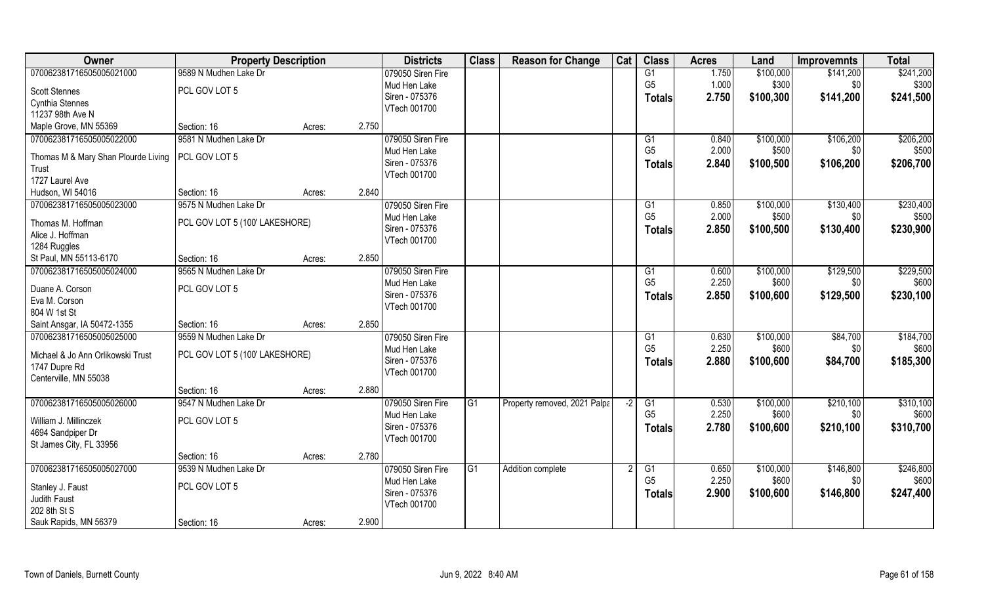| Owner                               | <b>Property Description</b>    |        |       | <b>Districts</b>  | <b>Class</b> | <b>Reason for Change</b>     | Cat  | <b>Class</b>   | <b>Acres</b> | Land      | <b>Improvemnts</b> | <b>Total</b> |
|-------------------------------------|--------------------------------|--------|-------|-------------------|--------------|------------------------------|------|----------------|--------------|-----------|--------------------|--------------|
| 070062381716505005021000            | 9589 N Mudhen Lake Dr          |        |       | 079050 Siren Fire |              |                              |      | G1             | 1.750        | \$100,000 | \$141,200          | \$241,200    |
| <b>Scott Stennes</b>                | PCL GOV LOT 5                  |        |       | Mud Hen Lake      |              |                              |      | G <sub>5</sub> | 1.000        | \$300     | \$0                | \$300        |
| Cynthia Stennes                     |                                |        |       | Siren - 075376    |              |                              |      | <b>Totals</b>  | 2.750        | \$100,300 | \$141,200          | \$241,500    |
| 11237 98th Ave N                    |                                |        |       | VTech 001700      |              |                              |      |                |              |           |                    |              |
| Maple Grove, MN 55369               | Section: 16                    | Acres: | 2.750 |                   |              |                              |      |                |              |           |                    |              |
| 070062381716505005022000            | 9581 N Mudhen Lake Dr          |        |       | 079050 Siren Fire |              |                              |      | G <sub>1</sub> | 0.840        | \$100,000 | \$106,200          | \$206,200    |
| Thomas M & Mary Shan Plourde Living | PCL GOV LOT 5                  |        |       | Mud Hen Lake      |              |                              |      | G <sub>5</sub> | 2.000        | \$500     | \$0                | \$500        |
| Trust                               |                                |        |       | Siren - 075376    |              |                              |      | <b>Totals</b>  | 2.840        | \$100,500 | \$106,200          | \$206,700    |
| 1727 Laurel Ave                     |                                |        |       | VTech 001700      |              |                              |      |                |              |           |                    |              |
| Hudson, WI 54016                    | Section: 16                    | Acres: | 2.840 |                   |              |                              |      |                |              |           |                    |              |
| 070062381716505005023000            | 9575 N Mudhen Lake Dr          |        |       | 079050 Siren Fire |              |                              |      | G1             | 0.850        | \$100,000 | \$130,400          | \$230,400    |
| Thomas M. Hoffman                   | PCL GOV LOT 5 (100' LAKESHORE) |        |       | Mud Hen Lake      |              |                              |      | G <sub>5</sub> | 2.000        | \$500     | \$0                | \$500        |
| Alice J. Hoffman                    |                                |        |       | Siren - 075376    |              |                              |      | <b>Totals</b>  | 2.850        | \$100,500 | \$130,400          | \$230,900    |
| 1284 Ruggles                        |                                |        |       | VTech 001700      |              |                              |      |                |              |           |                    |              |
| St Paul, MN 55113-6170              | Section: 16                    | Acres: | 2.850 |                   |              |                              |      |                |              |           |                    |              |
| 070062381716505005024000            | 9565 N Mudhen Lake Dr          |        |       | 079050 Siren Fire |              |                              |      | G1             | 0.600        | \$100,000 | \$129,500          | \$229,500    |
| Duane A. Corson                     | PCL GOV LOT 5                  |        |       | Mud Hen Lake      |              |                              |      | G <sub>5</sub> | 2.250        | \$600     | \$0                | \$600        |
| Eva M. Corson                       |                                |        |       | Siren - 075376    |              |                              |      | <b>Totals</b>  | 2.850        | \$100,600 | \$129,500          | \$230,100    |
| 804 W 1st St                        |                                |        |       | VTech 001700      |              |                              |      |                |              |           |                    |              |
| Saint Ansgar, IA 50472-1355         | Section: 16                    | Acres: | 2.850 |                   |              |                              |      |                |              |           |                    |              |
| 070062381716505005025000            | 9559 N Mudhen Lake Dr          |        |       | 079050 Siren Fire |              |                              |      | G1             | 0.630        | \$100,000 | \$84,700           | \$184,700    |
| Michael & Jo Ann Orlikowski Trust   | PCL GOV LOT 5 (100' LAKESHORE) |        |       | Mud Hen Lake      |              |                              |      | G <sub>5</sub> | 2.250        | \$600     | \$0                | \$600        |
| 1747 Dupre Rd                       |                                |        |       | Siren - 075376    |              |                              |      | <b>Totals</b>  | 2.880        | \$100,600 | \$84,700           | \$185,300    |
| Centerville, MN 55038               |                                |        |       | VTech 001700      |              |                              |      |                |              |           |                    |              |
|                                     | Section: 16                    | Acres: | 2.880 |                   |              |                              |      |                |              |           |                    |              |
| 070062381716505005026000            | 9547 N Mudhen Lake Dr          |        |       | 079050 Siren Fire | G1           | Property removed, 2021 Palpa | $-2$ | G1             | 0.530        | \$100,000 | \$210,100          | \$310,100    |
| William J. Millinczek               | PCL GOV LOT 5                  |        |       | Mud Hen Lake      |              |                              |      | G <sub>5</sub> | 2.250        | \$600     | \$0                | \$600        |
| 4694 Sandpiper Dr                   |                                |        |       | Siren - 075376    |              |                              |      | <b>Totals</b>  | 2.780        | \$100,600 | \$210,100          | \$310,700    |
| St James City, FL 33956             |                                |        |       | VTech 001700      |              |                              |      |                |              |           |                    |              |
|                                     | Section: 16                    | Acres: | 2.780 |                   |              |                              |      |                |              |           |                    |              |
| 070062381716505005027000            | 9539 N Mudhen Lake Dr          |        |       | 079050 Siren Fire | IG1          | Addition complete            |      | G1             | 0.650        | \$100,000 | \$146,800          | \$246,800    |
| Stanley J. Faust                    | PCL GOV LOT 5                  |        |       | Mud Hen Lake      |              |                              |      | G <sub>5</sub> | 2.250        | \$600     | \$0                | \$600        |
| Judith Faust                        |                                |        |       | Siren - 075376    |              |                              |      | <b>Totals</b>  | 2.900        | \$100,600 | \$146,800          | \$247,400    |
| 202 8th St S                        |                                |        |       | VTech 001700      |              |                              |      |                |              |           |                    |              |
| Sauk Rapids, MN 56379               | Section: 16                    | Acres: | 2.900 |                   |              |                              |      |                |              |           |                    |              |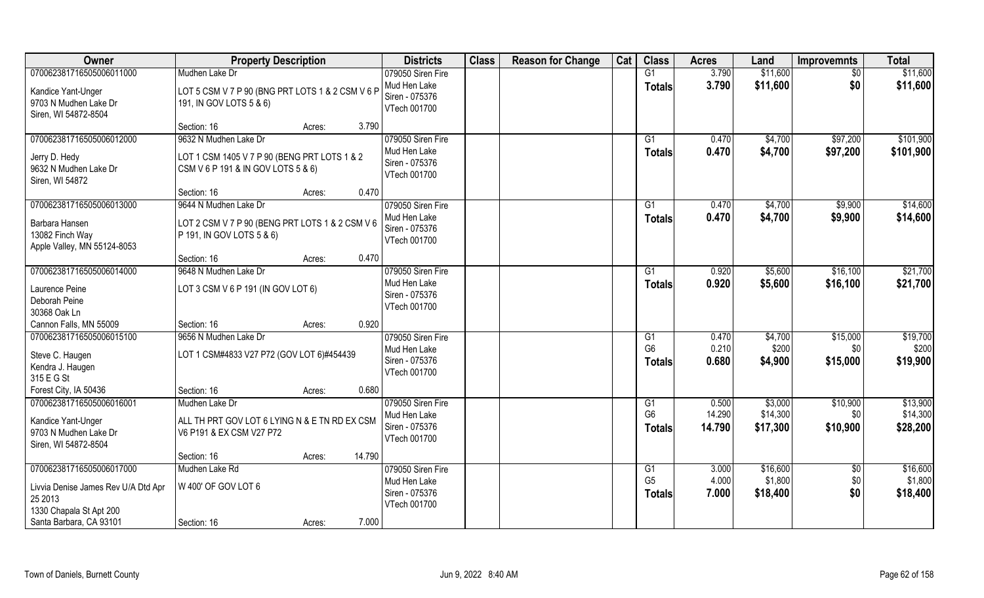| Owner                                                                                                                            | <b>Property Description</b>                                                                                 | <b>Districts</b>                                                    | <b>Class</b> | <b>Reason for Change</b> | Cat | <b>Class</b>                          | <b>Acres</b>              | Land                            | <b>Improvemnts</b>           | <b>Total</b>                     |
|----------------------------------------------------------------------------------------------------------------------------------|-------------------------------------------------------------------------------------------------------------|---------------------------------------------------------------------|--------------|--------------------------|-----|---------------------------------------|---------------------------|---------------------------------|------------------------------|----------------------------------|
| 070062381716505006011000                                                                                                         | Mudhen Lake Dr                                                                                              | 079050 Siren Fire                                                   |              |                          |     | G1                                    | 3.790                     | \$11,600                        | $\sqrt{6}$                   | \$11,600                         |
| Kandice Yant-Unger<br>9703 N Mudhen Lake Dr<br>Siren, WI 54872-8504                                                              | LOT 5 CSM V 7 P 90 (BNG PRT LOTS 1 & 2 CSM V 6 P<br>191, IN GOV LOTS 5 & 6)                                 | Mud Hen Lake<br>Siren - 075376<br>VTech 001700                      |              |                          |     | <b>Totals</b>                         | 3.790                     | \$11,600                        | \$0                          | \$11,600                         |
|                                                                                                                                  | 3.790<br>Section: 16<br>Acres:                                                                              |                                                                     |              |                          |     |                                       |                           |                                 |                              |                                  |
| 070062381716505006012000<br>Jerry D. Hedy<br>9632 N Mudhen Lake Dr<br>Siren, WI 54872                                            | 9632 N Mudhen Lake Dr<br>LOT 1 CSM 1405 V 7 P 90 (BENG PRT LOTS 1 & 2<br>CSM V 6 P 191 & IN GOV LOTS 5 & 6) | 079050 Siren Fire<br>Mud Hen Lake<br>Siren - 075376<br>VTech 001700 |              |                          |     | G1<br>Totals                          | 0.470<br>0.470            | \$4,700<br>\$4,700              | \$97,200<br>\$97,200         | \$101,900<br>\$101,900           |
|                                                                                                                                  | 0.470<br>Section: 16<br>Acres:                                                                              |                                                                     |              |                          |     |                                       |                           |                                 |                              |                                  |
| 070062381716505006013000<br>Barbara Hansen<br>13082 Finch Way<br>Apple Valley, MN 55124-8053                                     | 9644 N Mudhen Lake Dr<br>LOT 2 CSM V 7 P 90 (BENG PRT LOTS 1 & 2 CSM V 6<br>P 191, IN GOV LOTS 5 & 6)       | 079050 Siren Fire<br>Mud Hen Lake<br>Siren - 075376<br>VTech 001700 |              |                          |     | G1<br><b>Totals</b>                   | 0.470<br>0.470            | \$4,700<br>\$4,700              | \$9,900<br>\$9,900           | \$14,600<br>\$14,600             |
|                                                                                                                                  | 0.470<br>Section: 16<br>Acres:                                                                              |                                                                     |              |                          |     |                                       |                           |                                 |                              |                                  |
| 070062381716505006014000<br>Laurence Peine<br>Deborah Peine<br>30368 Oak Ln                                                      | 9648 N Mudhen Lake Dr<br>LOT 3 CSM V 6 P 191 (IN GOV LOT 6)                                                 | 079050 Siren Fire<br>Mud Hen Lake<br>Siren - 075376<br>VTech 001700 |              |                          |     | G1<br><b>Totals</b>                   | 0.920<br>0.920            | \$5,600<br>\$5,600              | \$16,100<br>\$16,100         | \$21,700<br>\$21,700             |
| Cannon Falls, MN 55009                                                                                                           | 0.920<br>Section: 16<br>Acres:                                                                              |                                                                     |              |                          |     |                                       |                           |                                 |                              |                                  |
| 070062381716505006015100<br>Steve C. Haugen<br>Kendra J. Haugen<br>315 E G St                                                    | 9656 N Mudhen Lake Dr<br>LOT 1 CSM#4833 V27 P72 (GOV LOT 6)#454439                                          | 079050 Siren Fire<br>Mud Hen Lake<br>Siren - 075376<br>VTech 001700 |              |                          |     | G1<br>G <sub>6</sub><br><b>Totals</b> | 0.470<br>0.210<br>0.680   | \$4,700<br>\$200<br>\$4,900     | \$15,000<br>\$0<br>\$15,000  | \$19,700<br>\$200<br>\$19,900    |
| Forest City, IA 50436                                                                                                            | Section: 16<br>0.680<br>Acres:                                                                              |                                                                     |              |                          |     |                                       |                           |                                 |                              |                                  |
| 070062381716505006016001<br>Kandice Yant-Unger<br>9703 N Mudhen Lake Dr<br>Siren, WI 54872-8504                                  | Mudhen Lake Dr<br>ALL TH PRT GOV LOT 6 LYING N & E TN RD EX CSM<br>V6 P191 & EX CSM V27 P72                 | 079050 Siren Fire<br>Mud Hen Lake<br>Siren - 075376<br>VTech 001700 |              |                          |     | G1<br>G <sub>6</sub><br><b>Totals</b> | 0.500<br>14.290<br>14.790 | \$3,000<br>\$14,300<br>\$17,300 | \$10,900<br>\$0<br>\$10,900  | \$13,900<br>\$14,300<br>\$28,200 |
|                                                                                                                                  | 14.790<br>Section: 16<br>Acres:                                                                             |                                                                     |              |                          |     |                                       |                           |                                 |                              |                                  |
| 070062381716505006017000<br>Livvia Denise James Rev U/A Dtd Apr<br>25 2013<br>1330 Chapala St Apt 200<br>Santa Barbara, CA 93101 | Mudhen Lake Rd<br>W 400' OF GOV LOT 6<br>7.000<br>Section: 16<br>Acres:                                     | 079050 Siren Fire<br>Mud Hen Lake<br>Siren - 075376<br>VTech 001700 |              |                          |     | G1<br>G <sub>5</sub><br><b>Totals</b> | 3.000<br>4.000<br>7.000   | \$16,600<br>\$1,800<br>\$18,400 | $\sqrt[6]{30}$<br>\$0<br>\$0 | \$16,600<br>\$1,800<br>\$18,400  |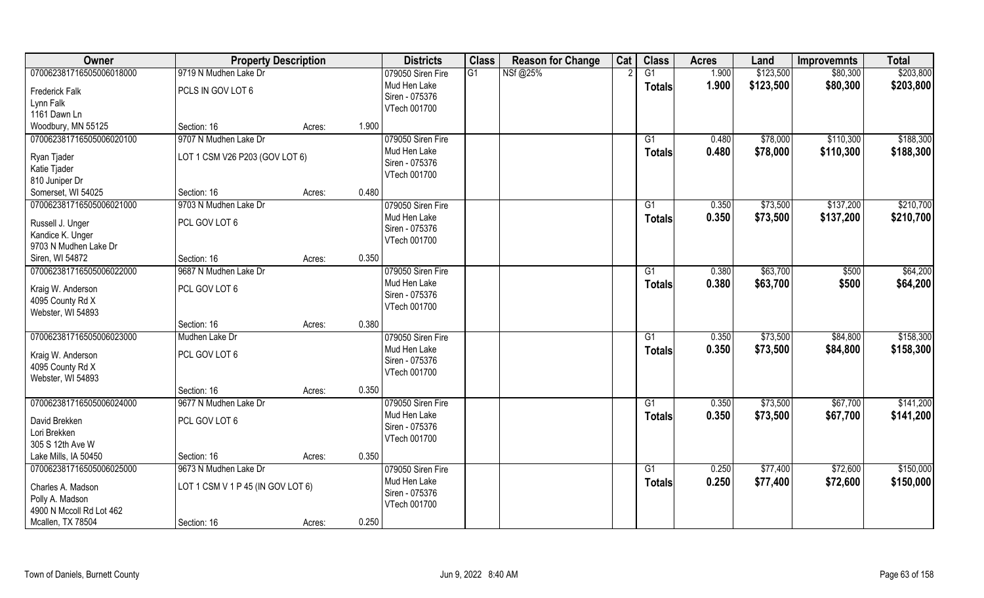| Owner                                       | <b>Property Description</b>       |        |       | <b>Districts</b>  | <b>Class</b> | <b>Reason for Change</b> | Cat | <b>Class</b>  | <b>Acres</b> | Land      | <b>Improvemnts</b> | <b>Total</b> |
|---------------------------------------------|-----------------------------------|--------|-------|-------------------|--------------|--------------------------|-----|---------------|--------------|-----------|--------------------|--------------|
| 070062381716505006018000                    | 9719 N Mudhen Lake Dr             |        |       | 079050 Siren Fire | G1           | NSf@25%                  |     | G1            | 1.900        | \$123,500 | \$80,300           | \$203,800    |
| <b>Frederick Falk</b>                       | PCLS IN GOV LOT 6                 |        |       | Mud Hen Lake      |              |                          |     | <b>Totals</b> | 1.900        | \$123,500 | \$80,300           | \$203,800    |
| Lynn Falk                                   |                                   |        |       | Siren - 075376    |              |                          |     |               |              |           |                    |              |
| 1161 Dawn Ln                                |                                   |        |       | VTech 001700      |              |                          |     |               |              |           |                    |              |
| Woodbury, MN 55125                          | Section: 16                       | Acres: | 1.900 |                   |              |                          |     |               |              |           |                    |              |
| 070062381716505006020100                    | 9707 N Mudhen Lake Dr             |        |       | 079050 Siren Fire |              |                          |     | G1            | 0.480        | \$78,000  | \$110,300          | \$188,300    |
| Ryan Tjader                                 | LOT 1 CSM V26 P203 (GOV LOT 6)    |        |       | Mud Hen Lake      |              |                          |     | <b>Totals</b> | 0.480        | \$78,000  | \$110,300          | \$188,300    |
| Katie Tjader                                |                                   |        |       | Siren - 075376    |              |                          |     |               |              |           |                    |              |
| 810 Juniper Dr                              |                                   |        |       | VTech 001700      |              |                          |     |               |              |           |                    |              |
| Somerset, WI 54025                          | Section: 16                       | Acres: | 0.480 |                   |              |                          |     |               |              |           |                    |              |
| 070062381716505006021000                    | 9703 N Mudhen Lake Dr             |        |       | 079050 Siren Fire |              |                          |     | G1            | 0.350        | \$73,500  | \$137,200          | \$210,700    |
|                                             |                                   |        |       | Mud Hen Lake      |              |                          |     | <b>Totals</b> | 0.350        | \$73,500  | \$137,200          | \$210,700    |
| Russell J. Unger                            | PCL GOV LOT 6                     |        |       | Siren - 075376    |              |                          |     |               |              |           |                    |              |
| Kandice K. Unger<br>9703 N Mudhen Lake Dr   |                                   |        |       | VTech 001700      |              |                          |     |               |              |           |                    |              |
| Siren, WI 54872                             | Section: 16                       | Acres: | 0.350 |                   |              |                          |     |               |              |           |                    |              |
| 070062381716505006022000                    | 9687 N Mudhen Lake Dr             |        |       | 079050 Siren Fire |              |                          |     | G1            | 0.380        | \$63,700  | \$500              | \$64,200     |
|                                             |                                   |        |       | Mud Hen Lake      |              |                          |     |               | 0.380        |           | \$500              |              |
| Kraig W. Anderson                           | PCL GOV LOT 6                     |        |       | Siren - 075376    |              |                          |     | <b>Totals</b> |              | \$63,700  |                    | \$64,200     |
| 4095 County Rd X                            |                                   |        |       | VTech 001700      |              |                          |     |               |              |           |                    |              |
| Webster, WI 54893                           |                                   |        |       |                   |              |                          |     |               |              |           |                    |              |
|                                             | Section: 16                       | Acres: | 0.380 |                   |              |                          |     |               |              |           |                    |              |
| 070062381716505006023000                    | Mudhen Lake Dr                    |        |       | 079050 Siren Fire |              |                          |     | G1            | 0.350        | \$73,500  | \$84,800           | \$158,300    |
| Kraig W. Anderson                           | PCL GOV LOT 6                     |        |       | Mud Hen Lake      |              |                          |     | <b>Totals</b> | 0.350        | \$73,500  | \$84,800           | \$158,300    |
| 4095 County Rd X                            |                                   |        |       | Siren - 075376    |              |                          |     |               |              |           |                    |              |
| Webster, WI 54893                           |                                   |        |       | VTech 001700      |              |                          |     |               |              |           |                    |              |
|                                             | Section: 16                       | Acres: | 0.350 |                   |              |                          |     |               |              |           |                    |              |
| 070062381716505006024000                    | 9677 N Mudhen Lake Dr             |        |       | 079050 Siren Fire |              |                          |     | G1            | 0.350        | \$73,500  | \$67,700           | \$141,200    |
| David Brekken                               | PCL GOV LOT 6                     |        |       | Mud Hen Lake      |              |                          |     | <b>Totals</b> | 0.350        | \$73,500  | \$67,700           | \$141,200    |
| Lori Brekken                                |                                   |        |       | Siren - 075376    |              |                          |     |               |              |           |                    |              |
| 305 S 12th Ave W                            |                                   |        |       | VTech 001700      |              |                          |     |               |              |           |                    |              |
| Lake Mills, IA 50450                        | Section: 16                       | Acres: | 0.350 |                   |              |                          |     |               |              |           |                    |              |
| 070062381716505006025000                    | 9673 N Mudhen Lake Dr             |        |       | 079050 Siren Fire |              |                          |     | G1            | 0.250        | \$77,400  | \$72,600           | \$150,000    |
|                                             |                                   |        |       | Mud Hen Lake      |              |                          |     | <b>Totals</b> | 0.250        | \$77,400  | \$72,600           | \$150,000    |
| Charles A. Madson                           | LOT 1 CSM V 1 P 45 (IN GOV LOT 6) |        |       | Siren - 075376    |              |                          |     |               |              |           |                    |              |
| Polly A. Madson<br>4900 N Mccoll Rd Lot 462 |                                   |        |       | VTech 001700      |              |                          |     |               |              |           |                    |              |
| Mcallen, TX 78504                           | Section: 16                       |        | 0.250 |                   |              |                          |     |               |              |           |                    |              |
|                                             |                                   | Acres: |       |                   |              |                          |     |               |              |           |                    |              |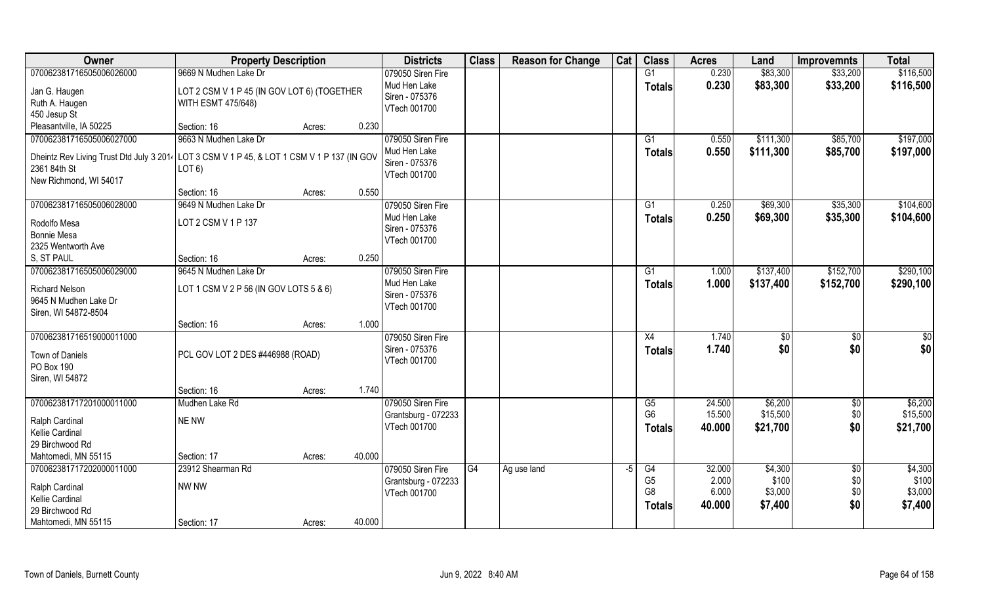| Owner                                                                                      | <b>Property Description</b>                 |        |        | <b>Districts</b>                    | <b>Class</b> | <b>Reason for Change</b> | Cat  | <b>Class</b>   | <b>Acres</b> | Land      | <b>Improvemnts</b> | <b>Total</b> |
|--------------------------------------------------------------------------------------------|---------------------------------------------|--------|--------|-------------------------------------|--------------|--------------------------|------|----------------|--------------|-----------|--------------------|--------------|
| 070062381716505006026000                                                                   | 9669 N Mudhen Lake Dr                       |        |        | 079050 Siren Fire                   |              |                          |      | G1             | 0.230        | \$83,300  | \$33,200           | \$116,500    |
| Jan G. Haugen                                                                              | LOT 2 CSM V 1 P 45 (IN GOV LOT 6) (TOGETHER |        |        | Mud Hen Lake                        |              |                          |      | <b>Totals</b>  | 0.230        | \$83,300  | \$33,200           | \$116,500    |
| Ruth A. Haugen                                                                             | <b>WITH ESMT 475/648)</b>                   |        |        | Siren - 075376                      |              |                          |      |                |              |           |                    |              |
| 450 Jesup St                                                                               |                                             |        |        | VTech 001700                        |              |                          |      |                |              |           |                    |              |
| Pleasantville, IA 50225                                                                    | Section: 16                                 | Acres: | 0.230  |                                     |              |                          |      |                |              |           |                    |              |
| 070062381716505006027000                                                                   | 9663 N Mudhen Lake Dr                       |        |        | 079050 Siren Fire                   |              |                          |      | G1             | 0.550        | \$111,300 | \$85,700           | \$197,000    |
| Dheintz Rev Living Trust Dtd July 3 2014 LOT 3 CSM V 1 P 45, & LOT 1 CSM V 1 P 137 (IN GOV |                                             |        |        | Mud Hen Lake                        |              |                          |      | <b>Totals</b>  | 0.550        | \$111,300 | \$85,700           | \$197,000    |
| 2361 84th St                                                                               | LOT <sub>6</sub>                            |        |        | Siren - 075376                      |              |                          |      |                |              |           |                    |              |
| New Richmond, WI 54017                                                                     |                                             |        |        | VTech 001700                        |              |                          |      |                |              |           |                    |              |
|                                                                                            | Section: 16                                 | Acres: | 0.550  |                                     |              |                          |      |                |              |           |                    |              |
| 070062381716505006028000                                                                   | 9649 N Mudhen Lake Dr                       |        |        | 079050 Siren Fire                   |              |                          |      | G1             | 0.250        | \$69,300  | \$35,300           | \$104,600    |
|                                                                                            |                                             |        |        | Mud Hen Lake                        |              |                          |      | <b>Totals</b>  | 0.250        | \$69,300  | \$35,300           | \$104,600    |
| Rodolfo Mesa<br><b>Bonnie Mesa</b>                                                         | LOT 2 CSM V 1 P 137                         |        |        | Siren - 075376                      |              |                          |      |                |              |           |                    |              |
| 2325 Wentworth Ave                                                                         |                                             |        |        | VTech 001700                        |              |                          |      |                |              |           |                    |              |
| S, ST PAUL                                                                                 | Section: 16                                 | Acres: | 0.250  |                                     |              |                          |      |                |              |           |                    |              |
| 070062381716505006029000                                                                   | 9645 N Mudhen Lake Dr                       |        |        | 079050 Siren Fire                   |              |                          |      | G1             | 1.000        | \$137,400 | \$152,700          | \$290,100    |
|                                                                                            |                                             |        |        | Mud Hen Lake                        |              |                          |      | <b>Totals</b>  | 1.000        | \$137,400 | \$152,700          | \$290,100    |
| <b>Richard Nelson</b>                                                                      | LOT 1 CSM V 2 P 56 (IN GOV LOTS 5 & 6)      |        |        | Siren - 075376                      |              |                          |      |                |              |           |                    |              |
| 9645 N Mudhen Lake Dr                                                                      |                                             |        |        | VTech 001700                        |              |                          |      |                |              |           |                    |              |
| Siren, WI 54872-8504                                                                       |                                             |        | 1.000  |                                     |              |                          |      |                |              |           |                    |              |
| 070062381716519000011000                                                                   | Section: 16                                 | Acres: |        |                                     |              |                          |      | X4             | 1.740        |           |                    |              |
|                                                                                            |                                             |        |        | 079050 Siren Fire<br>Siren - 075376 |              |                          |      |                |              | \$        | \$0                | \$0          |
| Town of Daniels                                                                            | PCL GOV LOT 2 DES #446988 (ROAD)            |        |        | VTech 001700                        |              |                          |      | <b>Totals</b>  | 1.740        | \$0       | \$0                | \$0          |
| PO Box 190                                                                                 |                                             |        |        |                                     |              |                          |      |                |              |           |                    |              |
| Siren, WI 54872                                                                            |                                             |        |        |                                     |              |                          |      |                |              |           |                    |              |
|                                                                                            | Section: 16                                 | Acres: | 1.740  |                                     |              |                          |      |                |              |           |                    |              |
| 070062381717201000011000                                                                   | Mudhen Lake Rd                              |        |        | 079050 Siren Fire                   |              |                          |      | G5             | 24.500       | \$6,200   | \$0                | \$6,200      |
| Ralph Cardinal                                                                             | NE NW                                       |        |        | Grantsburg - 072233                 |              |                          |      | G <sub>6</sub> | 15.500       | \$15,500  | $$0$$              | \$15,500     |
| Kellie Cardinal                                                                            |                                             |        |        | VTech 001700                        |              |                          |      | <b>Totals</b>  | 40.000       | \$21,700  | \$0                | \$21,700     |
| 29 Birchwood Rd                                                                            |                                             |        |        |                                     |              |                          |      |                |              |           |                    |              |
| Mahtomedi, MN 55115                                                                        | Section: 17                                 | Acres: | 40.000 |                                     |              |                          |      |                |              |           |                    |              |
| 070062381717202000011000                                                                   | 23912 Shearman Rd                           |        |        | 079050 Siren Fire                   | G4           | Ag use land              | $-5$ | G4             | 32.000       | \$4,300   | $\overline{60}$    | \$4,300      |
| Ralph Cardinal                                                                             | NW NW                                       |        |        | Grantsburg - 072233                 |              |                          |      | G <sub>5</sub> | 2.000        | \$100     | \$0\$              | \$100        |
| Kellie Cardinal                                                                            |                                             |        |        | VTech 001700                        |              |                          |      | G <sub>8</sub> | 6.000        | \$3,000   | \$0                | \$3,000      |
| 29 Birchwood Rd                                                                            |                                             |        |        |                                     |              |                          |      | <b>Totals</b>  | 40.000       | \$7,400   | \$0                | \$7,400      |
| Mahtomedi, MN 55115                                                                        | Section: 17                                 | Acres: | 40.000 |                                     |              |                          |      |                |              |           |                    |              |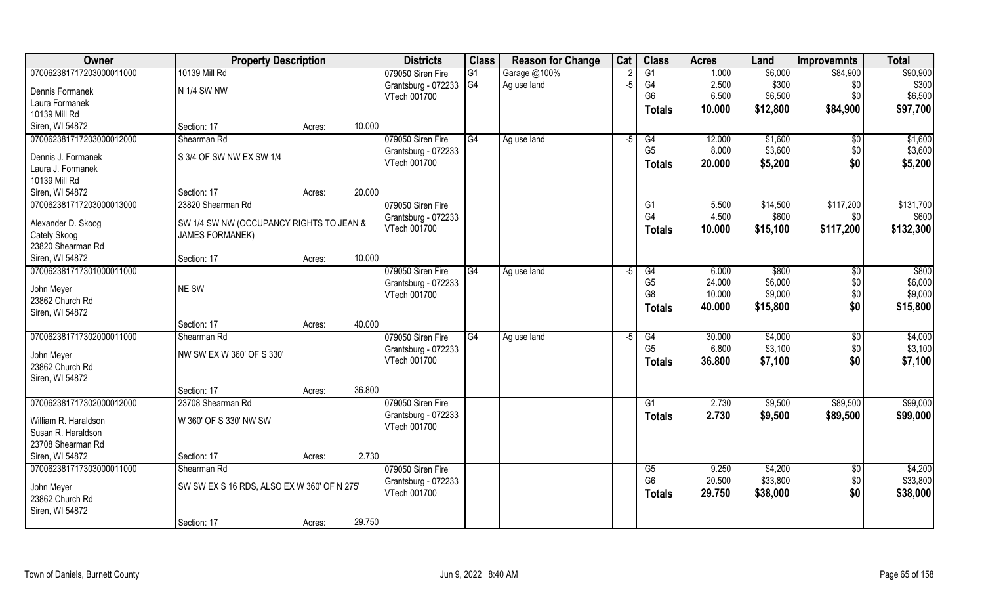| Owner                    | <b>Property Description</b>                 |        | <b>Districts</b>    | <b>Class</b>   | <b>Reason for Change</b> | Cat  | <b>Class</b>    | <b>Acres</b> | Land     | <b>Improvemnts</b> | <b>Total</b> |
|--------------------------|---------------------------------------------|--------|---------------------|----------------|--------------------------|------|-----------------|--------------|----------|--------------------|--------------|
| 070062381717203000011000 | 10139 Mill Rd                               |        | 079050 Siren Fire   | G1             | Garage @100%             |      | $\overline{G1}$ | 1.000        | \$6,000  | \$84,900           | \$90,900     |
| Dennis Formanek          | N 1/4 SW NW                                 |        | Grantsburg - 072233 | G <sub>4</sub> | Ag use land              | $-5$ | G4              | 2.500        | \$300    | \$0                | \$300        |
| Laura Formanek           |                                             |        | VTech 001700        |                |                          |      | G <sub>6</sub>  | 6.500        | \$6,500  | \$0                | \$6,500      |
| 10139 Mill Rd            |                                             |        |                     |                |                          |      | <b>Totals</b>   | 10.000       | \$12,800 | \$84,900           | \$97,700     |
| Siren, WI 54872          | Section: 17                                 | Acres: | 10.000              |                |                          |      |                 |              |          |                    |              |
| 070062381717203000012000 | Shearman Rd                                 |        | 079050 Siren Fire   | G4             | Ag use land              | -5   | G4              | 12.000       | \$1,600  | \$0                | \$1,600      |
|                          |                                             |        | Grantsburg - 072233 |                |                          |      | G <sub>5</sub>  | 8.000        | \$3,600  | \$0                | \$3,600      |
| Dennis J. Formanek       | S 3/4 OF SW NW EX SW 1/4                    |        | VTech 001700        |                |                          |      | <b>Totals</b>   | 20.000       | \$5,200  | \$0                | \$5,200      |
| Laura J. Formanek        |                                             |        |                     |                |                          |      |                 |              |          |                    |              |
| 10139 Mill Rd            |                                             |        |                     |                |                          |      |                 |              |          |                    |              |
| Siren, WI 54872          | Section: 17                                 | Acres: | 20.000              |                |                          |      |                 |              |          |                    |              |
| 070062381717203000013000 | 23820 Shearman Rd                           |        | 079050 Siren Fire   |                |                          |      | G1              | 5.500        | \$14,500 | \$117,200          | \$131,700    |
| Alexander D. Skoog       | SW 1/4 SW NW (OCCUPANCY RIGHTS TO JEAN &    |        | Grantsburg - 072233 |                |                          |      | G4              | 4.500        | \$600    | \$0                | \$600        |
| Cately Skoog             | <b>JAMES FORMANEK)</b>                      |        | VTech 001700        |                |                          |      | <b>Totals</b>   | 10.000       | \$15,100 | \$117,200          | \$132,300    |
| 23820 Shearman Rd        |                                             |        |                     |                |                          |      |                 |              |          |                    |              |
| Siren, WI 54872          | Section: 17                                 | Acres: | 10.000              |                |                          |      |                 |              |          |                    |              |
| 070062381717301000011000 |                                             |        | 079050 Siren Fire   | G4             | Ag use land              | $-5$ | G4              | 6.000        | \$800    | \$0                | \$800        |
|                          |                                             |        | Grantsburg - 072233 |                |                          |      | G <sub>5</sub>  | 24.000       | \$6,000  | \$0                | \$6,000      |
| John Meyer               | NE SW                                       |        | VTech 001700        |                |                          |      | G <sub>8</sub>  | 10.000       | \$9,000  | \$0                | \$9,000      |
| 23862 Church Rd          |                                             |        |                     |                |                          |      | <b>Totals</b>   | 40.000       | \$15,800 | \$0                | \$15,800     |
| Siren, WI 54872          |                                             |        |                     |                |                          |      |                 |              |          |                    |              |
|                          | Section: 17                                 | Acres: | 40.000              |                |                          |      |                 |              |          |                    |              |
| 070062381717302000011000 | Shearman Rd                                 |        | 079050 Siren Fire   | G4             | Ag use land              | $-5$ | G4              | 30.000       | \$4,000  | \$0                | \$4,000      |
| John Meyer               | NW SW EX W 360' OF S 330'                   |        | Grantsburg - 072233 |                |                          |      | G <sub>5</sub>  | 6.800        | \$3,100  | \$0                | \$3,100      |
| 23862 Church Rd          |                                             |        | VTech 001700        |                |                          |      | <b>Totals</b>   | 36.800       | \$7,100  | \$0                | \$7,100      |
| Siren, WI 54872          |                                             |        |                     |                |                          |      |                 |              |          |                    |              |
|                          | Section: 17                                 | Acres: | 36.800              |                |                          |      |                 |              |          |                    |              |
| 070062381717302000012000 | 23708 Shearman Rd                           |        | 079050 Siren Fire   |                |                          |      | $\overline{G1}$ | 2.730        | \$9,500  | \$89,500           | \$99,000     |
| William R. Haraldson     | W 360' OF S 330' NW SW                      |        | Grantsburg - 072233 |                |                          |      | <b>Totals</b>   | 2.730        | \$9,500  | \$89,500           | \$99,000     |
| Susan R. Haraldson       |                                             |        | VTech 001700        |                |                          |      |                 |              |          |                    |              |
| 23708 Shearman Rd        |                                             |        |                     |                |                          |      |                 |              |          |                    |              |
| Siren, WI 54872          | Section: 17                                 | Acres: | 2.730               |                |                          |      |                 |              |          |                    |              |
| 070062381717303000011000 | Shearman Rd                                 |        | 079050 Siren Fire   |                |                          |      | G5              | 9.250        | \$4,200  | $\overline{60}$    | \$4,200      |
|                          |                                             |        | Grantsburg - 072233 |                |                          |      | G <sub>6</sub>  | 20.500       | \$33,800 | \$0                | \$33,800     |
| John Meyer               | SW SW EX S 16 RDS, ALSO EX W 360' OF N 275' |        | VTech 001700        |                |                          |      |                 |              |          |                    |              |
| 23862 Church Rd          |                                             |        |                     |                |                          |      | <b>Totals</b>   | 29.750       | \$38,000 | \$0                | \$38,000     |
| Siren, WI 54872          |                                             |        |                     |                |                          |      |                 |              |          |                    |              |
|                          | Section: 17                                 | Acres: | 29.750              |                |                          |      |                 |              |          |                    |              |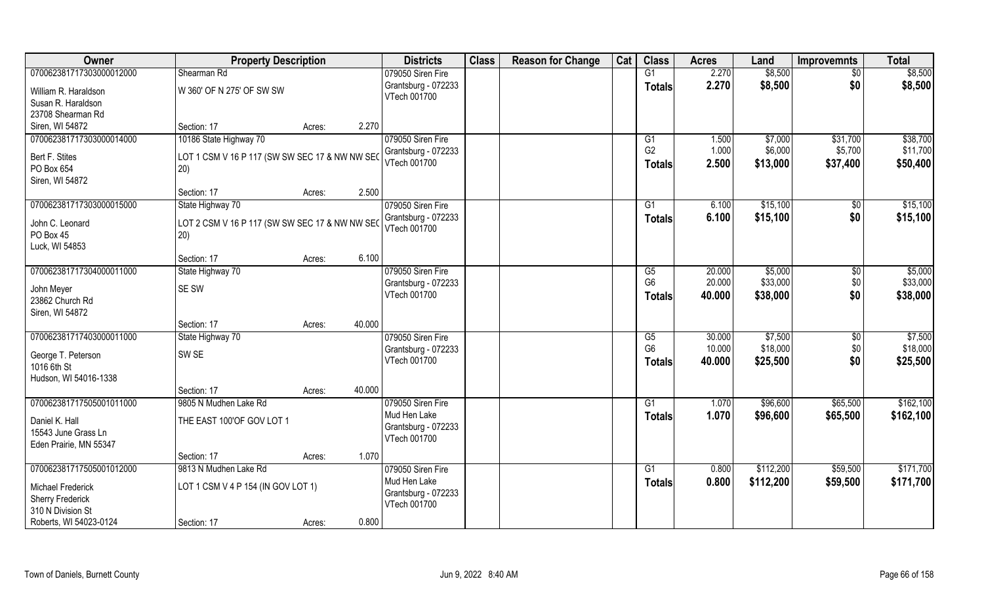| Owner                                        | <b>Property Description</b>                    |        |        | <b>Districts</b>    | <b>Class</b> | <b>Reason for Change</b> | Cat | <b>Class</b>   | <b>Acres</b> | Land      | <b>Improvemnts</b> | <b>Total</b> |
|----------------------------------------------|------------------------------------------------|--------|--------|---------------------|--------------|--------------------------|-----|----------------|--------------|-----------|--------------------|--------------|
| 070062381717303000012000                     | Shearman Rd                                    |        |        | 079050 Siren Fire   |              |                          |     | G1             | 2.270        | \$8,500   | $\overline{50}$    | \$8,500      |
| William R. Haraldson                         | W 360' OF N 275' OF SW SW                      |        |        | Grantsburg - 072233 |              |                          |     | <b>Totals</b>  | 2.270        | \$8,500   | \$0                | \$8,500      |
| Susan R. Haraldson                           |                                                |        |        | VTech 001700        |              |                          |     |                |              |           |                    |              |
| 23708 Shearman Rd                            |                                                |        |        |                     |              |                          |     |                |              |           |                    |              |
| Siren, WI 54872                              | Section: 17                                    | Acres: | 2.270  |                     |              |                          |     |                |              |           |                    |              |
| 070062381717303000014000                     | 10186 State Highway 70                         |        |        | 079050 Siren Fire   |              |                          |     | G1             | 1.500        | \$7,000   | \$31,700           | \$38,700     |
| Bert F. Stites                               | LOT 1 CSM V 16 P 117 (SW SW SEC 17 & NW NW SEC |        |        | Grantsburg - 072233 |              |                          |     | G <sub>2</sub> | 1.000        | \$6,000   | \$5,700            | \$11,700     |
| PO Box 654                                   | 20)                                            |        |        | VTech 001700        |              |                          |     | Totals         | 2.500        | \$13,000  | \$37,400           | \$50,400     |
| Siren, WI 54872                              |                                                |        |        |                     |              |                          |     |                |              |           |                    |              |
|                                              | Section: 17                                    | Acres: | 2.500  |                     |              |                          |     |                |              |           |                    |              |
| 070062381717303000015000                     | State Highway 70                               |        |        | 079050 Siren Fire   |              |                          |     | G1             | 6.100        | \$15,100  | $\sqrt[6]{30}$     | \$15,100     |
| John C. Leonard                              | LOT 2 CSM V 16 P 117 (SW SW SEC 17 & NW NW SEC |        |        | Grantsburg - 072233 |              |                          |     | <b>Totals</b>  | 6.100        | \$15,100  | \$0                | \$15,100     |
| PO Box 45                                    | 20)                                            |        |        | VTech 001700        |              |                          |     |                |              |           |                    |              |
| Luck, WI 54853                               |                                                |        |        |                     |              |                          |     |                |              |           |                    |              |
|                                              | Section: 17                                    | Acres: | 6.100  |                     |              |                          |     |                |              |           |                    |              |
| 070062381717304000011000                     | State Highway 70                               |        |        | 079050 Siren Fire   |              |                          |     | G <sub>5</sub> | 20.000       | \$5,000   | \$0                | \$5,000      |
|                                              |                                                |        |        | Grantsburg - 072233 |              |                          |     | G <sub>6</sub> | 20.000       | \$33,000  | \$0                | \$33,000     |
| John Meyer                                   | SE SW                                          |        |        | VTech 001700        |              |                          |     | <b>Totals</b>  | 40.000       | \$38,000  | \$0                | \$38,000     |
| 23862 Church Rd                              |                                                |        |        |                     |              |                          |     |                |              |           |                    |              |
| Siren, WI 54872                              |                                                |        |        |                     |              |                          |     |                |              |           |                    |              |
|                                              | Section: 17                                    | Acres: | 40.000 |                     |              |                          |     |                |              |           |                    |              |
| 070062381717403000011000                     | State Highway 70                               |        |        | 079050 Siren Fire   |              |                          |     | G5             | 30.000       | \$7,500   | $\overline{50}$    | \$7,500      |
| George T. Peterson                           | SW <sub>SE</sub>                               |        |        | Grantsburg - 072233 |              |                          |     | G <sub>6</sub> | 10.000       | \$18,000  | \$0                | \$18,000     |
| 1016 6th St                                  |                                                |        |        | VTech 001700        |              |                          |     | Totals         | 40.000       | \$25,500  | \$0                | \$25,500     |
| Hudson, WI 54016-1338                        |                                                |        |        |                     |              |                          |     |                |              |           |                    |              |
|                                              | Section: 17                                    | Acres: | 40.000 |                     |              |                          |     |                |              |           |                    |              |
| 070062381717505001011000                     | 9805 N Mudhen Lake Rd                          |        |        | 079050 Siren Fire   |              |                          |     | G1             | 1.070        | \$96,600  | \$65,500           | \$162,100    |
| Daniel K. Hall                               | THE EAST 100'OF GOV LOT 1                      |        |        | Mud Hen Lake        |              |                          |     | <b>Totals</b>  | 1.070        | \$96,600  | \$65,500           | \$162,100    |
| 15543 June Grass Ln                          |                                                |        |        | Grantsburg - 072233 |              |                          |     |                |              |           |                    |              |
| Eden Prairie, MN 55347                       |                                                |        |        | VTech 001700        |              |                          |     |                |              |           |                    |              |
|                                              | Section: 17                                    | Acres: | 1.070  |                     |              |                          |     |                |              |           |                    |              |
| 070062381717505001012000                     | 9813 N Mudhen Lake Rd                          |        |        | 079050 Siren Fire   |              |                          |     | G1             | 0.800        | \$112,200 | \$59,500           | \$171,700    |
|                                              |                                                |        |        | Mud Hen Lake        |              |                          |     | <b>Totals</b>  | 0.800        | \$112,200 | \$59,500           | \$171,700    |
| <b>Michael Frederick</b>                     | LOT 1 CSM V 4 P 154 (IN GOV LOT 1)             |        |        | Grantsburg - 072233 |              |                          |     |                |              |           |                    |              |
| <b>Sherry Frederick</b><br>310 N Division St |                                                |        |        | VTech 001700        |              |                          |     |                |              |           |                    |              |
| Roberts, WI 54023-0124                       | Section: 17                                    |        | 0.800  |                     |              |                          |     |                |              |           |                    |              |
|                                              |                                                | Acres: |        |                     |              |                          |     |                |              |           |                    |              |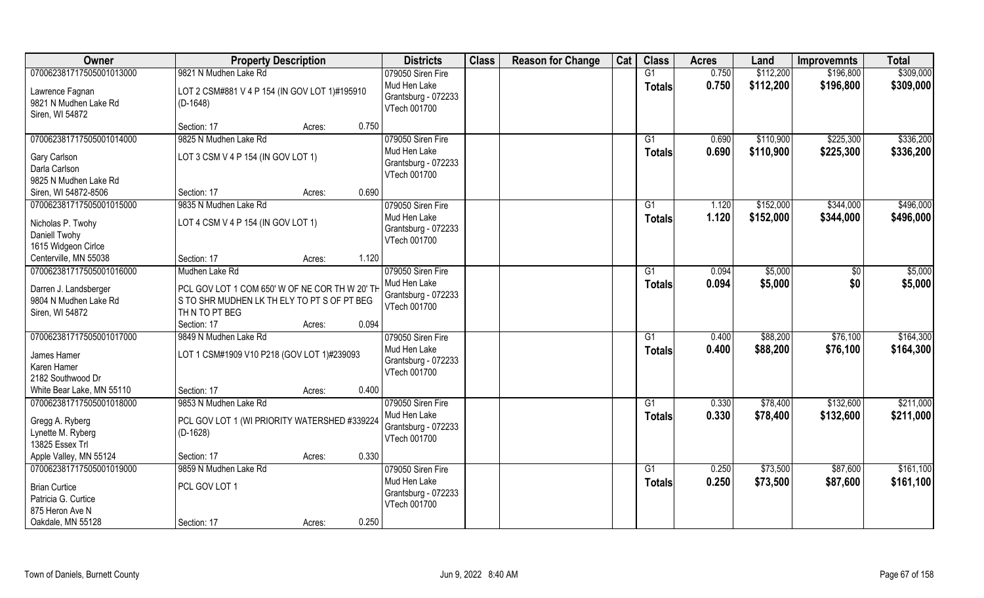| Owner                     | <b>Property Description</b>                    | <b>Districts</b>                    | <b>Class</b> | <b>Reason for Change</b> | Cat | <b>Class</b>  | <b>Acres</b> | Land      | <b>Improvemnts</b> | <b>Total</b> |
|---------------------------|------------------------------------------------|-------------------------------------|--------------|--------------------------|-----|---------------|--------------|-----------|--------------------|--------------|
| 070062381717505001013000  | 9821 N Mudhen Lake Rd                          | 079050 Siren Fire                   |              |                          |     | G1            | 0.750        | \$112,200 | \$196,800          | \$309,000    |
| Lawrence Fagnan           | LOT 2 CSM#881 V 4 P 154 (IN GOV LOT 1)#195910  | Mud Hen Lake                        |              |                          |     | <b>Totals</b> | 0.750        | \$112,200 | \$196,800          | \$309,000    |
| 9821 N Mudhen Lake Rd     | $(D-1648)$                                     | Grantsburg - 072233                 |              |                          |     |               |              |           |                    |              |
| Siren, WI 54872           |                                                | VTech 001700                        |              |                          |     |               |              |           |                    |              |
|                           | 0.750<br>Section: 17<br>Acres:                 |                                     |              |                          |     |               |              |           |                    |              |
| 070062381717505001014000  | 9825 N Mudhen Lake Rd                          | 079050 Siren Fire                   |              |                          |     | G1            | 0.690        | \$110,900 | \$225,300          | \$336,200    |
| Gary Carlson              | LOT 3 CSM V 4 P 154 (IN GOV LOT 1)             | Mud Hen Lake                        |              |                          |     | <b>Totals</b> | 0.690        | \$110,900 | \$225,300          | \$336,200    |
| Darla Carlson             |                                                | Grantsburg - 072233                 |              |                          |     |               |              |           |                    |              |
| 9825 N Mudhen Lake Rd     |                                                | VTech 001700                        |              |                          |     |               |              |           |                    |              |
| Siren, WI 54872-8506      | 0.690<br>Section: 17<br>Acres:                 |                                     |              |                          |     |               |              |           |                    |              |
| 070062381717505001015000  | 9835 N Mudhen Lake Rd                          | 079050 Siren Fire                   |              |                          |     | G1            | 1.120        | \$152,000 | \$344,000          | \$496,000    |
| Nicholas P. Twohy         | LOT 4 CSM V 4 P 154 (IN GOV LOT 1)             | Mud Hen Lake                        |              |                          |     | <b>Totals</b> | 1.120        | \$152,000 | \$344,000          | \$496,000    |
| Daniell Twohy             |                                                | Grantsburg - 072233<br>VTech 001700 |              |                          |     |               |              |           |                    |              |
| 1615 Widgeon Cirlce       |                                                |                                     |              |                          |     |               |              |           |                    |              |
| Centerville, MN 55038     | 1.120<br>Section: 17<br>Acres:                 |                                     |              |                          |     |               |              |           |                    |              |
| 070062381717505001016000  | Mudhen Lake Rd                                 | 079050 Siren Fire                   |              |                          |     | G1            | 0.094        | \$5,000   | \$0                | \$5,000      |
| Darren J. Landsberger     | PCL GOV LOT 1 COM 650' W OF NE COR TH W 20' TH | Mud Hen Lake                        |              |                          |     | <b>Totals</b> | 0.094        | \$5,000   | \$0                | \$5,000      |
| 9804 N Mudhen Lake Rd     | S TO SHR MUDHEN LK TH ELY TO PT S OF PT BEG    | Grantsburg - 072233<br>VTech 001700 |              |                          |     |               |              |           |                    |              |
| Siren, WI 54872           | TH N TO PT BEG                                 |                                     |              |                          |     |               |              |           |                    |              |
|                           | 0.094<br>Section: 17<br>Acres:                 |                                     |              |                          |     |               |              |           |                    |              |
| 070062381717505001017000  | 9849 N Mudhen Lake Rd                          | 079050 Siren Fire                   |              |                          |     | G1            | 0.400        | \$88,200  | \$76,100           | \$164,300    |
| James Hamer               | LOT 1 CSM#1909 V10 P218 (GOV LOT 1)#239093     | Mud Hen Lake                        |              |                          |     | <b>Totals</b> | 0.400        | \$88,200  | \$76,100           | \$164,300    |
| Karen Hamer               |                                                | Grantsburg - 072233<br>VTech 001700 |              |                          |     |               |              |           |                    |              |
| 2182 Southwood Dr         |                                                |                                     |              |                          |     |               |              |           |                    |              |
| White Bear Lake, MN 55110 | 0.400<br>Section: 17<br>Acres:                 |                                     |              |                          |     |               |              |           |                    |              |
| 070062381717505001018000  | 9853 N Mudhen Lake Rd                          | 079050 Siren Fire                   |              |                          |     | G1            | 0.330        | \$78,400  | \$132,600          | \$211,000    |
| Gregg A. Ryberg           | PCL GOV LOT 1 (WI PRIORITY WATERSHED #339224   | Mud Hen Lake<br>Grantsburg - 072233 |              |                          |     | <b>Totals</b> | 0.330        | \$78,400  | \$132,600          | \$211,000    |
| Lynette M. Ryberg         | $(D-1628)$                                     | VTech 001700                        |              |                          |     |               |              |           |                    |              |
| 13825 Essex Trl           |                                                |                                     |              |                          |     |               |              |           |                    |              |
| Apple Valley, MN 55124    | 0.330<br>Section: 17<br>Acres:                 |                                     |              |                          |     |               |              |           |                    |              |
| 070062381717505001019000  | 9859 N Mudhen Lake Rd                          | 079050 Siren Fire                   |              |                          |     | G1            | 0.250        | \$73,500  | \$87,600           | \$161,100    |
| <b>Brian Curtice</b>      | PCL GOV LOT 1                                  | Mud Hen Lake                        |              |                          |     | <b>Totals</b> | 0.250        | \$73,500  | \$87,600           | \$161,100    |
| Patricia G. Curtice       |                                                | Grantsburg - 072233<br>VTech 001700 |              |                          |     |               |              |           |                    |              |
| 875 Heron Ave N           |                                                |                                     |              |                          |     |               |              |           |                    |              |
| Oakdale, MN 55128         | 0.250<br>Section: 17<br>Acres:                 |                                     |              |                          |     |               |              |           |                    |              |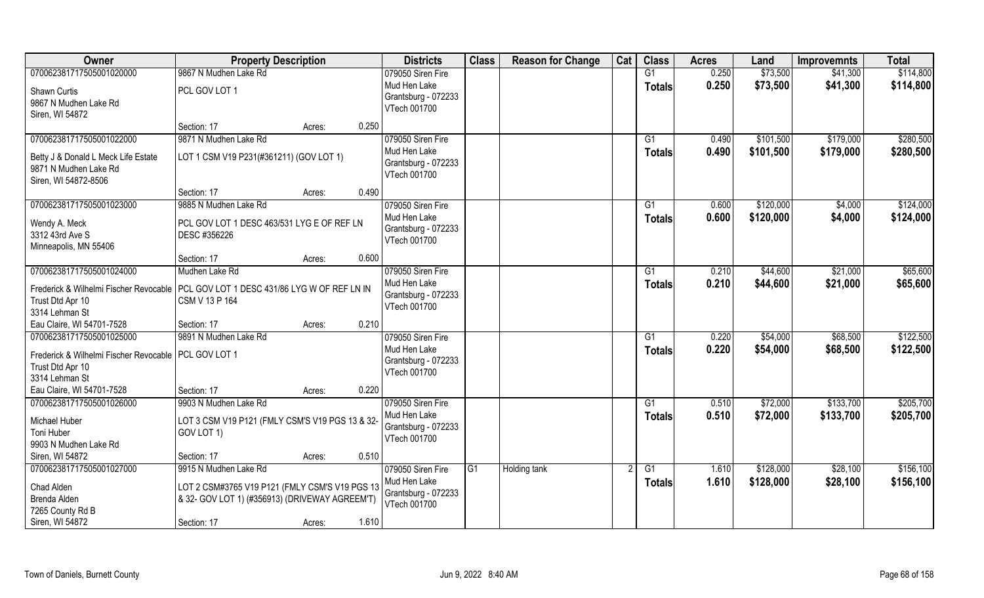| Owner                                                                                 | <b>Property Description</b>                     |        |       | <b>Districts</b>                    | <b>Class</b> | <b>Reason for Change</b> | Cat | <b>Class</b>    | <b>Acres</b> | Land      | <b>Improvemnts</b> | <b>Total</b> |
|---------------------------------------------------------------------------------------|-------------------------------------------------|--------|-------|-------------------------------------|--------------|--------------------------|-----|-----------------|--------------|-----------|--------------------|--------------|
| 070062381717505001020000                                                              | 9867 N Mudhen Lake Rd                           |        |       | 079050 Siren Fire                   |              |                          |     | G1              | 0.250        | \$73,500  | \$41,300           | \$114,800    |
| Shawn Curtis                                                                          | PCL GOV LOT 1                                   |        |       | Mud Hen Lake                        |              |                          |     | <b>Totals</b>   | 0.250        | \$73,500  | \$41,300           | \$114,800    |
| 9867 N Mudhen Lake Rd                                                                 |                                                 |        |       | Grantsburg - 072233                 |              |                          |     |                 |              |           |                    |              |
| Siren, WI 54872                                                                       |                                                 |        |       | VTech 001700                        |              |                          |     |                 |              |           |                    |              |
|                                                                                       | Section: 17                                     | Acres: | 0.250 |                                     |              |                          |     |                 |              |           |                    |              |
| 070062381717505001022000                                                              | 9871 N Mudhen Lake Rd                           |        |       | 079050 Siren Fire                   |              |                          |     | G <sub>1</sub>  | 0.490        | \$101,500 | \$179,000          | \$280,500    |
| Betty J & Donald L Meck Life Estate                                                   | LOT 1 CSM V19 P231(#361211) (GOV LOT 1)         |        |       | Mud Hen Lake                        |              |                          |     | <b>Totals</b>   | 0.490        | \$101,500 | \$179,000          | \$280,500    |
| 9871 N Mudhen Lake Rd                                                                 |                                                 |        |       | Grantsburg - 072233                 |              |                          |     |                 |              |           |                    |              |
| Siren, WI 54872-8506                                                                  |                                                 |        |       | VTech 001700                        |              |                          |     |                 |              |           |                    |              |
|                                                                                       | Section: 17                                     | Acres: | 0.490 |                                     |              |                          |     |                 |              |           |                    |              |
| 070062381717505001023000                                                              | 9885 N Mudhen Lake Rd                           |        |       | 079050 Siren Fire                   |              |                          |     | G1              | 0.600        | \$120,000 | \$4,000            | \$124,000    |
| Wendy A. Meck                                                                         | PCL GOV LOT 1 DESC 463/531 LYG E OF REF LN      |        |       | Mud Hen Lake                        |              |                          |     | <b>Totals</b>   | 0.600        | \$120,000 | \$4,000            | \$124,000    |
| 3312 43rd Ave S                                                                       | DESC #356226                                    |        |       | Grantsburg - 072233<br>VTech 001700 |              |                          |     |                 |              |           |                    |              |
| Minneapolis, MN 55406                                                                 |                                                 |        |       |                                     |              |                          |     |                 |              |           |                    |              |
|                                                                                       | Section: 17                                     | Acres: | 0.600 |                                     |              |                          |     |                 |              |           |                    |              |
| 070062381717505001024000                                                              | Mudhen Lake Rd                                  |        |       | 079050 Siren Fire                   |              |                          |     | G1              | 0.210        | \$44,600  | \$21,000           | \$65,600     |
| Frederick & Wilhelmi Fischer Revocable   PCL GOV LOT 1 DESC 431/86 LYG W OF REF LN IN |                                                 |        |       | Mud Hen Lake                        |              |                          |     | <b>Totals</b>   | 0.210        | \$44,600  | \$21,000           | \$65,600     |
| Trust Dtd Apr 10                                                                      | CSM V 13 P 164                                  |        |       | Grantsburg - 072233<br>VTech 001700 |              |                          |     |                 |              |           |                    |              |
| 3314 Lehman St                                                                        |                                                 |        |       |                                     |              |                          |     |                 |              |           |                    |              |
| Eau Claire, WI 54701-7528                                                             | Section: 17                                     | Acres: | 0.210 |                                     |              |                          |     |                 |              |           |                    |              |
| 070062381717505001025000                                                              | 9891 N Mudhen Lake Rd                           |        |       | 079050 Siren Fire                   |              |                          |     | G1              | 0.220        | \$54,000  | \$68,500           | \$122,500    |
| Frederick & Wilhelmi Fischer Revocable   PCL GOV LOT 1                                |                                                 |        |       | Mud Hen Lake<br>Grantsburg - 072233 |              |                          |     | <b>Totals</b>   | 0.220        | \$54,000  | \$68,500           | \$122,500    |
| Trust Dtd Apr 10                                                                      |                                                 |        |       | VTech 001700                        |              |                          |     |                 |              |           |                    |              |
| 3314 Lehman St                                                                        |                                                 |        |       |                                     |              |                          |     |                 |              |           |                    |              |
| Eau Claire, WI 54701-7528                                                             | Section: 17                                     | Acres: | 0.220 |                                     |              |                          |     |                 |              |           |                    |              |
| 070062381717505001026000                                                              | 9903 N Mudhen Lake Rd                           |        |       | 079050 Siren Fire                   |              |                          |     | $\overline{G1}$ | 0.510        | \$72,000  | \$133,700          | \$205,700    |
| Michael Huber                                                                         | LOT 3 CSM V19 P121 (FMLY CSM'S V19 PGS 13 & 32- |        |       | Mud Hen Lake<br>Grantsburg - 072233 |              |                          |     | <b>Totals</b>   | 0.510        | \$72,000  | \$133,700          | \$205,700    |
| Toni Huber                                                                            | GOV LOT 1)                                      |        |       | VTech 001700                        |              |                          |     |                 |              |           |                    |              |
| 9903 N Mudhen Lake Rd                                                                 |                                                 |        |       |                                     |              |                          |     |                 |              |           |                    |              |
| Siren, WI 54872                                                                       | Section: 17                                     | Acres: | 0.510 |                                     |              |                          |     |                 |              |           |                    |              |
| 070062381717505001027000                                                              | 9915 N Mudhen Lake Rd                           |        |       | 079050 Siren Fire<br>Mud Hen Lake   | IG1          | Holding tank             |     | G1              | 1.610        | \$128,000 | \$28,100           | \$156,100    |
| Chad Alden                                                                            | LOT 2 CSM#3765 V19 P121 (FMLY CSM'S V19 PGS 13  |        |       | Grantsburg - 072233                 |              |                          |     | <b>Totals</b>   | 1.610        | \$128,000 | \$28,100           | \$156,100    |
| Brenda Alden                                                                          | & 32- GOV LOT 1) (#356913) (DRIVEWAY AGREEM'T)  |        |       | VTech 001700                        |              |                          |     |                 |              |           |                    |              |
| 7265 County Rd B                                                                      |                                                 |        |       |                                     |              |                          |     |                 |              |           |                    |              |
| Siren, WI 54872                                                                       | Section: 17                                     | Acres: | 1.610 |                                     |              |                          |     |                 |              |           |                    |              |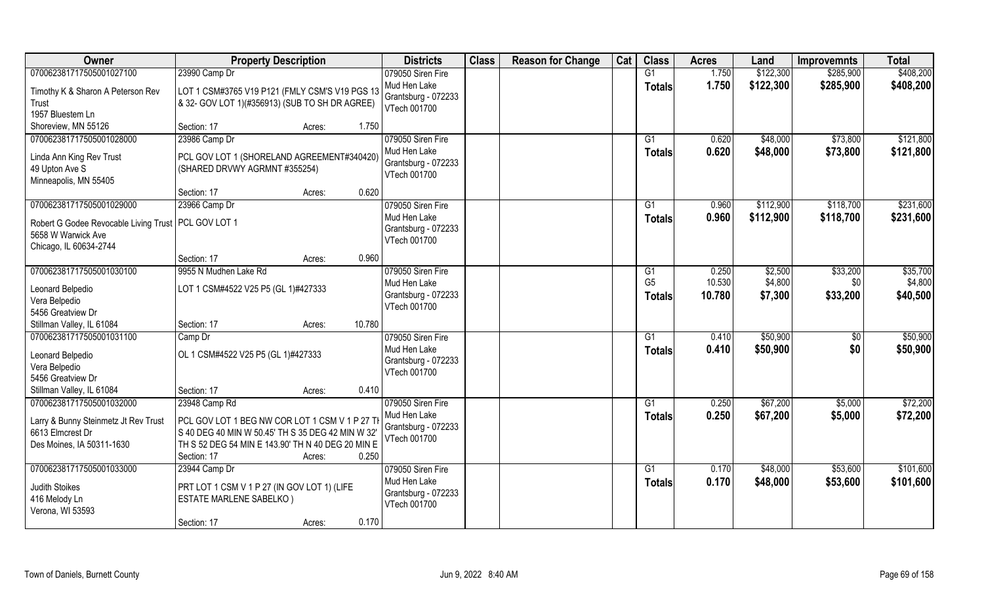| Owner                                                 | <b>Property Description</b>                                      |                  | <b>Districts</b>    | <b>Class</b> | <b>Reason for Change</b> | Cat | <b>Class</b>   | <b>Acres</b> | Land      | <b>Improvemnts</b> | <b>Total</b> |
|-------------------------------------------------------|------------------------------------------------------------------|------------------|---------------------|--------------|--------------------------|-----|----------------|--------------|-----------|--------------------|--------------|
| 070062381717505001027100                              | 23990 Camp Dr                                                    |                  | 079050 Siren Fire   |              |                          |     | G1             | 1.750        | \$122,300 | \$285,900          | \$408,200    |
| Timothy K & Sharon A Peterson Rev                     | LOT 1 CSM#3765 V19 P121 (FMLY CSM'S V19 PGS 13                   |                  | Mud Hen Lake        |              |                          |     | <b>Totals</b>  | 1.750        | \$122,300 | \$285,900          | \$408,200    |
| Trust                                                 | & 32- GOV LOT 1)(#356913) (SUB TO SH DR AGREE)                   |                  | Grantsburg - 072233 |              |                          |     |                |              |           |                    |              |
| 1957 Bluestem Ln                                      |                                                                  |                  | VTech 001700        |              |                          |     |                |              |           |                    |              |
| Shoreview, MN 55126                                   | Section: 17                                                      | 1.750<br>Acres:  |                     |              |                          |     |                |              |           |                    |              |
| 070062381717505001028000                              | 23986 Camp Dr                                                    |                  | 079050 Siren Fire   |              |                          |     | G1             | 0.620        | \$48,000  | \$73,800           | \$121,800    |
| Linda Ann King Rev Trust                              | PCL GOV LOT 1 (SHORELAND AGREEMENT#340420)                       |                  | Mud Hen Lake        |              |                          |     | Totals         | 0.620        | \$48,000  | \$73,800           | \$121,800    |
| 49 Upton Ave S                                        | (SHARED DRVWY AGRMNT #355254)                                    |                  | Grantsburg - 072233 |              |                          |     |                |              |           |                    |              |
| Minneapolis, MN 55405                                 |                                                                  |                  | VTech 001700        |              |                          |     |                |              |           |                    |              |
|                                                       | Section: 17                                                      | 0.620<br>Acres:  |                     |              |                          |     |                |              |           |                    |              |
| 070062381717505001029000                              | 23966 Camp Dr                                                    |                  | 079050 Siren Fire   |              |                          |     | G1             | 0.960        | \$112,900 | \$118,700          | \$231,600    |
| Robert G Godee Revocable Living Trust   PCL GOV LOT 1 |                                                                  |                  | Mud Hen Lake        |              |                          |     | <b>Totals</b>  | 0.960        | \$112,900 | \$118,700          | \$231,600    |
| 5658 W Warwick Ave                                    |                                                                  |                  | Grantsburg - 072233 |              |                          |     |                |              |           |                    |              |
| Chicago, IL 60634-2744                                |                                                                  |                  | VTech 001700        |              |                          |     |                |              |           |                    |              |
|                                                       | Section: 17                                                      | 0.960<br>Acres:  |                     |              |                          |     |                |              |           |                    |              |
| 070062381717505001030100                              | 9955 N Mudhen Lake Rd                                            |                  | 079050 Siren Fire   |              |                          |     | G <sub>1</sub> | 0.250        | \$2,500   | \$33,200           | \$35,700     |
| Leonard Belpedio                                      | LOT 1 CSM#4522 V25 P5 (GL 1)#427333                              |                  | Mud Hen Lake        |              |                          |     | G <sub>5</sub> | 10.530       | \$4,800   | \$0                | \$4,800      |
| Vera Belpedio                                         |                                                                  |                  | Grantsburg - 072233 |              |                          |     | <b>Totals</b>  | 10.780       | \$7,300   | \$33,200           | \$40,500     |
| 5456 Greatview Dr                                     |                                                                  |                  | VTech 001700        |              |                          |     |                |              |           |                    |              |
| Stillman Valley, IL 61084                             | Section: 17                                                      | 10.780<br>Acres: |                     |              |                          |     |                |              |           |                    |              |
| 070062381717505001031100                              | Camp Dr                                                          |                  | 079050 Siren Fire   |              |                          |     | G1             | 0.410        | \$50,900  | $\sqrt[6]{30}$     | \$50,900     |
|                                                       |                                                                  |                  | Mud Hen Lake        |              |                          |     | <b>Totals</b>  | 0.410        | \$50,900  | \$0                | \$50,900     |
| Leonard Belpedio<br>Vera Belpedio                     | OL 1 CSM#4522 V25 P5 (GL 1)#427333                               |                  | Grantsburg - 072233 |              |                          |     |                |              |           |                    |              |
| 5456 Greatview Dr                                     |                                                                  |                  | VTech 001700        |              |                          |     |                |              |           |                    |              |
| Stillman Valley, IL 61084                             | Section: 17                                                      | 0.410<br>Acres:  |                     |              |                          |     |                |              |           |                    |              |
| 070062381717505001032000                              | 23948 Camp Rd                                                    |                  | 079050 Siren Fire   |              |                          |     | G1             | 0.250        | \$67,200  | \$5,000            | \$72,200     |
|                                                       |                                                                  |                  | Mud Hen Lake        |              |                          |     | <b>Totals</b>  | 0.250        | \$67,200  | \$5,000            | \$72,200     |
| Larry & Bunny Steinmetz Jt Rev Trust                  | PCL GOV LOT 1 BEG NW COR LOT 1 CSM V 1 P 27 TH                   |                  | Grantsburg - 072233 |              |                          |     |                |              |           |                    |              |
| 6613 Elmcrest Dr                                      | S 40 DEG 40 MIN W 50.45' TH S 35 DEG 42 MIN W 32'                |                  | VTech 001700        |              |                          |     |                |              |           |                    |              |
| Des Moines, IA 50311-1630                             | TH S 52 DEG 54 MIN E 143.90' TH N 40 DEG 20 MIN E<br>Section: 17 | 0.250<br>Acres:  |                     |              |                          |     |                |              |           |                    |              |
| 070062381717505001033000                              | 23944 Camp Dr                                                    |                  | 079050 Siren Fire   |              |                          |     | G1             | 0.170        | \$48,000  | \$53,600           | \$101,600    |
|                                                       |                                                                  |                  | Mud Hen Lake        |              |                          |     | <b>Totals</b>  | 0.170        | \$48,000  | \$53,600           | \$101,600    |
| Judith Stoikes                                        | PRT LOT 1 CSM V 1 P 27 (IN GOV LOT 1) (LIFE                      |                  | Grantsburg - 072233 |              |                          |     |                |              |           |                    |              |
| 416 Melody Ln                                         | <b>ESTATE MARLENE SABELKO)</b>                                   |                  | VTech 001700        |              |                          |     |                |              |           |                    |              |
| Verona, WI 53593                                      |                                                                  |                  |                     |              |                          |     |                |              |           |                    |              |
|                                                       | Section: 17                                                      | 0.170<br>Acres:  |                     |              |                          |     |                |              |           |                    |              |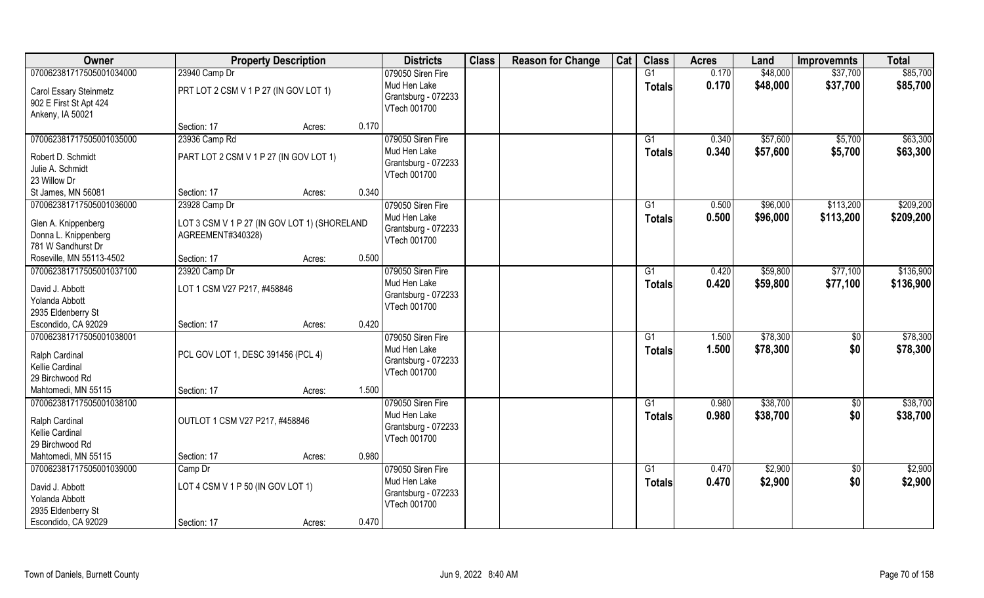| Owner                                                                            | <b>Property Description</b>                                       |        | <b>Districts</b> | <b>Class</b>                                                             | <b>Reason for Change</b> | Cat | <b>Class</b> | <b>Acres</b>        | Land           | <b>Improvemnts</b>   | <b>Total</b>           |                      |
|----------------------------------------------------------------------------------|-------------------------------------------------------------------|--------|------------------|--------------------------------------------------------------------------|--------------------------|-----|--------------|---------------------|----------------|----------------------|------------------------|----------------------|
| 070062381717505001034000                                                         | 23940 Camp Dr                                                     |        |                  | 079050 Siren Fire                                                        |                          |     |              | G1                  | 0.170          | \$48,000             | \$37,700               | \$85,700             |
| Carol Essary Steinmetz<br>902 E First St Apt 424<br>Ankeny, IA 50021             | PRT LOT 2 CSM V 1 P 27 (IN GOV LOT 1)                             |        |                  | Mud Hen Lake<br>Grantsburg - 072233<br>VTech 001700                      |                          |     |              | <b>Totals</b>       | 0.170          | \$48,000             | \$37,700               | \$85,700             |
|                                                                                  | Section: 17                                                       | Acres: | 0.170            |                                                                          |                          |     |              |                     |                |                      |                        |                      |
| 070062381717505001035000                                                         | 23936 Camp Rd                                                     |        |                  | 079050 Siren Fire                                                        |                          |     |              | G1                  | 0.340          | \$57,600             | \$5,700                | \$63,300             |
| Robert D. Schmidt<br>Julie A. Schmidt<br>23 Willow Dr                            | PART LOT 2 CSM V 1 P 27 (IN GOV LOT 1)                            |        |                  | Mud Hen Lake<br>Grantsburg - 072233<br>VTech 001700                      |                          |     |              | <b>Totals</b>       | 0.340          | \$57,600             | \$5,700                | \$63,300             |
| St James, MN 56081                                                               | Section: 17                                                       | Acres: | 0.340            |                                                                          |                          |     |              |                     |                |                      |                        |                      |
| 070062381717505001036000                                                         | 23928 Camp Dr                                                     |        |                  | 079050 Siren Fire                                                        |                          |     |              | G1                  | 0.500          | \$96,000             | \$113,200              | \$209,200            |
| Glen A. Knippenberg<br>Donna L. Knippenberg<br>781 W Sandhurst Dr                | LOT 3 CSM V 1 P 27 (IN GOV LOT 1) (SHORELAND<br>AGREEMENT#340328) |        |                  | Mud Hen Lake<br>Grantsburg - 072233<br>VTech 001700                      |                          |     |              | <b>Totals</b>       | 0.500          | \$96,000             | \$113,200              | \$209,200            |
| Roseville, MN 55113-4502                                                         | Section: 17                                                       | Acres: | 0.500            |                                                                          |                          |     |              |                     |                |                      |                        |                      |
| 070062381717505001037100                                                         | 23920 Camp Dr                                                     |        |                  | 079050 Siren Fire                                                        |                          |     |              | G1                  | 0.420          | \$59,800             | \$77,100               | \$136,900            |
| David J. Abbott<br>Yolanda Abbott<br>2935 Eldenberry St                          | LOT 1 CSM V27 P217, #458846                                       |        |                  | Mud Hen Lake<br>Grantsburg - 072233<br>VTech 001700                      |                          |     |              | <b>Totals</b>       | 0.420          | \$59,800             | \$77,100               | \$136,900            |
| Escondido, CA 92029                                                              | Section: 17                                                       | Acres: | 0.420            |                                                                          |                          |     |              |                     |                |                      |                        |                      |
| 070062381717505001038001<br>Ralph Cardinal<br>Kellie Cardinal<br>29 Birchwood Rd | PCL GOV LOT 1, DESC 391456 (PCL 4)                                |        |                  | 079050 Siren Fire<br>Mud Hen Lake<br>Grantsburg - 072233<br>VTech 001700 |                          |     |              | G1<br><b>Totals</b> | 1.500<br>1.500 | \$78,300<br>\$78,300 | $\overline{50}$<br>\$0 | \$78,300<br>\$78,300 |
| Mahtomedi, MN 55115                                                              | Section: 17                                                       | Acres: | 1.500            |                                                                          |                          |     |              |                     |                |                      |                        |                      |
| 070062381717505001038100                                                         |                                                                   |        |                  | 079050 Siren Fire                                                        |                          |     |              | G1                  | 0.980          | \$38,700             | \$0                    | \$38,700             |
| Ralph Cardinal<br>Kellie Cardinal<br>29 Birchwood Rd                             | OUTLOT 1 CSM V27 P217, #458846                                    |        |                  | Mud Hen Lake<br>Grantsburg - 072233<br>VTech 001700                      |                          |     |              | <b>Totals</b>       | 0.980          | \$38,700             | \$0                    | \$38,700             |
| Mahtomedi, MN 55115                                                              | Section: 17                                                       | Acres: | 0.980            |                                                                          |                          |     |              |                     |                |                      |                        |                      |
| 070062381717505001039000                                                         | Camp Dr                                                           |        |                  | 079050 Siren Fire                                                        |                          |     |              | $\overline{G1}$     | 0.470          | \$2,900              | $\overline{50}$        | \$2,900              |
| David J. Abbott<br>Yolanda Abbott<br>2935 Eldenberry St                          | LOT 4 CSM V 1 P 50 (IN GOV LOT 1)                                 |        |                  | Mud Hen Lake<br>Grantsburg - 072233<br>VTech 001700                      |                          |     |              | <b>Totals</b>       | 0.470          | \$2,900              | \$0                    | \$2,900              |
| Escondido, CA 92029                                                              | Section: 17                                                       | Acres: | 0.470            |                                                                          |                          |     |              |                     |                |                      |                        |                      |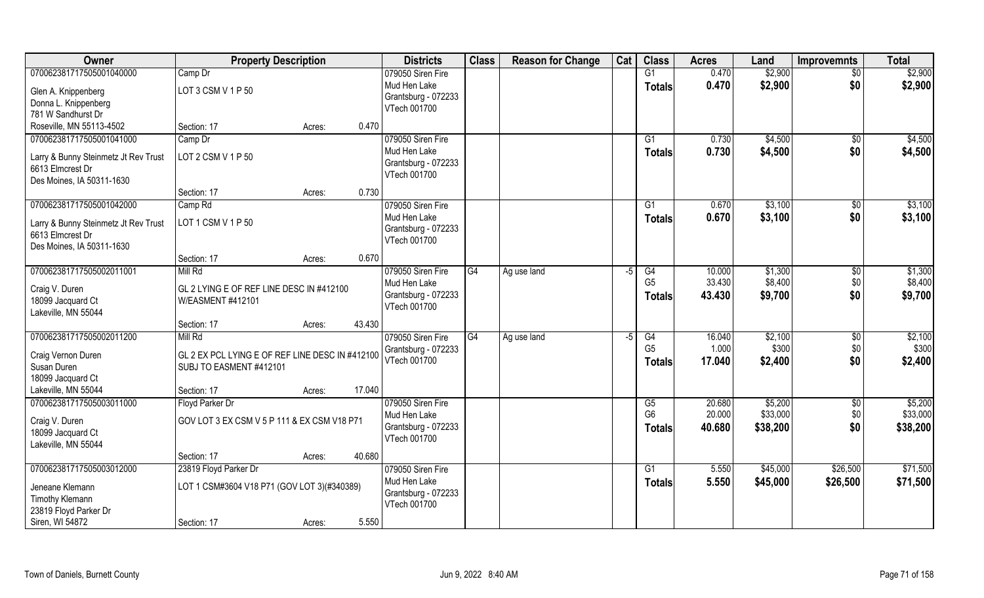| Owner                                                    | <b>Property Description</b>                     |        |        | <b>Districts</b>    | <b>Class</b> | <b>Reason for Change</b> | Cat | <b>Class</b>    | <b>Acres</b> | Land     | <b>Improvemnts</b> | <b>Total</b> |
|----------------------------------------------------------|-------------------------------------------------|--------|--------|---------------------|--------------|--------------------------|-----|-----------------|--------------|----------|--------------------|--------------|
| 070062381717505001040000                                 | Camp Dr                                         |        |        | 079050 Siren Fire   |              |                          |     | G1              | 0.470        | \$2,900  | $\overline{50}$    | \$2,900      |
| Glen A. Knippenberg                                      | LOT 3 CSM V 1 P 50                              |        |        | Mud Hen Lake        |              |                          |     | <b>Totals</b>   | 0.470        | \$2,900  | \$0                | \$2,900      |
| Donna L. Knippenberg                                     |                                                 |        |        | Grantsburg - 072233 |              |                          |     |                 |              |          |                    |              |
| 781 W Sandhurst Dr                                       |                                                 |        |        | VTech 001700        |              |                          |     |                 |              |          |                    |              |
| Roseville, MN 55113-4502                                 | Section: 17                                     | Acres: | 0.470  |                     |              |                          |     |                 |              |          |                    |              |
| 070062381717505001041000                                 | Camp Dr                                         |        |        | 079050 Siren Fire   |              |                          |     | G1              | 0.730        | \$4,500  | \$0                | \$4,500      |
|                                                          | LOT 2 CSM V 1 P 50                              |        |        | Mud Hen Lake        |              |                          |     | <b>Totals</b>   | 0.730        | \$4,500  | \$0                | \$4,500      |
| Larry & Bunny Steinmetz Jt Rev Trust<br>6613 Elmcrest Dr |                                                 |        |        | Grantsburg - 072233 |              |                          |     |                 |              |          |                    |              |
| Des Moines, IA 50311-1630                                |                                                 |        |        | VTech 001700        |              |                          |     |                 |              |          |                    |              |
|                                                          | Section: 17                                     | Acres: | 0.730  |                     |              |                          |     |                 |              |          |                    |              |
| 070062381717505001042000                                 | Camp Rd                                         |        |        | 079050 Siren Fire   |              |                          |     | G1              | 0.670        | \$3,100  | \$0                | \$3,100      |
|                                                          |                                                 |        |        | Mud Hen Lake        |              |                          |     | <b>Totals</b>   | 0.670        | \$3,100  | \$0                | \$3,100      |
| Larry & Bunny Steinmetz Jt Rev Trust<br>6613 Elmcrest Dr | LOT 1 CSM V 1 P 50                              |        |        | Grantsburg - 072233 |              |                          |     |                 |              |          |                    |              |
| Des Moines, IA 50311-1630                                |                                                 |        |        | VTech 001700        |              |                          |     |                 |              |          |                    |              |
|                                                          | Section: 17                                     | Acres: | 0.670  |                     |              |                          |     |                 |              |          |                    |              |
| 070062381717505002011001                                 | Mill Rd                                         |        |        | 079050 Siren Fire   | G4           | Ag use land              | -5  | G4              | 10.000       | \$1,300  | \$0                | \$1,300      |
|                                                          |                                                 |        |        | Mud Hen Lake        |              |                          |     | G <sub>5</sub>  | 33.430       | \$8,400  | \$0                | \$8,400      |
| Craig V. Duren                                           | GL 2 LYING E OF REF LINE DESC IN #412100        |        |        | Grantsburg - 072233 |              |                          |     | <b>Totals</b>   | 43.430       | \$9,700  | \$0                | \$9,700      |
| 18099 Jacquard Ct                                        | W/EASMENT #412101                               |        |        | VTech 001700        |              |                          |     |                 |              |          |                    |              |
| Lakeville, MN 55044                                      |                                                 |        |        |                     |              |                          |     |                 |              |          |                    |              |
|                                                          | Section: 17                                     | Acres: | 43.430 |                     |              |                          |     |                 |              |          |                    |              |
| 070062381717505002011200                                 | Mill Rd                                         |        |        | 079050 Siren Fire   | G4           | Ag use land              | -5  | $\overline{G4}$ | 16.040       | \$2,100  | \$0                | \$2,100      |
| Craig Vernon Duren                                       | GL 2 EX PCL LYING E OF REF LINE DESC IN #412100 |        |        | Grantsburg - 072233 |              |                          |     | G <sub>5</sub>  | 1.000        | \$300    | \$0                | \$300        |
| Susan Duren                                              | SUBJ TO EASMENT #412101                         |        |        | VTech 001700        |              |                          |     | <b>Totals</b>   | 17.040       | \$2,400  | \$0                | \$2,400      |
| 18099 Jacquard Ct                                        |                                                 |        |        |                     |              |                          |     |                 |              |          |                    |              |
| Lakeville, MN 55044                                      | Section: 17                                     | Acres: | 17.040 |                     |              |                          |     |                 |              |          |                    |              |
| 070062381717505003011000                                 | Floyd Parker Dr                                 |        |        | 079050 Siren Fire   |              |                          |     | G5              | 20.680       | \$5,200  | \$0                | \$5,200      |
| Craig V. Duren                                           | GOV LOT 3 EX CSM V 5 P 111 & EX CSM V18 P71     |        |        | Mud Hen Lake        |              |                          |     | G <sub>6</sub>  | 20.000       | \$33,000 | \$0                | \$33,000     |
| 18099 Jacquard Ct                                        |                                                 |        |        | Grantsburg - 072233 |              |                          |     | <b>Totals</b>   | 40.680       | \$38,200 | \$0                | \$38,200     |
| Lakeville, MN 55044                                      |                                                 |        |        | VTech 001700        |              |                          |     |                 |              |          |                    |              |
|                                                          | Section: 17                                     | Acres: | 40.680 |                     |              |                          |     |                 |              |          |                    |              |
| 070062381717505003012000                                 | 23819 Floyd Parker Dr                           |        |        | 079050 Siren Fire   |              |                          |     | G1              | 5.550        | \$45,000 | \$26,500           | \$71,500     |
| Jeneane Klemann                                          | LOT 1 CSM#3604 V18 P71 (GOV LOT 3)(#340389)     |        |        | Mud Hen Lake        |              |                          |     | <b>Totals</b>   | 5.550        | \$45,000 | \$26,500           | \$71,500     |
| Timothy Klemann                                          |                                                 |        |        | Grantsburg - 072233 |              |                          |     |                 |              |          |                    |              |
| 23819 Floyd Parker Dr                                    |                                                 |        |        | VTech 001700        |              |                          |     |                 |              |          |                    |              |
| Siren, WI 54872                                          | Section: 17                                     | Acres: | 5.550  |                     |              |                          |     |                 |              |          |                    |              |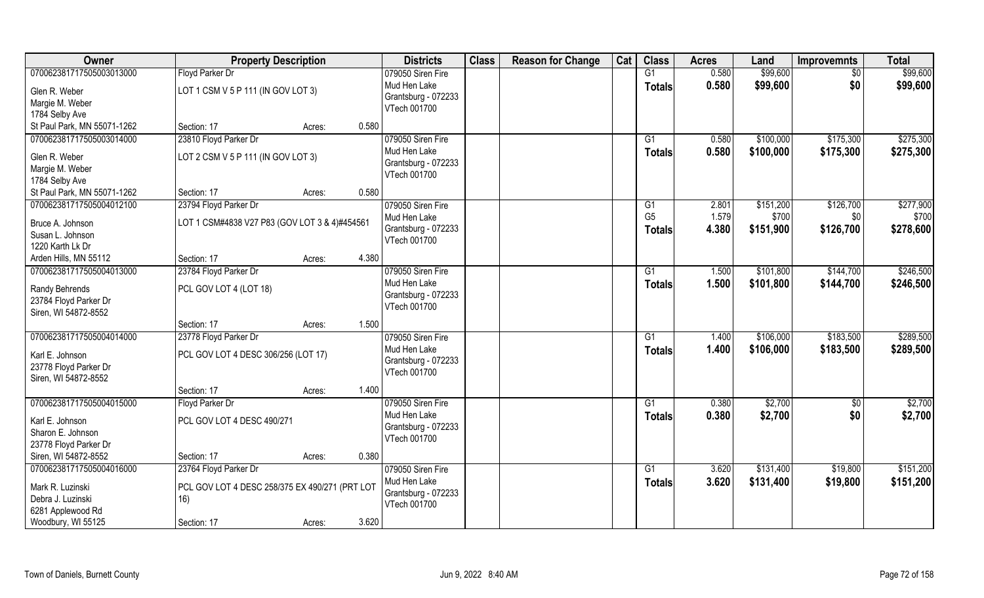| Owner                       | <b>Property Description</b>                    |                 | <b>Districts</b>    | <b>Class</b> | <b>Reason for Change</b> | Cat | <b>Class</b>    | <b>Acres</b> | Land      | <b>Improvemnts</b> | <b>Total</b> |
|-----------------------------|------------------------------------------------|-----------------|---------------------|--------------|--------------------------|-----|-----------------|--------------|-----------|--------------------|--------------|
| 070062381717505003013000    | Floyd Parker Dr                                |                 | 079050 Siren Fire   |              |                          |     | G1              | 0.580        | \$99,600  | \$0                | \$99,600     |
| Glen R. Weber               | LOT 1 CSM V 5 P 111 (IN GOV LOT 3)             |                 | Mud Hen Lake        |              |                          |     | <b>Totals</b>   | 0.580        | \$99,600  | \$0                | \$99,600     |
| Margie M. Weber             |                                                |                 | Grantsburg - 072233 |              |                          |     |                 |              |           |                    |              |
| 1784 Selby Ave              |                                                |                 | VTech 001700        |              |                          |     |                 |              |           |                    |              |
| St Paul Park, MN 55071-1262 | Section: 17                                    | 0.580<br>Acres: |                     |              |                          |     |                 |              |           |                    |              |
| 070062381717505003014000    | 23810 Floyd Parker Dr                          |                 | 079050 Siren Fire   |              |                          |     | G <sub>1</sub>  | 0.580        | \$100,000 | \$175,300          | \$275,300    |
| Glen R. Weber               | LOT 2 CSM V 5 P 111 (IN GOV LOT 3)             |                 | Mud Hen Lake        |              |                          |     | <b>Totals</b>   | 0.580        | \$100,000 | \$175,300          | \$275,300    |
| Margie M. Weber             |                                                |                 | Grantsburg - 072233 |              |                          |     |                 |              |           |                    |              |
| 1784 Selby Ave              |                                                |                 | VTech 001700        |              |                          |     |                 |              |           |                    |              |
| St Paul Park, MN 55071-1262 | Section: 17                                    | 0.580<br>Acres: |                     |              |                          |     |                 |              |           |                    |              |
| 070062381717505004012100    | 23794 Floyd Parker Dr                          |                 | 079050 Siren Fire   |              |                          |     | G1              | 2.801        | \$151,200 | \$126,700          | \$277,900    |
|                             |                                                |                 | Mud Hen Lake        |              |                          |     | G <sub>5</sub>  | 1.579        | \$700     | \$0                | \$700        |
| Bruce A. Johnson            | LOT 1 CSM#4838 V27 P83 (GOV LOT 3 & 4)#454561  |                 | Grantsburg - 072233 |              |                          |     | <b>Totals</b>   | 4.380        | \$151,900 | \$126,700          | \$278,600    |
| Susan L. Johnson            |                                                |                 | VTech 001700        |              |                          |     |                 |              |           |                    |              |
| 1220 Karth Lk Dr            |                                                |                 |                     |              |                          |     |                 |              |           |                    |              |
| Arden Hills, MN 55112       | Section: 17                                    | 4.380<br>Acres: |                     |              |                          |     |                 |              |           |                    |              |
| 070062381717505004013000    | 23784 Floyd Parker Dr                          |                 | 079050 Siren Fire   |              |                          |     | G1              | 1.500        | \$101,800 | \$144,700          | \$246,500    |
| Randy Behrends              | PCL GOV LOT 4 (LOT 18)                         |                 | Mud Hen Lake        |              |                          |     | <b>Totals</b>   | 1.500        | \$101,800 | \$144,700          | \$246,500    |
| 23784 Floyd Parker Dr       |                                                |                 | Grantsburg - 072233 |              |                          |     |                 |              |           |                    |              |
| Siren, WI 54872-8552        |                                                |                 | VTech 001700        |              |                          |     |                 |              |           |                    |              |
|                             | Section: 17                                    | 1.500<br>Acres: |                     |              |                          |     |                 |              |           |                    |              |
| 070062381717505004014000    | 23778 Floyd Parker Dr                          |                 | 079050 Siren Fire   |              |                          |     | G1              | 1.400        | \$106,000 | \$183,500          | \$289,500    |
|                             |                                                |                 | Mud Hen Lake        |              |                          |     | <b>Totals</b>   | 1.400        | \$106,000 | \$183,500          | \$289,500    |
| Karl E. Johnson             | PCL GOV LOT 4 DESC 306/256 (LOT 17)            |                 | Grantsburg - 072233 |              |                          |     |                 |              |           |                    |              |
| 23778 Floyd Parker Dr       |                                                |                 | VTech 001700        |              |                          |     |                 |              |           |                    |              |
| Siren, WI 54872-8552        |                                                |                 |                     |              |                          |     |                 |              |           |                    |              |
|                             | Section: 17                                    | 1.400<br>Acres: |                     |              |                          |     |                 |              |           |                    |              |
| 070062381717505004015000    | Floyd Parker Dr                                |                 | 079050 Siren Fire   |              |                          |     | $\overline{G1}$ | 0.380        | \$2,700   | $\sqrt{6}$         | \$2,700      |
| Karl E. Johnson             | PCL GOV LOT 4 DESC 490/271                     |                 | Mud Hen Lake        |              |                          |     | <b>Totals</b>   | 0.380        | \$2,700   | \$0                | \$2,700      |
| Sharon E. Johnson           |                                                |                 | Grantsburg - 072233 |              |                          |     |                 |              |           |                    |              |
| 23778 Floyd Parker Dr       |                                                |                 | VTech 001700        |              |                          |     |                 |              |           |                    |              |
| Siren, WI 54872-8552        | Section: 17                                    | 0.380<br>Acres: |                     |              |                          |     |                 |              |           |                    |              |
| 070062381717505004016000    | 23764 Floyd Parker Dr                          |                 | 079050 Siren Fire   |              |                          |     | G1              | 3.620        | \$131,400 | \$19,800           | \$151,200    |
| Mark R. Luzinski            | PCL GOV LOT 4 DESC 258/375 EX 490/271 (PRT LOT |                 | Mud Hen Lake        |              |                          |     | <b>Totals</b>   | 3.620        | \$131,400 | \$19,800           | \$151,200    |
| Debra J. Luzinski           | 16)                                            |                 | Grantsburg - 072233 |              |                          |     |                 |              |           |                    |              |
| 6281 Applewood Rd           |                                                |                 | VTech 001700        |              |                          |     |                 |              |           |                    |              |
|                             |                                                | 3.620           |                     |              |                          |     |                 |              |           |                    |              |
| Woodbury, WI 55125          | Section: 17                                    | Acres:          |                     |              |                          |     |                 |              |           |                    |              |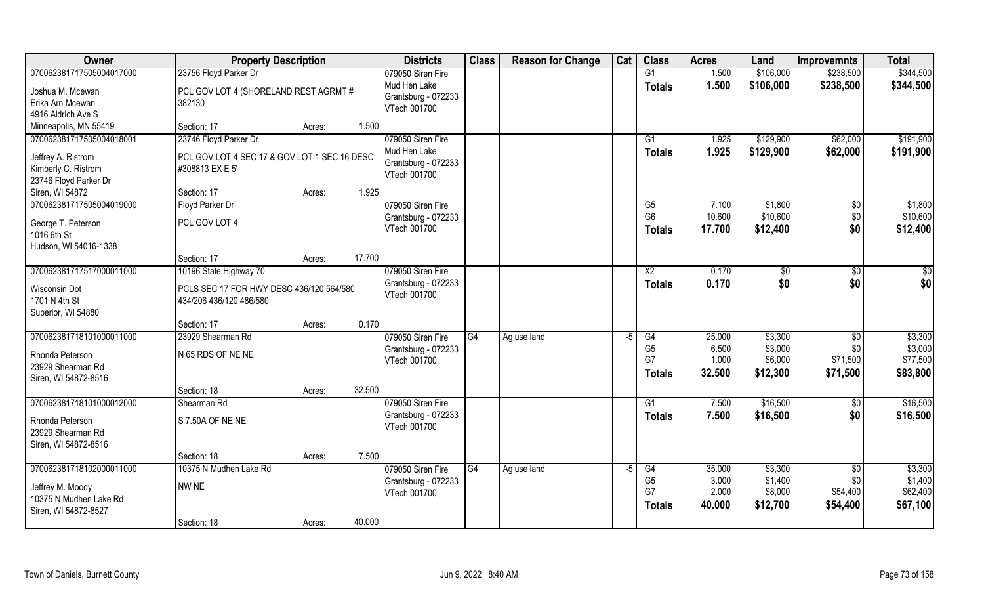| Owner                    | <b>Property Description</b>                  |        |        | <b>Districts</b>    | <b>Class</b> | <b>Reason for Change</b> | Cat  | <b>Class</b>         | <b>Acres</b>   | Land               | <b>Improvemnts</b> | <b>Total</b>        |
|--------------------------|----------------------------------------------|--------|--------|---------------------|--------------|--------------------------|------|----------------------|----------------|--------------------|--------------------|---------------------|
| 070062381717505004017000 | 23756 Floyd Parker Dr                        |        |        | 079050 Siren Fire   |              |                          |      | G1                   | 1.500          | \$106,000          | \$238,500          | \$344,500           |
| Joshua M. Mcewan         | PCL GOV LOT 4 (SHORELAND REST AGRMT#         |        |        | Mud Hen Lake        |              |                          |      | <b>Totals</b>        | 1.500          | \$106,000          | \$238,500          | \$344,500           |
| Erika Arn Mcewan         | 382130                                       |        |        | Grantsburg - 072233 |              |                          |      |                      |                |                    |                    |                     |
| 4916 Aldrich Ave S       |                                              |        |        | VTech 001700        |              |                          |      |                      |                |                    |                    |                     |
| Minneapolis, MN 55419    | Section: 17                                  | Acres: | 1.500  |                     |              |                          |      |                      |                |                    |                    |                     |
| 070062381717505004018001 | 23746 Floyd Parker Dr                        |        |        | 079050 Siren Fire   |              |                          |      | G1                   | 1.925          | \$129,900          | \$62,000           | \$191,900           |
| Jeffrey A. Ristrom       | PCL GOV LOT 4 SEC 17 & GOV LOT 1 SEC 16 DESC |        |        | Mud Hen Lake        |              |                          |      | <b>Totals</b>        | 1.925          | \$129,900          | \$62,000           | \$191,900           |
| Kimberly C. Ristrom      | #308813 EX E 5'                              |        |        | Grantsburg - 072233 |              |                          |      |                      |                |                    |                    |                     |
| 23746 Floyd Parker Dr    |                                              |        |        | VTech 001700        |              |                          |      |                      |                |                    |                    |                     |
| Siren, WI 54872          | Section: 17                                  | Acres: | 1.925  |                     |              |                          |      |                      |                |                    |                    |                     |
| 070062381717505004019000 | Floyd Parker Dr                              |        |        | 079050 Siren Fire   |              |                          |      | G5                   | 7.100          | \$1,800            | $\sqrt[6]{}$       | \$1,800             |
|                          |                                              |        |        | Grantsburg - 072233 |              |                          |      | G <sub>6</sub>       | 10.600         | \$10,600           | \$0                | \$10,600            |
| George T. Peterson       | PCL GOV LOT 4                                |        |        | VTech 001700        |              |                          |      | <b>Totals</b>        | 17.700         | \$12,400           | \$0                | \$12,400            |
| 1016 6th St              |                                              |        |        |                     |              |                          |      |                      |                |                    |                    |                     |
| Hudson, WI 54016-1338    | Section: 17                                  | Acres: | 17.700 |                     |              |                          |      |                      |                |                    |                    |                     |
| 070062381717517000011000 | 10196 State Highway 70                       |        |        | 079050 Siren Fire   |              |                          |      | X <sub>2</sub>       | 0.170          | \$0                | \$0                | \$0                 |
|                          |                                              |        |        | Grantsburg - 072233 |              |                          |      | <b>Totals</b>        | 0.170          | \$0                | \$0                | \$0                 |
| Wisconsin Dot            | PCLS SEC 17 FOR HWY DESC 436/120 564/580     |        |        | VTech 001700        |              |                          |      |                      |                |                    |                    |                     |
| 1701 N 4th St            | 434/206 436/120 486/580                      |        |        |                     |              |                          |      |                      |                |                    |                    |                     |
| Superior, WI 54880       |                                              |        |        |                     |              |                          |      |                      |                |                    |                    |                     |
|                          | Section: 17                                  | Acres: | 0.170  |                     |              |                          |      |                      |                |                    |                    |                     |
| 070062381718101000011000 | 23929 Shearman Rd                            |        |        | 079050 Siren Fire   | G4           | Ag use land              | -5   | $\overline{G4}$      | 25.000         | \$3,300            | $\sqrt[6]{30}$     | \$3,300             |
| Rhonda Peterson          | N 65 RDS OF NE NE                            |        |        | Grantsburg - 072233 |              |                          |      | G <sub>5</sub><br>G7 | 6.500<br>1.000 | \$3,000<br>\$6,000 | \$0<br>\$71,500    | \$3,000<br>\$77,500 |
| 23929 Shearman Rd        |                                              |        |        | VTech 001700        |              |                          |      |                      | 32.500         |                    |                    |                     |
| Siren, WI 54872-8516     |                                              |        |        |                     |              |                          |      | <b>Totals</b>        |                | \$12,300           | \$71,500           | \$83,800            |
|                          | Section: 18                                  | Acres: | 32.500 |                     |              |                          |      |                      |                |                    |                    |                     |
| 070062381718101000012000 | Shearman Rd                                  |        |        | 079050 Siren Fire   |              |                          |      | G1                   | 7.500          | \$16,500           | \$0                | \$16,500            |
| Rhonda Peterson          | S 7.50A OF NE NE                             |        |        | Grantsburg - 072233 |              |                          |      | <b>Totals</b>        | 7.500          | \$16,500           | \$0                | \$16,500            |
| 23929 Shearman Rd        |                                              |        |        | VTech 001700        |              |                          |      |                      |                |                    |                    |                     |
| Siren, WI 54872-8516     |                                              |        |        |                     |              |                          |      |                      |                |                    |                    |                     |
|                          | Section: 18                                  | Acres: | 7.500  |                     |              |                          |      |                      |                |                    |                    |                     |
| 070062381718102000011000 | 10375 N Mudhen Lake Rd                       |        |        | 079050 Siren Fire   | G4           | Ag use land              | $-5$ | G4                   | 35.000         | \$3,300            | $\overline{50}$    | \$3,300             |
| Jeffrey M. Moody         | NW NE                                        |        |        | Grantsburg - 072233 |              |                          |      | G <sub>5</sub>       | 3.000          | \$1,400            | \$0                | \$1,400             |
| 10375 N Mudhen Lake Rd   |                                              |        |        | VTech 001700        |              |                          |      | G7                   | 2.000          | \$8,000            | \$54,400           | \$62,400            |
| Siren, WI 54872-8527     |                                              |        |        |                     |              |                          |      | <b>Totals</b>        | 40.000         | \$12,700           | \$54,400           | \$67,100            |
|                          | Section: 18                                  | Acres: | 40.000 |                     |              |                          |      |                      |                |                    |                    |                     |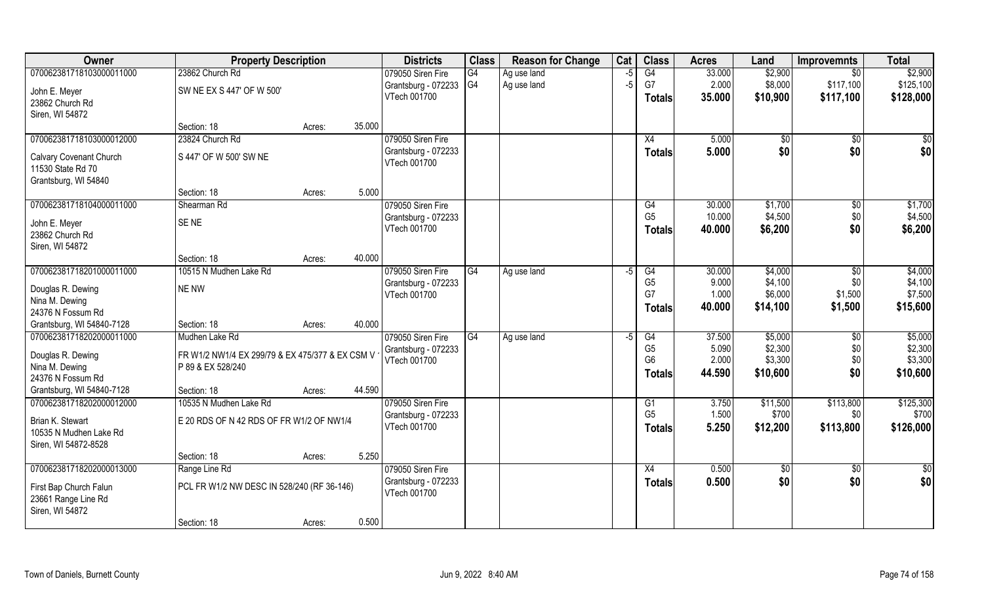| Owner                     | <b>Property Description</b>                     |                  | <b>Districts</b>    | <b>Class</b>   | <b>Reason for Change</b> | Cat  | <b>Class</b>   | <b>Acres</b> | Land     | <b>Improvemnts</b> | <b>Total</b>  |
|---------------------------|-------------------------------------------------|------------------|---------------------|----------------|--------------------------|------|----------------|--------------|----------|--------------------|---------------|
| 070062381718103000011000  | 23862 Church Rd                                 |                  | 079050 Siren Fire   | G4             | Ag use land              | -5   | G4             | 33.000       | \$2,900  | $\overline{50}$    | \$2,900       |
| John E. Meyer             | SW NE EX S 447' OF W 500'                       |                  | Grantsburg - 072233 | G <sub>4</sub> | Ag use land              | $-5$ | G7             | 2.000        | \$8,000  | \$117,100          | \$125,100     |
| 23862 Church Rd           |                                                 |                  | VTech 001700        |                |                          |      | <b>Totals</b>  | 35.000       | \$10,900 | \$117,100          | \$128,000     |
| Siren, WI 54872           |                                                 |                  |                     |                |                          |      |                |              |          |                    |               |
|                           | Section: 18                                     | 35.000<br>Acres: |                     |                |                          |      |                |              |          |                    |               |
| 070062381718103000012000  | 23824 Church Rd                                 |                  | 079050 Siren Fire   |                |                          |      | X4             | 5.000        | \$0      | $\overline{50}$    | $\frac{1}{6}$ |
| Calvary Covenant Church   | S 447' OF W 500' SW NE                          |                  | Grantsburg - 072233 |                |                          |      | <b>Totals</b>  | 5.000        | \$0      | \$0                | \$0           |
| 11530 State Rd 70         |                                                 |                  | VTech 001700        |                |                          |      |                |              |          |                    |               |
| Grantsburg, WI 54840      |                                                 |                  |                     |                |                          |      |                |              |          |                    |               |
|                           | Section: 18                                     | 5.000<br>Acres:  |                     |                |                          |      |                |              |          |                    |               |
| 070062381718104000011000  | Shearman Rd                                     |                  | 079050 Siren Fire   |                |                          |      | G4             | 30.000       | \$1,700  | $\sqrt[6]{3}$      | \$1,700       |
| John E. Meyer             | SE <sub>NE</sub>                                |                  | Grantsburg - 072233 |                |                          |      | G <sub>5</sub> | 10.000       | \$4,500  | \$0                | \$4,500       |
| 23862 Church Rd           |                                                 |                  | VTech 001700        |                |                          |      | <b>Totals</b>  | 40.000       | \$6,200  | \$0                | \$6,200       |
| Siren, WI 54872           |                                                 |                  |                     |                |                          |      |                |              |          |                    |               |
|                           | Section: 18                                     | 40.000<br>Acres: |                     |                |                          |      |                |              |          |                    |               |
| 070062381718201000011000  | 10515 N Mudhen Lake Rd                          |                  | 079050 Siren Fire   | G4             | Ag use land              | -5   | G4             | 30.000       | \$4,000  | \$0                | \$4,000       |
| Douglas R. Dewing         | NE NW                                           |                  | Grantsburg - 072233 |                |                          |      | G <sub>5</sub> | 9.000        | \$4,100  | \$0                | \$4,100       |
| Nina M. Dewing            |                                                 |                  | VTech 001700        |                |                          |      | G7             | 1.000        | \$6,000  | \$1,500            | \$7,500       |
| 24376 N Fossum Rd         |                                                 |                  |                     |                |                          |      | <b>Totals</b>  | 40.000       | \$14,100 | \$1,500            | \$15,600      |
| Grantsburg, WI 54840-7128 | Section: 18                                     | 40.000<br>Acres: |                     |                |                          |      |                |              |          |                    |               |
| 070062381718202000011000  | Mudhen Lake Rd                                  |                  | 079050 Siren Fire   | G4             | Ag use land              | -5   | G4             | 37.500       | \$5,000  | \$0                | \$5,000       |
| Douglas R. Dewing         | FR W1/2 NW1/4 EX 299/79 & EX 475/377 & EX CSM V |                  | Grantsburg - 072233 |                |                          |      | G <sub>5</sub> | 5.090        | \$2,300  | \$0                | \$2,300       |
| Nina M. Dewing            | P 89 & EX 528/240                               |                  | VTech 001700        |                |                          |      | G <sub>6</sub> | 2.000        | \$3,300  | \$0                | \$3,300       |
| 24376 N Fossum Rd         |                                                 |                  |                     |                |                          |      | Totals         | 44.590       | \$10,600 | \$0                | \$10,600      |
| Grantsburg, WI 54840-7128 | Section: 18                                     | 44.590<br>Acres: |                     |                |                          |      |                |              |          |                    |               |
| 070062381718202000012000  | 10535 N Mudhen Lake Rd                          |                  | 079050 Siren Fire   |                |                          |      | G1             | 3.750        | \$11,500 | \$113,800          | \$125,300     |
| Brian K. Stewart          | E 20 RDS OF N 42 RDS OF FR W1/2 OF NW1/4        |                  | Grantsburg - 072233 |                |                          |      | G <sub>5</sub> | 1.500        | \$700    | \$0                | \$700         |
| 10535 N Mudhen Lake Rd    |                                                 |                  | VTech 001700        |                |                          |      | <b>Totals</b>  | 5.250        | \$12,200 | \$113,800          | \$126,000     |
| Siren, WI 54872-8528      |                                                 |                  |                     |                |                          |      |                |              |          |                    |               |
|                           | Section: 18                                     | 5.250<br>Acres:  |                     |                |                          |      |                |              |          |                    |               |
| 070062381718202000013000  | Range Line Rd                                   |                  | 079050 Siren Fire   |                |                          |      | X4             | 0.500        | \$0      | $\sqrt{$0}$        | \$0           |
| First Bap Church Falun    | PCL FR W1/2 NW DESC IN 528/240 (RF 36-146)      |                  | Grantsburg - 072233 |                |                          |      | <b>Totals</b>  | 0.500        | \$0      | \$0                | \$0           |
| 23661 Range Line Rd       |                                                 |                  | VTech 001700        |                |                          |      |                |              |          |                    |               |
| Siren, WI 54872           |                                                 |                  |                     |                |                          |      |                |              |          |                    |               |
|                           | Section: 18                                     | 0.500<br>Acres:  |                     |                |                          |      |                |              |          |                    |               |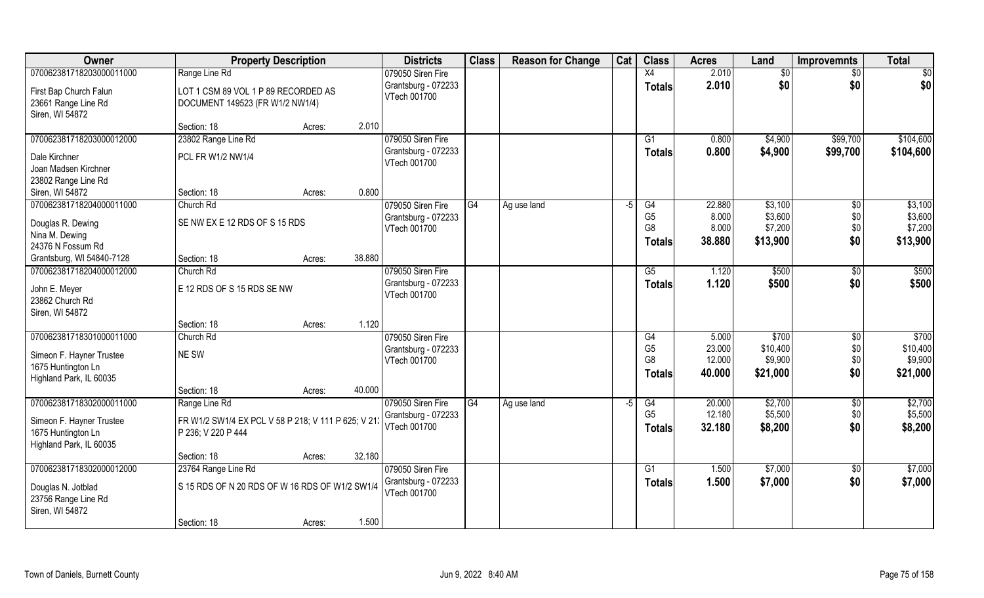| Owner                                                                     | <b>Property Description</b>                                               |                  | <b>Districts</b>                    | <b>Class</b> | <b>Reason for Change</b> | Cat  | <b>Class</b>                                      | <b>Acres</b>               | Land                            | <b>Improvemnts</b>  | <b>Total</b>                    |
|---------------------------------------------------------------------------|---------------------------------------------------------------------------|------------------|-------------------------------------|--------------|--------------------------|------|---------------------------------------------------|----------------------------|---------------------------------|---------------------|---------------------------------|
| 070062381718203000011000                                                  | Range Line Rd                                                             |                  | 079050 Siren Fire                   |              |                          |      | $\overline{X4}$                                   | 2.010                      | \$0                             | \$0                 | \$0                             |
| First Bap Church Falun<br>23661 Range Line Rd<br>Siren, WI 54872          | LOT 1 CSM 89 VOL 1 P 89 RECORDED AS<br>DOCUMENT 149523 (FR W1/2 NW1/4)    |                  | Grantsburg - 072233<br>VTech 001700 |              |                          |      | <b>Totals</b>                                     | 2.010                      | \$0                             | \$0                 | \$0                             |
|                                                                           | Section: 18                                                               | 2.010<br>Acres:  |                                     |              |                          |      |                                                   |                            |                                 |                     |                                 |
| 070062381718203000012000                                                  | 23802 Range Line Rd                                                       |                  | 079050 Siren Fire                   |              |                          |      | G1                                                | 0.800                      | \$4,900                         | \$99,700            | \$104,600                       |
| Dale Kirchner<br>Joan Madsen Kirchner                                     | PCL FR W1/2 NW1/4                                                         |                  | Grantsburg - 072233<br>VTech 001700 |              |                          |      | <b>Totals</b>                                     | 0.800                      | \$4,900                         | \$99,700            | \$104,600                       |
| 23802 Range Line Rd<br>Siren, WI 54872                                    | Section: 18                                                               | 0.800<br>Acres:  |                                     |              |                          |      |                                                   |                            |                                 |                     |                                 |
| 070062381718204000011000                                                  | Church Rd                                                                 |                  | 079050 Siren Fire                   | G4           | Ag use land              | $-5$ | G4                                                | 22.880                     | \$3,100                         | $\sqrt[6]{}$        | \$3,100                         |
| Douglas R. Dewing<br>Nina M. Dewing<br>24376 N Fossum Rd                  | SE NW EX E 12 RDS OF S 15 RDS                                             |                  | Grantsburg - 072233<br>VTech 001700 |              |                          |      | G <sub>5</sub><br>G <sub>8</sub><br><b>Totals</b> | 8.000<br>8.000<br>38.880   | \$3,600<br>\$7,200<br>\$13,900  | \$0\$<br>\$0<br>\$0 | \$3,600<br>\$7,200<br>\$13,900  |
| Grantsburg, WI 54840-7128                                                 | Section: 18                                                               | 38.880<br>Acres: |                                     |              |                          |      |                                                   |                            |                                 |                     |                                 |
| 070062381718204000012000                                                  | Church Rd                                                                 |                  | 079050 Siren Fire                   |              |                          |      | G5                                                | 1.120                      | \$500                           | $\sqrt[6]{}$        | \$500                           |
| John E. Meyer<br>23862 Church Rd<br>Siren, WI 54872                       | E 12 RDS OF S 15 RDS SE NW                                                |                  | Grantsburg - 072233<br>VTech 001700 |              |                          |      | <b>Totals</b>                                     | 1.120                      | \$500                           | \$0                 | \$500                           |
|                                                                           | Section: 18                                                               | 1.120<br>Acres:  |                                     |              |                          |      |                                                   |                            |                                 |                     |                                 |
| 070062381718301000011000                                                  | Church Rd                                                                 |                  | 079050 Siren Fire                   |              |                          |      | G4                                                | 5.000                      | \$700                           | \$0                 | \$700                           |
| Simeon F. Hayner Trustee<br>1675 Huntington Ln<br>Highland Park, IL 60035 | NE SW                                                                     |                  | Grantsburg - 072233<br>VTech 001700 |              |                          |      | G <sub>5</sub><br>G <sub>8</sub><br><b>Totals</b> | 23.000<br>12.000<br>40.000 | \$10,400<br>\$9,900<br>\$21,000 | \$0<br>\$0<br>\$0   | \$10,400<br>\$9,900<br>\$21,000 |
|                                                                           | Section: 18                                                               | 40.000<br>Acres: |                                     |              |                          |      |                                                   |                            |                                 |                     |                                 |
| 070062381718302000011000                                                  | Range Line Rd                                                             |                  | 079050 Siren Fire                   | G4           | Ag use land              | $-5$ | G4                                                | 20.000                     | \$2,700                         | \$0                 | \$2,700                         |
| Simeon F. Hayner Trustee<br>1675 Huntington Ln<br>Highland Park, IL 60035 | FR W1/2 SW1/4 EX PCL V 58 P 218; V 111 P 625; V 213<br>P 236; V 220 P 444 |                  | Grantsburg - 072233<br>VTech 001700 |              |                          |      | G <sub>5</sub><br><b>Totals</b>                   | 12.180<br>32.180           | \$5,500<br>\$8,200              | \$0<br>\$0          | \$5,500<br>\$8,200              |
|                                                                           | Section: 18                                                               | 32.180<br>Acres: |                                     |              |                          |      |                                                   |                            |                                 |                     |                                 |
| 070062381718302000012000                                                  | 23764 Range Line Rd                                                       |                  | 079050 Siren Fire                   |              |                          |      | $\overline{G1}$                                   | 1.500                      | \$7,000                         | $\overline{50}$     | \$7,000                         |
| Douglas N. Jotblad<br>23756 Range Line Rd<br>Siren, WI 54872              | S 15 RDS OF N 20 RDS OF W 16 RDS OF W1/2 SW1/4                            |                  | Grantsburg - 072233<br>VTech 001700 |              |                          |      | <b>Totals</b>                                     | 1.500                      | \$7,000                         | \$0                 | \$7,000                         |
|                                                                           | Section: 18                                                               | 1.500<br>Acres:  |                                     |              |                          |      |                                                   |                            |                                 |                     |                                 |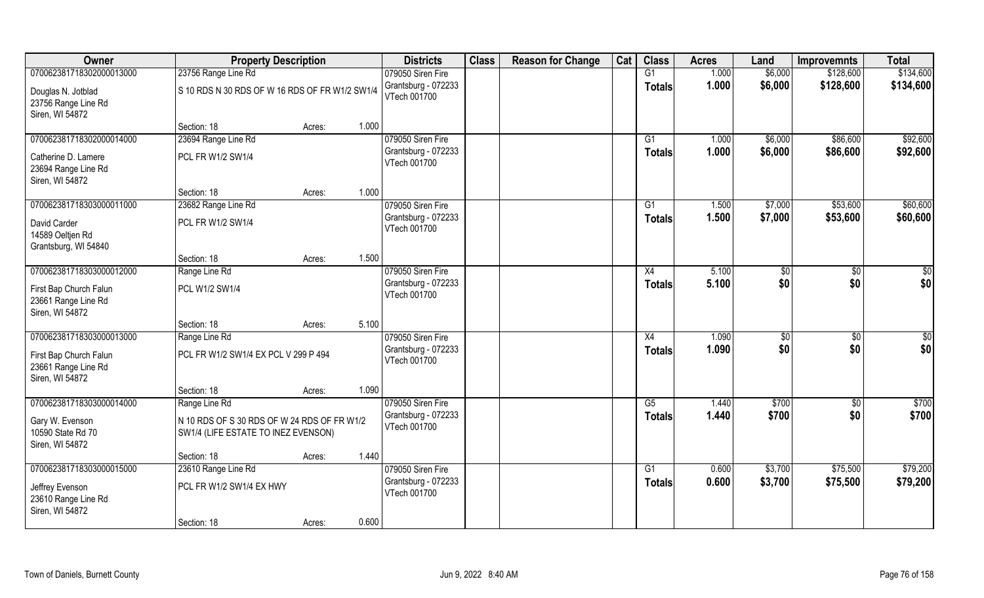| Owner                                                            | <b>Property Description</b>                                                        |        |       | <b>Districts</b>                    | <b>Class</b> | <b>Reason for Change</b> | Cat | <b>Class</b>  | <b>Acres</b> | Land    | <b>Improvemnts</b> | <b>Total</b> |
|------------------------------------------------------------------|------------------------------------------------------------------------------------|--------|-------|-------------------------------------|--------------|--------------------------|-----|---------------|--------------|---------|--------------------|--------------|
| 070062381718302000013000                                         | 23756 Range Line Rd                                                                |        |       | 079050 Siren Fire                   |              |                          |     | G1            | 1.000        | \$6,000 | \$128,600          | \$134,600    |
| Douglas N. Jotblad<br>23756 Range Line Rd<br>Siren, WI 54872     | S 10 RDS N 30 RDS OF W 16 RDS OF FR W1/2 SW1/4                                     |        |       | Grantsburg - 072233<br>VTech 001700 |              |                          |     | <b>Totals</b> | 1.000        | \$6,000 | \$128,600          | \$134,600    |
|                                                                  | Section: 18                                                                        | Acres: | 1.000 |                                     |              |                          |     |               |              |         |                    |              |
| 070062381718302000014000                                         | 23694 Range Line Rd                                                                |        |       | 079050 Siren Fire                   |              |                          |     | G1            | 1.000        | \$6,000 | \$86,600           | \$92,600     |
| Catherine D. Lamere<br>23694 Range Line Rd<br>Siren, WI 54872    | PCL FR W1/2 SW1/4                                                                  |        |       | Grantsburg - 072233<br>VTech 001700 |              |                          |     | <b>Totals</b> | 1.000        | \$6,000 | \$86,600           | \$92,600     |
|                                                                  | Section: 18                                                                        | Acres: | 1.000 |                                     |              |                          |     |               |              |         |                    |              |
| 070062381718303000011000                                         | 23682 Range Line Rd                                                                |        |       | 079050 Siren Fire                   |              |                          |     | G1            | 1.500        | \$7,000 | \$53,600           | \$60,600     |
| David Carder<br>14589 Oeltjen Rd<br>Grantsburg, WI 54840         | PCL FR W1/2 SW1/4                                                                  |        |       | Grantsburg - 072233<br>VTech 001700 |              |                          |     | <b>Totals</b> | 1.500        | \$7,000 | \$53,600           | \$60,600     |
|                                                                  | Section: 18                                                                        | Acres: | 1.500 |                                     |              |                          |     |               |              |         |                    |              |
| 070062381718303000012000                                         | Range Line Rd                                                                      |        |       | 079050 Siren Fire                   |              |                          |     | X4            | 5.100        | \$0     | \$0                | \$0          |
| First Bap Church Falun<br>23661 Range Line Rd<br>Siren, WI 54872 | PCL W1/2 SW1/4                                                                     |        |       | Grantsburg - 072233<br>VTech 001700 |              |                          |     | <b>Totals</b> | 5.100        | \$0     | \$0                | \$0          |
|                                                                  | Section: 18                                                                        | Acres: | 5.100 |                                     |              |                          |     |               |              |         |                    |              |
| 070062381718303000013000                                         | Range Line Rd                                                                      |        |       | 079050 Siren Fire                   |              |                          |     | X4            | 1.090        | \$      | \$0                | \$0          |
| First Bap Church Falun<br>23661 Range Line Rd<br>Siren, WI 54872 | PCL FR W1/2 SW1/4 EX PCL V 299 P 494                                               |        |       | Grantsburg - 072233<br>VTech 001700 |              |                          |     | <b>Totals</b> | 1.090        | \$0     | \$0                | \$0          |
|                                                                  | Section: 18                                                                        | Acres: | 1.090 |                                     |              |                          |     |               |              |         |                    |              |
| 070062381718303000014000                                         | Range Line Rd                                                                      |        |       | 079050 Siren Fire                   |              |                          |     | G5            | 1.440        | \$700   | \$0                | \$700        |
| Gary W. Evenson<br>10590 State Rd 70<br>Siren, WI 54872          | N 10 RDS OF S 30 RDS OF W 24 RDS OF FR W1/2<br>SW1/4 (LIFE ESTATE TO INEZ EVENSON) |        |       | Grantsburg - 072233<br>VTech 001700 |              |                          |     | <b>Totals</b> | 1.440        | \$700   | \$0                | \$700        |
|                                                                  | Section: 18                                                                        | Acres: | 1.440 |                                     |              |                          |     |               |              |         |                    |              |
| 070062381718303000015000                                         | 23610 Range Line Rd                                                                |        |       | 079050 Siren Fire                   |              |                          |     | G1            | 0.600        | \$3,700 | \$75,500           | \$79,200     |
| Jeffrey Evenson<br>23610 Range Line Rd<br>Siren, WI 54872        | PCL FR W1/2 SW1/4 EX HWY                                                           |        |       | Grantsburg - 072233<br>VTech 001700 |              |                          |     | <b>Totals</b> | 0.600        | \$3,700 | \$75,500           | \$79,200     |
|                                                                  | Section: 18                                                                        | Acres: | 0.600 |                                     |              |                          |     |               |              |         |                    |              |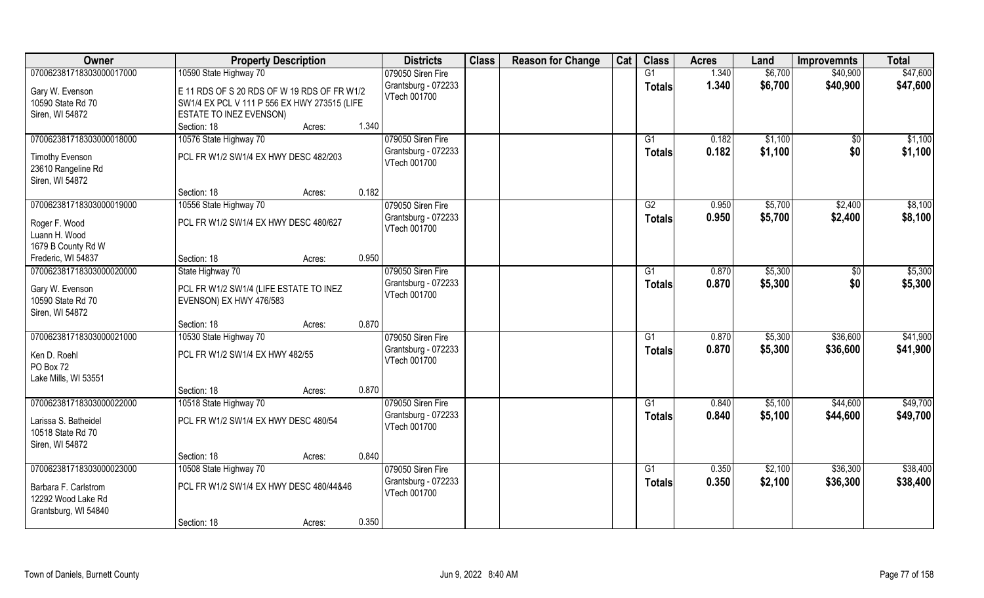| Owner                          | <b>Property Description</b>                     |       | <b>Districts</b>                    | <b>Class</b> | <b>Reason for Change</b> | Cat | <b>Class</b>    | <b>Acres</b> | Land    | <b>Improvemnts</b> | <b>Total</b> |
|--------------------------------|-------------------------------------------------|-------|-------------------------------------|--------------|--------------------------|-----|-----------------|--------------|---------|--------------------|--------------|
| 070062381718303000017000       | 10590 State Highway 70                          |       | 079050 Siren Fire                   |              |                          |     | G1              | 1.340        | \$6,700 | \$40,900           | \$47,600     |
| Gary W. Evenson                | E 11 RDS OF S 20 RDS OF W 19 RDS OF FR W1/2     |       | Grantsburg - 072233                 |              |                          |     | <b>Totals</b>   | 1.340        | \$6,700 | \$40,900           | \$47,600     |
| 10590 State Rd 70              | SW1/4 EX PCL V 111 P 556 EX HWY 273515 (LIFE    |       | VTech 001700                        |              |                          |     |                 |              |         |                    |              |
| Siren, WI 54872                | ESTATE TO INEZ EVENSON)                         |       |                                     |              |                          |     |                 |              |         |                    |              |
|                                | Section: 18<br>Acres:                           | 1.340 |                                     |              |                          |     |                 |              |         |                    |              |
| 070062381718303000018000       | 10576 State Highway 70                          |       | 079050 Siren Fire                   |              |                          |     | G1              | 0.182        | \$1,100 | $\sqrt{$0}$        | \$1,100      |
| <b>Timothy Evenson</b>         | PCL FR W1/2 SW1/4 EX HWY DESC 482/203           |       | Grantsburg - 072233                 |              |                          |     | Totals          | 0.182        | \$1,100 | \$0                | \$1,100      |
| 23610 Rangeline Rd             |                                                 |       | VTech 001700                        |              |                          |     |                 |              |         |                    |              |
| Siren, WI 54872                |                                                 |       |                                     |              |                          |     |                 |              |         |                    |              |
|                                | Section: 18<br>Acres:                           | 0.182 |                                     |              |                          |     |                 |              |         |                    |              |
| 070062381718303000019000       | 10556 State Highway 70                          |       | 079050 Siren Fire                   |              |                          |     | G2              | 0.950        | \$5,700 | \$2,400            | \$8,100      |
|                                |                                                 |       | Grantsburg - 072233                 |              |                          |     | <b>Totals</b>   | 0.950        | \$5,700 | \$2,400            | \$8,100      |
| Roger F. Wood<br>Luann H. Wood | PCL FR W1/2 SW1/4 EX HWY DESC 480/627           |       | VTech 001700                        |              |                          |     |                 |              |         |                    |              |
| 1679 B County Rd W             |                                                 |       |                                     |              |                          |     |                 |              |         |                    |              |
| Frederic, WI 54837             | Section: 18<br>Acres:                           | 0.950 |                                     |              |                          |     |                 |              |         |                    |              |
| 070062381718303000020000       | State Highway 70                                |       | 079050 Siren Fire                   |              |                          |     | G1              | 0.870        | \$5,300 | $\sqrt[6]{3}$      | \$5,300      |
|                                |                                                 |       | Grantsburg - 072233                 |              |                          |     | <b>Totals</b>   | 0.870        | \$5,300 | \$0                | \$5,300      |
| Gary W. Evenson                | PCL FR W1/2 SW1/4 (LIFE ESTATE TO INEZ          |       | VTech 001700                        |              |                          |     |                 |              |         |                    |              |
| 10590 State Rd 70              | EVENSON) EX HWY 476/583                         |       |                                     |              |                          |     |                 |              |         |                    |              |
| Siren, WI 54872                |                                                 | 0.870 |                                     |              |                          |     |                 |              |         |                    |              |
| 070062381718303000021000       | Section: 18<br>Acres:<br>10530 State Highway 70 |       | 079050 Siren Fire                   |              |                          |     | G1              | 0.870        | \$5,300 | \$36,600           | \$41,900     |
|                                |                                                 |       | Grantsburg - 072233                 |              |                          |     |                 | 0.870        | \$5,300 | \$36,600           | \$41,900     |
| Ken D. Roehl                   | PCL FR W1/2 SW1/4 EX HWY 482/55                 |       | VTech 001700                        |              |                          |     | <b>Totals</b>   |              |         |                    |              |
| PO Box 72                      |                                                 |       |                                     |              |                          |     |                 |              |         |                    |              |
| Lake Mills, WI 53551           |                                                 |       |                                     |              |                          |     |                 |              |         |                    |              |
|                                | Section: 18<br>Acres:                           | 0.870 |                                     |              |                          |     |                 |              |         |                    |              |
| 070062381718303000022000       | 10518 State Highway 70                          |       | 079050 Siren Fire                   |              |                          |     | G1              | 0.840        | \$5,100 | \$44,600           | \$49,700     |
| Larissa S. Batheidel           | PCL FR W1/2 SW1/4 EX HWY DESC 480/54            |       | Grantsburg - 072233<br>VTech 001700 |              |                          |     | <b>Totals</b>   | 0.840        | \$5,100 | \$44,600           | \$49,700     |
| 10518 State Rd 70              |                                                 |       |                                     |              |                          |     |                 |              |         |                    |              |
| Siren, WI 54872                |                                                 |       |                                     |              |                          |     |                 |              |         |                    |              |
|                                | Section: 18<br>Acres:                           | 0.840 |                                     |              |                          |     |                 |              |         |                    |              |
| 070062381718303000023000       | 10508 State Highway 70                          |       | 079050 Siren Fire                   |              |                          |     | $\overline{G1}$ | 0.350        | \$2,100 | \$36,300           | \$38,400     |
| Barbara F. Carlstrom           | PCL FR W1/2 SW1/4 EX HWY DESC 480/44&46         |       | Grantsburg - 072233                 |              |                          |     | <b>Totals</b>   | 0.350        | \$2,100 | \$36,300           | \$38,400     |
| 12292 Wood Lake Rd             |                                                 |       | VTech 001700                        |              |                          |     |                 |              |         |                    |              |
| Grantsburg, WI 54840           |                                                 |       |                                     |              |                          |     |                 |              |         |                    |              |
|                                | Section: 18<br>Acres:                           | 0.350 |                                     |              |                          |     |                 |              |         |                    |              |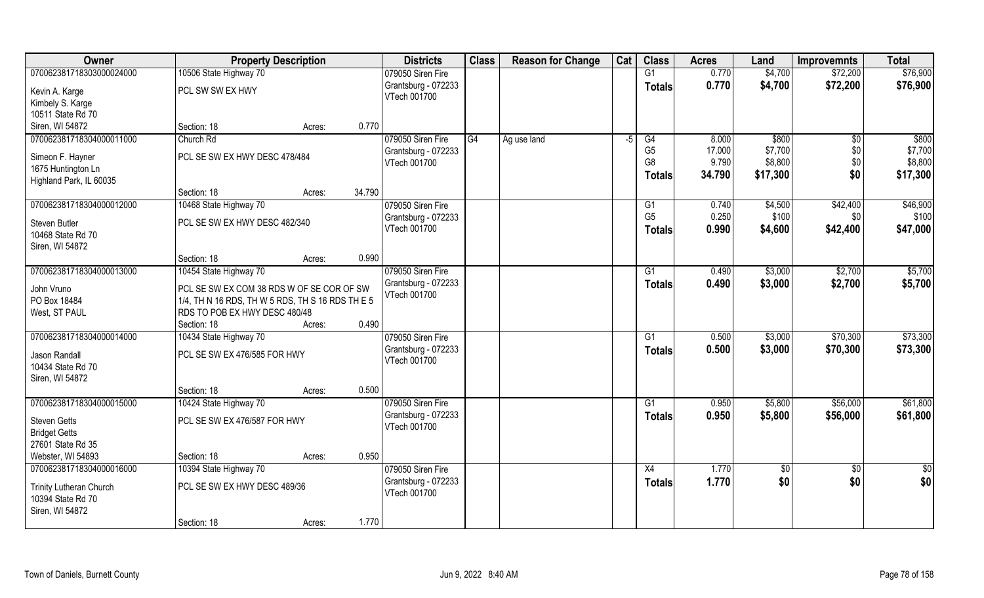| Owner                      | <b>Property Description</b>                                                                   |        |        | <b>Districts</b>                         | <b>Class</b> | <b>Reason for Change</b> | Cat  | <b>Class</b>   | <b>Acres</b>   | Land       | <b>Improvemnts</b> | <b>Total</b>  |
|----------------------------|-----------------------------------------------------------------------------------------------|--------|--------|------------------------------------------|--------------|--------------------------|------|----------------|----------------|------------|--------------------|---------------|
| 070062381718303000024000   | 10506 State Highway 70                                                                        |        |        | 079050 Siren Fire                        |              |                          |      | G1             | 0.770          | \$4,700    | \$72,200           | \$76,900      |
| Kevin A. Karge             | PCL SW SW EX HWY                                                                              |        |        | Grantsburg - 072233                      |              |                          |      | <b>Totals</b>  | 0.770          | \$4,700    | \$72,200           | \$76,900      |
| Kimbely S. Karge           |                                                                                               |        |        | VTech 001700                             |              |                          |      |                |                |            |                    |               |
| 10511 State Rd 70          |                                                                                               |        |        |                                          |              |                          |      |                |                |            |                    |               |
| Siren, WI 54872            | Section: 18                                                                                   | Acres: | 0.770  |                                          |              |                          |      |                |                |            |                    |               |
| 070062381718304000011000   | Church Rd                                                                                     |        |        | 079050 Siren Fire                        | G4           | Ag use land              | $-5$ | G4             | 8.000          | \$800      | $\sqrt[6]{}$       | \$800         |
| Simeon F. Hayner           | PCL SE SW EX HWY DESC 478/484                                                                 |        |        | Grantsburg - 072233                      |              |                          |      | G <sub>5</sub> | 17.000         | \$7,700    | \$0                | \$7,700       |
| 1675 Huntington Ln         |                                                                                               |        |        | VTech 001700                             |              |                          |      | G <sub>8</sub> | 9.790          | \$8,800    | \$0                | \$8,800       |
| Highland Park, IL 60035    |                                                                                               |        |        |                                          |              |                          |      | <b>Totals</b>  | 34.790         | \$17,300   | \$0                | \$17,300      |
|                            | Section: 18                                                                                   | Acres: | 34.790 |                                          |              |                          |      |                |                |            |                    |               |
| 070062381718304000012000   | 10468 State Highway 70                                                                        |        |        | 079050 Siren Fire                        |              |                          |      | G1             | 0.740          | \$4,500    | \$42,400           | \$46,900      |
| Steven Butler              | PCL SE SW EX HWY DESC 482/340                                                                 |        |        | Grantsburg - 072233                      |              |                          |      | G <sub>5</sub> | 0.250          | \$100      | \$0                | \$100         |
| 10468 State Rd 70          |                                                                                               |        |        | VTech 001700                             |              |                          |      | <b>Totals</b>  | 0.990          | \$4,600    | \$42,400           | \$47,000      |
| Siren, WI 54872            |                                                                                               |        |        |                                          |              |                          |      |                |                |            |                    |               |
|                            | Section: 18                                                                                   | Acres: | 0.990  |                                          |              |                          |      |                |                |            |                    |               |
| 070062381718304000013000   | 10454 State Highway 70                                                                        |        |        | 079050 Siren Fire                        |              |                          |      | G1             | 0.490          | \$3,000    | \$2,700            | \$5,700       |
|                            |                                                                                               |        |        | Grantsburg - 072233                      |              |                          |      | <b>Totals</b>  | 0.490          | \$3,000    | \$2,700            | \$5,700       |
| John Vruno<br>PO Box 18484 | PCL SE SW EX COM 38 RDS W OF SE COR OF SW<br>1/4, TH N 16 RDS, TH W 5 RDS, TH S 16 RDS TH E 5 |        |        | VTech 001700                             |              |                          |      |                |                |            |                    |               |
| West, ST PAUL              | RDS TO POB EX HWY DESC 480/48                                                                 |        |        |                                          |              |                          |      |                |                |            |                    |               |
|                            | Section: 18                                                                                   | Acres: | 0.490  |                                          |              |                          |      |                |                |            |                    |               |
| 070062381718304000014000   | 10434 State Highway 70                                                                        |        |        | 079050 Siren Fire                        |              |                          |      | G1             | 0.500          | \$3,000    | \$70,300           | \$73,300      |
|                            |                                                                                               |        |        | Grantsburg - 072233                      |              |                          |      | <b>Totals</b>  | 0.500          | \$3,000    | \$70,300           | \$73,300      |
| Jason Randall              | PCL SE SW EX 476/585 FOR HWY                                                                  |        |        | VTech 001700                             |              |                          |      |                |                |            |                    |               |
| 10434 State Rd 70          |                                                                                               |        |        |                                          |              |                          |      |                |                |            |                    |               |
| Siren, WI 54872            | Section: 18                                                                                   | Acres: | 0.500  |                                          |              |                          |      |                |                |            |                    |               |
| 070062381718304000015000   | 10424 State Highway 70                                                                        |        |        | 079050 Siren Fire                        |              |                          |      | G1             | 0.950          | \$5,800    | \$56,000           | \$61,800      |
|                            |                                                                                               |        |        | Grantsburg - 072233                      |              |                          |      | <b>Totals</b>  | 0.950          | \$5,800    | \$56,000           | \$61,800      |
| <b>Steven Getts</b>        | PCL SE SW EX 476/587 FOR HWY                                                                  |        |        | VTech 001700                             |              |                          |      |                |                |            |                    |               |
| <b>Bridget Getts</b>       |                                                                                               |        |        |                                          |              |                          |      |                |                |            |                    |               |
| 27601 State Rd 35          |                                                                                               |        |        |                                          |              |                          |      |                |                |            |                    |               |
| Webster, WI 54893          | Section: 18                                                                                   | Acres: | 0.950  |                                          |              |                          |      |                |                |            |                    |               |
| 070062381718304000016000   | 10394 State Highway 70                                                                        |        |        | 079050 Siren Fire<br>Grantsburg - 072233 |              |                          |      | X4             | 1.770<br>1.770 | $\sqrt{6}$ | $\sqrt{6}$<br>\$0  | $\frac{1}{2}$ |
| Trinity Lutheran Church    | PCL SE SW EX HWY DESC 489/36                                                                  |        |        | VTech 001700                             |              |                          |      | <b>Totals</b>  |                | \$0        |                    | \$0           |
| 10394 State Rd 70          |                                                                                               |        |        |                                          |              |                          |      |                |                |            |                    |               |
| Siren, WI 54872            |                                                                                               |        |        |                                          |              |                          |      |                |                |            |                    |               |
|                            | Section: 18                                                                                   | Acres: | 1.770  |                                          |              |                          |      |                |                |            |                    |               |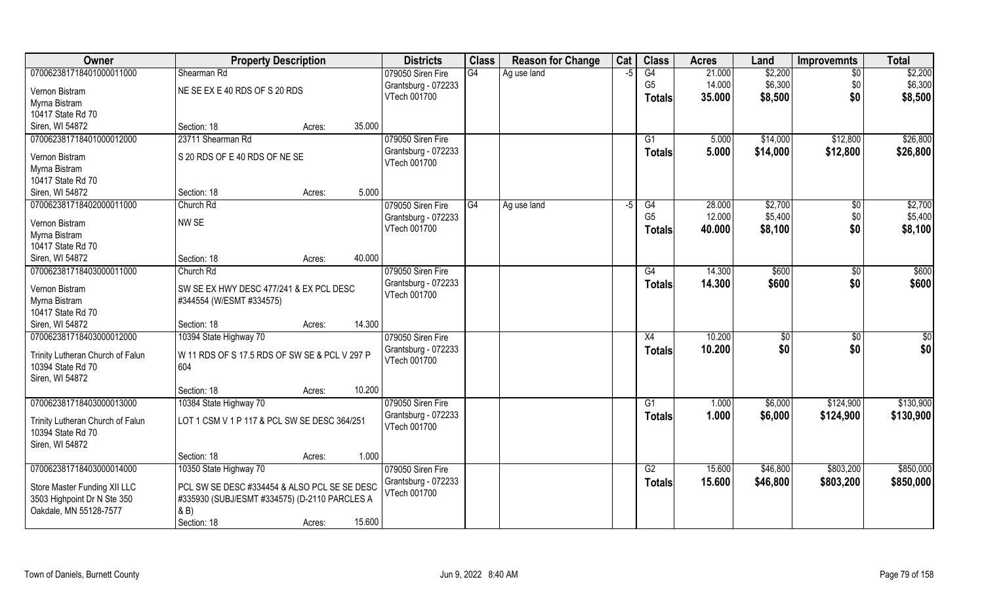| Owner                                                 | <b>Property Description</b>                   |                  | <b>Districts</b>    | <b>Class</b> | <b>Reason for Change</b> | Cat  | <b>Class</b>   | <b>Acres</b> | Land          | <b>Improvemnts</b> | <b>Total</b> |
|-------------------------------------------------------|-----------------------------------------------|------------------|---------------------|--------------|--------------------------|------|----------------|--------------|---------------|--------------------|--------------|
| 070062381718401000011000                              | Shearman Rd                                   |                  | 079050 Siren Fire   | G4           | Ag use land              | -5   | G4             | 21.000       | \$2,200       | $\overline{50}$    | \$2,200      |
| Vernon Bistram                                        | NE SE EX E 40 RDS OF S 20 RDS                 |                  | Grantsburg - 072233 |              |                          |      | G <sub>5</sub> | 14.000       | \$6,300       | \$0                | \$6,300      |
| Myrna Bistram                                         |                                               |                  | VTech 001700        |              |                          |      | <b>Totals</b>  | 35.000       | \$8,500       | \$0                | \$8,500      |
| 10417 State Rd 70                                     |                                               |                  |                     |              |                          |      |                |              |               |                    |              |
| Siren, WI 54872                                       | Section: 18                                   | 35.000<br>Acres: |                     |              |                          |      |                |              |               |                    |              |
| 070062381718401000012000                              | 23711 Shearman Rd                             |                  | 079050 Siren Fire   |              |                          |      | G1             | 5.000        | \$14,000      | \$12,800           | \$26,800     |
|                                                       | S 20 RDS OF E 40 RDS OF NE SE                 |                  | Grantsburg - 072233 |              |                          |      | <b>Totals</b>  | 5.000        | \$14,000      | \$12,800           | \$26,800     |
| Vernon Bistram<br>Myrna Bistram                       |                                               |                  | VTech 001700        |              |                          |      |                |              |               |                    |              |
| 10417 State Rd 70                                     |                                               |                  |                     |              |                          |      |                |              |               |                    |              |
| Siren, WI 54872                                       | Section: 18                                   | 5.000<br>Acres:  |                     |              |                          |      |                |              |               |                    |              |
| 070062381718402000011000                              | Church Rd                                     |                  | 079050 Siren Fire   | IG4          | Ag use land              | $-5$ | G4             | 28.000       | \$2,700       | \$0                | \$2,700      |
|                                                       |                                               |                  | Grantsburg - 072233 |              |                          |      | G <sub>5</sub> | 12.000       | \$5,400       | \$0                | \$5,400      |
| Vernon Bistram                                        | NW SE                                         |                  | VTech 001700        |              |                          |      | <b>Totals</b>  | 40.000       | \$8,100       | \$0                | \$8,100      |
| Myrna Bistram                                         |                                               |                  |                     |              |                          |      |                |              |               |                    |              |
| 10417 State Rd 70                                     |                                               |                  |                     |              |                          |      |                |              |               |                    |              |
| Siren, WI 54872                                       | Section: 18                                   | 40.000<br>Acres: |                     |              |                          |      |                |              |               |                    |              |
| 070062381718403000011000                              | Church Rd                                     |                  | 079050 Siren Fire   |              |                          |      | G4             | 14.300       | \$600         | \$0                | \$600        |
| Vernon Bistram                                        | SW SE EX HWY DESC 477/241 & EX PCL DESC       |                  | Grantsburg - 072233 |              |                          |      | <b>Totals</b>  | 14.300       | \$600         | \$0                | \$600        |
| Myrna Bistram                                         | #344554 (W/ESMT #334575)                      |                  | VTech 001700        |              |                          |      |                |              |               |                    |              |
| 10417 State Rd 70                                     |                                               |                  |                     |              |                          |      |                |              |               |                    |              |
| Siren, WI 54872                                       | Section: 18                                   | 14.300<br>Acres: |                     |              |                          |      |                |              |               |                    |              |
| 070062381718403000012000                              | 10394 State Highway 70                        |                  | 079050 Siren Fire   |              |                          |      | X4             | 10.200       | $\sqrt[6]{3}$ | \$0                | \$0          |
| Trinity Lutheran Church of Falun                      | W 11 RDS OF S 17.5 RDS OF SW SE & PCL V 297 P |                  | Grantsburg - 072233 |              |                          |      | <b>Totals</b>  | 10.200       | \$0           | \$0                | \$0          |
| 10394 State Rd 70                                     | 604                                           |                  | VTech 001700        |              |                          |      |                |              |               |                    |              |
| Siren, WI 54872                                       |                                               |                  |                     |              |                          |      |                |              |               |                    |              |
|                                                       | Section: 18                                   | 10.200<br>Acres: |                     |              |                          |      |                |              |               |                    |              |
| 070062381718403000013000                              | 10384 State Highway 70                        |                  | 079050 Siren Fire   |              |                          |      | G1             | 1.000        | \$6,000       | \$124,900          | \$130,900    |
|                                                       | LOT 1 CSM V 1 P 117 & PCL SW SE DESC 364/251  |                  | Grantsburg - 072233 |              |                          |      | <b>Totals</b>  | 1.000        | \$6,000       | \$124,900          | \$130,900    |
| Trinity Lutheran Church of Falun<br>10394 State Rd 70 |                                               |                  | VTech 001700        |              |                          |      |                |              |               |                    |              |
| Siren, WI 54872                                       |                                               |                  |                     |              |                          |      |                |              |               |                    |              |
|                                                       | Section: 18                                   | 1.000<br>Acres:  |                     |              |                          |      |                |              |               |                    |              |
| 070062381718403000014000                              | 10350 State Highway 70                        |                  | 079050 Siren Fire   |              |                          |      | G2             | 15.600       | \$46,800      | \$803,200          | \$850,000    |
|                                                       |                                               |                  | Grantsburg - 072233 |              |                          |      | Totals         | 15.600       | \$46,800      | \$803,200          | \$850,000    |
| Store Master Funding XII LLC                          | PCL SW SE DESC #334454 & ALSO PCL SE SE DESC  |                  | VTech 001700        |              |                          |      |                |              |               |                    |              |
| 3503 Highpoint Dr N Ste 350                           | #335930 (SUBJ/ESMT #334575) (D-2110 PARCLES A |                  |                     |              |                          |      |                |              |               |                    |              |
| Oakdale, MN 55128-7577                                | & B)                                          |                  |                     |              |                          |      |                |              |               |                    |              |
|                                                       | Section: 18                                   | 15.600<br>Acres: |                     |              |                          |      |                |              |               |                    |              |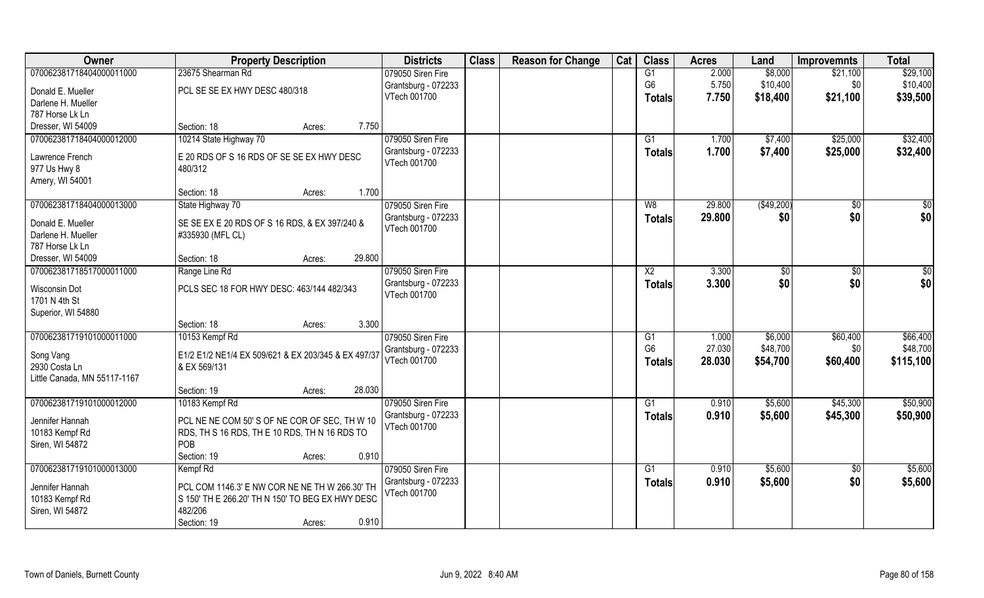| Owner                        | <b>Property Description</b>                         |        |        | <b>Districts</b>    | <b>Class</b> | <b>Reason for Change</b> | Cat | <b>Class</b>   | <b>Acres</b> | Land        | <b>Improvemnts</b> | <b>Total</b> |
|------------------------------|-----------------------------------------------------|--------|--------|---------------------|--------------|--------------------------|-----|----------------|--------------|-------------|--------------------|--------------|
| 070062381718404000011000     | 23675 Shearman Rd                                   |        |        | 079050 Siren Fire   |              |                          |     | G1             | 2.000        | \$8,000     | \$21,100           | \$29,100     |
| Donald E. Mueller            | PCL SE SE EX HWY DESC 480/318                       |        |        | Grantsburg - 072233 |              |                          |     | G <sub>6</sub> | 5.750        | \$10,400    | \$0                | \$10,400     |
| Darlene H. Mueller           |                                                     |        |        | VTech 001700        |              |                          |     | <b>Totals</b>  | 7.750        | \$18,400    | \$21,100           | \$39,500     |
| 787 Horse Lk Ln              |                                                     |        |        |                     |              |                          |     |                |              |             |                    |              |
| Dresser, WI 54009            | Section: 18                                         | Acres: | 7.750  |                     |              |                          |     |                |              |             |                    |              |
| 070062381718404000012000     | 10214 State Highway 70                              |        |        | 079050 Siren Fire   |              |                          |     | G1             | 1.700        | \$7,400     | \$25,000           | \$32,400     |
|                              |                                                     |        |        | Grantsburg - 072233 |              |                          |     | Totals         | 1.700        | \$7,400     | \$25,000           | \$32,400     |
| Lawrence French              | E 20 RDS OF S 16 RDS OF SE SE EX HWY DESC           |        |        | VTech 001700        |              |                          |     |                |              |             |                    |              |
| 977 Us Hwy 8                 | 480/312                                             |        |        |                     |              |                          |     |                |              |             |                    |              |
| Amery, WI 54001              | Section: 18                                         | Acres: | 1.700  |                     |              |                          |     |                |              |             |                    |              |
| 070062381718404000013000     | State Highway 70                                    |        |        | 079050 Siren Fire   |              |                          |     | W8             | 29.800       | ( \$49,200) | $\overline{50}$    | $\sqrt{50}$  |
|                              |                                                     |        |        | Grantsburg - 072233 |              |                          |     |                |              |             | \$0                | \$0          |
| Donald E. Mueller            | SE SE EX E 20 RDS OF S 16 RDS, & EX 397/240 &       |        |        | VTech 001700        |              |                          |     | <b>Totals</b>  | 29.800       | \$0         |                    |              |
| Darlene H. Mueller           | #335930 (MFL CL)                                    |        |        |                     |              |                          |     |                |              |             |                    |              |
| 787 Horse Lk Ln              |                                                     |        |        |                     |              |                          |     |                |              |             |                    |              |
| Dresser, WI 54009            | Section: 18                                         | Acres: | 29.800 |                     |              |                          |     |                |              |             |                    |              |
| 070062381718517000011000     | Range Line Rd                                       |        |        | 079050 Siren Fire   |              |                          |     | X <sub>2</sub> | 3.300        | \$0         | $\sqrt[6]{3}$      | $\sqrt{50}$  |
| Wisconsin Dot                | PCLS SEC 18 FOR HWY DESC: 463/144 482/343           |        |        | Grantsburg - 072233 |              |                          |     | <b>Totals</b>  | 3.300        | \$0         | \$0                | \$0          |
| 1701 N 4th St                |                                                     |        |        | VTech 001700        |              |                          |     |                |              |             |                    |              |
| Superior, WI 54880           |                                                     |        |        |                     |              |                          |     |                |              |             |                    |              |
|                              | Section: 18                                         | Acres: | 3.300  |                     |              |                          |     |                |              |             |                    |              |
| 070062381719101000011000     | 10153 Kempf Rd                                      |        |        | 079050 Siren Fire   |              |                          |     | G1             | 1.000        | \$6,000     | \$60,400           | \$66,400     |
|                              |                                                     |        |        | Grantsburg - 072233 |              |                          |     | G <sub>6</sub> | 27.030       | \$48,700    | \$0                | \$48,700     |
| Song Vang                    | E1/2 E1/2 NE1/4 EX 509/621 & EX 203/345 & EX 497/37 |        |        | VTech 001700        |              |                          |     | <b>Totals</b>  | 28.030       | \$54,700    | \$60,400           | \$115,100    |
| 2930 Costa Ln                | & EX 569/131                                        |        |        |                     |              |                          |     |                |              |             |                    |              |
| Little Canada, MN 55117-1167 | Section: 19                                         |        | 28.030 |                     |              |                          |     |                |              |             |                    |              |
| 070062381719101000012000     | 10183 Kempf Rd                                      | Acres: |        | 079050 Siren Fire   |              |                          |     | G1             | 0.910        | \$5,600     | \$45,300           | \$50,900     |
|                              |                                                     |        |        | Grantsburg - 072233 |              |                          |     |                |              |             |                    |              |
| Jennifer Hannah              | PCL NE NE COM 50' S OF NE COR OF SEC, TH W 10       |        |        | VTech 001700        |              |                          |     | <b>Totals</b>  | 0.910        | \$5,600     | \$45,300           | \$50,900     |
| 10183 Kempf Rd               | RDS, TH S 16 RDS, TH E 10 RDS, TH N 16 RDS TO       |        |        |                     |              |                          |     |                |              |             |                    |              |
| Siren, WI 54872              | POB                                                 |        |        |                     |              |                          |     |                |              |             |                    |              |
|                              | Section: 19                                         | Acres: | 0.910  |                     |              |                          |     |                |              |             |                    |              |
| 070062381719101000013000     | Kempf Rd                                            |        |        | 079050 Siren Fire   |              |                          |     | G1             | 0.910        | \$5,600     | \$0                | \$5,600      |
| Jennifer Hannah              | PCL COM 1146.3' E NW COR NE NE TH W 266.30' TH      |        |        | Grantsburg - 072233 |              |                          |     | Totals         | 0.910        | \$5,600     | \$0                | \$5,600      |
| 10183 Kempf Rd               | S 150' TH E 266.20' TH N 150' TO BEG EX HWY DESC    |        |        | VTech 001700        |              |                          |     |                |              |             |                    |              |
| Siren, WI 54872              | 482/206                                             |        |        |                     |              |                          |     |                |              |             |                    |              |
|                              | Section: 19                                         | Acres: | 0.910  |                     |              |                          |     |                |              |             |                    |              |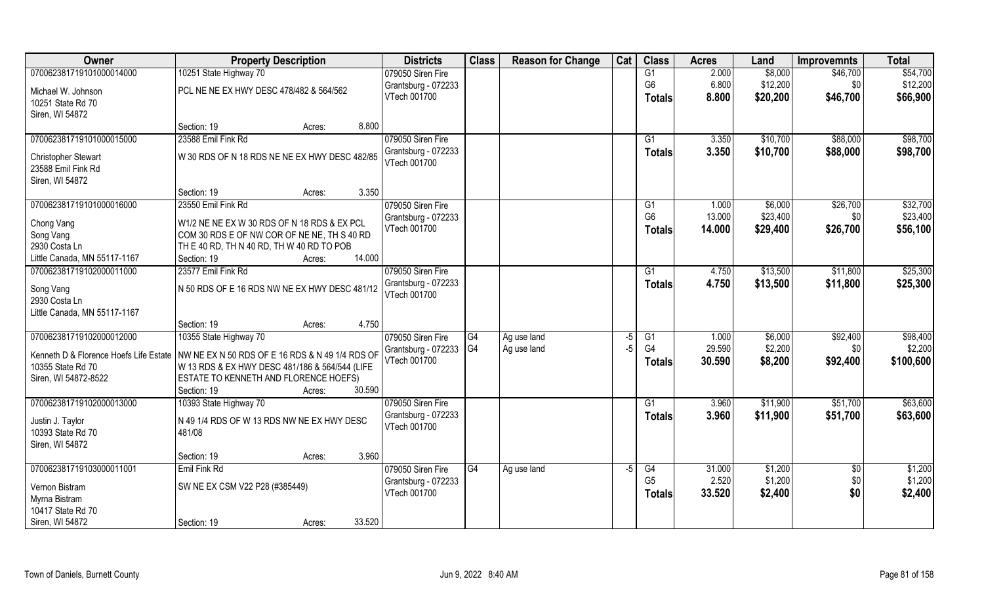| Owner                                  | <b>Property Description</b>                                                                |        | <b>Districts</b>                    | <b>Class</b> | <b>Reason for Change</b> | Cat  | <b>Class</b>    | <b>Acres</b> | Land     | <b>Improvemnts</b> | <b>Total</b> |
|----------------------------------------|--------------------------------------------------------------------------------------------|--------|-------------------------------------|--------------|--------------------------|------|-----------------|--------------|----------|--------------------|--------------|
| 070062381719101000014000               | 10251 State Highway 70                                                                     |        | 079050 Siren Fire                   |              |                          |      | G1              | 2.000        | \$8,000  | \$46,700           | \$54,700     |
| Michael W. Johnson                     | PCL NE NE EX HWY DESC 478/482 & 564/562                                                    |        | Grantsburg - 072233                 |              |                          |      | G <sub>6</sub>  | 6.800        | \$12,200 | \$0                | \$12,200     |
| 10251 State Rd 70                      |                                                                                            |        | VTech 001700                        |              |                          |      | <b>Totals</b>   | 8.800        | \$20,200 | \$46,700           | \$66,900     |
| Siren, WI 54872                        |                                                                                            |        |                                     |              |                          |      |                 |              |          |                    |              |
|                                        | Section: 19<br>Acres:                                                                      | 8.800  |                                     |              |                          |      |                 |              |          |                    |              |
| 070062381719101000015000               | 23588 Emil Fink Rd                                                                         |        | 079050 Siren Fire                   |              |                          |      | G <sub>1</sub>  | 3.350        | \$10,700 | \$88,000           | \$98,700     |
| Christopher Stewart                    | W 30 RDS OF N 18 RDS NE NE EX HWY DESC 482/85                                              |        | Grantsburg - 072233                 |              |                          |      | <b>Totals</b>   | 3.350        | \$10,700 | \$88,000           | \$98,700     |
| 23588 Emil Fink Rd                     |                                                                                            |        | VTech 001700                        |              |                          |      |                 |              |          |                    |              |
| Siren, WI 54872                        |                                                                                            |        |                                     |              |                          |      |                 |              |          |                    |              |
|                                        | Section: 19<br>Acres:                                                                      | 3.350  |                                     |              |                          |      |                 |              |          |                    |              |
| 070062381719101000016000               | 23550 Emil Fink Rd                                                                         |        | 079050 Siren Fire                   |              |                          |      | G1              | 1.000        | \$6,000  | \$26,700           | \$32,700     |
|                                        |                                                                                            |        | Grantsburg - 072233                 |              |                          |      | G <sub>6</sub>  | 13.000       | \$23,400 | \$0                | \$23,400     |
| Chong Vang                             | W1/2 NE NE EX W 30 RDS OF N 18 RDS & EX PCL<br>COM 30 RDS E OF NW COR OF NE NE, TH S 40 RD |        | VTech 001700                        |              |                          |      | <b>Totals</b>   | 14.000       | \$29,400 | \$26,700           | \$56,100     |
| Song Vang<br>2930 Costa Ln             | TH E 40 RD, TH N 40 RD, TH W 40 RD TO POB                                                  |        |                                     |              |                          |      |                 |              |          |                    |              |
| Little Canada, MN 55117-1167           | Section: 19<br>Acres:                                                                      | 14.000 |                                     |              |                          |      |                 |              |          |                    |              |
| 070062381719102000011000               | 23577 Emil Fink Rd                                                                         |        | 079050 Siren Fire                   |              |                          |      | G1              | 4.750        | \$13,500 | \$11,800           | \$25,300     |
|                                        |                                                                                            |        | Grantsburg - 072233                 |              |                          |      | <b>Totals</b>   | 4.750        | \$13,500 | \$11,800           | \$25,300     |
| Song Vang                              | N 50 RDS OF E 16 RDS NW NE EX HWY DESC 481/12                                              |        | VTech 001700                        |              |                          |      |                 |              |          |                    |              |
| 2930 Costa Ln                          |                                                                                            |        |                                     |              |                          |      |                 |              |          |                    |              |
| Little Canada, MN 55117-1167           | Section: 19                                                                                | 4.750  |                                     |              |                          |      |                 |              |          |                    |              |
| 070062381719102000012000               | Acres:<br>10355 State Highway 70                                                           |        | 079050 Siren Fire                   | G4           | Ag use land              | $-5$ | G1              | 1.000        | \$6,000  | \$92,400           | \$98,400     |
|                                        |                                                                                            |        | Grantsburg - 072233                 | IG4          | Ag use land              | -5   | G <sub>4</sub>  | 29.590       | \$2,200  | \$0                | \$2,200      |
| Kenneth D & Florence Hoefs Life Estate | NW NE EX N 50 RDS OF E 16 RDS & N 49 1/4 RDS OF                                            |        | VTech 001700                        |              |                          |      | <b>Totals</b>   | 30.590       | \$8,200  | \$92,400           | \$100,600    |
| 10355 State Rd 70                      | W 13 RDS & EX HWY DESC 481/186 & 564/544 (LIFE                                             |        |                                     |              |                          |      |                 |              |          |                    |              |
| Siren, WI 54872-8522                   | ESTATE TO KENNETH AND FLORENCE HOEFS)                                                      |        |                                     |              |                          |      |                 |              |          |                    |              |
|                                        | Section: 19<br>Acres:                                                                      | 30.590 |                                     |              |                          |      |                 |              |          |                    |              |
| 070062381719102000013000               | 10393 State Highway 70                                                                     |        | 079050 Siren Fire                   |              |                          |      | $\overline{G1}$ | 3.960        | \$11,900 | \$51,700           | \$63,600     |
| Justin J. Taylor                       | N 49 1/4 RDS OF W 13 RDS NW NE EX HWY DESC                                                 |        | Grantsburg - 072233<br>VTech 001700 |              |                          |      | <b>Totals</b>   | 3.960        | \$11,900 | \$51,700           | \$63,600     |
| 10393 State Rd 70                      | 481/08                                                                                     |        |                                     |              |                          |      |                 |              |          |                    |              |
| Siren, WI 54872                        |                                                                                            |        |                                     |              |                          |      |                 |              |          |                    |              |
|                                        | Section: 19<br>Acres:                                                                      | 3.960  |                                     |              |                          |      |                 |              |          |                    |              |
| 070062381719103000011001               | Emil Fink Rd                                                                               |        | 079050 Siren Fire                   | G4           | Ag use land              | -5   | G4              | 31.000       | \$1,200  | $\overline{60}$    | \$1,200      |
| Vernon Bistram                         | SW NE EX CSM V22 P28 (#385449)                                                             |        | Grantsburg - 072233                 |              |                          |      | G <sub>5</sub>  | 2.520        | \$1,200  | \$0                | \$1,200      |
| Myrna Bistram                          |                                                                                            |        | VTech 001700                        |              |                          |      | <b>Totals</b>   | 33.520       | \$2,400  | \$0                | \$2,400      |
| 10417 State Rd 70                      |                                                                                            |        |                                     |              |                          |      |                 |              |          |                    |              |
| Siren, WI 54872                        | Section: 19<br>Acres:                                                                      | 33.520 |                                     |              |                          |      |                 |              |          |                    |              |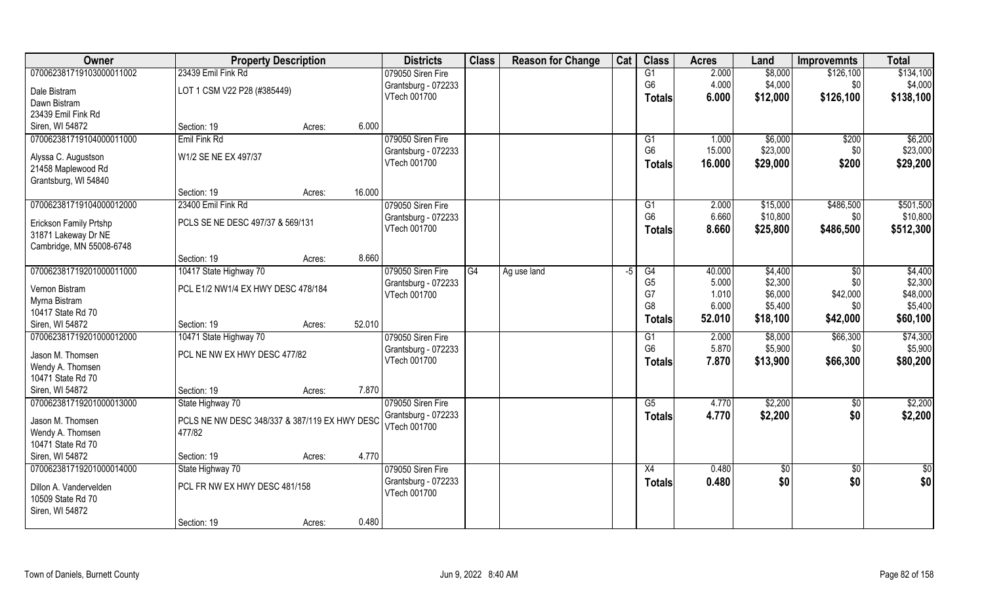| Owner                                                | <b>Property Description</b>                             |        |        | <b>Districts</b>    | <b>Class</b> | <b>Reason for Change</b> | Cat  | <b>Class</b>    | <b>Acres</b> | Land       | <b>Improvemnts</b> | <b>Total</b>  |
|------------------------------------------------------|---------------------------------------------------------|--------|--------|---------------------|--------------|--------------------------|------|-----------------|--------------|------------|--------------------|---------------|
| 070062381719103000011002                             | 23439 Emil Fink Rd                                      |        |        | 079050 Siren Fire   |              |                          |      | $\overline{G1}$ | 2.000        | \$8,000    | \$126,100          | \$134,100     |
| Dale Bistram                                         | LOT 1 CSM V22 P28 (#385449)                             |        |        | Grantsburg - 072233 |              |                          |      | G <sub>6</sub>  | 4.000        | \$4,000    | \$0                | \$4,000       |
| Dawn Bistram                                         |                                                         |        |        | VTech 001700        |              |                          |      | <b>Totals</b>   | 6.000        | \$12,000   | \$126,100          | \$138,100     |
| 23439 Emil Fink Rd                                   |                                                         |        |        |                     |              |                          |      |                 |              |            |                    |               |
| Siren, WI 54872                                      | Section: 19                                             | Acres: | 6.000  |                     |              |                          |      |                 |              |            |                    |               |
| 070062381719104000011000                             | Emil Fink Rd                                            |        |        | 079050 Siren Fire   |              |                          |      | G1              | 1.000        | \$6,000    | \$200              | \$6,200       |
| Alyssa C. Augustson                                  | W1/2 SE NE EX 497/37                                    |        |        | Grantsburg - 072233 |              |                          |      | G <sub>6</sub>  | 15.000       | \$23,000   | \$0                | \$23,000      |
| 21458 Maplewood Rd                                   |                                                         |        |        | VTech 001700        |              |                          |      | <b>Totals</b>   | 16.000       | \$29,000   | \$200              | \$29,200      |
| Grantsburg, WI 54840                                 |                                                         |        |        |                     |              |                          |      |                 |              |            |                    |               |
|                                                      | Section: 19                                             | Acres: | 16.000 |                     |              |                          |      |                 |              |            |                    |               |
| 070062381719104000012000                             | 23400 Emil Fink Rd                                      |        |        | 079050 Siren Fire   |              |                          |      | G1              | 2.000        | \$15,000   | \$486,500          | \$501,500     |
|                                                      | PCLS SE NE DESC 497/37 & 569/131                        |        |        | Grantsburg - 072233 |              |                          |      | G <sub>6</sub>  | 6.660        | \$10,800   | \$0                | \$10,800      |
| <b>Erickson Family Prtshp</b><br>31871 Lakeway Dr NE |                                                         |        |        | VTech 001700        |              |                          |      | <b>Totals</b>   | 8.660        | \$25,800   | \$486,500          | \$512,300     |
| Cambridge, MN 55008-6748                             |                                                         |        |        |                     |              |                          |      |                 |              |            |                    |               |
|                                                      | Section: 19                                             | Acres: | 8.660  |                     |              |                          |      |                 |              |            |                    |               |
| 070062381719201000011000                             | 10417 State Highway 70                                  |        |        | 079050 Siren Fire   | G4           | Ag use land              | $-5$ | G4              | 40.000       | \$4,400    | $\sqrt[6]{}$       | \$4,400       |
| Vernon Bistram                                       | PCL E1/2 NW1/4 EX HWY DESC 478/184                      |        |        | Grantsburg - 072233 |              |                          |      | G <sub>5</sub>  | 5.000        | \$2,300    | \$0                | \$2,300       |
| Myrna Bistram                                        |                                                         |        |        | VTech 001700        |              |                          |      | G7              | 1.010        | \$6,000    | \$42,000           | \$48,000      |
| 10417 State Rd 70                                    |                                                         |        |        |                     |              |                          |      | G <sub>8</sub>  | 6.000        | \$5,400    | \$0                | \$5,400       |
| Siren, WI 54872                                      | Section: 19                                             | Acres: | 52.010 |                     |              |                          |      | <b>Totals</b>   | 52.010       | \$18,100   | \$42,000           | \$60,100      |
| 070062381719201000012000                             | 10471 State Highway 70                                  |        |        | 079050 Siren Fire   |              |                          |      | G1              | 2.000        | \$8,000    | \$66,300           | \$74,300      |
|                                                      | PCL NE NW EX HWY DESC 477/82                            |        |        | Grantsburg - 072233 |              |                          |      | G <sub>6</sub>  | 5.870        | \$5,900    | \$0                | \$5,900       |
| Jason M. Thomsen<br>Wendy A. Thomsen                 |                                                         |        |        | VTech 001700        |              |                          |      | Totals          | 7.870        | \$13,900   | \$66,300           | \$80,200      |
| 10471 State Rd 70                                    |                                                         |        |        |                     |              |                          |      |                 |              |            |                    |               |
| Siren, WI 54872                                      | Section: 19                                             | Acres: | 7.870  |                     |              |                          |      |                 |              |            |                    |               |
| 070062381719201000013000                             | State Highway 70                                        |        |        | 079050 Siren Fire   |              |                          |      | G5              | 4.770        | \$2,200    | \$0                | \$2,200       |
|                                                      |                                                         |        |        | Grantsburg - 072233 |              |                          |      | <b>Totals</b>   | 4.770        | \$2,200    | \$0                | \$2,200       |
| Jason M. Thomsen<br>Wendy A. Thomsen                 | PCLS NE NW DESC 348/337 & 387/119 EX HWY DESC<br>477/82 |        |        | VTech 001700        |              |                          |      |                 |              |            |                    |               |
| 10471 State Rd 70                                    |                                                         |        |        |                     |              |                          |      |                 |              |            |                    |               |
| Siren, WI 54872                                      | Section: 19                                             | Acres: | 4.770  |                     |              |                          |      |                 |              |            |                    |               |
| 070062381719201000014000                             | State Highway 70                                        |        |        | 079050 Siren Fire   |              |                          |      | X4              | 0.480        | $\sqrt{6}$ | $\sqrt{6}$         | $\frac{1}{2}$ |
|                                                      | PCL FR NW EX HWY DESC 481/158                           |        |        | Grantsburg - 072233 |              |                          |      | <b>Totals</b>   | 0.480        | \$0        | \$0                | \$0           |
| Dillon A. Vandervelden<br>10509 State Rd 70          |                                                         |        |        | VTech 001700        |              |                          |      |                 |              |            |                    |               |
| Siren, WI 54872                                      |                                                         |        |        |                     |              |                          |      |                 |              |            |                    |               |
|                                                      | Section: 19                                             | Acres: | 0.480  |                     |              |                          |      |                 |              |            |                    |               |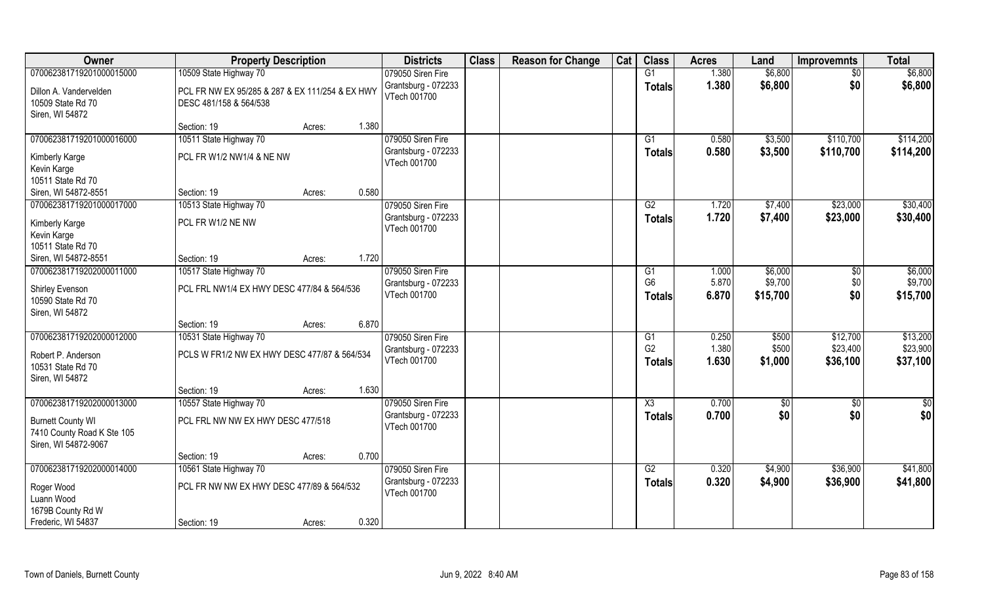| Owner                      | <b>Property Description</b>                     |        |       | <b>Districts</b>    | <b>Class</b> | <b>Reason for Change</b> | Cat | <b>Class</b>   | <b>Acres</b> | Land     | <b>Improvemnts</b> | <b>Total</b> |
|----------------------------|-------------------------------------------------|--------|-------|---------------------|--------------|--------------------------|-----|----------------|--------------|----------|--------------------|--------------|
| 070062381719201000015000   | 10509 State Highway 70                          |        |       | 079050 Siren Fire   |              |                          |     | G1             | 1.380        | \$6,800  | $\sqrt{6}$         | \$6,800      |
| Dillon A. Vandervelden     | PCL FR NW EX 95/285 & 287 & EX 111/254 & EX HWY |        |       | Grantsburg - 072233 |              |                          |     | <b>Totals</b>  | 1.380        | \$6,800  | \$0                | \$6,800      |
| 10509 State Rd 70          | DESC 481/158 & 564/538                          |        |       | VTech 001700        |              |                          |     |                |              |          |                    |              |
| Siren, WI 54872            |                                                 |        |       |                     |              |                          |     |                |              |          |                    |              |
|                            | Section: 19                                     | Acres: | 1.380 |                     |              |                          |     |                |              |          |                    |              |
| 070062381719201000016000   | 10511 State Highway 70                          |        |       | 079050 Siren Fire   |              |                          |     | G1             | 0.580        | \$3,500  | \$110,700          | \$114,200    |
| Kimberly Karge             | PCL FR W1/2 NW1/4 & NE NW                       |        |       | Grantsburg - 072233 |              |                          |     | <b>Totals</b>  | 0.580        | \$3,500  | \$110,700          | \$114,200    |
| Kevin Karge                |                                                 |        |       | VTech 001700        |              |                          |     |                |              |          |                    |              |
| 10511 State Rd 70          |                                                 |        |       |                     |              |                          |     |                |              |          |                    |              |
| Siren, WI 54872-8551       | Section: 19                                     | Acres: | 0.580 |                     |              |                          |     |                |              |          |                    |              |
| 070062381719201000017000   | 10513 State Highway 70                          |        |       | 079050 Siren Fire   |              |                          |     | G2             | 1.720        | \$7,400  | \$23,000           | \$30,400     |
| Kimberly Karge             | PCL FR W1/2 NE NW                               |        |       | Grantsburg - 072233 |              |                          |     | <b>Totals</b>  | 1.720        | \$7,400  | \$23,000           | \$30,400     |
| Kevin Karge                |                                                 |        |       | VTech 001700        |              |                          |     |                |              |          |                    |              |
| 10511 State Rd 70          |                                                 |        |       |                     |              |                          |     |                |              |          |                    |              |
| Siren, WI 54872-8551       | Section: 19                                     | Acres: | 1.720 |                     |              |                          |     |                |              |          |                    |              |
| 070062381719202000011000   | 10517 State Highway 70                          |        |       | 079050 Siren Fire   |              |                          |     | G1             | 1.000        | \$6,000  | $\sqrt[6]{3}$      | \$6,000      |
| Shirley Evenson            | PCL FRL NW1/4 EX HWY DESC 477/84 & 564/536      |        |       | Grantsburg - 072233 |              |                          |     | G <sub>6</sub> | 5.870        | \$9,700  | \$0                | \$9,700      |
| 10590 State Rd 70          |                                                 |        |       | VTech 001700        |              |                          |     | <b>Totals</b>  | 6.870        | \$15,700 | \$0                | \$15,700     |
| Siren, WI 54872            |                                                 |        |       |                     |              |                          |     |                |              |          |                    |              |
|                            | Section: 19                                     | Acres: | 6.870 |                     |              |                          |     |                |              |          |                    |              |
| 070062381719202000012000   | 10531 State Highway 70                          |        |       | 079050 Siren Fire   |              |                          |     | G1             | 0.250        | \$500    | \$12,700           | \$13,200     |
| Robert P. Anderson         | PCLS W FR1/2 NW EX HWY DESC 477/87 & 564/534    |        |       | Grantsburg - 072233 |              |                          |     | G <sub>2</sub> | 1.380        | \$500    | \$23,400           | \$23,900     |
| 10531 State Rd 70          |                                                 |        |       | VTech 001700        |              |                          |     | Totals         | 1.630        | \$1,000  | \$36,100           | \$37,100     |
| Siren, WI 54872            |                                                 |        |       |                     |              |                          |     |                |              |          |                    |              |
|                            | Section: 19                                     | Acres: | 1.630 |                     |              |                          |     |                |              |          |                    |              |
| 070062381719202000013000   | 10557 State Highway 70                          |        |       | 079050 Siren Fire   |              |                          |     | X3             | 0.700        | \$0      | \$0                | \$0          |
| <b>Burnett County WI</b>   | PCL FRL NW NW EX HWY DESC 477/518               |        |       | Grantsburg - 072233 |              |                          |     | <b>Totals</b>  | 0.700        | \$0      | \$0                | \$0          |
| 7410 County Road K Ste 105 |                                                 |        |       | VTech 001700        |              |                          |     |                |              |          |                    |              |
| Siren, WI 54872-9067       |                                                 |        |       |                     |              |                          |     |                |              |          |                    |              |
|                            | Section: 19                                     | Acres: | 0.700 |                     |              |                          |     |                |              |          |                    |              |
| 070062381719202000014000   | 10561 State Highway 70                          |        |       | 079050 Siren Fire   |              |                          |     | G2             | 0.320        | \$4,900  | \$36,900           | \$41,800     |
|                            |                                                 |        |       | Grantsburg - 072233 |              |                          |     | <b>Totals</b>  | 0.320        | \$4,900  | \$36,900           | \$41,800     |
| Roger Wood<br>Luann Wood   | PCL FR NW NW EX HWY DESC 477/89 & 564/532       |        |       | VTech 001700        |              |                          |     |                |              |          |                    |              |
| 1679B County Rd W          |                                                 |        |       |                     |              |                          |     |                |              |          |                    |              |
| Frederic, WI 54837         | Section: 19                                     | Acres: | 0.320 |                     |              |                          |     |                |              |          |                    |              |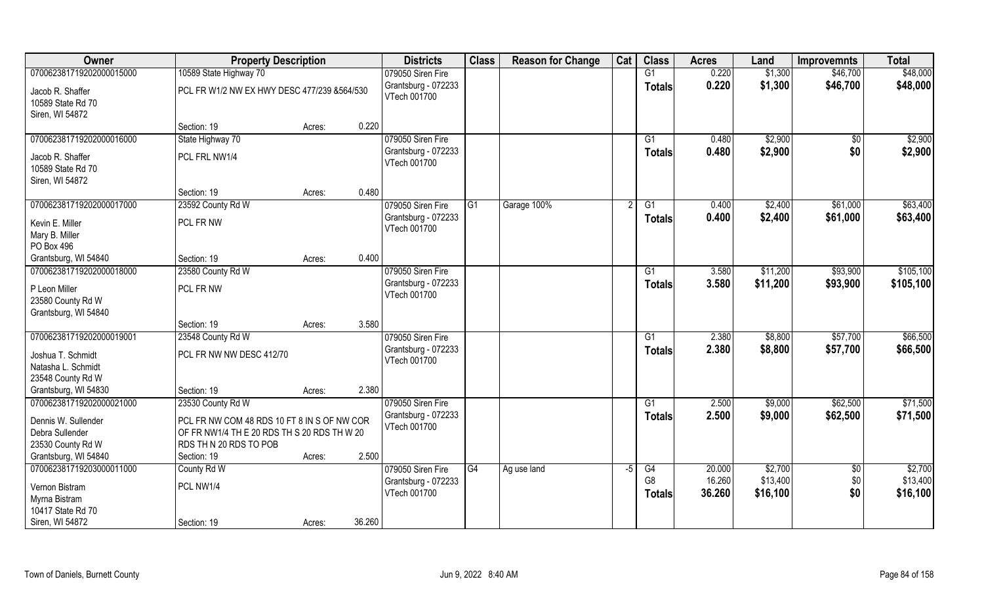| Owner                                 | <b>Property Description</b>                 |        |        | <b>Districts</b>                    | <b>Class</b> | <b>Reason for Change</b> | Cat  | <b>Class</b>    | <b>Acres</b> | Land     | <b>Improvemnts</b> | <b>Total</b> |
|---------------------------------------|---------------------------------------------|--------|--------|-------------------------------------|--------------|--------------------------|------|-----------------|--------------|----------|--------------------|--------------|
| 070062381719202000015000              | 10589 State Highway 70                      |        |        | 079050 Siren Fire                   |              |                          |      | G1              | 0.220        | \$1,300  | \$46,700           | \$48,000     |
| Jacob R. Shaffer<br>10589 State Rd 70 | PCL FR W1/2 NW EX HWY DESC 477/239 &564/530 |        |        | Grantsburg - 072233<br>VTech 001700 |              |                          |      | <b>Totals</b>   | 0.220        | \$1,300  | \$46,700           | \$48,000     |
| Siren, WI 54872                       |                                             |        |        |                                     |              |                          |      |                 |              |          |                    |              |
|                                       | Section: 19                                 | Acres: | 0.220  |                                     |              |                          |      |                 |              |          |                    |              |
| 070062381719202000016000              | State Highway 70                            |        |        | 079050 Siren Fire                   |              |                          |      | G1              | 0.480        | \$2,900  | \$0                | \$2,900      |
| Jacob R. Shaffer                      | PCL FRL NW1/4                               |        |        | Grantsburg - 072233<br>VTech 001700 |              |                          |      | Totals          | 0.480        | \$2,900  | \$0                | \$2,900      |
| 10589 State Rd 70                     |                                             |        |        |                                     |              |                          |      |                 |              |          |                    |              |
| Siren, WI 54872                       |                                             |        |        |                                     |              |                          |      |                 |              |          |                    |              |
|                                       | Section: 19                                 | Acres: | 0.480  |                                     |              |                          |      |                 |              |          |                    |              |
| 070062381719202000017000              | 23592 County Rd W                           |        |        | 079050 Siren Fire                   | l G1         | Garage 100%              |      | G1              | 0.400        | \$2,400  | \$61,000           | \$63,400     |
| Kevin E. Miller                       | PCL FR NW                                   |        |        | Grantsburg - 072233                 |              |                          |      | <b>Totals</b>   | 0.400        | \$2,400  | \$61,000           | \$63,400     |
| Mary B. Miller                        |                                             |        |        | VTech 001700                        |              |                          |      |                 |              |          |                    |              |
| PO Box 496                            |                                             |        |        |                                     |              |                          |      |                 |              |          |                    |              |
| Grantsburg, WI 54840                  | Section: 19                                 | Acres: | 0.400  |                                     |              |                          |      |                 |              |          |                    |              |
| 070062381719202000018000              | 23580 County Rd W                           |        |        | 079050 Siren Fire                   |              |                          |      | G1              | 3.580        | \$11,200 | \$93,900           | \$105,100    |
| P Leon Miller<br>23580 County Rd W    | PCL FR NW                                   |        |        | Grantsburg - 072233<br>VTech 001700 |              |                          |      | <b>Totals</b>   | 3.580        | \$11,200 | \$93,900           | \$105,100    |
| Grantsburg, WI 54840                  |                                             |        |        |                                     |              |                          |      |                 |              |          |                    |              |
|                                       | Section: 19                                 | Acres: | 3.580  |                                     |              |                          |      |                 |              |          |                    |              |
| 070062381719202000019001              | 23548 County Rd W                           |        |        | 079050 Siren Fire                   |              |                          |      | $\overline{G1}$ | 2.380        | \$8,800  | \$57,700           | \$66,500     |
| Joshua T. Schmidt                     | PCL FR NW NW DESC 412/70                    |        |        | Grantsburg - 072233                 |              |                          |      | <b>Totals</b>   | 2.380        | \$8,800  | \$57,700           | \$66,500     |
| Natasha L. Schmidt                    |                                             |        |        | VTech 001700                        |              |                          |      |                 |              |          |                    |              |
| 23548 County Rd W                     |                                             |        |        |                                     |              |                          |      |                 |              |          |                    |              |
| Grantsburg, WI 54830                  | Section: 19                                 | Acres: | 2.380  |                                     |              |                          |      |                 |              |          |                    |              |
| 070062381719202000021000              | 23530 County Rd W                           |        |        | 079050 Siren Fire                   |              |                          |      | G1              | 2.500        | \$9,000  | \$62,500           | \$71,500     |
| Dennis W. Sullender                   | PCL FR NW COM 48 RDS 10 FT 8 IN S OF NW COR |        |        | Grantsburg - 072233                 |              |                          |      | <b>Totals</b>   | 2.500        | \$9,000  | \$62,500           | \$71,500     |
| Debra Sullender                       | OF FR NW1/4 TH E 20 RDS TH S 20 RDS TH W 20 |        |        | VTech 001700                        |              |                          |      |                 |              |          |                    |              |
| 23530 County Rd W                     | RDS TH N 20 RDS TO POB                      |        |        |                                     |              |                          |      |                 |              |          |                    |              |
| Grantsburg, WI 54840                  | Section: 19                                 | Acres: | 2.500  |                                     |              |                          |      |                 |              |          |                    |              |
| 070062381719203000011000              | County Rd W                                 |        |        | 079050 Siren Fire                   | G4           | Ag use land              | $-5$ | G4              | 20.000       | \$2,700  | $\sqrt{6}$         | \$2,700      |
| Vernon Bistram                        | PCL NW1/4                                   |        |        | Grantsburg - 072233                 |              |                          |      | G <sub>8</sub>  | 16.260       | \$13,400 | \$0                | \$13,400     |
| Myrna Bistram                         |                                             |        |        | VTech 001700                        |              |                          |      | <b>Totals</b>   | 36.260       | \$16,100 | \$0                | \$16,100     |
| 10417 State Rd 70                     |                                             |        |        |                                     |              |                          |      |                 |              |          |                    |              |
| Siren, WI 54872                       | Section: 19                                 | Acres: | 36.260 |                                     |              |                          |      |                 |              |          |                    |              |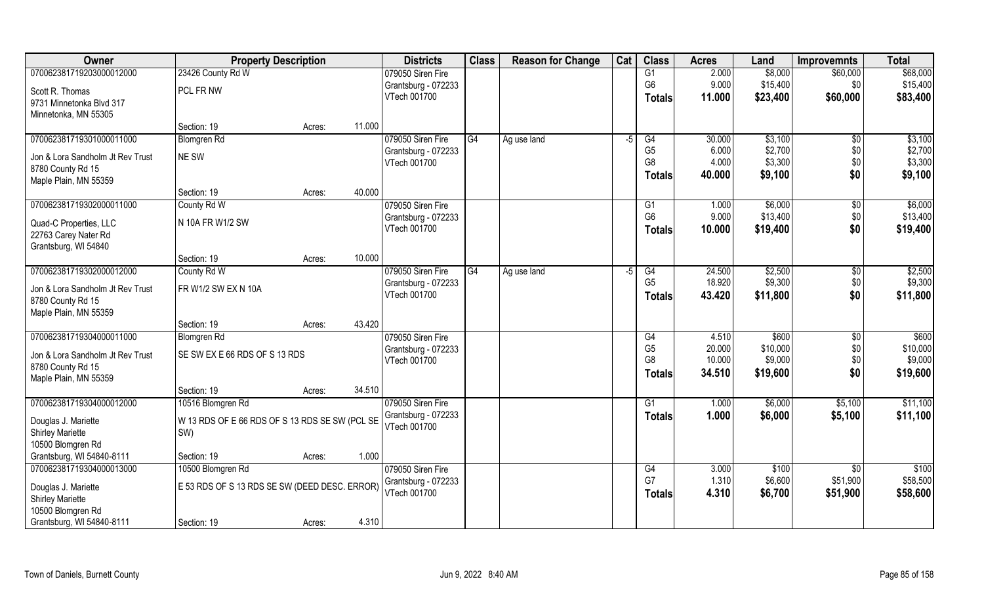| Owner                            | <b>Property Description</b>                    |        |        | <b>Districts</b>    | <b>Class</b> | <b>Reason for Change</b> | Cat | <b>Class</b>                     | <b>Acres</b>     | Land                | <b>Improvemnts</b> | <b>Total</b>        |
|----------------------------------|------------------------------------------------|--------|--------|---------------------|--------------|--------------------------|-----|----------------------------------|------------------|---------------------|--------------------|---------------------|
| 070062381719203000012000         | 23426 County Rd W                              |        |        | 079050 Siren Fire   |              |                          |     | G1                               | 2.000            | \$8,000             | \$60,000           | \$68,000            |
| Scott R. Thomas                  | PCL FR NW                                      |        |        | Grantsburg - 072233 |              |                          |     | G <sub>6</sub>                   | 9.000            | \$15,400            | \$0                | \$15,400            |
| 9731 Minnetonka Blvd 317         |                                                |        |        | VTech 001700        |              |                          |     | Totals                           | 11.000           | \$23,400            | \$60,000           | \$83,400            |
| Minnetonka, MN 55305             |                                                |        |        |                     |              |                          |     |                                  |                  |                     |                    |                     |
|                                  | Section: 19                                    | Acres: | 11.000 |                     |              |                          |     |                                  |                  |                     |                    |                     |
| 070062381719301000011000         | <b>Blomgren Rd</b>                             |        |        | 079050 Siren Fire   | G4           | Ag use land              | -5  | G4                               | 30.000           | \$3,100             | $\overline{50}$    | \$3,100             |
| Jon & Lora Sandholm Jt Rev Trust | NE SW                                          |        |        | Grantsburg - 072233 |              |                          |     | G <sub>5</sub>                   | 6.000            | \$2,700             | \$0                | \$2,700             |
| 8780 County Rd 15                |                                                |        |        | VTech 001700        |              |                          |     | G8                               | 4.000            | \$3,300             | \$0                | \$3,300             |
| Maple Plain, MN 55359            |                                                |        |        |                     |              |                          |     | <b>Totals</b>                    | 40.000           | \$9,100             | \$0                | \$9,100             |
|                                  | Section: 19                                    | Acres: | 40.000 |                     |              |                          |     |                                  |                  |                     |                    |                     |
| 070062381719302000011000         | County Rd W                                    |        |        | 079050 Siren Fire   |              |                          |     | G1                               | 1.000            | \$6,000             | $\sqrt{6}$         | \$6,000             |
| Quad-C Properties, LLC           | N 10A FR W1/2 SW                               |        |        | Grantsburg - 072233 |              |                          |     | G <sub>6</sub>                   | 9.000            | \$13,400            | \$0                | \$13,400            |
| 22763 Carey Nater Rd             |                                                |        |        | VTech 001700        |              |                          |     | <b>Totals</b>                    | 10.000           | \$19,400            | \$0                | \$19,400            |
| Grantsburg, WI 54840             |                                                |        |        |                     |              |                          |     |                                  |                  |                     |                    |                     |
|                                  | Section: 19                                    | Acres: | 10.000 |                     |              |                          |     |                                  |                  |                     |                    |                     |
| 070062381719302000012000         | County Rd W                                    |        |        | 079050 Siren Fire   | G4           | Ag use land              | -5  | G4                               | 24.500           | \$2,500             | \$0                | \$2,500             |
| Jon & Lora Sandholm Jt Rev Trust | FR W1/2 SW EX N 10A                            |        |        | Grantsburg - 072233 |              |                          |     | G <sub>5</sub>                   | 18.920           | \$9,300             | \$0                | \$9,300             |
| 8780 County Rd 15                |                                                |        |        | VTech 001700        |              |                          |     | <b>Totals</b>                    | 43.420           | \$11,800            | \$0                | \$11,800            |
| Maple Plain, MN 55359            |                                                |        |        |                     |              |                          |     |                                  |                  |                     |                    |                     |
|                                  | Section: 19                                    | Acres: | 43.420 |                     |              |                          |     |                                  |                  |                     |                    |                     |
| 070062381719304000011000         | <b>Blomgren Rd</b>                             |        |        | 079050 Siren Fire   |              |                          |     | G4                               | 4.510            | \$600               | \$0                | \$600               |
| Jon & Lora Sandholm Jt Rev Trust | SE SW EX E 66 RDS OF S 13 RDS                  |        |        | Grantsburg - 072233 |              |                          |     | G <sub>5</sub><br>G <sub>8</sub> | 20.000<br>10.000 | \$10,000            | \$0                | \$10,000            |
| 8780 County Rd 15                |                                                |        |        | VTech 001700        |              |                          |     |                                  | 34.510           | \$9,000<br>\$19,600 | \$0<br>\$0         | \$9,000<br>\$19,600 |
| Maple Plain, MN 55359            |                                                |        |        |                     |              |                          |     | <b>Totals</b>                    |                  |                     |                    |                     |
|                                  | Section: 19                                    | Acres: | 34.510 |                     |              |                          |     |                                  |                  |                     |                    |                     |
| 070062381719304000012000         | 10516 Blomgren Rd                              |        |        | 079050 Siren Fire   |              |                          |     | G1                               | 1.000            | \$6,000             | \$5,100            | \$11,100            |
| Douglas J. Mariette              | W 13 RDS OF E 66 RDS OF S 13 RDS SE SW (PCL SE |        |        | Grantsburg - 072233 |              |                          |     | <b>Totals</b>                    | 1.000            | \$6,000             | \$5,100            | \$11,100            |
| <b>Shirley Mariette</b>          | SW)                                            |        |        | VTech 001700        |              |                          |     |                                  |                  |                     |                    |                     |
| 10500 Blomgren Rd                |                                                |        |        |                     |              |                          |     |                                  |                  |                     |                    |                     |
| Grantsburg, WI 54840-8111        | Section: 19                                    | Acres: | 1.000  |                     |              |                          |     |                                  |                  |                     |                    |                     |
| 070062381719304000013000         | 10500 Blomgren Rd                              |        |        | 079050 Siren Fire   |              |                          |     | G4                               | 3.000            | \$100               | $\overline{50}$    | \$100               |
| Douglas J. Mariette              | E 53 RDS OF S 13 RDS SE SW (DEED DESC. ERROR)  |        |        | Grantsburg - 072233 |              |                          |     | G7                               | 1.310            | \$6,600             | \$51,900           | \$58,500            |
| <b>Shirley Mariette</b>          |                                                |        |        | VTech 001700        |              |                          |     | <b>Totals</b>                    | 4.310            | \$6,700             | \$51,900           | \$58,600            |
| 10500 Blomgren Rd                |                                                |        |        |                     |              |                          |     |                                  |                  |                     |                    |                     |
| Grantsburg, WI 54840-8111        | Section: 19                                    | Acres: | 4.310  |                     |              |                          |     |                                  |                  |                     |                    |                     |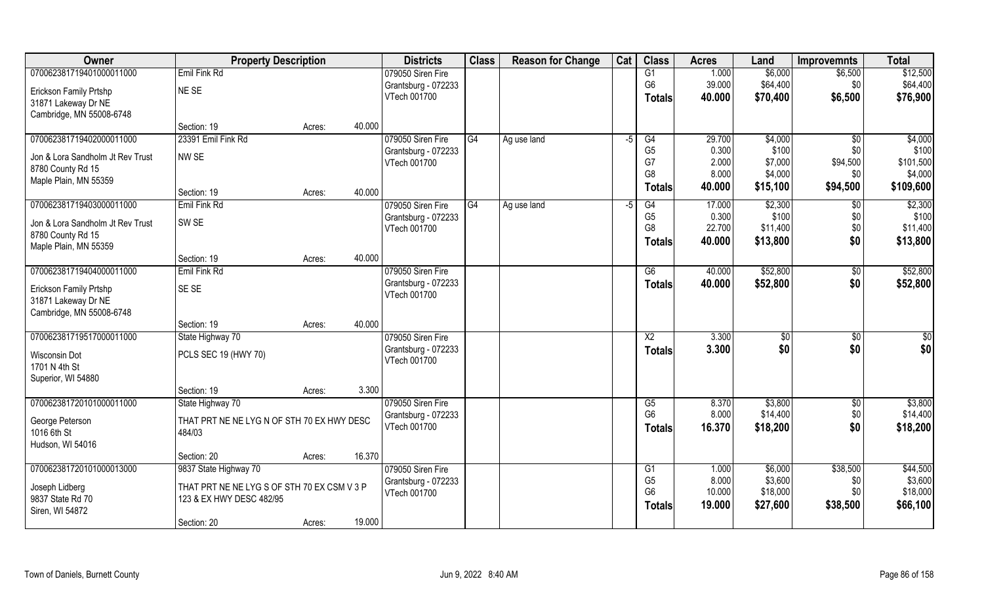| Owner                            | <b>Property Description</b>                 |        |        | <b>Districts</b>    | <b>Class</b> | <b>Reason for Change</b> | Cat  | <b>Class</b>           | <b>Acres</b> | Land         | <b>Improvemnts</b> | <b>Total</b>    |
|----------------------------------|---------------------------------------------|--------|--------|---------------------|--------------|--------------------------|------|------------------------|--------------|--------------|--------------------|-----------------|
| 070062381719401000011000         | Emil Fink Rd                                |        |        | 079050 Siren Fire   |              |                          |      | G1                     | 1.000        | \$6,000      | \$6,500            | \$12,500        |
| Erickson Family Prtshp           | NE SE                                       |        |        | Grantsburg - 072233 |              |                          |      | G <sub>6</sub>         | 39.000       | \$64,400     | \$0                | \$64,400        |
| 31871 Lakeway Dr NE              |                                             |        |        | VTech 001700        |              |                          |      | Totals                 | 40.000       | \$70,400     | \$6,500            | \$76,900        |
| Cambridge, MN 55008-6748         |                                             |        |        |                     |              |                          |      |                        |              |              |                    |                 |
|                                  | Section: 19                                 | Acres: | 40.000 |                     |              |                          |      |                        |              |              |                    |                 |
| 070062381719402000011000         | 23391 Emil Fink Rd                          |        |        | 079050 Siren Fire   | G4           | Ag use land              | $-5$ | G4                     | 29.700       | \$4,000      | $\overline{50}$    | \$4,000         |
| Jon & Lora Sandholm Jt Rev Trust | NW <sub>SE</sub>                            |        |        | Grantsburg - 072233 |              |                          |      | G <sub>5</sub>         | 0.300        | \$100        | \$0                | \$100           |
| 8780 County Rd 15                |                                             |        |        | VTech 001700        |              |                          |      | G7                     | 2.000        | \$7,000      | \$94,500           | \$101,500       |
| Maple Plain, MN 55359            |                                             |        |        |                     |              |                          |      | G <sub>8</sub>         | 8.000        | \$4,000      | \$0                | \$4,000         |
|                                  | Section: 19                                 | Acres: | 40.000 |                     |              |                          |      | Totals                 | 40.000       | \$15,100     | \$94,500           | \$109,600       |
| 070062381719403000011000         | Emil Fink Rd                                |        |        | 079050 Siren Fire   | G4           | Ag use land              | $-5$ | G4                     | 17.000       | \$2,300      | $\sqrt{6}$         | \$2,300         |
| Jon & Lora Sandholm Jt Rev Trust | SW <sub>SE</sub>                            |        |        | Grantsburg - 072233 |              |                          |      | G <sub>5</sub>         | 0.300        | \$100        | \$0                | \$100           |
| 8780 County Rd 15                |                                             |        |        | VTech 001700        |              |                          |      | G <sub>8</sub>         | 22.700       | \$11,400     | \$0                | \$11,400        |
| Maple Plain, MN 55359            |                                             |        |        |                     |              |                          |      | Totals                 | 40.000       | \$13,800     | \$0                | \$13,800        |
|                                  | Section: 19                                 | Acres: | 40.000 |                     |              |                          |      |                        |              |              |                    |                 |
| 070062381719404000011000         | Emil Fink Rd                                |        |        | 079050 Siren Fire   |              |                          |      | G6                     | 40.000       | \$52,800     | $\sqrt[6]{30}$     | \$52,800        |
| Erickson Family Prtshp           | SE <sub>SE</sub>                            |        |        | Grantsburg - 072233 |              |                          |      | <b>Totals</b>          | 40.000       | \$52,800     | \$0                | \$52,800        |
| 31871 Lakeway Dr NE              |                                             |        |        | VTech 001700        |              |                          |      |                        |              |              |                    |                 |
| Cambridge, MN 55008-6748         |                                             |        |        |                     |              |                          |      |                        |              |              |                    |                 |
|                                  | Section: 19                                 | Acres: | 40.000 |                     |              |                          |      |                        |              |              |                    |                 |
| 070062381719517000011000         | State Highway 70                            |        |        | 079050 Siren Fire   |              |                          |      | $\overline{\text{X2}}$ | 3.300        | $\sqrt[6]{}$ | $\overline{50}$    | $\overline{50}$ |
| Wisconsin Dot                    | PCLS SEC 19 (HWY 70)                        |        |        | Grantsburg - 072233 |              |                          |      | <b>Totals</b>          | 3.300        | \$0          | \$0                | \$0             |
| 1701 N 4th St                    |                                             |        |        | VTech 001700        |              |                          |      |                        |              |              |                    |                 |
| Superior, WI 54880               |                                             |        |        |                     |              |                          |      |                        |              |              |                    |                 |
|                                  | Section: 19                                 | Acres: | 3.300  |                     |              |                          |      |                        |              |              |                    |                 |
| 070062381720101000011000         | State Highway 70                            |        |        | 079050 Siren Fire   |              |                          |      | G5                     | 8.370        | \$3,800      | \$0                | \$3,800         |
| George Peterson                  | THAT PRT NE NE LYG N OF STH 70 EX HWY DESC  |        |        | Grantsburg - 072233 |              |                          |      | G <sub>6</sub>         | 8.000        | \$14,400     | \$0                | \$14,400        |
| 1016 6th St                      | 484/03                                      |        |        | VTech 001700        |              |                          |      | <b>Totals</b>          | 16.370       | \$18,200     | \$0                | \$18,200        |
| Hudson, WI 54016                 |                                             |        |        |                     |              |                          |      |                        |              |              |                    |                 |
|                                  | Section: 20                                 | Acres: | 16.370 |                     |              |                          |      |                        |              |              |                    |                 |
| 070062381720101000013000         | 9837 State Highway 70                       |        |        | 079050 Siren Fire   |              |                          |      | G1                     | 1.000        | \$6,000      | \$38,500           | \$44,500        |
| Joseph Lidberg                   | THAT PRT NE NE LYG S OF STH 70 EX CSM V 3 P |        |        | Grantsburg - 072233 |              |                          |      | G <sub>5</sub>         | 8.000        | \$3,600      | \$0                | \$3,600         |
| 9837 State Rd 70                 | 123 & EX HWY DESC 482/95                    |        |        | VTech 001700        |              |                          |      | G <sub>6</sub>         | 10.000       | \$18,000     | \$0                | \$18,000        |
| Siren, WI 54872                  |                                             |        |        |                     |              |                          |      | <b>Totals</b>          | 19.000       | \$27,600     | \$38,500           | \$66,100        |
|                                  | Section: 20                                 | Acres: | 19.000 |                     |              |                          |      |                        |              |              |                    |                 |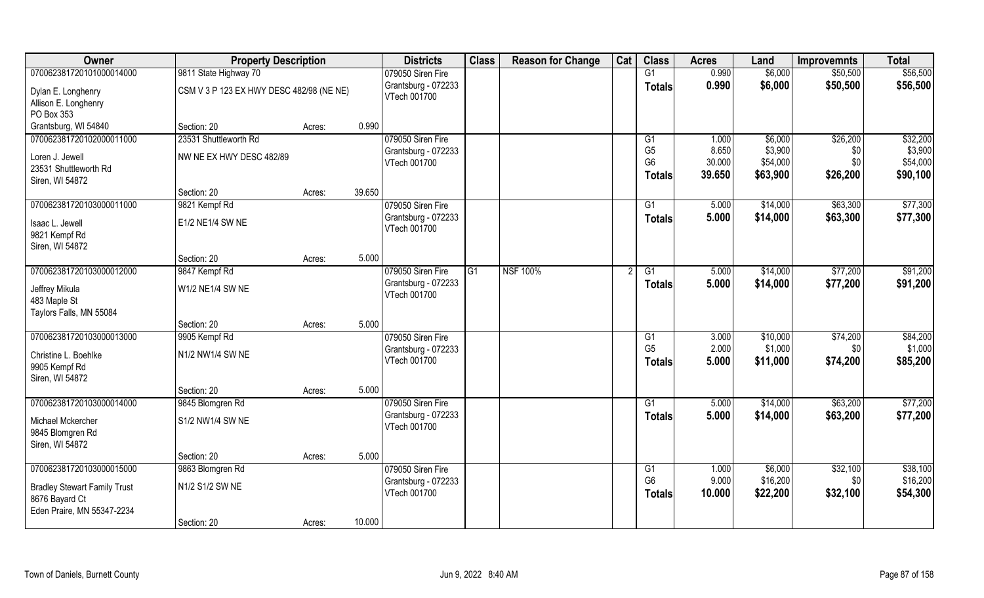| Owner                                                                                                           | <b>Property Description</b>                        |                  | <b>Districts</b>                                         | <b>Class</b> | <b>Reason for Change</b> | Cat | <b>Class</b>                                                        | <b>Acres</b>                       | Land                                       | <b>Improvemnts</b>                 | <b>Total</b>                                |
|-----------------------------------------------------------------------------------------------------------------|----------------------------------------------------|------------------|----------------------------------------------------------|--------------|--------------------------|-----|---------------------------------------------------------------------|------------------------------------|--------------------------------------------|------------------------------------|---------------------------------------------|
| 070062381720101000014000                                                                                        | 9811 State Highway 70                              |                  | 079050 Siren Fire                                        |              |                          |     | G1                                                                  | 0.990                              | \$6,000                                    | \$50,500                           | \$56,500                                    |
| Dylan E. Longhenry<br>Allison E. Longhenry<br>PO Box 353                                                        | CSM V 3 P 123 EX HWY DESC 482/98 (NE NE)           |                  | Grantsburg - 072233<br>VTech 001700                      |              |                          |     | <b>Totals</b>                                                       | 0.990                              | \$6,000                                    | \$50,500                           | \$56,500                                    |
| Grantsburg, WI 54840                                                                                            | Section: 20                                        | 0.990<br>Acres:  |                                                          |              |                          |     |                                                                     |                                    |                                            |                                    |                                             |
| 070062381720102000011000<br>Loren J. Jewell<br>23531 Shuttleworth Rd<br>Siren, WI 54872                         | 23531 Shuttleworth Rd<br>NW NE EX HWY DESC 482/89  |                  | 079050 Siren Fire<br>Grantsburg - 072233<br>VTech 001700 |              |                          |     | G <sub>1</sub><br>G <sub>5</sub><br>G <sub>6</sub><br><b>Totals</b> | 1.000<br>8.650<br>30.000<br>39.650 | \$6,000<br>\$3,900<br>\$54,000<br>\$63,900 | \$26,200<br>\$0<br>\$0<br>\$26,200 | \$32,200<br>\$3,900<br>\$54,000<br>\$90,100 |
|                                                                                                                 | Section: 20                                        | 39.650<br>Acres: |                                                          |              |                          |     |                                                                     |                                    |                                            |                                    |                                             |
| 070062381720103000011000<br>Isaac L. Jewell<br>9821 Kempf Rd<br>Siren, WI 54872                                 | 9821 Kempf Rd<br>E1/2 NE1/4 SW NE                  |                  | 079050 Siren Fire<br>Grantsburg - 072233<br>VTech 001700 |              |                          |     | G1<br><b>Totals</b>                                                 | 5.000<br>5.000                     | \$14,000<br>\$14,000                       | \$63,300<br>\$63,300               | \$77,300<br>\$77,300                        |
|                                                                                                                 | Section: 20                                        | 5.000<br>Acres:  |                                                          |              |                          |     |                                                                     |                                    |                                            |                                    |                                             |
| 070062381720103000012000<br>Jeffrey Mikula<br>483 Maple St<br>Taylors Falls, MN 55084                           | 9847 Kempf Rd<br>W1/2 NE1/4 SW NE                  |                  | 079050 Siren Fire<br>Grantsburg - 072233<br>VTech 001700 | G1           | <b>NSF 100%</b>          |     | G <sub>1</sub><br><b>Totals</b>                                     | 5.000<br>5.000                     | \$14,000<br>\$14,000                       | \$77,200<br>\$77,200               | \$91,200<br>\$91,200                        |
|                                                                                                                 | Section: 20                                        | 5.000<br>Acres:  |                                                          |              |                          |     |                                                                     |                                    |                                            |                                    |                                             |
| 070062381720103000013000<br>Christine L. Boehlke<br>9905 Kempf Rd<br>Siren, WI 54872                            | 9905 Kempf Rd<br>N1/2 NW1/4 SW NE                  |                  | 079050 Siren Fire<br>Grantsburg - 072233<br>VTech 001700 |              |                          |     | G1<br>G <sub>5</sub><br><b>Totals</b>                               | 3.000<br>2.000<br>5.000            | \$10,000<br>\$1,000<br>\$11,000            | \$74,200<br>\$0<br>\$74,200        | \$84,200<br>\$1,000<br>\$85,200             |
|                                                                                                                 | Section: 20                                        | Acres:           | 5.000                                                    |              |                          |     |                                                                     |                                    |                                            |                                    |                                             |
| 070062381720103000014000<br>Michael Mckercher<br>9845 Blomgren Rd<br>Siren, WI 54872                            | 9845 Blomgren Rd<br>S1/2 NW1/4 SW NE               |                  | 079050 Siren Fire<br>Grantsburg - 072233<br>VTech 001700 |              |                          |     | $\overline{G1}$<br><b>Totals</b>                                    | 5.000<br>5.000                     | \$14,000<br>\$14,000                       | \$63,200<br>\$63,200               | \$77,200<br>\$77,200                        |
|                                                                                                                 | Section: 20                                        | Acres:           | 5.000                                                    |              |                          |     |                                                                     |                                    |                                            |                                    |                                             |
| 070062381720103000015000<br><b>Bradley Stewart Family Trust</b><br>8676 Bayard Ct<br>Eden Praire, MN 55347-2234 | 9863 Blomgren Rd<br>N1/2 S1/2 SW NE<br>Section: 20 | 10.000<br>Acres: | 079050 Siren Fire<br>Grantsburg - 072233<br>VTech 001700 |              |                          |     | G1<br>G <sub>6</sub><br><b>Totals</b>                               | 1.000<br>9.000<br>10.000           | \$6,000<br>\$16,200<br>\$22,200            | \$32,100<br>\$0<br>\$32,100        | \$38,100<br>\$16,200<br>\$54,300            |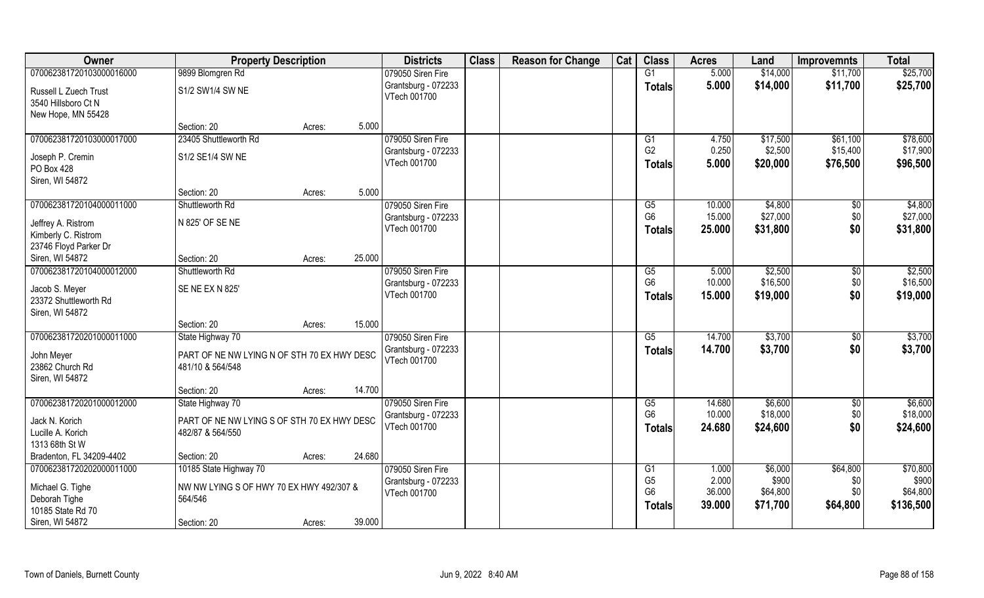| Owner                    | <b>Property Description</b>                 |        |        | <b>Districts</b>    | <b>Class</b> | <b>Reason for Change</b> | Cat | <b>Class</b>   | <b>Acres</b> | Land     | <b>Improvemnts</b> | <b>Total</b> |
|--------------------------|---------------------------------------------|--------|--------|---------------------|--------------|--------------------------|-----|----------------|--------------|----------|--------------------|--------------|
| 070062381720103000016000 | 9899 Blomgren Rd                            |        |        | 079050 Siren Fire   |              |                          |     | G1             | 5.000        | \$14,000 | \$11,700           | \$25,700     |
| Russell L Zuech Trust    | S1/2 SW1/4 SW NE                            |        |        | Grantsburg - 072233 |              |                          |     | <b>Totals</b>  | 5.000        | \$14,000 | \$11,700           | \$25,700     |
| 3540 Hillsboro Ct N      |                                             |        |        | VTech 001700        |              |                          |     |                |              |          |                    |              |
| New Hope, MN 55428       |                                             |        |        |                     |              |                          |     |                |              |          |                    |              |
|                          | Section: 20                                 | Acres: | 5.000  |                     |              |                          |     |                |              |          |                    |              |
| 070062381720103000017000 | 23405 Shuttleworth Rd                       |        |        | 079050 Siren Fire   |              |                          |     | G <sub>1</sub> | 4.750        | \$17,500 | \$61,100           | \$78,600     |
| Joseph P. Cremin         | S1/2 SE1/4 SW NE                            |        |        | Grantsburg - 072233 |              |                          |     | G <sub>2</sub> | 0.250        | \$2,500  | \$15,400           | \$17,900     |
| PO Box 428               |                                             |        |        | VTech 001700        |              |                          |     | <b>Totals</b>  | 5.000        | \$20,000 | \$76,500           | \$96,500     |
| Siren, WI 54872          |                                             |        |        |                     |              |                          |     |                |              |          |                    |              |
|                          | Section: 20                                 | Acres: | 5.000  |                     |              |                          |     |                |              |          |                    |              |
| 070062381720104000011000 | Shuttleworth Rd                             |        |        | 079050 Siren Fire   |              |                          |     | G5             | 10.000       | \$4,800  | \$0                | \$4,800      |
| Jeffrey A. Ristrom       | N 825' OF SE NE                             |        |        | Grantsburg - 072233 |              |                          |     | G <sub>6</sub> | 15.000       | \$27,000 | \$0                | \$27,000     |
| Kimberly C. Ristrom      |                                             |        |        | VTech 001700        |              |                          |     | <b>Totals</b>  | 25.000       | \$31,800 | \$0                | \$31,800     |
| 23746 Floyd Parker Dr    |                                             |        |        |                     |              |                          |     |                |              |          |                    |              |
| Siren, WI 54872          | Section: 20                                 | Acres: | 25.000 |                     |              |                          |     |                |              |          |                    |              |
| 070062381720104000012000 | Shuttleworth Rd                             |        |        | 079050 Siren Fire   |              |                          |     | G5             | 5.000        | \$2,500  | \$0                | \$2,500      |
| Jacob S. Meyer           | <b>SE NE EX N 825'</b>                      |        |        | Grantsburg - 072233 |              |                          |     | G <sub>6</sub> | 10.000       | \$16,500 | \$0                | \$16,500     |
| 23372 Shuttleworth Rd    |                                             |        |        | VTech 001700        |              |                          |     | <b>Totals</b>  | 15.000       | \$19,000 | \$0                | \$19,000     |
| Siren, WI 54872          |                                             |        |        |                     |              |                          |     |                |              |          |                    |              |
|                          | Section: 20                                 | Acres: | 15.000 |                     |              |                          |     |                |              |          |                    |              |
| 070062381720201000011000 | State Highway 70                            |        |        | 079050 Siren Fire   |              |                          |     | G5             | 14.700       | \$3,700  | $\sqrt[6]{}$       | \$3,700      |
| John Meyer               | PART OF NE NW LYING N OF STH 70 EX HWY DESC |        |        | Grantsburg - 072233 |              |                          |     | <b>Totals</b>  | 14.700       | \$3,700  | \$0                | \$3,700      |
| 23862 Church Rd          | 481/10 & 564/548                            |        |        | VTech 001700        |              |                          |     |                |              |          |                    |              |
| Siren, WI 54872          |                                             |        |        |                     |              |                          |     |                |              |          |                    |              |
|                          | Section: 20                                 | Acres: | 14.700 |                     |              |                          |     |                |              |          |                    |              |
| 070062381720201000012000 | State Highway 70                            |        |        | 079050 Siren Fire   |              |                          |     | G5             | 14.680       | \$6,600  | $\sqrt{6}$         | \$6,600      |
| Jack N. Korich           | PART OF NE NW LYING S OF STH 70 EX HWY DESC |        |        | Grantsburg - 072233 |              |                          |     | G <sub>6</sub> | 10.000       | \$18,000 | \$0                | \$18,000     |
| Lucille A. Korich        | 482/87 & 564/550                            |        |        | VTech 001700        |              |                          |     | <b>Totals</b>  | 24.680       | \$24,600 | \$0                | \$24,600     |
| 1313 68th St W           |                                             |        |        |                     |              |                          |     |                |              |          |                    |              |
| Bradenton, FL 34209-4402 | Section: 20                                 | Acres: | 24.680 |                     |              |                          |     |                |              |          |                    |              |
| 070062381720202000011000 | 10185 State Highway 70                      |        |        | 079050 Siren Fire   |              |                          |     | G1             | 1.000        | \$6,000  | \$64,800           | \$70,800     |
| Michael G. Tighe         | NW NW LYING S OF HWY 70 EX HWY 492/307 &    |        |        | Grantsburg - 072233 |              |                          |     | G <sub>5</sub> | 2.000        | \$900    | \$0                | \$900        |
| Deborah Tighe            | 564/546                                     |        |        | VTech 001700        |              |                          |     | G <sub>6</sub> | 36.000       | \$64,800 | \$0                | \$64,800     |
| 10185 State Rd 70        |                                             |        |        |                     |              |                          |     | <b>Totals</b>  | 39.000       | \$71,700 | \$64,800           | \$136,500    |
| Siren, WI 54872          | Section: 20                                 | Acres: | 39.000 |                     |              |                          |     |                |              |          |                    |              |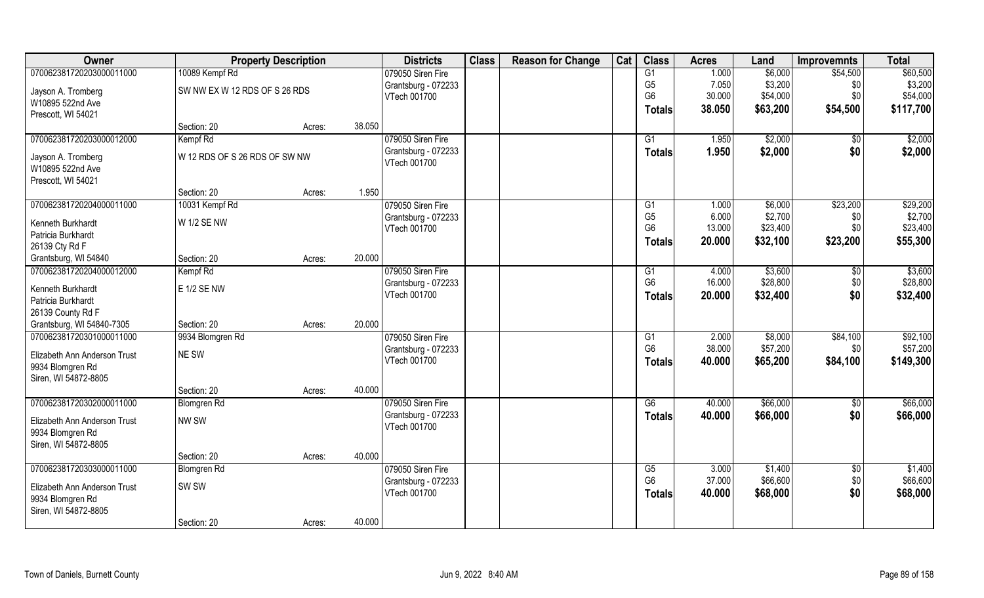| Owner                                                 |                               | <b>Property Description</b> |        | <b>Districts</b>                    | <b>Class</b> | <b>Reason for Change</b> | Cat | <b>Class</b>                      | <b>Acres</b>    | Land     | <b>Improvemnts</b> | <b>Total</b> |
|-------------------------------------------------------|-------------------------------|-----------------------------|--------|-------------------------------------|--------------|--------------------------|-----|-----------------------------------|-----------------|----------|--------------------|--------------|
| 070062381720203000011000                              | 10089 Kempf Rd                |                             |        | 079050 Siren Fire                   |              |                          |     | G1                                | 1.000           | \$6,000  | \$54,500           | \$60,500     |
| Jayson A. Tromberg                                    | SW NW EX W 12 RDS OF S 26 RDS |                             |        | Grantsburg - 072233                 |              |                          |     | G <sub>5</sub>                    | 7.050           | \$3,200  | \$0                | \$3,200      |
| W10895 522nd Ave                                      |                               |                             |        | VTech 001700                        |              |                          |     | G <sub>6</sub>                    | 30.000          | \$54,000 | \$0                | \$54,000     |
| Prescott, WI 54021                                    |                               |                             |        |                                     |              |                          |     | Totals                            | 38.050          | \$63,200 | \$54,500           | \$117,700    |
|                                                       | Section: 20                   | Acres:                      | 38.050 |                                     |              |                          |     |                                   |                 |          |                    |              |
| 070062381720203000012000                              | Kempf Rd                      |                             |        | 079050 Siren Fire                   |              |                          |     | G1                                | 1.950           | \$2,000  | $\sqrt{$0}$        | \$2,000      |
| Jayson A. Tromberg                                    | W 12 RDS OF S 26 RDS OF SW NW |                             |        | Grantsburg - 072233                 |              |                          |     | Totals                            | 1.950           | \$2,000  | \$0                | \$2,000      |
| W10895 522nd Ave                                      |                               |                             |        | VTech 001700                        |              |                          |     |                                   |                 |          |                    |              |
| Prescott, WI 54021                                    |                               |                             |        |                                     |              |                          |     |                                   |                 |          |                    |              |
|                                                       | Section: 20                   | Acres:                      | 1.950  |                                     |              |                          |     |                                   |                 |          |                    |              |
| 070062381720204000011000                              | 10031 Kempf Rd                |                             |        | 079050 Siren Fire                   |              |                          |     | G1                                | 1.000           | \$6,000  | \$23,200           | \$29,200     |
|                                                       | <b>W 1/2 SE NW</b>            |                             |        | Grantsburg - 072233                 |              |                          |     | G <sub>5</sub>                    | 6.000           | \$2,700  | \$0                | \$2,700      |
| Kenneth Burkhardt<br>Patricia Burkhardt               |                               |                             |        | VTech 001700                        |              |                          |     | G <sub>6</sub>                    | 13.000          | \$23,400 | \$0                | \$23,400     |
| 26139 Cty Rd F                                        |                               |                             |        |                                     |              |                          |     | Totals                            | 20.000          | \$32,100 | \$23,200           | \$55,300     |
| Grantsburg, WI 54840                                  | Section: 20                   | Acres:                      | 20.000 |                                     |              |                          |     |                                   |                 |          |                    |              |
| 070062381720204000012000                              | Kempf Rd                      |                             |        | 079050 Siren Fire                   |              |                          |     | G1                                | 4.000           | \$3,600  | \$0                | \$3,600      |
|                                                       |                               |                             |        | Grantsburg - 072233                 |              |                          |     | G <sub>6</sub>                    | 16.000          | \$28,800 | \$0                | \$28,800     |
| Kenneth Burkhardt                                     | E 1/2 SE NW                   |                             |        | VTech 001700                        |              |                          |     | <b>Totals</b>                     | 20.000          | \$32,400 | \$0                | \$32,400     |
| Patricia Burkhardt                                    |                               |                             |        |                                     |              |                          |     |                                   |                 |          |                    |              |
| 26139 County Rd F                                     |                               |                             |        |                                     |              |                          |     |                                   |                 |          |                    |              |
| Grantsburg, WI 54840-7305<br>070062381720301000011000 | Section: 20                   | Acres:                      | 20.000 |                                     |              |                          |     |                                   |                 | \$8,000  |                    | \$92,100     |
|                                                       | 9934 Blomgren Rd              |                             |        | 079050 Siren Fire                   |              |                          |     | $\overline{G1}$<br>G <sub>6</sub> | 2.000<br>38.000 | \$57,200 | \$84,100<br>\$0    | \$57,200     |
| Elizabeth Ann Anderson Trust                          | NE SW                         |                             |        | Grantsburg - 072233<br>VTech 001700 |              |                          |     |                                   | 40.000          | \$65,200 | \$84,100           | \$149,300    |
| 9934 Blomgren Rd                                      |                               |                             |        |                                     |              |                          |     | <b>Totals</b>                     |                 |          |                    |              |
| Siren, WI 54872-8805                                  |                               |                             |        |                                     |              |                          |     |                                   |                 |          |                    |              |
|                                                       | Section: 20                   | Acres:                      | 40.000 |                                     |              |                          |     |                                   |                 |          |                    |              |
| 070062381720302000011000                              | Blomgren Rd                   |                             |        | 079050 Siren Fire                   |              |                          |     | G6                                | 40.000          | \$66,000 | $\sqrt{6}$         | \$66,000     |
| Elizabeth Ann Anderson Trust                          | NW SW                         |                             |        | Grantsburg - 072233                 |              |                          |     | <b>Totals</b>                     | 40.000          | \$66,000 | \$0                | \$66,000     |
| 9934 Blomgren Rd                                      |                               |                             |        | VTech 001700                        |              |                          |     |                                   |                 |          |                    |              |
| Siren, WI 54872-8805                                  |                               |                             |        |                                     |              |                          |     |                                   |                 |          |                    |              |
|                                                       | Section: 20                   | Acres:                      | 40.000 |                                     |              |                          |     |                                   |                 |          |                    |              |
| 070062381720303000011000                              | <b>Blomgren Rd</b>            |                             |        | 079050 Siren Fire                   |              |                          |     | G5                                | 3.000           | \$1,400  | $\sqrt[6]{}$       | \$1,400      |
| Elizabeth Ann Anderson Trust                          | SW <sub>SW</sub>              |                             |        | Grantsburg - 072233                 |              |                          |     | G <sub>6</sub>                    | 37.000          | \$66,600 | \$0                | \$66,600     |
| 9934 Blomgren Rd                                      |                               |                             |        | VTech 001700                        |              |                          |     | <b>Totals</b>                     | 40.000          | \$68,000 | \$0                | \$68,000     |
| Siren, WI 54872-8805                                  |                               |                             |        |                                     |              |                          |     |                                   |                 |          |                    |              |
|                                                       | Section: 20                   | Acres:                      | 40.000 |                                     |              |                          |     |                                   |                 |          |                    |              |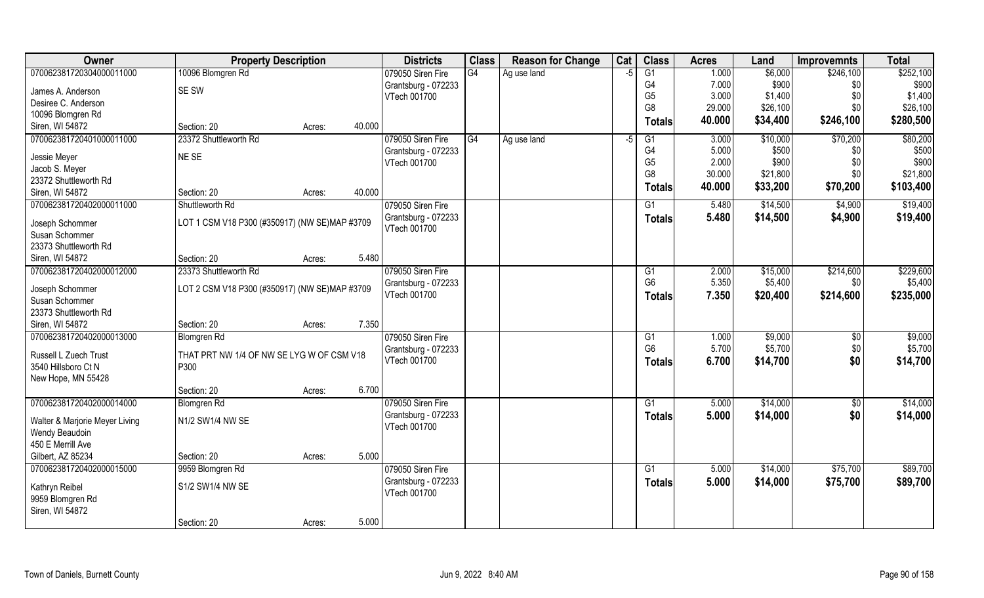| Owner                               | <b>Property Description</b>                   |        |        | <b>Districts</b>                    | <b>Class</b> | <b>Reason for Change</b> | Cat  | <b>Class</b>    | <b>Acres</b> | Land     | <b>Improvemnts</b> | <b>Total</b> |
|-------------------------------------|-----------------------------------------------|--------|--------|-------------------------------------|--------------|--------------------------|------|-----------------|--------------|----------|--------------------|--------------|
| 070062381720304000011000            | 10096 Blomgren Rd                             |        |        | 079050 Siren Fire                   | G4           | Ag use land              | $-5$ | $\overline{G1}$ | 1.000        | \$6,000  | \$246,100          | \$252,100    |
| James A. Anderson                   | SE SW                                         |        |        | Grantsburg - 072233                 |              |                          |      | G <sub>4</sub>  | 7.000        | \$900    | \$0                | \$900        |
| Desiree C. Anderson                 |                                               |        |        | VTech 001700                        |              |                          |      | G <sub>5</sub>  | 3.000        | \$1,400  | \$0                | \$1,400      |
| 10096 Blomgren Rd                   |                                               |        |        |                                     |              |                          |      | G <sub>8</sub>  | 29.000       | \$26,100 | \$0                | \$26,100     |
| Siren, WI 54872                     | Section: 20                                   | Acres: | 40.000 |                                     |              |                          |      | <b>Totals</b>   | 40.000       | \$34,400 | \$246,100          | \$280,500    |
| 070062381720401000011000            | 23372 Shuttleworth Rd                         |        |        | 079050 Siren Fire                   | G4           | Ag use land              | -5   | G1              | 3.000        | \$10,000 | \$70,200           | \$80,200     |
| Jessie Meyer                        | NE SE                                         |        |        | Grantsburg - 072233                 |              |                          |      | G4              | 5.000        | \$500    | \$0                | \$500        |
| Jacob S. Meyer                      |                                               |        |        | VTech 001700                        |              |                          |      | G <sub>5</sub>  | 2.000        | \$900    | \$0                | \$900        |
| 23372 Shuttleworth Rd               |                                               |        |        |                                     |              |                          |      | G <sub>8</sub>  | 30.000       | \$21,800 | \$0                | \$21,800     |
| Siren, WI 54872                     | Section: 20                                   | Acres: | 40.000 |                                     |              |                          |      | Totals          | 40.000       | \$33,200 | \$70,200           | \$103,400    |
| 070062381720402000011000            | Shuttleworth Rd                               |        |        | 079050 Siren Fire                   |              |                          |      | G1              | 5.480        | \$14,500 | \$4,900            | \$19,400     |
| Joseph Schommer                     | LOT 1 CSM V18 P300 (#350917) (NW SE)MAP #3709 |        |        | Grantsburg - 072233<br>VTech 001700 |              |                          |      | <b>Totals</b>   | 5.480        | \$14,500 | \$4,900            | \$19,400     |
| Susan Schommer                      |                                               |        |        |                                     |              |                          |      |                 |              |          |                    |              |
| 23373 Shuttleworth Rd               |                                               |        |        |                                     |              |                          |      |                 |              |          |                    |              |
| Siren, WI 54872                     | Section: 20                                   | Acres: | 5.480  |                                     |              |                          |      |                 |              |          |                    |              |
| 070062381720402000012000            | 23373 Shuttleworth Rd                         |        |        | 079050 Siren Fire                   |              |                          |      | G1              | 2.000        | \$15,000 | \$214,600          | \$229,600    |
| Joseph Schommer                     | LOT 2 CSM V18 P300 (#350917) (NW SE)MAP #3709 |        |        | Grantsburg - 072233                 |              |                          |      | G <sub>6</sub>  | 5.350        | \$5,400  | \$0                | \$5,400      |
| Susan Schommer                      |                                               |        |        | VTech 001700                        |              |                          |      | <b>Totals</b>   | 7.350        | \$20,400 | \$214,600          | \$235,000    |
| 23373 Shuttleworth Rd               |                                               |        |        |                                     |              |                          |      |                 |              |          |                    |              |
| Siren, WI 54872                     | Section: 20                                   | Acres: | 7.350  |                                     |              |                          |      |                 |              |          |                    |              |
| 070062381720402000013000            | <b>Blomgren Rd</b>                            |        |        | 079050 Siren Fire                   |              |                          |      | G1              | 1.000        | \$9,000  | $\sqrt[6]{30}$     | \$9,000      |
|                                     |                                               |        |        | Grantsburg - 072233                 |              |                          |      | G <sub>6</sub>  | 5.700        | \$5,700  | \$0                | \$5,700      |
| Russell L Zuech Trust               | THAT PRT NW 1/4 OF NW SE LYG W OF CSM V18     |        |        | VTech 001700                        |              |                          |      | <b>Totals</b>   | 6.700        | \$14,700 | \$0                | \$14,700     |
| 3540 Hillsboro Ct N                 | P300                                          |        |        |                                     |              |                          |      |                 |              |          |                    |              |
| New Hope, MN 55428                  |                                               |        |        |                                     |              |                          |      |                 |              |          |                    |              |
|                                     | Section: 20                                   | Acres: | 6.700  |                                     |              |                          |      |                 |              |          |                    |              |
| 070062381720402000014000            | <b>Blomgren Rd</b>                            |        |        | 079050 Siren Fire                   |              |                          |      | $\overline{G1}$ | 5.000        | \$14,000 | $\sqrt{6}$         | \$14,000     |
| Walter & Marjorie Meyer Living      | N1/2 SW1/4 NW SE                              |        |        | Grantsburg - 072233                 |              |                          |      | <b>Totals</b>   | 5.000        | \$14,000 | \$0                | \$14,000     |
| Wendy Beaudoin                      |                                               |        |        | VTech 001700                        |              |                          |      |                 |              |          |                    |              |
| 450 E Merrill Ave                   |                                               |        |        |                                     |              |                          |      |                 |              |          |                    |              |
| Gilbert, AZ 85234                   | Section: 20                                   | Acres: | 5.000  |                                     |              |                          |      |                 |              |          |                    |              |
| 070062381720402000015000            | 9959 Blomgren Rd                              |        |        | 079050 Siren Fire                   |              |                          |      | G1              | 5.000        | \$14,000 | \$75,700           | \$89,700     |
|                                     | S1/2 SW1/4 NW SE                              |        |        | Grantsburg - 072233                 |              |                          |      | <b>Totals</b>   | 5.000        | \$14,000 | \$75,700           | \$89,700     |
| Kathryn Reibel                      |                                               |        |        | VTech 001700                        |              |                          |      |                 |              |          |                    |              |
| 9959 Blomgren Rd<br>Siren, WI 54872 |                                               |        |        |                                     |              |                          |      |                 |              |          |                    |              |
|                                     | Section: 20                                   |        | 5.000  |                                     |              |                          |      |                 |              |          |                    |              |
|                                     |                                               | Acres: |        |                                     |              |                          |      |                 |              |          |                    |              |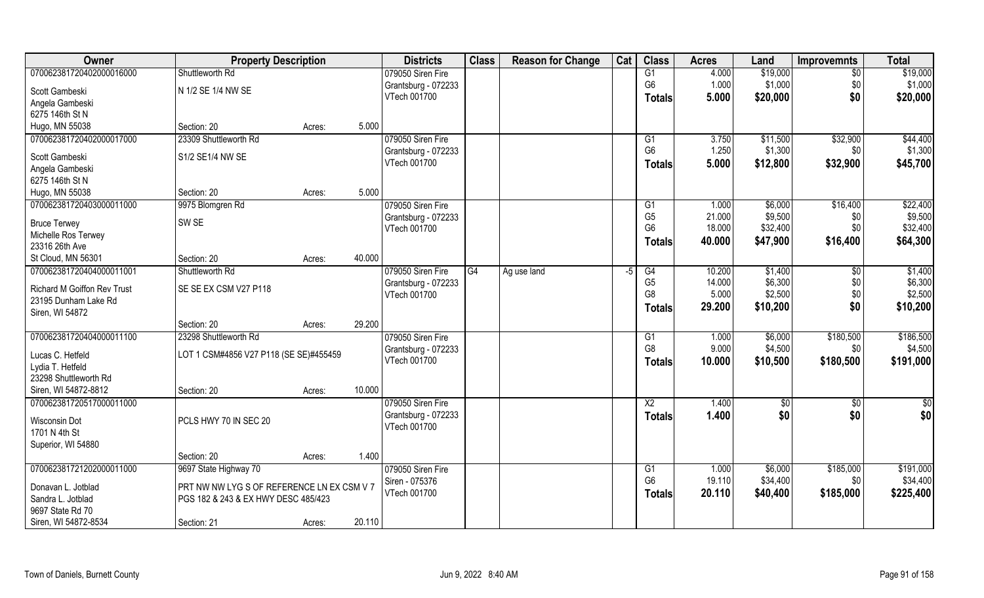| Owner                                   | <b>Property Description</b>                |        |        | <b>Districts</b>    | <b>Class</b> | <b>Reason for Change</b> | Cat | <b>Class</b>   | <b>Acres</b> | Land     | <b>Improvemnts</b> | <b>Total</b>  |
|-----------------------------------------|--------------------------------------------|--------|--------|---------------------|--------------|--------------------------|-----|----------------|--------------|----------|--------------------|---------------|
| 070062381720402000016000                | Shuttleworth Rd                            |        |        | 079050 Siren Fire   |              |                          |     | G1             | 4.000        | \$19,000 | $\overline{50}$    | \$19,000      |
| Scott Gambeski                          | N 1/2 SE 1/4 NW SE                         |        |        | Grantsburg - 072233 |              |                          |     | G <sub>6</sub> | 1.000        | \$1,000  | \$0                | \$1,000       |
| Angela Gambeski                         |                                            |        |        | VTech 001700        |              |                          |     | <b>Totals</b>  | 5.000        | \$20,000 | \$0                | \$20,000      |
| 6275 146th St N                         |                                            |        |        |                     |              |                          |     |                |              |          |                    |               |
| Hugo, MN 55038                          | Section: 20                                | Acres: | 5.000  |                     |              |                          |     |                |              |          |                    |               |
| 070062381720402000017000                | 23309 Shuttleworth Rd                      |        |        | 079050 Siren Fire   |              |                          |     | G1             | 3.750        | \$11,500 | \$32,900           | \$44,400      |
| Scott Gambeski                          | S1/2 SE1/4 NW SE                           |        |        | Grantsburg - 072233 |              |                          |     | G <sub>6</sub> | 1.250        | \$1,300  | \$0                | \$1,300       |
| Angela Gambeski                         |                                            |        |        | VTech 001700        |              |                          |     | <b>Totals</b>  | 5.000        | \$12,800 | \$32,900           | \$45,700      |
| 6275 146th St N                         |                                            |        |        |                     |              |                          |     |                |              |          |                    |               |
| Hugo, MN 55038                          | Section: 20                                | Acres: | 5.000  |                     |              |                          |     |                |              |          |                    |               |
| 070062381720403000011000                | 9975 Blomgren Rd                           |        |        | 079050 Siren Fire   |              |                          |     | G <sub>1</sub> | 1.000        | \$6,000  | \$16,400           | \$22,400      |
| <b>Bruce Terwey</b>                     | SW <sub>SE</sub>                           |        |        | Grantsburg - 072233 |              |                          |     | G <sub>5</sub> | 21.000       | \$9,500  | \$0                | \$9,500       |
| Michelle Ros Terwey                     |                                            |        |        | VTech 001700        |              |                          |     | G <sub>6</sub> | 18.000       | \$32,400 | \$0                | \$32,400      |
| 23316 26th Ave                          |                                            |        |        |                     |              |                          |     | <b>Totals</b>  | 40.000       | \$47,900 | \$16,400           | \$64,300      |
| St Cloud, MN 56301                      | Section: 20                                | Acres: | 40.000 |                     |              |                          |     |                |              |          |                    |               |
| 070062381720404000011001                | Shuttleworth Rd                            |        |        | 079050 Siren Fire   | G4           | Ag use land              | -5  | G4             | 10.200       | \$1,400  | \$0                | \$1,400       |
|                                         |                                            |        |        | Grantsburg - 072233 |              |                          |     | G <sub>5</sub> | 14.000       | \$6,300  | \$0                | \$6,300       |
| <b>Richard M Goiffon Rev Trust</b>      | SE SE EX CSM V27 P118                      |        |        | VTech 001700        |              |                          |     | G8             | 5.000        | \$2,500  | \$0                | \$2,500       |
| 23195 Dunham Lake Rd<br>Siren, WI 54872 |                                            |        |        |                     |              |                          |     | <b>Totals</b>  | 29.200       | \$10,200 | \$0                | \$10,200      |
|                                         | Section: 20                                | Acres: | 29.200 |                     |              |                          |     |                |              |          |                    |               |
| 070062381720404000011100                | 23298 Shuttleworth Rd                      |        |        | 079050 Siren Fire   |              |                          |     | G1             | 1.000        | \$6,000  | \$180,500          | \$186,500     |
|                                         |                                            |        |        | Grantsburg - 072233 |              |                          |     | G <sub>8</sub> | 9.000        | \$4,500  | \$0                | \$4,500       |
| Lucas C. Hetfeld                        | LOT 1 CSM#4856 V27 P118 (SE SE)#455459     |        |        | VTech 001700        |              |                          |     | <b>Totals</b>  | 10.000       | \$10,500 | \$180,500          | \$191,000     |
| Lydia T. Hetfeld                        |                                            |        |        |                     |              |                          |     |                |              |          |                    |               |
| 23298 Shuttleworth Rd                   |                                            |        |        |                     |              |                          |     |                |              |          |                    |               |
| Siren, WI 54872-8812                    | Section: 20                                | Acres: | 10.000 |                     |              |                          |     |                |              |          |                    |               |
| 070062381720517000011000                |                                            |        |        | 079050 Siren Fire   |              |                          |     | X <sub>2</sub> | 1.400        | \$0      | \$0                | $\frac{6}{3}$ |
| Wisconsin Dot                           | PCLS HWY 70 IN SEC 20                      |        |        | Grantsburg - 072233 |              |                          |     | <b>Totals</b>  | 1.400        | \$0      | \$0                | \$0           |
| 1701 N 4th St                           |                                            |        |        | VTech 001700        |              |                          |     |                |              |          |                    |               |
| Superior, WI 54880                      |                                            |        |        |                     |              |                          |     |                |              |          |                    |               |
|                                         | Section: 20                                | Acres: | 1.400  |                     |              |                          |     |                |              |          |                    |               |
| 070062381721202000011000                | 9697 State Highway 70                      |        |        | 079050 Siren Fire   |              |                          |     | G1             | 1.000        | \$6,000  | \$185,000          | \$191,000     |
| Donavan L. Jotblad                      | PRT NW NW LYG S OF REFERENCE LN EX CSM V 7 |        |        | Siren - 075376      |              |                          |     | G <sub>6</sub> | 19.110       | \$34,400 | \$0                | \$34,400      |
| Sandra L. Jotblad                       | PGS 182 & 243 & EX HWY DESC 485/423        |        |        | VTech 001700        |              |                          |     | <b>Totals</b>  | 20.110       | \$40,400 | \$185,000          | \$225,400     |
| 9697 State Rd 70                        |                                            |        |        |                     |              |                          |     |                |              |          |                    |               |
| Siren, WI 54872-8534                    | Section: 21                                | Acres: | 20.110 |                     |              |                          |     |                |              |          |                    |               |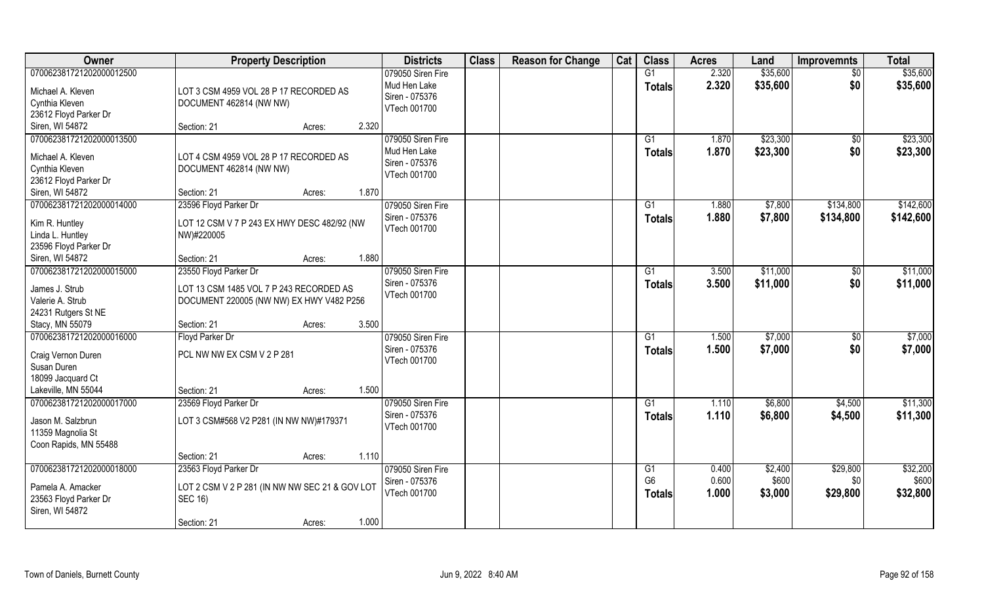| <b>Owner</b>                           | <b>Property Description</b>                    | <b>Districts</b>               | <b>Class</b> | <b>Reason for Change</b> | Cat | <b>Class</b>   | <b>Acres</b> | Land     | <b>Improvemnts</b> | <b>Total</b> |
|----------------------------------------|------------------------------------------------|--------------------------------|--------------|--------------------------|-----|----------------|--------------|----------|--------------------|--------------|
| 070062381721202000012500               |                                                | 079050 Siren Fire              |              |                          |     | G1             | 2.320        | \$35,600 | $\overline{50}$    | \$35,600     |
| Michael A. Kleven                      | LOT 3 CSM 4959 VOL 28 P 17 RECORDED AS         | Mud Hen Lake<br>Siren - 075376 |              |                          |     | <b>Totals</b>  | 2.320        | \$35,600 | \$0                | \$35,600     |
| Cynthia Kleven                         | DOCUMENT 462814 (NW NW)                        | VTech 001700                   |              |                          |     |                |              |          |                    |              |
| 23612 Floyd Parker Dr                  |                                                |                                |              |                          |     |                |              |          |                    |              |
| Siren, WI 54872                        | Section: 21<br>2.320<br>Acres:                 |                                |              |                          |     |                |              |          |                    |              |
| 070062381721202000013500               |                                                | 079050 Siren Fire              |              |                          |     | G <sub>1</sub> | 1.870        | \$23,300 | \$0                | \$23,300     |
| Michael A. Kleven                      | LOT 4 CSM 4959 VOL 28 P 17 RECORDED AS         | Mud Hen Lake                   |              |                          |     | <b>Totals</b>  | 1.870        | \$23,300 | \$0                | \$23,300     |
| Cynthia Kleven                         | DOCUMENT 462814 (NW NW)                        | Siren - 075376                 |              |                          |     |                |              |          |                    |              |
| 23612 Floyd Parker Dr                  |                                                | VTech 001700                   |              |                          |     |                |              |          |                    |              |
| Siren, WI 54872                        | 1.870<br>Section: 21<br>Acres:                 |                                |              |                          |     |                |              |          |                    |              |
| 070062381721202000014000               | 23596 Floyd Parker Dr                          | 079050 Siren Fire              |              |                          |     | G1             | 1.880        | \$7,800  | \$134,800          | \$142,600    |
| Kim R. Huntley                         | LOT 12 CSM V 7 P 243 EX HWY DESC 482/92 (NW    | Siren - 075376                 |              |                          |     | <b>Totals</b>  | 1.880        | \$7,800  | \$134,800          | \$142,600    |
| Linda L. Huntley                       | NW)#220005                                     | VTech 001700                   |              |                          |     |                |              |          |                    |              |
| 23596 Floyd Parker Dr                  |                                                |                                |              |                          |     |                |              |          |                    |              |
| Siren, WI 54872                        | 1.880<br>Section: 21<br>Acres:                 |                                |              |                          |     |                |              |          |                    |              |
| 070062381721202000015000               | 23550 Floyd Parker Dr                          | 079050 Siren Fire              |              |                          |     | G <sub>1</sub> | 3.500        | \$11,000 | \$0                | \$11,000     |
|                                        |                                                | Siren - 075376                 |              |                          |     | <b>Totals</b>  | 3.500        | \$11,000 | \$0                | \$11,000     |
| James J. Strub                         | LOT 13 CSM 1485 VOL 7 P 243 RECORDED AS        | VTech 001700                   |              |                          |     |                |              |          |                    |              |
| Valerie A. Strub                       | DOCUMENT 220005 (NW NW) EX HWY V482 P256       |                                |              |                          |     |                |              |          |                    |              |
| 24231 Rutgers St NE<br>Stacy, MN 55079 | 3.500<br>Section: 21                           |                                |              |                          |     |                |              |          |                    |              |
| 070062381721202000016000               | Acres:<br>Floyd Parker Dr                      | 079050 Siren Fire              |              |                          |     | G1             | 1.500        | \$7,000  | \$0                | \$7,000      |
|                                        |                                                | Siren - 075376                 |              |                          |     |                | 1.500        | \$7,000  | \$0                | \$7,000      |
| Craig Vernon Duren                     | PCL NW NW EX CSM V 2 P 281                     | VTech 001700                   |              |                          |     | <b>Totals</b>  |              |          |                    |              |
| Susan Duren                            |                                                |                                |              |                          |     |                |              |          |                    |              |
| 18099 Jacquard Ct                      |                                                |                                |              |                          |     |                |              |          |                    |              |
| Lakeville, MN 55044                    | Section: 21<br>1.500<br>Acres:                 |                                |              |                          |     |                |              |          |                    |              |
| 070062381721202000017000               | 23569 Floyd Parker Dr                          | 079050 Siren Fire              |              |                          |     | G1             | 1.110        | \$6,800  | \$4,500            | \$11,300     |
| Jason M. Salzbrun                      | LOT 3 CSM#568 V2 P281 (IN NW NW)#179371        | Siren - 075376                 |              |                          |     | <b>Totals</b>  | 1.110        | \$6,800  | \$4,500            | \$11,300     |
| 11359 Magnolia St                      |                                                | VTech 001700                   |              |                          |     |                |              |          |                    |              |
| Coon Rapids, MN 55488                  |                                                |                                |              |                          |     |                |              |          |                    |              |
|                                        | 1.110<br>Section: 21<br>Acres:                 |                                |              |                          |     |                |              |          |                    |              |
| 070062381721202000018000               | 23563 Floyd Parker Dr                          | 079050 Siren Fire              |              |                          |     | G1             | 0.400        | \$2,400  | \$29,800           | \$32,200     |
| Pamela A. Amacker                      | LOT 2 CSM V 2 P 281 (IN NW NW SEC 21 & GOV LOT | Siren - 075376                 |              |                          |     | G <sub>6</sub> | 0.600        | \$600    | \$0                | \$600        |
| 23563 Floyd Parker Dr                  | <b>SEC 16)</b>                                 | VTech 001700                   |              |                          |     | <b>Totals</b>  | 1.000        | \$3,000  | \$29,800           | \$32,800     |
| Siren, WI 54872                        |                                                |                                |              |                          |     |                |              |          |                    |              |
|                                        | 1.000<br>Section: 21<br>Acres:                 |                                |              |                          |     |                |              |          |                    |              |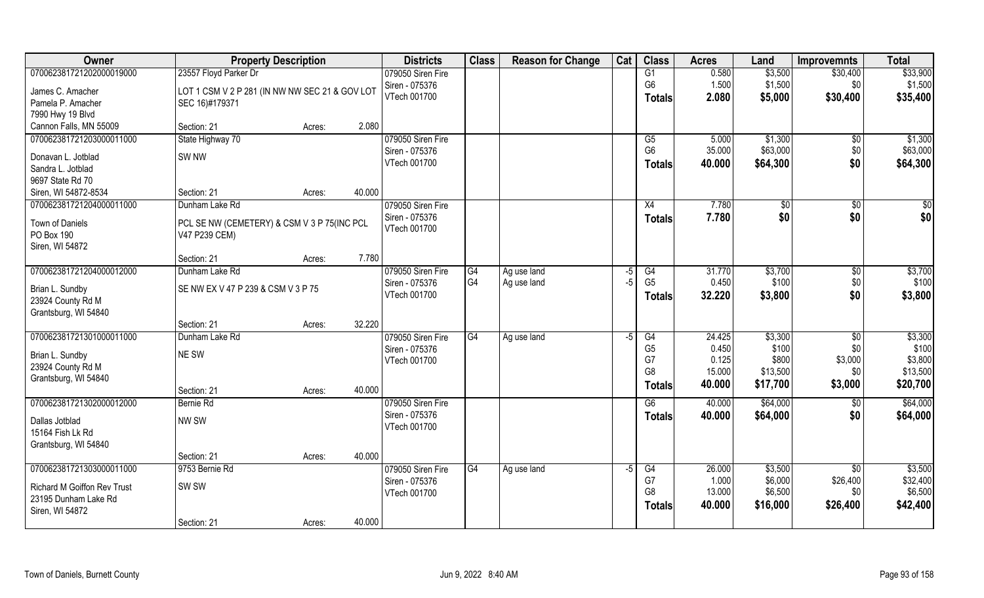| \$33,900<br>070062381721202000019000<br>23557 Floyd Parker Dr<br>079050 Siren Fire<br>0.580<br>\$3,500<br>G1<br>\$30,400<br>G <sub>6</sub><br>1.500<br>\$1,500<br>Siren - 075376<br>\$1,500<br>\$0<br>James C. Amacher<br>LOT 1 CSM V 2 P 281 (IN NW NW SEC 21 & GOV LOT<br>VTech 001700<br>2.080<br>\$5,000<br>\$30,400<br>\$35,400<br>Totals<br>Pamela P. Amacher<br>SEC 16)#179371<br>7990 Hwy 19 Blvd<br>Cannon Falls, MN 55009<br>2.080<br>Section: 21<br>Acres:<br>079050 Siren Fire<br>\$1,300<br>070062381721203000011000<br>State Highway 70<br>\$1,300<br>G5<br>5.000<br>\$0<br>G <sub>6</sub><br>35.000<br>\$63,000<br>\$0<br>Siren - 075376<br>SW <sub>NW</sub><br>Donavan L. Jotblad<br>\$0<br>VTech 001700<br>\$64,300<br>\$64,300<br>40.000<br>Totals<br>Sandra L. Jotblad<br>9697 State Rd 70<br>40.000<br>Siren, WI 54872-8534<br>Section: 21<br>Acres:<br>070062381721204000011000<br>079050 Siren Fire<br>7.780<br>\$0<br>\$0<br>Dunham Lake Rd<br>X4<br>\$0<br>\$0<br>\$0<br>\$0<br>Siren - 075376<br>7.780<br><b>Totals</b><br>Town of Daniels<br>PCL SE NW (CEMETERY) & CSM V 3 P 75(INC PCL<br>VTech 001700<br>PO Box 190<br>V47 P239 CEM)<br>Siren, WI 54872<br>7.780<br>Section: 21<br>Acres:<br>070062381721204000012000<br>\$3,700<br>Dunham Lake Rd<br>079050 Siren Fire<br>31.770<br>\$3,700<br>G4<br>Ag use land<br>G4<br>\$0<br>-5<br>G <sub>4</sub><br>G <sub>5</sub><br>0.450<br>\$0<br>$-5$<br>\$100<br>Siren - 075376<br>Ag use land<br>SE NW EX V 47 P 239 & CSM V 3 P 75<br>Brian L. Sundby<br>\$0<br>\$3,800<br>VTech 001700<br>32.220<br>\$3,800<br><b>Totals</b><br>23924 County Rd M<br>Grantsburg, WI 54840<br>32.220<br>Section: 21<br>Acres:<br>\$3,300<br>070062381721301000011000<br>$\overline{G4}$<br>24.425<br>\$3,300<br>Dunham Lake Rd<br>079050 Siren Fire<br>G4<br>$\sqrt{6}$<br>Ag use land<br>-5<br>G <sub>5</sub><br>0.450<br>\$100<br>\$0<br>Siren - 075376<br>NE SW<br>Brian L. Sundby<br>G7<br>\$3,000<br>\$3,800<br>0.125<br>\$800<br>VTech 001700<br>23924 County Rd M<br>G <sub>8</sub><br>\$13,500<br>15.000<br>\$13,500<br>\$0<br>Grantsburg, WI 54840<br>\$20,700<br>40.000<br>\$17,700<br>\$3,000<br><b>Totals</b><br>40.000<br>Section: 21<br>Acres:<br>\$64,000<br>\$64,000<br>070062381721302000012000<br>079050 Siren Fire<br>G6<br>Bernie Rd<br>40.000<br>\$0<br>Siren - 075376<br>\$0<br>\$64,000<br>40.000<br>\$64,000<br><b>Totals</b><br>NW SW<br>Dallas Jotblad<br>VTech 001700<br>15164 Fish Lk Rd<br>Grantsburg, WI 54840<br>40.000<br>Section: 21<br>Acres:<br>070062381721303000011000<br>9753 Bernie Rd<br>\$3,500<br>\$3,500<br>079050 Siren Fire<br>G4<br>G4<br>26.000<br>\$0<br>Ag use land<br>$-5$<br>\$26,400<br>G7<br>1.000<br>\$6,000<br>Siren - 075376<br>SW <sub>SW</sub><br><b>Richard M Goiffon Rev Trust</b><br>G8<br>\$6,500<br>13.000<br>\$6,500<br>\$0<br>VTech 001700<br>23195 Dunham Lake Rd<br>\$42,400<br>40.000<br>\$16,000<br>\$26,400<br>Totals<br>Siren, WI 54872 | Owner | <b>Property Description</b> |        |        | <b>Districts</b> | <b>Class</b> | <b>Reason for Change</b> | Cat | <b>Class</b> | <b>Acres</b> | Land | <b>Improvemnts</b> | <b>Total</b> |
|---------------------------------------------------------------------------------------------------------------------------------------------------------------------------------------------------------------------------------------------------------------------------------------------------------------------------------------------------------------------------------------------------------------------------------------------------------------------------------------------------------------------------------------------------------------------------------------------------------------------------------------------------------------------------------------------------------------------------------------------------------------------------------------------------------------------------------------------------------------------------------------------------------------------------------------------------------------------------------------------------------------------------------------------------------------------------------------------------------------------------------------------------------------------------------------------------------------------------------------------------------------------------------------------------------------------------------------------------------------------------------------------------------------------------------------------------------------------------------------------------------------------------------------------------------------------------------------------------------------------------------------------------------------------------------------------------------------------------------------------------------------------------------------------------------------------------------------------------------------------------------------------------------------------------------------------------------------------------------------------------------------------------------------------------------------------------------------------------------------------------------------------------------------------------------------------------------------------------------------------------------------------------------------------------------------------------------------------------------------------------------------------------------------------------------------------------------------------------------------------------------------------------------------------------------------------------------------------------------------------------------------------------------------------------------------------------------------------------------------------------------------------------------------------------------------------------------------------------------------------------------------------------------------------------------------------------------------------------|-------|-----------------------------|--------|--------|------------------|--------------|--------------------------|-----|--------------|--------------|------|--------------------|--------------|
|                                                                                                                                                                                                                                                                                                                                                                                                                                                                                                                                                                                                                                                                                                                                                                                                                                                                                                                                                                                                                                                                                                                                                                                                                                                                                                                                                                                                                                                                                                                                                                                                                                                                                                                                                                                                                                                                                                                                                                                                                                                                                                                                                                                                                                                                                                                                                                                                                                                                                                                                                                                                                                                                                                                                                                                                                                                                                                                                                                           |       |                             |        |        |                  |              |                          |     |              |              |      |                    |              |
|                                                                                                                                                                                                                                                                                                                                                                                                                                                                                                                                                                                                                                                                                                                                                                                                                                                                                                                                                                                                                                                                                                                                                                                                                                                                                                                                                                                                                                                                                                                                                                                                                                                                                                                                                                                                                                                                                                                                                                                                                                                                                                                                                                                                                                                                                                                                                                                                                                                                                                                                                                                                                                                                                                                                                                                                                                                                                                                                                                           |       |                             |        |        |                  |              |                          |     |              |              |      |                    |              |
|                                                                                                                                                                                                                                                                                                                                                                                                                                                                                                                                                                                                                                                                                                                                                                                                                                                                                                                                                                                                                                                                                                                                                                                                                                                                                                                                                                                                                                                                                                                                                                                                                                                                                                                                                                                                                                                                                                                                                                                                                                                                                                                                                                                                                                                                                                                                                                                                                                                                                                                                                                                                                                                                                                                                                                                                                                                                                                                                                                           |       |                             |        |        |                  |              |                          |     |              |              |      |                    |              |
|                                                                                                                                                                                                                                                                                                                                                                                                                                                                                                                                                                                                                                                                                                                                                                                                                                                                                                                                                                                                                                                                                                                                                                                                                                                                                                                                                                                                                                                                                                                                                                                                                                                                                                                                                                                                                                                                                                                                                                                                                                                                                                                                                                                                                                                                                                                                                                                                                                                                                                                                                                                                                                                                                                                                                                                                                                                                                                                                                                           |       |                             |        |        |                  |              |                          |     |              |              |      |                    |              |
|                                                                                                                                                                                                                                                                                                                                                                                                                                                                                                                                                                                                                                                                                                                                                                                                                                                                                                                                                                                                                                                                                                                                                                                                                                                                                                                                                                                                                                                                                                                                                                                                                                                                                                                                                                                                                                                                                                                                                                                                                                                                                                                                                                                                                                                                                                                                                                                                                                                                                                                                                                                                                                                                                                                                                                                                                                                                                                                                                                           |       |                             |        |        |                  |              |                          |     |              |              |      |                    |              |
| \$63,000<br>\$100<br>\$100<br>\$32,400                                                                                                                                                                                                                                                                                                                                                                                                                                                                                                                                                                                                                                                                                                                                                                                                                                                                                                                                                                                                                                                                                                                                                                                                                                                                                                                                                                                                                                                                                                                                                                                                                                                                                                                                                                                                                                                                                                                                                                                                                                                                                                                                                                                                                                                                                                                                                                                                                                                                                                                                                                                                                                                                                                                                                                                                                                                                                                                                    |       |                             |        |        |                  |              |                          |     |              |              |      |                    |              |
|                                                                                                                                                                                                                                                                                                                                                                                                                                                                                                                                                                                                                                                                                                                                                                                                                                                                                                                                                                                                                                                                                                                                                                                                                                                                                                                                                                                                                                                                                                                                                                                                                                                                                                                                                                                                                                                                                                                                                                                                                                                                                                                                                                                                                                                                                                                                                                                                                                                                                                                                                                                                                                                                                                                                                                                                                                                                                                                                                                           |       |                             |        |        |                  |              |                          |     |              |              |      |                    |              |
|                                                                                                                                                                                                                                                                                                                                                                                                                                                                                                                                                                                                                                                                                                                                                                                                                                                                                                                                                                                                                                                                                                                                                                                                                                                                                                                                                                                                                                                                                                                                                                                                                                                                                                                                                                                                                                                                                                                                                                                                                                                                                                                                                                                                                                                                                                                                                                                                                                                                                                                                                                                                                                                                                                                                                                                                                                                                                                                                                                           |       |                             |        |        |                  |              |                          |     |              |              |      |                    |              |
|                                                                                                                                                                                                                                                                                                                                                                                                                                                                                                                                                                                                                                                                                                                                                                                                                                                                                                                                                                                                                                                                                                                                                                                                                                                                                                                                                                                                                                                                                                                                                                                                                                                                                                                                                                                                                                                                                                                                                                                                                                                                                                                                                                                                                                                                                                                                                                                                                                                                                                                                                                                                                                                                                                                                                                                                                                                                                                                                                                           |       |                             |        |        |                  |              |                          |     |              |              |      |                    |              |
|                                                                                                                                                                                                                                                                                                                                                                                                                                                                                                                                                                                                                                                                                                                                                                                                                                                                                                                                                                                                                                                                                                                                                                                                                                                                                                                                                                                                                                                                                                                                                                                                                                                                                                                                                                                                                                                                                                                                                                                                                                                                                                                                                                                                                                                                                                                                                                                                                                                                                                                                                                                                                                                                                                                                                                                                                                                                                                                                                                           |       |                             |        |        |                  |              |                          |     |              |              |      |                    |              |
|                                                                                                                                                                                                                                                                                                                                                                                                                                                                                                                                                                                                                                                                                                                                                                                                                                                                                                                                                                                                                                                                                                                                                                                                                                                                                                                                                                                                                                                                                                                                                                                                                                                                                                                                                                                                                                                                                                                                                                                                                                                                                                                                                                                                                                                                                                                                                                                                                                                                                                                                                                                                                                                                                                                                                                                                                                                                                                                                                                           |       |                             |        |        |                  |              |                          |     |              |              |      |                    |              |
|                                                                                                                                                                                                                                                                                                                                                                                                                                                                                                                                                                                                                                                                                                                                                                                                                                                                                                                                                                                                                                                                                                                                                                                                                                                                                                                                                                                                                                                                                                                                                                                                                                                                                                                                                                                                                                                                                                                                                                                                                                                                                                                                                                                                                                                                                                                                                                                                                                                                                                                                                                                                                                                                                                                                                                                                                                                                                                                                                                           |       |                             |        |        |                  |              |                          |     |              |              |      |                    |              |
|                                                                                                                                                                                                                                                                                                                                                                                                                                                                                                                                                                                                                                                                                                                                                                                                                                                                                                                                                                                                                                                                                                                                                                                                                                                                                                                                                                                                                                                                                                                                                                                                                                                                                                                                                                                                                                                                                                                                                                                                                                                                                                                                                                                                                                                                                                                                                                                                                                                                                                                                                                                                                                                                                                                                                                                                                                                                                                                                                                           |       |                             |        |        |                  |              |                          |     |              |              |      |                    |              |
|                                                                                                                                                                                                                                                                                                                                                                                                                                                                                                                                                                                                                                                                                                                                                                                                                                                                                                                                                                                                                                                                                                                                                                                                                                                                                                                                                                                                                                                                                                                                                                                                                                                                                                                                                                                                                                                                                                                                                                                                                                                                                                                                                                                                                                                                                                                                                                                                                                                                                                                                                                                                                                                                                                                                                                                                                                                                                                                                                                           |       |                             |        |        |                  |              |                          |     |              |              |      |                    |              |
|                                                                                                                                                                                                                                                                                                                                                                                                                                                                                                                                                                                                                                                                                                                                                                                                                                                                                                                                                                                                                                                                                                                                                                                                                                                                                                                                                                                                                                                                                                                                                                                                                                                                                                                                                                                                                                                                                                                                                                                                                                                                                                                                                                                                                                                                                                                                                                                                                                                                                                                                                                                                                                                                                                                                                                                                                                                                                                                                                                           |       |                             |        |        |                  |              |                          |     |              |              |      |                    |              |
|                                                                                                                                                                                                                                                                                                                                                                                                                                                                                                                                                                                                                                                                                                                                                                                                                                                                                                                                                                                                                                                                                                                                                                                                                                                                                                                                                                                                                                                                                                                                                                                                                                                                                                                                                                                                                                                                                                                                                                                                                                                                                                                                                                                                                                                                                                                                                                                                                                                                                                                                                                                                                                                                                                                                                                                                                                                                                                                                                                           |       |                             |        |        |                  |              |                          |     |              |              |      |                    |              |
|                                                                                                                                                                                                                                                                                                                                                                                                                                                                                                                                                                                                                                                                                                                                                                                                                                                                                                                                                                                                                                                                                                                                                                                                                                                                                                                                                                                                                                                                                                                                                                                                                                                                                                                                                                                                                                                                                                                                                                                                                                                                                                                                                                                                                                                                                                                                                                                                                                                                                                                                                                                                                                                                                                                                                                                                                                                                                                                                                                           |       |                             |        |        |                  |              |                          |     |              |              |      |                    |              |
|                                                                                                                                                                                                                                                                                                                                                                                                                                                                                                                                                                                                                                                                                                                                                                                                                                                                                                                                                                                                                                                                                                                                                                                                                                                                                                                                                                                                                                                                                                                                                                                                                                                                                                                                                                                                                                                                                                                                                                                                                                                                                                                                                                                                                                                                                                                                                                                                                                                                                                                                                                                                                                                                                                                                                                                                                                                                                                                                                                           |       |                             |        |        |                  |              |                          |     |              |              |      |                    |              |
|                                                                                                                                                                                                                                                                                                                                                                                                                                                                                                                                                                                                                                                                                                                                                                                                                                                                                                                                                                                                                                                                                                                                                                                                                                                                                                                                                                                                                                                                                                                                                                                                                                                                                                                                                                                                                                                                                                                                                                                                                                                                                                                                                                                                                                                                                                                                                                                                                                                                                                                                                                                                                                                                                                                                                                                                                                                                                                                                                                           |       |                             |        |        |                  |              |                          |     |              |              |      |                    |              |
|                                                                                                                                                                                                                                                                                                                                                                                                                                                                                                                                                                                                                                                                                                                                                                                                                                                                                                                                                                                                                                                                                                                                                                                                                                                                                                                                                                                                                                                                                                                                                                                                                                                                                                                                                                                                                                                                                                                                                                                                                                                                                                                                                                                                                                                                                                                                                                                                                                                                                                                                                                                                                                                                                                                                                                                                                                                                                                                                                                           |       |                             |        |        |                  |              |                          |     |              |              |      |                    |              |
|                                                                                                                                                                                                                                                                                                                                                                                                                                                                                                                                                                                                                                                                                                                                                                                                                                                                                                                                                                                                                                                                                                                                                                                                                                                                                                                                                                                                                                                                                                                                                                                                                                                                                                                                                                                                                                                                                                                                                                                                                                                                                                                                                                                                                                                                                                                                                                                                                                                                                                                                                                                                                                                                                                                                                                                                                                                                                                                                                                           |       |                             |        |        |                  |              |                          |     |              |              |      |                    |              |
|                                                                                                                                                                                                                                                                                                                                                                                                                                                                                                                                                                                                                                                                                                                                                                                                                                                                                                                                                                                                                                                                                                                                                                                                                                                                                                                                                                                                                                                                                                                                                                                                                                                                                                                                                                                                                                                                                                                                                                                                                                                                                                                                                                                                                                                                                                                                                                                                                                                                                                                                                                                                                                                                                                                                                                                                                                                                                                                                                                           |       |                             |        |        |                  |              |                          |     |              |              |      |                    |              |
|                                                                                                                                                                                                                                                                                                                                                                                                                                                                                                                                                                                                                                                                                                                                                                                                                                                                                                                                                                                                                                                                                                                                                                                                                                                                                                                                                                                                                                                                                                                                                                                                                                                                                                                                                                                                                                                                                                                                                                                                                                                                                                                                                                                                                                                                                                                                                                                                                                                                                                                                                                                                                                                                                                                                                                                                                                                                                                                                                                           |       |                             |        |        |                  |              |                          |     |              |              |      |                    |              |
|                                                                                                                                                                                                                                                                                                                                                                                                                                                                                                                                                                                                                                                                                                                                                                                                                                                                                                                                                                                                                                                                                                                                                                                                                                                                                                                                                                                                                                                                                                                                                                                                                                                                                                                                                                                                                                                                                                                                                                                                                                                                                                                                                                                                                                                                                                                                                                                                                                                                                                                                                                                                                                                                                                                                                                                                                                                                                                                                                                           |       |                             |        |        |                  |              |                          |     |              |              |      |                    |              |
|                                                                                                                                                                                                                                                                                                                                                                                                                                                                                                                                                                                                                                                                                                                                                                                                                                                                                                                                                                                                                                                                                                                                                                                                                                                                                                                                                                                                                                                                                                                                                                                                                                                                                                                                                                                                                                                                                                                                                                                                                                                                                                                                                                                                                                                                                                                                                                                                                                                                                                                                                                                                                                                                                                                                                                                                                                                                                                                                                                           |       |                             |        |        |                  |              |                          |     |              |              |      |                    |              |
|                                                                                                                                                                                                                                                                                                                                                                                                                                                                                                                                                                                                                                                                                                                                                                                                                                                                                                                                                                                                                                                                                                                                                                                                                                                                                                                                                                                                                                                                                                                                                                                                                                                                                                                                                                                                                                                                                                                                                                                                                                                                                                                                                                                                                                                                                                                                                                                                                                                                                                                                                                                                                                                                                                                                                                                                                                                                                                                                                                           |       |                             |        |        |                  |              |                          |     |              |              |      |                    |              |
|                                                                                                                                                                                                                                                                                                                                                                                                                                                                                                                                                                                                                                                                                                                                                                                                                                                                                                                                                                                                                                                                                                                                                                                                                                                                                                                                                                                                                                                                                                                                                                                                                                                                                                                                                                                                                                                                                                                                                                                                                                                                                                                                                                                                                                                                                                                                                                                                                                                                                                                                                                                                                                                                                                                                                                                                                                                                                                                                                                           |       |                             |        |        |                  |              |                          |     |              |              |      |                    |              |
|                                                                                                                                                                                                                                                                                                                                                                                                                                                                                                                                                                                                                                                                                                                                                                                                                                                                                                                                                                                                                                                                                                                                                                                                                                                                                                                                                                                                                                                                                                                                                                                                                                                                                                                                                                                                                                                                                                                                                                                                                                                                                                                                                                                                                                                                                                                                                                                                                                                                                                                                                                                                                                                                                                                                                                                                                                                                                                                                                                           |       |                             |        |        |                  |              |                          |     |              |              |      |                    |              |
|                                                                                                                                                                                                                                                                                                                                                                                                                                                                                                                                                                                                                                                                                                                                                                                                                                                                                                                                                                                                                                                                                                                                                                                                                                                                                                                                                                                                                                                                                                                                                                                                                                                                                                                                                                                                                                                                                                                                                                                                                                                                                                                                                                                                                                                                                                                                                                                                                                                                                                                                                                                                                                                                                                                                                                                                                                                                                                                                                                           |       |                             |        |        |                  |              |                          |     |              |              |      |                    |              |
|                                                                                                                                                                                                                                                                                                                                                                                                                                                                                                                                                                                                                                                                                                                                                                                                                                                                                                                                                                                                                                                                                                                                                                                                                                                                                                                                                                                                                                                                                                                                                                                                                                                                                                                                                                                                                                                                                                                                                                                                                                                                                                                                                                                                                                                                                                                                                                                                                                                                                                                                                                                                                                                                                                                                                                                                                                                                                                                                                                           |       |                             |        |        |                  |              |                          |     |              |              |      |                    |              |
|                                                                                                                                                                                                                                                                                                                                                                                                                                                                                                                                                                                                                                                                                                                                                                                                                                                                                                                                                                                                                                                                                                                                                                                                                                                                                                                                                                                                                                                                                                                                                                                                                                                                                                                                                                                                                                                                                                                                                                                                                                                                                                                                                                                                                                                                                                                                                                                                                                                                                                                                                                                                                                                                                                                                                                                                                                                                                                                                                                           |       |                             |        |        |                  |              |                          |     |              |              |      |                    |              |
|                                                                                                                                                                                                                                                                                                                                                                                                                                                                                                                                                                                                                                                                                                                                                                                                                                                                                                                                                                                                                                                                                                                                                                                                                                                                                                                                                                                                                                                                                                                                                                                                                                                                                                                                                                                                                                                                                                                                                                                                                                                                                                                                                                                                                                                                                                                                                                                                                                                                                                                                                                                                                                                                                                                                                                                                                                                                                                                                                                           |       |                             |        |        |                  |              |                          |     |              |              |      |                    |              |
|                                                                                                                                                                                                                                                                                                                                                                                                                                                                                                                                                                                                                                                                                                                                                                                                                                                                                                                                                                                                                                                                                                                                                                                                                                                                                                                                                                                                                                                                                                                                                                                                                                                                                                                                                                                                                                                                                                                                                                                                                                                                                                                                                                                                                                                                                                                                                                                                                                                                                                                                                                                                                                                                                                                                                                                                                                                                                                                                                                           |       |                             |        |        |                  |              |                          |     |              |              |      |                    |              |
|                                                                                                                                                                                                                                                                                                                                                                                                                                                                                                                                                                                                                                                                                                                                                                                                                                                                                                                                                                                                                                                                                                                                                                                                                                                                                                                                                                                                                                                                                                                                                                                                                                                                                                                                                                                                                                                                                                                                                                                                                                                                                                                                                                                                                                                                                                                                                                                                                                                                                                                                                                                                                                                                                                                                                                                                                                                                                                                                                                           |       |                             |        |        |                  |              |                          |     |              |              |      |                    |              |
|                                                                                                                                                                                                                                                                                                                                                                                                                                                                                                                                                                                                                                                                                                                                                                                                                                                                                                                                                                                                                                                                                                                                                                                                                                                                                                                                                                                                                                                                                                                                                                                                                                                                                                                                                                                                                                                                                                                                                                                                                                                                                                                                                                                                                                                                                                                                                                                                                                                                                                                                                                                                                                                                                                                                                                                                                                                                                                                                                                           |       |                             |        |        |                  |              |                          |     |              |              |      |                    |              |
|                                                                                                                                                                                                                                                                                                                                                                                                                                                                                                                                                                                                                                                                                                                                                                                                                                                                                                                                                                                                                                                                                                                                                                                                                                                                                                                                                                                                                                                                                                                                                                                                                                                                                                                                                                                                                                                                                                                                                                                                                                                                                                                                                                                                                                                                                                                                                                                                                                                                                                                                                                                                                                                                                                                                                                                                                                                                                                                                                                           |       | Section: 21                 | Acres: | 40.000 |                  |              |                          |     |              |              |      |                    |              |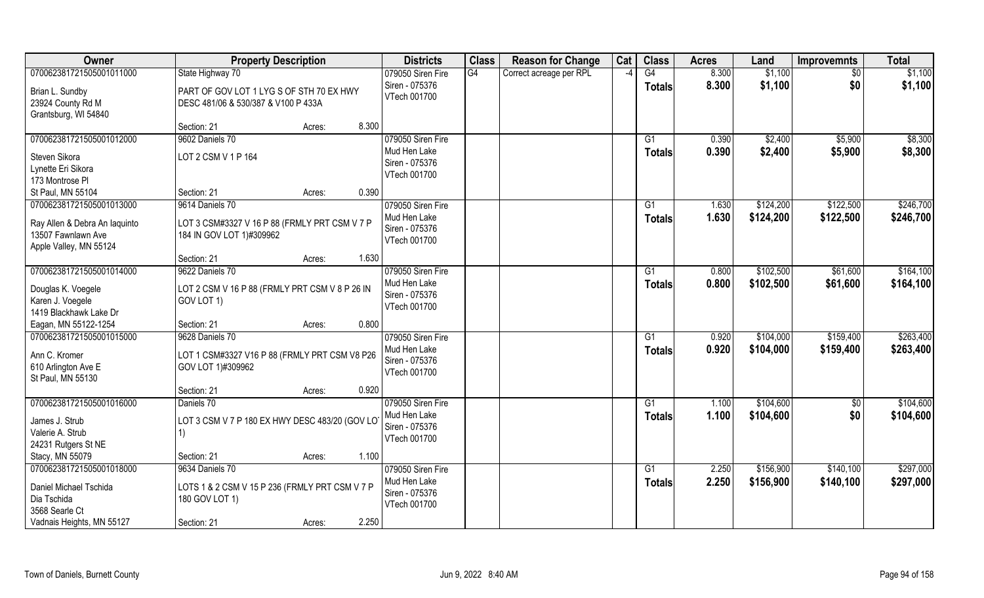| Owner                                                                                                            | <b>Property Description</b>                                                                                           | <b>Districts</b>                                                    | <b>Class</b> | <b>Reason for Change</b> | Cat                      | <b>Class</b>                     | <b>Acres</b>   | Land                   | <b>Improvemnts</b>     | <b>Total</b>           |
|------------------------------------------------------------------------------------------------------------------|-----------------------------------------------------------------------------------------------------------------------|---------------------------------------------------------------------|--------------|--------------------------|--------------------------|----------------------------------|----------------|------------------------|------------------------|------------------------|
| 070062381721505001011000                                                                                         | State Highway 70                                                                                                      | 079050 Siren Fire                                                   | G4           | Correct acreage per RPL  | $\overline{\phantom{a}}$ | $\overline{G4}$                  | 8.300          | \$1,100                | \$0                    | \$1,100                |
| Brian L. Sundby<br>23924 County Rd M<br>Grantsburg, WI 54840                                                     | PART OF GOV LOT 1 LYG S OF STH 70 EX HWY<br>DESC 481/06 & 530/387 & V100 P 433A                                       | Siren - 075376<br>VTech 001700                                      |              |                          |                          | <b>Totals</b>                    | 8.300          | \$1,100                | \$0                    | \$1,100                |
|                                                                                                                  | 8.300<br>Section: 21<br>Acres:                                                                                        |                                                                     |              |                          |                          |                                  |                |                        |                        |                        |
| 070062381721505001012000<br>Steven Sikora<br>Lynette Eri Sikora<br>173 Montrose PI                               | 9602 Daniels 70<br>LOT 2 CSM V 1 P 164                                                                                | 079050 Siren Fire<br>Mud Hen Lake<br>Siren - 075376<br>VTech 001700 |              |                          |                          | G1<br><b>Totals</b>              | 0.390<br>0.390 | \$2,400<br>\$2,400     | \$5,900<br>\$5,900     | \$8,300<br>\$8,300     |
| St Paul, MN 55104                                                                                                | Section: 21<br>0.390<br>Acres:                                                                                        |                                                                     |              |                          |                          |                                  |                |                        |                        |                        |
| 070062381721505001013000<br>Ray Allen & Debra An laquinto<br>13507 Fawnlawn Ave<br>Apple Valley, MN 55124        | 9614 Daniels 70<br>LOT 3 CSM#3327 V 16 P 88 (FRMLY PRT CSM V 7 P<br>184 IN GOV LOT 1)#309962                          | 079050 Siren Fire<br>Mud Hen Lake<br>Siren - 075376<br>VTech 001700 |              |                          |                          | G1<br><b>Totals</b>              | 1.630<br>1.630 | \$124,200<br>\$124,200 | \$122,500<br>\$122,500 | \$246,700<br>\$246,700 |
|                                                                                                                  | 1.630<br>Section: 21<br>Acres:                                                                                        |                                                                     |              |                          |                          |                                  |                |                        |                        |                        |
| 070062381721505001014000<br>Douglas K. Voegele<br>Karen J. Voegele<br>1419 Blackhawk Lake Dr                     | 9622 Daniels 70<br>LOT 2 CSM V 16 P 88 (FRMLY PRT CSM V 8 P 26 IN<br>GOV LOT 1)                                       | 079050 Siren Fire<br>Mud Hen Lake<br>Siren - 075376<br>VTech 001700 |              |                          |                          | G1<br><b>Totals</b>              | 0.800<br>0.800 | \$102,500<br>\$102,500 | \$61,600<br>\$61,600   | \$164,100<br>\$164,100 |
| Eagan, MN 55122-1254                                                                                             | 0.800<br>Section: 21<br>Acres:                                                                                        |                                                                     |              |                          |                          |                                  |                |                        |                        |                        |
| 070062381721505001015000<br>Ann C. Kromer<br>610 Arlington Ave E<br>St Paul, MN 55130                            | 9628 Daniels 70<br>LOT 1 CSM#3327 V16 P 88 (FRMLY PRT CSM V8 P26<br>GOV LOT 1)#309962                                 | 079050 Siren Fire<br>Mud Hen Lake<br>Siren - 075376<br>VTech 001700 |              |                          |                          | G1<br><b>Totals</b>              | 0.920<br>0.920 | \$104,000<br>\$104,000 | \$159,400<br>\$159,400 | \$263,400<br>\$263,400 |
|                                                                                                                  | Section: 21<br>0.920<br>Acres:                                                                                        |                                                                     |              |                          |                          |                                  |                |                        |                        |                        |
| 070062381721505001016000<br>James J. Strub<br>Valerie A. Strub<br>24231 Rutgers St NE<br>Stacy, MN 55079         | Daniels 70<br>LOT 3 CSM V 7 P 180 EX HWY DESC 483/20 (GOV LO<br>1)<br>1.100<br>Section: 21<br>Acres:                  | 079050 Siren Fire<br>Mud Hen Lake<br>Siren - 075376<br>VTech 001700 |              |                          |                          | $\overline{G1}$<br><b>Totals</b> | 1.100<br>1.100 | \$104,600<br>\$104,600 | $\overline{50}$<br>\$0 | \$104,600<br>\$104,600 |
| 070062381721505001018000<br>Daniel Michael Tschida<br>Dia Tschida<br>3568 Searle Ct<br>Vadnais Heights, MN 55127 | 9634 Daniels 70<br>LOTS 1 & 2 CSM V 15 P 236 (FRMLY PRT CSM V 7 P<br>180 GOV LOT 1)<br>2.250<br>Section: 21<br>Acres: | 079050 Siren Fire<br>Mud Hen Lake<br>Siren - 075376<br>VTech 001700 |              |                          |                          | G1<br><b>Totals</b>              | 2.250<br>2.250 | \$156,900<br>\$156,900 | \$140,100<br>\$140,100 | \$297,000<br>\$297,000 |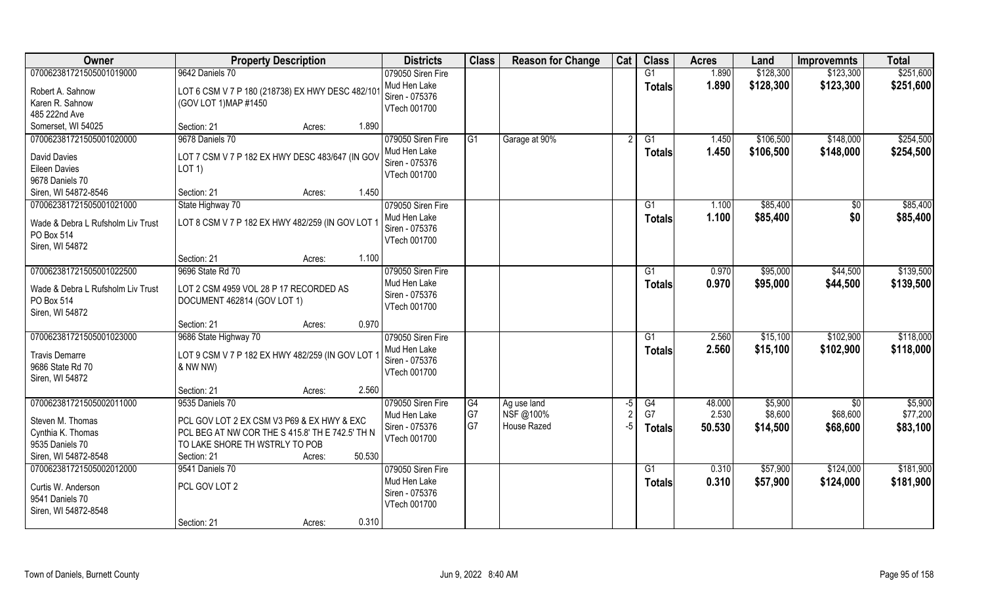| Owner                             | <b>Property Description</b>                                 | <b>Districts</b>  | <b>Class</b>    | <b>Reason for Change</b> | Cat | <b>Class</b>  | <b>Acres</b> | Land      | <b>Improvemnts</b> | <b>Total</b> |
|-----------------------------------|-------------------------------------------------------------|-------------------|-----------------|--------------------------|-----|---------------|--------------|-----------|--------------------|--------------|
| 070062381721505001019000          | 9642 Daniels 70                                             | 079050 Siren Fire |                 |                          |     | G1            | 1.890        | \$128,300 | \$123,300          | \$251,600    |
| Robert A. Sahnow                  | LOT 6 CSM V 7 P 180 (218738) EX HWY DESC 482/10             | Mud Hen Lake      |                 |                          |     | <b>Totals</b> | 1.890        | \$128,300 | \$123,300          | \$251,600    |
| Karen R. Sahnow                   | (GOV LOT 1) MAP #1450                                       | Siren - 075376    |                 |                          |     |               |              |           |                    |              |
| 485 222nd Ave                     |                                                             | VTech 001700      |                 |                          |     |               |              |           |                    |              |
| Somerset, WI 54025                | 1.890<br>Section: 21<br>Acres:                              |                   |                 |                          |     |               |              |           |                    |              |
| 070062381721505001020000          | 9678 Daniels 70                                             | 079050 Siren Fire | $\overline{G1}$ | Garage at 90%            |     | G1            | 1.450        | \$106,500 | \$148,000          | \$254,500    |
| David Davies                      |                                                             | Mud Hen Lake      |                 |                          |     | <b>Totals</b> | 1.450        | \$106,500 | \$148,000          | \$254,500    |
| <b>Eileen Davies</b>              | LOT 7 CSM V 7 P 182 EX HWY DESC 483/647 (IN GOV<br>$LOT$ 1) | Siren - 075376    |                 |                          |     |               |              |           |                    |              |
| 9678 Daniels 70                   |                                                             | VTech 001700      |                 |                          |     |               |              |           |                    |              |
| Siren, WI 54872-8546              | 1.450<br>Section: 21<br>Acres:                              |                   |                 |                          |     |               |              |           |                    |              |
| 070062381721505001021000          | State Highway 70                                            | 079050 Siren Fire |                 |                          |     | G1            | 1.100        | \$85,400  | \$0                | \$85,400     |
|                                   |                                                             | Mud Hen Lake      |                 |                          |     | <b>Totals</b> | 1.100        | \$85,400  | \$0                | \$85,400     |
| Wade & Debra L Rufsholm Liv Trust | LOT 8 CSM V 7 P 182 EX HWY 482/259 (IN GOV LOT              | Siren - 075376    |                 |                          |     |               |              |           |                    |              |
| PO Box 514                        |                                                             | VTech 001700      |                 |                          |     |               |              |           |                    |              |
| Siren, WI 54872                   |                                                             |                   |                 |                          |     |               |              |           |                    |              |
|                                   | 1.100<br>Section: 21<br>Acres:                              |                   |                 |                          |     |               |              |           |                    |              |
| 070062381721505001022500          | 9696 State Rd 70                                            | 079050 Siren Fire |                 |                          |     | G1            | 0.970        | \$95,000  | \$44,500           | \$139,500    |
| Wade & Debra L Rufsholm Liv Trust | LOT 2 CSM 4959 VOL 28 P 17 RECORDED AS                      | Mud Hen Lake      |                 |                          |     | <b>Totals</b> | 0.970        | \$95,000  | \$44,500           | \$139,500    |
| PO Box 514                        | DOCUMENT 462814 (GOV LOT 1)                                 | Siren - 075376    |                 |                          |     |               |              |           |                    |              |
| Siren, WI 54872                   |                                                             | VTech 001700      |                 |                          |     |               |              |           |                    |              |
|                                   | 0.970<br>Section: 21<br>Acres:                              |                   |                 |                          |     |               |              |           |                    |              |
| 070062381721505001023000          | 9686 State Highway 70                                       | 079050 Siren Fire |                 |                          |     | G1            | 2.560        | \$15,100  | \$102,900          | \$118,000    |
| <b>Travis Demarre</b>             | LOT 9 CSM V 7 P 182 EX HWY 482/259 (IN GOV LOT              | Mud Hen Lake      |                 |                          |     | <b>Totals</b> | 2.560        | \$15,100  | \$102,900          | \$118,000    |
| 9686 State Rd 70                  | & NW NW)                                                    | Siren - 075376    |                 |                          |     |               |              |           |                    |              |
| Siren, WI 54872                   |                                                             | VTech 001700      |                 |                          |     |               |              |           |                    |              |
|                                   | Section: 21<br>2.560<br>Acres:                              |                   |                 |                          |     |               |              |           |                    |              |
| 070062381721505002011000          | 9535 Daniels 70                                             | 079050 Siren Fire | $\overline{G4}$ | Ag use land              | -5  | G4            | 48.000       | \$5,900   | \$0                | \$5,900      |
|                                   |                                                             | Mud Hen Lake      | G7              | NSF@100%                 |     | G7            | 2.530        | \$8,600   | \$68,600           | \$77,200     |
| Steven M. Thomas                  | PCL GOV LOT 2 EX CSM V3 P69 & EX HWY & EXC                  | Siren - 075376    | l G7            | House Razed              | -5  | <b>Totals</b> | 50.530       | \$14,500  | \$68,600           | \$83,100     |
| Cynthia K. Thomas                 | PCL BEG AT NW COR THE S 415.8' TH E 742.5' TH N             | VTech 001700      |                 |                          |     |               |              |           |                    |              |
| 9535 Daniels 70                   | TO LAKE SHORE TH WSTRLY TO POB                              |                   |                 |                          |     |               |              |           |                    |              |
| Siren, WI 54872-8548              | 50.530<br>Section: 21<br>Acres:                             |                   |                 |                          |     |               |              |           |                    |              |
| 070062381721505002012000          | 9541 Daniels 70                                             | 079050 Siren Fire |                 |                          |     | G1            | 0.310        | \$57,900  | \$124,000          | \$181,900    |
| Curtis W. Anderson                | PCL GOV LOT 2                                               | Mud Hen Lake      |                 |                          |     | <b>Totals</b> | 0.310        | \$57,900  | \$124,000          | \$181,900    |
| 9541 Daniels 70                   |                                                             | Siren - 075376    |                 |                          |     |               |              |           |                    |              |
| Siren, WI 54872-8548              |                                                             | VTech 001700      |                 |                          |     |               |              |           |                    |              |
|                                   | 0.310<br>Section: 21<br>Acres:                              |                   |                 |                          |     |               |              |           |                    |              |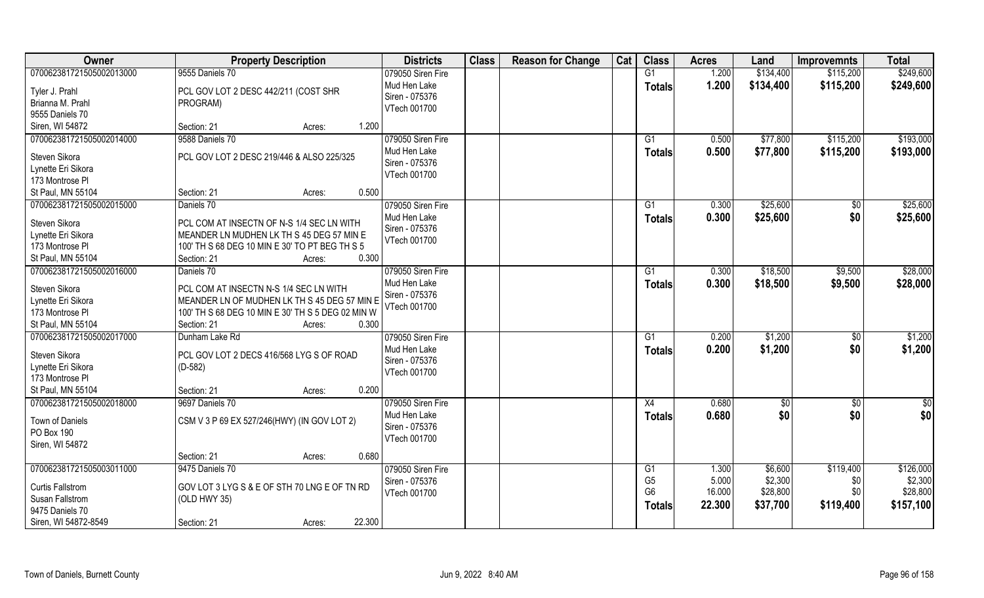| 9555 Daniels 70<br>\$249,600<br>070062381721505002013000<br>079050 Siren Fire<br>G1<br>1.200<br>\$134,400<br>\$115,200<br>Mud Hen Lake<br>1.200<br>\$134,400<br>\$115,200<br>\$249,600<br><b>Totals</b><br>PCL GOV LOT 2 DESC 442/211 (COST SHR<br>Tyler J. Prahl<br>Siren - 075376<br>Brianna M. Prahl<br>PROGRAM)<br>VTech 001700<br>9555 Daniels 70<br>Siren, WI 54872<br>Section: 21<br>1.200<br>Acres:<br>\$77,800<br>\$193,000<br>070062381721505002014000<br>9588 Daniels 70<br>079050 Siren Fire<br>$\overline{G1}$<br>0.500<br>\$115,200<br>Mud Hen Lake<br>0.500<br>\$77,800<br>\$115,200<br>\$193,000<br><b>Totals</b><br>PCL GOV LOT 2 DESC 219/446 & ALSO 225/325<br>Steven Sikora<br>Siren - 075376<br>Lynette Eri Sikora<br>VTech 001700<br>173 Montrose PI<br>0.500<br>St Paul, MN 55104<br>Section: 21<br>Acres:<br>\$25,600<br>070062381721505002015000<br>Daniels 70<br>079050 Siren Fire<br>0.300<br>\$25,600<br>\$0<br>G1<br>Mud Hen Lake<br>\$0<br>0.300<br>\$25,600<br>\$25,600<br><b>Totals</b><br>PCL COM AT INSECTN OF N-S 1/4 SEC LN WITH<br>Steven Sikora<br>Siren - 075376<br>Lynette Eri Sikora<br>MEANDER LN MUDHEN LK TH S 45 DEG 57 MIN E<br>VTech 001700<br>173 Montrose PI<br>100' TH S 68 DEG 10 MIN E 30' TO PT BEG TH S 5<br>0.300<br>St Paul, MN 55104<br>Section: 21<br>Acres:<br>\$28,000<br>070062381721505002016000<br>079050 Siren Fire<br>\$18,500<br>Daniels 70<br>0.300<br>\$9,500<br>G1<br>Mud Hen Lake<br>0.300<br>\$18,500<br>\$9,500<br>\$28,000<br><b>Totals</b><br>Steven Sikora<br>PCL COM AT INSECTN N-S 1/4 SEC LN WITH<br>Siren - 075376<br>Lynette Eri Sikora<br>MEANDER LN OF MUDHEN LK TH S 45 DEG 57 MIN E<br>VTech 001700<br>173 Montrose PI<br>100' TH S 68 DEG 10 MIN E 30' TH S 5 DEG 02 MIN W<br>St Paul, MN 55104<br>0.300<br>Section: 21<br>Acres:<br>\$1,200<br>070062381721505002017000<br>0.200<br>\$1,200<br>Dunham Lake Rd<br>$\overline{G1}$<br>$\sqrt[6]{30}$<br>079050 Siren Fire<br>Mud Hen Lake<br>0.200<br>\$1,200<br>\$1,200<br>\$0<br><b>Totals</b><br>Steven Sikora<br>PCL GOV LOT 2 DECS 416/568 LYG S OF ROAD<br>Siren - 075376<br>Lynette Eri Sikora<br>$(D-582)$<br>VTech 001700<br>173 Montrose PI<br>St Paul, MN 55104<br>Section: 21<br>0.200<br>Acres:<br>X4<br>0.680<br>\$0<br>070062381721505002018000<br>9697 Daniels 70<br>079050 Siren Fire<br>$\sqrt{30}$<br>$\sqrt{6}$<br>\$0 <br>0.680<br>\$0<br>\$0<br>Mud Hen Lake<br><b>Totals</b><br>Town of Daniels<br>CSM V 3 P 69 EX 527/246(HWY) (IN GOV LOT 2)<br>Siren - 075376<br>PO Box 190<br>VTech 001700<br>Siren, WI 54872<br>0.680<br>Section: 21<br>Acres:<br>9475 Daniels 70<br>\$119,400<br>\$126,000<br>079050 Siren Fire<br>G1<br>1.300<br>\$6,600<br>G <sub>5</sub><br>5.000<br>\$2,300<br>\$2,300<br>Siren - 075376<br>\$0<br>GOV LOT 3 LYG S & E OF STH 70 LNG E OF TN RD<br><b>Curtis Fallstrom</b><br>G <sub>6</sub><br>16.000<br>\$28,800<br>\$28,800<br>\$0<br>VTech 001700<br>Susan Fallstrom<br>(OLD HWY 35)<br>22.300<br>\$37,700<br>\$119,400<br>\$157,100<br><b>Totals</b><br>9475 Daniels 70 | Owner                    | <b>Property Description</b>     | <b>Districts</b> | <b>Class</b> | <b>Reason for Change</b> | Cat | <b>Class</b> | <b>Acres</b> | Land | <b>Improvemnts</b> | <b>Total</b> |
|-------------------------------------------------------------------------------------------------------------------------------------------------------------------------------------------------------------------------------------------------------------------------------------------------------------------------------------------------------------------------------------------------------------------------------------------------------------------------------------------------------------------------------------------------------------------------------------------------------------------------------------------------------------------------------------------------------------------------------------------------------------------------------------------------------------------------------------------------------------------------------------------------------------------------------------------------------------------------------------------------------------------------------------------------------------------------------------------------------------------------------------------------------------------------------------------------------------------------------------------------------------------------------------------------------------------------------------------------------------------------------------------------------------------------------------------------------------------------------------------------------------------------------------------------------------------------------------------------------------------------------------------------------------------------------------------------------------------------------------------------------------------------------------------------------------------------------------------------------------------------------------------------------------------------------------------------------------------------------------------------------------------------------------------------------------------------------------------------------------------------------------------------------------------------------------------------------------------------------------------------------------------------------------------------------------------------------------------------------------------------------------------------------------------------------------------------------------------------------------------------------------------------------------------------------------------------------------------------------------------------------------------------------------------------------------------------------------------------------------------------------------------------------------------------------------------------------------------------------------------------------------------------------------------------------------------------------------------------------------------------------------------------------------------------------------------|--------------------------|---------------------------------|------------------|--------------|--------------------------|-----|--------------|--------------|------|--------------------|--------------|
|                                                                                                                                                                                                                                                                                                                                                                                                                                                                                                                                                                                                                                                                                                                                                                                                                                                                                                                                                                                                                                                                                                                                                                                                                                                                                                                                                                                                                                                                                                                                                                                                                                                                                                                                                                                                                                                                                                                                                                                                                                                                                                                                                                                                                                                                                                                                                                                                                                                                                                                                                                                                                                                                                                                                                                                                                                                                                                                                                                                                                                                                   |                          |                                 |                  |              |                          |     |              |              |      |                    |              |
|                                                                                                                                                                                                                                                                                                                                                                                                                                                                                                                                                                                                                                                                                                                                                                                                                                                                                                                                                                                                                                                                                                                                                                                                                                                                                                                                                                                                                                                                                                                                                                                                                                                                                                                                                                                                                                                                                                                                                                                                                                                                                                                                                                                                                                                                                                                                                                                                                                                                                                                                                                                                                                                                                                                                                                                                                                                                                                                                                                                                                                                                   |                          |                                 |                  |              |                          |     |              |              |      |                    |              |
|                                                                                                                                                                                                                                                                                                                                                                                                                                                                                                                                                                                                                                                                                                                                                                                                                                                                                                                                                                                                                                                                                                                                                                                                                                                                                                                                                                                                                                                                                                                                                                                                                                                                                                                                                                                                                                                                                                                                                                                                                                                                                                                                                                                                                                                                                                                                                                                                                                                                                                                                                                                                                                                                                                                                                                                                                                                                                                                                                                                                                                                                   |                          |                                 |                  |              |                          |     |              |              |      |                    |              |
|                                                                                                                                                                                                                                                                                                                                                                                                                                                                                                                                                                                                                                                                                                                                                                                                                                                                                                                                                                                                                                                                                                                                                                                                                                                                                                                                                                                                                                                                                                                                                                                                                                                                                                                                                                                                                                                                                                                                                                                                                                                                                                                                                                                                                                                                                                                                                                                                                                                                                                                                                                                                                                                                                                                                                                                                                                                                                                                                                                                                                                                                   |                          |                                 |                  |              |                          |     |              |              |      |                    |              |
|                                                                                                                                                                                                                                                                                                                                                                                                                                                                                                                                                                                                                                                                                                                                                                                                                                                                                                                                                                                                                                                                                                                                                                                                                                                                                                                                                                                                                                                                                                                                                                                                                                                                                                                                                                                                                                                                                                                                                                                                                                                                                                                                                                                                                                                                                                                                                                                                                                                                                                                                                                                                                                                                                                                                                                                                                                                                                                                                                                                                                                                                   |                          |                                 |                  |              |                          |     |              |              |      |                    |              |
|                                                                                                                                                                                                                                                                                                                                                                                                                                                                                                                                                                                                                                                                                                                                                                                                                                                                                                                                                                                                                                                                                                                                                                                                                                                                                                                                                                                                                                                                                                                                                                                                                                                                                                                                                                                                                                                                                                                                                                                                                                                                                                                                                                                                                                                                                                                                                                                                                                                                                                                                                                                                                                                                                                                                                                                                                                                                                                                                                                                                                                                                   |                          |                                 |                  |              |                          |     |              |              |      |                    |              |
|                                                                                                                                                                                                                                                                                                                                                                                                                                                                                                                                                                                                                                                                                                                                                                                                                                                                                                                                                                                                                                                                                                                                                                                                                                                                                                                                                                                                                                                                                                                                                                                                                                                                                                                                                                                                                                                                                                                                                                                                                                                                                                                                                                                                                                                                                                                                                                                                                                                                                                                                                                                                                                                                                                                                                                                                                                                                                                                                                                                                                                                                   |                          |                                 |                  |              |                          |     |              |              |      |                    |              |
|                                                                                                                                                                                                                                                                                                                                                                                                                                                                                                                                                                                                                                                                                                                                                                                                                                                                                                                                                                                                                                                                                                                                                                                                                                                                                                                                                                                                                                                                                                                                                                                                                                                                                                                                                                                                                                                                                                                                                                                                                                                                                                                                                                                                                                                                                                                                                                                                                                                                                                                                                                                                                                                                                                                                                                                                                                                                                                                                                                                                                                                                   |                          |                                 |                  |              |                          |     |              |              |      |                    |              |
|                                                                                                                                                                                                                                                                                                                                                                                                                                                                                                                                                                                                                                                                                                                                                                                                                                                                                                                                                                                                                                                                                                                                                                                                                                                                                                                                                                                                                                                                                                                                                                                                                                                                                                                                                                                                                                                                                                                                                                                                                                                                                                                                                                                                                                                                                                                                                                                                                                                                                                                                                                                                                                                                                                                                                                                                                                                                                                                                                                                                                                                                   |                          |                                 |                  |              |                          |     |              |              |      |                    |              |
|                                                                                                                                                                                                                                                                                                                                                                                                                                                                                                                                                                                                                                                                                                                                                                                                                                                                                                                                                                                                                                                                                                                                                                                                                                                                                                                                                                                                                                                                                                                                                                                                                                                                                                                                                                                                                                                                                                                                                                                                                                                                                                                                                                                                                                                                                                                                                                                                                                                                                                                                                                                                                                                                                                                                                                                                                                                                                                                                                                                                                                                                   |                          |                                 |                  |              |                          |     |              |              |      |                    |              |
|                                                                                                                                                                                                                                                                                                                                                                                                                                                                                                                                                                                                                                                                                                                                                                                                                                                                                                                                                                                                                                                                                                                                                                                                                                                                                                                                                                                                                                                                                                                                                                                                                                                                                                                                                                                                                                                                                                                                                                                                                                                                                                                                                                                                                                                                                                                                                                                                                                                                                                                                                                                                                                                                                                                                                                                                                                                                                                                                                                                                                                                                   |                          |                                 |                  |              |                          |     |              |              |      |                    |              |
|                                                                                                                                                                                                                                                                                                                                                                                                                                                                                                                                                                                                                                                                                                                                                                                                                                                                                                                                                                                                                                                                                                                                                                                                                                                                                                                                                                                                                                                                                                                                                                                                                                                                                                                                                                                                                                                                                                                                                                                                                                                                                                                                                                                                                                                                                                                                                                                                                                                                                                                                                                                                                                                                                                                                                                                                                                                                                                                                                                                                                                                                   |                          |                                 |                  |              |                          |     |              |              |      |                    |              |
|                                                                                                                                                                                                                                                                                                                                                                                                                                                                                                                                                                                                                                                                                                                                                                                                                                                                                                                                                                                                                                                                                                                                                                                                                                                                                                                                                                                                                                                                                                                                                                                                                                                                                                                                                                                                                                                                                                                                                                                                                                                                                                                                                                                                                                                                                                                                                                                                                                                                                                                                                                                                                                                                                                                                                                                                                                                                                                                                                                                                                                                                   |                          |                                 |                  |              |                          |     |              |              |      |                    |              |
|                                                                                                                                                                                                                                                                                                                                                                                                                                                                                                                                                                                                                                                                                                                                                                                                                                                                                                                                                                                                                                                                                                                                                                                                                                                                                                                                                                                                                                                                                                                                                                                                                                                                                                                                                                                                                                                                                                                                                                                                                                                                                                                                                                                                                                                                                                                                                                                                                                                                                                                                                                                                                                                                                                                                                                                                                                                                                                                                                                                                                                                                   |                          |                                 |                  |              |                          |     |              |              |      |                    |              |
|                                                                                                                                                                                                                                                                                                                                                                                                                                                                                                                                                                                                                                                                                                                                                                                                                                                                                                                                                                                                                                                                                                                                                                                                                                                                                                                                                                                                                                                                                                                                                                                                                                                                                                                                                                                                                                                                                                                                                                                                                                                                                                                                                                                                                                                                                                                                                                                                                                                                                                                                                                                                                                                                                                                                                                                                                                                                                                                                                                                                                                                                   |                          |                                 |                  |              |                          |     |              |              |      |                    |              |
|                                                                                                                                                                                                                                                                                                                                                                                                                                                                                                                                                                                                                                                                                                                                                                                                                                                                                                                                                                                                                                                                                                                                                                                                                                                                                                                                                                                                                                                                                                                                                                                                                                                                                                                                                                                                                                                                                                                                                                                                                                                                                                                                                                                                                                                                                                                                                                                                                                                                                                                                                                                                                                                                                                                                                                                                                                                                                                                                                                                                                                                                   |                          |                                 |                  |              |                          |     |              |              |      |                    |              |
|                                                                                                                                                                                                                                                                                                                                                                                                                                                                                                                                                                                                                                                                                                                                                                                                                                                                                                                                                                                                                                                                                                                                                                                                                                                                                                                                                                                                                                                                                                                                                                                                                                                                                                                                                                                                                                                                                                                                                                                                                                                                                                                                                                                                                                                                                                                                                                                                                                                                                                                                                                                                                                                                                                                                                                                                                                                                                                                                                                                                                                                                   |                          |                                 |                  |              |                          |     |              |              |      |                    |              |
|                                                                                                                                                                                                                                                                                                                                                                                                                                                                                                                                                                                                                                                                                                                                                                                                                                                                                                                                                                                                                                                                                                                                                                                                                                                                                                                                                                                                                                                                                                                                                                                                                                                                                                                                                                                                                                                                                                                                                                                                                                                                                                                                                                                                                                                                                                                                                                                                                                                                                                                                                                                                                                                                                                                                                                                                                                                                                                                                                                                                                                                                   |                          |                                 |                  |              |                          |     |              |              |      |                    |              |
|                                                                                                                                                                                                                                                                                                                                                                                                                                                                                                                                                                                                                                                                                                                                                                                                                                                                                                                                                                                                                                                                                                                                                                                                                                                                                                                                                                                                                                                                                                                                                                                                                                                                                                                                                                                                                                                                                                                                                                                                                                                                                                                                                                                                                                                                                                                                                                                                                                                                                                                                                                                                                                                                                                                                                                                                                                                                                                                                                                                                                                                                   |                          |                                 |                  |              |                          |     |              |              |      |                    |              |
|                                                                                                                                                                                                                                                                                                                                                                                                                                                                                                                                                                                                                                                                                                                                                                                                                                                                                                                                                                                                                                                                                                                                                                                                                                                                                                                                                                                                                                                                                                                                                                                                                                                                                                                                                                                                                                                                                                                                                                                                                                                                                                                                                                                                                                                                                                                                                                                                                                                                                                                                                                                                                                                                                                                                                                                                                                                                                                                                                                                                                                                                   |                          |                                 |                  |              |                          |     |              |              |      |                    |              |
|                                                                                                                                                                                                                                                                                                                                                                                                                                                                                                                                                                                                                                                                                                                                                                                                                                                                                                                                                                                                                                                                                                                                                                                                                                                                                                                                                                                                                                                                                                                                                                                                                                                                                                                                                                                                                                                                                                                                                                                                                                                                                                                                                                                                                                                                                                                                                                                                                                                                                                                                                                                                                                                                                                                                                                                                                                                                                                                                                                                                                                                                   |                          |                                 |                  |              |                          |     |              |              |      |                    |              |
|                                                                                                                                                                                                                                                                                                                                                                                                                                                                                                                                                                                                                                                                                                                                                                                                                                                                                                                                                                                                                                                                                                                                                                                                                                                                                                                                                                                                                                                                                                                                                                                                                                                                                                                                                                                                                                                                                                                                                                                                                                                                                                                                                                                                                                                                                                                                                                                                                                                                                                                                                                                                                                                                                                                                                                                                                                                                                                                                                                                                                                                                   |                          |                                 |                  |              |                          |     |              |              |      |                    |              |
|                                                                                                                                                                                                                                                                                                                                                                                                                                                                                                                                                                                                                                                                                                                                                                                                                                                                                                                                                                                                                                                                                                                                                                                                                                                                                                                                                                                                                                                                                                                                                                                                                                                                                                                                                                                                                                                                                                                                                                                                                                                                                                                                                                                                                                                                                                                                                                                                                                                                                                                                                                                                                                                                                                                                                                                                                                                                                                                                                                                                                                                                   |                          |                                 |                  |              |                          |     |              |              |      |                    |              |
|                                                                                                                                                                                                                                                                                                                                                                                                                                                                                                                                                                                                                                                                                                                                                                                                                                                                                                                                                                                                                                                                                                                                                                                                                                                                                                                                                                                                                                                                                                                                                                                                                                                                                                                                                                                                                                                                                                                                                                                                                                                                                                                                                                                                                                                                                                                                                                                                                                                                                                                                                                                                                                                                                                                                                                                                                                                                                                                                                                                                                                                                   |                          |                                 |                  |              |                          |     |              |              |      |                    |              |
|                                                                                                                                                                                                                                                                                                                                                                                                                                                                                                                                                                                                                                                                                                                                                                                                                                                                                                                                                                                                                                                                                                                                                                                                                                                                                                                                                                                                                                                                                                                                                                                                                                                                                                                                                                                                                                                                                                                                                                                                                                                                                                                                                                                                                                                                                                                                                                                                                                                                                                                                                                                                                                                                                                                                                                                                                                                                                                                                                                                                                                                                   |                          |                                 |                  |              |                          |     |              |              |      |                    |              |
|                                                                                                                                                                                                                                                                                                                                                                                                                                                                                                                                                                                                                                                                                                                                                                                                                                                                                                                                                                                                                                                                                                                                                                                                                                                                                                                                                                                                                                                                                                                                                                                                                                                                                                                                                                                                                                                                                                                                                                                                                                                                                                                                                                                                                                                                                                                                                                                                                                                                                                                                                                                                                                                                                                                                                                                                                                                                                                                                                                                                                                                                   |                          |                                 |                  |              |                          |     |              |              |      |                    |              |
|                                                                                                                                                                                                                                                                                                                                                                                                                                                                                                                                                                                                                                                                                                                                                                                                                                                                                                                                                                                                                                                                                                                                                                                                                                                                                                                                                                                                                                                                                                                                                                                                                                                                                                                                                                                                                                                                                                                                                                                                                                                                                                                                                                                                                                                                                                                                                                                                                                                                                                                                                                                                                                                                                                                                                                                                                                                                                                                                                                                                                                                                   |                          |                                 |                  |              |                          |     |              |              |      |                    |              |
|                                                                                                                                                                                                                                                                                                                                                                                                                                                                                                                                                                                                                                                                                                                                                                                                                                                                                                                                                                                                                                                                                                                                                                                                                                                                                                                                                                                                                                                                                                                                                                                                                                                                                                                                                                                                                                                                                                                                                                                                                                                                                                                                                                                                                                                                                                                                                                                                                                                                                                                                                                                                                                                                                                                                                                                                                                                                                                                                                                                                                                                                   |                          |                                 |                  |              |                          |     |              |              |      |                    |              |
|                                                                                                                                                                                                                                                                                                                                                                                                                                                                                                                                                                                                                                                                                                                                                                                                                                                                                                                                                                                                                                                                                                                                                                                                                                                                                                                                                                                                                                                                                                                                                                                                                                                                                                                                                                                                                                                                                                                                                                                                                                                                                                                                                                                                                                                                                                                                                                                                                                                                                                                                                                                                                                                                                                                                                                                                                                                                                                                                                                                                                                                                   |                          |                                 |                  |              |                          |     |              |              |      |                    |              |
|                                                                                                                                                                                                                                                                                                                                                                                                                                                                                                                                                                                                                                                                                                                                                                                                                                                                                                                                                                                                                                                                                                                                                                                                                                                                                                                                                                                                                                                                                                                                                                                                                                                                                                                                                                                                                                                                                                                                                                                                                                                                                                                                                                                                                                                                                                                                                                                                                                                                                                                                                                                                                                                                                                                                                                                                                                                                                                                                                                                                                                                                   |                          |                                 |                  |              |                          |     |              |              |      |                    |              |
|                                                                                                                                                                                                                                                                                                                                                                                                                                                                                                                                                                                                                                                                                                                                                                                                                                                                                                                                                                                                                                                                                                                                                                                                                                                                                                                                                                                                                                                                                                                                                                                                                                                                                                                                                                                                                                                                                                                                                                                                                                                                                                                                                                                                                                                                                                                                                                                                                                                                                                                                                                                                                                                                                                                                                                                                                                                                                                                                                                                                                                                                   |                          |                                 |                  |              |                          |     |              |              |      |                    |              |
|                                                                                                                                                                                                                                                                                                                                                                                                                                                                                                                                                                                                                                                                                                                                                                                                                                                                                                                                                                                                                                                                                                                                                                                                                                                                                                                                                                                                                                                                                                                                                                                                                                                                                                                                                                                                                                                                                                                                                                                                                                                                                                                                                                                                                                                                                                                                                                                                                                                                                                                                                                                                                                                                                                                                                                                                                                                                                                                                                                                                                                                                   |                          |                                 |                  |              |                          |     |              |              |      |                    |              |
|                                                                                                                                                                                                                                                                                                                                                                                                                                                                                                                                                                                                                                                                                                                                                                                                                                                                                                                                                                                                                                                                                                                                                                                                                                                                                                                                                                                                                                                                                                                                                                                                                                                                                                                                                                                                                                                                                                                                                                                                                                                                                                                                                                                                                                                                                                                                                                                                                                                                                                                                                                                                                                                                                                                                                                                                                                                                                                                                                                                                                                                                   |                          |                                 |                  |              |                          |     |              |              |      |                    |              |
|                                                                                                                                                                                                                                                                                                                                                                                                                                                                                                                                                                                                                                                                                                                                                                                                                                                                                                                                                                                                                                                                                                                                                                                                                                                                                                                                                                                                                                                                                                                                                                                                                                                                                                                                                                                                                                                                                                                                                                                                                                                                                                                                                                                                                                                                                                                                                                                                                                                                                                                                                                                                                                                                                                                                                                                                                                                                                                                                                                                                                                                                   | 070062381721505003011000 |                                 |                  |              |                          |     |              |              |      |                    |              |
|                                                                                                                                                                                                                                                                                                                                                                                                                                                                                                                                                                                                                                                                                                                                                                                                                                                                                                                                                                                                                                                                                                                                                                                                                                                                                                                                                                                                                                                                                                                                                                                                                                                                                                                                                                                                                                                                                                                                                                                                                                                                                                                                                                                                                                                                                                                                                                                                                                                                                                                                                                                                                                                                                                                                                                                                                                                                                                                                                                                                                                                                   |                          |                                 |                  |              |                          |     |              |              |      |                    |              |
|                                                                                                                                                                                                                                                                                                                                                                                                                                                                                                                                                                                                                                                                                                                                                                                                                                                                                                                                                                                                                                                                                                                                                                                                                                                                                                                                                                                                                                                                                                                                                                                                                                                                                                                                                                                                                                                                                                                                                                                                                                                                                                                                                                                                                                                                                                                                                                                                                                                                                                                                                                                                                                                                                                                                                                                                                                                                                                                                                                                                                                                                   |                          |                                 |                  |              |                          |     |              |              |      |                    |              |
|                                                                                                                                                                                                                                                                                                                                                                                                                                                                                                                                                                                                                                                                                                                                                                                                                                                                                                                                                                                                                                                                                                                                                                                                                                                                                                                                                                                                                                                                                                                                                                                                                                                                                                                                                                                                                                                                                                                                                                                                                                                                                                                                                                                                                                                                                                                                                                                                                                                                                                                                                                                                                                                                                                                                                                                                                                                                                                                                                                                                                                                                   |                          |                                 |                  |              |                          |     |              |              |      |                    |              |
|                                                                                                                                                                                                                                                                                                                                                                                                                                                                                                                                                                                                                                                                                                                                                                                                                                                                                                                                                                                                                                                                                                                                                                                                                                                                                                                                                                                                                                                                                                                                                                                                                                                                                                                                                                                                                                                                                                                                                                                                                                                                                                                                                                                                                                                                                                                                                                                                                                                                                                                                                                                                                                                                                                                                                                                                                                                                                                                                                                                                                                                                   | Siren, WI 54872-8549     | 22.300<br>Section: 21<br>Acres: |                  |              |                          |     |              |              |      |                    |              |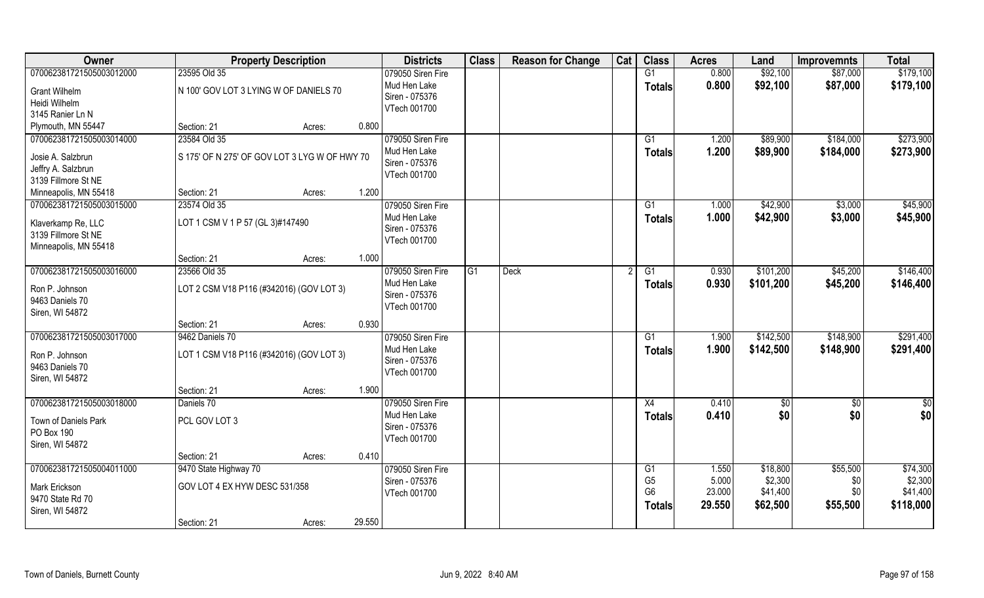| Owner                    | <b>Property Description</b>                   |        |        | <b>Districts</b>  | <b>Class</b>   | <b>Reason for Change</b> | Cat | <b>Class</b>   | <b>Acres</b> | Land      | <b>Improvemnts</b> | <b>Total</b>  |
|--------------------------|-----------------------------------------------|--------|--------|-------------------|----------------|--------------------------|-----|----------------|--------------|-----------|--------------------|---------------|
| 070062381721505003012000 | 23595 Old 35                                  |        |        | 079050 Siren Fire |                |                          |     | G1             | 0.800        | \$92,100  | \$87,000           | \$179,100     |
| <b>Grant Wilhelm</b>     | N 100' GOV LOT 3 LYING W OF DANIELS 70        |        |        | Mud Hen Lake      |                |                          |     | <b>Totals</b>  | 0.800        | \$92,100  | \$87,000           | \$179,100     |
| Heidi Wilhelm            |                                               |        |        | Siren - 075376    |                |                          |     |                |              |           |                    |               |
| 3145 Ranier Ln N         |                                               |        |        | VTech 001700      |                |                          |     |                |              |           |                    |               |
| Plymouth, MN 55447       | Section: 21                                   | Acres: | 0.800  |                   |                |                          |     |                |              |           |                    |               |
| 070062381721505003014000 | 23584 Old 35                                  |        |        | 079050 Siren Fire |                |                          |     | G1             | 1.200        | \$89,900  | \$184,000          | \$273,900     |
|                          |                                               |        |        | Mud Hen Lake      |                |                          |     | Totals         | 1.200        | \$89,900  | \$184,000          | \$273,900     |
| Josie A. Salzbrun        | S 175' OF N 275' OF GOV LOT 3 LYG W OF HWY 70 |        |        | Siren - 075376    |                |                          |     |                |              |           |                    |               |
| Jeffry A. Salzbrun       |                                               |        |        | VTech 001700      |                |                          |     |                |              |           |                    |               |
| 3139 Fillmore St NE      |                                               |        |        |                   |                |                          |     |                |              |           |                    |               |
| Minneapolis, MN 55418    | Section: 21                                   | Acres: | 1.200  |                   |                |                          |     |                |              |           |                    |               |
| 070062381721505003015000 | 23574 Old 35                                  |        |        | 079050 Siren Fire |                |                          |     | G1             | 1.000        | \$42,900  | \$3,000            | \$45,900      |
| Klaverkamp Re, LLC       | LOT 1 CSM V 1 P 57 (GL 3)#147490              |        |        | Mud Hen Lake      |                |                          |     | <b>Totals</b>  | 1.000        | \$42,900  | \$3,000            | \$45,900      |
| 3139 Fillmore St NE      |                                               |        |        | Siren - 075376    |                |                          |     |                |              |           |                    |               |
| Minneapolis, MN 55418    |                                               |        |        | VTech 001700      |                |                          |     |                |              |           |                    |               |
|                          | Section: 21                                   | Acres: | 1.000  |                   |                |                          |     |                |              |           |                    |               |
| 070062381721505003016000 | 23566 Old 35                                  |        |        | 079050 Siren Fire | G <sub>1</sub> | <b>Deck</b>              |     | G1             | 0.930        | \$101,200 | \$45,200           | \$146,400     |
|                          |                                               |        |        | Mud Hen Lake      |                |                          |     | <b>Totals</b>  | 0.930        | \$101,200 | \$45,200           | \$146,400     |
| Ron P. Johnson           | LOT 2 CSM V18 P116 (#342016) (GOV LOT 3)      |        |        | Siren - 075376    |                |                          |     |                |              |           |                    |               |
| 9463 Daniels 70          |                                               |        |        | VTech 001700      |                |                          |     |                |              |           |                    |               |
| Siren, WI 54872          | Section: 21                                   |        | 0.930  |                   |                |                          |     |                |              |           |                    |               |
| 070062381721505003017000 | 9462 Daniels 70                               | Acres: |        | 079050 Siren Fire |                |                          |     | G1             | 1.900        | \$142,500 | \$148,900          | \$291,400     |
|                          |                                               |        |        | Mud Hen Lake      |                |                          |     |                |              |           |                    |               |
| Ron P. Johnson           | LOT 1 CSM V18 P116 (#342016) (GOV LOT 3)      |        |        | Siren - 075376    |                |                          |     | <b>Totals</b>  | 1.900        | \$142,500 | \$148,900          | \$291,400     |
| 9463 Daniels 70          |                                               |        |        | VTech 001700      |                |                          |     |                |              |           |                    |               |
| Siren, WI 54872          |                                               |        |        |                   |                |                          |     |                |              |           |                    |               |
|                          | Section: 21                                   | Acres: | 1.900  |                   |                |                          |     |                |              |           |                    |               |
| 070062381721505003018000 | Daniels 70                                    |        |        | 079050 Siren Fire |                |                          |     | X4             | 0.410        | \$0       | $\sqrt{50}$        | $\frac{1}{2}$ |
| Town of Daniels Park     | PCL GOV LOT 3                                 |        |        | Mud Hen Lake      |                |                          |     | <b>Totals</b>  | 0.410        | \$0       | \$0                | \$0           |
| PO Box 190               |                                               |        |        | Siren - 075376    |                |                          |     |                |              |           |                    |               |
| Siren, WI 54872          |                                               |        |        | VTech 001700      |                |                          |     |                |              |           |                    |               |
|                          | Section: 21                                   | Acres: | 0.410  |                   |                |                          |     |                |              |           |                    |               |
| 070062381721505004011000 | 9470 State Highway 70                         |        |        | 079050 Siren Fire |                |                          |     | G1             | 1.550        | \$18,800  | \$55,500           | \$74,300      |
|                          |                                               |        |        | Siren - 075376    |                |                          |     | G <sub>5</sub> | 5.000        | \$2,300   | \$0                | \$2,300       |
| Mark Erickson            | GOV LOT 4 EX HYW DESC 531/358                 |        |        | VTech 001700      |                |                          |     | G <sub>6</sub> | 23.000       | \$41,400  | \$0                | \$41,400      |
| 9470 State Rd 70         |                                               |        |        |                   |                |                          |     | <b>Totals</b>  | 29.550       | \$62,500  | \$55,500           | \$118,000     |
| Siren, WI 54872          |                                               |        |        |                   |                |                          |     |                |              |           |                    |               |
|                          | Section: 21                                   | Acres: | 29.550 |                   |                |                          |     |                |              |           |                    |               |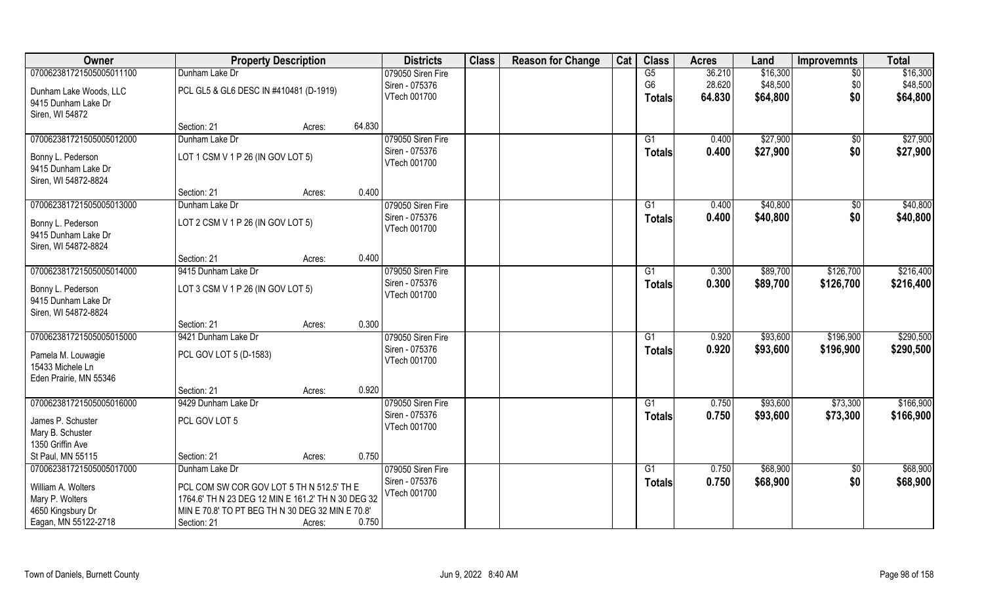| Owner                                    | <b>Property Description</b>                        |        |        | <b>Districts</b>  | <b>Class</b> | <b>Reason for Change</b> | Cat | <b>Class</b>    | <b>Acres</b> | Land     | <b>Improvemnts</b> | <b>Total</b> |
|------------------------------------------|----------------------------------------------------|--------|--------|-------------------|--------------|--------------------------|-----|-----------------|--------------|----------|--------------------|--------------|
| 070062381721505005011100                 | Dunham Lake Dr                                     |        |        | 079050 Siren Fire |              |                          |     | G5              | 36.210       | \$16,300 | $\overline{50}$    | \$16,300     |
| Dunham Lake Woods, LLC                   | PCL GL5 & GL6 DESC IN #410481 (D-1919)             |        |        | Siren - 075376    |              |                          |     | G <sub>6</sub>  | 28.620       | \$48,500 | \$0                | \$48,500     |
| 9415 Dunham Lake Dr                      |                                                    |        |        | VTech 001700      |              |                          |     | <b>Totals</b>   | 64.830       | \$64,800 | \$0                | \$64,800     |
| Siren, WI 54872                          |                                                    |        |        |                   |              |                          |     |                 |              |          |                    |              |
|                                          | Section: 21                                        | Acres: | 64.830 |                   |              |                          |     |                 |              |          |                    |              |
| 070062381721505005012000                 | Dunham Lake Dr                                     |        |        | 079050 Siren Fire |              |                          |     | $\overline{G1}$ | 0.400        | \$27,900 | $\overline{50}$    | \$27,900     |
|                                          | LOT 1 CSM V 1 P 26 (IN GOV LOT 5)                  |        |        | Siren - 075376    |              |                          |     | <b>Totals</b>   | 0.400        | \$27,900 | \$0                | \$27,900     |
| Bonny L. Pederson<br>9415 Dunham Lake Dr |                                                    |        |        | VTech 001700      |              |                          |     |                 |              |          |                    |              |
| Siren, WI 54872-8824                     |                                                    |        |        |                   |              |                          |     |                 |              |          |                    |              |
|                                          | Section: 21                                        | Acres: | 0.400  |                   |              |                          |     |                 |              |          |                    |              |
| 070062381721505005013000                 | Dunham Lake Dr                                     |        |        | 079050 Siren Fire |              |                          |     | G1              | 0.400        | \$40,800 | $\sqrt[6]{30}$     | \$40,800     |
|                                          |                                                    |        |        | Siren - 075376    |              |                          |     | <b>Totals</b>   | 0.400        | \$40,800 | \$0                | \$40,800     |
| Bonny L. Pederson                        | LOT 2 CSM V 1 P 26 (IN GOV LOT 5)                  |        |        | VTech 001700      |              |                          |     |                 |              |          |                    |              |
| 9415 Dunham Lake Dr                      |                                                    |        |        |                   |              |                          |     |                 |              |          |                    |              |
| Siren, WI 54872-8824                     |                                                    |        | 0.400  |                   |              |                          |     |                 |              |          |                    |              |
| 070062381721505005014000                 | Section: 21<br>9415 Dunham Lake Dr                 | Acres: |        | 079050 Siren Fire |              |                          |     |                 |              |          |                    | \$216,400    |
|                                          |                                                    |        |        | Siren - 075376    |              |                          |     | G1              | 0.300        | \$89,700 | \$126,700          |              |
| Bonny L. Pederson                        | LOT 3 CSM V 1 P 26 (IN GOV LOT 5)                  |        |        | VTech 001700      |              |                          |     | <b>Totals</b>   | 0.300        | \$89,700 | \$126,700          | \$216,400    |
| 9415 Dunham Lake Dr                      |                                                    |        |        |                   |              |                          |     |                 |              |          |                    |              |
| Siren, WI 54872-8824                     |                                                    |        |        |                   |              |                          |     |                 |              |          |                    |              |
|                                          | Section: 21                                        | Acres: | 0.300  |                   |              |                          |     |                 |              |          |                    |              |
| 070062381721505005015000                 | 9421 Dunham Lake Dr                                |        |        | 079050 Siren Fire |              |                          |     | G1              | 0.920        | \$93,600 | \$196,900          | \$290,500    |
| Pamela M. Louwagie                       | PCL GOV LOT 5 (D-1583)                             |        |        | Siren - 075376    |              |                          |     | Totals          | 0.920        | \$93,600 | \$196,900          | \$290,500    |
| 15433 Michele Ln                         |                                                    |        |        | VTech 001700      |              |                          |     |                 |              |          |                    |              |
| Eden Prairie, MN 55346                   |                                                    |        |        |                   |              |                          |     |                 |              |          |                    |              |
|                                          | Section: 21                                        | Acres: | 0.920  |                   |              |                          |     |                 |              |          |                    |              |
| 070062381721505005016000                 | 9429 Dunham Lake Dr                                |        |        | 079050 Siren Fire |              |                          |     | G1              | 0.750        | \$93,600 | \$73,300           | \$166,900    |
| James P. Schuster                        | PCL GOV LOT 5                                      |        |        | Siren - 075376    |              |                          |     | <b>Totals</b>   | 0.750        | \$93,600 | \$73,300           | \$166,900    |
| Mary B. Schuster                         |                                                    |        |        | VTech 001700      |              |                          |     |                 |              |          |                    |              |
| 1350 Griffin Ave                         |                                                    |        |        |                   |              |                          |     |                 |              |          |                    |              |
| St Paul, MN 55115                        | Section: 21                                        | Acres: | 0.750  |                   |              |                          |     |                 |              |          |                    |              |
| 070062381721505005017000                 | Dunham Lake Dr                                     |        |        | 079050 Siren Fire |              |                          |     | G1              | 0.750        | \$68,900 | $\overline{50}$    | \$68,900     |
| William A. Wolters                       | PCL COM SW COR GOV LOT 5 TH N 512.5' TH E          |        |        | Siren - 075376    |              |                          |     | <b>Totals</b>   | 0.750        | \$68,900 | \$0                | \$68,900     |
| Mary P. Wolters                          | 1764.6' TH N 23 DEG 12 MIN E 161.2' TH N 30 DEG 32 |        |        | VTech 001700      |              |                          |     |                 |              |          |                    |              |
| 4650 Kingsbury Dr                        | MIN E 70.8' TO PT BEG TH N 30 DEG 32 MIN E 70.8'   |        |        |                   |              |                          |     |                 |              |          |                    |              |
| Eagan, MN 55122-2718                     | Section: 21                                        | Acres: | 0.750  |                   |              |                          |     |                 |              |          |                    |              |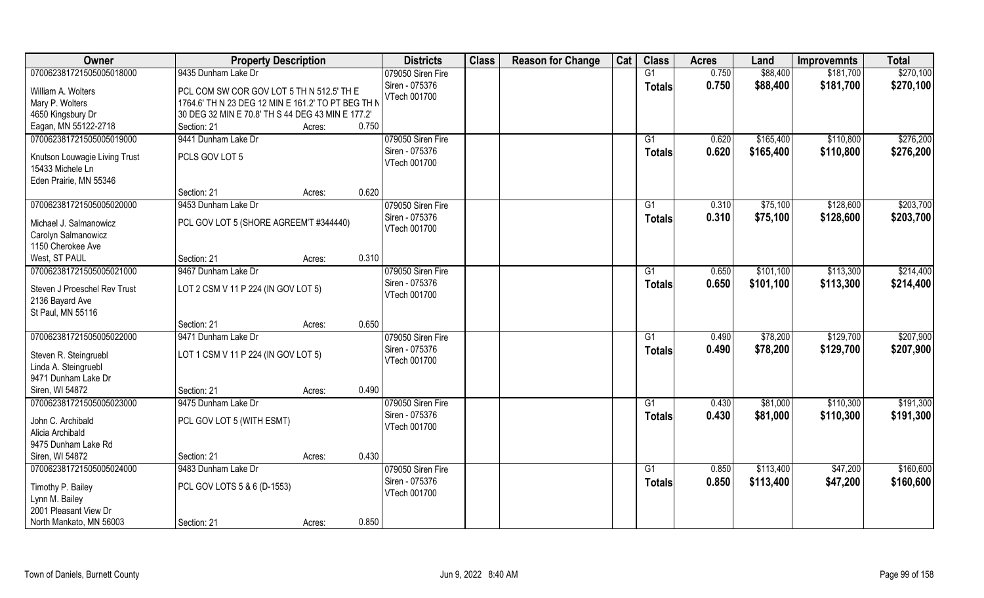| Owner                                           | <b>Property Description</b>                        |                 | <b>Districts</b>                    | <b>Class</b> | <b>Reason for Change</b> | Cat | <b>Class</b>    | <b>Acres</b> | Land      | <b>Improvemnts</b> | <b>Total</b> |
|-------------------------------------------------|----------------------------------------------------|-----------------|-------------------------------------|--------------|--------------------------|-----|-----------------|--------------|-----------|--------------------|--------------|
| 070062381721505005018000                        | 9435 Dunham Lake Dr                                |                 | 079050 Siren Fire                   |              |                          |     | G1              | 0.750        | \$88,400  | \$181,700          | \$270,100    |
| William A. Wolters                              | PCL COM SW COR GOV LOT 5 TH N 512.5' TH E          |                 | Siren - 075376<br>VTech 001700      |              |                          |     | <b>Totals</b>   | 0.750        | \$88,400  | \$181,700          | \$270,100    |
| Mary P. Wolters                                 | 1764.6' TH N 23 DEG 12 MIN E 161.2' TO PT BEG TH N |                 |                                     |              |                          |     |                 |              |           |                    |              |
| 4650 Kingsbury Dr                               | 30 DEG 32 MIN E 70.8' TH S 44 DEG 43 MIN E 177.2'  |                 |                                     |              |                          |     |                 |              |           |                    |              |
| Eagan, MN 55122-2718                            | Section: 21                                        | 0.750<br>Acres: |                                     |              |                          |     |                 |              |           |                    |              |
| 070062381721505005019000                        | 9441 Dunham Lake Dr                                |                 | 079050 Siren Fire                   |              |                          |     | G1              | 0.620        | \$165,400 | \$110,800          | \$276,200    |
| Knutson Louwagie Living Trust                   | PCLS GOV LOT 5                                     |                 | Siren - 075376                      |              |                          |     | <b>Totals</b>   | 0.620        | \$165,400 | \$110,800          | \$276,200    |
| 15433 Michele Ln                                |                                                    |                 | VTech 001700                        |              |                          |     |                 |              |           |                    |              |
| Eden Prairie, MN 55346                          |                                                    |                 |                                     |              |                          |     |                 |              |           |                    |              |
|                                                 | Section: 21                                        | 0.620<br>Acres: |                                     |              |                          |     |                 |              |           |                    |              |
| 070062381721505005020000                        | 9453 Dunham Lake Dr                                |                 | 079050 Siren Fire                   |              |                          |     | G1              | 0.310        | \$75,100  | \$128,600          | \$203,700    |
| Michael J. Salmanowicz                          | PCL GOV LOT 5 (SHORE AGREEM'T #344440)             |                 | Siren - 075376                      |              |                          |     | <b>Totals</b>   | 0.310        | \$75,100  | \$128,600          | \$203,700    |
| Carolyn Salmanowicz                             |                                                    |                 | VTech 001700                        |              |                          |     |                 |              |           |                    |              |
| 1150 Cherokee Ave                               |                                                    |                 |                                     |              |                          |     |                 |              |           |                    |              |
| West, ST PAUL                                   | Section: 21                                        | 0.310<br>Acres: |                                     |              |                          |     |                 |              |           |                    |              |
| 070062381721505005021000                        | 9467 Dunham Lake Dr                                |                 | 079050 Siren Fire                   |              |                          |     | G1              | 0.650        | \$101,100 | \$113,300          | \$214,400    |
| Steven J Proeschel Rev Trust<br>2136 Bayard Ave | LOT 2 CSM V 11 P 224 (IN GOV LOT 5)                |                 | Siren - 075376<br>VTech 001700      |              |                          |     | <b>Totals</b>   | 0.650        | \$101,100 | \$113,300          | \$214,400    |
| St Paul, MN 55116                               |                                                    |                 |                                     |              |                          |     |                 |              |           |                    |              |
|                                                 | Section: 21                                        | 0.650<br>Acres: |                                     |              |                          |     |                 |              |           |                    |              |
| 070062381721505005022000                        | 9471 Dunham Lake Dr                                |                 | 079050 Siren Fire                   |              |                          |     | G1              | 0.490        | \$78,200  | \$129,700          | \$207,900    |
|                                                 |                                                    |                 | Siren - 075376                      |              |                          |     | <b>Totals</b>   | 0.490        | \$78,200  | \$129,700          | \$207,900    |
| Steven R. Steingruebl                           | LOT 1 CSM V 11 P 224 (IN GOV LOT 5)                |                 | VTech 001700                        |              |                          |     |                 |              |           |                    |              |
| Linda A. Steingruebl                            |                                                    |                 |                                     |              |                          |     |                 |              |           |                    |              |
| 9471 Dunham Lake Dr<br>Siren, WI 54872          |                                                    | 0.490           |                                     |              |                          |     |                 |              |           |                    |              |
|                                                 | Section: 21<br>9475 Dunham Lake Dr                 | Acres:          |                                     |              |                          |     |                 |              |           |                    | \$191,300    |
| 070062381721505005023000                        |                                                    |                 | 079050 Siren Fire<br>Siren - 075376 |              |                          |     | G1              | 0.430        | \$81,000  | \$110,300          |              |
| John C. Archibald                               | PCL GOV LOT 5 (WITH ESMT)                          |                 | VTech 001700                        |              |                          |     | <b>Totals</b>   | 0.430        | \$81,000  | \$110,300          | \$191,300    |
| Alicia Archibald                                |                                                    |                 |                                     |              |                          |     |                 |              |           |                    |              |
| 9475 Dunham Lake Rd                             |                                                    |                 |                                     |              |                          |     |                 |              |           |                    |              |
| Siren, WI 54872                                 | Section: 21                                        | 0.430<br>Acres: |                                     |              |                          |     |                 |              |           |                    |              |
| 070062381721505005024000                        | 9483 Dunham Lake Dr                                |                 | 079050 Siren Fire                   |              |                          |     | $\overline{G1}$ | 0.850        | \$113,400 | \$47,200           | \$160,600    |
| Timothy P. Bailey                               | PCL GOV LOTS 5 & 6 (D-1553)                        |                 | Siren - 075376                      |              |                          |     | <b>Totals</b>   | 0.850        | \$113,400 | \$47,200           | \$160,600    |
| Lynn M. Bailey                                  |                                                    |                 | VTech 001700                        |              |                          |     |                 |              |           |                    |              |
| 2001 Pleasant View Dr                           |                                                    |                 |                                     |              |                          |     |                 |              |           |                    |              |
| North Mankato, MN 56003                         | Section: 21                                        | 0.850<br>Acres: |                                     |              |                          |     |                 |              |           |                    |              |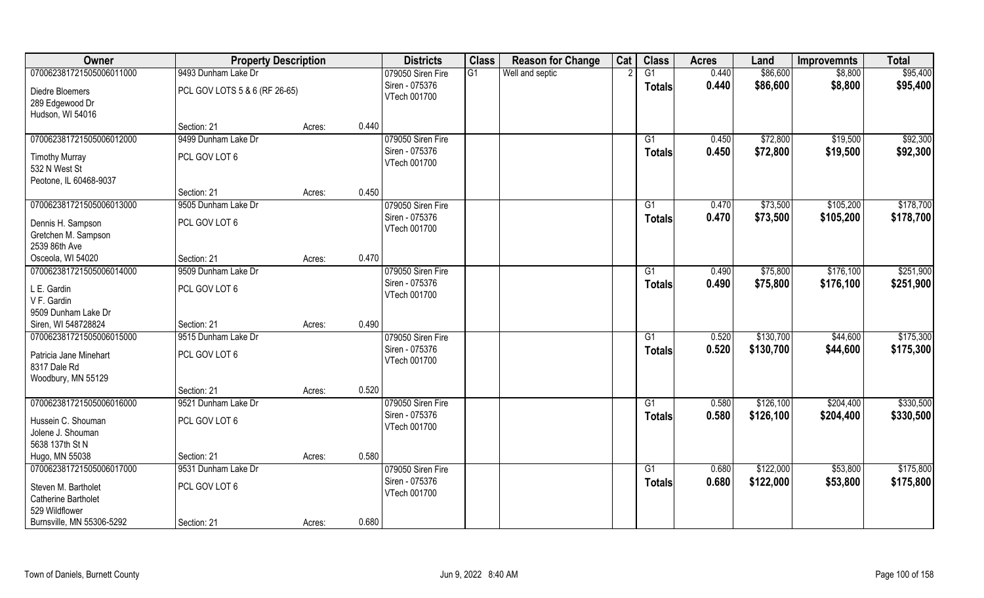| Owner                              | <b>Property Description</b>   |        |       | <b>Districts</b>               | <b>Class</b> | <b>Reason for Change</b> | Cat | <b>Class</b>  | <b>Acres</b> | Land      | <b>Improvemnts</b> | <b>Total</b> |
|------------------------------------|-------------------------------|--------|-------|--------------------------------|--------------|--------------------------|-----|---------------|--------------|-----------|--------------------|--------------|
| 070062381721505006011000           | 9493 Dunham Lake Dr           |        |       | 079050 Siren Fire              | G1           | Well and septic          |     | G1            | 0.440        | \$86,600  | \$8,800            | \$95,400     |
| Diedre Bloemers<br>289 Edgewood Dr | PCL GOV LOTS 5 & 6 (RF 26-65) |        |       | Siren - 075376<br>VTech 001700 |              |                          |     | <b>Totals</b> | 0.440        | \$86,600  | \$8,800            | \$95,400     |
| Hudson, WI 54016                   |                               |        |       |                                |              |                          |     |               |              |           |                    |              |
|                                    | Section: 21                   | Acres: | 0.440 |                                |              |                          |     |               |              |           |                    |              |
| 070062381721505006012000           | 9499 Dunham Lake Dr           |        |       | 079050 Siren Fire              |              |                          |     | G1            | 0.450        | \$72,800  | \$19,500           | \$92,300     |
| <b>Timothy Murray</b>              | PCL GOV LOT 6                 |        |       | Siren - 075376                 |              |                          |     | <b>Totals</b> | 0.450        | \$72,800  | \$19,500           | \$92,300     |
| 532 N West St                      |                               |        |       | VTech 001700                   |              |                          |     |               |              |           |                    |              |
| Peotone, IL 60468-9037             |                               |        |       |                                |              |                          |     |               |              |           |                    |              |
|                                    | Section: 21                   | Acres: | 0.450 |                                |              |                          |     |               |              |           |                    |              |
| 070062381721505006013000           | 9505 Dunham Lake Dr           |        |       | 079050 Siren Fire              |              |                          |     | G1            | 0.470        | \$73,500  | \$105,200          | \$178,700    |
| Dennis H. Sampson                  | PCL GOV LOT 6                 |        |       | Siren - 075376                 |              |                          |     | <b>Totals</b> | 0.470        | \$73,500  | \$105,200          | \$178,700    |
| Gretchen M. Sampson                |                               |        |       | VTech 001700                   |              |                          |     |               |              |           |                    |              |
| 2539 86th Ave                      |                               |        |       |                                |              |                          |     |               |              |           |                    |              |
| Osceola, WI 54020                  | Section: 21                   | Acres: | 0.470 |                                |              |                          |     |               |              |           |                    |              |
| 070062381721505006014000           | 9509 Dunham Lake Dr           |        |       | 079050 Siren Fire              |              |                          |     | G1            | 0.490        | \$75,800  | \$176,100          | \$251,900    |
|                                    |                               |        |       | Siren - 075376                 |              |                          |     | <b>Totals</b> | 0.490        | \$75,800  | \$176,100          | \$251,900    |
| L E. Gardin<br>V F. Gardin         | PCL GOV LOT 6                 |        |       | VTech 001700                   |              |                          |     |               |              |           |                    |              |
| 9509 Dunham Lake Dr                |                               |        |       |                                |              |                          |     |               |              |           |                    |              |
| Siren, WI 548728824                | Section: 21                   | Acres: | 0.490 |                                |              |                          |     |               |              |           |                    |              |
| 070062381721505006015000           | 9515 Dunham Lake Dr           |        |       | 079050 Siren Fire              |              |                          |     | G1            | 0.520        | \$130,700 | \$44,600           | \$175,300    |
|                                    |                               |        |       | Siren - 075376                 |              |                          |     | <b>Totals</b> | 0.520        | \$130,700 | \$44,600           | \$175,300    |
| Patricia Jane Minehart             | PCL GOV LOT 6                 |        |       | VTech 001700                   |              |                          |     |               |              |           |                    |              |
| 8317 Dale Rd                       |                               |        |       |                                |              |                          |     |               |              |           |                    |              |
| Woodbury, MN 55129                 | Section: 21                   |        | 0.520 |                                |              |                          |     |               |              |           |                    |              |
| 070062381721505006016000           | 9521 Dunham Lake Dr           | Acres: |       | 079050 Siren Fire              |              |                          |     | G1            | 0.580        | \$126,100 | \$204,400          | \$330,500    |
|                                    |                               |        |       | Siren - 075376                 |              |                          |     |               | 0.580        | \$126,100 | \$204,400          | \$330,500    |
| Hussein C. Shouman                 | PCL GOV LOT 6                 |        |       | VTech 001700                   |              |                          |     | <b>Totals</b> |              |           |                    |              |
| Jolene J. Shouman                  |                               |        |       |                                |              |                          |     |               |              |           |                    |              |
| 5638 137th St N                    |                               |        |       |                                |              |                          |     |               |              |           |                    |              |
| Hugo, MN 55038                     | Section: 21                   | Acres: | 0.580 |                                |              |                          |     |               |              |           |                    |              |
| 070062381721505006017000           | 9531 Dunham Lake Dr           |        |       | 079050 Siren Fire              |              |                          |     | G1            | 0.680        | \$122,000 | \$53,800           | \$175,800    |
| Steven M. Bartholet                | PCL GOV LOT 6                 |        |       | Siren - 075376                 |              |                          |     | <b>Totals</b> | 0.680        | \$122,000 | \$53,800           | \$175,800    |
| <b>Catherine Bartholet</b>         |                               |        |       | VTech 001700                   |              |                          |     |               |              |           |                    |              |
| 529 Wildflower                     |                               |        |       |                                |              |                          |     |               |              |           |                    |              |
| Burnsville, MN 55306-5292          | Section: 21                   | Acres: | 0.680 |                                |              |                          |     |               |              |           |                    |              |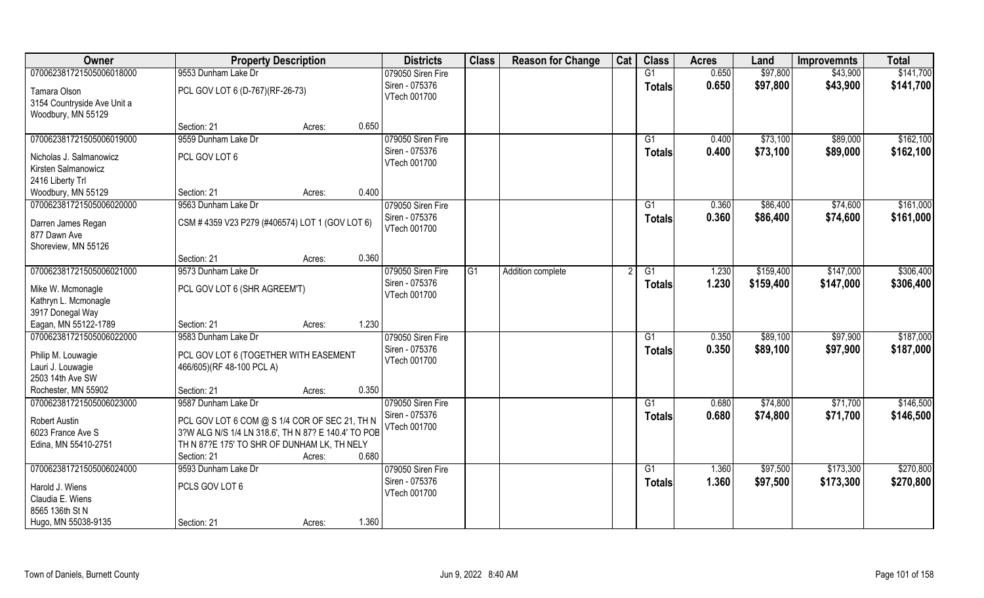| Owner                                             | <b>Property Description</b>                         |        |       | <b>Districts</b>                    | <b>Class</b> | <b>Reason for Change</b> | Cat | <b>Class</b>  | <b>Acres</b> | Land      | <b>Improvemnts</b> | <b>Total</b> |
|---------------------------------------------------|-----------------------------------------------------|--------|-------|-------------------------------------|--------------|--------------------------|-----|---------------|--------------|-----------|--------------------|--------------|
| 070062381721505006018000                          | 9553 Dunham Lake Dr                                 |        |       | 079050 Siren Fire                   |              |                          |     | G1            | 0.650        | \$97,800  | \$43,900           | \$141,700    |
| Tamara Olson                                      | PCL GOV LOT 6 (D-767)(RF-26-73)                     |        |       | Siren - 075376<br>VTech 001700      |              |                          |     | <b>Totals</b> | 0.650        | \$97,800  | \$43,900           | \$141,700    |
| 3154 Countryside Ave Unit a<br>Woodbury, MN 55129 |                                                     |        |       |                                     |              |                          |     |               |              |           |                    |              |
|                                                   | Section: 21                                         | Acres: | 0.650 |                                     |              |                          |     |               |              |           |                    |              |
| 070062381721505006019000                          | 9559 Dunham Lake Dr                                 |        |       | 079050 Siren Fire                   |              |                          |     | G1            | 0.400        | \$73,100  | \$89,000           | \$162,100    |
| Nicholas J. Salmanowicz                           | PCL GOV LOT 6                                       |        |       | Siren - 075376                      |              |                          |     | <b>Totals</b> | 0.400        | \$73,100  | \$89,000           | \$162,100    |
| Kirsten Salmanowicz                               |                                                     |        |       | VTech 001700                        |              |                          |     |               |              |           |                    |              |
| 2416 Liberty Trl                                  |                                                     |        |       |                                     |              |                          |     |               |              |           |                    |              |
| Woodbury, MN 55129                                | Section: 21                                         | Acres: | 0.400 |                                     |              |                          |     |               |              |           |                    |              |
| 070062381721505006020000                          | 9563 Dunham Lake Dr                                 |        |       | 079050 Siren Fire                   |              |                          |     | G1            | 0.360        | \$86,400  | \$74,600           | \$161,000    |
| Darren James Regan                                | CSM #4359 V23 P279 (#406574) LOT 1 (GOV LOT 6)      |        |       | Siren - 075376                      |              |                          |     | <b>Totals</b> | 0.360        | \$86,400  | \$74,600           | \$161,000    |
| 877 Dawn Ave                                      |                                                     |        |       | VTech 001700                        |              |                          |     |               |              |           |                    |              |
| Shoreview, MN 55126                               |                                                     |        |       |                                     |              |                          |     |               |              |           |                    |              |
|                                                   | Section: 21                                         | Acres: | 0.360 |                                     |              |                          |     |               |              |           |                    |              |
| 070062381721505006021000                          | 9573 Dunham Lake Dr                                 |        |       | 079050 Siren Fire                   | G1           | Addition complete        |     | G1            | 1.230        | \$159,400 | \$147,000          | \$306,400    |
|                                                   |                                                     |        |       | Siren - 075376                      |              |                          |     | <b>Totals</b> | 1.230        | \$159,400 | \$147,000          | \$306,400    |
| Mike W. Mcmonagle<br>Kathryn L. Mcmonagle         | PCL GOV LOT 6 (SHR AGREEM'T)                        |        |       | VTech 001700                        |              |                          |     |               |              |           |                    |              |
| 3917 Donegal Way                                  |                                                     |        |       |                                     |              |                          |     |               |              |           |                    |              |
| Eagan, MN 55122-1789                              | Section: 21                                         | Acres: | 1.230 |                                     |              |                          |     |               |              |           |                    |              |
| 070062381721505006022000                          | 9583 Dunham Lake Dr                                 |        |       | 079050 Siren Fire                   |              |                          |     | G1            | 0.350        | \$89,100  | \$97,900           | \$187,000    |
|                                                   |                                                     |        |       | Siren - 075376                      |              |                          |     | <b>Totals</b> | 0.350        | \$89,100  | \$97,900           | \$187,000    |
| Philip M. Louwagie                                | PCL GOV LOT 6 (TOGETHER WITH EASEMENT               |        |       | VTech 001700                        |              |                          |     |               |              |           |                    |              |
| Lauri J. Louwagie<br>2503 14th Ave SW             | 466/605)(RF 48-100 PCL A)                           |        |       |                                     |              |                          |     |               |              |           |                    |              |
| Rochester, MN 55902                               | Section: 21                                         | Acres: | 0.350 |                                     |              |                          |     |               |              |           |                    |              |
| 070062381721505006023000                          | 9587 Dunham Lake Dr                                 |        |       | 079050 Siren Fire                   |              |                          |     | G1            | 0.680        | \$74,800  | \$71,700           | \$146,500    |
|                                                   |                                                     |        |       | Siren - 075376                      |              |                          |     | <b>Totals</b> | 0.680        | \$74,800  | \$71,700           | \$146,500    |
| Robert Austin                                     | PCL GOV LOT 6 COM @ S 1/4 COR OF SEC 21, TH N       |        |       | VTech 001700                        |              |                          |     |               |              |           |                    |              |
| 6023 France Ave S                                 | 3?W ALG N/S 1/4 LN 318.6', TH N 87? E 140.4' TO POB |        |       |                                     |              |                          |     |               |              |           |                    |              |
| Edina, MN 55410-2751                              | TH N 87?E 175' TO SHR OF DUNHAM LK, TH NELY         |        |       |                                     |              |                          |     |               |              |           |                    |              |
|                                                   | Section: 21                                         | Acres: | 0.680 |                                     |              |                          |     |               |              |           |                    |              |
| 070062381721505006024000                          | 9593 Dunham Lake Dr                                 |        |       | 079050 Siren Fire<br>Siren - 075376 |              |                          |     | G1            | 1.360        | \$97,500  | \$173,300          | \$270,800    |
| Harold J. Wiens                                   | PCLS GOV LOT 6                                      |        |       | VTech 001700                        |              |                          |     | <b>Totals</b> | 1.360        | \$97,500  | \$173,300          | \$270,800    |
| Claudia E. Wiens                                  |                                                     |        |       |                                     |              |                          |     |               |              |           |                    |              |
| 8565 136th St N                                   |                                                     |        |       |                                     |              |                          |     |               |              |           |                    |              |
| Hugo, MN 55038-9135                               | Section: 21                                         | Acres: | 1.360 |                                     |              |                          |     |               |              |           |                    |              |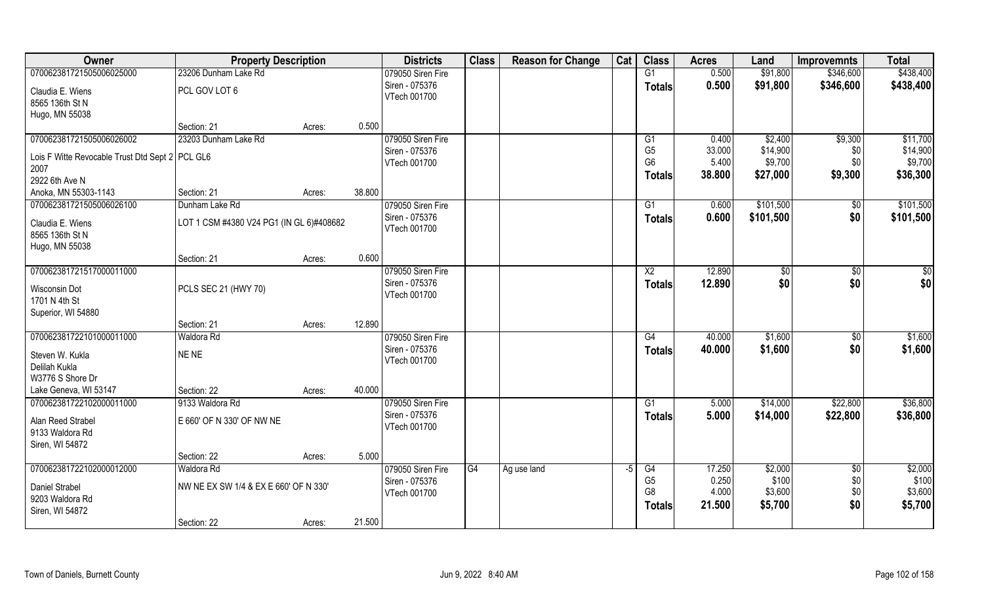| Owner                                           | <b>Property Description</b>              |        |        | <b>Districts</b>  | <b>Class</b> | <b>Reason for Change</b> | Cat | <b>Class</b>   | <b>Acres</b> | Land      | <b>Improvemnts</b> | <b>Total</b> |
|-------------------------------------------------|------------------------------------------|--------|--------|-------------------|--------------|--------------------------|-----|----------------|--------------|-----------|--------------------|--------------|
| 070062381721505006025000                        | 23206 Dunham Lake Rd                     |        |        | 079050 Siren Fire |              |                          |     | G1             | 0.500        | \$91,800  | \$346,600          | \$438,400    |
| Claudia E. Wiens                                | PCL GOV LOT 6                            |        |        | Siren - 075376    |              |                          |     | <b>Totals</b>  | 0.500        | \$91,800  | \$346,600          | \$438,400    |
| 8565 136th St N                                 |                                          |        |        | VTech 001700      |              |                          |     |                |              |           |                    |              |
| Hugo, MN 55038                                  |                                          |        |        |                   |              |                          |     |                |              |           |                    |              |
|                                                 | Section: 21                              | Acres: | 0.500  |                   |              |                          |     |                |              |           |                    |              |
| 070062381721505006026002                        | 23203 Dunham Lake Rd                     |        |        | 079050 Siren Fire |              |                          |     | G1             | 0.400        | \$2,400   | \$9,300            | \$11,700     |
| Lois F Witte Revocable Trust Dtd Sept 2 PCL GL6 |                                          |        |        | Siren - 075376    |              |                          |     | G <sub>5</sub> | 33.000       | \$14,900  | \$0                | \$14,900     |
| 2007                                            |                                          |        |        | VTech 001700      |              |                          |     | G <sub>6</sub> | 5.400        | \$9,700   | \$0                | \$9,700      |
| 2922 6th Ave N                                  |                                          |        |        |                   |              |                          |     | <b>Totals</b>  | 38.800       | \$27,000  | \$9,300            | \$36,300     |
| Anoka, MN 55303-1143                            | Section: 21                              | Acres: | 38.800 |                   |              |                          |     |                |              |           |                    |              |
| 070062381721505006026100                        | Dunham Lake Rd                           |        |        | 079050 Siren Fire |              |                          |     | G1             | 0.600        | \$101,500 | $\sqrt[6]{30}$     | \$101,500    |
| Claudia E. Wiens                                | LOT 1 CSM #4380 V24 PG1 (IN GL 6)#408682 |        |        | Siren - 075376    |              |                          |     | <b>Totals</b>  | 0.600        | \$101,500 | \$0                | \$101,500    |
| 8565 136th St N                                 |                                          |        |        | VTech 001700      |              |                          |     |                |              |           |                    |              |
| Hugo, MN 55038                                  |                                          |        |        |                   |              |                          |     |                |              |           |                    |              |
|                                                 | Section: 21                              | Acres: | 0.600  |                   |              |                          |     |                |              |           |                    |              |
| 070062381721517000011000                        |                                          |        |        | 079050 Siren Fire |              |                          |     | X <sub>2</sub> | 12.890       | \$0       | \$0                | \$0          |
| Wisconsin Dot                                   | PCLS SEC 21 (HWY 70)                     |        |        | Siren - 075376    |              |                          |     | Totals         | 12.890       | \$0       | \$0                | \$0          |
| 1701 N 4th St                                   |                                          |        |        | VTech 001700      |              |                          |     |                |              |           |                    |              |
| Superior, WI 54880                              |                                          |        |        |                   |              |                          |     |                |              |           |                    |              |
|                                                 | Section: 21                              | Acres: | 12.890 |                   |              |                          |     |                |              |           |                    |              |
| 070062381722101000011000                        | Waldora Rd                               |        |        | 079050 Siren Fire |              |                          |     | G4             | 40.000       | \$1,600   | $\overline{50}$    | \$1,600      |
| Steven W. Kukla                                 | NE NE                                    |        |        | Siren - 075376    |              |                          |     | <b>Totals</b>  | 40.000       | \$1,600   | \$0                | \$1,600      |
| Delilah Kukla                                   |                                          |        |        | VTech 001700      |              |                          |     |                |              |           |                    |              |
| W3776 S Shore Dr                                |                                          |        |        |                   |              |                          |     |                |              |           |                    |              |
| Lake Geneva, WI 53147                           | Section: 22                              | Acres: | 40.000 |                   |              |                          |     |                |              |           |                    |              |
| 070062381722102000011000                        | 9133 Waldora Rd                          |        |        | 079050 Siren Fire |              |                          |     | G1             | 5.000        | \$14,000  | \$22,800           | \$36,800     |
|                                                 | E 660' OF N 330' OF NW NE                |        |        | Siren - 075376    |              |                          |     | <b>Totals</b>  | 5.000        | \$14,000  | \$22,800           | \$36,800     |
| Alan Reed Strabel<br>9133 Waldora Rd            |                                          |        |        | VTech 001700      |              |                          |     |                |              |           |                    |              |
| Siren, WI 54872                                 |                                          |        |        |                   |              |                          |     |                |              |           |                    |              |
|                                                 | Section: 22                              | Acres: | 5.000  |                   |              |                          |     |                |              |           |                    |              |
| 070062381722102000012000                        | Waldora Rd                               |        |        | 079050 Siren Fire | G4           | Ag use land              | -5  | G4             | 17.250       | \$2,000   | $\overline{30}$    | \$2,000      |
|                                                 |                                          |        |        | Siren - 075376    |              |                          |     | G <sub>5</sub> | 0.250        | \$100     | \$0                | \$100        |
| Daniel Strabel<br>9203 Waldora Rd               | NW NE EX SW 1/4 & EX E 660' OF N 330'    |        |        | VTech 001700      |              |                          |     | G8             | 4.000        | \$3,600   | \$0                | \$3,600      |
| Siren, WI 54872                                 |                                          |        |        |                   |              |                          |     | <b>Totals</b>  | 21.500       | \$5,700   | \$0                | \$5,700      |
|                                                 |                                          |        |        |                   |              |                          |     |                |              |           |                    |              |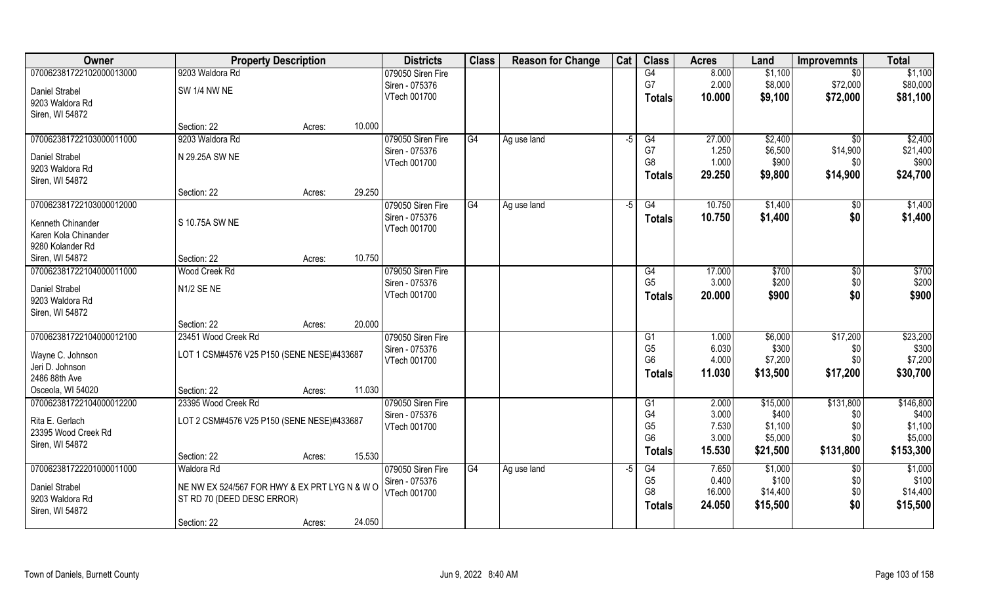| Owner                    | <b>Property Description</b>                   |        |        | <b>Districts</b>  | <b>Class</b>    | <b>Reason for Change</b> | Cat  | <b>Class</b>   | <b>Acres</b> | Land     | <b>Improvemnts</b> | <b>Total</b> |
|--------------------------|-----------------------------------------------|--------|--------|-------------------|-----------------|--------------------------|------|----------------|--------------|----------|--------------------|--------------|
| 070062381722102000013000 | 9203 Waldora Rd                               |        |        | 079050 Siren Fire |                 |                          |      | G4             | 8.000        | \$1,100  | $\overline{50}$    | \$1,100      |
| Daniel Strabel           | <b>SW 1/4 NW NE</b>                           |        |        | Siren - 075376    |                 |                          |      | G7             | 2.000        | \$8,000  | \$72,000           | \$80,000     |
| 9203 Waldora Rd          |                                               |        |        | VTech 001700      |                 |                          |      | <b>Totals</b>  | 10.000       | \$9,100  | \$72,000           | \$81,100     |
| Siren, WI 54872          |                                               |        |        |                   |                 |                          |      |                |              |          |                    |              |
|                          | Section: 22                                   | Acres: | 10.000 |                   |                 |                          |      |                |              |          |                    |              |
| 070062381722103000011000 | 9203 Waldora Rd                               |        |        | 079050 Siren Fire | G4              | Ag use land              | -5   | G4             | 27.000       | \$2,400  | $\sqrt{$0}$        | \$2,400      |
| <b>Daniel Strabel</b>    | N 29.25A SW NE                                |        |        | Siren - 075376    |                 |                          |      | G7             | 1.250        | \$6,500  | \$14,900           | \$21,400     |
| 9203 Waldora Rd          |                                               |        |        | VTech 001700      |                 |                          |      | G <sub>8</sub> | 1.000        | \$900    | \$0                | \$900        |
| Siren, WI 54872          |                                               |        |        |                   |                 |                          |      | <b>Totals</b>  | 29.250       | \$9,800  | \$14,900           | \$24,700     |
|                          | Section: 22                                   | Acres: | 29.250 |                   |                 |                          |      |                |              |          |                    |              |
| 070062381722103000012000 |                                               |        |        | 079050 Siren Fire | $\overline{G4}$ | Ag use land              | -5   | G4             | 10.750       | \$1,400  | \$0                | \$1,400      |
| Kenneth Chinander        | S 10.75A SW NE                                |        |        | Siren - 075376    |                 |                          |      | <b>Totals</b>  | 10.750       | \$1,400  | \$0                | \$1,400      |
| Karen Kola Chinander     |                                               |        |        | VTech 001700      |                 |                          |      |                |              |          |                    |              |
| 9280 Kolander Rd         |                                               |        |        |                   |                 |                          |      |                |              |          |                    |              |
| Siren, WI 54872          | Section: 22                                   | Acres: | 10.750 |                   |                 |                          |      |                |              |          |                    |              |
| 070062381722104000011000 | Wood Creek Rd                                 |        |        | 079050 Siren Fire |                 |                          |      | G4             | 17.000       | \$700    | \$0                | \$700        |
| Daniel Strabel           | N1/2 SE NE                                    |        |        | Siren - 075376    |                 |                          |      | G <sub>5</sub> | 3.000        | \$200    | \$0                | \$200        |
| 9203 Waldora Rd          |                                               |        |        | VTech 001700      |                 |                          |      | <b>Totals</b>  | 20.000       | \$900    | \$0                | \$900        |
| Siren, WI 54872          |                                               |        |        |                   |                 |                          |      |                |              |          |                    |              |
|                          | Section: 22                                   | Acres: | 20.000 |                   |                 |                          |      |                |              |          |                    |              |
| 070062381722104000012100 | 23451 Wood Creek Rd                           |        |        | 079050 Siren Fire |                 |                          |      | G1             | 1.000        | \$6,000  | \$17,200           | \$23,200     |
| Wayne C. Johnson         | LOT 1 CSM#4576 V25 P150 (SENE NESE)#433687    |        |        | Siren - 075376    |                 |                          |      | G <sub>5</sub> | 6.030        | \$300    | \$0                | \$300        |
| Jeri D. Johnson          |                                               |        |        | VTech 001700      |                 |                          |      | G <sub>6</sub> | 4.000        | \$7,200  | \$0                | \$7,200      |
| 2486 88th Ave            |                                               |        |        |                   |                 |                          |      | <b>Totals</b>  | 11.030       | \$13,500 | \$17,200           | \$30,700     |
| Osceola, WI 54020        | Section: 22                                   | Acres: | 11.030 |                   |                 |                          |      |                |              |          |                    |              |
| 070062381722104000012200 | 23395 Wood Creek Rd                           |        |        | 079050 Siren Fire |                 |                          |      | G1             | 2.000        | \$15,000 | \$131,800          | \$146,800    |
| Rita E. Gerlach          | LOT 2 CSM#4576 V25 P150 (SENE NESE)#433687    |        |        | Siren - 075376    |                 |                          |      | G4             | 3.000        | \$400    | \$0                | \$400        |
| 23395 Wood Creek Rd      |                                               |        |        | VTech 001700      |                 |                          |      | G <sub>5</sub> | 7.530        | \$1,100  | \$0                | \$1,100      |
| Siren, WI 54872          |                                               |        |        |                   |                 |                          |      | G <sub>6</sub> | 3.000        | \$5,000  | \$0                | \$5,000      |
|                          | Section: 22                                   | Acres: | 15.530 |                   |                 |                          |      | <b>Totals</b>  | 15.530       | \$21,500 | \$131,800          | \$153,300    |
| 070062381722201000011000 | Waldora Rd                                    |        |        | 079050 Siren Fire | G4              | Ag use land              | $-5$ | G4             | 7.650        | \$1,000  | $\overline{50}$    | \$1,000      |
| Daniel Strabel           | NE NW EX 524/567 FOR HWY & EX PRT LYG N & W O |        |        | Siren - 075376    |                 |                          |      | G <sub>5</sub> | 0.400        | \$100    | \$0                | \$100        |
| 9203 Waldora Rd          | ST RD 70 (DEED DESC ERROR)                    |        |        | VTech 001700      |                 |                          |      | G <sub>8</sub> | 16.000       | \$14,400 | \$0                | \$14,400     |
| Siren, WI 54872          |                                               |        |        |                   |                 |                          |      | <b>Totals</b>  | 24.050       | \$15,500 | \$0                | \$15,500     |
|                          | Section: 22                                   | Acres: | 24.050 |                   |                 |                          |      |                |              |          |                    |              |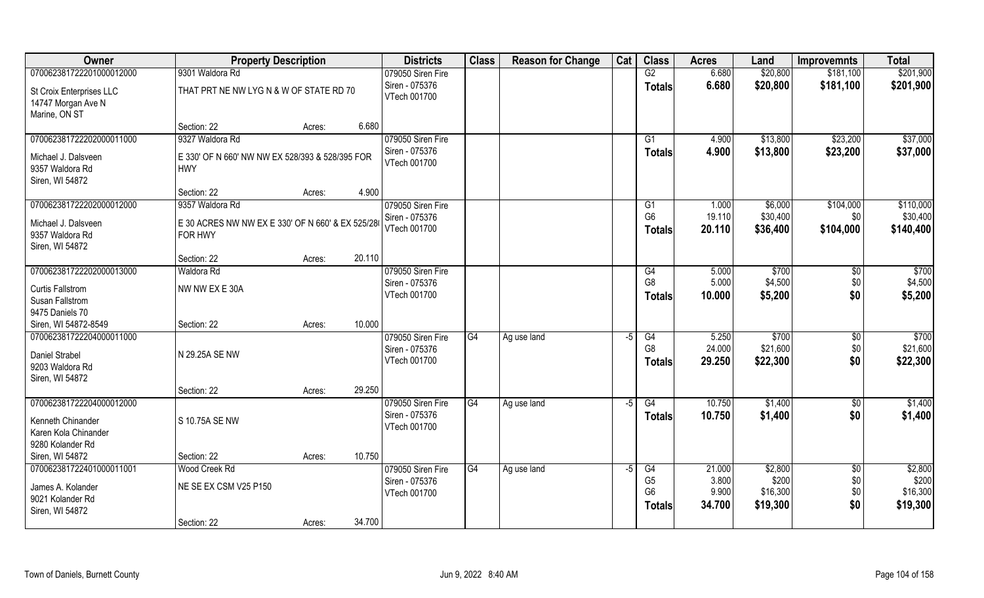| Owner                                          | <b>Property Description</b>                      |        |        | <b>Districts</b>                    | <b>Class</b> | <b>Reason for Change</b> | Cat  | <b>Class</b>    | <b>Acres</b> | Land     | <b>Improvemnts</b> | <b>Total</b> |
|------------------------------------------------|--------------------------------------------------|--------|--------|-------------------------------------|--------------|--------------------------|------|-----------------|--------------|----------|--------------------|--------------|
| 070062381722201000012000                       | 9301 Waldora Rd                                  |        |        | 079050 Siren Fire                   |              |                          |      | G2              | 6.680        | \$20,800 | \$181,100          | \$201,900    |
| St Croix Enterprises LLC<br>14747 Morgan Ave N | THAT PRT NE NW LYG N & W OF STATE RD 70          |        |        | Siren - 075376<br>VTech 001700      |              |                          |      | <b>Totals</b>   | 6.680        | \$20,800 | \$181,100          | \$201,900    |
| Marine, ON ST                                  |                                                  |        |        |                                     |              |                          |      |                 |              |          |                    |              |
| 070062381722202000011000                       | Section: 22<br>9327 Waldora Rd                   | Acres: | 6.680  |                                     |              |                          |      | $\overline{G1}$ |              |          | \$23,200           | \$37,000     |
|                                                |                                                  |        |        | 079050 Siren Fire<br>Siren - 075376 |              |                          |      |                 | 4.900        | \$13,800 |                    |              |
| Michael J. Dalsveen                            | E 330' OF N 660' NW NW EX 528/393 & 528/395 FOR  |        |        | VTech 001700                        |              |                          |      | Totals          | 4.900        | \$13,800 | \$23,200           | \$37,000     |
| 9357 Waldora Rd                                | <b>HWY</b>                                       |        |        |                                     |              |                          |      |                 |              |          |                    |              |
| Siren, WI 54872                                |                                                  |        |        |                                     |              |                          |      |                 |              |          |                    |              |
|                                                | Section: 22                                      | Acres: | 4.900  |                                     |              |                          |      |                 |              |          |                    |              |
| 070062381722202000012000                       | 9357 Waldora Rd                                  |        |        | 079050 Siren Fire                   |              |                          |      | G1              | 1.000        | \$6,000  | \$104,000          | \$110,000    |
| Michael J. Dalsveen                            | E 30 ACRES NW NW EX E 330' OF N 660' & EX 525/28 |        |        | Siren - 075376                      |              |                          |      | G <sub>6</sub>  | 19.110       | \$30,400 | \$0                | \$30,400     |
| 9357 Waldora Rd                                | FOR HWY                                          |        |        | VTech 001700                        |              |                          |      | <b>Totals</b>   | 20.110       | \$36,400 | \$104,000          | \$140,400    |
| Siren, WI 54872                                |                                                  |        |        |                                     |              |                          |      |                 |              |          |                    |              |
|                                                | Section: 22                                      | Acres: | 20.110 |                                     |              |                          |      |                 |              |          |                    |              |
| 070062381722202000013000                       | Waldora Rd                                       |        |        | 079050 Siren Fire                   |              |                          |      | G4              | 5.000        | \$700    | \$0                | \$700        |
| <b>Curtis Fallstrom</b>                        | NW NW EX E 30A                                   |        |        | Siren - 075376                      |              |                          |      | G <sub>8</sub>  | 5.000        | \$4,500  | \$0                | \$4,500      |
| Susan Fallstrom                                |                                                  |        |        | VTech 001700                        |              |                          |      | <b>Totals</b>   | 10.000       | \$5,200  | \$0                | \$5,200      |
| 9475 Daniels 70                                |                                                  |        |        |                                     |              |                          |      |                 |              |          |                    |              |
| Siren, WI 54872-8549                           | Section: 22                                      | Acres: | 10.000 |                                     |              |                          |      |                 |              |          |                    |              |
| 070062381722204000011000                       |                                                  |        |        | 079050 Siren Fire                   | G4           | Ag use land              | $-5$ | G4              | 5.250        | \$700    | $\sqrt[6]{}$       | \$700        |
|                                                |                                                  |        |        | Siren - 075376                      |              |                          |      | G <sub>8</sub>  | 24.000       | \$21,600 | \$0                | \$21,600     |
| <b>Daniel Strabel</b>                          | N 29.25A SE NW                                   |        |        | VTech 001700                        |              |                          |      | <b>Totals</b>   | 29.250       | \$22,300 | \$0                | \$22,300     |
| 9203 Waldora Rd                                |                                                  |        |        |                                     |              |                          |      |                 |              |          |                    |              |
| Siren, WI 54872                                |                                                  |        | 29.250 |                                     |              |                          |      |                 |              |          |                    |              |
| 070062381722204000012000                       | Section: 22                                      | Acres: |        | 079050 Siren Fire                   | G4           |                          | -5   | G4              | 10.750       | \$1,400  |                    | \$1,400      |
|                                                |                                                  |        |        | Siren - 075376                      |              | Ag use land              |      |                 | 10.750       | \$1,400  | $\sqrt{6}$<br>\$0  | \$1,400      |
| Kenneth Chinander                              | S 10.75A SE NW                                   |        |        | VTech 001700                        |              |                          |      | <b>Totals</b>   |              |          |                    |              |
| Karen Kola Chinander                           |                                                  |        |        |                                     |              |                          |      |                 |              |          |                    |              |
| 9280 Kolander Rd                               |                                                  |        |        |                                     |              |                          |      |                 |              |          |                    |              |
| Siren, WI 54872                                | Section: 22                                      | Acres: | 10.750 |                                     |              |                          |      |                 |              |          |                    |              |
| 070062381722401000011001                       | Wood Creek Rd                                    |        |        | 079050 Siren Fire                   | G4           | Ag use land              | $-5$ | G4              | 21.000       | \$2,800  | $\overline{50}$    | \$2,800      |
| James A. Kolander                              | NE SE EX CSM V25 P150                            |        |        | Siren - 075376                      |              |                          |      | G <sub>5</sub>  | 3.800        | \$200    | \$0                | \$200        |
| 9021 Kolander Rd                               |                                                  |        |        | VTech 001700                        |              |                          |      | G <sub>6</sub>  | 9.900        | \$16,300 | \$0                | \$16,300     |
| Siren, WI 54872                                |                                                  |        |        |                                     |              |                          |      | <b>Totals</b>   | 34.700       | \$19,300 | \$0                | \$19,300     |
|                                                | Section: 22                                      | Acres: | 34.700 |                                     |              |                          |      |                 |              |          |                    |              |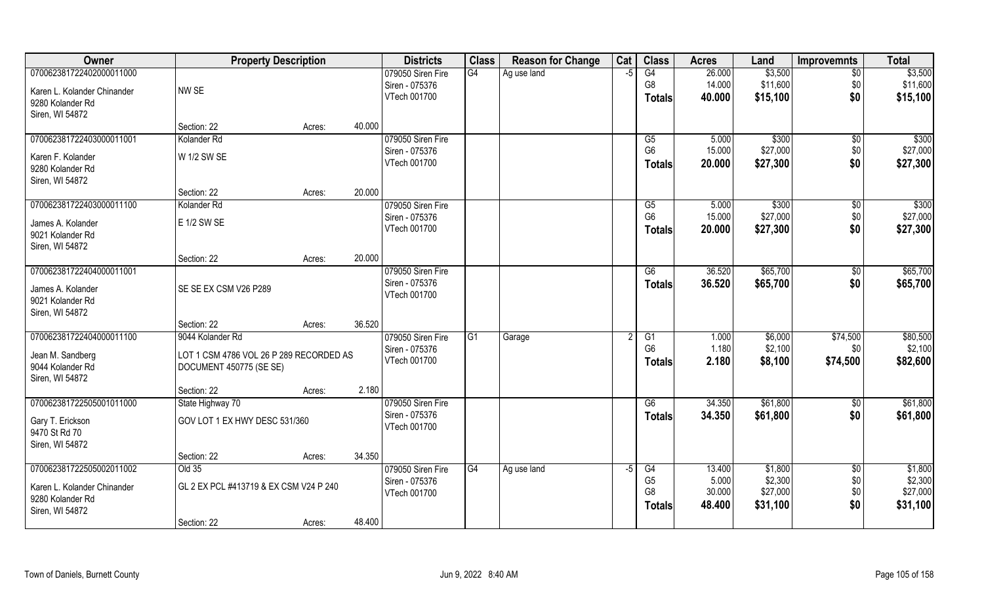| Owner                       | <b>Property Description</b>             |        |        | <b>Districts</b>  | <b>Class</b> | <b>Reason for Change</b> | Cat  | <b>Class</b>   | <b>Acres</b> | Land     | <b>Improvemnts</b> | <b>Total</b> |
|-----------------------------|-----------------------------------------|--------|--------|-------------------|--------------|--------------------------|------|----------------|--------------|----------|--------------------|--------------|
| 070062381722402000011000    |                                         |        |        | 079050 Siren Fire | G4           | Ag use land              | $-5$ | G4             | 26.000       | \$3,500  | $\sqrt{6}$         | \$3,500      |
| Karen L. Kolander Chinander | NW SE                                   |        |        | Siren - 075376    |              |                          |      | G <sub>8</sub> | 14.000       | \$11,600 | \$0                | \$11,600     |
| 9280 Kolander Rd            |                                         |        |        | VTech 001700      |              |                          |      | <b>Totals</b>  | 40.000       | \$15,100 | \$0                | \$15,100     |
| Siren, WI 54872             |                                         |        |        |                   |              |                          |      |                |              |          |                    |              |
|                             | Section: 22                             | Acres: | 40.000 |                   |              |                          |      |                |              |          |                    |              |
| 070062381722403000011001    | Kolander <sub>Rd</sub>                  |        |        | 079050 Siren Fire |              |                          |      | G5             | 5.000        | \$300    | \$0                | \$300        |
| Karen F. Kolander           | W 1/2 SW SE                             |        |        | Siren - 075376    |              |                          |      | G <sub>6</sub> | 15.000       | \$27,000 | \$0                | \$27,000     |
| 9280 Kolander Rd            |                                         |        |        | VTech 001700      |              |                          |      | <b>Totals</b>  | 20.000       | \$27,300 | \$0                | \$27,300     |
| Siren, WI 54872             |                                         |        |        |                   |              |                          |      |                |              |          |                    |              |
|                             | Section: 22                             | Acres: | 20.000 |                   |              |                          |      |                |              |          |                    |              |
| 070062381722403000011100    | Kolander Rd                             |        |        | 079050 Siren Fire |              |                          |      | G5             | 5.000        | \$300    | $\sqrt[6]{3}$      | \$300        |
| James A. Kolander           | E 1/2 SW SE                             |        |        | Siren - 075376    |              |                          |      | G <sub>6</sub> | 15.000       | \$27,000 | \$0                | \$27,000     |
| 9021 Kolander Rd            |                                         |        |        | VTech 001700      |              |                          |      | <b>Totals</b>  | 20.000       | \$27,300 | \$0                | \$27,300     |
| Siren, WI 54872             |                                         |        |        |                   |              |                          |      |                |              |          |                    |              |
|                             | Section: 22                             | Acres: | 20.000 |                   |              |                          |      |                |              |          |                    |              |
| 070062381722404000011001    |                                         |        |        | 079050 Siren Fire |              |                          |      | G6             | 36.520       | \$65,700 | \$0                | \$65,700     |
| James A. Kolander           | SE SE EX CSM V26 P289                   |        |        | Siren - 075376    |              |                          |      | <b>Totals</b>  | 36.520       | \$65,700 | \$0                | \$65,700     |
| 9021 Kolander Rd            |                                         |        |        | VTech 001700      |              |                          |      |                |              |          |                    |              |
| Siren, WI 54872             |                                         |        |        |                   |              |                          |      |                |              |          |                    |              |
|                             | Section: 22                             | Acres: | 36.520 |                   |              |                          |      |                |              |          |                    |              |
| 070062381722404000011100    | 9044 Kolander Rd                        |        |        | 079050 Siren Fire | G1           | Garage                   |      | G1             | 1.000        | \$6,000  | \$74,500           | \$80,500     |
| Jean M. Sandberg            | LOT 1 CSM 4786 VOL 26 P 289 RECORDED AS |        |        | Siren - 075376    |              |                          |      | G <sub>6</sub> | 1.180        | \$2,100  | \$0                | \$2,100      |
| 9044 Kolander Rd            | DOCUMENT 450775 (SE SE)                 |        |        | VTech 001700      |              |                          |      | <b>Totals</b>  | 2.180        | \$8,100  | \$74,500           | \$82,600     |
| Siren, WI 54872             |                                         |        |        |                   |              |                          |      |                |              |          |                    |              |
|                             | Section: 22                             | Acres: | 2.180  |                   |              |                          |      |                |              |          |                    |              |
| 070062381722505001011000    | State Highway 70                        |        |        | 079050 Siren Fire |              |                          |      | G6             | 34.350       | \$61,800 | $\sqrt{50}$        | \$61,800     |
| Gary T. Erickson            | GOV LOT 1 EX HWY DESC 531/360           |        |        | Siren - 075376    |              |                          |      | <b>Totals</b>  | 34.350       | \$61,800 | \$0                | \$61,800     |
| 9470 St Rd 70               |                                         |        |        | VTech 001700      |              |                          |      |                |              |          |                    |              |
| Siren, WI 54872             |                                         |        |        |                   |              |                          |      |                |              |          |                    |              |
|                             | Section: 22                             | Acres: | 34.350 |                   |              |                          |      |                |              |          |                    |              |
| 070062381722505002011002    | $O$ Id 35                               |        |        | 079050 Siren Fire | G4           | Ag use land              | -5   | G4             | 13.400       | \$1,800  | $\overline{50}$    | \$1,800      |
| Karen L. Kolander Chinander | GL 2 EX PCL #413719 & EX CSM V24 P 240  |        |        | Siren - 075376    |              |                          |      | G <sub>5</sub> | 5.000        | \$2,300  | \$0                | \$2,300      |
| 9280 Kolander Rd            |                                         |        |        | VTech 001700      |              |                          |      | G <sub>8</sub> | 30.000       | \$27,000 | \$0                | \$27,000     |
| Siren, WI 54872             |                                         |        |        |                   |              |                          |      | <b>Totals</b>  | 48.400       | \$31,100 | \$0                | \$31,100     |
|                             | Section: 22                             | Acres: | 48.400 |                   |              |                          |      |                |              |          |                    |              |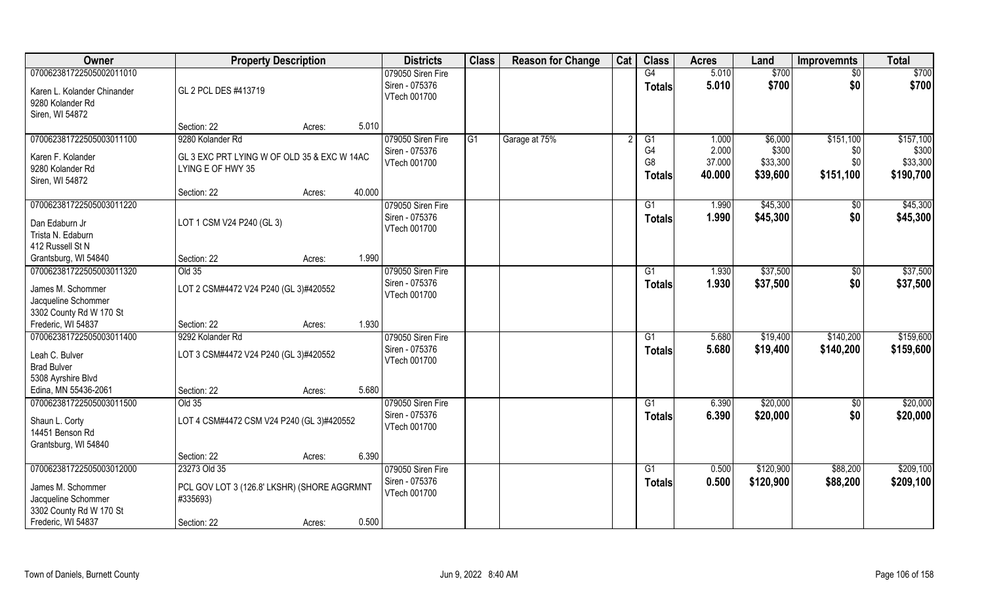| Owner                       | <b>Property Description</b>                 |        | <b>Districts</b>  | <b>Class</b>    | <b>Reason for Change</b> | Cat | <b>Class</b>    | <b>Acres</b> | Land      | <b>Improvemnts</b> | <b>Total</b> |
|-----------------------------|---------------------------------------------|--------|-------------------|-----------------|--------------------------|-----|-----------------|--------------|-----------|--------------------|--------------|
| 070062381722505002011010    |                                             |        | 079050 Siren Fire |                 |                          |     | G4              | 5.010        | \$700     | \$0                | \$700        |
| Karen L. Kolander Chinander | GL 2 PCL DES #413719                        |        | Siren - 075376    |                 |                          |     | <b>Totals</b>   | 5.010        | \$700     | \$0                | \$700        |
| 9280 Kolander Rd            |                                             |        | VTech 001700      |                 |                          |     |                 |              |           |                    |              |
| Siren, WI 54872             |                                             |        |                   |                 |                          |     |                 |              |           |                    |              |
|                             | Section: 22                                 | Acres: | 5.010             |                 |                          |     |                 |              |           |                    |              |
| 070062381722505003011100    | 9280 Kolander Rd                            |        | 079050 Siren Fire | $\overline{G1}$ | Garage at 75%            |     | G1              | 1.000        | \$6,000   | \$151,100          | \$157,100    |
| Karen F. Kolander           | GL 3 EXC PRT LYING W OF OLD 35 & EXC W 14AC |        | Siren - 075376    |                 |                          |     | G4              | 2.000        | \$300     | \$0                | \$300        |
| 9280 Kolander Rd            | LYING E OF HWY 35                           |        | VTech 001700      |                 |                          |     | G <sub>8</sub>  | 37.000       | \$33,300  | \$0                | \$33,300     |
| Siren, WI 54872             |                                             |        |                   |                 |                          |     | <b>Totals</b>   | 40.000       | \$39,600  | \$151,100          | \$190,700    |
|                             | Section: 22                                 | Acres: | 40.000            |                 |                          |     |                 |              |           |                    |              |
| 070062381722505003011220    |                                             |        | 079050 Siren Fire |                 |                          |     | G1              | 1.990        | \$45,300  | \$0                | \$45,300     |
| Dan Edaburn Jr              | LOT 1 CSM V24 P240 (GL 3)                   |        | Siren - 075376    |                 |                          |     | <b>Totals</b>   | 1.990        | \$45,300  | \$0                | \$45,300     |
| Trista N. Edaburn           |                                             |        | VTech 001700      |                 |                          |     |                 |              |           |                    |              |
| 412 Russell St N            |                                             |        |                   |                 |                          |     |                 |              |           |                    |              |
| Grantsburg, WI 54840        | Section: 22                                 | Acres: | 1.990             |                 |                          |     |                 |              |           |                    |              |
| 070062381722505003011320    | Old 35                                      |        | 079050 Siren Fire |                 |                          |     | G1              | 1.930        | \$37,500  | \$0                | \$37,500     |
| James M. Schommer           | LOT 2 CSM#4472 V24 P240 (GL 3)#420552       |        | Siren - 075376    |                 |                          |     | <b>Totals</b>   | 1.930        | \$37,500  | \$0                | \$37,500     |
| Jacqueline Schommer         |                                             |        | VTech 001700      |                 |                          |     |                 |              |           |                    |              |
| 3302 County Rd W 170 St     |                                             |        |                   |                 |                          |     |                 |              |           |                    |              |
| Frederic, WI 54837          | Section: 22                                 | Acres: | 1.930             |                 |                          |     |                 |              |           |                    |              |
| 070062381722505003011400    | 9292 Kolander Rd                            |        | 079050 Siren Fire |                 |                          |     | G1              | 5.680        | \$19,400  | \$140,200          | \$159,600    |
| Leah C. Bulver              | LOT 3 CSM#4472 V24 P240 (GL 3)#420552       |        | Siren - 075376    |                 |                          |     | <b>Totals</b>   | 5.680        | \$19,400  | \$140,200          | \$159,600    |
| <b>Brad Bulver</b>          |                                             |        | VTech 001700      |                 |                          |     |                 |              |           |                    |              |
| 5308 Ayrshire Blvd          |                                             |        |                   |                 |                          |     |                 |              |           |                    |              |
| Edina, MN 55436-2061        | Section: 22                                 | Acres: | 5.680             |                 |                          |     |                 |              |           |                    |              |
| 070062381722505003011500    | Old 35                                      |        | 079050 Siren Fire |                 |                          |     | $\overline{G1}$ | 6.390        | \$20,000  | $\overline{50}$    | \$20,000     |
| Shaun L. Corty              | LOT 4 CSM#4472 CSM V24 P240 (GL 3)#420552   |        | Siren - 075376    |                 |                          |     | <b>Totals</b>   | 6.390        | \$20,000  | \$0                | \$20,000     |
| 14451 Benson Rd             |                                             |        | VTech 001700      |                 |                          |     |                 |              |           |                    |              |
| Grantsburg, WI 54840        |                                             |        |                   |                 |                          |     |                 |              |           |                    |              |
|                             | Section: 22                                 | Acres: | 6.390             |                 |                          |     |                 |              |           |                    |              |
| 070062381722505003012000    | 23273 Old 35                                |        | 079050 Siren Fire |                 |                          |     | G1              | 0.500        | \$120,900 | \$88,200           | \$209,100    |
| James M. Schommer           | PCL GOV LOT 3 (126.8' LKSHR) (SHORE AGGRMNT |        | Siren - 075376    |                 |                          |     | <b>Totals</b>   | 0.500        | \$120,900 | \$88,200           | \$209,100    |
| Jacqueline Schommer         | #335693)                                    |        | VTech 001700      |                 |                          |     |                 |              |           |                    |              |
| 3302 County Rd W 170 St     |                                             |        |                   |                 |                          |     |                 |              |           |                    |              |
| Frederic, WI 54837          | Section: 22                                 | Acres: | 0.500             |                 |                          |     |                 |              |           |                    |              |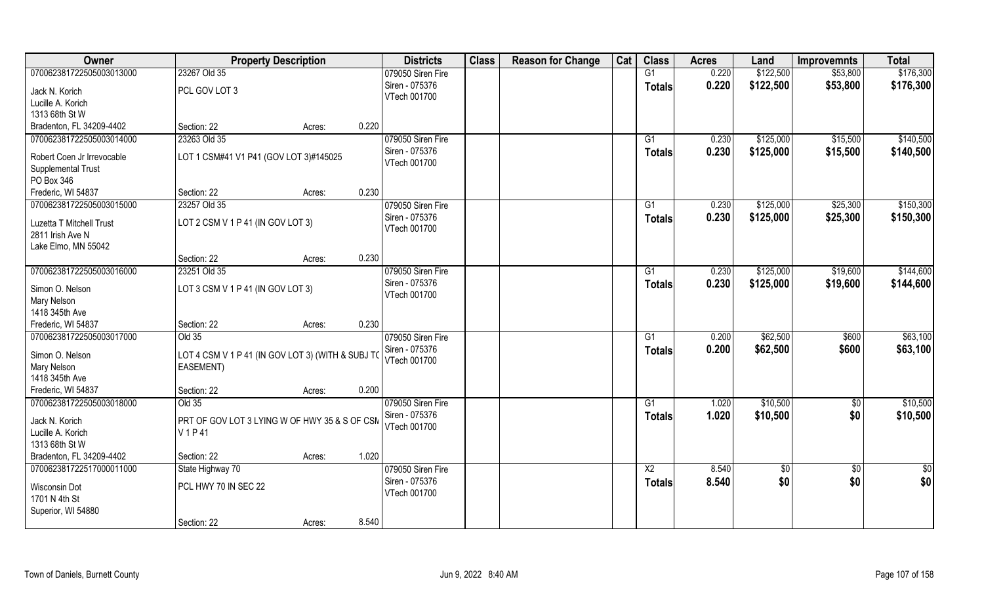| Owner                                            | <b>Property Description</b>                       |        |       | <b>Districts</b>  | <b>Class</b> | <b>Reason for Change</b> | Cat | <b>Class</b>    | <b>Acres</b> | Land       | <b>Improvemnts</b> | <b>Total</b>  |
|--------------------------------------------------|---------------------------------------------------|--------|-------|-------------------|--------------|--------------------------|-----|-----------------|--------------|------------|--------------------|---------------|
| 070062381722505003013000                         | 23267 Old 35                                      |        |       | 079050 Siren Fire |              |                          |     | G1              | 0.220        | \$122,500  | \$53,800           | \$176,300     |
| Jack N. Korich                                   | PCL GOV LOT 3                                     |        |       | Siren - 075376    |              |                          |     | <b>Totals</b>   | 0.220        | \$122,500  | \$53,800           | \$176,300     |
| Lucille A. Korich                                |                                                   |        |       | VTech 001700      |              |                          |     |                 |              |            |                    |               |
| 1313 68th St W                                   |                                                   |        |       |                   |              |                          |     |                 |              |            |                    |               |
| Bradenton, FL 34209-4402                         | Section: 22                                       | Acres: | 0.220 |                   |              |                          |     |                 |              |            |                    |               |
| 070062381722505003014000                         | 23263 Old 35                                      |        |       | 079050 Siren Fire |              |                          |     | G1              | 0.230        | \$125,000  | \$15,500           | \$140,500     |
|                                                  | LOT 1 CSM#41 V1 P41 (GOV LOT 3)#145025            |        |       | Siren - 075376    |              |                          |     | <b>Totals</b>   | 0.230        | \$125,000  | \$15,500           | \$140,500     |
| Robert Coen Jr Irrevocable<br>Supplemental Trust |                                                   |        |       | VTech 001700      |              |                          |     |                 |              |            |                    |               |
| PO Box 346                                       |                                                   |        |       |                   |              |                          |     |                 |              |            |                    |               |
| Frederic, WI 54837                               | Section: 22                                       | Acres: | 0.230 |                   |              |                          |     |                 |              |            |                    |               |
| 070062381722505003015000                         | 23257 Old 35                                      |        |       | 079050 Siren Fire |              |                          |     | G1              | 0.230        | \$125,000  | \$25,300           | \$150,300     |
|                                                  |                                                   |        |       | Siren - 075376    |              |                          |     | <b>Totals</b>   | 0.230        | \$125,000  | \$25,300           | \$150,300     |
| Luzetta T Mitchell Trust                         | LOT 2 CSM V 1 P 41 (IN GOV LOT 3)                 |        |       | VTech 001700      |              |                          |     |                 |              |            |                    |               |
| 2811 Irish Ave N                                 |                                                   |        |       |                   |              |                          |     |                 |              |            |                    |               |
| Lake Elmo, MN 55042                              | Section: 22                                       |        | 0.230 |                   |              |                          |     |                 |              |            |                    |               |
| 070062381722505003016000                         | 23251 Old 35                                      | Acres: |       | 079050 Siren Fire |              |                          |     | G1              | 0.230        | \$125,000  | \$19,600           | \$144,600     |
|                                                  |                                                   |        |       | Siren - 075376    |              |                          |     |                 | 0.230        |            |                    |               |
| Simon O. Nelson                                  | LOT 3 CSM V 1 P 41 (IN GOV LOT 3)                 |        |       | VTech 001700      |              |                          |     | <b>Totals</b>   |              | \$125,000  | \$19,600           | \$144,600     |
| Mary Nelson                                      |                                                   |        |       |                   |              |                          |     |                 |              |            |                    |               |
| 1418 345th Ave                                   |                                                   |        |       |                   |              |                          |     |                 |              |            |                    |               |
| Frederic, WI 54837                               | Section: 22                                       | Acres: | 0.230 |                   |              |                          |     |                 |              |            |                    |               |
| 070062381722505003017000                         | Old 35                                            |        |       | 079050 Siren Fire |              |                          |     | G1              | 0.200        | \$62,500   | \$600              | \$63,100      |
| Simon O. Nelson                                  | LOT 4 CSM V 1 P 41 (IN GOV LOT 3) (WITH & SUBJ TO |        |       | Siren - 075376    |              |                          |     | <b>Totals</b>   | 0.200        | \$62,500   | \$600              | \$63,100      |
| Mary Nelson                                      | EASEMENT)                                         |        |       | VTech 001700      |              |                          |     |                 |              |            |                    |               |
| 1418 345th Ave                                   |                                                   |        |       |                   |              |                          |     |                 |              |            |                    |               |
| Frederic, WI 54837                               | Section: 22                                       | Acres: | 0.200 |                   |              |                          |     |                 |              |            |                    |               |
| 070062381722505003018000                         | Old 35                                            |        |       | 079050 Siren Fire |              |                          |     | G1              | 1.020        | \$10,500   | $\sqrt{50}$        | \$10,500      |
| Jack N. Korich                                   | PRT OF GOV LOT 3 LYING W OF HWY 35 & S OF CSM     |        |       | Siren - 075376    |              |                          |     | <b>Totals</b>   | 1.020        | \$10,500   | \$0                | \$10,500      |
| Lucille A. Korich                                | V1P41                                             |        |       | VTech 001700      |              |                          |     |                 |              |            |                    |               |
| 1313 68th St W                                   |                                                   |        |       |                   |              |                          |     |                 |              |            |                    |               |
| Bradenton, FL 34209-4402                         | Section: 22                                       | Acres: | 1.020 |                   |              |                          |     |                 |              |            |                    |               |
| 070062381722517000011000                         | State Highway 70                                  |        |       | 079050 Siren Fire |              |                          |     | $\overline{X2}$ | 8.540        | $\sqrt{6}$ | $\overline{50}$    | $\frac{1}{2}$ |
| Wisconsin Dot                                    | PCL HWY 70 IN SEC 22                              |        |       | Siren - 075376    |              |                          |     | <b>Totals</b>   | 8.540        | \$0        | \$0                | \$0           |
| 1701 N 4th St                                    |                                                   |        |       | VTech 001700      |              |                          |     |                 |              |            |                    |               |
| Superior, WI 54880                               |                                                   |        |       |                   |              |                          |     |                 |              |            |                    |               |
|                                                  | Section: 22                                       | Acres: | 8.540 |                   |              |                          |     |                 |              |            |                    |               |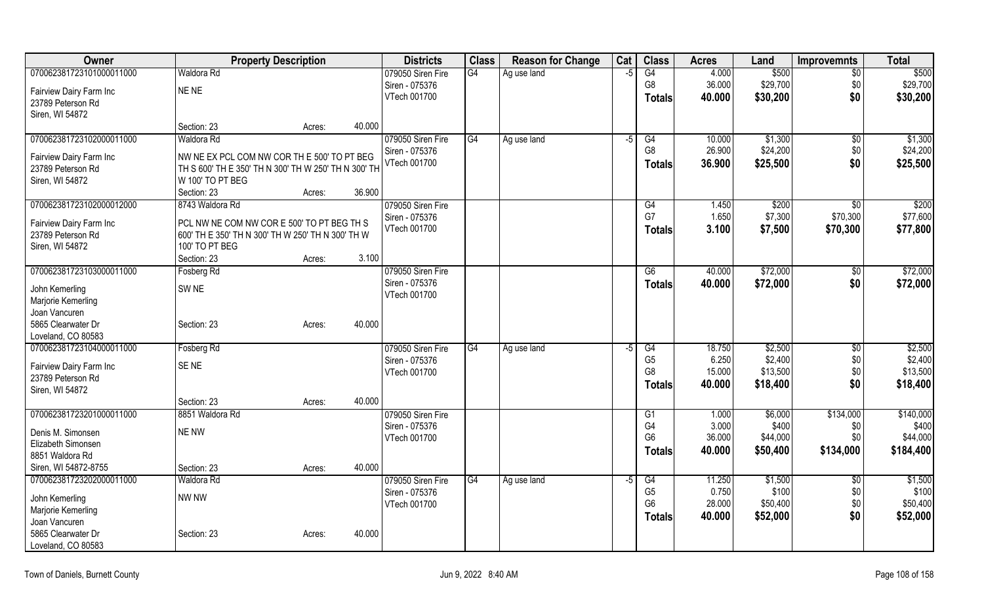| Owner                    | <b>Property Description</b>                          | <b>Districts</b>  | <b>Class</b> | <b>Reason for Change</b> | Cat  | <b>Class</b>         | <b>Acres</b>     | Land     | <b>Improvemnts</b> | <b>Total</b>          |
|--------------------------|------------------------------------------------------|-------------------|--------------|--------------------------|------|----------------------|------------------|----------|--------------------|-----------------------|
| 070062381723101000011000 | Waldora Rd                                           | 079050 Siren Fire | G4           | Ag use land              | $-5$ | G4                   | 4.000            | \$500    | $\overline{60}$    | \$500                 |
| Fairview Dairy Farm Inc  | NE NE                                                | Siren - 075376    |              |                          |      | G8                   | 36.000           | \$29,700 | \$0                | \$29,700              |
| 23789 Peterson Rd        |                                                      | VTech 001700      |              |                          |      | <b>Totals</b>        | 40.000           | \$30,200 | \$0                | \$30,200              |
| Siren, WI 54872          |                                                      |                   |              |                          |      |                      |                  |          |                    |                       |
|                          | 40.000<br>Section: 23<br>Acres:                      |                   |              |                          |      |                      |                  |          |                    |                       |
| 070062381723102000011000 | Waldora Rd                                           | 079050 Siren Fire | G4           | Ag use land              | $-5$ | G4                   | 10.000           | \$1,300  | $\overline{50}$    | \$1,300               |
| Fairview Dairy Farm Inc  | NW NE EX PCL COM NW COR TH E 500' TO PT BEG          | Siren - 075376    |              |                          |      | G8                   | 26.900           | \$24,200 | \$0                | \$24,200              |
| 23789 Peterson Rd        | TH S 600' TH E 350' TH N 300' TH W 250' TH N 300' TH | VTech 001700      |              |                          |      | <b>Totals</b>        | 36.900           | \$25,500 | \$0                | \$25,500              |
| Siren, WI 54872          | W 100' TO PT BEG                                     |                   |              |                          |      |                      |                  |          |                    |                       |
|                          | 36.900<br>Section: 23<br>Acres:                      |                   |              |                          |      |                      |                  |          |                    |                       |
| 070062381723102000012000 | 8743 Waldora Rd                                      | 079050 Siren Fire |              |                          |      | G4                   | 1.450            | \$200    | \$0                | \$200                 |
| Fairview Dairy Farm Inc  | PCL NW NE COM NW COR E 500' TO PT BEG TH S           | Siren - 075376    |              |                          |      | G7                   | 1.650            | \$7,300  | \$70,300           | \$77,600              |
| 23789 Peterson Rd        | 600' TH E 350' TH N 300' TH W 250' TH N 300' TH W    | VTech 001700      |              |                          |      | <b>Totals</b>        | 3.100            | \$7,500  | \$70,300           | \$77,800              |
| Siren, WI 54872          | 100' TO PT BEG                                       |                   |              |                          |      |                      |                  |          |                    |                       |
|                          | Section: 23<br>Acres:                                | 3.100             |              |                          |      |                      |                  |          |                    |                       |
| 070062381723103000011000 | Fosberg Rd                                           | 079050 Siren Fire |              |                          |      | G6                   | 40.000           | \$72,000 | $\sqrt[6]{}$       | \$72,000              |
| John Kemerling           | SW <sub>NE</sub>                                     | Siren - 075376    |              |                          |      | <b>Totals</b>        | 40.000           | \$72,000 | \$0                | \$72,000              |
| Marjorie Kemerling       |                                                      | VTech 001700      |              |                          |      |                      |                  |          |                    |                       |
| Joan Vancuren            |                                                      |                   |              |                          |      |                      |                  |          |                    |                       |
| 5865 Clearwater Dr       | 40.000<br>Section: 23<br>Acres:                      |                   |              |                          |      |                      |                  |          |                    |                       |
| Loveland, CO 80583       |                                                      |                   |              |                          |      |                      |                  |          |                    |                       |
| 070062381723104000011000 | Fosberg Rd                                           | 079050 Siren Fire | G4           | Ag use land              | -5   | G4                   | 18.750           | \$2,500  | $\sqrt[6]{3}$      | \$2,500               |
| Fairview Dairy Farm Inc  | SE <sub>NE</sub>                                     | Siren - 075376    |              |                          |      | G <sub>5</sub>       | 6.250            | \$2,400  | \$0                | \$2,400               |
| 23789 Peterson Rd        |                                                      | VTech 001700      |              |                          |      | G <sub>8</sub>       | 15.000<br>40.000 | \$13,500 | \$0<br>\$0         | \$13,500<br>\$18,400  |
| Siren, WI 54872          |                                                      |                   |              |                          |      | <b>Totals</b>        |                  | \$18,400 |                    |                       |
|                          | 40.000<br>Section: 23<br>Acres:                      |                   |              |                          |      |                      |                  |          |                    |                       |
| 070062381723201000011000 | 8851 Waldora Rd                                      | 079050 Siren Fire |              |                          |      | G1                   | 1.000            | \$6,000  | \$134,000          | \$140,000             |
| Denis M. Simonsen        | <b>NE NW</b>                                         | Siren - 075376    |              |                          |      | G4<br>G <sub>6</sub> | 3.000<br>36.000  | \$400    | \$0                | \$400                 |
| Elizabeth Simonsen       |                                                      | VTech 001700      |              |                          |      |                      | 40.000           | \$44,000 | \$0<br>\$134,000   | \$44,000<br>\$184,400 |
| 8851 Waldora Rd          |                                                      |                   |              |                          |      | <b>Totals</b>        |                  | \$50,400 |                    |                       |
| Siren, WI 54872-8755     | Section: 23<br>40.000<br>Acres:                      |                   |              |                          |      |                      |                  |          |                    |                       |
| 070062381723202000011000 | <b>Waldora Rd</b>                                    | 079050 Siren Fire | G4           | Ag use land              | $-5$ | G4                   | 11.250           | \$1,500  | \$0                | \$1,500               |
| John Kemerling           | <b>NW NW</b>                                         | Siren - 075376    |              |                          |      | G <sub>5</sub>       | 0.750            | \$100    | \$0                | \$100                 |
| Marjorie Kemerling       |                                                      | VTech 001700      |              |                          |      | G6                   | 28.000           | \$50,400 | \$0                | \$50,400              |
| Joan Vancuren            |                                                      |                   |              |                          |      | <b>Totals</b>        | 40.000           | \$52,000 | \$0                | \$52,000              |
| 5865 Clearwater Dr       | 40.000<br>Section: 23<br>Acres:                      |                   |              |                          |      |                      |                  |          |                    |                       |
| Loveland, CO 80583       |                                                      |                   |              |                          |      |                      |                  |          |                    |                       |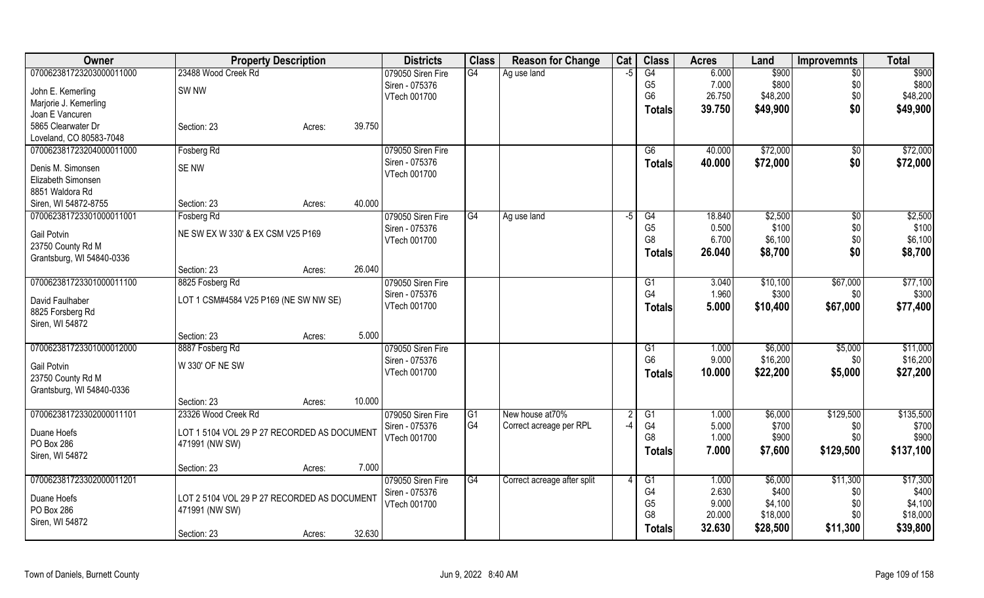| Owner                     | <b>Property Description</b>                 |                  | <b>Districts</b>               | <b>Class</b>   | <b>Reason for Change</b>    | Cat  | <b>Class</b>         | <b>Acres</b> | Land     | <b>Improvemnts</b> | <b>Total</b> |
|---------------------------|---------------------------------------------|------------------|--------------------------------|----------------|-----------------------------|------|----------------------|--------------|----------|--------------------|--------------|
| 070062381723203000011000  | 23488 Wood Creek Rd                         |                  | 079050 Siren Fire              | G4             | Ag use land                 | $-5$ | $\overline{G4}$      | 6.000        | \$900    | $\overline{50}$    | \$900        |
| John E. Kemerling         | SW <sub>NW</sub>                            |                  | Siren - 075376                 |                |                             |      | G <sub>5</sub>       | 7.000        | \$800    | \$0                | \$800        |
| Marjorie J. Kemerling     |                                             |                  | VTech 001700                   |                |                             |      | G <sub>6</sub>       | 26.750       | \$48,200 | \$0                | \$48,200     |
| Joan E Vancuren           |                                             |                  |                                |                |                             |      | <b>Totals</b>        | 39.750       | \$49,900 | \$0                | \$49,900     |
| 5865 Clearwater Dr        | Section: 23                                 | 39.750<br>Acres: |                                |                |                             |      |                      |              |          |                    |              |
| Loveland, CO 80583-7048   |                                             |                  |                                |                |                             |      |                      |              |          |                    |              |
| 070062381723204000011000  | Fosberg Rd                                  |                  | 079050 Siren Fire              |                |                             |      | G6                   | 40.000       | \$72,000 | $\sqrt{6}$         | \$72,000     |
| Denis M. Simonsen         | SE NW                                       |                  | Siren - 075376                 |                |                             |      | <b>Totals</b>        | 40.000       | \$72,000 | \$0                | \$72,000     |
| Elizabeth Simonsen        |                                             |                  | VTech 001700                   |                |                             |      |                      |              |          |                    |              |
| 8851 Waldora Rd           |                                             |                  |                                |                |                             |      |                      |              |          |                    |              |
| Siren, WI 54872-8755      | Section: 23                                 | 40.000<br>Acres: |                                |                |                             |      |                      |              |          |                    |              |
| 070062381723301000011001  | Fosberg Rd                                  |                  | 079050 Siren Fire              | G4             | Ag use land                 | $-5$ | G4                   | 18.840       | \$2,500  | \$0                | \$2,500      |
|                           |                                             |                  | Siren - 075376                 |                |                             |      | G <sub>5</sub>       | 0.500        | \$100    | \$0                | \$100        |
| Gail Potvin               | NE SW EX W 330' & EX CSM V25 P169           |                  | VTech 001700                   |                |                             |      | G <sub>8</sub>       | 6.700        | \$6,100  | \$0                | \$6,100      |
| 23750 County Rd M         |                                             |                  |                                |                |                             |      | <b>Totals</b>        | 26.040       | \$8,700  | \$0                | \$8,700      |
| Grantsburg, WI 54840-0336 |                                             |                  |                                |                |                             |      |                      |              |          |                    |              |
|                           | Section: 23                                 | 26.040<br>Acres: |                                |                |                             |      |                      |              |          |                    |              |
| 070062381723301000011100  | 8825 Fosberg Rd                             |                  | 079050 Siren Fire              |                |                             |      | G1<br>G <sub>4</sub> | 3.040        | \$10,100 | \$67,000           | \$77,100     |
| David Faulhaber           | LOT 1 CSM#4584 V25 P169 (NE SW NW SE)       |                  | Siren - 075376<br>VTech 001700 |                |                             |      |                      | 1.960        | \$300    | \$0                | \$300        |
| 8825 Forsberg Rd          |                                             |                  |                                |                |                             |      | <b>Totals</b>        | 5.000        | \$10,400 | \$67,000           | \$77,400     |
| Siren, WI 54872           |                                             |                  |                                |                |                             |      |                      |              |          |                    |              |
|                           | Section: 23                                 | 5.000<br>Acres:  |                                |                |                             |      |                      |              |          |                    |              |
| 070062381723301000012000  | 8887 Fosberg Rd                             |                  | 079050 Siren Fire              |                |                             |      | G1                   | 1.000        | \$6,000  | \$5,000            | \$11,000     |
| Gail Potvin               | W 330' OF NE SW                             |                  | Siren - 075376                 |                |                             |      | G <sub>6</sub>       | 9.000        | \$16,200 | \$0                | \$16,200     |
| 23750 County Rd M         |                                             |                  | VTech 001700                   |                |                             |      | Totals               | 10.000       | \$22,200 | \$5,000            | \$27,200     |
| Grantsburg, WI 54840-0336 |                                             |                  |                                |                |                             |      |                      |              |          |                    |              |
|                           | Section: 23                                 | 10.000<br>Acres: |                                |                |                             |      |                      |              |          |                    |              |
| 070062381723302000011101  | 23326 Wood Creek Rd                         |                  | 079050 Siren Fire              | G1             | New house at 70%            |      | G1                   | 1.000        | \$6,000  | \$129,500          | \$135,500    |
|                           |                                             |                  | Siren - 075376                 | G <sub>4</sub> | Correct acreage per RPL     | $-4$ | G4                   | 5.000        | \$700    | \$0                | \$700        |
| Duane Hoefs<br>PO Box 286 | LOT 1 5104 VOL 29 P 27 RECORDED AS DOCUMENT |                  | VTech 001700                   |                |                             |      | G <sub>8</sub>       | 1.000        | \$900    | \$0                | \$900        |
| Siren, WI 54872           | 471991 (NW SW)                              |                  |                                |                |                             |      | <b>Totals</b>        | 7.000        | \$7,600  | \$129,500          | \$137,100    |
|                           | Section: 23                                 | 7.000<br>Acres:  |                                |                |                             |      |                      |              |          |                    |              |
| 070062381723302000011201  |                                             |                  | 079050 Siren Fire              | G4             | Correct acreage after split |      | G1                   | 1.000        | \$6,000  | \$11,300           | \$17,300     |
|                           |                                             |                  | Siren - 075376                 |                |                             |      | G4                   | 2.630        | \$400    | \$0                | \$400        |
| Duane Hoefs               | LOT 2 5104 VOL 29 P 27 RECORDED AS DOCUMENT |                  | VTech 001700                   |                |                             |      | G <sub>5</sub>       | 9.000        | \$4,100  | \$0                | \$4,100      |
| PO Box 286                | 471991 (NW SW)                              |                  |                                |                |                             |      | G <sub>8</sub>       | 20.000       | \$18,000 | \$0                | \$18,000     |
| Siren, WI 54872           |                                             |                  |                                |                |                             |      | <b>Totals</b>        | 32.630       | \$28,500 | \$11,300           | \$39,800     |
|                           | Section: 23                                 | 32.630<br>Acres: |                                |                |                             |      |                      |              |          |                    |              |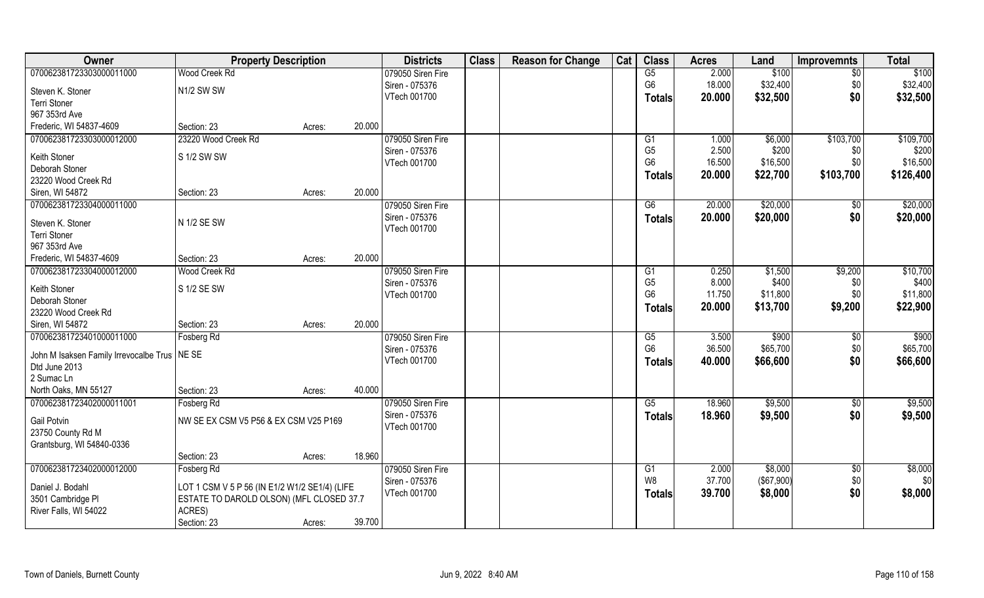| Owner                                  | <b>Property Description</b>                   |        |        | <b>Districts</b>  | <b>Class</b> | <b>Reason for Change</b> | Cat | <b>Class</b>         | <b>Acres</b> | Land              | <b>Improvemnts</b> | <b>Total</b> |
|----------------------------------------|-----------------------------------------------|--------|--------|-------------------|--------------|--------------------------|-----|----------------------|--------------|-------------------|--------------------|--------------|
| 070062381723303000011000               | Wood Creek Rd                                 |        |        | 079050 Siren Fire |              |                          |     | G5                   | 2.000        | \$100             | $\overline{50}$    | \$100        |
| Steven K. Stoner                       | N1/2 SW SW                                    |        |        | Siren - 075376    |              |                          |     | G <sub>6</sub>       | 18.000       | \$32,400          | \$0                | \$32,400     |
| Terri Stoner                           |                                               |        |        | VTech 001700      |              |                          |     | <b>Totals</b>        | 20.000       | \$32,500          | \$0                | \$32,500     |
| 967 353rd Ave                          |                                               |        |        |                   |              |                          |     |                      |              |                   |                    |              |
| Frederic, WI 54837-4609                | Section: 23                                   | Acres: | 20.000 |                   |              |                          |     |                      |              |                   |                    |              |
| 070062381723303000012000               | 23220 Wood Creek Rd                           |        |        | 079050 Siren Fire |              |                          |     | G1                   | 1.000        | \$6,000           | \$103,700          | \$109,700    |
|                                        |                                               |        |        | Siren - 075376    |              |                          |     | G <sub>5</sub>       | 2.500        | \$200             | \$0                | \$200        |
| Keith Stoner                           | S 1/2 SW SW                                   |        |        | VTech 001700      |              |                          |     | G <sub>6</sub>       | 16.500       | \$16,500          | \$0                | \$16,500     |
| Deborah Stoner                         |                                               |        |        |                   |              |                          |     | <b>Totals</b>        | 20.000       | \$22,700          | \$103,700          | \$126,400    |
| 23220 Wood Creek Rd                    |                                               |        |        |                   |              |                          |     |                      |              |                   |                    |              |
| Siren, WI 54872                        | Section: 23                                   | Acres: | 20.000 |                   |              |                          |     |                      |              |                   |                    |              |
| 070062381723304000011000               |                                               |        |        | 079050 Siren Fire |              |                          |     | G6                   | 20.000       | \$20,000          | $\sqrt[6]{30}$     | \$20,000     |
| Steven K. Stoner                       | N 1/2 SE SW                                   |        |        | Siren - 075376    |              |                          |     | <b>Totals</b>        | 20.000       | \$20,000          | \$0                | \$20,000     |
| <b>Terri Stoner</b>                    |                                               |        |        | VTech 001700      |              |                          |     |                      |              |                   |                    |              |
| 967 353rd Ave                          |                                               |        |        |                   |              |                          |     |                      |              |                   |                    |              |
| Frederic, WI 54837-4609                | Section: 23                                   | Acres: | 20.000 |                   |              |                          |     |                      |              |                   |                    |              |
| 070062381723304000012000               | Wood Creek Rd                                 |        |        | 079050 Siren Fire |              |                          |     |                      | 0.250        | \$1,500           | \$9,200            | \$10,700     |
|                                        |                                               |        |        | Siren - 075376    |              |                          |     | G1<br>G <sub>5</sub> | 8.000        | \$400             |                    | \$400        |
| Keith Stoner                           | S 1/2 SE SW                                   |        |        |                   |              |                          |     | G <sub>6</sub>       | 11.750       | \$11,800          | \$0<br>\$0         | \$11,800     |
| Deborah Stoner                         |                                               |        |        | VTech 001700      |              |                          |     |                      |              |                   |                    |              |
| 23220 Wood Creek Rd                    |                                               |        |        |                   |              |                          |     | <b>Totals</b>        | 20.000       | \$13,700          | \$9,200            | \$22,900     |
| Siren, WI 54872                        | Section: 23                                   | Acres: | 20.000 |                   |              |                          |     |                      |              |                   |                    |              |
| 070062381723401000011000               | <b>Fosberg Rd</b>                             |        |        | 079050 Siren Fire |              |                          |     | $\overline{G5}$      | 3.500        | \$900             | \$0                | \$900        |
|                                        |                                               |        |        | Siren - 075376    |              |                          |     | G <sub>6</sub>       | 36.500       | \$65,700          | \$0                | \$65,700     |
| John M Isaksen Family Irrevocalbe Trus | NE SE                                         |        |        | VTech 001700      |              |                          |     | <b>Totals</b>        | 40.000       | \$66,600          | \$0                | \$66,600     |
| Dtd June 2013                          |                                               |        |        |                   |              |                          |     |                      |              |                   |                    |              |
| 2 Sumac Ln                             |                                               |        |        |                   |              |                          |     |                      |              |                   |                    |              |
| North Oaks, MN 55127                   | Section: 23                                   | Acres: | 40.000 |                   |              |                          |     |                      |              |                   |                    |              |
| 070062381723402000011001               | Fosberg Rd                                    |        |        | 079050 Siren Fire |              |                          |     | G5                   | 18.960       | \$9,500           | \$0                | \$9,500      |
| <b>Gail Potvin</b>                     | NW SE EX CSM V5 P56 & EX CSM V25 P169         |        |        | Siren - 075376    |              |                          |     | <b>Totals</b>        | 18.960       | \$9,500           | \$0                | \$9,500      |
| 23750 County Rd M                      |                                               |        |        | VTech 001700      |              |                          |     |                      |              |                   |                    |              |
| Grantsburg, WI 54840-0336              |                                               |        |        |                   |              |                          |     |                      |              |                   |                    |              |
|                                        | Section: 23                                   | Acres: | 18.960 |                   |              |                          |     |                      |              |                   |                    |              |
| 070062381723402000012000               | Fosberg Rd                                    |        |        | 079050 Siren Fire |              |                          |     | G1                   | 2.000        | \$8,000           | \$0                | \$8,000      |
|                                        |                                               |        |        | Siren - 075376    |              |                          |     | W8                   | 37.700       | $($ \$67,900) $ $ | \$0                | \$0          |
| Daniel J. Bodahl                       | LOT 1 CSM V 5 P 56 (IN E1/2 W1/2 SE1/4) (LIFE |        |        | VTech 001700      |              |                          |     | <b>Totals</b>        | 39.700       | \$8,000           | \$0                | \$8,000      |
| 3501 Cambridge PI                      | ESTATE TO DAROLD OLSON) (MFL CLOSED 37.7      |        |        |                   |              |                          |     |                      |              |                   |                    |              |
| River Falls, WI 54022                  | ACRES)                                        |        |        |                   |              |                          |     |                      |              |                   |                    |              |
|                                        | Section: 23                                   | Acres: | 39.700 |                   |              |                          |     |                      |              |                   |                    |              |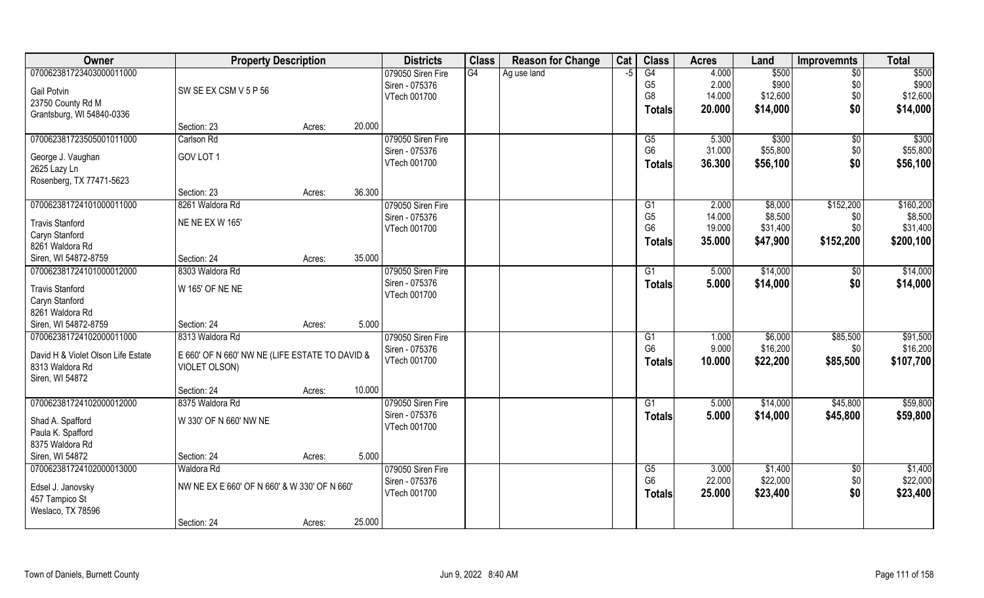| <b>Class</b><br>Cat<br>Owner<br><b>Property Description</b><br><b>Districts</b><br><b>Class</b><br><b>Reason for Change</b><br><b>Acres</b><br>Land<br><b>Improvemnts</b> | <b>Total</b>             |
|---------------------------------------------------------------------------------------------------------------------------------------------------------------------------|--------------------------|
| G4<br>070062381723403000011000<br>$\overline{G4}$<br>4.000<br>\$500<br>079050 Siren Fire<br>Ag use land<br>-5                                                             | $\overline{50}$<br>\$500 |
| G <sub>5</sub><br>2.000<br>\$900<br>Siren - 075376<br>SW SE EX CSM V 5 P 56<br><b>Gail Potvin</b>                                                                         | \$0<br>\$900             |
| G8<br>14.000<br>\$12,600<br>VTech 001700<br>23750 County Rd M                                                                                                             | \$0<br>\$12,600          |
| \$14,000<br>20.000<br>Totals<br>Grantsburg, WI 54840-0336                                                                                                                 | \$0<br>\$14,000          |
| 20.000<br>Section: 23<br>Acres:                                                                                                                                           |                          |
| \$300<br>070062381723505001011000<br>079050 Siren Fire<br>Carlson Rd<br>G5<br>5.300                                                                                       | \$300<br>\$0             |
| G <sub>6</sub><br>31.000<br>\$55,800<br>Siren - 075376<br>GOV LOT 1                                                                                                       | \$55,800<br>\$0          |
| George J. Vaughan<br>VTech 001700<br>36.300<br>\$56,100<br><b>Totals</b><br>2625 Lazy Ln                                                                                  | \$0<br>\$56,100          |
| Rosenberg, TX 77471-5623                                                                                                                                                  |                          |
| 36.300<br>Section: 23<br>Acres:                                                                                                                                           |                          |
| 070062381724101000011000<br>\$152,200<br>8261 Waldora Rd<br>079050 Siren Fire<br>G1<br>2.000<br>\$8,000                                                                   | \$160,200                |
| G <sub>5</sub><br>14.000<br>\$8,500<br>Siren - 075376                                                                                                                     | \$8,500<br>\$0           |
| <b>NE NE EX W 165'</b><br><b>Travis Stanford</b><br>G <sub>6</sub><br>19.000<br>\$31,400<br>VTech 001700                                                                  | \$31,400<br>\$0          |
| Caryn Stanford<br>\$152,200<br>35,000<br>\$47,900<br><b>Totals</b>                                                                                                        | \$200,100                |
| 8261 Waldora Rd<br>35.000                                                                                                                                                 |                          |
| Siren, WI 54872-8759<br>Section: 24<br>Acres:<br>070062381724101000012000<br>079050 Siren Fire<br>\$14,000<br>8303 Waldora Rd<br>5.000                                    | \$14,000                 |
| G1<br>Siren - 075376                                                                                                                                                      | \$0                      |
| 5.000<br>\$14,000<br><b>Totals</b><br>W 165' OF NE NE<br><b>Travis Stanford</b><br>VTech 001700                                                                           | \$0<br>\$14,000          |
| Caryn Stanford                                                                                                                                                            |                          |
| 8261 Waldora Rd                                                                                                                                                           |                          |
| Siren, WI 54872-8759<br>5.000<br>Section: 24<br>Acres:                                                                                                                    |                          |
| 070062381724102000011000<br>8313 Waldora Rd<br>1.000<br>\$6,000<br>\$85,500<br>079050 Siren Fire<br>G1                                                                    | \$91,500                 |
| G <sub>6</sub><br>9.000<br>\$16,200<br>Siren - 075376<br>David H & Violet Olson Life Estate<br>E 660' OF N 660' NW NE (LIFE ESTATE TO DAVID &                             | \$16,200<br>\$0          |
| VTech 001700<br>10.000<br>\$22,200<br>\$85,500<br>Totals<br>8313 Waldora Rd<br>VIOLET OLSON)                                                                              | \$107,700                |
| Siren, WI 54872                                                                                                                                                           |                          |
| 10.000<br>Section: 24<br>Acres:                                                                                                                                           |                          |
| \$14,000<br>\$45,800<br>070062381724102000012000<br>8375 Waldora Rd<br>079050 Siren Fire<br>G1<br>5.000                                                                   | \$59,800                 |
| Siren - 075376<br>5.000<br>\$14,000<br>\$45,800<br><b>Totals</b><br>W 330' OF N 660' NW NE<br>Shad A. Spafford                                                            | \$59,800                 |
| VTech 001700<br>Paula K. Spafford                                                                                                                                         |                          |
| 8375 Waldora Rd                                                                                                                                                           |                          |
| Siren, WI 54872<br>5.000<br>Section: 24<br>Acres:                                                                                                                         |                          |
| 070062381724102000013000<br>079050 Siren Fire<br>\$1,400<br>Waldora Rd<br>G5<br>3.000                                                                                     | \$1,400<br>$\sqrt{$0}$   |
| G <sub>6</sub><br>\$22,000<br>22.000<br>Siren - 075376<br>NW NE EX E 660' OF N 660' & W 330' OF N 660'                                                                    | \$22,000<br>\$0          |
| Edsel J. Janovsky<br>VTech 001700<br>25.000<br>\$23,400<br><b>Totals</b><br>457 Tampico St                                                                                | \$0<br>\$23,400          |
| Weslaco, TX 78596                                                                                                                                                         |                          |
| 25.000<br>Section: 24<br>Acres:                                                                                                                                           |                          |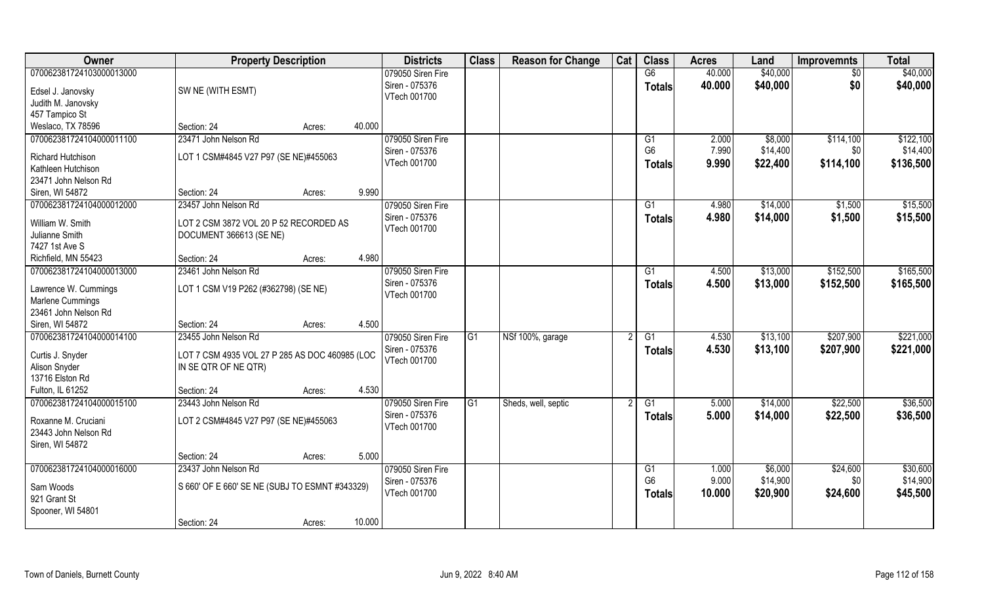| Owner                                                                                        | <b>Property Description</b>                                                                    |        |        | <b>Districts</b>                                    | <b>Class</b> | <b>Reason for Change</b> | Cat | <b>Class</b>                          | <b>Acres</b>            | Land                            | <b>Improvemnts</b>            | <b>Total</b>                       |
|----------------------------------------------------------------------------------------------|------------------------------------------------------------------------------------------------|--------|--------|-----------------------------------------------------|--------------|--------------------------|-----|---------------------------------------|-------------------------|---------------------------------|-------------------------------|------------------------------------|
| 070062381724103000013000<br>Edsel J. Janovsky<br>Judith M. Janovsky<br>457 Tampico St        | SW NE (WITH ESMT)                                                                              |        |        | 079050 Siren Fire<br>Siren - 075376<br>VTech 001700 |              |                          |     | G6<br><b>Totals</b>                   | 40.000<br>40.000        | \$40,000<br>\$40,000            | \$0<br>\$0                    | \$40,000<br>\$40,000               |
| Weslaco, TX 78596                                                                            | Section: 24                                                                                    | Acres: | 40.000 |                                                     |              |                          |     |                                       |                         |                                 |                               |                                    |
| 070062381724104000011100<br>Richard Hutchison<br>Kathleen Hutchison<br>23471 John Nelson Rd  | 23471 John Nelson Rd<br>LOT 1 CSM#4845 V27 P97 (SE NE)#455063                                  |        |        | 079050 Siren Fire<br>Siren - 075376<br>VTech 001700 |              |                          |     | G1<br>G <sub>6</sub><br><b>Totals</b> | 2.000<br>7.990<br>9.990 | \$8,000<br>\$14,400<br>\$22,400 | \$114,100<br>\$0<br>\$114,100 | \$122,100<br>\$14,400<br>\$136,500 |
| Siren, WI 54872                                                                              | Section: 24                                                                                    | Acres: | 9.990  |                                                     |              |                          |     |                                       |                         |                                 |                               |                                    |
| 070062381724104000012000<br>William W. Smith<br>Julianne Smith<br>7427 1st Ave S             | 23457 John Nelson Rd<br>LOT 2 CSM 3872 VOL 20 P 52 RECORDED AS<br>DOCUMENT 366613 (SE NE)      |        |        | 079050 Siren Fire<br>Siren - 075376<br>VTech 001700 |              |                          |     | G1<br><b>Totals</b>                   | 4.980<br>4.980          | \$14,000<br>\$14,000            | \$1,500<br>\$1,500            | \$15,500<br>\$15,500               |
| Richfield, MN 55423                                                                          | Section: 24                                                                                    | Acres: | 4.980  |                                                     |              |                          |     |                                       |                         |                                 |                               |                                    |
| 070062381724104000013000<br>Lawrence W. Cummings<br>Marlene Cummings<br>23461 John Nelson Rd | 23461 John Nelson Rd<br>LOT 1 CSM V19 P262 (#362798) (SE NE)                                   |        |        | 079050 Siren Fire<br>Siren - 075376<br>VTech 001700 |              |                          |     | G1<br><b>Totals</b>                   | 4.500<br>4.500          | \$13,000<br>\$13,000            | \$152,500<br>\$152,500        | \$165,500<br>\$165,500             |
| Siren, WI 54872                                                                              | Section: 24                                                                                    | Acres: | 4.500  |                                                     |              |                          |     |                                       |                         |                                 |                               |                                    |
| 070062381724104000014100<br>Curtis J. Snyder<br>Alison Snyder<br>13716 Elston Rd             | 23455 John Nelson Rd<br>LOT 7 CSM 4935 VOL 27 P 285 AS DOC 460985 (LOC<br>IN SE QTR OF NE QTR) |        |        | 079050 Siren Fire<br>Siren - 075376<br>VTech 001700 | G1           | NSf 100%, garage         |     | G1<br><b>Totals</b>                   | 4.530<br>4.530          | \$13,100<br>\$13,100            | \$207,900<br>\$207,900        | \$221,000<br>\$221,000             |
| Fulton, IL 61252<br>070062381724104000015100                                                 | Section: 24<br>23443 John Nelson Rd                                                            | Acres: | 4.530  |                                                     |              |                          |     |                                       |                         |                                 |                               | \$36,500                           |
| Roxanne M. Cruciani<br>23443 John Nelson Rd<br>Siren, WI 54872                               | LOT 2 CSM#4845 V27 P97 (SE NE)#455063                                                          |        |        | 079050 Siren Fire<br>Siren - 075376<br>VTech 001700 | G1           | Sheds, well, septic      |     | G1<br><b>Totals</b>                   | 5.000<br>5.000          | \$14,000<br>\$14,000            | \$22,500<br>\$22,500          | \$36,500                           |
|                                                                                              | Section: 24                                                                                    | Acres: | 5.000  |                                                     |              |                          |     |                                       |                         |                                 |                               |                                    |
| 070062381724104000016000<br>Sam Woods                                                        | 23437 John Nelson Rd<br>S 660' OF E 660' SE NE (SUBJ TO ESMNT #343329)                         |        |        | 079050 Siren Fire<br>Siren - 075376                 |              |                          |     | G1<br>G <sub>6</sub>                  | 1.000<br>9.000          | \$6,000<br>\$14,900             | \$24,600<br>\$0               | \$30,600<br>\$14,900               |
| 921 Grant St<br>Spooner, WI 54801                                                            | Section: 24                                                                                    | Acres: | 10.000 | VTech 001700                                        |              |                          |     | <b>Totals</b>                         | 10.000                  | \$20,900                        | \$24,600                      | \$45,500                           |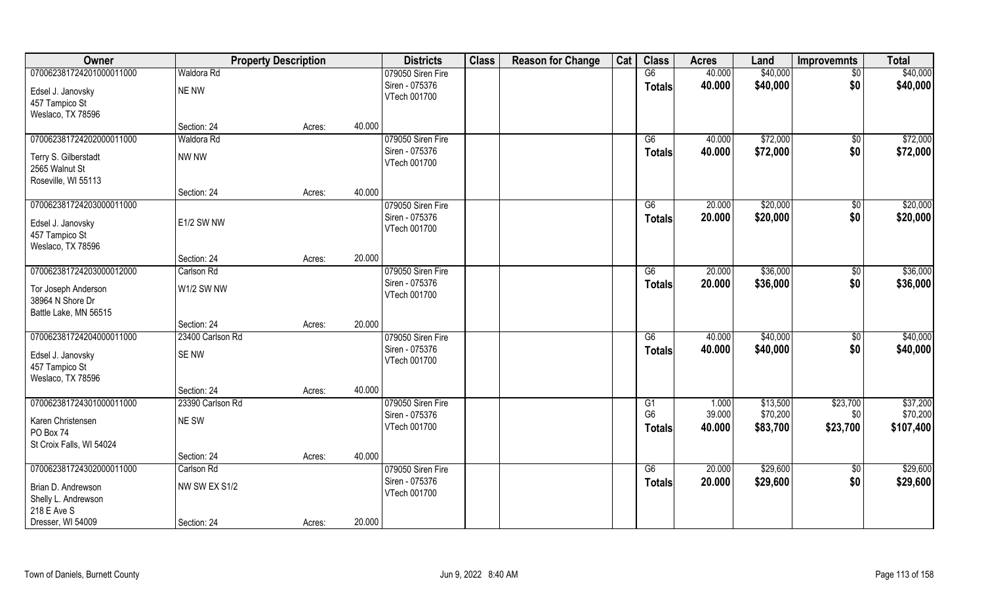| Owner                                                         |                                 | <b>Property Description</b> |        | <b>Districts</b>                    | <b>Class</b> | <b>Reason for Change</b> | Cat | <b>Class</b>                    | <b>Acres</b>     | Land                 | <b>Improvemnts</b> | <b>Total</b>          |
|---------------------------------------------------------------|---------------------------------|-----------------------------|--------|-------------------------------------|--------------|--------------------------|-----|---------------------------------|------------------|----------------------|--------------------|-----------------------|
| 070062381724201000011000                                      | Waldora Rd                      |                             |        | 079050 Siren Fire                   |              |                          |     | G6                              | 40.000           | \$40,000             | \$0                | \$40,000              |
| Edsel J. Janovsky<br>457 Tampico St                           | NE NW                           |                             |        | Siren - 075376<br>VTech 001700      |              |                          |     | <b>Totals</b>                   | 40.000           | \$40,000             | \$0                | \$40,000              |
| Weslaco, TX 78596                                             |                                 |                             |        |                                     |              |                          |     |                                 |                  |                      |                    |                       |
|                                                               | Section: 24                     | Acres:                      | 40.000 |                                     |              |                          |     |                                 |                  |                      |                    |                       |
| 070062381724202000011000                                      | <b>Waldora Rd</b>               |                             |        | 079050 Siren Fire                   |              |                          |     | G6                              | 40.000           | \$72,000             | $\sqrt[6]{}$       | \$72,000              |
| Terry S. Gilberstadt<br>2565 Walnut St<br>Roseville, WI 55113 | NW NW                           |                             |        | Siren - 075376<br>VTech 001700      |              |                          |     | Totals                          | 40.000           | \$72,000             | \$0                | \$72,000              |
|                                                               | Section: 24                     | Acres:                      | 40.000 |                                     |              |                          |     |                                 |                  |                      |                    |                       |
| 070062381724203000011000                                      |                                 |                             |        | 079050 Siren Fire                   |              |                          |     | G6                              | 20.000           | \$20,000             | $\sqrt[6]{}$       | \$20,000              |
| Edsel J. Janovsky<br>457 Tampico St<br>Weslaco, TX 78596      | E1/2 SW NW                      |                             |        | Siren - 075376<br>VTech 001700      |              |                          |     | <b>Totals</b>                   | 20.000           | \$20,000             | \$0                | \$20,000              |
|                                                               | Section: 24                     | Acres:                      | 20.000 |                                     |              |                          |     |                                 |                  |                      |                    |                       |
| 070062381724203000012000                                      | Carlson Rd                      |                             |        | 079050 Siren Fire                   |              |                          |     | G6                              | 20.000           | \$36,000             | \$0                | \$36,000              |
| Tor Joseph Anderson<br>38964 N Shore Dr                       | W1/2 SW NW                      |                             |        | Siren - 075376<br>VTech 001700      |              |                          |     | <b>Totals</b>                   | 20.000           | \$36,000             | \$0                | \$36,000              |
| Battle Lake, MN 56515                                         |                                 |                             |        |                                     |              |                          |     |                                 |                  |                      |                    |                       |
|                                                               | Section: 24<br>23400 Carlson Rd | Acres:                      | 20.000 |                                     |              |                          |     |                                 | 40.000           | \$40,000             |                    |                       |
| 070062381724204000011000                                      |                                 |                             |        | 079050 Siren Fire<br>Siren - 075376 |              |                          |     | G6                              |                  |                      | \$0                | \$40,000              |
| Edsel J. Janovsky<br>457 Tampico St                           | <b>SENW</b>                     |                             |        | VTech 001700                        |              |                          |     | <b>Totals</b>                   | 40.000           | \$40,000             | \$0                | \$40,000              |
| Weslaco, TX 78596                                             | Section: 24                     |                             | 40.000 |                                     |              |                          |     |                                 |                  |                      |                    |                       |
| 070062381724301000011000                                      | 23390 Carlson Rd                | Acres:                      |        | 079050 Siren Fire                   |              |                          |     | G1                              | 1.000            | \$13,500             | \$23,700           | \$37,200              |
| Karen Christensen<br>PO Box 74                                | NE SW                           |                             |        | Siren - 075376<br>VTech 001700      |              |                          |     | G <sub>6</sub><br><b>Totals</b> | 39.000<br>40.000 | \$70,200<br>\$83,700 | \$0<br>\$23,700    | \$70,200<br>\$107,400 |
| St Croix Falls, WI 54024                                      |                                 |                             |        |                                     |              |                          |     |                                 |                  |                      |                    |                       |
|                                                               | Section: 24                     | Acres:                      | 40.000 |                                     |              |                          |     |                                 |                  |                      |                    |                       |
| 070062381724302000011000                                      | Carlson Rd                      |                             |        | 079050 Siren Fire                   |              |                          |     | G6                              | 20.000           | \$29,600             | $\sqrt{6}$         | \$29,600              |
| Brian D. Andrewson<br>Shelly L. Andrewson<br>218 E Ave S      | NW SW EX S1/2                   |                             |        | Siren - 075376<br>VTech 001700      |              |                          |     | <b>Totals</b>                   | 20.000           | \$29,600             | \$0                | \$29,600              |
| Dresser, WI 54009                                             | Section: 24                     | Acres:                      | 20.000 |                                     |              |                          |     |                                 |                  |                      |                    |                       |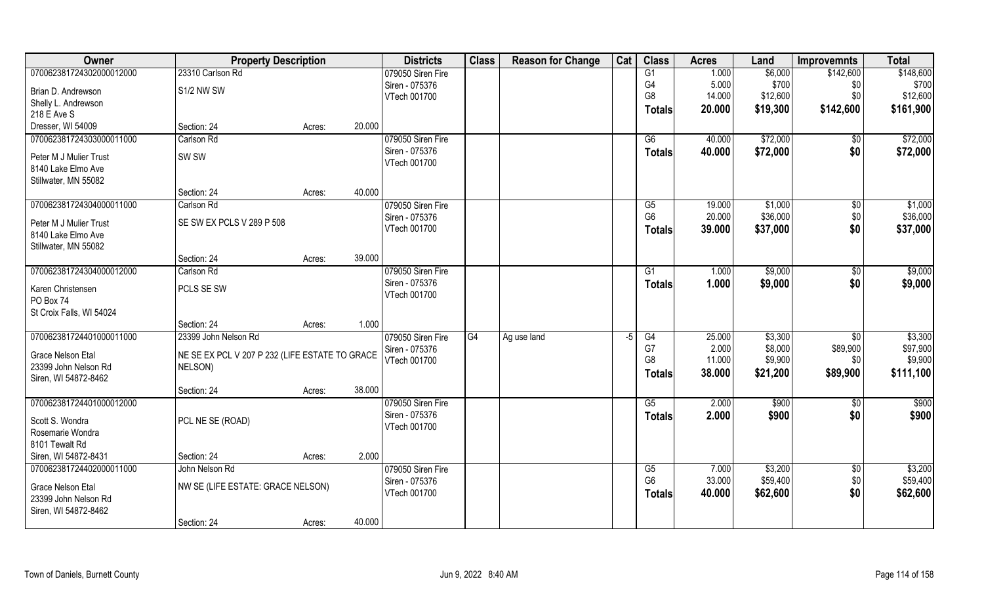| Owner                    | <b>Property Description</b>                    |        |        | <b>Districts</b>               | <b>Class</b> | <b>Reason for Change</b> | Cat  | <b>Class</b>   | <b>Acres</b> | Land     | <b>Improvemnts</b> | <b>Total</b> |
|--------------------------|------------------------------------------------|--------|--------|--------------------------------|--------------|--------------------------|------|----------------|--------------|----------|--------------------|--------------|
| 070062381724302000012000 | 23310 Carlson Rd                               |        |        | 079050 Siren Fire              |              |                          |      | G1             | 1.000        | \$6,000  | \$142,600          | \$148,600    |
| Brian D. Andrewson       | S1/2 NW SW                                     |        |        | Siren - 075376                 |              |                          |      | G4             | 5.000        | \$700    | \$0                | \$700        |
| Shelly L. Andrewson      |                                                |        |        | VTech 001700                   |              |                          |      | G <sub>8</sub> | 14.000       | \$12,600 | \$0                | \$12,600     |
| 218 E Ave S              |                                                |        |        |                                |              |                          |      | <b>Totals</b>  | 20.000       | \$19,300 | \$142,600          | \$161,900    |
| Dresser, WI 54009        | Section: 24                                    | Acres: | 20.000 |                                |              |                          |      |                |              |          |                    |              |
| 070062381724303000011000 | Carlson Rd                                     |        |        | 079050 Siren Fire              |              |                          |      | G6             | 40.000       | \$72,000 | \$0                | \$72,000     |
| Peter M J Mulier Trust   | SW <sub>SW</sub>                               |        |        | Siren - 075376                 |              |                          |      | <b>Totals</b>  | 40.000       | \$72,000 | \$0                | \$72,000     |
| 8140 Lake Elmo Ave       |                                                |        |        | VTech 001700                   |              |                          |      |                |              |          |                    |              |
| Stillwater, MN 55082     |                                                |        |        |                                |              |                          |      |                |              |          |                    |              |
|                          | Section: 24                                    | Acres: | 40.000 |                                |              |                          |      |                |              |          |                    |              |
| 070062381724304000011000 | Carlson Rd                                     |        |        | 079050 Siren Fire              |              |                          |      | G5             | 19.000       | \$1,000  | \$0                | \$1,000      |
| Peter M J Mulier Trust   | SE SW EX PCLS V 289 P 508                      |        |        | Siren - 075376                 |              |                          |      | G <sub>6</sub> | 20.000       | \$36,000 | \$0                | \$36,000     |
| 8140 Lake Elmo Ave       |                                                |        |        | VTech 001700                   |              |                          |      | <b>Totals</b>  | 39.000       | \$37,000 | \$0                | \$37,000     |
| Stillwater, MN 55082     |                                                |        |        |                                |              |                          |      |                |              |          |                    |              |
|                          | Section: 24                                    | Acres: | 39.000 |                                |              |                          |      |                |              |          |                    |              |
| 070062381724304000012000 | Carlson Rd                                     |        |        | 079050 Siren Fire              |              |                          |      | G1             | 1.000        | \$9,000  | \$0                | \$9,000      |
| Karen Christensen        | PCLS SE SW                                     |        |        | Siren - 075376                 |              |                          |      | <b>Totals</b>  | 1.000        | \$9,000  | \$0                | \$9,000      |
| PO Box 74                |                                                |        |        | VTech 001700                   |              |                          |      |                |              |          |                    |              |
| St Croix Falls, WI 54024 |                                                |        |        |                                |              |                          |      |                |              |          |                    |              |
|                          | Section: 24                                    | Acres: | 1.000  |                                |              |                          |      |                |              |          |                    |              |
| 070062381724401000011000 | 23399 John Nelson Rd                           |        |        | 079050 Siren Fire              | G4           | Ag use land              | $-5$ | G4             | 25.000       | \$3,300  | $\sqrt[6]{}$       | \$3,300      |
|                          |                                                |        |        | Siren - 075376                 |              |                          |      | G7             | 2.000        | \$8,000  | \$89,900           | \$97,900     |
| <b>Grace Nelson Etal</b> | NE SE EX PCL V 207 P 232 (LIFE ESTATE TO GRACE |        |        | VTech 001700                   |              |                          |      | G <sub>8</sub> | 11.000       | \$9,900  | \$0                | \$9,900      |
| 23399 John Nelson Rd     | NELSON)                                        |        |        |                                |              |                          |      | <b>Totals</b>  | 38.000       | \$21,200 | \$89,900           | \$111,100    |
| Siren, WI 54872-8462     |                                                |        |        |                                |              |                          |      |                |              |          |                    |              |
|                          | Section: 24                                    | Acres: | 38.000 |                                |              |                          |      |                |              |          |                    |              |
| 070062381724401000012000 |                                                |        |        | 079050 Siren Fire              |              |                          |      | G5             | 2.000        | \$900    | $\sqrt{6}$         | \$900        |
| Scott S. Wondra          | PCL NE SE (ROAD)                               |        |        | Siren - 075376<br>VTech 001700 |              |                          |      | <b>Totals</b>  | 2.000        | \$900    | \$0                | \$900        |
| Rosemarie Wondra         |                                                |        |        |                                |              |                          |      |                |              |          |                    |              |
| 8101 Tewalt Rd           |                                                |        |        |                                |              |                          |      |                |              |          |                    |              |
| Siren, WI 54872-8431     | Section: 24                                    | Acres: | 2.000  |                                |              |                          |      |                |              |          |                    |              |
| 070062381724402000011000 | John Nelson Rd                                 |        |        | 079050 Siren Fire              |              |                          |      | G5             | 7.000        | \$3,200  | \$0                | \$3,200      |
| Grace Nelson Etal        | NW SE (LIFE ESTATE: GRACE NELSON)              |        |        | Siren - 075376                 |              |                          |      | G <sub>6</sub> | 33.000       | \$59,400 | \$0                | \$59,400     |
| 23399 John Nelson Rd     |                                                |        |        | VTech 001700                   |              |                          |      | <b>Totals</b>  | 40.000       | \$62,600 | \$0                | \$62,600     |
| Siren, WI 54872-8462     |                                                |        |        |                                |              |                          |      |                |              |          |                    |              |
|                          | Section: 24                                    | Acres: | 40.000 |                                |              |                          |      |                |              |          |                    |              |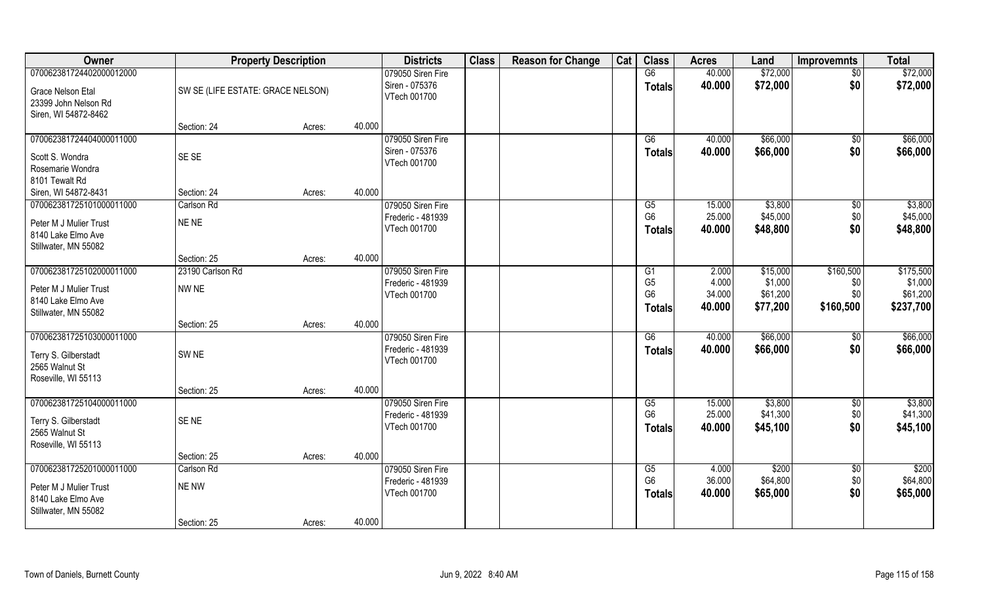| Owner                                        |                                   | <b>Property Description</b> |        | <b>Districts</b>  | <b>Class</b> | <b>Reason for Change</b> | Cat | <b>Class</b>    | <b>Acres</b> | Land     | <b>Improvemnts</b> | <b>Total</b> |
|----------------------------------------------|-----------------------------------|-----------------------------|--------|-------------------|--------------|--------------------------|-----|-----------------|--------------|----------|--------------------|--------------|
| 070062381724402000012000                     |                                   |                             |        | 079050 Siren Fire |              |                          |     | G6              | 40.000       | \$72,000 | $\sqrt{6}$         | \$72,000     |
| <b>Grace Nelson Etal</b>                     | SW SE (LIFE ESTATE: GRACE NELSON) |                             |        | Siren - 075376    |              |                          |     | <b>Totals</b>   | 40.000       | \$72,000 | \$0                | \$72,000     |
| 23399 John Nelson Rd                         |                                   |                             |        | VTech 001700      |              |                          |     |                 |              |          |                    |              |
| Siren, WI 54872-8462                         |                                   |                             |        |                   |              |                          |     |                 |              |          |                    |              |
|                                              | Section: 24                       | Acres:                      | 40.000 |                   |              |                          |     |                 |              |          |                    |              |
| 070062381724404000011000                     |                                   |                             |        | 079050 Siren Fire |              |                          |     | G6              | 40.000       | \$66,000 | \$0                | \$66,000     |
| Scott S. Wondra                              | SE SE                             |                             |        | Siren - 075376    |              |                          |     | Totals          | 40.000       | \$66,000 | \$0                | \$66,000     |
| Rosemarie Wondra                             |                                   |                             |        | VTech 001700      |              |                          |     |                 |              |          |                    |              |
| 8101 Tewalt Rd                               |                                   |                             |        |                   |              |                          |     |                 |              |          |                    |              |
| Siren, WI 54872-8431                         | Section: 24                       | Acres:                      | 40.000 |                   |              |                          |     |                 |              |          |                    |              |
| 070062381725101000011000                     | Carlson Rd                        |                             |        | 079050 Siren Fire |              |                          |     | G5              | 15.000       | \$3,800  | \$0                | \$3,800      |
| Peter M J Mulier Trust                       | NE NE                             |                             |        | Frederic - 481939 |              |                          |     | G <sub>6</sub>  | 25.000       | \$45,000 | \$0                | \$45,000     |
| 8140 Lake Elmo Ave                           |                                   |                             |        | VTech 001700      |              |                          |     | <b>Totals</b>   | 40.000       | \$48,800 | \$0                | \$48,800     |
| Stillwater, MN 55082                         |                                   |                             |        |                   |              |                          |     |                 |              |          |                    |              |
|                                              | Section: 25                       | Acres:                      | 40.000 |                   |              |                          |     |                 |              |          |                    |              |
| 070062381725102000011000                     | 23190 Carlson Rd                  |                             |        | 079050 Siren Fire |              |                          |     | G1              | 2.000        | \$15,000 | \$160,500          | \$175,500    |
| Peter M J Mulier Trust                       | NW NE                             |                             |        | Frederic - 481939 |              |                          |     | G <sub>5</sub>  | 4.000        | \$1,000  | \$0                | \$1,000      |
| 8140 Lake Elmo Ave                           |                                   |                             |        | VTech 001700      |              |                          |     | G <sub>6</sub>  | 34.000       | \$61,200 | \$0                | \$61,200     |
| Stillwater, MN 55082                         |                                   |                             |        |                   |              |                          |     | <b>Totals</b>   | 40.000       | \$77,200 | \$160,500          | \$237,700    |
|                                              | Section: 25                       | Acres:                      | 40.000 |                   |              |                          |     |                 |              |          |                    |              |
| 070062381725103000011000                     |                                   |                             |        | 079050 Siren Fire |              |                          |     | $\overline{G6}$ | 40.000       | \$66,000 | \$0                | \$66,000     |
| Terry S. Gilberstadt                         | SW <sub>NE</sub>                  |                             |        | Frederic - 481939 |              |                          |     | <b>Totals</b>   | 40.000       | \$66,000 | \$0                | \$66,000     |
| 2565 Walnut St                               |                                   |                             |        | VTech 001700      |              |                          |     |                 |              |          |                    |              |
| Roseville, WI 55113                          |                                   |                             |        |                   |              |                          |     |                 |              |          |                    |              |
|                                              | Section: 25                       | Acres:                      | 40.000 |                   |              |                          |     |                 |              |          |                    |              |
| 070062381725104000011000                     |                                   |                             |        | 079050 Siren Fire |              |                          |     | G5              | 15.000       | \$3,800  | \$0                | \$3,800      |
| Terry S. Gilberstadt                         | SE <sub>NE</sub>                  |                             |        | Frederic - 481939 |              |                          |     | G <sub>6</sub>  | 25.000       | \$41,300 | \$0                | \$41,300     |
| 2565 Walnut St                               |                                   |                             |        | VTech 001700      |              |                          |     | <b>Totals</b>   | 40.000       | \$45,100 | \$0                | \$45,100     |
| Roseville, WI 55113                          |                                   |                             |        |                   |              |                          |     |                 |              |          |                    |              |
|                                              | Section: 25                       | Acres:                      | 40.000 |                   |              |                          |     |                 |              |          |                    |              |
| 070062381725201000011000                     | Carlson Rd                        |                             |        | 079050 Siren Fire |              |                          |     | G5              | 4.000        | \$200    | $\overline{30}$    | \$200        |
|                                              |                                   |                             |        | Frederic - 481939 |              |                          |     | G <sub>6</sub>  | 36.000       | \$64,800 | \$0                | \$64,800     |
| Peter M J Mulier Trust<br>8140 Lake Elmo Ave | NE NW                             |                             |        | VTech 001700      |              |                          |     | <b>Totals</b>   | 40.000       | \$65,000 | \$0                | \$65,000     |
| Stillwater, MN 55082                         |                                   |                             |        |                   |              |                          |     |                 |              |          |                    |              |
|                                              | Section: 25                       | Acres:                      | 40.000 |                   |              |                          |     |                 |              |          |                    |              |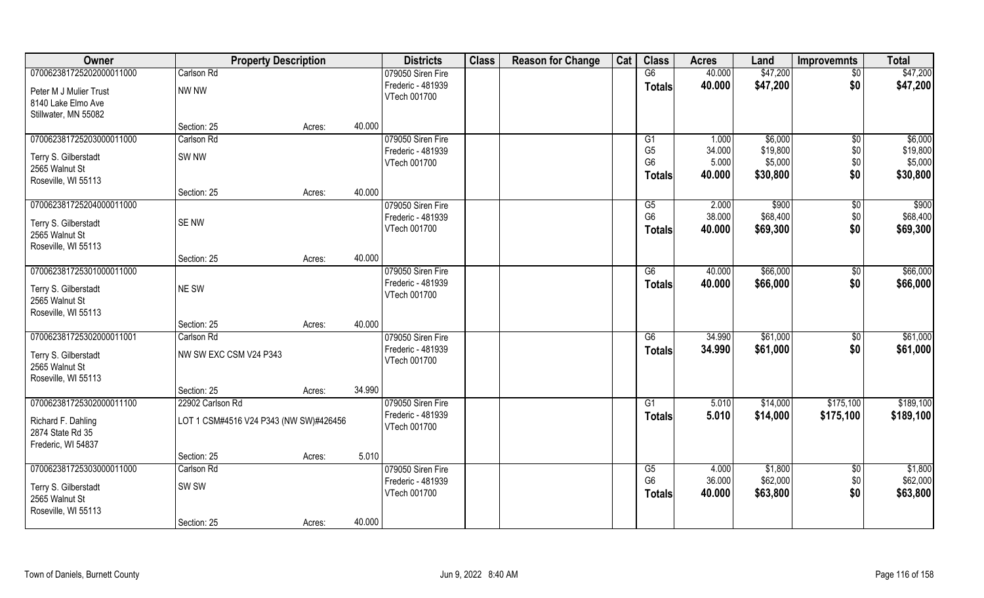| Owner                    | <b>Property Description</b>            |        |        | <b>Districts</b>  | <b>Class</b> | <b>Reason for Change</b> | Cat | <b>Class</b>    | <b>Acres</b> | Land     | <b>Improvemnts</b> | <b>Total</b> |
|--------------------------|----------------------------------------|--------|--------|-------------------|--------------|--------------------------|-----|-----------------|--------------|----------|--------------------|--------------|
| 070062381725202000011000 | Carlson Rd                             |        |        | 079050 Siren Fire |              |                          |     | G6              | 40.000       | \$47,200 | $\overline{50}$    | \$47,200     |
| Peter M J Mulier Trust   | NW NW                                  |        |        | Frederic - 481939 |              |                          |     | <b>Totals</b>   | 40.000       | \$47,200 | \$0                | \$47,200     |
| 8140 Lake Elmo Ave       |                                        |        |        | VTech 001700      |              |                          |     |                 |              |          |                    |              |
| Stillwater, MN 55082     |                                        |        |        |                   |              |                          |     |                 |              |          |                    |              |
|                          | Section: 25                            | Acres: | 40.000 |                   |              |                          |     |                 |              |          |                    |              |
| 070062381725203000011000 | Carlson Rd                             |        |        | 079050 Siren Fire |              |                          |     | G1              | 1.000        | \$6,000  | \$0                | \$6,000      |
| Terry S. Gilberstadt     | SW <sub>NW</sub>                       |        |        | Frederic - 481939 |              |                          |     | G <sub>5</sub>  | 34.000       | \$19,800 | \$0                | \$19,800     |
| 2565 Walnut St           |                                        |        |        | VTech 001700      |              |                          |     | G <sub>6</sub>  | 5.000        | \$5,000  | \$0                | \$5,000      |
| Roseville, WI 55113      |                                        |        |        |                   |              |                          |     | <b>Totals</b>   | 40.000       | \$30,800 | \$0                | \$30,800     |
|                          | Section: 25                            | Acres: | 40.000 |                   |              |                          |     |                 |              |          |                    |              |
| 070062381725204000011000 |                                        |        |        | 079050 Siren Fire |              |                          |     | G5              | 2.000        | \$900    | \$0                | \$900        |
| Terry S. Gilberstadt     | <b>SENW</b>                            |        |        | Frederic - 481939 |              |                          |     | G <sub>6</sub>  | 38.000       | \$68,400 | \$0                | \$68,400     |
| 2565 Walnut St           |                                        |        |        | VTech 001700      |              |                          |     | <b>Totals</b>   | 40.000       | \$69,300 | \$0                | \$69,300     |
| Roseville, WI 55113      |                                        |        |        |                   |              |                          |     |                 |              |          |                    |              |
|                          | Section: 25                            | Acres: | 40.000 |                   |              |                          |     |                 |              |          |                    |              |
| 070062381725301000011000 |                                        |        |        | 079050 Siren Fire |              |                          |     | G6              | 40.000       | \$66,000 | \$0                | \$66,000     |
| Terry S. Gilberstadt     | NE SW                                  |        |        | Frederic - 481939 |              |                          |     | <b>Totals</b>   | 40.000       | \$66,000 | \$0                | \$66,000     |
| 2565 Walnut St           |                                        |        |        | VTech 001700      |              |                          |     |                 |              |          |                    |              |
| Roseville, WI 55113      |                                        |        |        |                   |              |                          |     |                 |              |          |                    |              |
|                          | Section: 25                            | Acres: | 40.000 |                   |              |                          |     |                 |              |          |                    |              |
| 070062381725302000011001 | Carlson Rd                             |        |        | 079050 Siren Fire |              |                          |     | $\overline{G6}$ | 34.990       | \$61,000 | $\sqrt[6]{30}$     | \$61,000     |
| Terry S. Gilberstadt     | NW SW EXC CSM V24 P343                 |        |        | Frederic - 481939 |              |                          |     | <b>Totals</b>   | 34.990       | \$61,000 | \$0                | \$61,000     |
| 2565 Walnut St           |                                        |        |        | VTech 001700      |              |                          |     |                 |              |          |                    |              |
| Roseville, WI 55113      |                                        |        |        |                   |              |                          |     |                 |              |          |                    |              |
|                          | Section: 25                            | Acres: | 34.990 |                   |              |                          |     |                 |              |          |                    |              |
| 070062381725302000011100 | 22902 Carlson Rd                       |        |        | 079050 Siren Fire |              |                          |     | G1              | 5.010        | \$14,000 | \$175,100          | \$189,100    |
| Richard F. Dahling       | LOT 1 CSM#4516 V24 P343 (NW SW)#426456 |        |        | Frederic - 481939 |              |                          |     | <b>Totals</b>   | 5.010        | \$14,000 | \$175,100          | \$189,100    |
| 2874 State Rd 35         |                                        |        |        | VTech 001700      |              |                          |     |                 |              |          |                    |              |
| Frederic, WI 54837       |                                        |        |        |                   |              |                          |     |                 |              |          |                    |              |
|                          | Section: 25                            | Acres: | 5.010  |                   |              |                          |     |                 |              |          |                    |              |
| 070062381725303000011000 | Carlson Rd                             |        |        | 079050 Siren Fire |              |                          |     | G5              | 4.000        | \$1,800  | $\overline{30}$    | \$1,800      |
| Terry S. Gilberstadt     | SW <sub>SW</sub>                       |        |        | Frederic - 481939 |              |                          |     | G <sub>6</sub>  | 36.000       | \$62,000 | \$0                | \$62,000     |
| 2565 Walnut St           |                                        |        |        | VTech 001700      |              |                          |     | <b>Totals</b>   | 40.000       | \$63,800 | \$0                | \$63,800     |
| Roseville, WI 55113      |                                        |        |        |                   |              |                          |     |                 |              |          |                    |              |
|                          | Section: 25                            | Acres: | 40.000 |                   |              |                          |     |                 |              |          |                    |              |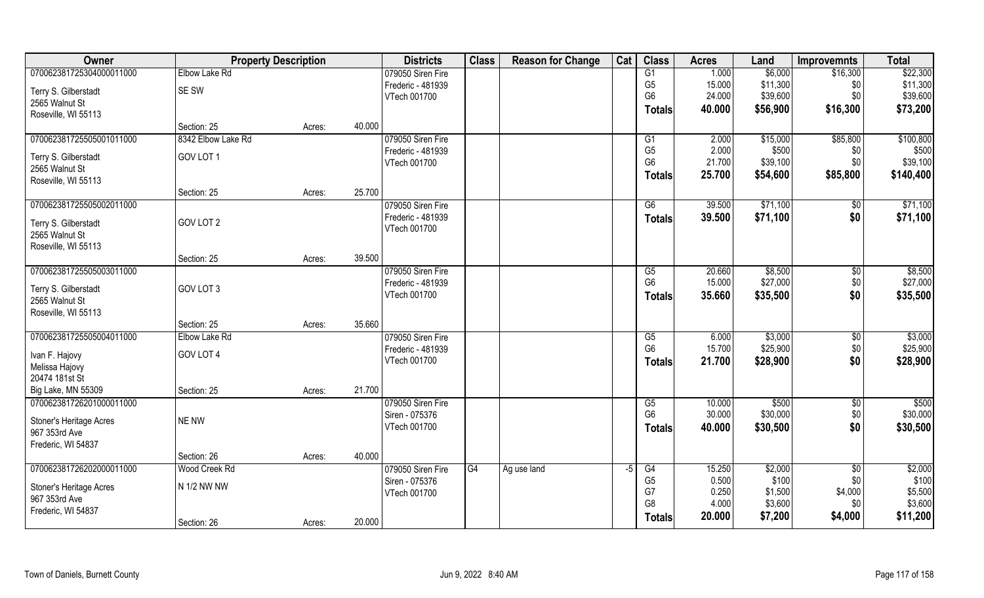| Owner                            |                    | <b>Property Description</b> |        | <b>Districts</b>  | <b>Class</b> | <b>Reason for Change</b> | Cat  | <b>Class</b>           | <b>Acres</b>   | Land               | <b>Improvemnts</b> | <b>Total</b>       |
|----------------------------------|--------------------|-----------------------------|--------|-------------------|--------------|--------------------------|------|------------------------|----------------|--------------------|--------------------|--------------------|
| 070062381725304000011000         | Elbow Lake Rd      |                             |        | 079050 Siren Fire |              |                          |      | G1                     | 1.000          | \$6,000            | \$16,300           | \$22,300           |
| Terry S. Gilberstadt             | SE SW              |                             |        | Frederic - 481939 |              |                          |      | G <sub>5</sub>         | 15.000         | \$11,300           | \$0                | \$11,300           |
| 2565 Walnut St                   |                    |                             |        | VTech 001700      |              |                          |      | G <sub>6</sub>         | 24.000         | \$39,600           | \$0                | \$39,600           |
| Roseville, WI 55113              |                    |                             |        |                   |              |                          |      | Totals                 | 40.000         | \$56,900           | \$16,300           | \$73,200           |
|                                  | Section: 25        | Acres:                      | 40.000 |                   |              |                          |      |                        |                |                    |                    |                    |
| 070062381725505001011000         | 8342 Elbow Lake Rd |                             |        | 079050 Siren Fire |              |                          |      | G1                     | 2.000          | \$15,000           | \$85,800           | \$100,800          |
| Terry S. Gilberstadt             | GOV LOT 1          |                             |        | Frederic - 481939 |              |                          |      | G <sub>5</sub>         | 2.000          | \$500              | \$0                | \$500              |
| 2565 Walnut St                   |                    |                             |        | VTech 001700      |              |                          |      | G <sub>6</sub>         | 21.700         | \$39,100           | \$0                | \$39,100           |
| Roseville, WI 55113              |                    |                             |        |                   |              |                          |      | <b>Totals</b>          | 25.700         | \$54,600           | \$85,800           | \$140,400          |
|                                  | Section: 25        | Acres:                      | 25.700 |                   |              |                          |      |                        |                |                    |                    |                    |
| 070062381725505002011000         |                    |                             |        | 079050 Siren Fire |              |                          |      | G6                     | 39.500         | \$71,100           | \$0                | \$71,100           |
| Terry S. Gilberstadt             | GOV LOT 2          |                             |        | Frederic - 481939 |              |                          |      | <b>Totals</b>          | 39.500         | \$71,100           | \$0                | \$71,100           |
| 2565 Walnut St                   |                    |                             |        | VTech 001700      |              |                          |      |                        |                |                    |                    |                    |
| Roseville, WI 55113              |                    |                             |        |                   |              |                          |      |                        |                |                    |                    |                    |
|                                  | Section: 25        | Acres:                      | 39.500 |                   |              |                          |      |                        |                |                    |                    |                    |
| 070062381725505003011000         |                    |                             |        | 079050 Siren Fire |              |                          |      | G5                     | 20.660         | \$8,500            | $\sqrt[6]{3}$      | \$8,500            |
| Terry S. Gilberstadt             | GOV LOT 3          |                             |        | Frederic - 481939 |              |                          |      | G <sub>6</sub>         | 15.000         | \$27,000           | \$0                | \$27,000           |
| 2565 Walnut St                   |                    |                             |        | VTech 001700      |              |                          |      | <b>Totals</b>          | 35.660         | \$35,500           | \$0                | \$35,500           |
| Roseville, WI 55113              |                    |                             |        |                   |              |                          |      |                        |                |                    |                    |                    |
|                                  | Section: 25        | Acres:                      | 35.660 |                   |              |                          |      |                        |                |                    |                    |                    |
| 070062381725505004011000         | Elbow Lake Rd      |                             |        | 079050 Siren Fire |              |                          |      | $\overline{\text{G5}}$ | 6.000          | \$3,000            | $\sqrt[6]{}$       | \$3,000            |
|                                  |                    |                             |        | Frederic - 481939 |              |                          |      | G <sub>6</sub>         | 15.700         | \$25,900           | \$0                | \$25,900           |
| Ivan F. Hajovy                   | GOV LOT 4          |                             |        | VTech 001700      |              |                          |      | <b>Totals</b>          | 21.700         | \$28,900           | \$0                | \$28,900           |
| Melissa Hajovy<br>20474 181st St |                    |                             |        |                   |              |                          |      |                        |                |                    |                    |                    |
| Big Lake, MN 55309               | Section: 25        | Acres:                      | 21.700 |                   |              |                          |      |                        |                |                    |                    |                    |
| 070062381726201000011000         |                    |                             |        | 079050 Siren Fire |              |                          |      | G5                     | 10.000         | \$500              | $\overline{50}$    | \$500              |
|                                  |                    |                             |        | Siren - 075376    |              |                          |      | G <sub>6</sub>         | 30.000         | \$30,000           | \$0                | \$30,000           |
| Stoner's Heritage Acres          | NE NW              |                             |        | VTech 001700      |              |                          |      | <b>Totals</b>          | 40.000         | \$30,500           | \$0                | \$30,500           |
| 967 353rd Ave                    |                    |                             |        |                   |              |                          |      |                        |                |                    |                    |                    |
| Frederic, WI 54837               |                    |                             |        |                   |              |                          |      |                        |                |                    |                    |                    |
|                                  | Section: 26        | Acres:                      | 40.000 |                   |              |                          |      |                        |                |                    |                    |                    |
| 070062381726202000011000         | Wood Creek Rd      |                             |        | 079050 Siren Fire | G4           | Ag use land              | $-5$ | G4                     | 15.250         | \$2,000            | $\sqrt[6]{30}$     | \$2,000            |
| Stoner's Heritage Acres          | N 1/2 NW NW        |                             |        | Siren - 075376    |              |                          |      | G <sub>5</sub>         | 0.500          | \$100              | \$0                | \$100              |
| 967 353rd Ave                    |                    |                             |        | VTech 001700      |              |                          |      | G7<br>G <sub>8</sub>   | 0.250<br>4.000 | \$1,500<br>\$3,600 | \$4,000<br>\$0     | \$5,500<br>\$3,600 |
| Frederic, WI 54837               |                    |                             |        |                   |              |                          |      |                        | 20.000         |                    |                    |                    |
|                                  | Section: 26        | Acres:                      | 20.000 |                   |              |                          |      | <b>Totals</b>          |                | \$7,200            | \$4,000            | \$11,200           |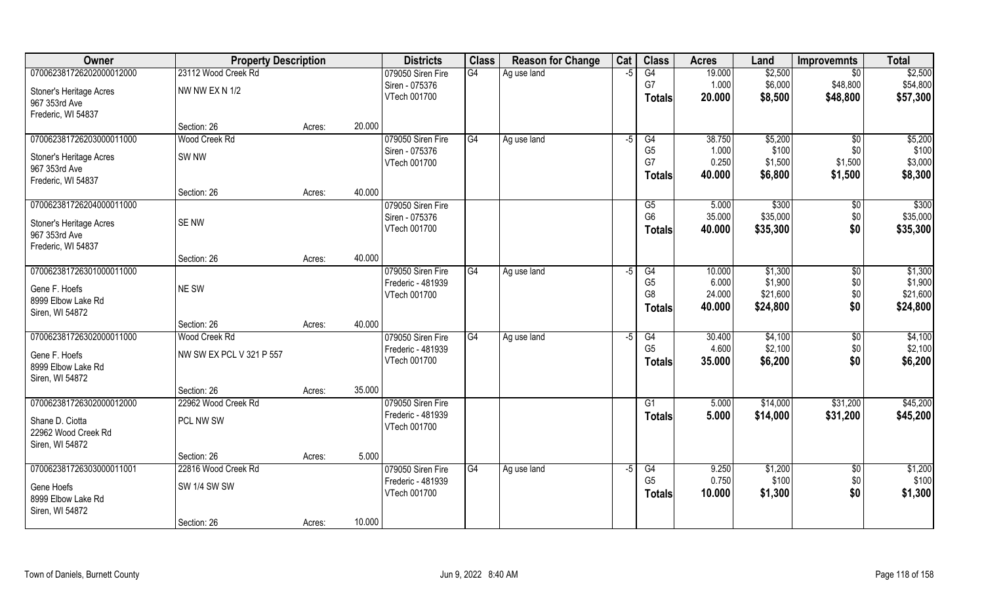| Owner                          | <b>Property Description</b> |        |        | <b>Districts</b>  | <b>Class</b> | <b>Reason for Change</b> | Cat  | <b>Class</b>    | <b>Acres</b> | Land     | <b>Improvemnts</b> | <b>Total</b> |
|--------------------------------|-----------------------------|--------|--------|-------------------|--------------|--------------------------|------|-----------------|--------------|----------|--------------------|--------------|
| 070062381726202000012000       | 23112 Wood Creek Rd         |        |        | 079050 Siren Fire | G4           | Ag use land              | $-5$ | G4              | 19.000       | \$2,500  | \$0                | \$2,500      |
| Stoner's Heritage Acres        | NW NW EX N 1/2              |        |        | Siren - 075376    |              |                          |      | G7              | 1.000        | \$6,000  | \$48,800           | \$54,800     |
| 967 353rd Ave                  |                             |        |        | VTech 001700      |              |                          |      | <b>Totals</b>   | 20.000       | \$8,500  | \$48,800           | \$57,300     |
| Frederic, WI 54837             |                             |        |        |                   |              |                          |      |                 |              |          |                    |              |
|                                | Section: 26                 | Acres: | 20.000 |                   |              |                          |      |                 |              |          |                    |              |
| 070062381726203000011000       | Wood Creek Rd               |        |        | 079050 Siren Fire | G4           | Ag use land              | -5   | G4              | 38.750       | \$5,200  | \$0                | \$5,200      |
| <b>Stoner's Heritage Acres</b> | SW <sub>NW</sub>            |        |        | Siren - 075376    |              |                          |      | G <sub>5</sub>  | 1.000        | \$100    | \$0                | \$100        |
| 967 353rd Ave                  |                             |        |        | VTech 001700      |              |                          |      | G7              | 0.250        | \$1,500  | \$1,500            | \$3,000      |
| Frederic, WI 54837             |                             |        |        |                   |              |                          |      | Totals          | 40.000       | \$6,800  | \$1,500            | \$8,300      |
|                                | Section: 26                 | Acres: | 40.000 |                   |              |                          |      |                 |              |          |                    |              |
| 070062381726204000011000       |                             |        |        | 079050 Siren Fire |              |                          |      | G5              | 5.000        | \$300    | \$0                | \$300        |
| <b>Stoner's Heritage Acres</b> | SE NW                       |        |        | Siren - 075376    |              |                          |      | G <sub>6</sub>  | 35.000       | \$35,000 | \$0                | \$35,000     |
| 967 353rd Ave                  |                             |        |        | VTech 001700      |              |                          |      | <b>Totals</b>   | 40.000       | \$35,300 | \$0                | \$35,300     |
| Frederic, WI 54837             |                             |        |        |                   |              |                          |      |                 |              |          |                    |              |
|                                | Section: 26                 | Acres: | 40.000 |                   |              |                          |      |                 |              |          |                    |              |
| 070062381726301000011000       |                             |        |        | 079050 Siren Fire | G4           | Ag use land              | -5   | G4              | 10.000       | \$1,300  | \$0                | \$1,300      |
| Gene F. Hoefs                  | NE SW                       |        |        | Frederic - 481939 |              |                          |      | G <sub>5</sub>  | 6.000        | \$1,900  | \$0                | \$1,900      |
| 8999 Elbow Lake Rd             |                             |        |        | VTech 001700      |              |                          |      | G <sub>8</sub>  | 24.000       | \$21,600 | \$0                | \$21,600     |
| Siren, WI 54872                |                             |        |        |                   |              |                          |      | <b>Totals</b>   | 40.000       | \$24,800 | \$0                | \$24,800     |
|                                | Section: 26                 | Acres: | 40.000 |                   |              |                          |      |                 |              |          |                    |              |
| 070062381726302000011000       | Wood Creek Rd               |        |        | 079050 Siren Fire | G4           | Ag use land              | -5   | $\overline{G4}$ | 30.400       | \$4,100  | \$0                | \$4,100      |
| Gene F. Hoefs                  | NW SW EX PCL V 321 P 557    |        |        | Frederic - 481939 |              |                          |      | G <sub>5</sub>  | 4.600        | \$2,100  | \$0                | \$2,100      |
| 8999 Elbow Lake Rd             |                             |        |        | VTech 001700      |              |                          |      | <b>Totals</b>   | 35.000       | \$6,200  | \$0                | \$6,200      |
| Siren, WI 54872                |                             |        |        |                   |              |                          |      |                 |              |          |                    |              |
|                                | Section: 26                 | Acres: | 35.000 |                   |              |                          |      |                 |              |          |                    |              |
| 070062381726302000012000       | 22962 Wood Creek Rd         |        |        | 079050 Siren Fire |              |                          |      | G1              | 5.000        | \$14,000 | \$31,200           | \$45,200     |
| Shane D. Ciotta                | PCL NW SW                   |        |        | Frederic - 481939 |              |                          |      | <b>Totals</b>   | 5.000        | \$14,000 | \$31,200           | \$45,200     |
| 22962 Wood Creek Rd            |                             |        |        | VTech 001700      |              |                          |      |                 |              |          |                    |              |
| Siren, WI 54872                |                             |        |        |                   |              |                          |      |                 |              |          |                    |              |
|                                | Section: 26                 | Acres: | 5.000  |                   |              |                          |      |                 |              |          |                    |              |
| 070062381726303000011001       | 22816 Wood Creek Rd         |        |        | 079050 Siren Fire | G4           | Ag use land              | $-5$ | G4              | 9.250        | \$1,200  | $\overline{30}$    | \$1,200      |
| Gene Hoefs                     | <b>SW 1/4 SW SW</b>         |        |        | Frederic - 481939 |              |                          |      | G <sub>5</sub>  | 0.750        | \$100    | \$0                | \$100        |
| 8999 Elbow Lake Rd             |                             |        |        | VTech 001700      |              |                          |      | <b>Totals</b>   | 10.000       | \$1,300  | \$0                | \$1,300      |
| Siren, WI 54872                |                             |        |        |                   |              |                          |      |                 |              |          |                    |              |
|                                | Section: 26                 | Acres: | 10.000 |                   |              |                          |      |                 |              |          |                    |              |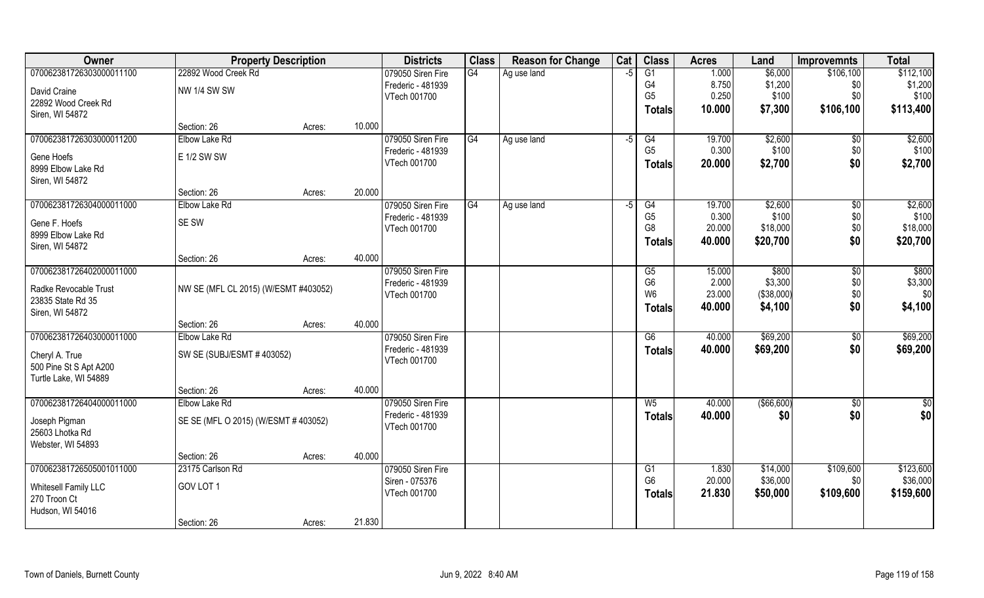| Owner                    | <b>Property Description</b>          |        |        | <b>Districts</b>  | <b>Class</b> | <b>Reason for Change</b> | Cat  | <b>Class</b>    | <b>Acres</b> | Land         | <b>Improvemnts</b> | <b>Total</b>  |
|--------------------------|--------------------------------------|--------|--------|-------------------|--------------|--------------------------|------|-----------------|--------------|--------------|--------------------|---------------|
| 070062381726303000011100 | 22892 Wood Creek Rd                  |        |        | 079050 Siren Fire | G4           | Ag use land              | -5   | $\overline{G1}$ | 1.000        | \$6,000      | \$106,100          | \$112,100     |
| David Craine             | <b>NW 1/4 SW SW</b>                  |        |        | Frederic - 481939 |              |                          |      | G4              | 8.750        | \$1,200      | \$0                | \$1,200       |
| 22892 Wood Creek Rd      |                                      |        |        | VTech 001700      |              |                          |      | G <sub>5</sub>  | 0.250        | \$100        | \$0                | \$100         |
| Siren, WI 54872          |                                      |        |        |                   |              |                          |      | <b>Totals</b>   | 10.000       | \$7,300      | \$106,100          | \$113,400     |
|                          | Section: 26                          | Acres: | 10.000 |                   |              |                          |      |                 |              |              |                    |               |
| 070062381726303000011200 | Elbow Lake Rd                        |        |        | 079050 Siren Fire | G4           | Ag use land              | $-5$ | G4              | 19.700       | \$2,600      | $\sqrt[6]{}$       | \$2,600       |
| Gene Hoefs               | E 1/2 SW SW                          |        |        | Frederic - 481939 |              |                          |      | G <sub>5</sub>  | 0.300        | \$100        | \$0                | \$100         |
| 8999 Elbow Lake Rd       |                                      |        |        | VTech 001700      |              |                          |      | <b>Totals</b>   | 20.000       | \$2,700      | \$0                | \$2,700       |
| Siren, WI 54872          |                                      |        |        |                   |              |                          |      |                 |              |              |                    |               |
|                          | Section: 26                          | Acres: | 20.000 |                   |              |                          |      |                 |              |              |                    |               |
| 070062381726304000011000 | Elbow Lake Rd                        |        |        | 079050 Siren Fire | G4           | Ag use land              | -5   | G4              | 19.700       | \$2,600      | $\sqrt[6]{}$       | \$2,600       |
| Gene F. Hoefs            | SE SW                                |        |        | Frederic - 481939 |              |                          |      | G <sub>5</sub>  | 0.300        | \$100        | \$0                | \$100         |
| 8999 Elbow Lake Rd       |                                      |        |        | VTech 001700      |              |                          |      | G <sub>8</sub>  | 20.000       | \$18,000     | \$0                | \$18,000      |
| Siren, WI 54872          |                                      |        |        |                   |              |                          |      | <b>Totals</b>   | 40.000       | \$20,700     | \$0                | \$20,700      |
|                          | Section: 26                          | Acres: | 40.000 |                   |              |                          |      |                 |              |              |                    |               |
| 070062381726402000011000 |                                      |        |        | 079050 Siren Fire |              |                          |      | G5              | 15.000       | \$800        | $\sqrt[6]{3}$      | \$800         |
| Radke Revocable Trust    | NW SE (MFL CL 2015) (W/ESMT #403052) |        |        | Frederic - 481939 |              |                          |      | G <sub>6</sub>  | 2.000        | \$3,300      | \$0\$              | \$3,300       |
| 23835 State Rd 35        |                                      |        |        | VTech 001700      |              |                          |      | W <sub>6</sub>  | 23.000       | (\$38,000)   | \$0                | \$0           |
| Siren, WI 54872          |                                      |        |        |                   |              |                          |      | <b>Totals</b>   | 40.000       | \$4,100      | \$0                | \$4,100       |
|                          | Section: 26                          | Acres: | 40.000 |                   |              |                          |      |                 |              |              |                    |               |
| 070062381726403000011000 | Elbow Lake Rd                        |        |        | 079050 Siren Fire |              |                          |      | $\overline{G6}$ | 40.000       | \$69,200     | \$0                | \$69,200      |
| Cheryl A. True           | SW SE (SUBJ/ESMT #403052)            |        |        | Frederic - 481939 |              |                          |      | <b>Totals</b>   | 40.000       | \$69,200     | \$0                | \$69,200      |
| 500 Pine St S Apt A200   |                                      |        |        | VTech 001700      |              |                          |      |                 |              |              |                    |               |
| Turtle Lake, WI 54889    |                                      |        |        |                   |              |                          |      |                 |              |              |                    |               |
|                          | Section: 26                          | Acres: | 40.000 |                   |              |                          |      |                 |              |              |                    |               |
| 070062381726404000011000 | Elbow Lake Rd                        |        |        | 079050 Siren Fire |              |                          |      | $W_5$           | 40.000       | ( \$66, 600) | $\sqrt{50}$        | $\frac{6}{3}$ |
| Joseph Pigman            | SE SE (MFL O 2015) (W/ESMT #403052)  |        |        | Frederic - 481939 |              |                          |      | <b>Totals</b>   | 40.000       | \$0          | \$0                | \$0           |
| 25603 Lhotka Rd          |                                      |        |        | VTech 001700      |              |                          |      |                 |              |              |                    |               |
| Webster, WI 54893        |                                      |        |        |                   |              |                          |      |                 |              |              |                    |               |
|                          | Section: 26                          | Acres: | 40.000 |                   |              |                          |      |                 |              |              |                    |               |
| 070062381726505001011000 | 23175 Carlson Rd                     |        |        | 079050 Siren Fire |              |                          |      | G1              | 1.830        | \$14,000     | \$109,600          | \$123,600     |
| Whitesell Family LLC     | GOV LOT 1                            |        |        | Siren - 075376    |              |                          |      | G <sub>6</sub>  | 20.000       | \$36,000     | \$0                | \$36,000      |
| 270 Troon Ct             |                                      |        |        | VTech 001700      |              |                          |      | <b>Totals</b>   | 21.830       | \$50,000     | \$109,600          | \$159,600     |
| Hudson, WI 54016         |                                      |        |        |                   |              |                          |      |                 |              |              |                    |               |
|                          | Section: 26                          | Acres: | 21.830 |                   |              |                          |      |                 |              |              |                    |               |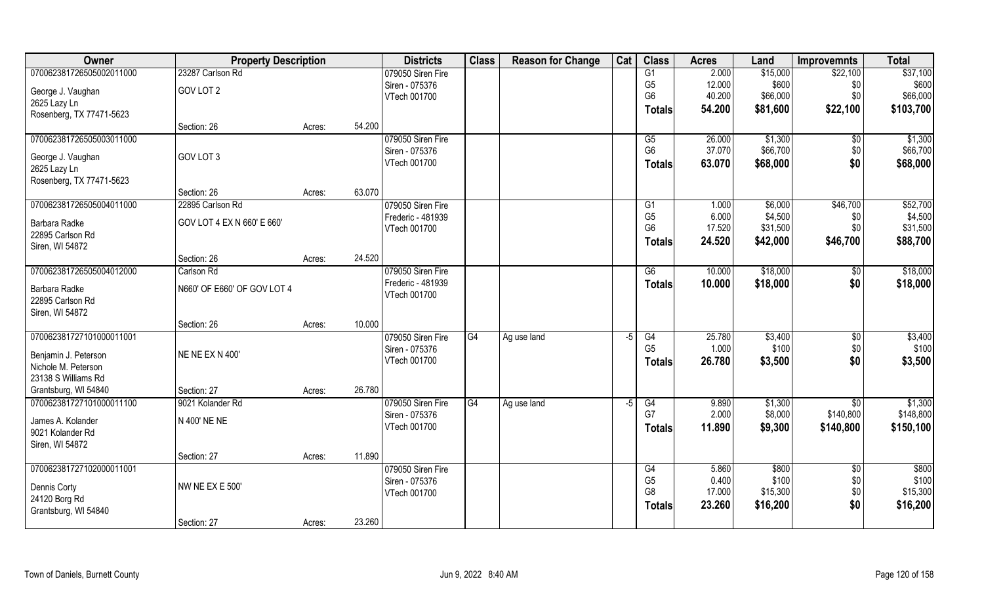| Owner                                            | <b>Property Description</b>     |        |        | <b>Districts</b>  | <b>Class</b> | <b>Reason for Change</b> | Cat  | <b>Class</b>    | <b>Acres</b> | Land     | <b>Improvemnts</b> | <b>Total</b> |
|--------------------------------------------------|---------------------------------|--------|--------|-------------------|--------------|--------------------------|------|-----------------|--------------|----------|--------------------|--------------|
| 070062381726505002011000                         | 23287 Carlson Rd                |        |        | 079050 Siren Fire |              |                          |      | $\overline{G1}$ | 2.000        | \$15,000 | \$22,100           | \$37,100     |
| George J. Vaughan                                | GOV LOT 2                       |        |        | Siren - 075376    |              |                          |      | G <sub>5</sub>  | 12.000       | \$600    | \$0                | \$600        |
| 2625 Lazy Ln                                     |                                 |        |        | VTech 001700      |              |                          |      | G <sub>6</sub>  | 40.200       | \$66,000 | \$0                | \$66,000     |
| Rosenberg, TX 77471-5623                         |                                 |        |        |                   |              |                          |      | Totals          | 54.200       | \$81,600 | \$22,100           | \$103,700    |
|                                                  | Section: 26                     | Acres: | 54.200 |                   |              |                          |      |                 |              |          |                    |              |
| 070062381726505003011000                         |                                 |        |        | 079050 Siren Fire |              |                          |      | G5              | 26.000       | \$1,300  | $\sqrt[6]{}$       | \$1,300      |
| George J. Vaughan                                | GOV LOT 3                       |        |        | Siren - 075376    |              |                          |      | G <sub>6</sub>  | 37.070       | \$66,700 | \$0                | \$66,700     |
| 2625 Lazy Ln                                     |                                 |        |        | VTech 001700      |              |                          |      | <b>Totals</b>   | 63.070       | \$68,000 | \$0                | \$68,000     |
| Rosenberg, TX 77471-5623                         |                                 |        |        |                   |              |                          |      |                 |              |          |                    |              |
|                                                  | Section: 26                     | Acres: | 63.070 |                   |              |                          |      |                 |              |          |                    |              |
| 070062381726505004011000                         | 22895 Carlson Rd                |        |        | 079050 Siren Fire |              |                          |      | G1              | 1.000        | \$6,000  | \$46,700           | \$52,700     |
| Barbara Radke                                    | GOV LOT 4 EX N 660' E 660'      |        |        | Frederic - 481939 |              |                          |      | G <sub>5</sub>  | 6.000        | \$4,500  | \$0                | \$4,500      |
| 22895 Carlson Rd                                 |                                 |        |        | VTech 001700      |              |                          |      | G <sub>6</sub>  | 17.520       | \$31,500 | \$0                | \$31,500     |
| Siren, WI 54872                                  |                                 |        |        |                   |              |                          |      | Totals          | 24.520       | \$42,000 | \$46,700           | \$88,700     |
|                                                  | Section: 26                     | Acres: | 24.520 |                   |              |                          |      |                 |              |          |                    |              |
| 070062381726505004012000                         | Carlson Rd                      |        |        | 079050 Siren Fire |              |                          |      | $\overline{G6}$ | 10.000       | \$18,000 | \$0                | \$18,000     |
|                                                  |                                 |        |        | Frederic - 481939 |              |                          |      | <b>Totals</b>   | 10.000       | \$18,000 | \$0                | \$18,000     |
| Barbara Radke<br>22895 Carlson Rd                | N660' OF E660' OF GOV LOT 4     |        |        | VTech 001700      |              |                          |      |                 |              |          |                    |              |
| Siren, WI 54872                                  |                                 |        |        |                   |              |                          |      |                 |              |          |                    |              |
|                                                  | Section: 26                     | Acres: | 10.000 |                   |              |                          |      |                 |              |          |                    |              |
| 070062381727101000011001                         |                                 |        |        | 079050 Siren Fire | G4           | Ag use land              | $-5$ | $\overline{G4}$ | 25.780       | \$3,400  | $\sqrt[6]{30}$     | \$3,400      |
|                                                  |                                 |        |        | Siren - 075376    |              |                          |      | G <sub>5</sub>  | 1.000        | \$100    | \$0                | \$100        |
| Benjamin J. Peterson                             | NE NE EX N 400'                 |        |        | VTech 001700      |              |                          |      | <b>Totals</b>   | 26.780       | \$3,500  | \$0                | \$3,500      |
| Nichole M. Peterson                              |                                 |        |        |                   |              |                          |      |                 |              |          |                    |              |
| 23138 S Williams Rd                              |                                 |        | 26.780 |                   |              |                          |      |                 |              |          |                    |              |
| Grantsburg, WI 54840<br>070062381727101000011100 | Section: 27<br>9021 Kolander Rd | Acres: |        | 079050 Siren Fire | G4           |                          | $-5$ | G4              | 9.890        | \$1,300  |                    | \$1,300      |
|                                                  |                                 |        |        | Siren - 075376    |              | Ag use land              |      | G7              | 2.000        | \$8,000  | \$0<br>\$140,800   | \$148,800    |
| James A. Kolander                                | N 400' NE NE                    |        |        | VTech 001700      |              |                          |      |                 | 11.890       | \$9,300  | \$140,800          | \$150,100    |
| 9021 Kolander Rd                                 |                                 |        |        |                   |              |                          |      | <b>Totals</b>   |              |          |                    |              |
| Siren, WI 54872                                  |                                 |        |        |                   |              |                          |      |                 |              |          |                    |              |
|                                                  | Section: 27                     | Acres: | 11.890 |                   |              |                          |      |                 |              |          |                    |              |
| 070062381727102000011001                         |                                 |        |        | 079050 Siren Fire |              |                          |      | G4              | 5.860        | \$800    | $\overline{50}$    | \$800        |
| Dennis Corty                                     | NW NE EX E 500'                 |        |        | Siren - 075376    |              |                          |      | G <sub>5</sub>  | 0.400        | \$100    | \$0                | \$100        |
| 24120 Borg Rd                                    |                                 |        |        | VTech 001700      |              |                          |      | G <sub>8</sub>  | 17.000       | \$15,300 | \$0                | \$15,300     |
| Grantsburg, WI 54840                             |                                 |        |        |                   |              |                          |      | <b>Totals</b>   | 23.260       | \$16,200 | \$0                | \$16,200     |
|                                                  | Section: 27                     | Acres: | 23.260 |                   |              |                          |      |                 |              |          |                    |              |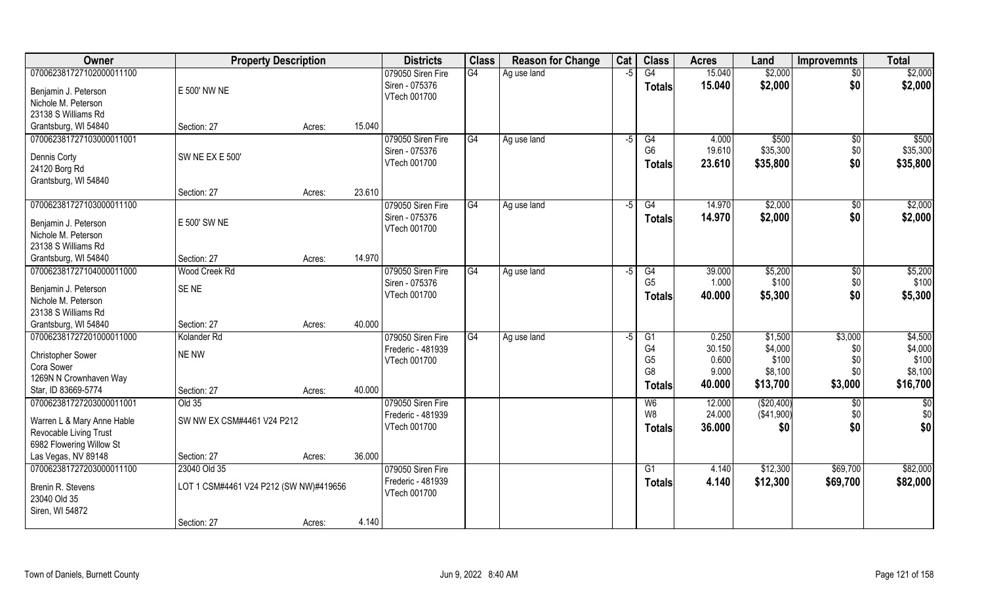| <b>Owner</b>                                         | <b>Property Description</b>            |        |        | <b>Districts</b>                  | <b>Class</b> | <b>Reason for Change</b> | Cat  | <b>Class</b>                     | <b>Acres</b>   | Land             | <b>Improvemnts</b> | <b>Total</b>     |
|------------------------------------------------------|----------------------------------------|--------|--------|-----------------------------------|--------------|--------------------------|------|----------------------------------|----------------|------------------|--------------------|------------------|
| 070062381727102000011100                             |                                        |        |        | 079050 Siren Fire                 | G4           | Ag use land              | $-5$ | G4                               | 15.040         | \$2,000          | $\overline{50}$    | \$2,000          |
| Benjamin J. Peterson<br>Nichole M. Peterson          | E 500' NW NE                           |        |        | Siren - 075376<br>VTech 001700    |              |                          |      | <b>Totals</b>                    | 15.040         | \$2,000          | \$0                | \$2,000          |
| 23138 S Williams Rd                                  |                                        |        |        |                                   |              |                          |      |                                  |                |                  |                    |                  |
| Grantsburg, WI 54840                                 | Section: 27                            | Acres: | 15.040 |                                   |              |                          |      |                                  |                |                  |                    |                  |
| 070062381727103000011001                             |                                        |        |        | 079050 Siren Fire                 | G4           | Ag use land              | -5   | G4                               | 4.000          | \$500            | $\sqrt{$0}$        | \$500            |
| Dennis Corty                                         | <b>SW NE EX E 500'</b>                 |        |        | Siren - 075376                    |              |                          |      | G <sub>6</sub>                   | 19.610         | \$35,300         | \$0                | \$35,300         |
| 24120 Borg Rd                                        |                                        |        |        | VTech 001700                      |              |                          |      | Totals                           | 23.610         | \$35,800         | \$0                | \$35,800         |
| Grantsburg, WI 54840                                 |                                        |        |        |                                   |              |                          |      |                                  |                |                  |                    |                  |
|                                                      | Section: 27                            | Acres: | 23.610 |                                   |              |                          |      |                                  |                |                  |                    |                  |
| 070062381727103000011100                             |                                        |        |        | 079050 Siren Fire                 | G4           | Ag use land              | $-5$ | G4                               | 14.970         | \$2,000          | $\sqrt[6]{30}$     | \$2,000          |
| Benjamin J. Peterson                                 | E 500' SW NE                           |        |        | Siren - 075376                    |              |                          |      | <b>Totals</b>                    | 14.970         | \$2,000          | \$0                | \$2,000          |
| Nichole M. Peterson                                  |                                        |        |        | VTech 001700                      |              |                          |      |                                  |                |                  |                    |                  |
| 23138 S Williams Rd                                  |                                        |        |        |                                   |              |                          |      |                                  |                |                  |                    |                  |
| Grantsburg, WI 54840                                 | Section: 27                            | Acres: | 14.970 |                                   |              |                          |      |                                  |                |                  |                    |                  |
| 070062381727104000011000                             | Wood Creek Rd                          |        |        | 079050 Siren Fire                 | G4           | Ag use land              | -5   | G4                               | 39.000         | \$5,200          | \$0                | \$5,200          |
| Benjamin J. Peterson                                 | SE <sub>NE</sub>                       |        |        | Siren - 075376                    |              |                          |      | G <sub>5</sub>                   | 1.000          | \$100            | \$0                | \$100            |
| Nichole M. Peterson                                  |                                        |        |        | VTech 001700                      |              |                          |      | <b>Totals</b>                    | 40.000         | \$5,300          | \$0                | \$5,300          |
| 23138 S Williams Rd                                  |                                        |        |        |                                   |              |                          |      |                                  |                |                  |                    |                  |
| Grantsburg, WI 54840                                 | Section: 27                            | Acres: | 40.000 |                                   |              |                          |      |                                  |                |                  |                    |                  |
| 070062381727201000011000                             | Kolander Rd                            |        |        | 079050 Siren Fire                 | G4           | Ag use land              | $-5$ | G1                               | 0.250          | \$1,500          | \$3,000            | \$4,500          |
| Christopher Sower                                    | NE NW                                  |        |        | Frederic - 481939                 |              |                          |      | G4                               | 30.150         | \$4,000          | \$0                | \$4,000          |
| Cora Sower                                           |                                        |        |        | VTech 001700                      |              |                          |      | G <sub>5</sub><br>G <sub>8</sub> | 0.600<br>9.000 | \$100<br>\$8,100 | \$0<br>\$0         | \$100<br>\$8,100 |
| 1269N N Crownhaven Way                               |                                        |        |        |                                   |              |                          |      |                                  | 40.000         | \$13,700         | \$3,000            | \$16,700         |
| Star, ID 83669-5774                                  | Section: 27                            | Acres: | 40.000 |                                   |              |                          |      | <b>Totals</b>                    |                |                  |                    |                  |
| 070062381727203000011001                             | Old 35                                 |        |        | 079050 Siren Fire                 |              |                          |      | W <sub>6</sub>                   | 12.000         | (\$20,400)       | \$0                | \$0              |
| Warren L & Mary Anne Hable                           | SW NW EX CSM#4461 V24 P212             |        |        | Frederic - 481939                 |              |                          |      | W <sub>8</sub>                   | 24.000         | (\$41,900)       | \$0                | \$0              |
| Revocable Living Trust                               |                                        |        |        | VTech 001700                      |              |                          |      | <b>Totals</b>                    | 36.000         | \$0              | \$0                | \$0              |
| 6982 Flowering Willow St                             |                                        |        |        |                                   |              |                          |      |                                  |                |                  |                    |                  |
| Las Vegas, NV 89148                                  | Section: 27                            | Acres: | 36.000 |                                   |              |                          |      |                                  |                |                  |                    |                  |
| 070062381727203000011100                             | 23040 Old 35                           |        |        | 079050 Siren Fire                 |              |                          |      | G1                               | 4.140          | \$12,300         | \$69,700           | \$82,000         |
| Brenin R. Stevens<br>23040 Old 35<br>Siren, WI 54872 | LOT 1 CSM#4461 V24 P212 (SW NW)#419656 |        |        | Frederic - 481939<br>VTech 001700 |              |                          |      | <b>Totals</b>                    | 4.140          | \$12,300         | \$69,700           | \$82,000         |
|                                                      | Section: 27                            | Acres: | 4.140  |                                   |              |                          |      |                                  |                |                  |                    |                  |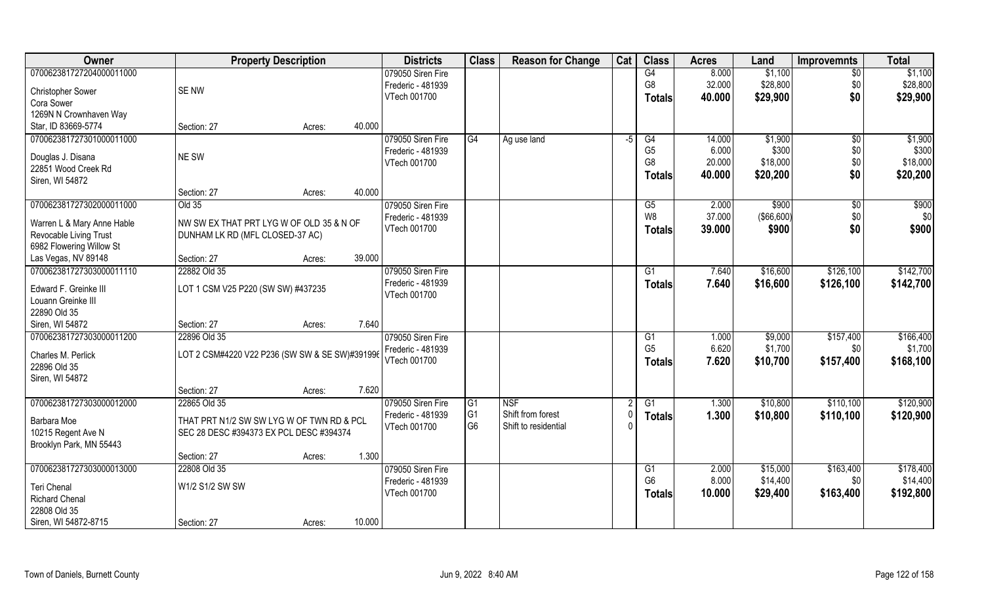| Owner                      | <b>Property Description</b>                    |                  | <b>Districts</b>  | <b>Class</b>    | <b>Reason for Change</b> | Cat | <b>Class</b>   | <b>Acres</b> | Land              | <b>Improvemnts</b> | <b>Total</b> |
|----------------------------|------------------------------------------------|------------------|-------------------|-----------------|--------------------------|-----|----------------|--------------|-------------------|--------------------|--------------|
| 070062381727204000011000   |                                                |                  | 079050 Siren Fire |                 |                          |     | G4             | 8.000        | \$1,100           | $\overline{50}$    | \$1,100      |
| Christopher Sower          | SE NW                                          |                  | Frederic - 481939 |                 |                          |     | G <sub>8</sub> | 32.000       | \$28,800          | \$0                | \$28,800     |
| Cora Sower                 |                                                |                  | VTech 001700      |                 |                          |     | Totals         | 40.000       | \$29,900          | \$0                | \$29,900     |
| 1269N N Crownhaven Way     |                                                |                  |                   |                 |                          |     |                |              |                   |                    |              |
| Star, ID 83669-5774        | Section: 27                                    | 40.000<br>Acres: |                   |                 |                          |     |                |              |                   |                    |              |
| 070062381727301000011000   |                                                |                  | 079050 Siren Fire | G4              | Ag use land              | -5  | G4             | 14.000       | \$1,900           | $\overline{50}$    | \$1,900      |
|                            |                                                |                  | Frederic - 481939 |                 |                          |     | G <sub>5</sub> | 6.000        | \$300             | \$0                | \$300        |
| Douglas J. Disana          | NE SW                                          |                  | VTech 001700      |                 |                          |     | G <sub>8</sub> | 20.000       | \$18,000          | \$0                | \$18,000     |
| 22851 Wood Creek Rd        |                                                |                  |                   |                 |                          |     |                | 40.000       |                   | \$0                | \$20,200     |
| Siren, WI 54872            |                                                |                  |                   |                 |                          |     | <b>Totals</b>  |              | \$20,200          |                    |              |
|                            | Section: 27                                    | 40.000<br>Acres: |                   |                 |                          |     |                |              |                   |                    |              |
| 070062381727302000011000   | Old 35                                         |                  | 079050 Siren Fire |                 |                          |     | G5             | 2.000        | \$900             | $\sqrt[6]{30}$     | \$900        |
|                            |                                                |                  | Frederic - 481939 |                 |                          |     | W8             | 37.000       | $($ \$66,600) $ $ | \$0                | \$0          |
| Warren L & Mary Anne Hable | NW SW EX THAT PRT LYG W OF OLD 35 & N OF       |                  | VTech 001700      |                 |                          |     | <b>Totals</b>  | 39.000       | \$900             | \$0                | \$900        |
| Revocable Living Trust     | DUNHAM LK RD (MFL CLOSED-37 AC)                |                  |                   |                 |                          |     |                |              |                   |                    |              |
| 6982 Flowering Willow St   |                                                | 39.000           |                   |                 |                          |     |                |              |                   |                    |              |
| Las Vegas, NV 89148        | Section: 27                                    | Acres:           |                   |                 |                          |     |                |              |                   |                    |              |
| 070062381727303000011110   | 22882 Old 35                                   |                  | 079050 Siren Fire |                 |                          |     | G <sub>1</sub> | 7.640        | \$16,600          | \$126,100          | \$142,700    |
| Edward F. Greinke III      | LOT 1 CSM V25 P220 (SW SW) #437235             |                  | Frederic - 481939 |                 |                          |     | <b>Totals</b>  | 7.640        | \$16,600          | \$126,100          | \$142,700    |
| Louann Greinke III         |                                                |                  | VTech 001700      |                 |                          |     |                |              |                   |                    |              |
| 22890 Old 35               |                                                |                  |                   |                 |                          |     |                |              |                   |                    |              |
| Siren, WI 54872            | Section: 27                                    | 7.640<br>Acres:  |                   |                 |                          |     |                |              |                   |                    |              |
| 070062381727303000011200   | 22896 Old 35                                   |                  | 079050 Siren Fire |                 |                          |     | G1             | 1.000        | \$9,000           | \$157,400          | \$166,400    |
|                            |                                                |                  | Frederic - 481939 |                 |                          |     | G <sub>5</sub> | 6.620        | \$1,700           | \$0                | \$1,700      |
| Charles M. Perlick         | LOT 2 CSM#4220 V22 P236 (SW SW & SE SW)#391996 |                  | VTech 001700      |                 |                          |     | Totals         | 7.620        | \$10,700          | \$157,400          | \$168,100    |
| 22896 Old 35               |                                                |                  |                   |                 |                          |     |                |              |                   |                    |              |
| Siren, WI 54872            |                                                |                  |                   |                 |                          |     |                |              |                   |                    |              |
|                            | Section: 27                                    | 7.620<br>Acres:  |                   |                 |                          |     |                |              |                   |                    |              |
| 070062381727303000012000   | 22865 Old 35                                   |                  | 079050 Siren Fire | $\overline{G1}$ | <b>NSF</b>               |     | G1             | 1.300        | \$10,800          | \$110,100          | \$120,900    |
| Barbara Moe                | THAT PRT N1/2 SW SW LYG W OF TWN RD & PCL      |                  | Frederic - 481939 | G <sub>1</sub>  | Shift from forest        |     | <b>Totals</b>  | 1.300        | \$10,800          | \$110,100          | \$120,900    |
| 10215 Regent Ave N         | SEC 28 DESC #394373 EX PCL DESC #394374        |                  | VTech 001700      | G <sub>6</sub>  | Shift to residential     |     |                |              |                   |                    |              |
| Brooklyn Park, MN 55443    |                                                |                  |                   |                 |                          |     |                |              |                   |                    |              |
|                            | Section: 27                                    | 1.300<br>Acres:  |                   |                 |                          |     |                |              |                   |                    |              |
| 070062381727303000013000   | 22808 Old 35                                   |                  | 079050 Siren Fire |                 |                          |     | G1             | 2.000        | \$15,000          | \$163,400          | \$178,400    |
|                            |                                                |                  | Frederic - 481939 |                 |                          |     | G <sub>6</sub> | 8.000        | \$14,400          | \$0                | \$14,400     |
| Teri Chenal                | W1/2 S1/2 SW SW                                |                  | VTech 001700      |                 |                          |     | <b>Totals</b>  | 10.000       | \$29,400          | \$163,400          | \$192,800    |
| <b>Richard Chenal</b>      |                                                |                  |                   |                 |                          |     |                |              |                   |                    |              |
| 22808 Old 35               |                                                |                  |                   |                 |                          |     |                |              |                   |                    |              |
| Siren, WI 54872-8715       | Section: 27                                    | 10.000<br>Acres: |                   |                 |                          |     |                |              |                   |                    |              |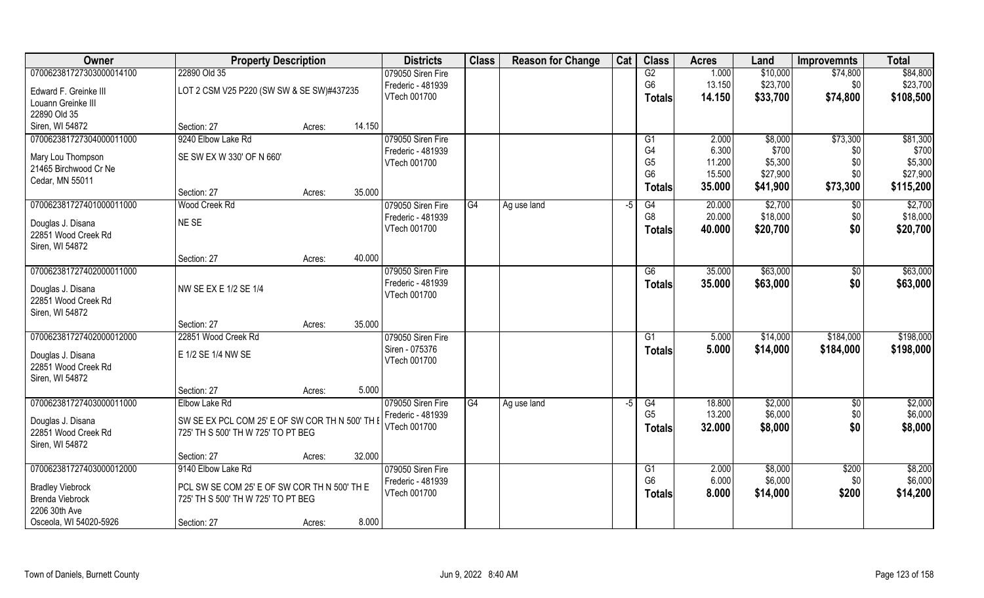| Owner                    | <b>Property Description</b>                     | <b>Districts</b> | <b>Class</b>      | <b>Reason for Change</b> | Cat         | <b>Class</b>  | <b>Acres</b>   | Land     | <b>Improvemnts</b> | <b>Total</b>   |           |
|--------------------------|-------------------------------------------------|------------------|-------------------|--------------------------|-------------|---------------|----------------|----------|--------------------|----------------|-----------|
| 070062381727303000014100 | 22890 Old 35                                    |                  | 079050 Siren Fire |                          |             |               | G2             | 1.000    | \$10,000           | \$74,800       | \$84,800  |
| Edward F. Greinke III    | LOT 2 CSM V25 P220 (SW SW & SE SW)#437235       |                  | Frederic - 481939 |                          |             |               | G <sub>6</sub> | 13.150   | \$23,700           | \$0            | \$23,700  |
| Louann Greinke III       |                                                 |                  | VTech 001700      |                          |             |               | <b>Totals</b>  | 14.150   | \$33,700           | \$74,800       | \$108,500 |
| 22890 Old 35             |                                                 |                  |                   |                          |             |               |                |          |                    |                |           |
| Siren, WI 54872          | Section: 27                                     | Acres:           | 14.150            |                          |             |               |                |          |                    |                |           |
| 070062381727304000011000 | 9240 Elbow Lake Rd                              |                  | 079050 Siren Fire |                          |             |               | G1             | 2.000    | \$8,000            | \$73,300       | \$81,300  |
|                          |                                                 |                  | Frederic - 481939 |                          |             |               | G4             | 6.300    | \$700              | \$0            | \$700     |
| Mary Lou Thompson        | SE SW EX W 330' OF N 660'                       |                  | VTech 001700      |                          |             |               | G <sub>5</sub> | 11.200   | \$5,300            | \$0            | \$5,300   |
| 21465 Birchwood Cr Ne    |                                                 |                  |                   |                          |             |               | G <sub>6</sub> | 15.500   | \$27,900           | \$0            | \$27,900  |
| Cedar, MN 55011          | Section: 27                                     | Acres:           | 35.000            |                          |             |               | <b>Totals</b>  | 35.000   | \$41,900           | \$73,300       | \$115,200 |
| 070062381727401000011000 | Wood Creek Rd                                   |                  | 079050 Siren Fire | G4                       | Ag use land | -5            | G4             | 20.000   | \$2,700            | $\sqrt[6]{30}$ | \$2,700   |
|                          |                                                 |                  | Frederic - 481939 |                          |             |               | G <sub>8</sub> | 20.000   | \$18,000           | \$0            | \$18,000  |
| Douglas J. Disana        | NE SE                                           |                  | VTech 001700      |                          |             |               | <b>Totals</b>  | 40.000   | \$20,700           | \$0            | \$20,700  |
| 22851 Wood Creek Rd      |                                                 |                  |                   |                          |             |               |                |          |                    |                |           |
| Siren, WI 54872          |                                                 |                  |                   |                          |             |               |                |          |                    |                |           |
|                          | Section: 27                                     | Acres:           | 40.000            |                          |             |               |                |          |                    |                |           |
| 070062381727402000011000 |                                                 |                  | 079050 Siren Fire |                          |             |               | G6             | 35.000   | \$63,000           | $\sqrt[6]{3}$  | \$63,000  |
| Douglas J. Disana        | NW SE EX E 1/2 SE 1/4                           |                  | Frederic - 481939 |                          |             |               | Totals         | 35.000   | \$63,000           | \$0            | \$63,000  |
| 22851 Wood Creek Rd      |                                                 |                  | VTech 001700      |                          |             |               |                |          |                    |                |           |
| Siren, WI 54872          |                                                 |                  |                   |                          |             |               |                |          |                    |                |           |
|                          | Section: 27                                     | Acres:           | 35.000            |                          |             |               |                |          |                    |                |           |
| 070062381727402000012000 | 22851 Wood Creek Rd                             |                  | 079050 Siren Fire |                          |             |               | G <sub>1</sub> | 5.000    | \$14,000           | \$184,000      | \$198,000 |
| Douglas J. Disana        | E 1/2 SE 1/4 NW SE                              |                  | Siren - 075376    |                          |             |               | <b>Totals</b>  | 5.000    | \$14,000           | \$184,000      | \$198,000 |
| 22851 Wood Creek Rd      |                                                 |                  | VTech 001700      |                          |             |               |                |          |                    |                |           |
| Siren, WI 54872          |                                                 |                  |                   |                          |             |               |                |          |                    |                |           |
|                          | Section: 27                                     | Acres:           | 5.000             |                          |             |               |                |          |                    |                |           |
| 070062381727403000011000 | Elbow Lake Rd                                   |                  | 079050 Siren Fire | G4                       | Ag use land | -5            | G4             | 18.800   | \$2,000            | \$0            | \$2,000   |
|                          |                                                 |                  | Frederic - 481939 |                          |             |               | G <sub>5</sub> | 13.200   | \$6,000            | \$0            | \$6,000   |
| Douglas J. Disana        | SW SE EX PCL COM 25' E OF SW COR TH N 500' TH E |                  | VTech 001700      |                          |             |               | <b>Totals</b>  | 32.000   | \$8,000            | \$0            | \$8,000   |
| 22851 Wood Creek Rd      | 725' TH S 500' TH W 725' TO PT BEG              |                  |                   |                          |             |               |                |          |                    |                |           |
| Siren, WI 54872          | Section: 27                                     | Acres:           | 32.000            |                          |             |               |                |          |                    |                |           |
| 070062381727403000012000 | 9140 Elbow Lake Rd                              |                  | 079050 Siren Fire |                          |             |               | G1             | 2.000    | \$8,000            | \$200          | \$8,200   |
|                          |                                                 |                  | Frederic - 481939 |                          |             |               | G <sub>6</sub> | 6.000    | \$6,000            | \$0            | \$6,000   |
| <b>Bradley Viebrock</b>  | PCL SW SE COM 25' E OF SW COR TH N 500' TH E    | VTech 001700     |                   |                          |             | <b>Totals</b> | 8.000          | \$14,000 | \$200              | \$14,200       |           |
| <b>Brenda Viebrock</b>   | 725' TH S 500' TH W 725' TO PT BEG              |                  |                   |                          |             |               |                |          |                    |                |           |
| 2206 30th Ave            |                                                 |                  |                   |                          |             |               |                |          |                    |                |           |
| Osceola, WI 54020-5926   | Section: 27                                     | Acres:           | 8.000             |                          |             |               |                |          |                    |                |           |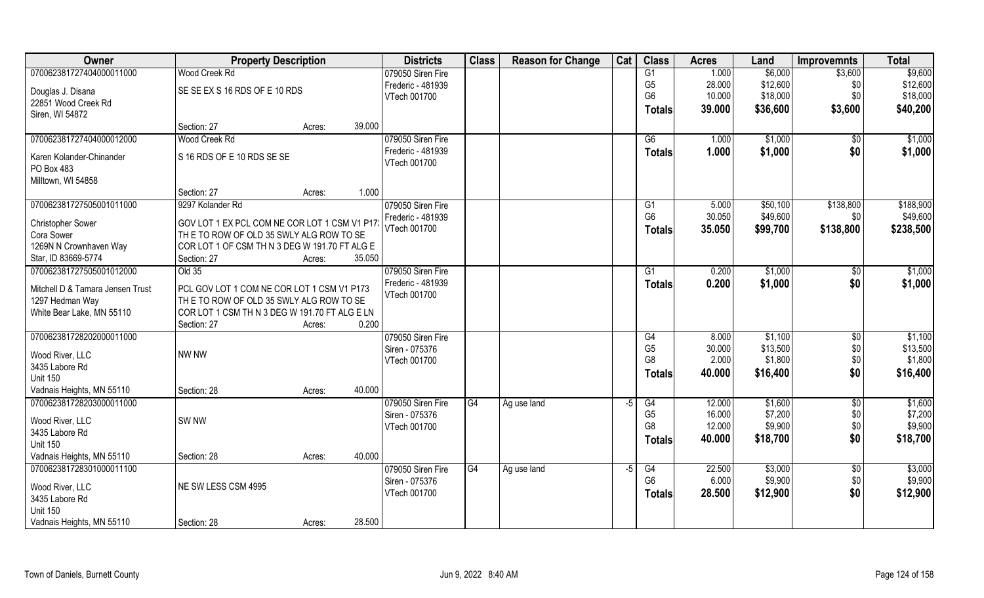| Owner                                        | <b>Property Description</b>                  |        |        | <b>Districts</b>  | <b>Class</b> | <b>Reason for Change</b> | Cat  | <b>Class</b>    | <b>Acres</b> | Land     | <b>Improvemnts</b> | <b>Total</b> |
|----------------------------------------------|----------------------------------------------|--------|--------|-------------------|--------------|--------------------------|------|-----------------|--------------|----------|--------------------|--------------|
| 070062381727404000011000                     | Wood Creek Rd                                |        |        | 079050 Siren Fire |              |                          |      | $\overline{G1}$ | 1.000        | \$6,000  | \$3,600            | \$9,600      |
| Douglas J. Disana                            | SE SE EX S 16 RDS OF E 10 RDS                |        |        | Frederic - 481939 |              |                          |      | G <sub>5</sub>  | 28.000       | \$12,600 | \$0                | \$12,600     |
| 22851 Wood Creek Rd                          |                                              |        |        | VTech 001700      |              |                          |      | G <sub>6</sub>  | 10.000       | \$18,000 | \$0                | \$18,000     |
| Siren, WI 54872                              |                                              |        |        |                   |              |                          |      | <b>Totals</b>   | 39.000       | \$36,600 | \$3,600            | \$40,200     |
|                                              | Section: 27                                  | Acres: | 39.000 |                   |              |                          |      |                 |              |          |                    |              |
| 070062381727404000012000                     | Wood Creek Rd                                |        |        | 079050 Siren Fire |              |                          |      | G6              | 1.000        | \$1,000  | $\sqrt{$0}$        | \$1,000      |
| Karen Kolander-Chinander                     | S 16 RDS OF E 10 RDS SE SE                   |        |        | Frederic - 481939 |              |                          |      | <b>Totals</b>   | 1.000        | \$1,000  | \$0                | \$1,000      |
| PO Box 483                                   |                                              |        |        | VTech 001700      |              |                          |      |                 |              |          |                    |              |
| Milltown, WI 54858                           |                                              |        |        |                   |              |                          |      |                 |              |          |                    |              |
|                                              | Section: 27                                  | Acres: | 1.000  |                   |              |                          |      |                 |              |          |                    |              |
| 070062381727505001011000                     | 9297 Kolander Rd                             |        |        | 079050 Siren Fire |              |                          |      | G1              | 5.000        | \$50,100 | \$138,800          | \$188,900    |
| <b>Christopher Sower</b>                     | GOV LOT 1 EX PCL COM NE COR LOT 1 CSM V1 P17 |        |        | Frederic - 481939 |              |                          |      | G <sub>6</sub>  | 30.050       | \$49,600 | \$0                | \$49,600     |
| Cora Sower                                   | THE TO ROW OF OLD 35 SWLY ALG ROW TO SE      |        |        | VTech 001700      |              |                          |      | <b>Totals</b>   | 35.050       | \$99,700 | \$138,800          | \$238,500    |
| 1269N N Crownhaven Way                       | CORLOT 1 OF CSM TH N 3 DEG W 191.70 FT ALG E |        |        |                   |              |                          |      |                 |              |          |                    |              |
| Star, ID 83669-5774                          | Section: 27                                  | Acres: | 35.050 |                   |              |                          |      |                 |              |          |                    |              |
| 070062381727505001012000                     | Old 35                                       |        |        | 079050 Siren Fire |              |                          |      | G <sub>1</sub>  | 0.200        | \$1,000  | \$0                | \$1,000      |
| Mitchell D & Tamara Jensen Trust             | PCL GOV LOT 1 COM NE COR LOT 1 CSM V1 P173   |        |        | Frederic - 481939 |              |                          |      | <b>Totals</b>   | 0.200        | \$1,000  | \$0                | \$1,000      |
| 1297 Hedman Way                              | THE TO ROW OF OLD 35 SWLY ALG ROW TO SE      |        |        | VTech 001700      |              |                          |      |                 |              |          |                    |              |
| White Bear Lake, MN 55110                    | CORLOT 1 CSM TH N 3 DEG W 191.70 FT ALG E LN |        |        |                   |              |                          |      |                 |              |          |                    |              |
|                                              | Section: 27                                  | Acres: | 0.200  |                   |              |                          |      |                 |              |          |                    |              |
| 070062381728202000011000                     |                                              |        |        | 079050 Siren Fire |              |                          |      | G4              | 8.000        | \$1,100  | \$0                | \$1,100      |
|                                              |                                              |        |        | Siren - 075376    |              |                          |      | G <sub>5</sub>  | 30.000       | \$13,500 | \$0                | \$13,500     |
| Wood River, LLC<br>3435 Labore Rd            | <b>NW NW</b>                                 |        |        | VTech 001700      |              |                          |      | G <sub>8</sub>  | 2.000        | \$1,800  | \$0                | \$1,800      |
| <b>Unit 150</b>                              |                                              |        |        |                   |              |                          |      | <b>Totals</b>   | 40.000       | \$16,400 | \$0                | \$16,400     |
| Vadnais Heights, MN 55110                    | Section: 28                                  | Acres: | 40.000 |                   |              |                          |      |                 |              |          |                    |              |
| 070062381728203000011000                     |                                              |        |        | 079050 Siren Fire | G4           | Ag use land              | $-5$ | G4              | 12.000       | \$1,600  | \$0                | \$1,600      |
|                                              |                                              |        |        | Siren - 075376    |              |                          |      | G <sub>5</sub>  | 16.000       | \$7,200  | \$0                | \$7,200      |
| Wood River, LLC                              | <b>SW NW</b>                                 |        |        | VTech 001700      |              |                          |      | G <sub>8</sub>  | 12.000       | \$9,900  | \$0\$              | \$9,900      |
| 3435 Labore Rd                               |                                              |        |        |                   |              |                          |      | <b>Totals</b>   | 40.000       | \$18,700 | \$0                | \$18,700     |
| <b>Unit 150</b><br>Vadnais Heights, MN 55110 | Section: 28                                  | Acres: | 40.000 |                   |              |                          |      |                 |              |          |                    |              |
| 070062381728301000011100                     |                                              |        |        | 079050 Siren Fire | G4           | Ag use land              | $-5$ | G4              | 22.500       | \$3,000  | $\sqrt[6]{}$       | \$3,000      |
|                                              |                                              |        |        | Siren - 075376    |              |                          |      | G6              | 6.000        | \$9,900  | \$0                | \$9,900      |
| Wood River, LLC                              | NE SW LESS CSM 4995                          |        |        | VTech 001700      |              |                          |      | <b>Totals</b>   | 28.500       | \$12,900 | \$0                | \$12,900     |
| 3435 Labore Rd                               |                                              |        |        |                   |              |                          |      |                 |              |          |                    |              |
| <b>Unit 150</b>                              |                                              |        |        |                   |              |                          |      |                 |              |          |                    |              |
| Vadnais Heights, MN 55110                    | Section: 28                                  | Acres: | 28.500 |                   |              |                          |      |                 |              |          |                    |              |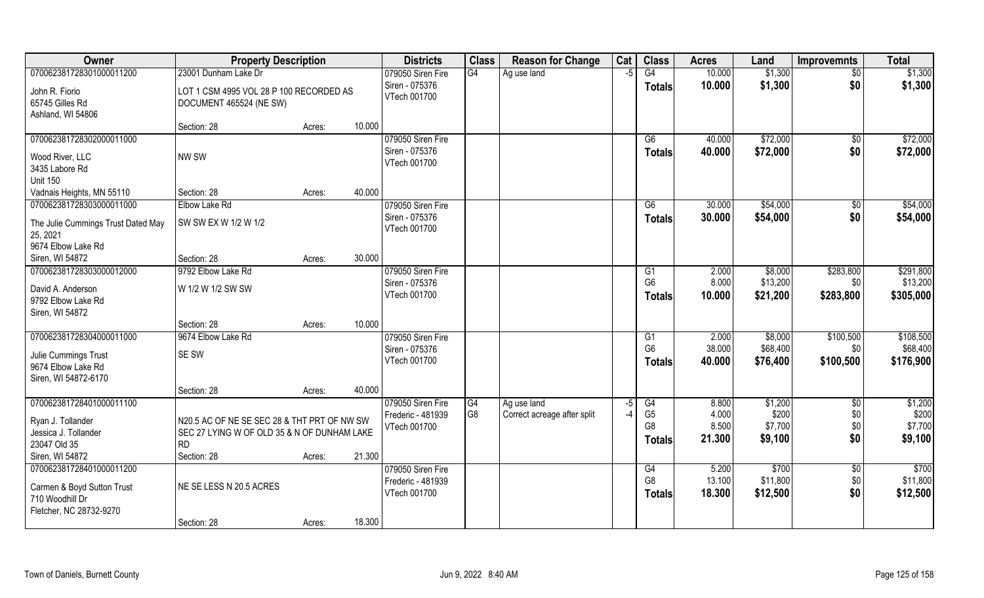| Owner                                      | <b>Property Description</b>                                                                |        |        | <b>Districts</b>  | <b>Class</b> | <b>Reason for Change</b>    | Cat  | <b>Class</b>   | <b>Acres</b> | Land     | <b>Improvemnts</b> | <b>Total</b>  |
|--------------------------------------------|--------------------------------------------------------------------------------------------|--------|--------|-------------------|--------------|-----------------------------|------|----------------|--------------|----------|--------------------|---------------|
| 070062381728301000011200                   | 23001 Dunham Lake Dr                                                                       |        |        | 079050 Siren Fire | G4           | Ag use land                 | $-5$ | G4             | 10.000       | \$1,300  | $\sqrt{6}$         | \$1,300       |
| John R. Fiorio                             | LOT 1 CSM 4995 VOL 28 P 100 RECORDED AS                                                    |        |        | Siren - 075376    |              |                             |      | <b>Totals</b>  | 10.000       | \$1,300  | \$0                | \$1,300       |
| 65745 Gilles Rd                            | DOCUMENT 465524 (NE SW)                                                                    |        |        | VTech 001700      |              |                             |      |                |              |          |                    |               |
| Ashland, WI 54806                          |                                                                                            |        |        |                   |              |                             |      |                |              |          |                    |               |
|                                            | Section: 28                                                                                | Acres: | 10.000 |                   |              |                             |      |                |              |          |                    |               |
| 070062381728302000011000                   |                                                                                            |        |        | 079050 Siren Fire |              |                             |      | G6             | 40.000       | \$72,000 | $\sqrt{$0}$        | \$72,000      |
| Wood River, LLC                            | NW SW                                                                                      |        |        | Siren - 075376    |              |                             |      | <b>Totals</b>  | 40.000       | \$72,000 | \$0                | \$72,000      |
| 3435 Labore Rd                             |                                                                                            |        |        | VTech 001700      |              |                             |      |                |              |          |                    |               |
| <b>Unit 150</b>                            |                                                                                            |        |        |                   |              |                             |      |                |              |          |                    |               |
| Vadnais Heights, MN 55110                  | Section: 28                                                                                | Acres: | 40.000 |                   |              |                             |      |                |              |          |                    |               |
| 070062381728303000011000                   | Elbow Lake Rd                                                                              |        |        | 079050 Siren Fire |              |                             |      | G6             | 30.000       | \$54,000 | $\sqrt{50}$        | \$54,000      |
| The Julie Cummings Trust Dated May         | SW SW EX W 1/2 W 1/2                                                                       |        |        | Siren - 075376    |              |                             |      | <b>Totals</b>  | 30.000       | \$54,000 | \$0                | \$54,000      |
| 25, 2021                                   |                                                                                            |        |        | VTech 001700      |              |                             |      |                |              |          |                    |               |
| 9674 Elbow Lake Rd                         |                                                                                            |        |        |                   |              |                             |      |                |              |          |                    |               |
| Siren, WI 54872                            | Section: 28                                                                                | Acres: | 30.000 |                   |              |                             |      |                |              |          |                    |               |
| 070062381728303000012000                   | 9792 Elbow Lake Rd                                                                         |        |        | 079050 Siren Fire |              |                             |      | G1             | 2.000        | \$8,000  | \$283,800          | \$291,800     |
| David A. Anderson                          | W 1/2 W 1/2 SW SW                                                                          |        |        | Siren - 075376    |              |                             |      | G <sub>6</sub> | 8.000        | \$13,200 | \$0                | \$13,200      |
| 9792 Elbow Lake Rd                         |                                                                                            |        |        | VTech 001700      |              |                             |      | <b>Totals</b>  | 10.000       | \$21,200 | \$283,800          | \$305,000     |
| Siren, WI 54872                            |                                                                                            |        |        |                   |              |                             |      |                |              |          |                    |               |
|                                            | Section: 28                                                                                | Acres: | 10.000 |                   |              |                             |      |                |              |          |                    |               |
| 070062381728304000011000                   | 9674 Elbow Lake Rd                                                                         |        |        | 079050 Siren Fire |              |                             |      | G1             | 2.000        | \$8,000  | \$100,500          | \$108,500     |
| Julie Cummings Trust                       | SE SW                                                                                      |        |        | Siren - 075376    |              |                             |      | G <sub>6</sub> | 38.000       | \$68,400 | \$0                | \$68,400      |
| 9674 Elbow Lake Rd                         |                                                                                            |        |        | VTech 001700      |              |                             |      | Totals         | 40.000       | \$76,400 | \$100,500          | \$176,900     |
| Siren, WI 54872-6170                       |                                                                                            |        |        |                   |              |                             |      |                |              |          |                    |               |
|                                            | Section: 28                                                                                | Acres: | 40.000 |                   |              |                             |      |                |              |          |                    |               |
| 070062381728401000011100                   |                                                                                            |        |        | 079050 Siren Fire | G4           | Ag use land                 | $-5$ | G4             | 8.800        | \$1,200  | $\sqrt{$0}$        | \$1,200       |
|                                            |                                                                                            |        |        | Frederic - 481939 | G8           | Correct acreage after split | $-4$ | G <sub>5</sub> | 4.000        | \$200    | \$0                | \$200         |
| Ryan J. Tollander<br>Jessica J. Tollander  | N20.5 AC OF NE SE SEC 28 & THT PRT OF NW SW<br>SEC 27 LYING W OF OLD 35 & N OF DUNHAM LAKE |        |        | VTech 001700      |              |                             |      | G <sub>8</sub> | 8.500        | \$7,700  | \$0                | \$7,700       |
| 23047 Old 35                               | <b>RD</b>                                                                                  |        |        |                   |              |                             |      | <b>Totals</b>  | 21.300       | \$9,100  | \$0                | \$9,100       |
| Siren, WI 54872                            | Section: 28                                                                                | Acres: | 21.300 |                   |              |                             |      |                |              |          |                    |               |
| 070062381728401000011200                   |                                                                                            |        |        | 079050 Siren Fire |              |                             |      | G4             | 5.200        | \$700    | $\sqrt{$0}$        | $\sqrt{3700}$ |
|                                            |                                                                                            |        |        | Frederic - 481939 |              |                             |      | G <sub>8</sub> | 13.100       | \$11,800 | \$0                | \$11,800      |
| Carmen & Boyd Sutton Trust                 | NE SE LESS N 20.5 ACRES                                                                    |        |        | VTech 001700      |              |                             |      | <b>Totals</b>  | 18.300       | \$12,500 | \$0                | \$12,500      |
| 710 Woodhill Dr<br>Fletcher, NC 28732-9270 |                                                                                            |        |        |                   |              |                             |      |                |              |          |                    |               |
|                                            | Section: 28                                                                                | Acres: | 18.300 |                   |              |                             |      |                |              |          |                    |               |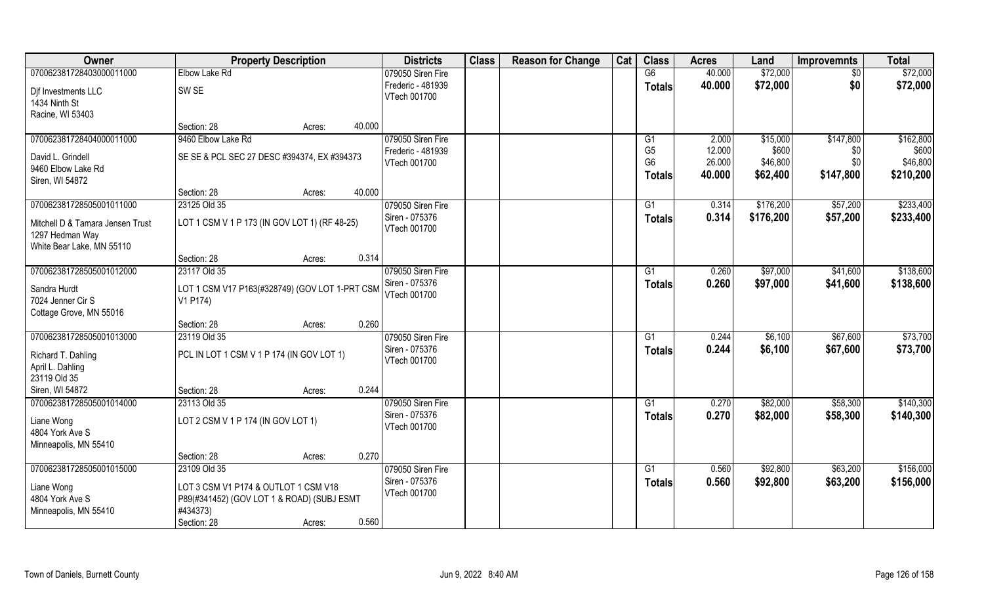| Owner                                | <b>Property Description</b>                    | <b>Districts</b> | <b>Class</b>                      | <b>Reason for Change</b> | Cat | <b>Class</b> | <b>Acres</b>   | Land   | <b>Improvemnts</b> | <b>Total</b> |           |
|--------------------------------------|------------------------------------------------|------------------|-----------------------------------|--------------------------|-----|--------------|----------------|--------|--------------------|--------------|-----------|
| 070062381728403000011000             | Elbow Lake Rd                                  |                  | 079050 Siren Fire                 |                          |     |              | G6             | 40.000 | \$72,000           | \$0          | \$72,000  |
| Dif Investments LLC<br>1434 Ninth St | SW <sub>SE</sub>                               |                  | Frederic - 481939<br>VTech 001700 |                          |     |              | <b>Totals</b>  | 40.000 | \$72,000           | \$0          | \$72,000  |
| Racine, WI 53403                     |                                                |                  |                                   |                          |     |              |                |        |                    |              |           |
|                                      | Section: 28<br>Acres:                          | 40.000           |                                   |                          |     |              |                |        |                    |              |           |
| 070062381728404000011000             | 9460 Elbow Lake Rd                             |                  | 079050 Siren Fire                 |                          |     |              | G1             | 2.000  | \$15,000           | \$147,800    | \$162,800 |
| David L. Grindell                    | SE SE & PCL SEC 27 DESC #394374, EX #394373    |                  | Frederic - 481939                 |                          |     |              | G <sub>5</sub> | 12.000 | \$600              | \$0          | \$600     |
| 9460 Elbow Lake Rd                   |                                                |                  | VTech 001700                      |                          |     |              | G <sub>6</sub> | 26.000 | \$46,800           | \$0          | \$46,800  |
| Siren, WI 54872                      |                                                |                  |                                   |                          |     |              | Totals         | 40.000 | \$62,400           | \$147,800    | \$210,200 |
|                                      | Section: 28<br>Acres:                          | 40.000           |                                   |                          |     |              |                |        |                    |              |           |
| 070062381728505001011000             | 23125 Old 35                                   |                  | 079050 Siren Fire                 |                          |     |              | G1             | 0.314  | \$176,200          | \$57,200     | \$233,400 |
| Mitchell D & Tamara Jensen Trust     | LOT 1 CSM V 1 P 173 (IN GOV LOT 1) (RF 48-25)  |                  | Siren - 075376                    |                          |     |              | <b>Totals</b>  | 0.314  | \$176,200          | \$57,200     | \$233,400 |
| 1297 Hedman Way                      |                                                |                  | VTech 001700                      |                          |     |              |                |        |                    |              |           |
| White Bear Lake, MN 55110            |                                                |                  |                                   |                          |     |              |                |        |                    |              |           |
|                                      | Section: 28<br>Acres:                          | 0.314            |                                   |                          |     |              |                |        |                    |              |           |
| 070062381728505001012000             | 23117 Old 35                                   |                  | 079050 Siren Fire                 |                          |     |              | G1             | 0.260  | \$97,000           | \$41,600     | \$138,600 |
| Sandra Hurdt                         | LOT 1 CSM V17 P163(#328749) (GOV LOT 1-PRT CSM |                  | Siren - 075376                    |                          |     |              | <b>Totals</b>  | 0.260  | \$97,000           | \$41,600     | \$138,600 |
| 7024 Jenner Cir S                    | V1 P174)                                       |                  | VTech 001700                      |                          |     |              |                |        |                    |              |           |
| Cottage Grove, MN 55016              |                                                |                  |                                   |                          |     |              |                |        |                    |              |           |
|                                      | Section: 28<br>Acres:                          | 0.260            |                                   |                          |     |              |                |        |                    |              |           |
| 070062381728505001013000             | 23119 Old 35                                   |                  | 079050 Siren Fire                 |                          |     |              | G1             | 0.244  | \$6,100            | \$67,600     | \$73,700  |
| Richard T. Dahling                   | PCL IN LOT 1 CSM V 1 P 174 (IN GOV LOT 1)      |                  | Siren - 075376                    |                          |     |              | <b>Totals</b>  | 0.244  | \$6,100            | \$67,600     | \$73,700  |
| April L. Dahling                     |                                                |                  | VTech 001700                      |                          |     |              |                |        |                    |              |           |
| 23119 Old 35                         |                                                |                  |                                   |                          |     |              |                |        |                    |              |           |
| Siren, WI 54872                      | Section: 28<br>Acres:                          | 0.244            |                                   |                          |     |              |                |        |                    |              |           |
| 070062381728505001014000             | 23113 Old 35                                   |                  | 079050 Siren Fire                 |                          |     |              | G1             | 0.270  | \$82,000           | \$58,300     | \$140,300 |
| Liane Wong                           | LOT 2 CSM V 1 P 174 (IN GOV LOT 1)             |                  | Siren - 075376                    |                          |     |              | <b>Totals</b>  | 0.270  | \$82,000           | \$58,300     | \$140,300 |
| 4804 York Ave S                      |                                                |                  | VTech 001700                      |                          |     |              |                |        |                    |              |           |
| Minneapolis, MN 55410                |                                                |                  |                                   |                          |     |              |                |        |                    |              |           |
|                                      | Section: 28<br>Acres:                          | 0.270            |                                   |                          |     |              |                |        |                    |              |           |
| 070062381728505001015000             | 23109 Old 35                                   |                  | 079050 Siren Fire                 |                          |     |              | G1             | 0.560  | \$92,800           | \$63,200     | \$156,000 |
| Liane Wong                           | LOT 3 CSM V1 P174 & OUTLOT 1 CSM V18           |                  | Siren - 075376                    |                          |     |              | <b>Totals</b>  | 0.560  | \$92,800           | \$63,200     | \$156,000 |
| 4804 York Ave S                      | P89(#341452) (GOV LOT 1 & ROAD) (SUBJ ESMT     |                  | VTech 001700                      |                          |     |              |                |        |                    |              |           |
| Minneapolis, MN 55410                | #434373)                                       |                  |                                   |                          |     |              |                |        |                    |              |           |
|                                      | Section: 28<br>Acres:                          | 0.560            |                                   |                          |     |              |                |        |                    |              |           |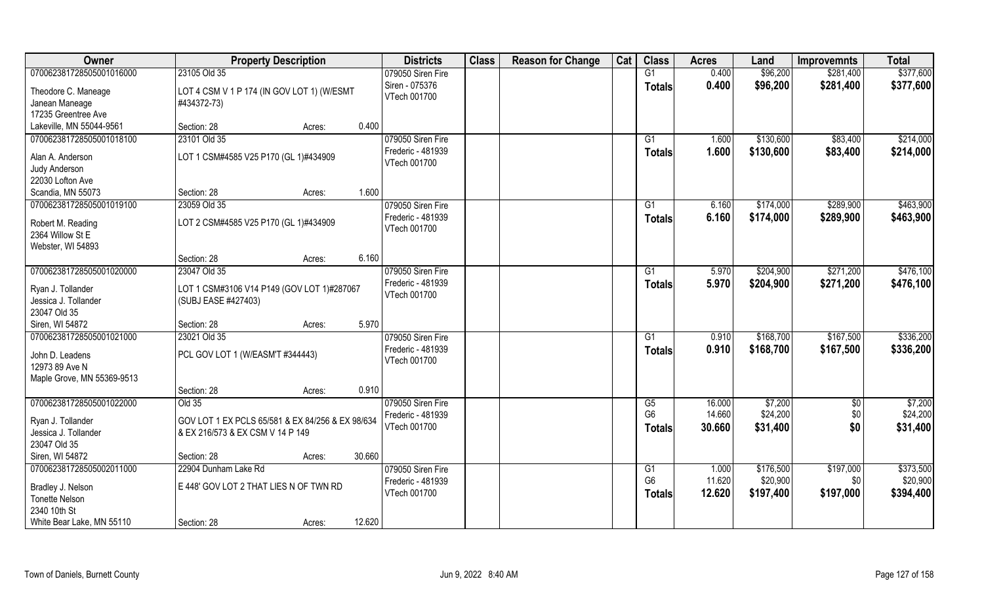| Owner                                       | <b>Property Description</b>                      |        |        | <b>Districts</b>                       | <b>Class</b> | <b>Reason for Change</b> | Cat | <b>Class</b>         | <b>Acres</b>    | Land      | <b>Improvemnts</b> | <b>Total</b> |
|---------------------------------------------|--------------------------------------------------|--------|--------|----------------------------------------|--------------|--------------------------|-----|----------------------|-----------------|-----------|--------------------|--------------|
| 070062381728505001016000                    | 23105 Old 35                                     |        |        | 079050 Siren Fire                      |              |                          |     | G1                   | 0.400           | \$96,200  | \$281,400          | \$377,600    |
| Theodore C. Maneage                         | LOT 4 CSM V 1 P 174 (IN GOV LOT 1) (W/ESMT       |        |        | Siren - 075376                         |              |                          |     | <b>Totals</b>        | 0.400           | \$96,200  | \$281,400          | \$377,600    |
| Janean Maneage                              | #434372-73)                                      |        |        | VTech 001700                           |              |                          |     |                      |                 |           |                    |              |
| 17235 Greentree Ave                         |                                                  |        |        |                                        |              |                          |     |                      |                 |           |                    |              |
| Lakeville, MN 55044-9561                    | Section: 28                                      | Acres: | 0.400  |                                        |              |                          |     |                      |                 |           |                    |              |
| 070062381728505001018100                    | 23101 Old 35                                     |        |        | 079050 Siren Fire                      |              |                          |     | G1                   | 1.600           | \$130,600 | \$83,400           | \$214,000    |
|                                             |                                                  |        |        | Frederic - 481939                      |              |                          |     | <b>Totals</b>        | 1.600           | \$130,600 | \$83,400           | \$214,000    |
| Alan A. Anderson                            | LOT 1 CSM#4585 V25 P170 (GL 1)#434909            |        |        | VTech 001700                           |              |                          |     |                      |                 |           |                    |              |
| Judy Anderson<br>22030 Lofton Ave           |                                                  |        |        |                                        |              |                          |     |                      |                 |           |                    |              |
| Scandia, MN 55073                           | Section: 28                                      | Acres: | 1.600  |                                        |              |                          |     |                      |                 |           |                    |              |
| 070062381728505001019100                    | 23059 Old 35                                     |        |        | 079050 Siren Fire                      |              |                          |     | G1                   | 6.160           | \$174,000 | \$289,900          | \$463,900    |
|                                             |                                                  |        |        | Frederic - 481939                      |              |                          |     |                      | 6.160           | \$174,000 | \$289,900          |              |
| Robert M. Reading                           | LOT 2 CSM#4585 V25 P170 (GL 1)#434909            |        |        | VTech 001700                           |              |                          |     | <b>Totals</b>        |                 |           |                    | \$463,900    |
| 2364 Willow St E                            |                                                  |        |        |                                        |              |                          |     |                      |                 |           |                    |              |
| Webster, WI 54893                           |                                                  |        |        |                                        |              |                          |     |                      |                 |           |                    |              |
|                                             | Section: 28                                      | Acres: | 6.160  |                                        |              |                          |     |                      |                 |           |                    |              |
| 070062381728505001020000                    | 23047 Old 35                                     |        |        | 079050 Siren Fire                      |              |                          |     | G1                   | 5.970           | \$204,900 | \$271,200          | \$476,100    |
| Ryan J. Tollander                           | LOT 1 CSM#3106 V14 P149 (GOV LOT 1)#287067       |        |        | Frederic - 481939                      |              |                          |     | <b>Totals</b>        | 5.970           | \$204,900 | \$271,200          | \$476,100    |
| Jessica J. Tollander                        | (SUBJ EASE #427403)                              |        |        | VTech 001700                           |              |                          |     |                      |                 |           |                    |              |
| 23047 Old 35                                |                                                  |        |        |                                        |              |                          |     |                      |                 |           |                    |              |
| Siren, WI 54872                             | Section: 28                                      | Acres: | 5.970  |                                        |              |                          |     |                      |                 |           |                    |              |
| 070062381728505001021000                    | 23021 Old 35                                     |        |        | 079050 Siren Fire                      |              |                          |     | G1                   | 0.910           | \$168,700 | \$167,500          | \$336,200    |
| John D. Leadens                             | PCL GOV LOT 1 (W/EASM'T #344443)                 |        |        | Frederic - 481939                      |              |                          |     | <b>Totals</b>        | 0.910           | \$168,700 | \$167,500          | \$336,200    |
| 12973 89 Ave N                              |                                                  |        |        | VTech 001700                           |              |                          |     |                      |                 |           |                    |              |
| Maple Grove, MN 55369-9513                  |                                                  |        |        |                                        |              |                          |     |                      |                 |           |                    |              |
|                                             | Section: 28                                      | Acres: | 0.910  |                                        |              |                          |     |                      |                 |           |                    |              |
| 070062381728505001022000                    | Old 35                                           |        |        | 079050 Siren Fire                      |              |                          |     | G5                   | 16.000          | \$7,200   | \$0                | \$7,200      |
|                                             |                                                  |        |        | Frederic - 481939                      |              |                          |     | G <sub>6</sub>       | 14.660          | \$24,200  | \$0                | \$24,200     |
| Ryan J. Tollander                           | GOV LOT 1 EX PCLS 65/581 & EX 84/256 & EX 98/634 |        |        | VTech 001700                           |              |                          |     | <b>Totals</b>        | 30.660          | \$31,400  | \$0                | \$31,400     |
| Jessica J. Tollander                        | & EX 216/573 & EX CSM V 14 P 149                 |        |        |                                        |              |                          |     |                      |                 |           |                    |              |
| 23047 Old 35                                |                                                  |        | 30.660 |                                        |              |                          |     |                      |                 |           |                    |              |
| Siren, WI 54872<br>070062381728505002011000 | Section: 28<br>22904 Dunham Lake Rd              | Acres: |        |                                        |              |                          |     |                      |                 | \$176,500 | \$197,000          | \$373,500    |
|                                             |                                                  |        |        | 079050 Siren Fire<br>Frederic - 481939 |              |                          |     | G1<br>G <sub>6</sub> | 1.000<br>11.620 | \$20,900  | \$0                | \$20,900     |
| Bradley J. Nelson                           | E 448' GOV LOT 2 THAT LIES N OF TWN RD           |        |        | VTech 001700                           |              |                          |     |                      | 12.620          |           |                    |              |
| <b>Tonette Nelson</b>                       |                                                  |        |        |                                        |              |                          |     | <b>Totals</b>        |                 | \$197,400 | \$197,000          | \$394,400    |
| 2340 10th St                                |                                                  |        |        |                                        |              |                          |     |                      |                 |           |                    |              |
| White Bear Lake, MN 55110                   | Section: 28                                      | Acres: | 12.620 |                                        |              |                          |     |                      |                 |           |                    |              |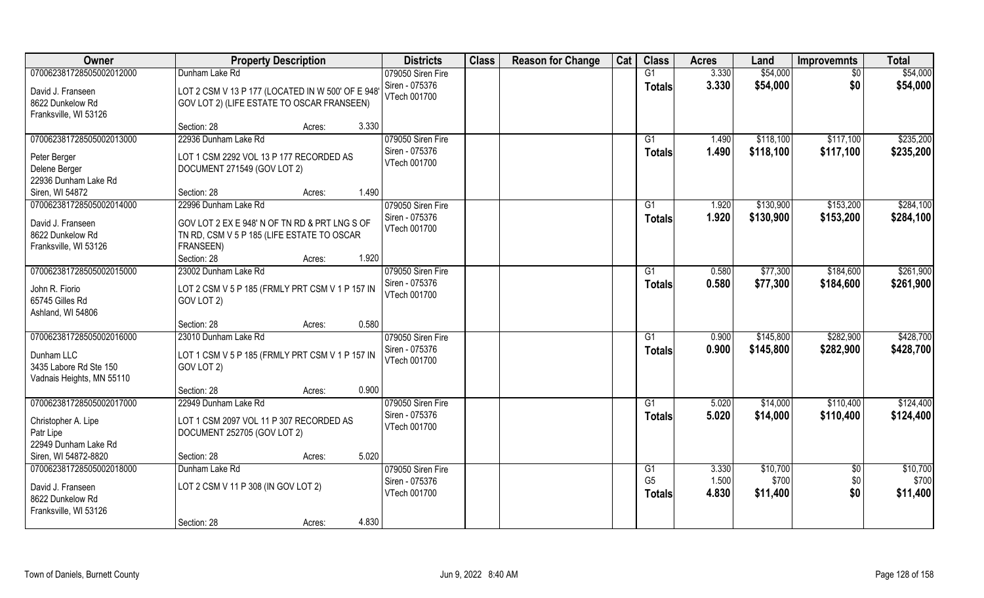| \$54,000<br>070062381728505002012000<br>Dunham Lake Rd<br>079050 Siren Fire<br>G1<br>3.330<br>\$54,000<br>\$0<br>Siren - 075376<br>3.330<br>\$54,000<br>\$0<br>\$54,000<br><b>Totals</b><br>LOT 2 CSM V 13 P 177 (LOCATED IN W 500' OF E 948<br>David J. Franseen<br>VTech 001700<br>8622 Dunkelow Rd<br>GOV LOT 2) (LIFE ESTATE TO OSCAR FRANSEEN)<br>Franksville, WI 53126<br>Section: 28<br>3.330<br>Acres:<br>22936 Dunham Lake Rd<br>079050 Siren Fire<br>070062381728505002013000<br>\$118,100<br>\$117,100<br>G1<br>1.490<br>Siren - 075376<br>1.490<br>\$118,100<br>\$117,100<br><b>Totals</b><br>LOT 1 CSM 2292 VOL 13 P 177 RECORDED AS<br>Peter Berger<br>VTech 001700<br>Delene Berger<br>DOCUMENT 271549 (GOV LOT 2)<br>22936 Dunham Lake Rd<br>Section: 28<br>1.490<br>Siren, WI 54872<br>Acres:<br>\$130,900<br>\$153,200<br>070062381728505002014000<br>22996 Dunham Lake Rd<br>079050 Siren Fire<br>G1<br>1.920<br>Siren - 075376<br>1.920<br>\$130,900<br>\$153,200<br><b>Totals</b><br>David J. Franseen<br>GOV LOT 2 EX E 948' N OF TN RD & PRT LNG S OF<br>VTech 001700<br>8622 Dunkelow Rd<br>TN RD, CSM V 5 P 185 (LIFE ESTATE TO OSCAR<br>FRANSEEN)<br>Franksville, WI 53126<br>1.920<br>Section: 28<br>Acres:<br>070062381728505002015000<br>23002 Dunham Lake Rd<br>079050 Siren Fire<br>0.580<br>\$77,300<br>\$184,600<br>G1<br>Siren - 075376<br>0.580<br>\$77,300<br>\$184,600<br><b>Totals</b><br>John R. Fiorio<br>LOT 2 CSM V 5 P 185 (FRMLY PRT CSM V 1 P 157 IN<br>VTech 001700<br>65745 Gilles Rd<br>GOV LOT 2)<br>Ashland, WI 54806<br>0.580<br>Section: 28<br>Acres:<br>\$282,900<br>070062381728505002016000<br>23010 Dunham Lake Rd<br>0.900<br>\$145,800<br>079050 Siren Fire<br>G1<br>Siren - 075376<br>0.900<br>\$145,800<br>\$282,900<br><b>Totals</b><br>Dunham LLC<br>LOT 1 CSM V 5 P 185 (FRMLY PRT CSM V 1 P 157 IN<br>VTech 001700<br>3435 Labore Rd Ste 150<br>GOV LOT 2)<br>Vadnais Heights, MN 55110<br>0.900<br>Section: 28<br>Acres:<br>070062381728505002017000<br>22949 Dunham Lake Rd<br>079050 Siren Fire<br>G1<br>5.020<br>\$14,000<br>\$110,400<br>Siren - 075376<br>\$14,000<br>5.020<br>\$110,400<br><b>Totals</b><br>Christopher A. Lipe<br>LOT 1 CSM 2097 VOL 11 P 307 RECORDED AS<br>VTech 001700<br>Patr Lipe<br>DOCUMENT 252705 (GOV LOT 2)<br>22949 Dunham Lake Rd<br>Siren, WI 54872-8820<br>5.020<br>Section: 28<br>Acres:<br>070062381728505002018000<br>Dunham Lake Rd<br>079050 Siren Fire<br>G1<br>3.330<br>\$10,700<br>$\overline{60}$<br>G <sub>5</sub><br>1.500<br>\$700<br>\$0<br>Siren - 075376<br>LOT 2 CSM V 11 P 308 (IN GOV LOT 2)<br>David J. Franseen<br>\$0<br>VTech 001700<br>4.830<br>\$11,400<br><b>Totals</b><br>8622 Dunkelow Rd<br>Franksville, WI 53126<br>4.830 | Owner | <b>Property Description</b> | <b>Districts</b> | <b>Class</b> | <b>Reason for Change</b> | Cat | <b>Class</b> | <b>Acres</b> | Land | <b>Improvemnts</b> | <b>Total</b> |
|--------------------------------------------------------------------------------------------------------------------------------------------------------------------------------------------------------------------------------------------------------------------------------------------------------------------------------------------------------------------------------------------------------------------------------------------------------------------------------------------------------------------------------------------------------------------------------------------------------------------------------------------------------------------------------------------------------------------------------------------------------------------------------------------------------------------------------------------------------------------------------------------------------------------------------------------------------------------------------------------------------------------------------------------------------------------------------------------------------------------------------------------------------------------------------------------------------------------------------------------------------------------------------------------------------------------------------------------------------------------------------------------------------------------------------------------------------------------------------------------------------------------------------------------------------------------------------------------------------------------------------------------------------------------------------------------------------------------------------------------------------------------------------------------------------------------------------------------------------------------------------------------------------------------------------------------------------------------------------------------------------------------------------------------------------------------------------------------------------------------------------------------------------------------------------------------------------------------------------------------------------------------------------------------------------------------------------------------------------------------------------------------------------------------------------------------------------------------------------------------------------------------------------------------------------------------------------------------------------------------------------------------------------------------------------------------------------------------------------------------------------------|-------|-----------------------------|------------------|--------------|--------------------------|-----|--------------|--------------|------|--------------------|--------------|
|                                                                                                                                                                                                                                                                                                                                                                                                                                                                                                                                                                                                                                                                                                                                                                                                                                                                                                                                                                                                                                                                                                                                                                                                                                                                                                                                                                                                                                                                                                                                                                                                                                                                                                                                                                                                                                                                                                                                                                                                                                                                                                                                                                                                                                                                                                                                                                                                                                                                                                                                                                                                                                                                                                                                                              |       |                             |                  |              |                          |     |              |              |      |                    |              |
| \$235,200                                                                                                                                                                                                                                                                                                                                                                                                                                                                                                                                                                                                                                                                                                                                                                                                                                                                                                                                                                                                                                                                                                                                                                                                                                                                                                                                                                                                                                                                                                                                                                                                                                                                                                                                                                                                                                                                                                                                                                                                                                                                                                                                                                                                                                                                                                                                                                                                                                                                                                                                                                                                                                                                                                                                                    |       |                             |                  |              |                          |     |              |              |      |                    |              |
|                                                                                                                                                                                                                                                                                                                                                                                                                                                                                                                                                                                                                                                                                                                                                                                                                                                                                                                                                                                                                                                                                                                                                                                                                                                                                                                                                                                                                                                                                                                                                                                                                                                                                                                                                                                                                                                                                                                                                                                                                                                                                                                                                                                                                                                                                                                                                                                                                                                                                                                                                                                                                                                                                                                                                              |       |                             |                  |              |                          |     |              |              |      |                    |              |
|                                                                                                                                                                                                                                                                                                                                                                                                                                                                                                                                                                                                                                                                                                                                                                                                                                                                                                                                                                                                                                                                                                                                                                                                                                                                                                                                                                                                                                                                                                                                                                                                                                                                                                                                                                                                                                                                                                                                                                                                                                                                                                                                                                                                                                                                                                                                                                                                                                                                                                                                                                                                                                                                                                                                                              |       |                             |                  |              |                          |     |              |              |      |                    |              |
|                                                                                                                                                                                                                                                                                                                                                                                                                                                                                                                                                                                                                                                                                                                                                                                                                                                                                                                                                                                                                                                                                                                                                                                                                                                                                                                                                                                                                                                                                                                                                                                                                                                                                                                                                                                                                                                                                                                                                                                                                                                                                                                                                                                                                                                                                                                                                                                                                                                                                                                                                                                                                                                                                                                                                              |       |                             |                  |              |                          |     |              |              |      |                    |              |
| \$235,200<br>\$284,100<br>\$284,100<br>\$261,900<br>\$261,900<br>\$428,700<br>\$428,700<br>\$124,400<br>\$124,400<br>\$10,700<br>\$700<br>\$11,400                                                                                                                                                                                                                                                                                                                                                                                                                                                                                                                                                                                                                                                                                                                                                                                                                                                                                                                                                                                                                                                                                                                                                                                                                                                                                                                                                                                                                                                                                                                                                                                                                                                                                                                                                                                                                                                                                                                                                                                                                                                                                                                                                                                                                                                                                                                                                                                                                                                                                                                                                                                                           |       |                             |                  |              |                          |     |              |              |      |                    |              |
|                                                                                                                                                                                                                                                                                                                                                                                                                                                                                                                                                                                                                                                                                                                                                                                                                                                                                                                                                                                                                                                                                                                                                                                                                                                                                                                                                                                                                                                                                                                                                                                                                                                                                                                                                                                                                                                                                                                                                                                                                                                                                                                                                                                                                                                                                                                                                                                                                                                                                                                                                                                                                                                                                                                                                              |       |                             |                  |              |                          |     |              |              |      |                    |              |
|                                                                                                                                                                                                                                                                                                                                                                                                                                                                                                                                                                                                                                                                                                                                                                                                                                                                                                                                                                                                                                                                                                                                                                                                                                                                                                                                                                                                                                                                                                                                                                                                                                                                                                                                                                                                                                                                                                                                                                                                                                                                                                                                                                                                                                                                                                                                                                                                                                                                                                                                                                                                                                                                                                                                                              |       |                             |                  |              |                          |     |              |              |      |                    |              |
|                                                                                                                                                                                                                                                                                                                                                                                                                                                                                                                                                                                                                                                                                                                                                                                                                                                                                                                                                                                                                                                                                                                                                                                                                                                                                                                                                                                                                                                                                                                                                                                                                                                                                                                                                                                                                                                                                                                                                                                                                                                                                                                                                                                                                                                                                                                                                                                                                                                                                                                                                                                                                                                                                                                                                              |       |                             |                  |              |                          |     |              |              |      |                    |              |
|                                                                                                                                                                                                                                                                                                                                                                                                                                                                                                                                                                                                                                                                                                                                                                                                                                                                                                                                                                                                                                                                                                                                                                                                                                                                                                                                                                                                                                                                                                                                                                                                                                                                                                                                                                                                                                                                                                                                                                                                                                                                                                                                                                                                                                                                                                                                                                                                                                                                                                                                                                                                                                                                                                                                                              |       |                             |                  |              |                          |     |              |              |      |                    |              |
|                                                                                                                                                                                                                                                                                                                                                                                                                                                                                                                                                                                                                                                                                                                                                                                                                                                                                                                                                                                                                                                                                                                                                                                                                                                                                                                                                                                                                                                                                                                                                                                                                                                                                                                                                                                                                                                                                                                                                                                                                                                                                                                                                                                                                                                                                                                                                                                                                                                                                                                                                                                                                                                                                                                                                              |       |                             |                  |              |                          |     |              |              |      |                    |              |
|                                                                                                                                                                                                                                                                                                                                                                                                                                                                                                                                                                                                                                                                                                                                                                                                                                                                                                                                                                                                                                                                                                                                                                                                                                                                                                                                                                                                                                                                                                                                                                                                                                                                                                                                                                                                                                                                                                                                                                                                                                                                                                                                                                                                                                                                                                                                                                                                                                                                                                                                                                                                                                                                                                                                                              |       |                             |                  |              |                          |     |              |              |      |                    |              |
|                                                                                                                                                                                                                                                                                                                                                                                                                                                                                                                                                                                                                                                                                                                                                                                                                                                                                                                                                                                                                                                                                                                                                                                                                                                                                                                                                                                                                                                                                                                                                                                                                                                                                                                                                                                                                                                                                                                                                                                                                                                                                                                                                                                                                                                                                                                                                                                                                                                                                                                                                                                                                                                                                                                                                              |       |                             |                  |              |                          |     |              |              |      |                    |              |
|                                                                                                                                                                                                                                                                                                                                                                                                                                                                                                                                                                                                                                                                                                                                                                                                                                                                                                                                                                                                                                                                                                                                                                                                                                                                                                                                                                                                                                                                                                                                                                                                                                                                                                                                                                                                                                                                                                                                                                                                                                                                                                                                                                                                                                                                                                                                                                                                                                                                                                                                                                                                                                                                                                                                                              |       |                             |                  |              |                          |     |              |              |      |                    |              |
|                                                                                                                                                                                                                                                                                                                                                                                                                                                                                                                                                                                                                                                                                                                                                                                                                                                                                                                                                                                                                                                                                                                                                                                                                                                                                                                                                                                                                                                                                                                                                                                                                                                                                                                                                                                                                                                                                                                                                                                                                                                                                                                                                                                                                                                                                                                                                                                                                                                                                                                                                                                                                                                                                                                                                              |       |                             |                  |              |                          |     |              |              |      |                    |              |
|                                                                                                                                                                                                                                                                                                                                                                                                                                                                                                                                                                                                                                                                                                                                                                                                                                                                                                                                                                                                                                                                                                                                                                                                                                                                                                                                                                                                                                                                                                                                                                                                                                                                                                                                                                                                                                                                                                                                                                                                                                                                                                                                                                                                                                                                                                                                                                                                                                                                                                                                                                                                                                                                                                                                                              |       |                             |                  |              |                          |     |              |              |      |                    |              |
|                                                                                                                                                                                                                                                                                                                                                                                                                                                                                                                                                                                                                                                                                                                                                                                                                                                                                                                                                                                                                                                                                                                                                                                                                                                                                                                                                                                                                                                                                                                                                                                                                                                                                                                                                                                                                                                                                                                                                                                                                                                                                                                                                                                                                                                                                                                                                                                                                                                                                                                                                                                                                                                                                                                                                              |       |                             |                  |              |                          |     |              |              |      |                    |              |
|                                                                                                                                                                                                                                                                                                                                                                                                                                                                                                                                                                                                                                                                                                                                                                                                                                                                                                                                                                                                                                                                                                                                                                                                                                                                                                                                                                                                                                                                                                                                                                                                                                                                                                                                                                                                                                                                                                                                                                                                                                                                                                                                                                                                                                                                                                                                                                                                                                                                                                                                                                                                                                                                                                                                                              |       |                             |                  |              |                          |     |              |              |      |                    |              |
|                                                                                                                                                                                                                                                                                                                                                                                                                                                                                                                                                                                                                                                                                                                                                                                                                                                                                                                                                                                                                                                                                                                                                                                                                                                                                                                                                                                                                                                                                                                                                                                                                                                                                                                                                                                                                                                                                                                                                                                                                                                                                                                                                                                                                                                                                                                                                                                                                                                                                                                                                                                                                                                                                                                                                              |       |                             |                  |              |                          |     |              |              |      |                    |              |
|                                                                                                                                                                                                                                                                                                                                                                                                                                                                                                                                                                                                                                                                                                                                                                                                                                                                                                                                                                                                                                                                                                                                                                                                                                                                                                                                                                                                                                                                                                                                                                                                                                                                                                                                                                                                                                                                                                                                                                                                                                                                                                                                                                                                                                                                                                                                                                                                                                                                                                                                                                                                                                                                                                                                                              |       |                             |                  |              |                          |     |              |              |      |                    |              |
|                                                                                                                                                                                                                                                                                                                                                                                                                                                                                                                                                                                                                                                                                                                                                                                                                                                                                                                                                                                                                                                                                                                                                                                                                                                                                                                                                                                                                                                                                                                                                                                                                                                                                                                                                                                                                                                                                                                                                                                                                                                                                                                                                                                                                                                                                                                                                                                                                                                                                                                                                                                                                                                                                                                                                              |       |                             |                  |              |                          |     |              |              |      |                    |              |
|                                                                                                                                                                                                                                                                                                                                                                                                                                                                                                                                                                                                                                                                                                                                                                                                                                                                                                                                                                                                                                                                                                                                                                                                                                                                                                                                                                                                                                                                                                                                                                                                                                                                                                                                                                                                                                                                                                                                                                                                                                                                                                                                                                                                                                                                                                                                                                                                                                                                                                                                                                                                                                                                                                                                                              |       |                             |                  |              |                          |     |              |              |      |                    |              |
|                                                                                                                                                                                                                                                                                                                                                                                                                                                                                                                                                                                                                                                                                                                                                                                                                                                                                                                                                                                                                                                                                                                                                                                                                                                                                                                                                                                                                                                                                                                                                                                                                                                                                                                                                                                                                                                                                                                                                                                                                                                                                                                                                                                                                                                                                                                                                                                                                                                                                                                                                                                                                                                                                                                                                              |       |                             |                  |              |                          |     |              |              |      |                    |              |
|                                                                                                                                                                                                                                                                                                                                                                                                                                                                                                                                                                                                                                                                                                                                                                                                                                                                                                                                                                                                                                                                                                                                                                                                                                                                                                                                                                                                                                                                                                                                                                                                                                                                                                                                                                                                                                                                                                                                                                                                                                                                                                                                                                                                                                                                                                                                                                                                                                                                                                                                                                                                                                                                                                                                                              |       |                             |                  |              |                          |     |              |              |      |                    |              |
|                                                                                                                                                                                                                                                                                                                                                                                                                                                                                                                                                                                                                                                                                                                                                                                                                                                                                                                                                                                                                                                                                                                                                                                                                                                                                                                                                                                                                                                                                                                                                                                                                                                                                                                                                                                                                                                                                                                                                                                                                                                                                                                                                                                                                                                                                                                                                                                                                                                                                                                                                                                                                                                                                                                                                              |       |                             |                  |              |                          |     |              |              |      |                    |              |
|                                                                                                                                                                                                                                                                                                                                                                                                                                                                                                                                                                                                                                                                                                                                                                                                                                                                                                                                                                                                                                                                                                                                                                                                                                                                                                                                                                                                                                                                                                                                                                                                                                                                                                                                                                                                                                                                                                                                                                                                                                                                                                                                                                                                                                                                                                                                                                                                                                                                                                                                                                                                                                                                                                                                                              |       |                             |                  |              |                          |     |              |              |      |                    |              |
|                                                                                                                                                                                                                                                                                                                                                                                                                                                                                                                                                                                                                                                                                                                                                                                                                                                                                                                                                                                                                                                                                                                                                                                                                                                                                                                                                                                                                                                                                                                                                                                                                                                                                                                                                                                                                                                                                                                                                                                                                                                                                                                                                                                                                                                                                                                                                                                                                                                                                                                                                                                                                                                                                                                                                              |       |                             |                  |              |                          |     |              |              |      |                    |              |
|                                                                                                                                                                                                                                                                                                                                                                                                                                                                                                                                                                                                                                                                                                                                                                                                                                                                                                                                                                                                                                                                                                                                                                                                                                                                                                                                                                                                                                                                                                                                                                                                                                                                                                                                                                                                                                                                                                                                                                                                                                                                                                                                                                                                                                                                                                                                                                                                                                                                                                                                                                                                                                                                                                                                                              |       |                             |                  |              |                          |     |              |              |      |                    |              |
|                                                                                                                                                                                                                                                                                                                                                                                                                                                                                                                                                                                                                                                                                                                                                                                                                                                                                                                                                                                                                                                                                                                                                                                                                                                                                                                                                                                                                                                                                                                                                                                                                                                                                                                                                                                                                                                                                                                                                                                                                                                                                                                                                                                                                                                                                                                                                                                                                                                                                                                                                                                                                                                                                                                                                              |       |                             |                  |              |                          |     |              |              |      |                    |              |
|                                                                                                                                                                                                                                                                                                                                                                                                                                                                                                                                                                                                                                                                                                                                                                                                                                                                                                                                                                                                                                                                                                                                                                                                                                                                                                                                                                                                                                                                                                                                                                                                                                                                                                                                                                                                                                                                                                                                                                                                                                                                                                                                                                                                                                                                                                                                                                                                                                                                                                                                                                                                                                                                                                                                                              |       |                             |                  |              |                          |     |              |              |      |                    |              |
|                                                                                                                                                                                                                                                                                                                                                                                                                                                                                                                                                                                                                                                                                                                                                                                                                                                                                                                                                                                                                                                                                                                                                                                                                                                                                                                                                                                                                                                                                                                                                                                                                                                                                                                                                                                                                                                                                                                                                                                                                                                                                                                                                                                                                                                                                                                                                                                                                                                                                                                                                                                                                                                                                                                                                              |       |                             |                  |              |                          |     |              |              |      |                    |              |
|                                                                                                                                                                                                                                                                                                                                                                                                                                                                                                                                                                                                                                                                                                                                                                                                                                                                                                                                                                                                                                                                                                                                                                                                                                                                                                                                                                                                                                                                                                                                                                                                                                                                                                                                                                                                                                                                                                                                                                                                                                                                                                                                                                                                                                                                                                                                                                                                                                                                                                                                                                                                                                                                                                                                                              |       |                             |                  |              |                          |     |              |              |      |                    |              |
|                                                                                                                                                                                                                                                                                                                                                                                                                                                                                                                                                                                                                                                                                                                                                                                                                                                                                                                                                                                                                                                                                                                                                                                                                                                                                                                                                                                                                                                                                                                                                                                                                                                                                                                                                                                                                                                                                                                                                                                                                                                                                                                                                                                                                                                                                                                                                                                                                                                                                                                                                                                                                                                                                                                                                              |       |                             |                  |              |                          |     |              |              |      |                    |              |
|                                                                                                                                                                                                                                                                                                                                                                                                                                                                                                                                                                                                                                                                                                                                                                                                                                                                                                                                                                                                                                                                                                                                                                                                                                                                                                                                                                                                                                                                                                                                                                                                                                                                                                                                                                                                                                                                                                                                                                                                                                                                                                                                                                                                                                                                                                                                                                                                                                                                                                                                                                                                                                                                                                                                                              |       |                             |                  |              |                          |     |              |              |      |                    |              |
|                                                                                                                                                                                                                                                                                                                                                                                                                                                                                                                                                                                                                                                                                                                                                                                                                                                                                                                                                                                                                                                                                                                                                                                                                                                                                                                                                                                                                                                                                                                                                                                                                                                                                                                                                                                                                                                                                                                                                                                                                                                                                                                                                                                                                                                                                                                                                                                                                                                                                                                                                                                                                                                                                                                                                              |       |                             |                  |              |                          |     |              |              |      |                    |              |
|                                                                                                                                                                                                                                                                                                                                                                                                                                                                                                                                                                                                                                                                                                                                                                                                                                                                                                                                                                                                                                                                                                                                                                                                                                                                                                                                                                                                                                                                                                                                                                                                                                                                                                                                                                                                                                                                                                                                                                                                                                                                                                                                                                                                                                                                                                                                                                                                                                                                                                                                                                                                                                                                                                                                                              |       | Section: 28<br>Acres:       |                  |              |                          |     |              |              |      |                    |              |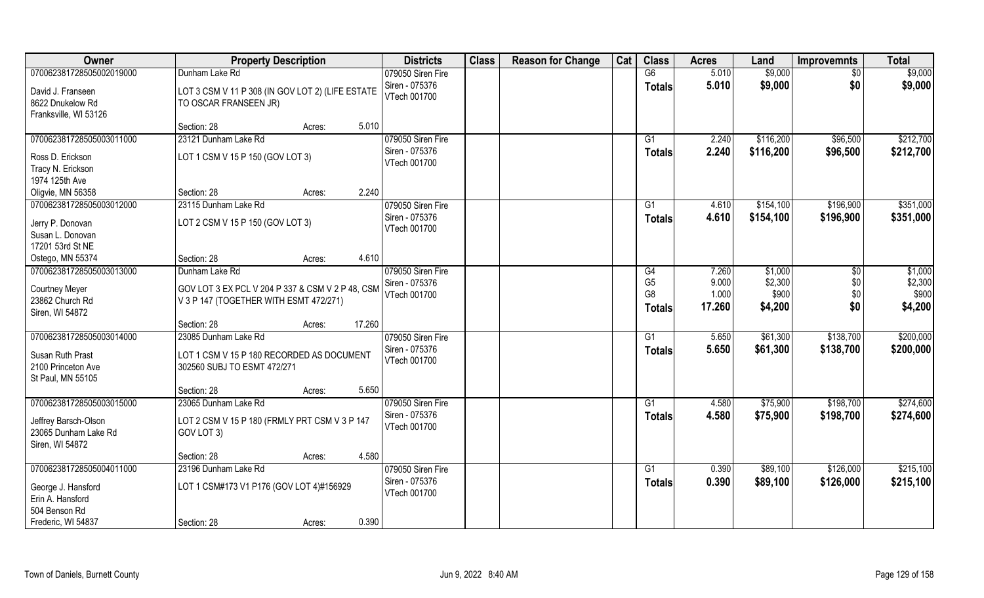| Owner                                | <b>Property Description</b>                      | <b>Districts</b>               | <b>Class</b> | <b>Reason for Change</b> | Cat | <b>Class</b>   | <b>Acres</b> | Land      | <b>Improvemnts</b> | <b>Total</b> |
|--------------------------------------|--------------------------------------------------|--------------------------------|--------------|--------------------------|-----|----------------|--------------|-----------|--------------------|--------------|
| 070062381728505002019000             | Dunham Lake Rd                                   | 079050 Siren Fire              |              |                          |     | G6             | 5.010        | \$9,000   | \$0                | \$9,000      |
| David J. Franseen                    | LOT 3 CSM V 11 P 308 (IN GOV LOT 2) (LIFE ESTATE | Siren - 075376                 |              |                          |     | <b>Totals</b>  | 5.010        | \$9,000   | \$0                | \$9,000      |
| 8622 Dnukelow Rd                     | TO OSCAR FRANSEEN JR)                            | VTech 001700                   |              |                          |     |                |              |           |                    |              |
| Franksville, WI 53126                |                                                  |                                |              |                          |     |                |              |           |                    |              |
|                                      | 5.010<br>Section: 28<br>Acres:                   |                                |              |                          |     |                |              |           |                    |              |
| 070062381728505003011000             | 23121 Dunham Lake Rd                             | 079050 Siren Fire              |              |                          |     | G1             | 2.240        | \$116,200 | \$96,500           | \$212,700    |
| Ross D. Erickson                     | LOT 1 CSM V 15 P 150 (GOV LOT 3)                 | Siren - 075376                 |              |                          |     | <b>Totals</b>  | 2.240        | \$116,200 | \$96,500           | \$212,700    |
| Tracy N. Erickson                    |                                                  | VTech 001700                   |              |                          |     |                |              |           |                    |              |
| 1974 125th Ave                       |                                                  |                                |              |                          |     |                |              |           |                    |              |
| Oligvie, MN 56358                    | 2.240<br>Section: 28<br>Acres:                   |                                |              |                          |     |                |              |           |                    |              |
| 070062381728505003012000             | 23115 Dunham Lake Rd                             | 079050 Siren Fire              |              |                          |     | G1             | 4.610        | \$154,100 | \$196,900          | \$351,000    |
|                                      |                                                  | Siren - 075376                 |              |                          |     | <b>Totals</b>  | 4.610        | \$154,100 | \$196,900          | \$351,000    |
| Jerry P. Donovan<br>Susan L. Donovan | LOT 2 CSM V 15 P 150 (GOV LOT 3)                 | VTech 001700                   |              |                          |     |                |              |           |                    |              |
| 17201 53rd St NE                     |                                                  |                                |              |                          |     |                |              |           |                    |              |
| Ostego, MN 55374                     | 4.610<br>Section: 28<br>Acres:                   |                                |              |                          |     |                |              |           |                    |              |
| 070062381728505003013000             | Dunham Lake Rd                                   | 079050 Siren Fire              |              |                          |     | G4             | 7.260        | \$1,000   | $\sqrt[6]{}$       | \$1,000      |
|                                      |                                                  | Siren - 075376                 |              |                          |     | G <sub>5</sub> | 9.000        | \$2,300   | \$0                | \$2,300      |
| <b>Courtney Meyer</b>                | GOV LOT 3 EX PCL V 204 P 337 & CSM V 2 P 48, CSM | VTech 001700                   |              |                          |     | G <sub>8</sub> | 1.000        | \$900     | \$0                | \$900        |
| 23862 Church Rd                      | V 3 P 147 (TOGETHER WITH ESMT 472/271)           |                                |              |                          |     | <b>Totals</b>  | 17.260       | \$4,200   | \$0                | \$4,200      |
| Siren, WI 54872                      | 17.260<br>Section: 28                            |                                |              |                          |     |                |              |           |                    |              |
| 070062381728505003014000             | Acres:<br>23085 Dunham Lake Rd                   | 079050 Siren Fire              |              |                          |     | G1             | 5.650        | \$61,300  | \$138,700          | \$200,000    |
|                                      |                                                  | Siren - 075376                 |              |                          |     | <b>Totals</b>  | 5.650        | \$61,300  | \$138,700          | \$200,000    |
| Susan Ruth Prast                     | LOT 1 CSM V 15 P 180 RECORDED AS DOCUMENT        | VTech 001700                   |              |                          |     |                |              |           |                    |              |
| 2100 Princeton Ave                   | 302560 SUBJ TO ESMT 472/271                      |                                |              |                          |     |                |              |           |                    |              |
| St Paul, MN 55105                    |                                                  |                                |              |                          |     |                |              |           |                    |              |
|                                      | 5.650<br>Section: 28<br>Acres:                   |                                |              |                          |     |                |              |           |                    |              |
| 070062381728505003015000             | 23065 Dunham Lake Rd                             | 079050 Siren Fire              |              |                          |     | G1             | 4.580        | \$75,900  | \$198,700          | \$274,600    |
| Jeffrey Barsch-Olson                 | LOT 2 CSM V 15 P 180 (FRMLY PRT CSM V 3 P 147    | Siren - 075376<br>VTech 001700 |              |                          |     | <b>Totals</b>  | 4.580        | \$75,900  | \$198,700          | \$274,600    |
| 23065 Dunham Lake Rd                 | GOV LOT 3)                                       |                                |              |                          |     |                |              |           |                    |              |
| Siren, WI 54872                      |                                                  |                                |              |                          |     |                |              |           |                    |              |
|                                      | 4.580<br>Section: 28<br>Acres:                   |                                |              |                          |     |                |              |           |                    |              |
| 070062381728505004011000             | 23196 Dunham Lake Rd                             | 079050 Siren Fire              |              |                          |     | G1             | 0.390        | \$89,100  | \$126,000          | \$215,100    |
| George J. Hansford                   | LOT 1 CSM#173 V1 P176 (GOV LOT 4)#156929         | Siren - 075376                 |              |                          |     | <b>Totals</b>  | 0.390        | \$89,100  | \$126,000          | \$215,100    |
| Erin A. Hansford                     |                                                  | VTech 001700                   |              |                          |     |                |              |           |                    |              |
| 504 Benson Rd                        |                                                  |                                |              |                          |     |                |              |           |                    |              |
| Frederic, WI 54837                   | 0.390<br>Section: 28<br>Acres:                   |                                |              |                          |     |                |              |           |                    |              |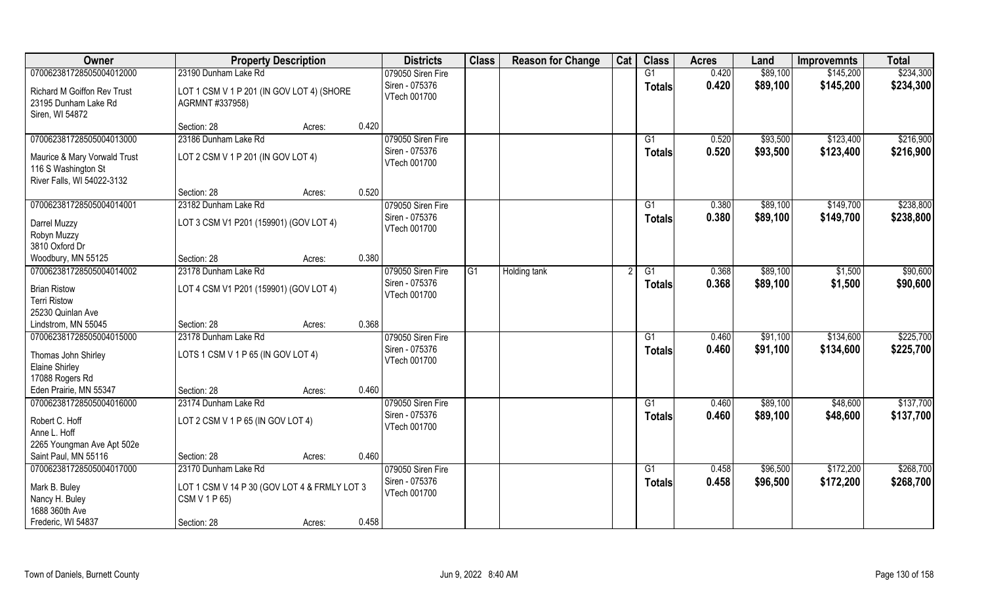| Owner                                                                                       | <b>Property Description</b>                                                           |                 | <b>Districts</b>                                    | <b>Class</b> | <b>Reason for Change</b> | Cat | <b>Class</b>        | <b>Acres</b>   | Land                 | <b>Improvemnts</b>     | <b>Total</b>           |
|---------------------------------------------------------------------------------------------|---------------------------------------------------------------------------------------|-----------------|-----------------------------------------------------|--------------|--------------------------|-----|---------------------|----------------|----------------------|------------------------|------------------------|
| 070062381728505004012000                                                                    | 23190 Dunham Lake Rd                                                                  |                 | 079050 Siren Fire                                   |              |                          |     | G1                  | 0.420          | \$89,100             | \$145,200              | \$234,300              |
| <b>Richard M Goiffon Rev Trust</b><br>23195 Dunham Lake Rd<br>Siren, WI 54872               | LOT 1 CSM V 1 P 201 (IN GOV LOT 4) (SHORE<br>AGRMNT #337958)                          |                 | Siren - 075376<br>VTech 001700                      |              |                          |     | <b>Totals</b>       | 0.420          | \$89,100             | \$145,200              | \$234,300              |
|                                                                                             | Section: 28                                                                           | 0.420<br>Acres: |                                                     |              |                          |     |                     |                |                      |                        |                        |
| 070062381728505004013000                                                                    | 23186 Dunham Lake Rd                                                                  |                 | 079050 Siren Fire                                   |              |                          |     | G <sub>1</sub>      | 0.520          | \$93,500             | \$123,400              | \$216,900              |
| Maurice & Mary Vorwald Trust<br>116 S Washington St<br>River Falls, WI 54022-3132           | LOT 2 CSM V 1 P 201 (IN GOV LOT 4)                                                    |                 | Siren - 075376<br>VTech 001700                      |              |                          |     | <b>Totals</b>       | 0.520          | \$93,500             | \$123,400              | \$216,900              |
|                                                                                             | Section: 28                                                                           | 0.520<br>Acres: |                                                     |              |                          |     |                     |                |                      |                        |                        |
| 070062381728505004014001                                                                    | 23182 Dunham Lake Rd                                                                  |                 | 079050 Siren Fire                                   |              |                          |     | G1                  | 0.380          | \$89,100             | \$149,700              | \$238,800              |
| Darrel Muzzy<br>Robyn Muzzy<br>3810 Oxford Dr                                               | LOT 3 CSM V1 P201 (159901) (GOV LOT 4)                                                |                 | Siren - 075376<br>VTech 001700                      |              |                          |     | <b>Totals</b>       | 0.380          | \$89,100             | \$149,700              | \$238,800              |
| Woodbury, MN 55125                                                                          | Section: 28                                                                           | 0.380<br>Acres: |                                                     |              |                          |     |                     |                |                      |                        |                        |
| 070062381728505004014002                                                                    | 23178 Dunham Lake Rd                                                                  |                 | 079050 Siren Fire                                   | G1           | Holding tank             |     | G1                  | 0.368          | \$89,100             | \$1,500                | \$90,600               |
| <b>Brian Ristow</b><br><b>Terri Ristow</b><br>25230 Quinlan Ave                             | LOT 4 CSM V1 P201 (159901) (GOV LOT 4)                                                |                 | Siren - 075376<br>VTech 001700                      |              |                          |     | <b>Totals</b>       | 0.368          | \$89,100             | \$1,500                | \$90,600               |
| Lindstrom, MN 55045                                                                         | Section: 28                                                                           | 0.368<br>Acres: |                                                     |              |                          |     |                     |                |                      |                        |                        |
| 070062381728505004015000<br>Thomas John Shirley<br><b>Elaine Shirley</b><br>17088 Rogers Rd | 23178 Dunham Lake Rd<br>LOTS 1 CSM V 1 P 65 (IN GOV LOT 4)                            |                 | 079050 Siren Fire<br>Siren - 075376<br>VTech 001700 |              |                          |     | G1<br><b>Totals</b> | 0.460<br>0.460 | \$91,100<br>\$91,100 | \$134,600<br>\$134,600 | \$225,700<br>\$225,700 |
| Eden Prairie, MN 55347                                                                      | Section: 28                                                                           | 0.460<br>Acres: |                                                     |              |                          |     |                     |                |                      |                        |                        |
| 070062381728505004016000                                                                    | 23174 Dunham Lake Rd                                                                  |                 | 079050 Siren Fire                                   |              |                          |     | G1                  | 0.460          | \$89,100             | \$48,600               | \$137,700              |
| Robert C. Hoff<br>Anne L. Hoff<br>2265 Youngman Ave Apt 502e                                | LOT 2 CSM V 1 P 65 (IN GOV LOT 4)                                                     |                 | Siren - 075376<br>VTech 001700                      |              |                          |     | <b>Totals</b>       | 0.460          | \$89,100             | \$48,600               | \$137,700              |
| Saint Paul, MN 55116                                                                        | Section: 28                                                                           | 0.460<br>Acres: |                                                     |              |                          |     |                     |                |                      |                        |                        |
| 070062381728505004017000<br>Mark B. Buley<br>Nancy H. Buley<br>1688 360th Ave               | 23170 Dunham Lake Rd<br>LOT 1 CSM V 14 P 30 (GOV LOT 4 & FRMLY LOT 3<br>CSM V 1 P 65) |                 | 079050 Siren Fire<br>Siren - 075376<br>VTech 001700 |              |                          |     | G1<br><b>Totals</b> | 0.458<br>0.458 | \$96,500<br>\$96,500 | \$172,200<br>\$172,200 | \$268,700<br>\$268,700 |
| Frederic, WI 54837                                                                          | Section: 28                                                                           | 0.458<br>Acres: |                                                     |              |                          |     |                     |                |                      |                        |                        |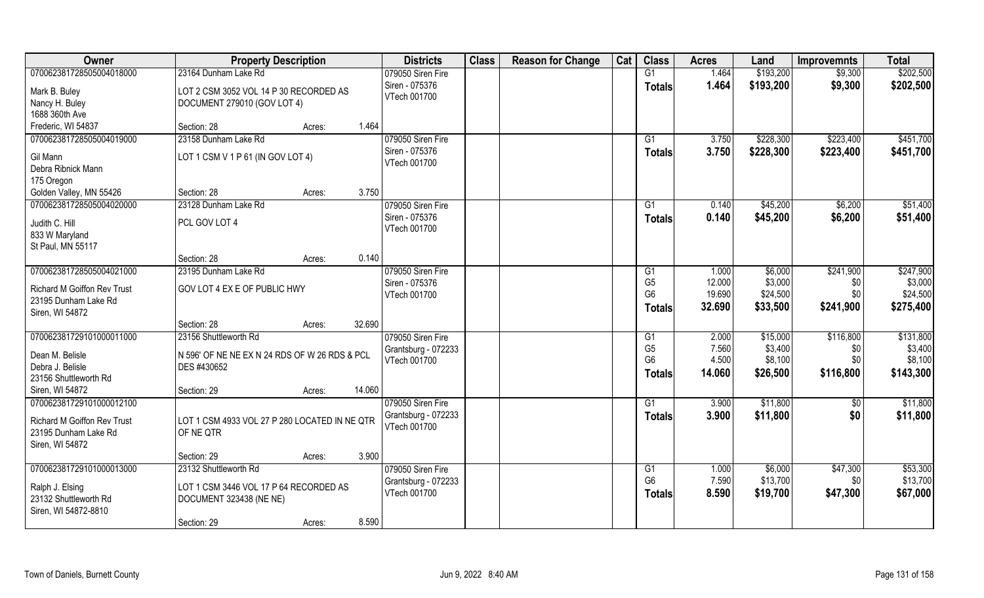| <b>Owner</b>                            | <b>Property Description</b>                                  |                  | <b>Districts</b>    | <b>Class</b> | <b>Reason for Change</b> | Cat | <b>Class</b>   | <b>Acres</b> | Land      | <b>Improvemnts</b> | <b>Total</b> |
|-----------------------------------------|--------------------------------------------------------------|------------------|---------------------|--------------|--------------------------|-----|----------------|--------------|-----------|--------------------|--------------|
| 070062381728505004018000                | 23164 Dunham Lake Rd                                         |                  | 079050 Siren Fire   |              |                          |     | G1             | 1.464        | \$193,200 | \$9,300            | \$202,500    |
| Mark B. Buley                           | LOT 2 CSM 3052 VOL 14 P 30 RECORDED AS                       |                  | Siren - 075376      |              |                          |     | <b>Totals</b>  | 1.464        | \$193,200 | \$9,300            | \$202,500    |
| Nancy H. Buley                          | DOCUMENT 279010 (GOV LOT 4)                                  |                  | VTech 001700        |              |                          |     |                |              |           |                    |              |
| 1688 360th Ave                          |                                                              |                  |                     |              |                          |     |                |              |           |                    |              |
| Frederic, WI 54837                      | Section: 28                                                  | 1.464<br>Acres:  |                     |              |                          |     |                |              |           |                    |              |
| 070062381728505004019000                | 23158 Dunham Lake Rd                                         |                  | 079050 Siren Fire   |              |                          |     | G1             | 3.750        | \$228,300 | \$223,400          | \$451,700    |
| Gil Mann                                | LOT 1 CSM V 1 P 61 (IN GOV LOT 4)                            |                  | Siren - 075376      |              |                          |     | Totals         | 3.750        | \$228,300 | \$223,400          | \$451,700    |
| Debra Ribnick Mann                      |                                                              |                  | VTech 001700        |              |                          |     |                |              |           |                    |              |
| 175 Oregon                              |                                                              |                  |                     |              |                          |     |                |              |           |                    |              |
| Golden Valley, MN 55426                 | Section: 28                                                  | 3.750<br>Acres:  |                     |              |                          |     |                |              |           |                    |              |
| 070062381728505004020000                | 23128 Dunham Lake Rd                                         |                  | 079050 Siren Fire   |              |                          |     | G1             | 0.140        | \$45,200  | \$6,200            | \$51,400     |
| Judith C. Hill                          | PCL GOV LOT 4                                                |                  | Siren - 075376      |              |                          |     | <b>Totals</b>  | 0.140        | \$45,200  | \$6,200            | \$51,400     |
| 833 W Maryland                          |                                                              |                  | VTech 001700        |              |                          |     |                |              |           |                    |              |
| St Paul, MN 55117                       |                                                              |                  |                     |              |                          |     |                |              |           |                    |              |
|                                         | Section: 28                                                  | 0.140<br>Acres:  |                     |              |                          |     |                |              |           |                    |              |
| 070062381728505004021000                | 23195 Dunham Lake Rd                                         |                  | 079050 Siren Fire   |              |                          |     | G1             | 1.000        | \$6,000   | \$241,900          | \$247,900    |
| <b>Richard M Goiffon Rev Trust</b>      | GOV LOT 4 EX E OF PUBLIC HWY                                 |                  | Siren - 075376      |              |                          |     | G <sub>5</sub> | 12.000       | \$3,000   | \$0                | \$3,000      |
| 23195 Dunham Lake Rd                    |                                                              |                  | VTech 001700        |              |                          |     | G <sub>6</sub> | 19.690       | \$24,500  | \$0                | \$24,500     |
| Siren, WI 54872                         |                                                              |                  |                     |              |                          |     | <b>Totals</b>  | 32.690       | \$33,500  | \$241,900          | \$275,400    |
|                                         | Section: 28                                                  | 32.690<br>Acres: |                     |              |                          |     |                |              |           |                    |              |
| 070062381729101000011000                | 23156 Shuttleworth Rd                                        |                  | 079050 Siren Fire   |              |                          |     | G1             | 2.000        | \$15,000  | \$116,800          | \$131,800    |
|                                         |                                                              |                  | Grantsburg - 072233 |              |                          |     | G <sub>5</sub> | 7.560        | \$3,400   | \$0                | \$3,400      |
| Dean M. Belisle<br>Debra J. Belisle     | N 596' OF NE NE EX N 24 RDS OF W 26 RDS & PCL<br>DES #430652 |                  | VTech 001700        |              |                          |     | G <sub>6</sub> | 4.500        | \$8,100   | \$0                | \$8,100      |
| 23156 Shuttleworth Rd                   |                                                              |                  |                     |              |                          |     | <b>Totals</b>  | 14.060       | \$26,500  | \$116,800          | \$143,300    |
| Siren, WI 54872                         | Section: 29                                                  | 14.060<br>Acres: |                     |              |                          |     |                |              |           |                    |              |
| 070062381729101000012100                |                                                              |                  | 079050 Siren Fire   |              |                          |     | G1             | 3.900        | \$11,800  | \$0                | \$11,800     |
|                                         |                                                              |                  | Grantsburg - 072233 |              |                          |     | <b>Totals</b>  | 3.900        | \$11,800  | \$0                | \$11,800     |
| <b>Richard M Goiffon Rev Trust</b>      | LOT 1 CSM 4933 VOL 27 P 280 LOCATED IN NE QTR                |                  | VTech 001700        |              |                          |     |                |              |           |                    |              |
| 23195 Dunham Lake Rd<br>Siren, WI 54872 | OF NE QTR                                                    |                  |                     |              |                          |     |                |              |           |                    |              |
|                                         | Section: 29                                                  | 3.900<br>Acres:  |                     |              |                          |     |                |              |           |                    |              |
| 070062381729101000013000                | 23132 Shuttleworth Rd                                        |                  | 079050 Siren Fire   |              |                          |     | G <sub>1</sub> | 1.000        | \$6,000   | \$47,300           | \$53,300     |
|                                         |                                                              |                  | Grantsburg - 072233 |              |                          |     | G <sub>6</sub> | 7.590        | \$13,700  | \$0                | \$13,700     |
| Ralph J. Elsing                         | LOT 1 CSM 3446 VOL 17 P 64 RECORDED AS                       |                  | VTech 001700        |              |                          |     | Totals         | 8.590        | \$19,700  | \$47,300           | \$67,000     |
| 23132 Shuttleworth Rd                   | DOCUMENT 323438 (NE NE)                                      |                  |                     |              |                          |     |                |              |           |                    |              |
| Siren, WI 54872-8810                    | Section: 29                                                  | 8.590            |                     |              |                          |     |                |              |           |                    |              |
|                                         |                                                              | Acres:           |                     |              |                          |     |                |              |           |                    |              |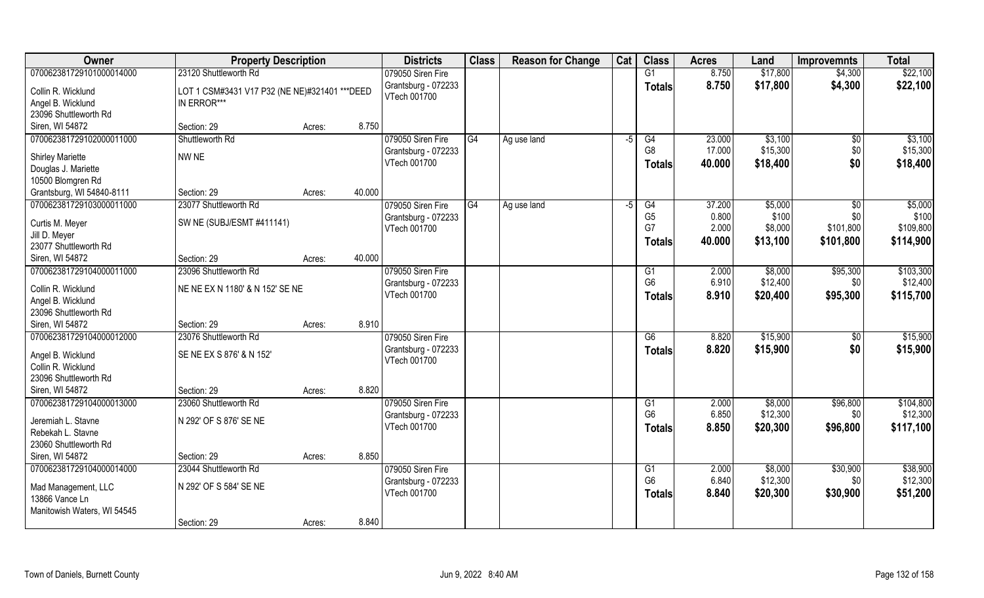| Owner                                    | <b>Property Description</b>                    |        |        | <b>Districts</b>    | <b>Class</b> | <b>Reason for Change</b> | Cat  | <b>Class</b>    | <b>Acres</b> | Land     | <b>Improvemnts</b> | <b>Total</b> |
|------------------------------------------|------------------------------------------------|--------|--------|---------------------|--------------|--------------------------|------|-----------------|--------------|----------|--------------------|--------------|
| 070062381729101000014000                 | 23120 Shuttleworth Rd                          |        |        | 079050 Siren Fire   |              |                          |      | G1              | 8.750        | \$17,800 | \$4,300            | \$22,100     |
| Collin R. Wicklund                       | LOT 1 CSM#3431 V17 P32 (NE NE)#321401 *** DEED |        |        | Grantsburg - 072233 |              |                          |      | <b>Totals</b>   | 8.750        | \$17,800 | \$4,300            | \$22,100     |
| Angel B. Wicklund                        | IN ERROR***                                    |        |        | VTech 001700        |              |                          |      |                 |              |          |                    |              |
| 23096 Shuttleworth Rd                    |                                                |        |        |                     |              |                          |      |                 |              |          |                    |              |
| Siren, WI 54872                          | Section: 29                                    | Acres: | 8.750  |                     |              |                          |      |                 |              |          |                    |              |
| 070062381729102000011000                 | Shuttleworth Rd                                |        |        | 079050 Siren Fire   | G4           | Ag use land              | -5   | G4              | 23.000       | \$3,100  | \$0                | \$3,100      |
|                                          |                                                |        |        | Grantsburg - 072233 |              |                          |      | G <sub>8</sub>  | 17.000       | \$15,300 | \$0                | \$15,300     |
| <b>Shirley Mariette</b>                  | NW NE                                          |        |        | VTech 001700        |              |                          |      | <b>Totals</b>   | 40.000       | \$18,400 | \$0                | \$18,400     |
| Douglas J. Mariette<br>10500 Blomgren Rd |                                                |        |        |                     |              |                          |      |                 |              |          |                    |              |
| Grantsburg, WI 54840-8111                | Section: 29                                    | Acres: | 40.000 |                     |              |                          |      |                 |              |          |                    |              |
| 070062381729103000011000                 | 23077 Shuttleworth Rd                          |        |        | 079050 Siren Fire   | G4           |                          | $-5$ | G4              | 37.200       | \$5,000  | $\sqrt{6}$         | \$5,000      |
|                                          |                                                |        |        | Grantsburg - 072233 |              | Ag use land              |      | G <sub>5</sub>  | 0.800        | \$100    | \$0                | \$100        |
| Curtis M. Meyer                          | SW NE (SUBJ/ESMT #411141)                      |        |        | VTech 001700        |              |                          |      | G7              | 2.000        | \$8,000  | \$101,800          | \$109,800    |
| Jill D. Meyer                            |                                                |        |        |                     |              |                          |      | <b>Totals</b>   | 40.000       | \$13,100 | \$101,800          | \$114,900    |
| 23077 Shuttleworth Rd                    |                                                |        |        |                     |              |                          |      |                 |              |          |                    |              |
| Siren, WI 54872                          | Section: 29                                    | Acres: | 40.000 |                     |              |                          |      |                 |              |          |                    |              |
| 070062381729104000011000                 | 23096 Shuttleworth Rd                          |        |        | 079050 Siren Fire   |              |                          |      | G1              | 2.000        | \$8,000  | \$95,300           | \$103,300    |
| Collin R. Wicklund                       | NE NE EX N 1180' & N 152' SE NE                |        |        | Grantsburg - 072233 |              |                          |      | G <sub>6</sub>  | 6.910        | \$12,400 | \$0                | \$12,400     |
| Angel B. Wicklund                        |                                                |        |        | VTech 001700        |              |                          |      | <b>Totals</b>   | 8.910        | \$20,400 | \$95,300           | \$115,700    |
| 23096 Shuttleworth Rd                    |                                                |        |        |                     |              |                          |      |                 |              |          |                    |              |
| Siren, WI 54872                          | Section: 29                                    | Acres: | 8.910  |                     |              |                          |      |                 |              |          |                    |              |
| 070062381729104000012000                 | 23076 Shuttleworth Rd                          |        |        | 079050 Siren Fire   |              |                          |      | $\overline{G6}$ | 8.820        | \$15,900 | $\sqrt[6]{30}$     | \$15,900     |
|                                          |                                                |        |        | Grantsburg - 072233 |              |                          |      | <b>Totals</b>   | 8.820        | \$15,900 | \$0                | \$15,900     |
| Angel B. Wicklund                        | SE NE EX S 876' & N 152'                       |        |        | VTech 001700        |              |                          |      |                 |              |          |                    |              |
| Collin R. Wicklund                       |                                                |        |        |                     |              |                          |      |                 |              |          |                    |              |
| 23096 Shuttleworth Rd                    |                                                |        |        |                     |              |                          |      |                 |              |          |                    |              |
| Siren, WI 54872                          | Section: 29                                    | Acres: | 8.820  |                     |              |                          |      |                 |              |          |                    |              |
| 070062381729104000013000                 | 23060 Shuttleworth Rd                          |        |        | 079050 Siren Fire   |              |                          |      | G1              | 2.000        | \$8,000  | \$96,800           | \$104,800    |
| Jeremiah L. Stavne                       | N 292' OF S 876' SE NE                         |        |        | Grantsburg - 072233 |              |                          |      | G <sub>6</sub>  | 6.850        | \$12,300 | \$0                | \$12,300     |
| Rebekah L. Stavne                        |                                                |        |        | VTech 001700        |              |                          |      | <b>Totals</b>   | 8.850        | \$20,300 | \$96,800           | \$117,100    |
| 23060 Shuttleworth Rd                    |                                                |        |        |                     |              |                          |      |                 |              |          |                    |              |
| Siren, WI 54872                          | Section: 29                                    | Acres: | 8.850  |                     |              |                          |      |                 |              |          |                    |              |
| 070062381729104000014000                 | 23044 Shuttleworth Rd                          |        |        | 079050 Siren Fire   |              |                          |      | G1              | 2.000        | \$8,000  | \$30,900           | \$38,900     |
|                                          |                                                |        |        | Grantsburg - 072233 |              |                          |      | G <sub>6</sub>  | 6.840        | \$12,300 | \$0                | \$12,300     |
| Mad Management, LLC                      | N 292' OF S 584' SE NE                         |        |        | VTech 001700        |              |                          |      | <b>Totals</b>   | 8.840        | \$20,300 | \$30,900           | \$51,200     |
| 13866 Vance Ln                           |                                                |        |        |                     |              |                          |      |                 |              |          |                    |              |
| Manitowish Waters, WI 54545              |                                                |        |        |                     |              |                          |      |                 |              |          |                    |              |
|                                          | Section: 29                                    | Acres: | 8.840  |                     |              |                          |      |                 |              |          |                    |              |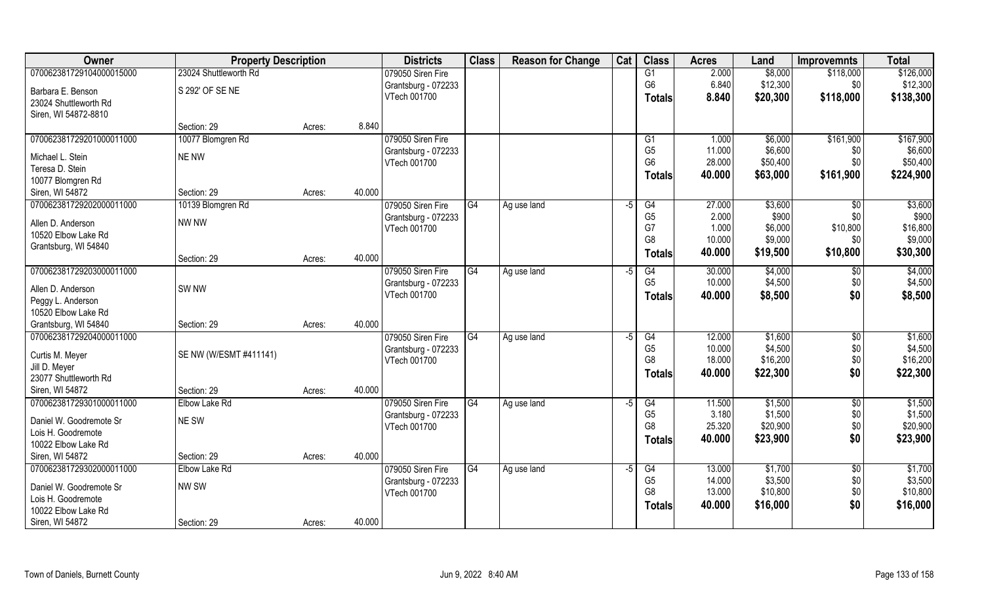| Owner                                     | <b>Property Description</b> |        |        | <b>Districts</b>                    | <b>Class</b> | <b>Reason for Change</b> | Cat  | <b>Class</b>    | <b>Acres</b>     | Land     | <b>Improvemnts</b> | <b>Total</b> |
|-------------------------------------------|-----------------------------|--------|--------|-------------------------------------|--------------|--------------------------|------|-----------------|------------------|----------|--------------------|--------------|
| 070062381729104000015000                  | 23024 Shuttleworth Rd       |        |        | 079050 Siren Fire                   |              |                          |      | G1              | 2.000            | \$8,000  | \$118,000          | \$126,000    |
| Barbara E. Benson                         | S 292' OF SE NE             |        |        | Grantsburg - 072233                 |              |                          |      | G <sub>6</sub>  | 6.840            | \$12,300 | \$0                | \$12,300     |
| 23024 Shuttleworth Rd                     |                             |        |        | VTech 001700                        |              |                          |      | Totals          | 8.840            | \$20,300 | \$118,000          | \$138,300    |
| Siren, WI 54872-8810                      |                             |        |        |                                     |              |                          |      |                 |                  |          |                    |              |
|                                           | Section: 29                 | Acres: | 8.840  |                                     |              |                          |      |                 |                  |          |                    |              |
| 070062381729201000011000                  | 10077 Blomgren Rd           |        |        | 079050 Siren Fire                   |              |                          |      | G1              | 1.000            | \$6,000  | \$161,900          | \$167,900    |
| Michael L. Stein                          | NE NW                       |        |        | Grantsburg - 072233                 |              |                          |      | G <sub>5</sub>  | 11.000           | \$6,600  | \$0                | \$6,600      |
| Teresa D. Stein                           |                             |        |        | VTech 001700                        |              |                          |      | G <sub>6</sub>  | 28.000           | \$50,400 | \$0                | \$50,400     |
| 10077 Blomgren Rd                         |                             |        |        |                                     |              |                          |      | <b>Totals</b>   | 40.000           | \$63,000 | \$161,900          | \$224,900    |
| Siren, WI 54872                           | Section: 29                 | Acres: | 40.000 |                                     |              |                          |      |                 |                  |          |                    |              |
| 070062381729202000011000                  | 10139 Blomgren Rd           |        |        | 079050 Siren Fire                   | G4           | Ag use land              | -5   | G4              | 27.000           | \$3,600  | $\sqrt{6}$         | \$3,600      |
|                                           |                             |        |        | Grantsburg - 072233                 |              |                          |      | G <sub>5</sub>  | 2.000            | \$900    | \$0                | \$900        |
| Allen D. Anderson                         | NW NW                       |        |        | VTech 001700                        |              |                          |      | G7              | 1.000            | \$6,000  | \$10,800           | \$16,800     |
| 10520 Elbow Lake Rd                       |                             |        |        |                                     |              |                          |      | G <sub>8</sub>  | 10.000           | \$9,000  | \$0                | \$9,000      |
| Grantsburg, WI 54840                      |                             |        |        |                                     |              |                          |      | Totals          | 40.000           | \$19,500 | \$10,800           | \$30,300     |
|                                           | Section: 29                 | Acres: | 40.000 |                                     |              |                          |      |                 |                  |          |                    |              |
| 070062381729203000011000                  |                             |        |        | 079050 Siren Fire                   | G4           | Ag use land              | -5   | G4              | 30.000<br>10.000 | \$4,000  | \$0                | \$4,000      |
| Allen D. Anderson                         | SW <sub>NW</sub>            |        |        | Grantsburg - 072233<br>VTech 001700 |              |                          |      | G <sub>5</sub>  |                  | \$4,500  | \$0                | \$4,500      |
| Peggy L. Anderson                         |                             |        |        |                                     |              |                          |      | <b>Totals</b>   | 40.000           | \$8,500  | \$0                | \$8,500      |
| 10520 Elbow Lake Rd                       |                             |        |        |                                     |              |                          |      |                 |                  |          |                    |              |
| Grantsburg, WI 54840                      | Section: 29                 | Acres: | 40.000 |                                     |              |                          |      |                 |                  |          |                    |              |
| 070062381729204000011000                  |                             |        |        | 079050 Siren Fire                   | G4           | Ag use land              | -5   | $\overline{G4}$ | 12.000           | \$1,600  | $\sqrt{6}$         | \$1,600      |
| Curtis M. Meyer                           | SE NW (W/ESMT #411141)      |        |        | Grantsburg - 072233                 |              |                          |      | G <sub>5</sub>  | 10.000           | \$4,500  | \$0                | \$4,500      |
| Jill D. Meyer                             |                             |        |        | VTech 001700                        |              |                          |      | G <sub>8</sub>  | 18.000           | \$16,200 | \$0                | \$16,200     |
| 23077 Shuttleworth Rd                     |                             |        |        |                                     |              |                          |      | <b>Totals</b>   | 40.000           | \$22,300 | \$0                | \$22,300     |
| Siren, WI 54872                           | Section: 29                 | Acres: | 40.000 |                                     |              |                          |      |                 |                  |          |                    |              |
| 070062381729301000011000                  | Elbow Lake Rd               |        |        | 079050 Siren Fire                   | G4           | Ag use land              | -5   | G4              | 11.500           | \$1,500  | $\overline{50}$    | \$1,500      |
|                                           |                             |        |        | Grantsburg - 072233                 |              |                          |      | G <sub>5</sub>  | 3.180            | \$1,500  | \$0                | \$1,500      |
| Daniel W. Goodremote Sr                   | NE SW                       |        |        | VTech 001700                        |              |                          |      | G <sub>8</sub>  | 25.320           | \$20,900 | \$0                | \$20,900     |
| Lois H. Goodremote<br>10022 Elbow Lake Rd |                             |        |        |                                     |              |                          |      | Totals          | 40.000           | \$23,900 | \$0                | \$23,900     |
| Siren, WI 54872                           | Section: 29                 | Acres: | 40.000 |                                     |              |                          |      |                 |                  |          |                    |              |
| 070062381729302000011000                  | Elbow Lake Rd               |        |        | 079050 Siren Fire                   | G4           |                          | $-5$ | G4              | 13.000           | \$1,700  | $\overline{50}$    | \$1,700      |
|                                           |                             |        |        | Grantsburg - 072233                 |              | Ag use land              |      | G <sub>5</sub>  | 14.000           | \$3,500  | \$0                | \$3,500      |
| Daniel W. Goodremote Sr                   | NW SW                       |        |        | VTech 001700                        |              |                          |      | G <sub>8</sub>  | 13.000           | \$10,800 | \$0                | \$10,800     |
| Lois H. Goodremote                        |                             |        |        |                                     |              |                          |      | Totals          | 40.000           | \$16,000 | \$0                | \$16,000     |
| 10022 Elbow Lake Rd                       |                             |        |        |                                     |              |                          |      |                 |                  |          |                    |              |
| Siren, WI 54872                           | Section: 29                 | Acres: | 40.000 |                                     |              |                          |      |                 |                  |          |                    |              |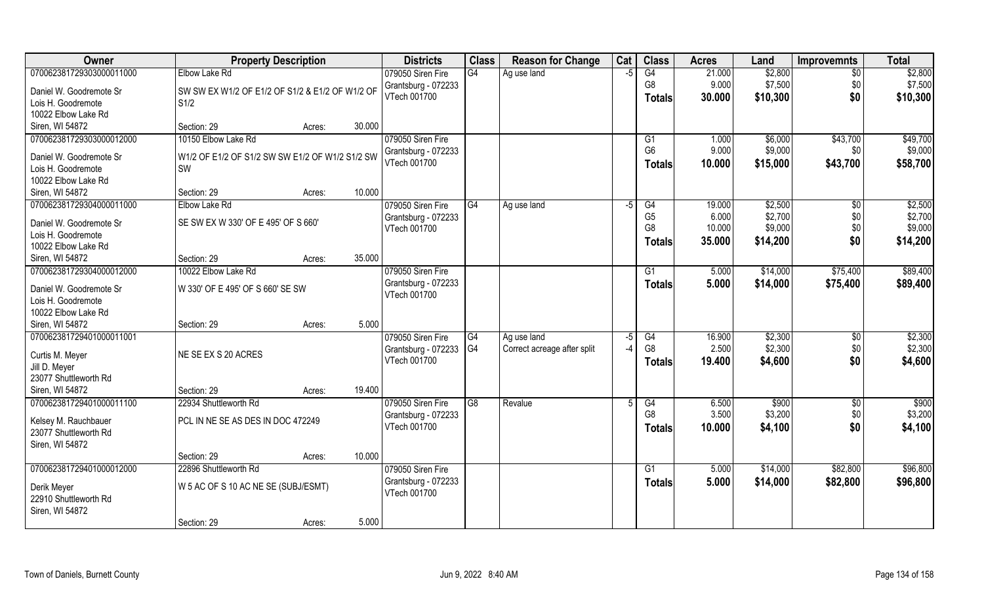| <b>Owner</b>                              | <b>Property Description</b>                     |        |        | <b>Districts</b>    | <b>Class</b>   | <b>Reason for Change</b>    | Cat  | <b>Class</b>    | <b>Acres</b> | Land     | <b>Improvemnts</b> | <b>Total</b> |
|-------------------------------------------|-------------------------------------------------|--------|--------|---------------------|----------------|-----------------------------|------|-----------------|--------------|----------|--------------------|--------------|
| 070062381729303000011000                  | Elbow Lake Rd                                   |        |        | 079050 Siren Fire   | G4             | Ag use land                 | $-5$ | G4              | 21.000       | \$2,800  | $\overline{30}$    | \$2,800      |
| Daniel W. Goodremote Sr                   | SW SW EX W1/2 OF E1/2 OF S1/2 & E1/2 OF W1/2 OF |        |        | Grantsburg - 072233 |                |                             |      | G <sub>8</sub>  | 9.000        | \$7,500  | \$0                | \$7,500      |
| Lois H. Goodremote                        | S1/2                                            |        |        | VTech 001700        |                |                             |      | <b>Totals</b>   | 30.000       | \$10,300 | \$0                | \$10,300     |
| 10022 Elbow Lake Rd                       |                                                 |        |        |                     |                |                             |      |                 |              |          |                    |              |
| Siren, WI 54872                           | Section: 29                                     | Acres: | 30.000 |                     |                |                             |      |                 |              |          |                    |              |
| 070062381729303000012000                  | 10150 Elbow Lake Rd                             |        |        | 079050 Siren Fire   |                |                             |      | G1              | 1.000        | \$6,000  | \$43,700           | \$49,700     |
|                                           |                                                 |        |        | Grantsburg - 072233 |                |                             |      | G <sub>6</sub>  | 9.000        | \$9,000  | \$0                | \$9,000      |
| Daniel W. Goodremote Sr                   | W1/2 OF E1/2 OF S1/2 SW SW E1/2 OF W1/2 S1/2 SW |        |        | VTech 001700        |                |                             |      | <b>Totals</b>   | 10.000       | \$15,000 | \$43,700           | \$58,700     |
| Lois H. Goodremote<br>10022 Elbow Lake Rd | SW                                              |        |        |                     |                |                             |      |                 |              |          |                    |              |
| Siren, WI 54872                           | Section: 29                                     | Acres: | 10.000 |                     |                |                             |      |                 |              |          |                    |              |
| 070062381729304000011000                  | Elbow Lake Rd                                   |        |        | 079050 Siren Fire   | IG4            | Ag use land                 | $-5$ | G4              | 19.000       | \$2,500  | \$0                | \$2,500      |
|                                           |                                                 |        |        | Grantsburg - 072233 |                |                             |      | G <sub>5</sub>  | 6.000        | \$2,700  | \$0                | \$2,700      |
| Daniel W. Goodremote Sr                   | SE SW EX W 330' OF E 495' OF S 660'             |        |        | VTech 001700        |                |                             |      | G <sub>8</sub>  | 10.000       | \$9,000  | \$0                | \$9,000      |
| Lois H. Goodremote                        |                                                 |        |        |                     |                |                             |      | <b>Totals</b>   | 35.000       | \$14,200 | \$0                | \$14,200     |
| 10022 Elbow Lake Rd                       |                                                 |        |        |                     |                |                             |      |                 |              |          |                    |              |
| Siren, WI 54872                           | Section: 29                                     | Acres: | 35.000 |                     |                |                             |      |                 |              |          |                    |              |
| 070062381729304000012000                  | 10022 Elbow Lake Rd                             |        |        | 079050 Siren Fire   |                |                             |      | G1              | 5.000        | \$14,000 | \$75,400           | \$89,400     |
| Daniel W. Goodremote Sr                   | W 330' OF E 495' OF S 660' SE SW                |        |        | Grantsburg - 072233 |                |                             |      | <b>Totals</b>   | 5.000        | \$14,000 | \$75,400           | \$89,400     |
| Lois H. Goodremote                        |                                                 |        |        | VTech 001700        |                |                             |      |                 |              |          |                    |              |
| 10022 Elbow Lake Rd                       |                                                 |        |        |                     |                |                             |      |                 |              |          |                    |              |
| Siren, WI 54872                           | Section: 29                                     | Acres: | 5.000  |                     |                |                             |      |                 |              |          |                    |              |
| 070062381729401000011001                  |                                                 |        |        | 079050 Siren Fire   | G4             | Ag use land                 | -5   | $\overline{G4}$ | 16.900       | \$2,300  | \$0                | \$2,300      |
| Curtis M. Meyer                           | NE SE EX S 20 ACRES                             |        |        | Grantsburg - 072233 | G <sub>4</sub> | Correct acreage after split |      | G8              | 2.500        | \$2,300  | \$0                | \$2,300      |
| Jill D. Meyer                             |                                                 |        |        | VTech 001700        |                |                             |      | Totals          | 19.400       | \$4,600  | \$0                | \$4,600      |
| 23077 Shuttleworth Rd                     |                                                 |        |        |                     |                |                             |      |                 |              |          |                    |              |
| Siren, WI 54872                           | Section: 29                                     | Acres: | 19.400 |                     |                |                             |      |                 |              |          |                    |              |
| 070062381729401000011100                  | 22934 Shuttleworth Rd                           |        |        | 079050 Siren Fire   | G <sub>8</sub> | Revalue                     |      | G4              | 6.500        | \$900    | \$0                | \$900        |
|                                           |                                                 |        |        | Grantsburg - 072233 |                |                             |      | G <sub>8</sub>  | 3.500        | \$3,200  | \$0                | \$3,200      |
| Kelsey M. Rauchbauer                      | PCL IN NE SE AS DES IN DOC 472249               |        |        | VTech 001700        |                |                             |      | <b>Totals</b>   | 10.000       | \$4,100  | \$0                | \$4,100      |
| 23077 Shuttleworth Rd                     |                                                 |        |        |                     |                |                             |      |                 |              |          |                    |              |
| Siren, WI 54872                           | Section: 29                                     |        | 10.000 |                     |                |                             |      |                 |              |          |                    |              |
| 070062381729401000012000                  | 22896 Shuttleworth Rd                           | Acres: |        | 079050 Siren Fire   |                |                             |      | G1              | 5.000        | \$14,000 | \$82,800           | \$96,800     |
|                                           |                                                 |        |        | Grantsburg - 072233 |                |                             |      | <b>Totals</b>   | 5.000        | \$14,000 | \$82,800           | \$96,800     |
| Derik Meyer                               | W 5 AC OF S 10 AC NE SE (SUBJ/ESMT)             |        |        | VTech 001700        |                |                             |      |                 |              |          |                    |              |
| 22910 Shuttleworth Rd                     |                                                 |        |        |                     |                |                             |      |                 |              |          |                    |              |
| Siren, WI 54872                           |                                                 |        |        |                     |                |                             |      |                 |              |          |                    |              |
|                                           | Section: 29                                     | Acres: | 5.000  |                     |                |                             |      |                 |              |          |                    |              |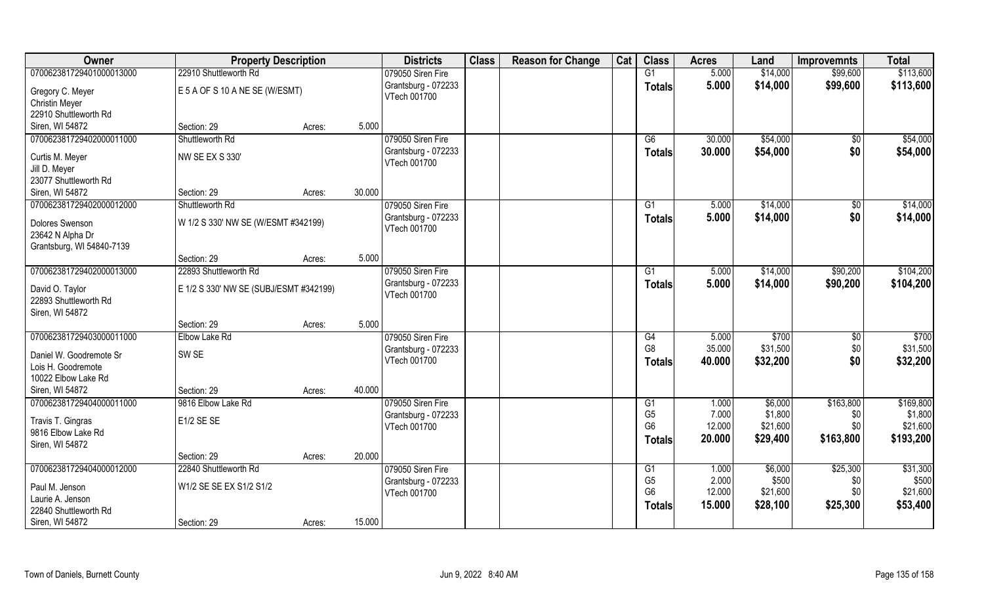| Owner                                  | <b>Property Description</b>            |        |        | <b>Districts</b>    | <b>Class</b> | <b>Reason for Change</b> | Cat | <b>Class</b>   | <b>Acres</b> | Land     | <b>Improvemnts</b> | <b>Total</b> |
|----------------------------------------|----------------------------------------|--------|--------|---------------------|--------------|--------------------------|-----|----------------|--------------|----------|--------------------|--------------|
| 070062381729401000013000               | 22910 Shuttleworth Rd                  |        |        | 079050 Siren Fire   |              |                          |     | G1             | 5.000        | \$14,000 | \$99,600           | \$113,600    |
| Gregory C. Meyer                       | E 5 A OF S 10 A NE SE (W/ESMT)         |        |        | Grantsburg - 072233 |              |                          |     | <b>Totals</b>  | 5.000        | \$14,000 | \$99,600           | \$113,600    |
| <b>Christin Meyer</b>                  |                                        |        |        | VTech 001700        |              |                          |     |                |              |          |                    |              |
| 22910 Shuttleworth Rd                  |                                        |        |        |                     |              |                          |     |                |              |          |                    |              |
| Siren, WI 54872                        | Section: 29                            | Acres: | 5.000  |                     |              |                          |     |                |              |          |                    |              |
| 070062381729402000011000               | Shuttleworth Rd                        |        |        | 079050 Siren Fire   |              |                          |     | G6             | 30.000       | \$54,000 | \$0                | \$54,000     |
|                                        | <b>NW SE EX S 330'</b>                 |        |        | Grantsburg - 072233 |              |                          |     | <b>Totals</b>  | 30.000       | \$54,000 | \$0                | \$54,000     |
| Curtis M. Meyer                        |                                        |        |        | VTech 001700        |              |                          |     |                |              |          |                    |              |
| Jill D. Meyer<br>23077 Shuttleworth Rd |                                        |        |        |                     |              |                          |     |                |              |          |                    |              |
| Siren, WI 54872                        | Section: 29                            | Acres: | 30.000 |                     |              |                          |     |                |              |          |                    |              |
| 070062381729402000012000               | Shuttleworth Rd                        |        |        | 079050 Siren Fire   |              |                          |     | G1             | 5.000        | \$14,000 | \$0                | \$14,000     |
|                                        |                                        |        |        | Grantsburg - 072233 |              |                          |     |                | 5.000        | \$14,000 | \$0                | \$14,000     |
| Dolores Swenson                        | W 1/2 S 330' NW SE (W/ESMT #342199)    |        |        | VTech 001700        |              |                          |     | <b>Totals</b>  |              |          |                    |              |
| 23642 N Alpha Dr                       |                                        |        |        |                     |              |                          |     |                |              |          |                    |              |
| Grantsburg, WI 54840-7139              |                                        |        |        |                     |              |                          |     |                |              |          |                    |              |
|                                        | Section: 29                            | Acres: | 5.000  |                     |              |                          |     |                |              |          |                    |              |
| 070062381729402000013000               | 22893 Shuttleworth Rd                  |        |        | 079050 Siren Fire   |              |                          |     | G1             | 5.000        | \$14,000 | \$90,200           | \$104,200    |
| David O. Taylor                        | E 1/2 S 330' NW SE (SUBJ/ESMT #342199) |        |        | Grantsburg - 072233 |              |                          |     | <b>Totals</b>  | 5.000        | \$14,000 | \$90,200           | \$104,200    |
| 22893 Shuttleworth Rd                  |                                        |        |        | VTech 001700        |              |                          |     |                |              |          |                    |              |
| Siren, WI 54872                        |                                        |        |        |                     |              |                          |     |                |              |          |                    |              |
|                                        | Section: 29                            | Acres: | 5.000  |                     |              |                          |     |                |              |          |                    |              |
| 070062381729403000011000               | Elbow Lake Rd                          |        |        | 079050 Siren Fire   |              |                          |     | G4             | 5.000        | \$700    | $\sqrt[6]{}$       | \$700        |
| Daniel W. Goodremote Sr                | SW SE                                  |        |        | Grantsburg - 072233 |              |                          |     | G <sub>8</sub> | 35.000       | \$31,500 | \$0                | \$31,500     |
| Lois H. Goodremote                     |                                        |        |        | VTech 001700        |              |                          |     | <b>Totals</b>  | 40.000       | \$32,200 | \$0                | \$32,200     |
| 10022 Elbow Lake Rd                    |                                        |        |        |                     |              |                          |     |                |              |          |                    |              |
| Siren, WI 54872                        | Section: 29                            | Acres: | 40.000 |                     |              |                          |     |                |              |          |                    |              |
| 070062381729404000011000               | 9816 Elbow Lake Rd                     |        |        | 079050 Siren Fire   |              |                          |     | G1             | 1.000        | \$6,000  | \$163,800          | \$169,800    |
|                                        |                                        |        |        | Grantsburg - 072233 |              |                          |     | G <sub>5</sub> | 7.000        | \$1,800  | \$0                | \$1,800      |
| Travis T. Gingras                      | E1/2 SE SE                             |        |        | VTech 001700        |              |                          |     | G <sub>6</sub> | 12.000       | \$21,600 | \$0\$              | \$21,600     |
| 9816 Elbow Lake Rd                     |                                        |        |        |                     |              |                          |     | <b>Totals</b>  | 20.000       | \$29,400 | \$163,800          | \$193,200    |
| Siren, WI 54872                        | Section: 29                            | Acres: | 20.000 |                     |              |                          |     |                |              |          |                    |              |
| 070062381729404000012000               | 22840 Shuttleworth Rd                  |        |        | 079050 Siren Fire   |              |                          |     | G1             | 1.000        | \$6,000  | \$25,300           | \$31,300     |
|                                        |                                        |        |        | Grantsburg - 072233 |              |                          |     | G <sub>5</sub> | 2.000        | \$500    | \$0                | \$500        |
| Paul M. Jenson                         | W1/2 SE SE EX S1/2 S1/2                |        |        | VTech 001700        |              |                          |     | G <sub>6</sub> | 12.000       | \$21,600 | \$0                | \$21,600     |
| Laurie A. Jenson                       |                                        |        |        |                     |              |                          |     | <b>Totals</b>  | 15.000       | \$28,100 | \$25,300           | \$53,400     |
| 22840 Shuttleworth Rd                  |                                        |        |        |                     |              |                          |     |                |              |          |                    |              |
| Siren, WI 54872                        | Section: 29                            | Acres: | 15.000 |                     |              |                          |     |                |              |          |                    |              |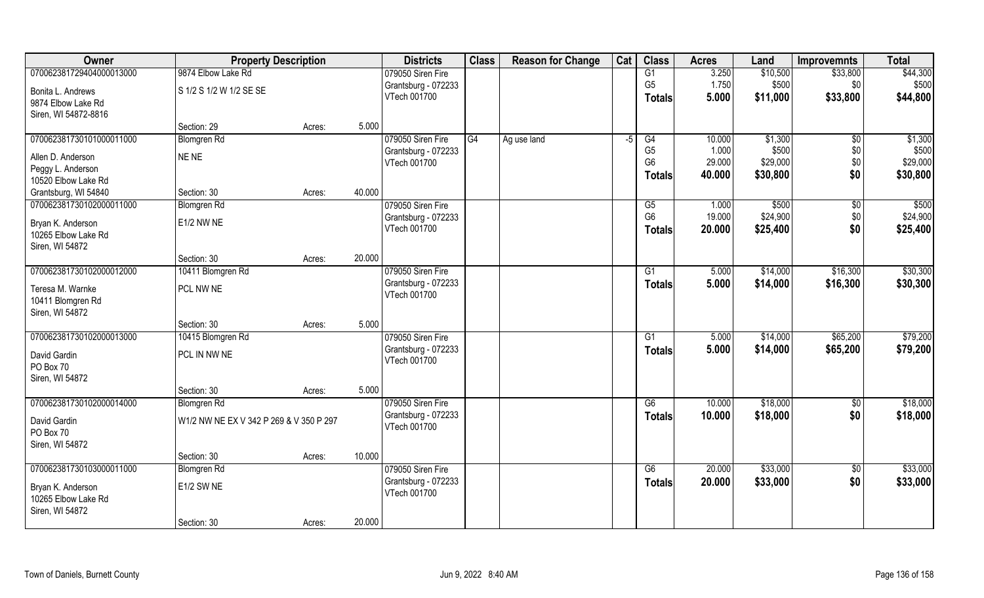| Owner                    | <b>Property Description</b>             |        |        | <b>Districts</b>    | <b>Class</b> | <b>Reason for Change</b> | Cat  | <b>Class</b>    | <b>Acres</b> | Land     | <b>Improvemnts</b> | <b>Total</b> |
|--------------------------|-----------------------------------------|--------|--------|---------------------|--------------|--------------------------|------|-----------------|--------------|----------|--------------------|--------------|
| 070062381729404000013000 | 9874 Elbow Lake Rd                      |        |        | 079050 Siren Fire   |              |                          |      | G1              | 3.250        | \$10,500 | \$33,800           | \$44,300     |
| Bonita L. Andrews        | S 1/2 S 1/2 W 1/2 SE SE                 |        |        | Grantsburg - 072233 |              |                          |      | G <sub>5</sub>  | 1.750        | \$500    | \$0                | \$500        |
| 9874 Elbow Lake Rd       |                                         |        |        | VTech 001700        |              |                          |      | <b>Totals</b>   | 5.000        | \$11,000 | \$33,800           | \$44,800     |
| Siren, WI 54872-8816     |                                         |        |        |                     |              |                          |      |                 |              |          |                    |              |
|                          | Section: 29                             | Acres: | 5.000  |                     |              |                          |      |                 |              |          |                    |              |
| 070062381730101000011000 | <b>Blomgren Rd</b>                      |        |        | 079050 Siren Fire   | G4           | Ag use land              | $-5$ | G4              | 10.000       | \$1,300  | $\sqrt[6]{}$       | \$1,300      |
| Allen D. Anderson        | NE NE                                   |        |        | Grantsburg - 072233 |              |                          |      | G <sub>5</sub>  | 1.000        | \$500    | \$0                | \$500        |
| Peggy L. Anderson        |                                         |        |        | VTech 001700        |              |                          |      | G <sub>6</sub>  | 29.000       | \$29,000 | \$0                | \$29,000     |
| 10520 Elbow Lake Rd      |                                         |        |        |                     |              |                          |      | <b>Totals</b>   | 40.000       | \$30,800 | \$0                | \$30,800     |
| Grantsburg, WI 54840     | Section: 30                             | Acres: | 40.000 |                     |              |                          |      |                 |              |          |                    |              |
| 070062381730102000011000 | <b>Blomgren Rd</b>                      |        |        | 079050 Siren Fire   |              |                          |      | G5              | 1.000        | \$500    | \$0                | \$500        |
| Bryan K. Anderson        | E1/2 NW NE                              |        |        | Grantsburg - 072233 |              |                          |      | G <sub>6</sub>  | 19.000       | \$24,900 | \$0                | \$24,900     |
| 10265 Elbow Lake Rd      |                                         |        |        | VTech 001700        |              |                          |      | <b>Totals</b>   | 20.000       | \$25,400 | \$0                | \$25,400     |
| Siren, WI 54872          |                                         |        |        |                     |              |                          |      |                 |              |          |                    |              |
|                          | Section: 30                             | Acres: | 20.000 |                     |              |                          |      |                 |              |          |                    |              |
| 070062381730102000012000 | 10411 Blomgren Rd                       |        |        | 079050 Siren Fire   |              |                          |      | G1              | 5.000        | \$14,000 | \$16,300           | \$30,300     |
| Teresa M. Warnke         | PCL NW NE                               |        |        | Grantsburg - 072233 |              |                          |      | <b>Totals</b>   | 5.000        | \$14,000 | \$16,300           | \$30,300     |
| 10411 Blomgren Rd        |                                         |        |        | VTech 001700        |              |                          |      |                 |              |          |                    |              |
| Siren, WI 54872          |                                         |        |        |                     |              |                          |      |                 |              |          |                    |              |
|                          | Section: 30                             | Acres: | 5.000  |                     |              |                          |      |                 |              |          |                    |              |
| 070062381730102000013000 | 10415 Blomgren Rd                       |        |        | 079050 Siren Fire   |              |                          |      | $\overline{G1}$ | 5.000        | \$14,000 | \$65,200           | \$79,200     |
| David Gardin             | PCL IN NW NE                            |        |        | Grantsburg - 072233 |              |                          |      | <b>Totals</b>   | 5.000        | \$14,000 | \$65,200           | \$79,200     |
| PO Box 70                |                                         |        |        | VTech 001700        |              |                          |      |                 |              |          |                    |              |
| Siren, WI 54872          |                                         |        |        |                     |              |                          |      |                 |              |          |                    |              |
|                          | Section: 30                             | Acres: | 5.000  |                     |              |                          |      |                 |              |          |                    |              |
| 070062381730102000014000 | <b>Blomgren</b> Rd                      |        |        | 079050 Siren Fire   |              |                          |      | G6              | 10.000       | \$18,000 | \$0                | \$18,000     |
| David Gardin             | W1/2 NW NE EX V 342 P 269 & V 350 P 297 |        |        | Grantsburg - 072233 |              |                          |      | <b>Totals</b>   | 10.000       | \$18,000 | \$0                | \$18,000     |
| PO Box 70                |                                         |        |        | VTech 001700        |              |                          |      |                 |              |          |                    |              |
| Siren, WI 54872          |                                         |        |        |                     |              |                          |      |                 |              |          |                    |              |
|                          | Section: 30                             | Acres: | 10.000 |                     |              |                          |      |                 |              |          |                    |              |
| 070062381730103000011000 | <b>Blomgren Rd</b>                      |        |        | 079050 Siren Fire   |              |                          |      | G6              | 20.000       | \$33,000 | $\overline{50}$    | \$33,000     |
| Bryan K. Anderson        | E1/2 SW NE                              |        |        | Grantsburg - 072233 |              |                          |      | <b>Totals</b>   | 20.000       | \$33,000 | \$0                | \$33,000     |
| 10265 Elbow Lake Rd      |                                         |        |        | VTech 001700        |              |                          |      |                 |              |          |                    |              |
| Siren, WI 54872          |                                         |        |        |                     |              |                          |      |                 |              |          |                    |              |
|                          | Section: 30                             | Acres: | 20.000 |                     |              |                          |      |                 |              |          |                    |              |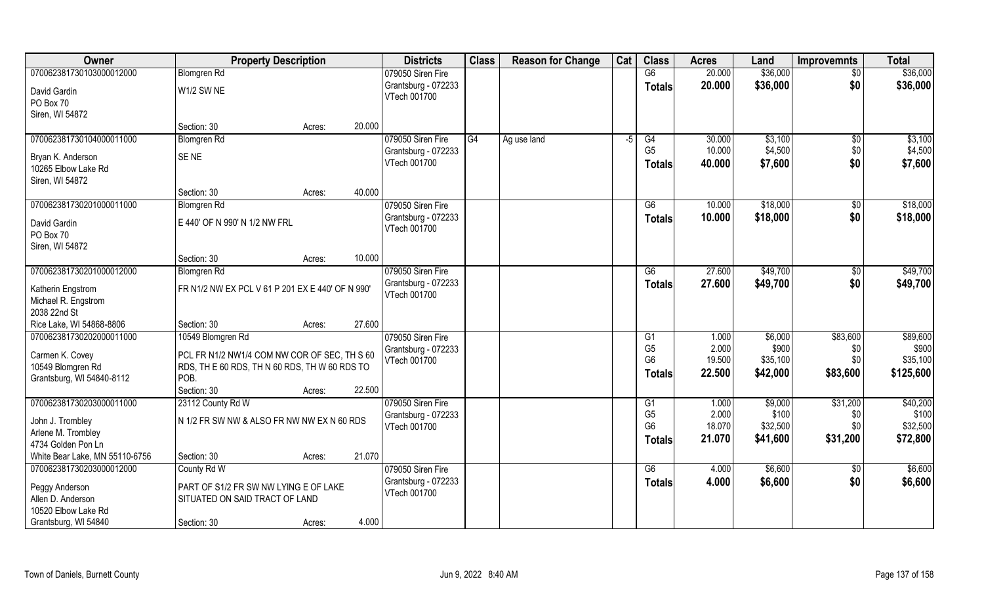| Owner                                    | <b>Property Description</b>                      |        |        | <b>Districts</b>                    | <b>Class</b> | <b>Reason for Change</b> | Cat  | <b>Class</b>    | <b>Acres</b> | Land     | <b>Improvemnts</b> | <b>Total</b> |
|------------------------------------------|--------------------------------------------------|--------|--------|-------------------------------------|--------------|--------------------------|------|-----------------|--------------|----------|--------------------|--------------|
| 070062381730103000012000                 | <b>Blomgren Rd</b>                               |        |        | 079050 Siren Fire                   |              |                          |      | $\overline{G6}$ | 20.000       | \$36,000 | \$0                | \$36,000     |
| David Gardin<br>PO Box 70                | W1/2 SW NE                                       |        |        | Grantsburg - 072233<br>VTech 001700 |              |                          |      | <b>Totals</b>   | 20.000       | \$36,000 | \$0                | \$36,000     |
| Siren, WI 54872                          |                                                  |        |        |                                     |              |                          |      |                 |              |          |                    |              |
|                                          | Section: 30                                      | Acres: | 20.000 |                                     |              |                          |      |                 |              |          |                    |              |
| 070062381730104000011000                 | <b>Blomgren Rd</b>                               |        |        | 079050 Siren Fire                   | G4           | Ag use land              | $-5$ | G4              | 30.000       | \$3,100  | $\sqrt[6]{}$       | \$3,100      |
| Bryan K. Anderson                        | SE <sub>NE</sub>                                 |        |        | Grantsburg - 072233                 |              |                          |      | G <sub>5</sub>  | 10.000       | \$4,500  | \$0                | \$4,500      |
| 10265 Elbow Lake Rd                      |                                                  |        |        | VTech 001700                        |              |                          |      | <b>Totals</b>   | 40.000       | \$7,600  | \$0                | \$7,600      |
| Siren, WI 54872                          |                                                  |        |        |                                     |              |                          |      |                 |              |          |                    |              |
|                                          | Section: 30                                      | Acres: | 40.000 |                                     |              |                          |      |                 |              |          |                    |              |
| 070062381730201000011000                 | <b>Blomgren Rd</b>                               |        |        | 079050 Siren Fire                   |              |                          |      | G6              | 10.000       | \$18,000 | \$0                | \$18,000     |
| David Gardin                             | E 440' OF N 990' N 1/2 NW FRL                    |        |        | Grantsburg - 072233                 |              |                          |      | <b>Totals</b>   | 10.000       | \$18,000 | \$0                | \$18,000     |
| PO Box 70                                |                                                  |        |        | VTech 001700                        |              |                          |      |                 |              |          |                    |              |
| Siren, WI 54872                          |                                                  |        |        |                                     |              |                          |      |                 |              |          |                    |              |
|                                          | Section: 30                                      | Acres: | 10.000 |                                     |              |                          |      |                 |              |          |                    |              |
| 070062381730201000012000                 | <b>Blomgren Rd</b>                               |        |        | 079050 Siren Fire                   |              |                          |      | G6              | 27.600       | \$49,700 | $\sqrt[6]{}$       | \$49,700     |
| Katherin Engstrom<br>Michael R. Engstrom | FR N1/2 NW EX PCL V 61 P 201 EX E 440' OF N 990' |        |        | Grantsburg - 072233<br>VTech 001700 |              |                          |      | <b>Totals</b>   | 27.600       | \$49,700 | \$0                | \$49,700     |
| 2038 22nd St                             |                                                  |        |        |                                     |              |                          |      |                 |              |          |                    |              |
| Rice Lake, WI 54868-8806                 | Section: 30                                      | Acres: | 27.600 |                                     |              |                          |      |                 |              |          |                    |              |
| 070062381730202000011000                 | 10549 Blomgren Rd                                |        |        | 079050 Siren Fire                   |              |                          |      | G1              | 1.000        | \$6,000  | \$83,600           | \$89,600     |
| Carmen K. Covey                          | PCL FR N1/2 NW1/4 COM NW COR OF SEC, TH S 60     |        |        | Grantsburg - 072233                 |              |                          |      | G <sub>5</sub>  | 2.000        | \$900    | \$0                | \$900        |
| 10549 Blomgren Rd                        | RDS, TH E 60 RDS, TH N 60 RDS, TH W 60 RDS TO    |        |        | VTech 001700                        |              |                          |      | G <sub>6</sub>  | 19.500       | \$35,100 | \$0                | \$35,100     |
| Grantsburg, WI 54840-8112                | POB.                                             |        |        |                                     |              |                          |      | <b>Totals</b>   | 22.500       | \$42,000 | \$83,600           | \$125,600    |
|                                          | Section: 30                                      | Acres: | 22.500 |                                     |              |                          |      |                 |              |          |                    |              |
| 070062381730203000011000                 | 23112 County Rd W                                |        |        | 079050 Siren Fire                   |              |                          |      | G1              | 1.000        | \$9,000  | \$31,200           | \$40,200     |
| John J. Trombley                         | N 1/2 FR SW NW & ALSO FR NW NW EX N 60 RDS       |        |        | Grantsburg - 072233                 |              |                          |      | G <sub>5</sub>  | 2.000        | \$100    | \$0                | \$100        |
| Arlene M. Trombley                       |                                                  |        |        | VTech 001700                        |              |                          |      | G <sub>6</sub>  | 18.070       | \$32,500 | \$0\$              | \$32,500     |
| 4734 Golden Pon Ln                       |                                                  |        |        |                                     |              |                          |      | <b>Totals</b>   | 21.070       | \$41,600 | \$31,200           | \$72,800     |
| White Bear Lake, MN 55110-6756           | Section: 30                                      | Acres: | 21.070 |                                     |              |                          |      |                 |              |          |                    |              |
| 070062381730203000012000                 | County Rd W                                      |        |        | 079050 Siren Fire                   |              |                          |      | G6              | 4.000        | \$6,600  | $\sqrt[6]{30}$     | \$6,600      |
| Peggy Anderson                           | PART OF S1/2 FR SW NW LYING E OF LAKE            |        |        | Grantsburg - 072233                 |              |                          |      | <b>Totals</b>   | 4.000        | \$6,600  | \$0                | \$6,600      |
| Allen D. Anderson                        | SITUATED ON SAID TRACT OF LAND                   |        |        | VTech 001700                        |              |                          |      |                 |              |          |                    |              |
| 10520 Elbow Lake Rd                      |                                                  |        |        |                                     |              |                          |      |                 |              |          |                    |              |
| Grantsburg, WI 54840                     | Section: 30                                      | Acres: | 4.000  |                                     |              |                          |      |                 |              |          |                    |              |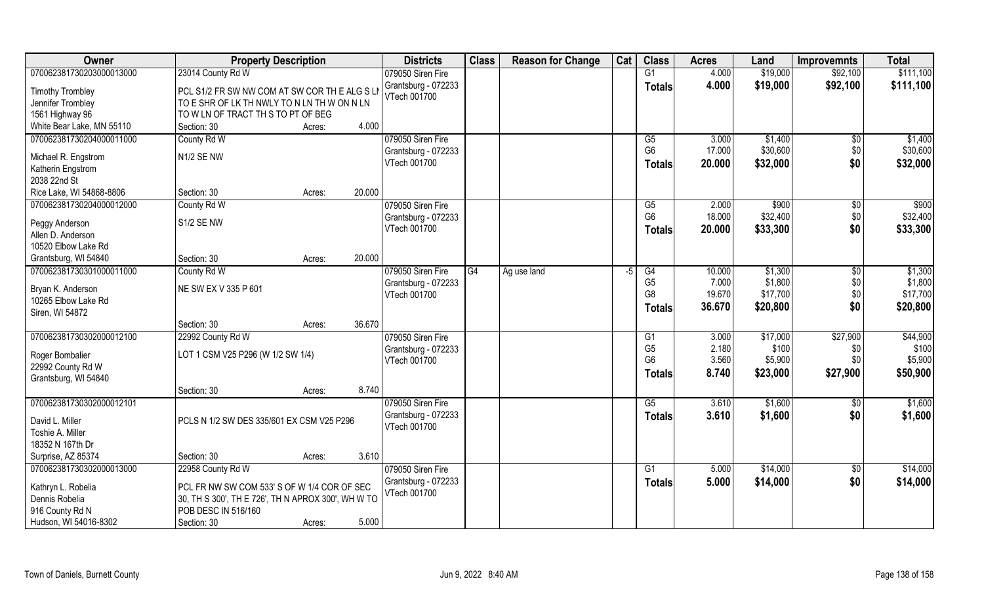| \$111,100<br>070062381730203000013000<br>23014 County Rd W<br>079050 Siren Fire<br>G1<br>4.000<br>\$19,000<br>\$92,100<br>4.000<br>\$19,000<br>Grantsburg - 072233<br>\$92,100<br><b>Totals</b><br><b>Timothy Trombley</b><br>PCL S1/2 FR SW NW COM AT SW COR THE ALG SLN<br>VTech 001700<br>TO E SHR OF LK TH NWLY TO N LN TH W ON N LN<br>Jennifer Trombley<br>TO W LN OF TRACT TH S TO PT OF BEG<br>1561 Highway 96<br>4.000<br>White Bear Lake, MN 55110<br>Section: 30<br>Acres:<br>070062381730204000011000<br>County Rd W<br>079050 Siren Fire<br>\$1,400<br>G5<br>3.000<br>\$0<br>G <sub>6</sub><br>\$30,600<br>17.000<br>\$0<br>Grantsburg - 072233<br>N1/2 SE NW<br>Michael R. Engstrom<br>\$0<br>20.000<br>\$32,000<br>VTech 001700<br><b>Totals</b><br>Katherin Engstrom<br>2038 22nd St<br>Section: 30<br>20.000<br>Rice Lake, WI 54868-8806<br>Acres:<br>070062381730204000012000<br>\$900<br>079050 Siren Fire<br>G5<br>2.000<br>$\sqrt[6]{}$<br>County Rd W<br>G <sub>6</sub><br>\$32,400<br>\$0<br>18.000<br>Grantsburg - 072233<br>S1/2 SE NW<br>Peggy Anderson<br>\$33,300<br>\$0<br>VTech 001700<br>20.000<br><b>Totals</b><br>Allen D. Anderson<br>10520 Elbow Lake Rd<br>20.000<br>Grantsburg, WI 54840<br>Section: 30<br>Acres:<br>070062381730301000011000<br>079050 Siren Fire<br>\$1,300<br>County Rd W<br>G4<br>Ag use land<br>G4<br>10.000<br>$\sqrt[6]{3}$<br>$-5$<br>7.000<br>\$1,800<br>\$0<br>G <sub>5</sub><br>Grantsburg - 072233<br>NE SW EX V 335 P 601<br>Bryan K. Anderson<br>19.670<br>\$17,700<br>\$0<br>G <sub>8</sub><br>VTech 001700<br>10265 Elbow Lake Rd<br>\$0<br>\$20,800<br>36.670<br><b>Totals</b><br>Siren, WI 54872<br>36.670<br>Section: 30<br>Acres:<br>\$27,900<br>070062381730302000012100<br>\$17,000<br>22992 County Rd W<br>079050 Siren Fire<br>3.000<br>G1<br>G <sub>5</sub><br>2.180<br>\$100<br>\$0<br>Grantsburg - 072233<br>LOT 1 CSM V25 P296 (W 1/2 SW 1/4)<br>Roger Bombalier<br>3.560<br>\$0<br>G <sub>6</sub><br>\$5,900<br>VTech 001700<br>22992 County Rd W<br>8.740<br>\$27,900<br>\$23,000<br><b>Totals</b> | Owner                | <b>Property Description</b> | <b>Districts</b> | <b>Class</b> | <b>Reason for Change</b> | Cat | <b>Class</b> | <b>Acres</b> | Land | <b>Improvemnts</b> | <b>Total</b> |
|---------------------------------------------------------------------------------------------------------------------------------------------------------------------------------------------------------------------------------------------------------------------------------------------------------------------------------------------------------------------------------------------------------------------------------------------------------------------------------------------------------------------------------------------------------------------------------------------------------------------------------------------------------------------------------------------------------------------------------------------------------------------------------------------------------------------------------------------------------------------------------------------------------------------------------------------------------------------------------------------------------------------------------------------------------------------------------------------------------------------------------------------------------------------------------------------------------------------------------------------------------------------------------------------------------------------------------------------------------------------------------------------------------------------------------------------------------------------------------------------------------------------------------------------------------------------------------------------------------------------------------------------------------------------------------------------------------------------------------------------------------------------------------------------------------------------------------------------------------------------------------------------------------------------------------------------------------------------------------------------------------------------------------------------------------------------------------------|----------------------|-----------------------------|------------------|--------------|--------------------------|-----|--------------|--------------|------|--------------------|--------------|
|                                                                                                                                                                                                                                                                                                                                                                                                                                                                                                                                                                                                                                                                                                                                                                                                                                                                                                                                                                                                                                                                                                                                                                                                                                                                                                                                                                                                                                                                                                                                                                                                                                                                                                                                                                                                                                                                                                                                                                                                                                                                                       |                      |                             |                  |              |                          |     |              |              |      |                    |              |
|                                                                                                                                                                                                                                                                                                                                                                                                                                                                                                                                                                                                                                                                                                                                                                                                                                                                                                                                                                                                                                                                                                                                                                                                                                                                                                                                                                                                                                                                                                                                                                                                                                                                                                                                                                                                                                                                                                                                                                                                                                                                                       |                      |                             |                  |              |                          |     |              |              |      |                    | \$111,100    |
| \$1,400<br>\$30,600<br>\$32,000<br>\$900<br>\$32,400<br>\$33,300<br>\$1,300<br>\$1,800<br>\$17,700<br>\$20,800<br>\$44,900<br>\$100<br>\$5,900<br>\$50,900                                                                                                                                                                                                                                                                                                                                                                                                                                                                                                                                                                                                                                                                                                                                                                                                                                                                                                                                                                                                                                                                                                                                                                                                                                                                                                                                                                                                                                                                                                                                                                                                                                                                                                                                                                                                                                                                                                                            |                      |                             |                  |              |                          |     |              |              |      |                    |              |
|                                                                                                                                                                                                                                                                                                                                                                                                                                                                                                                                                                                                                                                                                                                                                                                                                                                                                                                                                                                                                                                                                                                                                                                                                                                                                                                                                                                                                                                                                                                                                                                                                                                                                                                                                                                                                                                                                                                                                                                                                                                                                       |                      |                             |                  |              |                          |     |              |              |      |                    |              |
|                                                                                                                                                                                                                                                                                                                                                                                                                                                                                                                                                                                                                                                                                                                                                                                                                                                                                                                                                                                                                                                                                                                                                                                                                                                                                                                                                                                                                                                                                                                                                                                                                                                                                                                                                                                                                                                                                                                                                                                                                                                                                       |                      |                             |                  |              |                          |     |              |              |      |                    |              |
|                                                                                                                                                                                                                                                                                                                                                                                                                                                                                                                                                                                                                                                                                                                                                                                                                                                                                                                                                                                                                                                                                                                                                                                                                                                                                                                                                                                                                                                                                                                                                                                                                                                                                                                                                                                                                                                                                                                                                                                                                                                                                       |                      |                             |                  |              |                          |     |              |              |      |                    |              |
|                                                                                                                                                                                                                                                                                                                                                                                                                                                                                                                                                                                                                                                                                                                                                                                                                                                                                                                                                                                                                                                                                                                                                                                                                                                                                                                                                                                                                                                                                                                                                                                                                                                                                                                                                                                                                                                                                                                                                                                                                                                                                       |                      |                             |                  |              |                          |     |              |              |      |                    |              |
|                                                                                                                                                                                                                                                                                                                                                                                                                                                                                                                                                                                                                                                                                                                                                                                                                                                                                                                                                                                                                                                                                                                                                                                                                                                                                                                                                                                                                                                                                                                                                                                                                                                                                                                                                                                                                                                                                                                                                                                                                                                                                       |                      |                             |                  |              |                          |     |              |              |      |                    |              |
|                                                                                                                                                                                                                                                                                                                                                                                                                                                                                                                                                                                                                                                                                                                                                                                                                                                                                                                                                                                                                                                                                                                                                                                                                                                                                                                                                                                                                                                                                                                                                                                                                                                                                                                                                                                                                                                                                                                                                                                                                                                                                       |                      |                             |                  |              |                          |     |              |              |      |                    |              |
|                                                                                                                                                                                                                                                                                                                                                                                                                                                                                                                                                                                                                                                                                                                                                                                                                                                                                                                                                                                                                                                                                                                                                                                                                                                                                                                                                                                                                                                                                                                                                                                                                                                                                                                                                                                                                                                                                                                                                                                                                                                                                       |                      |                             |                  |              |                          |     |              |              |      |                    |              |
|                                                                                                                                                                                                                                                                                                                                                                                                                                                                                                                                                                                                                                                                                                                                                                                                                                                                                                                                                                                                                                                                                                                                                                                                                                                                                                                                                                                                                                                                                                                                                                                                                                                                                                                                                                                                                                                                                                                                                                                                                                                                                       |                      |                             |                  |              |                          |     |              |              |      |                    |              |
|                                                                                                                                                                                                                                                                                                                                                                                                                                                                                                                                                                                                                                                                                                                                                                                                                                                                                                                                                                                                                                                                                                                                                                                                                                                                                                                                                                                                                                                                                                                                                                                                                                                                                                                                                                                                                                                                                                                                                                                                                                                                                       |                      |                             |                  |              |                          |     |              |              |      |                    |              |
|                                                                                                                                                                                                                                                                                                                                                                                                                                                                                                                                                                                                                                                                                                                                                                                                                                                                                                                                                                                                                                                                                                                                                                                                                                                                                                                                                                                                                                                                                                                                                                                                                                                                                                                                                                                                                                                                                                                                                                                                                                                                                       |                      |                             |                  |              |                          |     |              |              |      |                    |              |
|                                                                                                                                                                                                                                                                                                                                                                                                                                                                                                                                                                                                                                                                                                                                                                                                                                                                                                                                                                                                                                                                                                                                                                                                                                                                                                                                                                                                                                                                                                                                                                                                                                                                                                                                                                                                                                                                                                                                                                                                                                                                                       |                      |                             |                  |              |                          |     |              |              |      |                    |              |
|                                                                                                                                                                                                                                                                                                                                                                                                                                                                                                                                                                                                                                                                                                                                                                                                                                                                                                                                                                                                                                                                                                                                                                                                                                                                                                                                                                                                                                                                                                                                                                                                                                                                                                                                                                                                                                                                                                                                                                                                                                                                                       |                      |                             |                  |              |                          |     |              |              |      |                    |              |
|                                                                                                                                                                                                                                                                                                                                                                                                                                                                                                                                                                                                                                                                                                                                                                                                                                                                                                                                                                                                                                                                                                                                                                                                                                                                                                                                                                                                                                                                                                                                                                                                                                                                                                                                                                                                                                                                                                                                                                                                                                                                                       |                      |                             |                  |              |                          |     |              |              |      |                    |              |
|                                                                                                                                                                                                                                                                                                                                                                                                                                                                                                                                                                                                                                                                                                                                                                                                                                                                                                                                                                                                                                                                                                                                                                                                                                                                                                                                                                                                                                                                                                                                                                                                                                                                                                                                                                                                                                                                                                                                                                                                                                                                                       |                      |                             |                  |              |                          |     |              |              |      |                    |              |
|                                                                                                                                                                                                                                                                                                                                                                                                                                                                                                                                                                                                                                                                                                                                                                                                                                                                                                                                                                                                                                                                                                                                                                                                                                                                                                                                                                                                                                                                                                                                                                                                                                                                                                                                                                                                                                                                                                                                                                                                                                                                                       |                      |                             |                  |              |                          |     |              |              |      |                    |              |
|                                                                                                                                                                                                                                                                                                                                                                                                                                                                                                                                                                                                                                                                                                                                                                                                                                                                                                                                                                                                                                                                                                                                                                                                                                                                                                                                                                                                                                                                                                                                                                                                                                                                                                                                                                                                                                                                                                                                                                                                                                                                                       |                      |                             |                  |              |                          |     |              |              |      |                    |              |
|                                                                                                                                                                                                                                                                                                                                                                                                                                                                                                                                                                                                                                                                                                                                                                                                                                                                                                                                                                                                                                                                                                                                                                                                                                                                                                                                                                                                                                                                                                                                                                                                                                                                                                                                                                                                                                                                                                                                                                                                                                                                                       |                      |                             |                  |              |                          |     |              |              |      |                    |              |
|                                                                                                                                                                                                                                                                                                                                                                                                                                                                                                                                                                                                                                                                                                                                                                                                                                                                                                                                                                                                                                                                                                                                                                                                                                                                                                                                                                                                                                                                                                                                                                                                                                                                                                                                                                                                                                                                                                                                                                                                                                                                                       |                      |                             |                  |              |                          |     |              |              |      |                    |              |
|                                                                                                                                                                                                                                                                                                                                                                                                                                                                                                                                                                                                                                                                                                                                                                                                                                                                                                                                                                                                                                                                                                                                                                                                                                                                                                                                                                                                                                                                                                                                                                                                                                                                                                                                                                                                                                                                                                                                                                                                                                                                                       |                      |                             |                  |              |                          |     |              |              |      |                    |              |
|                                                                                                                                                                                                                                                                                                                                                                                                                                                                                                                                                                                                                                                                                                                                                                                                                                                                                                                                                                                                                                                                                                                                                                                                                                                                                                                                                                                                                                                                                                                                                                                                                                                                                                                                                                                                                                                                                                                                                                                                                                                                                       |                      |                             |                  |              |                          |     |              |              |      |                    |              |
|                                                                                                                                                                                                                                                                                                                                                                                                                                                                                                                                                                                                                                                                                                                                                                                                                                                                                                                                                                                                                                                                                                                                                                                                                                                                                                                                                                                                                                                                                                                                                                                                                                                                                                                                                                                                                                                                                                                                                                                                                                                                                       |                      |                             |                  |              |                          |     |              |              |      |                    |              |
|                                                                                                                                                                                                                                                                                                                                                                                                                                                                                                                                                                                                                                                                                                                                                                                                                                                                                                                                                                                                                                                                                                                                                                                                                                                                                                                                                                                                                                                                                                                                                                                                                                                                                                                                                                                                                                                                                                                                                                                                                                                                                       | Grantsburg, WI 54840 |                             |                  |              |                          |     |              |              |      |                    |              |
| 8.740<br>Section: 30<br>Acres:                                                                                                                                                                                                                                                                                                                                                                                                                                                                                                                                                                                                                                                                                                                                                                                                                                                                                                                                                                                                                                                                                                                                                                                                                                                                                                                                                                                                                                                                                                                                                                                                                                                                                                                                                                                                                                                                                                                                                                                                                                                        |                      |                             |                  |              |                          |     |              |              |      |                    |              |
| 070062381730302000012101<br>079050 Siren Fire<br>G5<br>\$1,600<br>\$1,600<br>3.610<br>\$0                                                                                                                                                                                                                                                                                                                                                                                                                                                                                                                                                                                                                                                                                                                                                                                                                                                                                                                                                                                                                                                                                                                                                                                                                                                                                                                                                                                                                                                                                                                                                                                                                                                                                                                                                                                                                                                                                                                                                                                             |                      |                             |                  |              |                          |     |              |              |      |                    |              |
| \$0<br>Grantsburg - 072233<br>3.610<br>\$1,600<br>\$1,600<br><b>Totals</b><br>PCLS N 1/2 SW DES 335/601 EX CSM V25 P296<br>David L. Miller                                                                                                                                                                                                                                                                                                                                                                                                                                                                                                                                                                                                                                                                                                                                                                                                                                                                                                                                                                                                                                                                                                                                                                                                                                                                                                                                                                                                                                                                                                                                                                                                                                                                                                                                                                                                                                                                                                                                            |                      |                             |                  |              |                          |     |              |              |      |                    |              |
| VTech 001700<br>Toshie A. Miller                                                                                                                                                                                                                                                                                                                                                                                                                                                                                                                                                                                                                                                                                                                                                                                                                                                                                                                                                                                                                                                                                                                                                                                                                                                                                                                                                                                                                                                                                                                                                                                                                                                                                                                                                                                                                                                                                                                                                                                                                                                      |                      |                             |                  |              |                          |     |              |              |      |                    |              |
| 18352 N 167th Dr                                                                                                                                                                                                                                                                                                                                                                                                                                                                                                                                                                                                                                                                                                                                                                                                                                                                                                                                                                                                                                                                                                                                                                                                                                                                                                                                                                                                                                                                                                                                                                                                                                                                                                                                                                                                                                                                                                                                                                                                                                                                      |                      |                             |                  |              |                          |     |              |              |      |                    |              |
| Surprise, AZ 85374<br>3.610<br>Section: 30<br>Acres:                                                                                                                                                                                                                                                                                                                                                                                                                                                                                                                                                                                                                                                                                                                                                                                                                                                                                                                                                                                                                                                                                                                                                                                                                                                                                                                                                                                                                                                                                                                                                                                                                                                                                                                                                                                                                                                                                                                                                                                                                                  |                      |                             |                  |              |                          |     |              |              |      |                    |              |
| \$14,000<br>070062381730302000013000<br>22958 County Rd W<br>079050 Siren Fire<br>\$14,000<br>G <sub>1</sub><br>5.000<br>\$0                                                                                                                                                                                                                                                                                                                                                                                                                                                                                                                                                                                                                                                                                                                                                                                                                                                                                                                                                                                                                                                                                                                                                                                                                                                                                                                                                                                                                                                                                                                                                                                                                                                                                                                                                                                                                                                                                                                                                          |                      |                             |                  |              |                          |     |              |              |      |                    |              |
| \$0<br>Grantsburg - 072233<br>5.000<br>\$14,000<br>\$14,000<br><b>Totals</b><br>PCL FR NW SW COM 533' S OF W 1/4 COR OF SEC<br>Kathryn L. Robelia                                                                                                                                                                                                                                                                                                                                                                                                                                                                                                                                                                                                                                                                                                                                                                                                                                                                                                                                                                                                                                                                                                                                                                                                                                                                                                                                                                                                                                                                                                                                                                                                                                                                                                                                                                                                                                                                                                                                     |                      |                             |                  |              |                          |     |              |              |      |                    |              |
| VTech 001700<br>Dennis Robelia                                                                                                                                                                                                                                                                                                                                                                                                                                                                                                                                                                                                                                                                                                                                                                                                                                                                                                                                                                                                                                                                                                                                                                                                                                                                                                                                                                                                                                                                                                                                                                                                                                                                                                                                                                                                                                                                                                                                                                                                                                                        |                      |                             |                  |              |                          |     |              |              |      |                    |              |
| 30, TH S 300', TH E 726', TH N APROX 300', WH W TO<br>POB DESC IN 516/160<br>916 County Rd N                                                                                                                                                                                                                                                                                                                                                                                                                                                                                                                                                                                                                                                                                                                                                                                                                                                                                                                                                                                                                                                                                                                                                                                                                                                                                                                                                                                                                                                                                                                                                                                                                                                                                                                                                                                                                                                                                                                                                                                          |                      |                             |                  |              |                          |     |              |              |      |                    |              |
| Hudson, WI 54016-8302<br>5.000<br>Section: 30<br>Acres:                                                                                                                                                                                                                                                                                                                                                                                                                                                                                                                                                                                                                                                                                                                                                                                                                                                                                                                                                                                                                                                                                                                                                                                                                                                                                                                                                                                                                                                                                                                                                                                                                                                                                                                                                                                                                                                                                                                                                                                                                               |                      |                             |                  |              |                          |     |              |              |      |                    |              |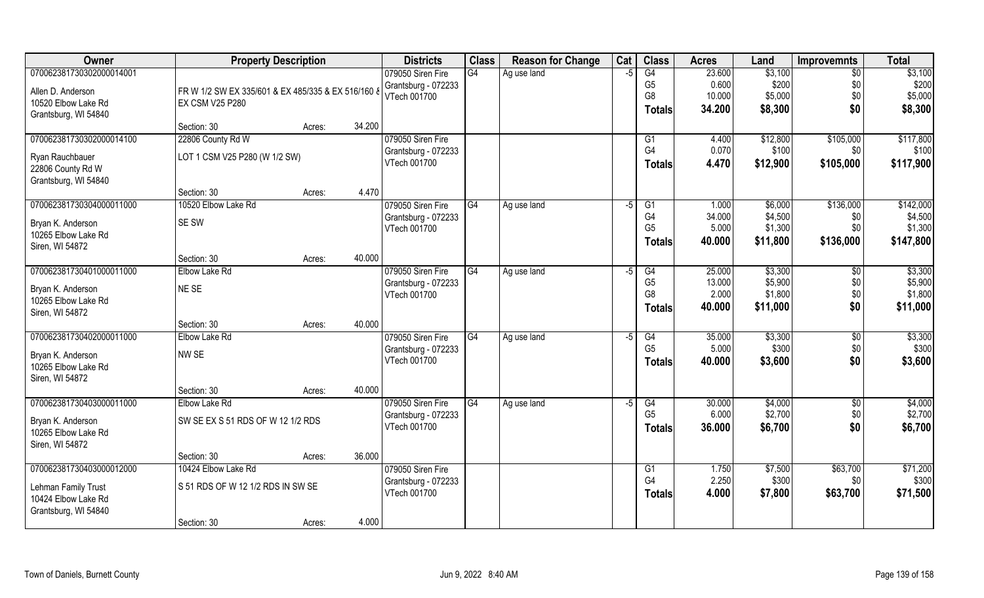| Owner                                    | <b>Property Description</b>                        |        |        | <b>Districts</b>    | <b>Class</b> | <b>Reason for Change</b> | Cat  | <b>Class</b>   | <b>Acres</b> | Land     | <b>Improvemnts</b> | <b>Total</b> |
|------------------------------------------|----------------------------------------------------|--------|--------|---------------------|--------------|--------------------------|------|----------------|--------------|----------|--------------------|--------------|
| 070062381730302000014001                 |                                                    |        |        | 079050 Siren Fire   | G4           | Ag use land              | -5   | G4             | 23.600       | \$3,100  | $\overline{50}$    | \$3,100      |
| Allen D. Anderson                        | FR W 1/2 SW EX 335/601 & EX 485/335 & EX 516/160 & |        |        | Grantsburg - 072233 |              |                          |      | G <sub>5</sub> | 0.600        | \$200    | \$0                | \$200        |
| 10520 Elbow Lake Rd                      | <b>EX CSM V25 P280</b>                             |        |        | VTech 001700        |              |                          |      | G8             | 10.000       | \$5,000  | \$0                | \$5,000      |
| Grantsburg, WI 54840                     |                                                    |        |        |                     |              |                          |      | <b>Totals</b>  | 34.200       | \$8,300  | \$0                | \$8,300      |
|                                          | Section: 30                                        | Acres: | 34.200 |                     |              |                          |      |                |              |          |                    |              |
| 070062381730302000014100                 | 22806 County Rd W                                  |        |        | 079050 Siren Fire   |              |                          |      | G1             | 4.400        | \$12,800 | \$105,000          | \$117,800    |
| Ryan Rauchbauer                          | LOT 1 CSM V25 P280 (W 1/2 SW)                      |        |        | Grantsburg - 072233 |              |                          |      | G4             | 0.070        | \$100    | \$0                | \$100        |
| 22806 County Rd W                        |                                                    |        |        | VTech 001700        |              |                          |      | Totals         | 4.470        | \$12,900 | \$105,000          | \$117,900    |
| Grantsburg, WI 54840                     |                                                    |        |        |                     |              |                          |      |                |              |          |                    |              |
|                                          | Section: 30                                        | Acres: | 4.470  |                     |              |                          |      |                |              |          |                    |              |
| 070062381730304000011000                 | 10520 Elbow Lake Rd                                |        |        | 079050 Siren Fire   | G4           | Ag use land              | $-5$ | G1             | 1.000        | \$6,000  | \$136,000          | \$142,000    |
| Bryan K. Anderson                        | SE SW                                              |        |        | Grantsburg - 072233 |              |                          |      | G <sub>4</sub> | 34.000       | \$4,500  | \$0                | \$4,500      |
| 10265 Elbow Lake Rd                      |                                                    |        |        | VTech 001700        |              |                          |      | G <sub>5</sub> | 5.000        | \$1,300  | \$0                | \$1,300      |
| Siren, WI 54872                          |                                                    |        |        |                     |              |                          |      | Totals         | 40.000       | \$11,800 | \$136,000          | \$147,800    |
|                                          | Section: 30                                        | Acres: | 40.000 |                     |              |                          |      |                |              |          |                    |              |
| 070062381730401000011000                 | Elbow Lake Rd                                      |        |        | 079050 Siren Fire   | G4           | Ag use land              | -5   | G4             | 25.000       | \$3,300  | $\sqrt[6]{30}$     | \$3,300      |
| Bryan K. Anderson                        | NE SE                                              |        |        | Grantsburg - 072233 |              |                          |      | G <sub>5</sub> | 13.000       | \$5,900  | \$0                | \$5,900      |
| 10265 Elbow Lake Rd                      |                                                    |        |        | VTech 001700        |              |                          |      | G <sub>8</sub> | 2.000        | \$1,800  | \$0                | \$1,800      |
| Siren, WI 54872                          |                                                    |        |        |                     |              |                          |      | <b>Totals</b>  | 40.000       | \$11,000 | \$0                | \$11,000     |
|                                          | Section: 30                                        | Acres: | 40.000 |                     |              |                          |      |                |              |          |                    |              |
| 070062381730402000011000                 | Elbow Lake Rd                                      |        |        | 079050 Siren Fire   | G4           | Ag use land              | -5   | G4             | 35.000       | \$3,300  | $\overline{50}$    | \$3,300      |
|                                          |                                                    |        |        | Grantsburg - 072233 |              |                          |      | G <sub>5</sub> | 5.000        | \$300    | \$0                | \$300        |
| Bryan K. Anderson<br>10265 Elbow Lake Rd | NW SE                                              |        |        | VTech 001700        |              |                          |      | Totals         | 40.000       | \$3,600  | \$0                | \$3,600      |
| Siren, WI 54872                          |                                                    |        |        |                     |              |                          |      |                |              |          |                    |              |
|                                          | Section: 30                                        | Acres: | 40.000 |                     |              |                          |      |                |              |          |                    |              |
| 070062381730403000011000                 | Elbow Lake Rd                                      |        |        | 079050 Siren Fire   | G4           | Ag use land              | $-5$ | G4             | 30.000       | \$4,000  | $\overline{50}$    | \$4,000      |
|                                          |                                                    |        |        | Grantsburg - 072233 |              |                          |      | G <sub>5</sub> | 6.000        | \$2,700  | \$0                | \$2,700      |
| Bryan K. Anderson                        | SW SE EX S 51 RDS OF W 12 1/2 RDS                  |        |        | VTech 001700        |              |                          |      | <b>Totals</b>  | 36.000       | \$6,700  | \$0                | \$6,700      |
| 10265 Elbow Lake Rd                      |                                                    |        |        |                     |              |                          |      |                |              |          |                    |              |
| Siren, WI 54872                          | Section: 30                                        | Acres: | 36.000 |                     |              |                          |      |                |              |          |                    |              |
| 070062381730403000012000                 | 10424 Elbow Lake Rd                                |        |        | 079050 Siren Fire   |              |                          |      | G1             | 1.750        | \$7,500  | \$63,700           | \$71,200     |
|                                          |                                                    |        |        | Grantsburg - 072233 |              |                          |      | G <sub>4</sub> | 2.250        | \$300    | \$0                | \$300        |
| Lehman Family Trust                      | S 51 RDS OF W 12 1/2 RDS IN SW SE                  |        |        | VTech 001700        |              |                          |      | <b>Totals</b>  | 4.000        | \$7,800  | \$63,700           | \$71,500     |
| 10424 Elbow Lake Rd                      |                                                    |        |        |                     |              |                          |      |                |              |          |                    |              |
| Grantsburg, WI 54840                     |                                                    |        | 4.000  |                     |              |                          |      |                |              |          |                    |              |
|                                          | Section: 30                                        | Acres: |        |                     |              |                          |      |                |              |          |                    |              |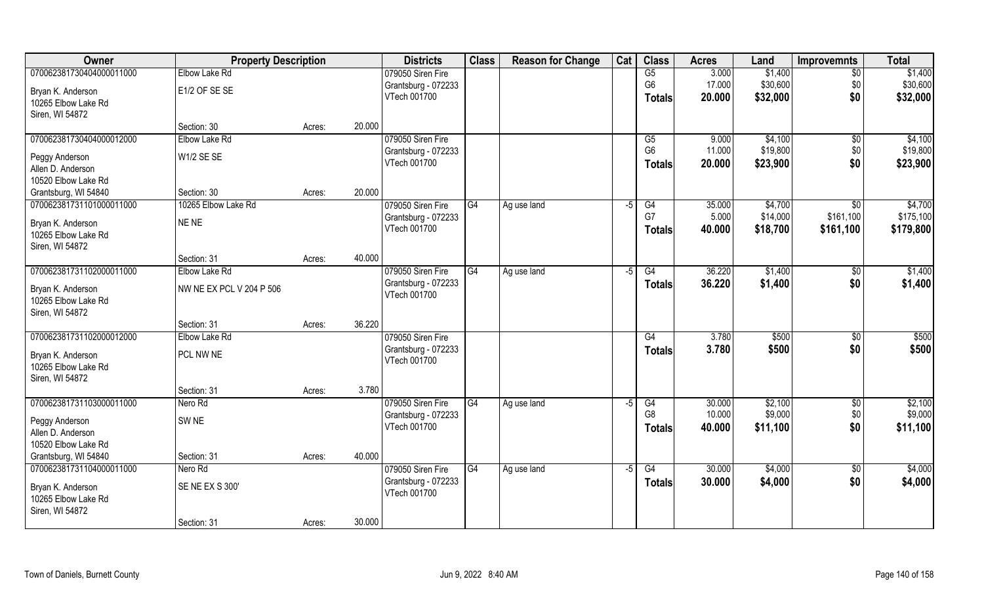| Owner                                    | <b>Property Description</b>  |        |        | <b>Districts</b>                    | <b>Class</b> | <b>Reason for Change</b> | Cat  | <b>Class</b>    | <b>Acres</b>    | Land                | <b>Improvemnts</b>       | <b>Total</b>         |
|------------------------------------------|------------------------------|--------|--------|-------------------------------------|--------------|--------------------------|------|-----------------|-----------------|---------------------|--------------------------|----------------------|
| 070062381730404000011000                 | Elbow Lake Rd                |        |        | 079050 Siren Fire                   |              |                          |      | G5              | 3.000           | \$1,400             | \$0                      | \$1,400              |
| Bryan K. Anderson                        | E1/2 OF SE SE                |        |        | Grantsburg - 072233                 |              |                          |      | G <sub>6</sub>  | 17.000          | \$30,600            | \$0                      | \$30,600             |
| 10265 Elbow Lake Rd                      |                              |        |        | VTech 001700                        |              |                          |      | <b>Totals</b>   | 20.000          | \$32,000            | \$0                      | \$32,000             |
| Siren, WI 54872                          |                              |        |        |                                     |              |                          |      |                 |                 |                     |                          |                      |
|                                          | Section: 30                  | Acres: | 20.000 |                                     |              |                          |      |                 |                 |                     |                          |                      |
| 070062381730404000012000                 | Elbow Lake Rd                |        |        | 079050 Siren Fire                   |              |                          |      | G5              | 9.000           | \$4,100             | $\sqrt[6]{}$             | \$4,100              |
| Peggy Anderson                           | W1/2 SE SE                   |        |        | Grantsburg - 072233<br>VTech 001700 |              |                          |      | G <sub>6</sub>  | 11.000          | \$19,800            | \$0<br>\$0               | \$19,800             |
| Allen D. Anderson                        |                              |        |        |                                     |              |                          |      | <b>Totals</b>   | 20.000          | \$23,900            |                          | \$23,900             |
| 10520 Elbow Lake Rd                      |                              |        |        |                                     |              |                          |      |                 |                 |                     |                          |                      |
| Grantsburg, WI 54840                     | Section: 30                  | Acres: | 20.000 |                                     |              |                          |      |                 |                 |                     |                          |                      |
| 070062381731101000011000                 | 10265 Elbow Lake Rd          |        |        | 079050 Siren Fire                   | G4           | Ag use land              | $-5$ | G4<br>G7        | 35.000<br>5.000 | \$4,700<br>\$14,000 | $\sqrt{50}$<br>\$161,100 | \$4,700<br>\$175,100 |
| Bryan K. Anderson                        | NE NE                        |        |        | Grantsburg - 072233<br>VTech 001700 |              |                          |      | <b>Totals</b>   | 40.000          | \$18,700            | \$161,100                | \$179,800            |
| 10265 Elbow Lake Rd                      |                              |        |        |                                     |              |                          |      |                 |                 |                     |                          |                      |
| Siren, WI 54872                          |                              |        |        |                                     |              |                          |      |                 |                 |                     |                          |                      |
| 070062381731102000011000                 | Section: 31<br>Elbow Lake Rd | Acres: | 40.000 | 079050 Siren Fire                   | G4           | Ag use land              | $-5$ | G4              | 36.220          | \$1,400             | $\sqrt[6]{3}$            | \$1,400              |
|                                          |                              |        |        | Grantsburg - 072233                 |              |                          |      | <b>Totals</b>   | 36.220          | \$1,400             | \$0                      | \$1,400              |
| Bryan K. Anderson                        | NW NE EX PCL V 204 P 506     |        |        | VTech 001700                        |              |                          |      |                 |                 |                     |                          |                      |
| 10265 Elbow Lake Rd                      |                              |        |        |                                     |              |                          |      |                 |                 |                     |                          |                      |
| Siren, WI 54872                          | Section: 31                  | Acres: | 36.220 |                                     |              |                          |      |                 |                 |                     |                          |                      |
| 070062381731102000012000                 | Elbow Lake Rd                |        |        | 079050 Siren Fire                   |              |                          |      | $\overline{G4}$ | 3.780           | \$500               | \$0                      | \$500                |
|                                          |                              |        |        | Grantsburg - 072233                 |              |                          |      | <b>Totals</b>   | 3.780           | \$500               | \$0                      | \$500                |
| Bryan K. Anderson<br>10265 Elbow Lake Rd | PCL NW NE                    |        |        | VTech 001700                        |              |                          |      |                 |                 |                     |                          |                      |
| Siren, WI 54872                          |                              |        |        |                                     |              |                          |      |                 |                 |                     |                          |                      |
|                                          | Section: 31                  | Acres: | 3.780  |                                     |              |                          |      |                 |                 |                     |                          |                      |
| 070062381731103000011000                 | Nero Rd                      |        |        | 079050 Siren Fire                   | G4           | Ag use land              | $-5$ | G4              | 30.000          | \$2,100             | \$0                      | \$2,100              |
| Peggy Anderson                           | SW <sub>NE</sub>             |        |        | Grantsburg - 072233                 |              |                          |      | G <sub>8</sub>  | 10.000          | \$9,000             | \$0                      | \$9,000              |
| Allen D. Anderson                        |                              |        |        | VTech 001700                        |              |                          |      | <b>Totals</b>   | 40.000          | \$11,100            | \$0                      | \$11,100             |
| 10520 Elbow Lake Rd                      |                              |        |        |                                     |              |                          |      |                 |                 |                     |                          |                      |
| Grantsburg, WI 54840                     | Section: 31                  | Acres: | 40.000 |                                     |              |                          |      |                 |                 |                     |                          |                      |
| 070062381731104000011000                 | Nero Rd                      |        |        | 079050 Siren Fire                   | G4           | Ag use land              | $-5$ | G4              | 30.000          | \$4,000             | $\overline{60}$          | \$4,000              |
| Bryan K. Anderson                        | SE NE EX S 300'              |        |        | Grantsburg - 072233                 |              |                          |      | <b>Totals</b>   | 30.000          | \$4,000             | \$0                      | \$4,000              |
| 10265 Elbow Lake Rd                      |                              |        |        | VTech 001700                        |              |                          |      |                 |                 |                     |                          |                      |
| Siren, WI 54872                          |                              |        |        |                                     |              |                          |      |                 |                 |                     |                          |                      |
|                                          | Section: 31                  | Acres: | 30.000 |                                     |              |                          |      |                 |                 |                     |                          |                      |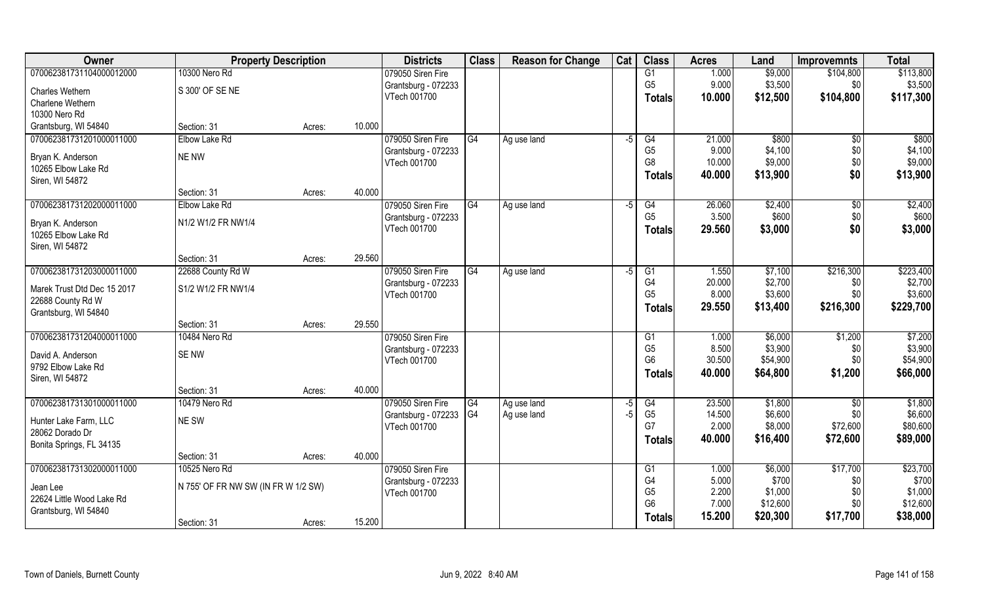| Owner                                    | <b>Property Description</b>         |        |        | <b>Districts</b>    | <b>Class</b>           | <b>Reason for Change</b> | Cat  | <b>Class</b>                     | <b>Acres</b>    | Land                | <b>Improvemnts</b> | <b>Total</b>        |
|------------------------------------------|-------------------------------------|--------|--------|---------------------|------------------------|--------------------------|------|----------------------------------|-----------------|---------------------|--------------------|---------------------|
| 070062381731104000012000                 | 10300 Nero Rd                       |        |        | 079050 Siren Fire   |                        |                          |      | G1                               | 1.000           | \$9,000             | \$104,800          | \$113,800           |
| Charles Wethern                          | S 300' OF SE NE                     |        |        | Grantsburg - 072233 |                        |                          |      | G <sub>5</sub>                   | 9.000           | \$3,500             | \$0                | \$3,500             |
| Charlene Wethern                         |                                     |        |        | VTech 001700        |                        |                          |      | <b>Totals</b>                    | 10.000          | \$12,500            | \$104,800          | \$117,300           |
| 10300 Nero Rd                            |                                     |        |        |                     |                        |                          |      |                                  |                 |                     |                    |                     |
| Grantsburg, WI 54840                     | Section: 31                         | Acres: | 10.000 |                     |                        |                          |      |                                  |                 |                     |                    |                     |
| 070062381731201000011000                 | Elbow Lake Rd                       |        |        | 079050 Siren Fire   | G4                     | Ag use land              | $-5$ | G4                               | 21.000          | \$800               | \$0                | \$800               |
|                                          | <b>NE NW</b>                        |        |        | Grantsburg - 072233 |                        |                          |      | G <sub>5</sub>                   | 9.000           | \$4,100             | \$0                | \$4,100             |
| Bryan K. Anderson<br>10265 Elbow Lake Rd |                                     |        |        | VTech 001700        |                        |                          |      | G <sub>8</sub>                   | 10.000          | \$9,000             | \$0                | \$9,000             |
| Siren, WI 54872                          |                                     |        |        |                     |                        |                          |      | <b>Totals</b>                    | 40.000          | \$13,900            | \$0                | \$13,900            |
|                                          | Section: 31                         | Acres: | 40.000 |                     |                        |                          |      |                                  |                 |                     |                    |                     |
| 070062381731202000011000                 | Elbow Lake Rd                       |        |        | 079050 Siren Fire   | G4                     | Ag use land              | $-5$ | G4                               | 26.060          | \$2,400             | \$0                | \$2,400             |
|                                          |                                     |        |        | Grantsburg - 072233 |                        |                          |      | G <sub>5</sub>                   | 3.500           | \$600               | \$0                | \$600               |
| Bryan K. Anderson                        | N1/2 W1/2 FR NW1/4                  |        |        | VTech 001700        |                        |                          |      | <b>Totals</b>                    | 29.560          | \$3,000             | \$0                | \$3,000             |
| 10265 Elbow Lake Rd                      |                                     |        |        |                     |                        |                          |      |                                  |                 |                     |                    |                     |
| Siren, WI 54872                          | Section: 31                         | Acres: | 29.560 |                     |                        |                          |      |                                  |                 |                     |                    |                     |
| 070062381731203000011000                 | 22688 County Rd W                   |        |        | 079050 Siren Fire   | G4                     | Ag use land              | -5   | G1                               | 1.550           | \$7,100             | \$216,300          | \$223,400           |
|                                          |                                     |        |        | Grantsburg - 072233 |                        |                          |      | G4                               | 20.000          | \$2,700             | \$0                | \$2,700             |
| Marek Trust Dtd Dec 15 2017              | S1/2 W1/2 FR NW1/4                  |        |        | VTech 001700        |                        |                          |      | G <sub>5</sub>                   | 8.000           | \$3,600             | \$0                | \$3,600             |
| 22688 County Rd W                        |                                     |        |        |                     |                        |                          |      | <b>Totals</b>                    | 29.550          | \$13,400            | \$216,300          | \$229,700           |
| Grantsburg, WI 54840                     |                                     |        |        |                     |                        |                          |      |                                  |                 |                     |                    |                     |
|                                          | Section: 31                         | Acres: | 29.550 |                     |                        |                          |      |                                  |                 |                     |                    |                     |
| 070062381731204000011000                 | 10484 Nero Rd                       |        |        | 079050 Siren Fire   |                        |                          |      | G1                               | 1.000           | \$6,000             | \$1,200            | \$7,200             |
| David A. Anderson                        | <b>SENW</b>                         |        |        | Grantsburg - 072233 |                        |                          |      | G <sub>5</sub><br>G <sub>6</sub> | 8.500<br>30.500 | \$3,900<br>\$54,900 | \$0<br>\$0         | \$3,900<br>\$54,900 |
| 9792 Elbow Lake Rd                       |                                     |        |        | VTech 001700        |                        |                          |      |                                  | 40.000          |                     |                    |                     |
| Siren, WI 54872                          |                                     |        |        |                     |                        |                          |      | <b>Totals</b>                    |                 | \$64,800            | \$1,200            | \$66,000            |
|                                          | Section: 31                         | Acres: | 40.000 |                     |                        |                          |      |                                  |                 |                     |                    |                     |
| 070062381731301000011000                 | 10479 Nero Rd                       |        |        | 079050 Siren Fire   | G4                     | Ag use land              | -5   | G4                               | 23.500          | \$1,800             | \$0                | \$1,800             |
| Hunter Lake Farm, LLC                    | NE SW                               |        |        | Grantsburg - 072233 | $\overline{\text{G4}}$ | Ag use land              | -5   | G <sub>5</sub>                   | 14.500          | \$6,600             | \$0                | \$6,600             |
| 28062 Dorado Dr                          |                                     |        |        | VTech 001700        |                        |                          |      | G7                               | 2.000           | \$8,000             | \$72,600           | \$80,600            |
| Bonita Springs, FL 34135                 |                                     |        |        |                     |                        |                          |      | <b>Totals</b>                    | 40.000          | \$16,400            | \$72,600           | \$89,000            |
|                                          | Section: 31                         | Acres: | 40.000 |                     |                        |                          |      |                                  |                 |                     |                    |                     |
| 070062381731302000011000                 | 10525 Nero Rd                       |        |        | 079050 Siren Fire   |                        |                          |      | G1                               | 1.000           | \$6,000             | \$17,700           | \$23,700            |
| Jean Lee                                 | N 755' OF FR NW SW (IN FR W 1/2 SW) |        |        | Grantsburg - 072233 |                        |                          |      | G <sub>4</sub>                   | 5.000           | \$700               | \$0                | \$700               |
| 22624 Little Wood Lake Rd                |                                     |        |        | VTech 001700        |                        |                          |      | G <sub>5</sub>                   | 2.200           | \$1,000             | \$0                | \$1,000             |
| Grantsburg, WI 54840                     |                                     |        |        |                     |                        |                          |      | G <sub>6</sub>                   | 7.000           | \$12,600            | \$0                | \$12,600            |
|                                          | Section: 31                         | Acres: | 15.200 |                     |                        |                          |      | Totals                           | 15.200          | \$20,300            | \$17,700           | \$38,000            |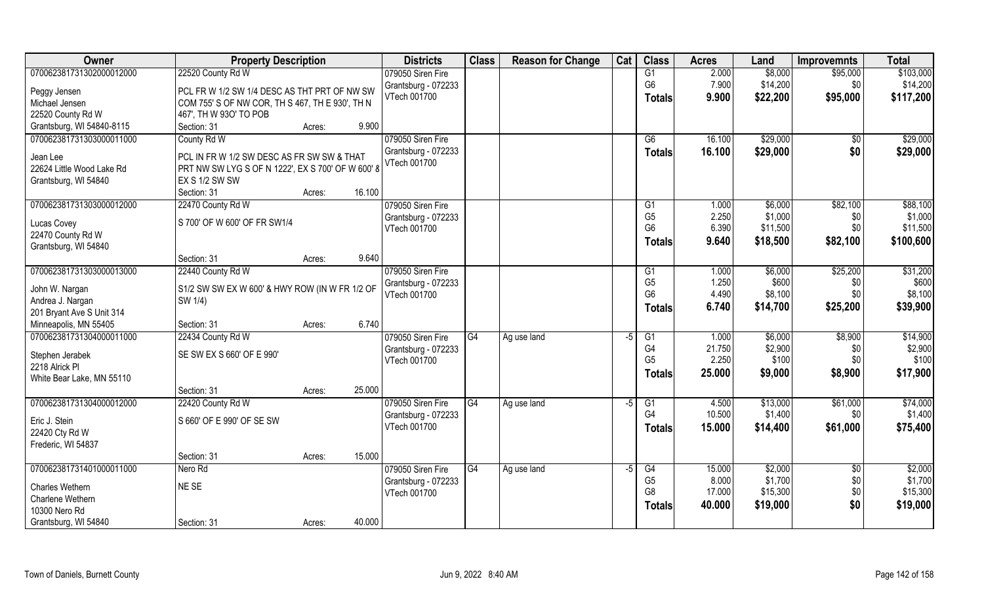| \$103,000<br>070062381731302000012000<br>22520 County Rd W<br>079050 Siren Fire<br>2.000<br>\$8,000<br>\$95,000<br>G1<br>G <sub>6</sub><br>7.900<br>\$14,200<br>\$14,200<br>\$0<br>Grantsburg - 072233<br>PCL FR W 1/2 SW 1/4 DESC AS THT PRT OF NW SW<br>Peggy Jensen<br>VTech 001700<br>9.900<br>\$22,200<br>\$95,000<br>\$117,200<br><b>Totals</b><br>COM 755' S OF NW COR, TH S 467, TH E 930', TH N<br>Michael Jensen<br>22520 County Rd W<br>467', TH W 93O' TO POB<br>Grantsburg, WI 54840-8115<br>Section: 31<br>9.900<br>Acres:<br>070062381731303000011000<br>\$29,000<br>\$29,000<br>County Rd W<br>079050 Siren Fire<br>G6<br>16.100<br>$\overline{50}$<br>\$0<br>Grantsburg - 072233<br>\$29,000<br>\$29,000<br>16.100<br><b>Totals</b><br>PCL IN FR W 1/2 SW DESC AS FR SW SW & THAT<br>Jean Lee<br>VTech 001700<br>22624 Little Wood Lake Rd<br>PRT NW SW LYG S OF N 1222', EX S 700' OF W 600' 8<br>EX S 1/2 SW SW<br>Grantsburg, WI 54840<br>Section: 31<br>16.100<br>Acres:<br>070062381731303000012000<br>\$6,000<br>\$82,100<br>\$88,100<br>22470 County Rd W<br>079050 Siren Fire<br>G1<br>1.000<br>G <sub>5</sub><br>2.250<br>\$1,000<br>\$1,000<br>\$0<br>Grantsburg - 072233<br>S 700' OF W 600' OF FR SW1/4<br>Lucas Covey<br>G <sub>6</sub><br>\$0<br>\$11,500<br>6.390<br>\$11,500<br>VTech 001700<br>22470 County Rd W<br>9.640<br>\$82,100<br>\$100,600<br>\$18,500<br><b>Totals</b><br>Grantsburg, WI 54840<br>9.640<br>Section: 31<br>Acres:<br>\$31,200<br>070062381731303000013000<br>079050 Siren Fire<br>\$25,200<br>22440 County Rd W<br>1.000<br>\$6,000<br>G1<br>G <sub>5</sub><br>1.250<br>\$600<br>\$600<br>Grantsburg - 072233<br>\$0<br>John W. Nargan<br>S1/2 SW SW EX W 600' & HWY ROW (IN W FR 1/2 OF<br>\$8,100<br>G <sub>6</sub><br>4.490<br>\$8,100<br>\$0<br>VTech 001700<br>Andrea J. Nargan<br>SW 1/4)<br>6.740<br>\$25,200<br>\$39,900<br>\$14,700<br><b>Totals</b><br>201 Bryant Ave S Unit 314<br>6.740<br>Minneapolis, MN 55405<br>Section: 31<br>Acres:<br>070062381731304000011000<br>22434 County Rd W<br>\$6,000<br>\$8,900<br>\$14,900<br>079050 Siren Fire<br>G4<br>G1<br>1.000<br>Ag use land<br>-5<br>G4<br>\$2,900<br>21.750<br>\$2,900<br>\$0<br>Grantsburg - 072233<br>SE SW EX S 660' OF E 990'<br>Stephen Jerabek<br>G <sub>5</sub><br>2.250<br>\$0<br>\$100<br>VTech 001700<br>2218 Alrick PI<br>\$8,900<br>\$17,900<br>25.000<br>\$9,000<br>Totals<br>White Bear Lake, MN 55110<br>25.000<br>Section: 31<br>Acres:<br>\$74,000<br>G4<br>\$13,000<br>\$61,000<br>070062381731304000012000<br>22420 County Rd W<br>079050 Siren Fire<br>G1<br>4.500<br>Ag use land<br>-5<br>G4<br>10.500<br>\$1,400<br>\$1,400<br>\$0<br>Grantsburg - 072233<br>S 660' OF E 990' OF SE SW<br>Eric J. Stein<br>VTech 001700<br>\$14,400<br>\$61,000<br>\$75,400<br>15.000<br><b>Totals</b> | Owner          | <b>Property Description</b> |  | <b>Districts</b> | <b>Class</b> | <b>Reason for Change</b> | Cat | <b>Class</b> | <b>Acres</b> | Land | <b>Improvemnts</b> | <b>Total</b> |
|-----------------------------------------------------------------------------------------------------------------------------------------------------------------------------------------------------------------------------------------------------------------------------------------------------------------------------------------------------------------------------------------------------------------------------------------------------------------------------------------------------------------------------------------------------------------------------------------------------------------------------------------------------------------------------------------------------------------------------------------------------------------------------------------------------------------------------------------------------------------------------------------------------------------------------------------------------------------------------------------------------------------------------------------------------------------------------------------------------------------------------------------------------------------------------------------------------------------------------------------------------------------------------------------------------------------------------------------------------------------------------------------------------------------------------------------------------------------------------------------------------------------------------------------------------------------------------------------------------------------------------------------------------------------------------------------------------------------------------------------------------------------------------------------------------------------------------------------------------------------------------------------------------------------------------------------------------------------------------------------------------------------------------------------------------------------------------------------------------------------------------------------------------------------------------------------------------------------------------------------------------------------------------------------------------------------------------------------------------------------------------------------------------------------------------------------------------------------------------------------------------------------------------------------------------------------------------------------------------------------------------------------------------------------------------------------------------------------------------------------------------------------------------------------------------------------------------------------------|----------------|-----------------------------|--|------------------|--------------|--------------------------|-----|--------------|--------------|------|--------------------|--------------|
|                                                                                                                                                                                                                                                                                                                                                                                                                                                                                                                                                                                                                                                                                                                                                                                                                                                                                                                                                                                                                                                                                                                                                                                                                                                                                                                                                                                                                                                                                                                                                                                                                                                                                                                                                                                                                                                                                                                                                                                                                                                                                                                                                                                                                                                                                                                                                                                                                                                                                                                                                                                                                                                                                                                                                                                                                                               |                |                             |  |                  |              |                          |     |              |              |      |                    |              |
|                                                                                                                                                                                                                                                                                                                                                                                                                                                                                                                                                                                                                                                                                                                                                                                                                                                                                                                                                                                                                                                                                                                                                                                                                                                                                                                                                                                                                                                                                                                                                                                                                                                                                                                                                                                                                                                                                                                                                                                                                                                                                                                                                                                                                                                                                                                                                                                                                                                                                                                                                                                                                                                                                                                                                                                                                                               |                |                             |  |                  |              |                          |     |              |              |      |                    |              |
|                                                                                                                                                                                                                                                                                                                                                                                                                                                                                                                                                                                                                                                                                                                                                                                                                                                                                                                                                                                                                                                                                                                                                                                                                                                                                                                                                                                                                                                                                                                                                                                                                                                                                                                                                                                                                                                                                                                                                                                                                                                                                                                                                                                                                                                                                                                                                                                                                                                                                                                                                                                                                                                                                                                                                                                                                                               |                |                             |  |                  |              |                          |     |              |              |      |                    |              |
|                                                                                                                                                                                                                                                                                                                                                                                                                                                                                                                                                                                                                                                                                                                                                                                                                                                                                                                                                                                                                                                                                                                                                                                                                                                                                                                                                                                                                                                                                                                                                                                                                                                                                                                                                                                                                                                                                                                                                                                                                                                                                                                                                                                                                                                                                                                                                                                                                                                                                                                                                                                                                                                                                                                                                                                                                                               |                |                             |  |                  |              |                          |     |              |              |      |                    |              |
|                                                                                                                                                                                                                                                                                                                                                                                                                                                                                                                                                                                                                                                                                                                                                                                                                                                                                                                                                                                                                                                                                                                                                                                                                                                                                                                                                                                                                                                                                                                                                                                                                                                                                                                                                                                                                                                                                                                                                                                                                                                                                                                                                                                                                                                                                                                                                                                                                                                                                                                                                                                                                                                                                                                                                                                                                                               |                |                             |  |                  |              |                          |     |              |              |      |                    |              |
|                                                                                                                                                                                                                                                                                                                                                                                                                                                                                                                                                                                                                                                                                                                                                                                                                                                                                                                                                                                                                                                                                                                                                                                                                                                                                                                                                                                                                                                                                                                                                                                                                                                                                                                                                                                                                                                                                                                                                                                                                                                                                                                                                                                                                                                                                                                                                                                                                                                                                                                                                                                                                                                                                                                                                                                                                                               |                |                             |  |                  |              |                          |     |              |              |      |                    |              |
|                                                                                                                                                                                                                                                                                                                                                                                                                                                                                                                                                                                                                                                                                                                                                                                                                                                                                                                                                                                                                                                                                                                                                                                                                                                                                                                                                                                                                                                                                                                                                                                                                                                                                                                                                                                                                                                                                                                                                                                                                                                                                                                                                                                                                                                                                                                                                                                                                                                                                                                                                                                                                                                                                                                                                                                                                                               |                |                             |  |                  |              |                          |     |              |              |      |                    |              |
|                                                                                                                                                                                                                                                                                                                                                                                                                                                                                                                                                                                                                                                                                                                                                                                                                                                                                                                                                                                                                                                                                                                                                                                                                                                                                                                                                                                                                                                                                                                                                                                                                                                                                                                                                                                                                                                                                                                                                                                                                                                                                                                                                                                                                                                                                                                                                                                                                                                                                                                                                                                                                                                                                                                                                                                                                                               |                |                             |  |                  |              |                          |     |              |              |      |                    |              |
| \$100                                                                                                                                                                                                                                                                                                                                                                                                                                                                                                                                                                                                                                                                                                                                                                                                                                                                                                                                                                                                                                                                                                                                                                                                                                                                                                                                                                                                                                                                                                                                                                                                                                                                                                                                                                                                                                                                                                                                                                                                                                                                                                                                                                                                                                                                                                                                                                                                                                                                                                                                                                                                                                                                                                                                                                                                                                         |                |                             |  |                  |              |                          |     |              |              |      |                    |              |
|                                                                                                                                                                                                                                                                                                                                                                                                                                                                                                                                                                                                                                                                                                                                                                                                                                                                                                                                                                                                                                                                                                                                                                                                                                                                                                                                                                                                                                                                                                                                                                                                                                                                                                                                                                                                                                                                                                                                                                                                                                                                                                                                                                                                                                                                                                                                                                                                                                                                                                                                                                                                                                                                                                                                                                                                                                               |                |                             |  |                  |              |                          |     |              |              |      |                    |              |
|                                                                                                                                                                                                                                                                                                                                                                                                                                                                                                                                                                                                                                                                                                                                                                                                                                                                                                                                                                                                                                                                                                                                                                                                                                                                                                                                                                                                                                                                                                                                                                                                                                                                                                                                                                                                                                                                                                                                                                                                                                                                                                                                                                                                                                                                                                                                                                                                                                                                                                                                                                                                                                                                                                                                                                                                                                               |                |                             |  |                  |              |                          |     |              |              |      |                    |              |
|                                                                                                                                                                                                                                                                                                                                                                                                                                                                                                                                                                                                                                                                                                                                                                                                                                                                                                                                                                                                                                                                                                                                                                                                                                                                                                                                                                                                                                                                                                                                                                                                                                                                                                                                                                                                                                                                                                                                                                                                                                                                                                                                                                                                                                                                                                                                                                                                                                                                                                                                                                                                                                                                                                                                                                                                                                               |                |                             |  |                  |              |                          |     |              |              |      |                    |              |
|                                                                                                                                                                                                                                                                                                                                                                                                                                                                                                                                                                                                                                                                                                                                                                                                                                                                                                                                                                                                                                                                                                                                                                                                                                                                                                                                                                                                                                                                                                                                                                                                                                                                                                                                                                                                                                                                                                                                                                                                                                                                                                                                                                                                                                                                                                                                                                                                                                                                                                                                                                                                                                                                                                                                                                                                                                               |                |                             |  |                  |              |                          |     |              |              |      |                    |              |
|                                                                                                                                                                                                                                                                                                                                                                                                                                                                                                                                                                                                                                                                                                                                                                                                                                                                                                                                                                                                                                                                                                                                                                                                                                                                                                                                                                                                                                                                                                                                                                                                                                                                                                                                                                                                                                                                                                                                                                                                                                                                                                                                                                                                                                                                                                                                                                                                                                                                                                                                                                                                                                                                                                                                                                                                                                               |                |                             |  |                  |              |                          |     |              |              |      |                    |              |
|                                                                                                                                                                                                                                                                                                                                                                                                                                                                                                                                                                                                                                                                                                                                                                                                                                                                                                                                                                                                                                                                                                                                                                                                                                                                                                                                                                                                                                                                                                                                                                                                                                                                                                                                                                                                                                                                                                                                                                                                                                                                                                                                                                                                                                                                                                                                                                                                                                                                                                                                                                                                                                                                                                                                                                                                                                               |                |                             |  |                  |              |                          |     |              |              |      |                    |              |
|                                                                                                                                                                                                                                                                                                                                                                                                                                                                                                                                                                                                                                                                                                                                                                                                                                                                                                                                                                                                                                                                                                                                                                                                                                                                                                                                                                                                                                                                                                                                                                                                                                                                                                                                                                                                                                                                                                                                                                                                                                                                                                                                                                                                                                                                                                                                                                                                                                                                                                                                                                                                                                                                                                                                                                                                                                               |                |                             |  |                  |              |                          |     |              |              |      |                    |              |
|                                                                                                                                                                                                                                                                                                                                                                                                                                                                                                                                                                                                                                                                                                                                                                                                                                                                                                                                                                                                                                                                                                                                                                                                                                                                                                                                                                                                                                                                                                                                                                                                                                                                                                                                                                                                                                                                                                                                                                                                                                                                                                                                                                                                                                                                                                                                                                                                                                                                                                                                                                                                                                                                                                                                                                                                                                               |                |                             |  |                  |              |                          |     |              |              |      |                    |              |
|                                                                                                                                                                                                                                                                                                                                                                                                                                                                                                                                                                                                                                                                                                                                                                                                                                                                                                                                                                                                                                                                                                                                                                                                                                                                                                                                                                                                                                                                                                                                                                                                                                                                                                                                                                                                                                                                                                                                                                                                                                                                                                                                                                                                                                                                                                                                                                                                                                                                                                                                                                                                                                                                                                                                                                                                                                               |                |                             |  |                  |              |                          |     |              |              |      |                    |              |
|                                                                                                                                                                                                                                                                                                                                                                                                                                                                                                                                                                                                                                                                                                                                                                                                                                                                                                                                                                                                                                                                                                                                                                                                                                                                                                                                                                                                                                                                                                                                                                                                                                                                                                                                                                                                                                                                                                                                                                                                                                                                                                                                                                                                                                                                                                                                                                                                                                                                                                                                                                                                                                                                                                                                                                                                                                               |                |                             |  |                  |              |                          |     |              |              |      |                    |              |
|                                                                                                                                                                                                                                                                                                                                                                                                                                                                                                                                                                                                                                                                                                                                                                                                                                                                                                                                                                                                                                                                                                                                                                                                                                                                                                                                                                                                                                                                                                                                                                                                                                                                                                                                                                                                                                                                                                                                                                                                                                                                                                                                                                                                                                                                                                                                                                                                                                                                                                                                                                                                                                                                                                                                                                                                                                               |                |                             |  |                  |              |                          |     |              |              |      |                    |              |
|                                                                                                                                                                                                                                                                                                                                                                                                                                                                                                                                                                                                                                                                                                                                                                                                                                                                                                                                                                                                                                                                                                                                                                                                                                                                                                                                                                                                                                                                                                                                                                                                                                                                                                                                                                                                                                                                                                                                                                                                                                                                                                                                                                                                                                                                                                                                                                                                                                                                                                                                                                                                                                                                                                                                                                                                                                               |                |                             |  |                  |              |                          |     |              |              |      |                    |              |
|                                                                                                                                                                                                                                                                                                                                                                                                                                                                                                                                                                                                                                                                                                                                                                                                                                                                                                                                                                                                                                                                                                                                                                                                                                                                                                                                                                                                                                                                                                                                                                                                                                                                                                                                                                                                                                                                                                                                                                                                                                                                                                                                                                                                                                                                                                                                                                                                                                                                                                                                                                                                                                                                                                                                                                                                                                               |                |                             |  |                  |              |                          |     |              |              |      |                    |              |
|                                                                                                                                                                                                                                                                                                                                                                                                                                                                                                                                                                                                                                                                                                                                                                                                                                                                                                                                                                                                                                                                                                                                                                                                                                                                                                                                                                                                                                                                                                                                                                                                                                                                                                                                                                                                                                                                                                                                                                                                                                                                                                                                                                                                                                                                                                                                                                                                                                                                                                                                                                                                                                                                                                                                                                                                                                               |                |                             |  |                  |              |                          |     |              |              |      |                    |              |
|                                                                                                                                                                                                                                                                                                                                                                                                                                                                                                                                                                                                                                                                                                                                                                                                                                                                                                                                                                                                                                                                                                                                                                                                                                                                                                                                                                                                                                                                                                                                                                                                                                                                                                                                                                                                                                                                                                                                                                                                                                                                                                                                                                                                                                                                                                                                                                                                                                                                                                                                                                                                                                                                                                                                                                                                                                               |                |                             |  |                  |              |                          |     |              |              |      |                    |              |
|                                                                                                                                                                                                                                                                                                                                                                                                                                                                                                                                                                                                                                                                                                                                                                                                                                                                                                                                                                                                                                                                                                                                                                                                                                                                                                                                                                                                                                                                                                                                                                                                                                                                                                                                                                                                                                                                                                                                                                                                                                                                                                                                                                                                                                                                                                                                                                                                                                                                                                                                                                                                                                                                                                                                                                                                                                               |                |                             |  |                  |              |                          |     |              |              |      |                    |              |
|                                                                                                                                                                                                                                                                                                                                                                                                                                                                                                                                                                                                                                                                                                                                                                                                                                                                                                                                                                                                                                                                                                                                                                                                                                                                                                                                                                                                                                                                                                                                                                                                                                                                                                                                                                                                                                                                                                                                                                                                                                                                                                                                                                                                                                                                                                                                                                                                                                                                                                                                                                                                                                                                                                                                                                                                                                               |                |                             |  |                  |              |                          |     |              |              |      |                    |              |
|                                                                                                                                                                                                                                                                                                                                                                                                                                                                                                                                                                                                                                                                                                                                                                                                                                                                                                                                                                                                                                                                                                                                                                                                                                                                                                                                                                                                                                                                                                                                                                                                                                                                                                                                                                                                                                                                                                                                                                                                                                                                                                                                                                                                                                                                                                                                                                                                                                                                                                                                                                                                                                                                                                                                                                                                                                               |                |                             |  |                  |              |                          |     |              |              |      |                    |              |
|                                                                                                                                                                                                                                                                                                                                                                                                                                                                                                                                                                                                                                                                                                                                                                                                                                                                                                                                                                                                                                                                                                                                                                                                                                                                                                                                                                                                                                                                                                                                                                                                                                                                                                                                                                                                                                                                                                                                                                                                                                                                                                                                                                                                                                                                                                                                                                                                                                                                                                                                                                                                                                                                                                                                                                                                                                               |                |                             |  |                  |              |                          |     |              |              |      |                    |              |
|                                                                                                                                                                                                                                                                                                                                                                                                                                                                                                                                                                                                                                                                                                                                                                                                                                                                                                                                                                                                                                                                                                                                                                                                                                                                                                                                                                                                                                                                                                                                                                                                                                                                                                                                                                                                                                                                                                                                                                                                                                                                                                                                                                                                                                                                                                                                                                                                                                                                                                                                                                                                                                                                                                                                                                                                                                               |                |                             |  |                  |              |                          |     |              |              |      |                    |              |
|                                                                                                                                                                                                                                                                                                                                                                                                                                                                                                                                                                                                                                                                                                                                                                                                                                                                                                                                                                                                                                                                                                                                                                                                                                                                                                                                                                                                                                                                                                                                                                                                                                                                                                                                                                                                                                                                                                                                                                                                                                                                                                                                                                                                                                                                                                                                                                                                                                                                                                                                                                                                                                                                                                                                                                                                                                               |                |                             |  |                  |              |                          |     |              |              |      |                    |              |
|                                                                                                                                                                                                                                                                                                                                                                                                                                                                                                                                                                                                                                                                                                                                                                                                                                                                                                                                                                                                                                                                                                                                                                                                                                                                                                                                                                                                                                                                                                                                                                                                                                                                                                                                                                                                                                                                                                                                                                                                                                                                                                                                                                                                                                                                                                                                                                                                                                                                                                                                                                                                                                                                                                                                                                                                                                               | 22420 Cty Rd W |                             |  |                  |              |                          |     |              |              |      |                    |              |
| Frederic, WI 54837                                                                                                                                                                                                                                                                                                                                                                                                                                                                                                                                                                                                                                                                                                                                                                                                                                                                                                                                                                                                                                                                                                                                                                                                                                                                                                                                                                                                                                                                                                                                                                                                                                                                                                                                                                                                                                                                                                                                                                                                                                                                                                                                                                                                                                                                                                                                                                                                                                                                                                                                                                                                                                                                                                                                                                                                                            |                |                             |  |                  |              |                          |     |              |              |      |                    |              |
| 15.000<br>Section: 31<br>Acres:                                                                                                                                                                                                                                                                                                                                                                                                                                                                                                                                                                                                                                                                                                                                                                                                                                                                                                                                                                                                                                                                                                                                                                                                                                                                                                                                                                                                                                                                                                                                                                                                                                                                                                                                                                                                                                                                                                                                                                                                                                                                                                                                                                                                                                                                                                                                                                                                                                                                                                                                                                                                                                                                                                                                                                                                               |                |                             |  |                  |              |                          |     |              |              |      |                    |              |
| 070062381731401000011000<br>G4<br>\$2,000<br>\$2,000<br>Nero Rd<br>079050 Siren Fire<br>G4<br>15.000<br>$\overline{30}$<br>Ag use land<br>-5                                                                                                                                                                                                                                                                                                                                                                                                                                                                                                                                                                                                                                                                                                                                                                                                                                                                                                                                                                                                                                                                                                                                                                                                                                                                                                                                                                                                                                                                                                                                                                                                                                                                                                                                                                                                                                                                                                                                                                                                                                                                                                                                                                                                                                                                                                                                                                                                                                                                                                                                                                                                                                                                                                  |                |                             |  |                  |              |                          |     |              |              |      |                    |              |
| G <sub>5</sub><br>8.000<br>\$1,700<br>\$0<br>\$1,700<br>Grantsburg - 072233<br>NE SE<br>Charles Wethern                                                                                                                                                                                                                                                                                                                                                                                                                                                                                                                                                                                                                                                                                                                                                                                                                                                                                                                                                                                                                                                                                                                                                                                                                                                                                                                                                                                                                                                                                                                                                                                                                                                                                                                                                                                                                                                                                                                                                                                                                                                                                                                                                                                                                                                                                                                                                                                                                                                                                                                                                                                                                                                                                                                                       |                |                             |  |                  |              |                          |     |              |              |      |                    |              |
| G8<br>17.000<br>\$15,300<br>\$0<br>\$15,300<br>VTech 001700<br>Charlene Wethern                                                                                                                                                                                                                                                                                                                                                                                                                                                                                                                                                                                                                                                                                                                                                                                                                                                                                                                                                                                                                                                                                                                                                                                                                                                                                                                                                                                                                                                                                                                                                                                                                                                                                                                                                                                                                                                                                                                                                                                                                                                                                                                                                                                                                                                                                                                                                                                                                                                                                                                                                                                                                                                                                                                                                               |                |                             |  |                  |              |                          |     |              |              |      |                    |              |
| \$0<br>\$19,000<br>40.000<br>\$19,000<br>Totals<br>10300 Nero Rd                                                                                                                                                                                                                                                                                                                                                                                                                                                                                                                                                                                                                                                                                                                                                                                                                                                                                                                                                                                                                                                                                                                                                                                                                                                                                                                                                                                                                                                                                                                                                                                                                                                                                                                                                                                                                                                                                                                                                                                                                                                                                                                                                                                                                                                                                                                                                                                                                                                                                                                                                                                                                                                                                                                                                                              |                |                             |  |                  |              |                          |     |              |              |      |                    |              |
| 40.000<br>Grantsburg, WI 54840<br>Section: 31<br>Acres:                                                                                                                                                                                                                                                                                                                                                                                                                                                                                                                                                                                                                                                                                                                                                                                                                                                                                                                                                                                                                                                                                                                                                                                                                                                                                                                                                                                                                                                                                                                                                                                                                                                                                                                                                                                                                                                                                                                                                                                                                                                                                                                                                                                                                                                                                                                                                                                                                                                                                                                                                                                                                                                                                                                                                                                       |                |                             |  |                  |              |                          |     |              |              |      |                    |              |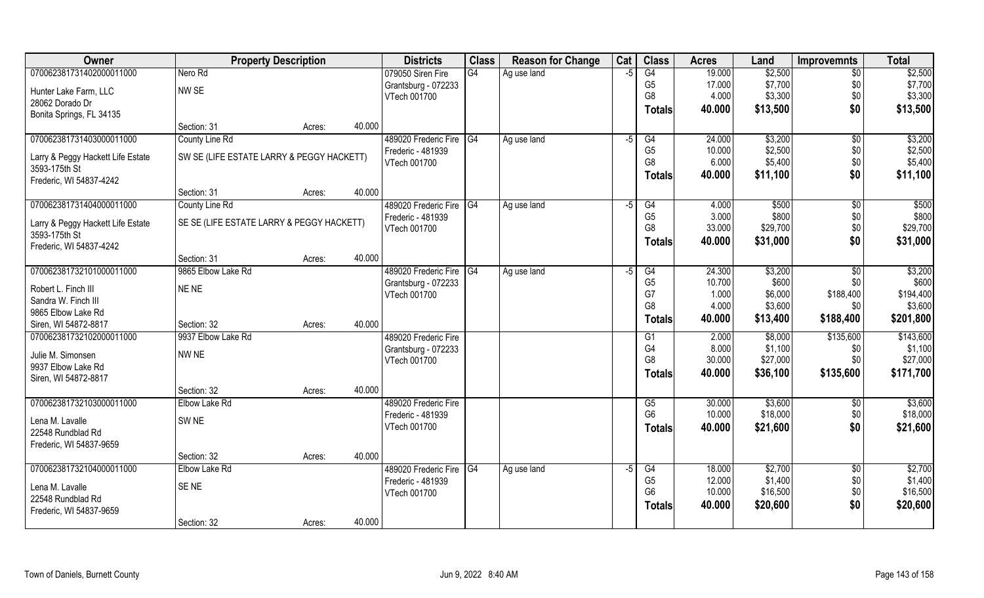| Owner                                              | <b>Property Description</b>               |        |        | <b>Districts</b>        | <b>Class</b>    | <b>Reason for Change</b> | Cat  | <b>Class</b>   | <b>Acres</b> | Land     | <b>Improvemnts</b> | <b>Total</b> |
|----------------------------------------------------|-------------------------------------------|--------|--------|-------------------------|-----------------|--------------------------|------|----------------|--------------|----------|--------------------|--------------|
| 070062381731402000011000                           | Nero Rd                                   |        |        | 079050 Siren Fire       | G4              | Ag use land              | -5   | G4             | 19.000       | \$2,500  | \$0                | \$2,500      |
| Hunter Lake Farm, LLC                              | NW SE                                     |        |        | Grantsburg - 072233     |                 |                          |      | G <sub>5</sub> | 17.000       | \$7,700  | \$0                | \$7,700      |
| 28062 Dorado Dr                                    |                                           |        |        | VTech 001700            |                 |                          |      | G <sub>8</sub> | 4.000        | \$3,300  | \$0                | \$3,300      |
| Bonita Springs, FL 34135                           |                                           |        |        |                         |                 |                          |      | Totals         | 40.000       | \$13,500 | \$0                | \$13,500     |
|                                                    | Section: 31                               | Acres: | 40.000 |                         |                 |                          |      |                |              |          |                    |              |
| 070062381731403000011000                           | County Line Rd                            |        |        | 489020 Frederic Fire G4 |                 | Ag use land              | $-5$ | G4             | 24.000       | \$3,200  | $\sqrt{6}$         | \$3,200      |
| Larry & Peggy Hackett Life Estate                  | SW SE (LIFE ESTATE LARRY & PEGGY HACKETT) |        |        | Frederic - 481939       |                 |                          |      | G <sub>5</sub> | 10.000       | \$2,500  | \$0                | \$2,500      |
| 3593-175th St                                      |                                           |        |        | VTech 001700            |                 |                          |      | G <sub>8</sub> | 6.000        | \$5,400  | \$0                | \$5,400      |
| Frederic, WI 54837-4242                            |                                           |        |        |                         |                 |                          |      | <b>Totals</b>  | 40.000       | \$11,100 | \$0                | \$11,100     |
|                                                    | Section: 31                               | Acres: | 40.000 |                         |                 |                          |      |                |              |          |                    |              |
| 070062381731404000011000                           | County Line Rd                            |        |        | 489020 Frederic Fire G4 |                 | Ag use land              | $-5$ | G4             | 4.000        | \$500    | $\overline{50}$    | \$500        |
|                                                    | SE SE (LIFE ESTATE LARRY & PEGGY HACKETT) |        |        | Frederic - 481939       |                 |                          |      | G <sub>5</sub> | 3.000        | \$800    | \$0                | \$800        |
| Larry & Peggy Hackett Life Estate<br>3593-175th St |                                           |        |        | VTech 001700            |                 |                          |      | G <sub>8</sub> | 33.000       | \$29,700 | \$0                | \$29,700     |
| Frederic, WI 54837-4242                            |                                           |        |        |                         |                 |                          |      | Totals         | 40.000       | \$31,000 | \$0                | \$31,000     |
|                                                    | Section: 31                               | Acres: | 40.000 |                         |                 |                          |      |                |              |          |                    |              |
| 070062381732101000011000                           | 9865 Elbow Lake Rd                        |        |        | 489020 Frederic Fire    | $\overline{G4}$ | Ag use land              | -5   | G4             | 24.300       | \$3,200  | \$0                | \$3,200      |
|                                                    |                                           |        |        | Grantsburg - 072233     |                 |                          |      | G <sub>5</sub> | 10.700       | \$600    | \$0                | \$600        |
| Robert L. Finch III                                | NE NE                                     |        |        | VTech 001700            |                 |                          |      | G7             | 1.000        | \$6,000  | \$188,400          | \$194,400    |
| Sandra W. Finch III                                |                                           |        |        |                         |                 |                          |      | G <sub>8</sub> | 4.000        | \$3,600  | \$0                | \$3,600      |
| 9865 Elbow Lake Rd<br>Siren, WI 54872-8817         | Section: 32                               |        | 40.000 |                         |                 |                          |      | <b>Totals</b>  | 40.000       | \$13,400 | \$188,400          | \$201,800    |
| 070062381732102000011000                           | 9937 Elbow Lake Rd                        | Acres: |        | 489020 Frederic Fire    |                 |                          |      | G1             | 2.000        | \$8,000  | \$135,600          | \$143,600    |
|                                                    |                                           |        |        | Grantsburg - 072233     |                 |                          |      | G4             | 8.000        | \$1,100  | \$0                | \$1,100      |
| Julie M. Simonsen                                  | NW NE                                     |        |        | VTech 001700            |                 |                          |      | G <sub>8</sub> | 30.000       | \$27,000 | \$0                | \$27,000     |
| 9937 Elbow Lake Rd                                 |                                           |        |        |                         |                 |                          |      | <b>Totals</b>  | 40.000       | \$36,100 | \$135,600          | \$171,700    |
| Siren, WI 54872-8817                               |                                           |        |        |                         |                 |                          |      |                |              |          |                    |              |
|                                                    | Section: 32                               | Acres: | 40.000 |                         |                 |                          |      |                |              |          |                    |              |
| 070062381732103000011000                           | Elbow Lake Rd                             |        |        | 489020 Frederic Fire    |                 |                          |      | G5             | 30.000       | \$3,600  | \$0                | \$3,600      |
| Lena M. Lavalle                                    | SW <sub>NE</sub>                          |        |        | Frederic - 481939       |                 |                          |      | G <sub>6</sub> | 10.000       | \$18,000 | \$0                | \$18,000     |
| 22548 Rundblad Rd                                  |                                           |        |        | VTech 001700            |                 |                          |      | <b>Totals</b>  | 40.000       | \$21,600 | \$0                | \$21,600     |
| Frederic, WI 54837-9659                            |                                           |        |        |                         |                 |                          |      |                |              |          |                    |              |
|                                                    | Section: 32                               | Acres: | 40.000 |                         |                 |                          |      |                |              |          |                    |              |
| 070062381732104000011000                           | Elbow Lake Rd                             |        |        | 489020 Frederic Fire    | $\overline{G4}$ | Ag use land              | -5   | G4             | 18.000       | \$2,700  | $\overline{30}$    | \$2,700      |
| Lena M. Lavalle                                    | SE <sub>NE</sub>                          |        |        | Frederic - 481939       |                 |                          |      | G <sub>5</sub> | 12.000       | \$1,400  | \$0                | \$1,400      |
| 22548 Rundblad Rd                                  |                                           |        |        | VTech 001700            |                 |                          |      | G <sub>6</sub> | 10.000       | \$16,500 | \$0                | \$16,500     |
| Frederic, WI 54837-9659                            |                                           |        |        |                         |                 |                          |      | Totals         | 40.000       | \$20,600 | \$0                | \$20,600     |
|                                                    | Section: 32                               | Acres: | 40.000 |                         |                 |                          |      |                |              |          |                    |              |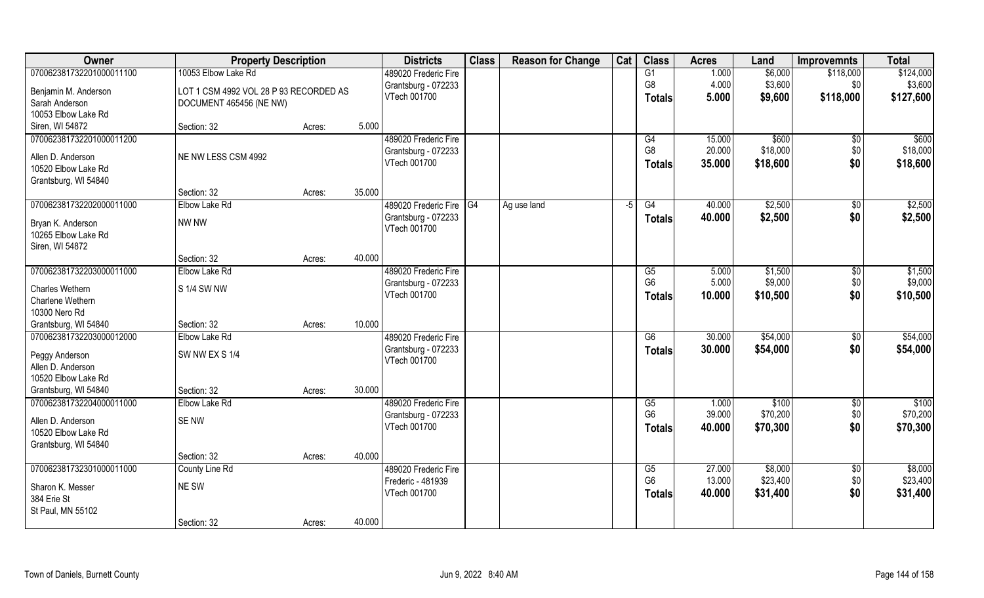| Owner                               | <b>Property Description</b>            |        |        | <b>Districts</b>        | <b>Class</b> | <b>Reason for Change</b> | Cat  | <b>Class</b>    | <b>Acres</b> | Land     | <b>Improvemnts</b> | <b>Total</b> |
|-------------------------------------|----------------------------------------|--------|--------|-------------------------|--------------|--------------------------|------|-----------------|--------------|----------|--------------------|--------------|
| 070062381732201000011100            | 10053 Elbow Lake Rd                    |        |        | 489020 Frederic Fire    |              |                          |      | G1              | 1.000        | \$6,000  | \$118,000          | \$124,000    |
| Benjamin M. Anderson                | LOT 1 CSM 4992 VOL 28 P 93 RECORDED AS |        |        | Grantsburg - 072233     |              |                          |      | G <sub>8</sub>  | 4.000        | \$3,600  | \$0                | \$3,600      |
| Sarah Anderson                      | DOCUMENT 465456 (NE NW)                |        |        | VTech 001700            |              |                          |      | <b>Totals</b>   | 5.000        | \$9,600  | \$118,000          | \$127,600    |
| 10053 Elbow Lake Rd                 |                                        |        |        |                         |              |                          |      |                 |              |          |                    |              |
| Siren, WI 54872                     | Section: 32                            | Acres: | 5.000  |                         |              |                          |      |                 |              |          |                    |              |
| 070062381732201000011200            |                                        |        |        | 489020 Frederic Fire    |              |                          |      | G4              | 15.000       | \$600    | \$0                | \$600        |
|                                     |                                        |        |        | Grantsburg - 072233     |              |                          |      | G <sub>8</sub>  | 20.000       | \$18,000 | \$0                | \$18,000     |
| Allen D. Anderson                   | NE NW LESS CSM 4992                    |        |        | VTech 001700            |              |                          |      | <b>Totals</b>   | 35.000       | \$18,600 | \$0                | \$18,600     |
| 10520 Elbow Lake Rd                 |                                        |        |        |                         |              |                          |      |                 |              |          |                    |              |
| Grantsburg, WI 54840                | Section: 32                            |        | 35.000 |                         |              |                          |      |                 |              |          |                    |              |
| 070062381732202000011000            | Elbow Lake Rd                          | Acres: |        | 489020 Frederic Fire G4 |              |                          | $-5$ | G4              | 40.000       | \$2,500  |                    | \$2,500      |
|                                     |                                        |        |        | Grantsburg - 072233     |              | Ag use land              |      |                 |              |          | $\sqrt[6]{3}$      |              |
| Bryan K. Anderson                   | NW NW                                  |        |        | VTech 001700            |              |                          |      | <b>Totals</b>   | 40.000       | \$2,500  | \$0                | \$2,500      |
| 10265 Elbow Lake Rd                 |                                        |        |        |                         |              |                          |      |                 |              |          |                    |              |
| Siren, WI 54872                     |                                        |        |        |                         |              |                          |      |                 |              |          |                    |              |
|                                     | Section: 32                            | Acres: | 40.000 |                         |              |                          |      |                 |              |          |                    |              |
| 070062381732203000011000            | Elbow Lake Rd                          |        |        | 489020 Frederic Fire    |              |                          |      | G5              | 5.000        | \$1,500  | \$0                | \$1,500      |
| Charles Wethern                     | S 1/4 SW NW                            |        |        | Grantsburg - 072233     |              |                          |      | G <sub>6</sub>  | 5.000        | \$9,000  | \$0                | \$9,000      |
| Charlene Wethern                    |                                        |        |        | VTech 001700            |              |                          |      | <b>Totals</b>   | 10.000       | \$10,500 | \$0                | \$10,500     |
| 10300 Nero Rd                       |                                        |        |        |                         |              |                          |      |                 |              |          |                    |              |
| Grantsburg, WI 54840                | Section: 32                            | Acres: | 10.000 |                         |              |                          |      |                 |              |          |                    |              |
| 070062381732203000012000            | Elbow Lake Rd                          |        |        | 489020 Frederic Fire    |              |                          |      | $\overline{G6}$ | 30.000       | \$54,000 | $\sqrt[6]{30}$     | \$54,000     |
|                                     | SW NW EX S 1/4                         |        |        | Grantsburg - 072233     |              |                          |      | <b>Totals</b>   | 30.000       | \$54,000 | \$0                | \$54,000     |
| Peggy Anderson<br>Allen D. Anderson |                                        |        |        | VTech 001700            |              |                          |      |                 |              |          |                    |              |
| 10520 Elbow Lake Rd                 |                                        |        |        |                         |              |                          |      |                 |              |          |                    |              |
| Grantsburg, WI 54840                | Section: 32                            | Acres: | 30.000 |                         |              |                          |      |                 |              |          |                    |              |
| 070062381732204000011000            | <b>Elbow Lake Rd</b>                   |        |        | 489020 Frederic Fire    |              |                          |      | G5              | 1.000        | \$100    | $\overline{50}$    | \$100        |
|                                     |                                        |        |        | Grantsburg - 072233     |              |                          |      | G <sub>6</sub>  | 39.000       | \$70,200 | \$0                | \$70,200     |
| Allen D. Anderson                   | SE NW                                  |        |        | VTech 001700            |              |                          |      | <b>Totals</b>   | 40.000       | \$70,300 | \$0                | \$70,300     |
| 10520 Elbow Lake Rd                 |                                        |        |        |                         |              |                          |      |                 |              |          |                    |              |
| Grantsburg, WI 54840                |                                        |        |        |                         |              |                          |      |                 |              |          |                    |              |
|                                     | Section: 32                            | Acres: | 40.000 |                         |              |                          |      |                 |              |          |                    |              |
| 070062381732301000011000            | County Line Rd                         |        |        | 489020 Frederic Fire    |              |                          |      | G5              | 27.000       | \$8,000  | $\overline{50}$    | \$8,000      |
| Sharon K. Messer                    | NE SW                                  |        |        | Frederic - 481939       |              |                          |      | G <sub>6</sub>  | 13.000       | \$23,400 | \$0                | \$23,400     |
| 384 Erie St                         |                                        |        |        | VTech 001700            |              |                          |      | <b>Totals</b>   | 40.000       | \$31,400 | \$0                | \$31,400     |
| St Paul, MN 55102                   |                                        |        |        |                         |              |                          |      |                 |              |          |                    |              |
|                                     | Section: 32                            | Acres: | 40.000 |                         |              |                          |      |                 |              |          |                    |              |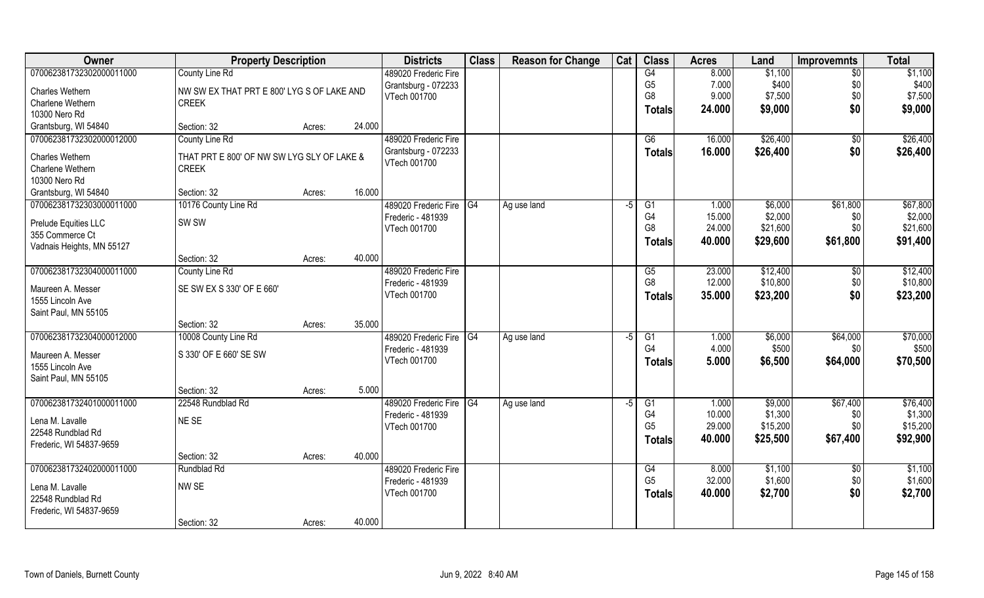| Owner                               | <b>Property Description</b>                                |        |        | <b>Districts</b>        | <b>Class</b>    | <b>Reason for Change</b> | Cat  | <b>Class</b>   | <b>Acres</b> | Land     | <b>Improvemnts</b> | <b>Total</b> |
|-------------------------------------|------------------------------------------------------------|--------|--------|-------------------------|-----------------|--------------------------|------|----------------|--------------|----------|--------------------|--------------|
| 070062381732302000011000            | County Line Rd                                             |        |        | 489020 Frederic Fire    |                 |                          |      | G4             | 8.000        | \$1,100  | $\sqrt{6}$         | \$1,100      |
| Charles Wethern                     | NW SW EX THAT PRT E 800' LYG S OF LAKE AND                 |        |        | Grantsburg - 072233     |                 |                          |      | G <sub>5</sub> | 7.000        | \$400    | \$0                | \$400        |
| Charlene Wethern                    | <b>CREEK</b>                                               |        |        | VTech 001700            |                 |                          |      | G <sub>8</sub> | 9.000        | \$7,500  | \$0                | \$7,500      |
| 10300 Nero Rd                       |                                                            |        |        |                         |                 |                          |      | <b>Totals</b>  | 24.000       | \$9,000  | \$0                | \$9,000      |
| Grantsburg, WI 54840                | Section: 32                                                | Acres: | 24.000 |                         |                 |                          |      |                |              |          |                    |              |
| 070062381732302000012000            | County Line Rd                                             |        |        | 489020 Frederic Fire    |                 |                          |      | G6             | 16.000       | \$26,400 | \$0                | \$26,400     |
|                                     |                                                            |        |        | Grantsburg - 072233     |                 |                          |      | Totals         | 16.000       | \$26,400 | \$0                | \$26,400     |
| Charles Wethern<br>Charlene Wethern | THAT PRT E 800' OF NW SW LYG SLY OF LAKE &<br><b>CREEK</b> |        |        | VTech 001700            |                 |                          |      |                |              |          |                    |              |
| 10300 Nero Rd                       |                                                            |        |        |                         |                 |                          |      |                |              |          |                    |              |
| Grantsburg, WI 54840                | Section: 32                                                | Acres: | 16.000 |                         |                 |                          |      |                |              |          |                    |              |
| 070062381732303000011000            | 10176 County Line Rd                                       |        |        | 489020 Frederic Fire G4 |                 | Ag use land              | $-5$ | G1             | 1.000        | \$6,000  | \$61,800           | \$67,800     |
|                                     |                                                            |        |        | Frederic - 481939       |                 |                          |      | G <sub>4</sub> | 15.000       | \$2,000  | \$0                | \$2,000      |
| <b>Prelude Equities LLC</b>         | SW <sub>SW</sub>                                           |        |        | VTech 001700            |                 |                          |      | G <sub>8</sub> | 24.000       | \$21,600 | \$0                | \$21,600     |
| 355 Commerce Ct                     |                                                            |        |        |                         |                 |                          |      | <b>Totals</b>  | 40.000       | \$29,600 | \$61,800           | \$91,400     |
| Vadnais Heights, MN 55127           |                                                            |        |        |                         |                 |                          |      |                |              |          |                    |              |
|                                     | Section: 32                                                | Acres: | 40.000 |                         |                 |                          |      |                |              |          |                    |              |
| 070062381732304000011000            | County Line Rd                                             |        |        | 489020 Frederic Fire    |                 |                          |      | G5             | 23.000       | \$12,400 | \$0                | \$12,400     |
| Maureen A. Messer                   | SE SW EX S 330' OF E 660'                                  |        |        | Frederic - 481939       |                 |                          |      | G <sub>8</sub> | 12.000       | \$10,800 | \$0                | \$10,800     |
| 1555 Lincoln Ave                    |                                                            |        |        | VTech 001700            |                 |                          |      | <b>Totals</b>  | 35.000       | \$23,200 | \$0                | \$23,200     |
| Saint Paul, MN 55105                |                                                            |        |        |                         |                 |                          |      |                |              |          |                    |              |
|                                     | Section: 32                                                | Acres: | 35.000 |                         |                 |                          |      |                |              |          |                    |              |
| 070062381732304000012000            | 10008 County Line Rd                                       |        |        | 489020 Frederic Fire    | $\overline{G4}$ | Ag use land              | $-5$ | G1             | 1.000        | \$6,000  | \$64,000           | \$70,000     |
| Maureen A. Messer                   | S 330' OF E 660' SE SW                                     |        |        | Frederic - 481939       |                 |                          |      | G <sub>4</sub> | 4.000        | \$500    | \$0                | \$500        |
| 1555 Lincoln Ave                    |                                                            |        |        | VTech 001700            |                 |                          |      | <b>Totals</b>  | 5.000        | \$6,500  | \$64,000           | \$70,500     |
| Saint Paul, MN 55105                |                                                            |        |        |                         |                 |                          |      |                |              |          |                    |              |
|                                     | Section: 32                                                | Acres: | 5.000  |                         |                 |                          |      |                |              |          |                    |              |
| 070062381732401000011000            | 22548 Rundblad Rd                                          |        |        | 489020 Frederic Fire G4 |                 | Ag use land              | $-5$ | G1             | 1.000        | \$9,000  | \$67,400           | \$76,400     |
| Lena M. Lavalle                     | NE SE                                                      |        |        | Frederic - 481939       |                 |                          |      | G4             | 10.000       | \$1,300  | \$0                | \$1,300      |
| 22548 Rundblad Rd                   |                                                            |        |        | VTech 001700            |                 |                          |      | G <sub>5</sub> | 29.000       | \$15,200 | \$0\$              | \$15,200     |
| Frederic, WI 54837-9659             |                                                            |        |        |                         |                 |                          |      | Totals         | 40.000       | \$25,500 | \$67,400           | \$92,900     |
|                                     | Section: 32                                                | Acres: | 40.000 |                         |                 |                          |      |                |              |          |                    |              |
| 070062381732402000011000            | Rundblad Rd                                                |        |        | 489020 Frederic Fire    |                 |                          |      | G4             | 8.000        | \$1,100  | $\overline{50}$    | \$1,100      |
|                                     |                                                            |        |        | Frederic - 481939       |                 |                          |      | G <sub>5</sub> | 32.000       | \$1,600  | \$0                | \$1,600      |
| Lena M. Lavalle                     | NW SE                                                      |        |        | VTech 001700            |                 |                          |      | <b>Totals</b>  | 40.000       | \$2,700  | \$0                | \$2,700      |
| 22548 Rundblad Rd                   |                                                            |        |        |                         |                 |                          |      |                |              |          |                    |              |
| Frederic, WI 54837-9659             | Section: 32                                                |        | 40.000 |                         |                 |                          |      |                |              |          |                    |              |
|                                     |                                                            | Acres: |        |                         |                 |                          |      |                |              |          |                    |              |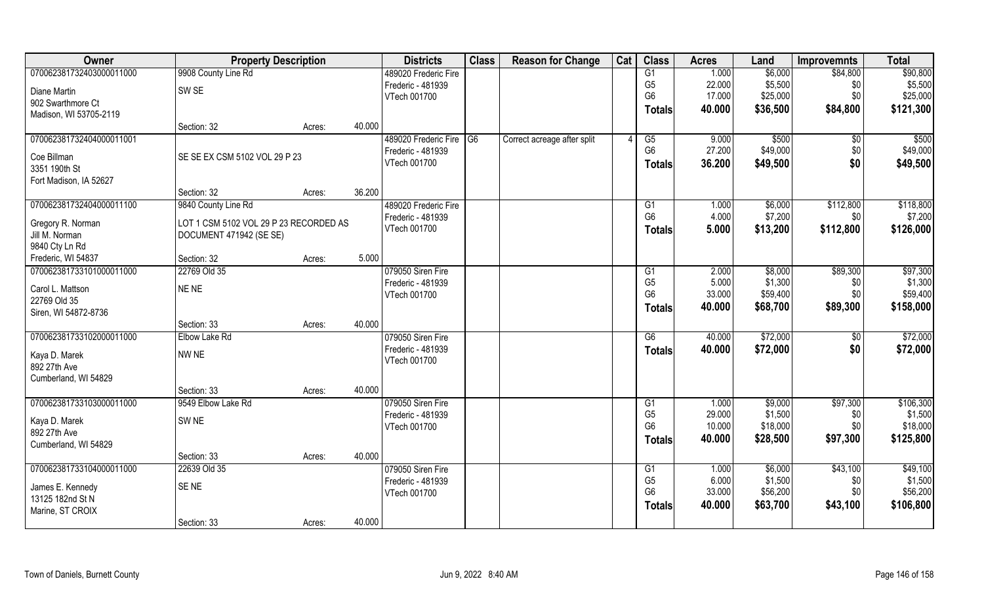| Owner                                | <b>Property Description</b>            |        |        | <b>Districts</b>        | <b>Class</b> | <b>Reason for Change</b>    | Cat | <b>Class</b>    | <b>Acres</b>    | Land     | <b>Improvemnts</b> | <b>Total</b>        |
|--------------------------------------|----------------------------------------|--------|--------|-------------------------|--------------|-----------------------------|-----|-----------------|-----------------|----------|--------------------|---------------------|
| 070062381732403000011000             | 9908 County Line Rd                    |        |        | 489020 Frederic Fire    |              |                             |     | G1              | 1.000           | \$6,000  | \$84,800           | \$90,800            |
| Diane Martin                         | SW <sub>SE</sub>                       |        |        | Frederic - 481939       |              |                             |     | G <sub>5</sub>  | 22.000          | \$5,500  | \$0                | \$5,500             |
| 902 Swarthmore Ct                    |                                        |        |        | VTech 001700            |              |                             |     | G <sub>6</sub>  | 17.000          | \$25,000 | \$0                | \$25,000            |
| Madison, WI 53705-2119               |                                        |        |        |                         |              |                             |     | <b>Totals</b>   | 40.000          | \$36,500 | \$84,800           | \$121,300           |
|                                      | Section: 32                            | Acres: | 40.000 |                         |              |                             |     |                 |                 |          |                    |                     |
| 070062381732404000011001             |                                        |        |        | 489020 Frederic Fire G6 |              | Correct acreage after split |     | G5              | 9.000           | \$500    | \$0                | \$500               |
| Coe Billman                          | SE SE EX CSM 5102 VOL 29 P 23          |        |        | Frederic - 481939       |              |                             |     | G <sub>6</sub>  | 27.200          | \$49,000 | \$0                | \$49,000            |
| 3351 190th St                        |                                        |        |        | VTech 001700            |              |                             |     | <b>Totals</b>   | 36.200          | \$49,500 | \$0                | \$49,500            |
| Fort Madison, IA 52627               |                                        |        |        |                         |              |                             |     |                 |                 |          |                    |                     |
|                                      | Section: 32                            | Acres: | 36.200 |                         |              |                             |     |                 |                 |          |                    |                     |
| 070062381732404000011100             | 9840 County Line Rd                    |        |        | 489020 Frederic Fire    |              |                             |     | G1              | 1.000           | \$6,000  | \$112,800          | \$118,800           |
|                                      |                                        |        |        | Frederic - 481939       |              |                             |     | G <sub>6</sub>  | 4.000           | \$7,200  | \$0                | \$7,200             |
| Gregory R. Norman                    | LOT 1 CSM 5102 VOL 29 P 23 RECORDED AS |        |        | VTech 001700            |              |                             |     | <b>Totals</b>   | 5.000           | \$13,200 | \$112,800          | \$126,000           |
| Jill M. Norman                       | DOCUMENT 471942 (SE SE)                |        |        |                         |              |                             |     |                 |                 |          |                    |                     |
| 9840 Cty Ln Rd                       |                                        |        |        |                         |              |                             |     |                 |                 |          |                    |                     |
| Frederic, WI 54837                   | Section: 32                            | Acres: | 5.000  |                         |              |                             |     |                 |                 |          |                    |                     |
| 070062381733101000011000             | 22769 Old 35                           |        |        | 079050 Siren Fire       |              |                             |     | G1              | 2.000           | \$8,000  | \$89,300           | \$97,300            |
| Carol L. Mattson                     | NE NE                                  |        |        | Frederic - 481939       |              |                             |     | G <sub>5</sub>  | 5.000<br>33.000 | \$1,300  | \$0                | \$1,300<br>\$59,400 |
| 22769 Old 35                         |                                        |        |        | VTech 001700            |              |                             |     | G <sub>6</sub>  |                 | \$59,400 | \$0                |                     |
| Siren, WI 54872-8736                 |                                        |        |        |                         |              |                             |     | <b>Totals</b>   | 40.000          | \$68,700 | \$89,300           | \$158,000           |
|                                      | Section: 33                            | Acres: | 40.000 |                         |              |                             |     |                 |                 |          |                    |                     |
| 070062381733102000011000             | Elbow Lake Rd                          |        |        | 079050 Siren Fire       |              |                             |     | $\overline{G6}$ | 40.000          | \$72,000 | \$0                | \$72,000            |
| Kaya D. Marek                        | NW NE                                  |        |        | Frederic - 481939       |              |                             |     | <b>Totals</b>   | 40.000          | \$72,000 | \$0                | \$72,000            |
| 892 27th Ave                         |                                        |        |        | VTech 001700            |              |                             |     |                 |                 |          |                    |                     |
| Cumberland, WI 54829                 |                                        |        |        |                         |              |                             |     |                 |                 |          |                    |                     |
|                                      | Section: 33                            | Acres: | 40.000 |                         |              |                             |     |                 |                 |          |                    |                     |
| 070062381733103000011000             | 9549 Elbow Lake Rd                     |        |        | 079050 Siren Fire       |              |                             |     | G1              | 1.000           | \$9,000  | \$97,300           | \$106,300           |
| Kaya D. Marek                        | SW <sub>NE</sub>                       |        |        | Frederic - 481939       |              |                             |     | G <sub>5</sub>  | 29.000          | \$1,500  | \$0                | \$1,500             |
| 892 27th Ave                         |                                        |        |        | VTech 001700            |              |                             |     | G <sub>6</sub>  | 10.000          | \$18,000 | \$0\$              | \$18,000            |
| Cumberland, WI 54829                 |                                        |        |        |                         |              |                             |     | <b>Totals</b>   | 40.000          | \$28,500 | \$97,300           | \$125,800           |
|                                      | Section: 33                            | Acres: | 40.000 |                         |              |                             |     |                 |                 |          |                    |                     |
| 070062381733104000011000             | 22639 Old 35                           |        |        | 079050 Siren Fire       |              |                             |     | G1              | 1.000           | \$6,000  | \$43,100           | \$49,100            |
|                                      | SENE                                   |        |        | Frederic - 481939       |              |                             |     | G <sub>5</sub>  | 6.000           | \$1,500  | \$0                | \$1,500             |
| James E. Kennedy<br>13125 182nd St N |                                        |        |        | VTech 001700            |              |                             |     | G <sub>6</sub>  | 33.000          | \$56,200 | \$0                | \$56,200            |
| Marine, ST CROIX                     |                                        |        |        |                         |              |                             |     | <b>Totals</b>   | 40.000          | \$63,700 | \$43,100           | \$106,800           |
|                                      | Section: 33                            | Acres: | 40.000 |                         |              |                             |     |                 |                 |          |                    |                     |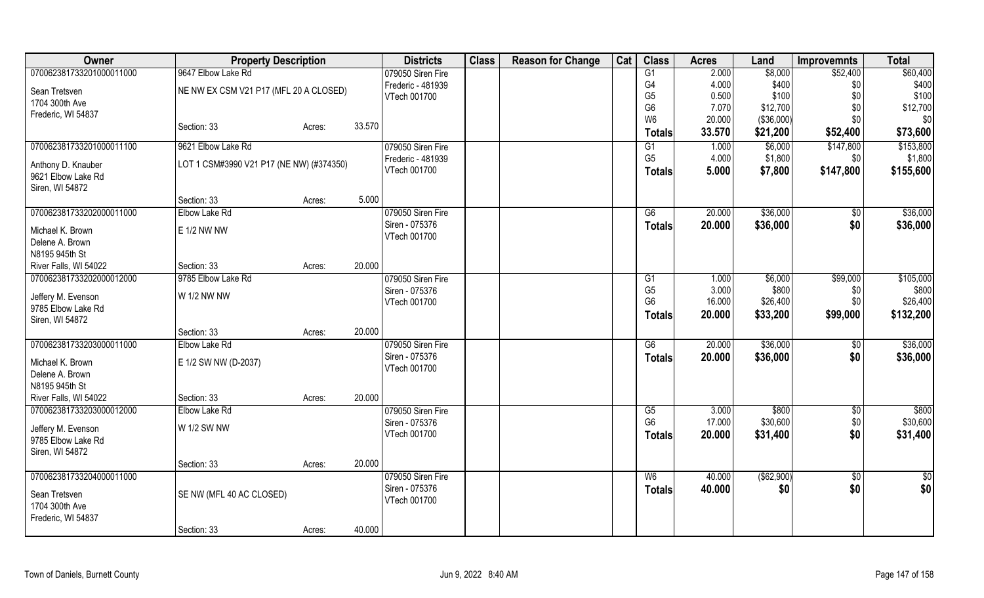| Owner                                 |                                          | <b>Property Description</b> |        |                   | <b>Class</b> | <b>Reason for Change</b> | Cat | <b>Class</b>                     | <b>Acres</b> | Land        | <b>Improvemnts</b> | <b>Total</b>  |
|---------------------------------------|------------------------------------------|-----------------------------|--------|-------------------|--------------|--------------------------|-----|----------------------------------|--------------|-------------|--------------------|---------------|
| 070062381733201000011000              | 9647 Elbow Lake Rd                       |                             |        | 079050 Siren Fire |              |                          |     | $\overline{G1}$                  | 2.000        | \$8,000     | \$52,400           | \$60,400      |
| Sean Tretsven                         | NE NW EX CSM V21 P17 (MFL 20 A CLOSED)   |                             |        | Frederic - 481939 |              |                          |     | G4                               | 4.000        | \$400       | \$0                | \$400         |
| 1704 300th Ave                        |                                          |                             |        | VTech 001700      |              |                          |     | G <sub>5</sub>                   | 0.500        | \$100       | \$0                | \$100         |
| Frederic, WI 54837                    |                                          |                             |        |                   |              |                          |     | G <sub>6</sub><br>W <sub>6</sub> | 7.070        | \$12,700    | \$0                | \$12,700      |
|                                       | Section: 33                              | Acres:                      | 33.570 |                   |              |                          |     |                                  | 20.000       | (\$36,000)  | \$0                | \$0           |
|                                       |                                          |                             |        |                   |              |                          |     | <b>Totals</b>                    | 33.570       | \$21,200    | \$52,400           | \$73,600      |
| 070062381733201000011100              | 9621 Elbow Lake Rd                       |                             |        | 079050 Siren Fire |              |                          |     | G1                               | 1.000        | \$6,000     | \$147,800          | \$153,800     |
| Anthony D. Knauber                    | LOT 1 CSM#3990 V21 P17 (NE NW) (#374350) |                             |        | Frederic - 481939 |              |                          |     | G <sub>5</sub>                   | 4.000        | \$1,800     | \$0                | \$1,800       |
| 9621 Elbow Lake Rd                    |                                          |                             |        | VTech 001700      |              |                          |     | <b>Totals</b>                    | 5.000        | \$7,800     | \$147,800          | \$155,600     |
| Siren, WI 54872                       |                                          |                             |        |                   |              |                          |     |                                  |              |             |                    |               |
|                                       | Section: 33                              | Acres:                      | 5.000  |                   |              |                          |     |                                  |              |             |                    |               |
| 070062381733202000011000              | Elbow Lake Rd                            |                             |        | 079050 Siren Fire |              |                          |     | $\overline{G6}$                  | 20.000       | \$36,000    | $\overline{50}$    | \$36,000      |
| Michael K. Brown                      | <b>E 1/2 NW NW</b>                       |                             |        | Siren - 075376    |              |                          |     | <b>Totals</b>                    | 20.000       | \$36,000    | \$0                | \$36,000      |
| Delene A. Brown                       |                                          |                             |        | VTech 001700      |              |                          |     |                                  |              |             |                    |               |
| N8195 945th St                        |                                          |                             |        |                   |              |                          |     |                                  |              |             |                    |               |
| River Falls, WI 54022                 | Section: 33                              | Acres:                      | 20.000 |                   |              |                          |     |                                  |              |             |                    |               |
| 070062381733202000012000              | 9785 Elbow Lake Rd                       |                             |        | 079050 Siren Fire |              |                          |     | G1                               | 1.000        | \$6,000     | \$99,000           | \$105,000     |
|                                       |                                          |                             |        | Siren - 075376    |              |                          |     | G <sub>5</sub>                   | 3.000        | \$800       | \$0                | \$800         |
| Jeffery M. Evenson                    | W 1/2 NW NW                              |                             |        | VTech 001700      |              |                          |     | G <sub>6</sub>                   | 16.000       | \$26,400    | \$0                | \$26,400      |
| 9785 Elbow Lake Rd<br>Siren, WI 54872 |                                          |                             |        |                   |              |                          |     | Totals                           | 20.000       | \$33,200    | \$99,000           | \$132,200     |
|                                       | Section: 33                              | Acres:                      | 20.000 |                   |              |                          |     |                                  |              |             |                    |               |
| 070062381733203000011000              | Elbow Lake Rd                            |                             |        | 079050 Siren Fire |              |                          |     | G6                               | 20.000       | \$36,000    | \$0                | \$36,000      |
| Michael K. Brown                      | E 1/2 SW NW (D-2037)                     |                             |        | Siren - 075376    |              |                          |     | <b>Totals</b>                    | 20.000       | \$36,000    | \$0                | \$36,000      |
| Delene A. Brown                       |                                          |                             |        | VTech 001700      |              |                          |     |                                  |              |             |                    |               |
| N8195 945th St                        |                                          |                             |        |                   |              |                          |     |                                  |              |             |                    |               |
| River Falls, WI 54022                 | Section: 33                              | Acres:                      | 20.000 |                   |              |                          |     |                                  |              |             |                    |               |
| 070062381733203000012000              | Elbow Lake Rd                            |                             |        | 079050 Siren Fire |              |                          |     | G5                               | 3.000        | \$800       | $\sqrt[6]{}$       | \$800         |
| Jeffery M. Evenson                    | W 1/2 SW NW                              |                             |        | Siren - 075376    |              |                          |     | G <sub>6</sub>                   | 17.000       | \$30,600    | \$0                | \$30,600      |
| 9785 Elbow Lake Rd                    |                                          |                             |        | VTech 001700      |              |                          |     | <b>Totals</b>                    | 20.000       | \$31,400    | \$0                | \$31,400      |
| Siren, WI 54872                       |                                          |                             |        |                   |              |                          |     |                                  |              |             |                    |               |
|                                       | Section: 33                              | Acres:                      | 20.000 |                   |              |                          |     |                                  |              |             |                    |               |
| 070062381733204000011000              |                                          |                             |        | 079050 Siren Fire |              |                          |     | W <sub>6</sub>                   | 40.000       | ( \$62,900) | $\frac{1}{20}$     | $\frac{6}{3}$ |
|                                       |                                          |                             |        | Siren - 075376    |              |                          |     | <b>Totals</b>                    | 40.000       | \$0         | \$0                | \$0           |
| Sean Tretsven<br>1704 300th Ave       | SE NW (MFL 40 AC CLOSED)                 |                             |        | VTech 001700      |              |                          |     |                                  |              |             |                    |               |
| Frederic, WI 54837                    |                                          |                             |        |                   |              |                          |     |                                  |              |             |                    |               |
|                                       | Section: 33                              | Acres:                      | 40.000 |                   |              |                          |     |                                  |              |             |                    |               |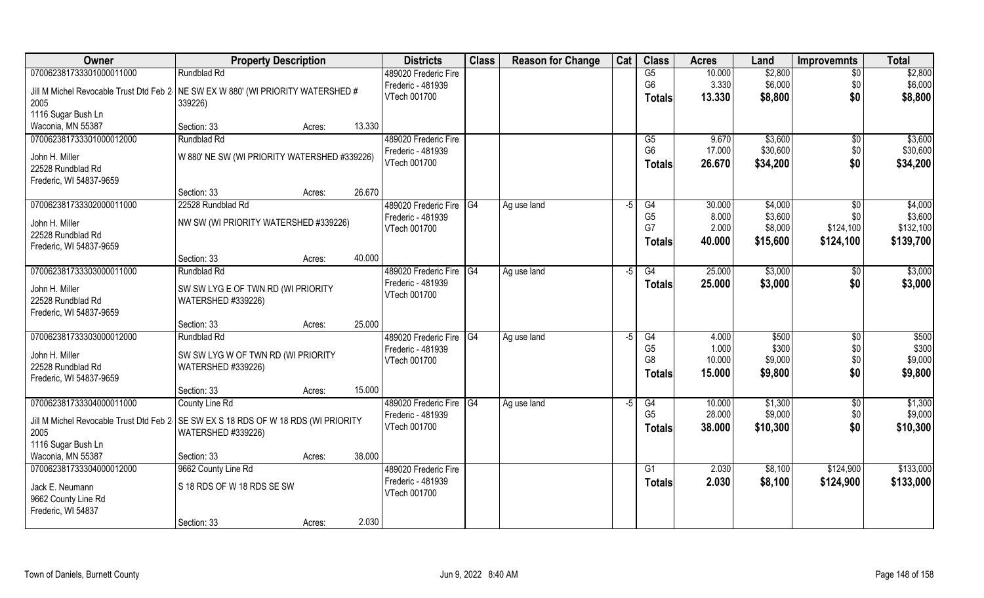| Owner                                                                              | <b>Property Description</b>                  |                  | <b>Districts</b>        | <b>Class</b>    | <b>Reason for Change</b> | Cat | <b>Class</b>   | <b>Acres</b> | Land     | <b>Improvemnts</b> | <b>Total</b> |
|------------------------------------------------------------------------------------|----------------------------------------------|------------------|-------------------------|-----------------|--------------------------|-----|----------------|--------------|----------|--------------------|--------------|
| 070062381733301000011000                                                           | Rundblad Rd                                  |                  | 489020 Frederic Fire    |                 |                          |     | G5             | 10.000       | \$2,800  | $\overline{30}$    | \$2,800      |
| Jill M Michel Revocable Trust Dtd Feb 2 NE SW EX W 880' (WI PRIORITY WATERSHED #   |                                              |                  | Frederic - 481939       |                 |                          |     | G <sub>6</sub> | 3.330        | \$6,000  | \$0                | \$6,000      |
| 2005                                                                               | 339226)                                      |                  | VTech 001700            |                 |                          |     | <b>Totals</b>  | 13.330       | \$8,800  | \$0                | \$8,800      |
| 1116 Sugar Bush Ln                                                                 |                                              |                  |                         |                 |                          |     |                |              |          |                    |              |
| Waconia, MN 55387                                                                  | Section: 33                                  | 13.330<br>Acres: |                         |                 |                          |     |                |              |          |                    |              |
| 070062381733301000012000                                                           | Rundblad Rd                                  |                  | 489020 Frederic Fire    |                 |                          |     | G5             | 9.670        | \$3,600  | $\overline{50}$    | \$3,600      |
|                                                                                    |                                              |                  | Frederic - 481939       |                 |                          |     | G <sub>6</sub> | 17.000       | \$30,600 | \$0                | \$30,600     |
| John H. Miller                                                                     | W 880' NE SW (WI PRIORITY WATERSHED #339226) |                  | VTech 001700            |                 |                          |     | <b>Totals</b>  | 26.670       | \$34,200 | \$0                | \$34,200     |
| 22528 Rundblad Rd                                                                  |                                              |                  |                         |                 |                          |     |                |              |          |                    |              |
| Frederic, WI 54837-9659                                                            | Section: 33                                  | 26.670           |                         |                 |                          |     |                |              |          |                    |              |
| 070062381733302000011000                                                           | 22528 Rundblad Rd                            | Acres:           | 489020 Frederic Fire G4 |                 | Ag use land              | -5  | G4             | 30.000       | \$4,000  | $\sqrt[6]{}$       | \$4,000      |
|                                                                                    |                                              |                  | Frederic - 481939       |                 |                          |     | G <sub>5</sub> | 8.000        | \$3,600  | \$0                | \$3,600      |
| John H. Miller                                                                     | NW SW (WI PRIORITY WATERSHED #339226)        |                  | VTech 001700            |                 |                          |     | G7             | 2.000        | \$8,000  | \$124,100          | \$132,100    |
| 22528 Rundblad Rd                                                                  |                                              |                  |                         |                 |                          |     | <b>Totals</b>  | 40.000       | \$15,600 | \$124,100          | \$139,700    |
| Frederic, WI 54837-9659                                                            |                                              |                  |                         |                 |                          |     |                |              |          |                    |              |
|                                                                                    | Section: 33                                  | 40.000<br>Acres: |                         |                 |                          |     |                |              |          |                    |              |
| 070062381733303000011000                                                           | Rundblad Rd                                  |                  | 489020 Frederic Fire G4 |                 | Ag use land              | -5  | G4             | 25.000       | \$3,000  | \$0                | \$3,000      |
| John H. Miller                                                                     | SW SW LYG E OF TWN RD (WI PRIORITY           |                  | Frederic - 481939       |                 |                          |     | <b>Totals</b>  | 25.000       | \$3,000  | \$0                | \$3,000      |
| 22528 Rundblad Rd                                                                  | WATERSHED #339226)                           |                  | VTech 001700            |                 |                          |     |                |              |          |                    |              |
| Frederic, WI 54837-9659                                                            |                                              |                  |                         |                 |                          |     |                |              |          |                    |              |
|                                                                                    | Section: 33                                  | 25.000<br>Acres: |                         |                 |                          |     |                |              |          |                    |              |
| 070062381733303000012000                                                           | Rundblad Rd                                  |                  | 489020 Frederic Fire    | $\overline{G4}$ | Ag use land              | -5  | G4             | 4.000        | \$500    | \$0                | \$500        |
| John H. Miller                                                                     | SW SW LYG W OF TWN RD (WI PRIORITY           |                  | Frederic - 481939       |                 |                          |     | G <sub>5</sub> | 1.000        | \$300    | \$0                | \$300        |
| 22528 Rundblad Rd                                                                  | WATERSHED #339226)                           |                  | VTech 001700            |                 |                          |     | G8             | 10.000       | \$9,000  | \$0                | \$9,000      |
| Frederic, WI 54837-9659                                                            |                                              |                  |                         |                 |                          |     | <b>Totals</b>  | 15.000       | \$9,800  | \$0                | \$9,800      |
|                                                                                    | Section: 33                                  | 15.000<br>Acres: |                         |                 |                          |     |                |              |          |                    |              |
| 070062381733304000011000                                                           | County Line Rd                               |                  | 489020 Frederic Fire    | $\overline{G4}$ | Ag use land              | -5  | G4             | 10.000       | \$1,300  | \$0                | \$1,300      |
|                                                                                    |                                              |                  | Frederic - 481939       |                 |                          |     | G <sub>5</sub> | 28.000       | \$9,000  | \$0                | \$9,000      |
| Jill M Michel Revocable Trust Dtd Feb 2 SE SW EX S 18 RDS OF W 18 RDS (WI PRIORITY |                                              |                  | VTech 001700            |                 |                          |     | <b>Totals</b>  | 38.000       | \$10,300 | \$0                | \$10,300     |
| 2005                                                                               | WATERSHED #339226)                           |                  |                         |                 |                          |     |                |              |          |                    |              |
| 1116 Sugar Bush Ln<br>Waconia, MN 55387                                            | Section: 33                                  | 38.000<br>Acres: |                         |                 |                          |     |                |              |          |                    |              |
| 070062381733304000012000                                                           | 9662 County Line Rd                          |                  | 489020 Frederic Fire    |                 |                          |     | G1             | 2.030        | \$8,100  | \$124,900          | \$133,000    |
|                                                                                    |                                              |                  | Frederic - 481939       |                 |                          |     | <b>Totals</b>  | 2.030        | \$8,100  | \$124,900          | \$133,000    |
| Jack E. Neumann                                                                    | S 18 RDS OF W 18 RDS SE SW                   |                  | VTech 001700            |                 |                          |     |                |              |          |                    |              |
| 9662 County Line Rd                                                                |                                              |                  |                         |                 |                          |     |                |              |          |                    |              |
| Frederic, WI 54837                                                                 |                                              |                  |                         |                 |                          |     |                |              |          |                    |              |
|                                                                                    | Section: 33                                  | 2.030<br>Acres:  |                         |                 |                          |     |                |              |          |                    |              |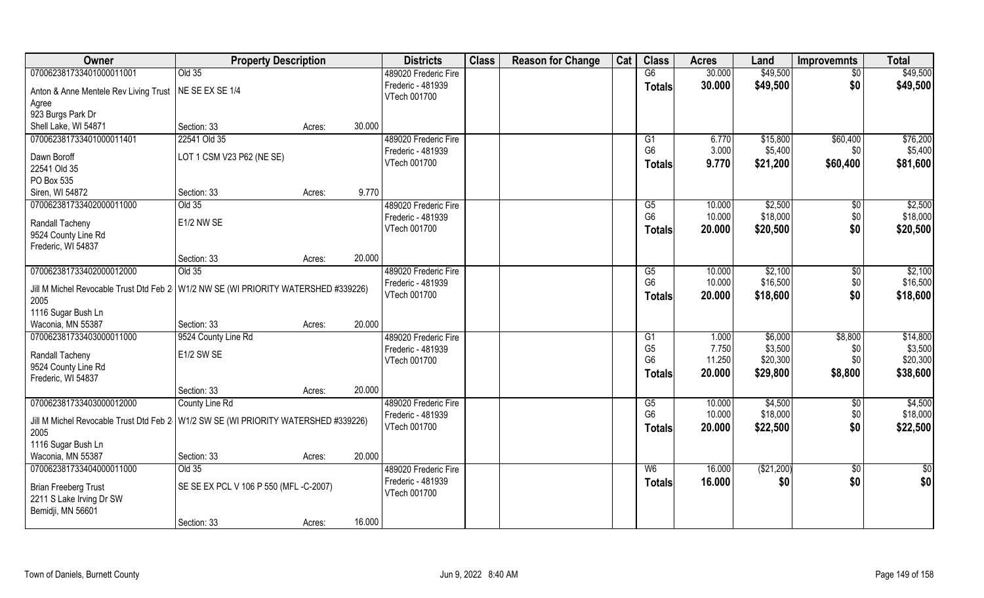| Owner                                                                                      | <b>Property Description</b>            |        |        | <b>Districts</b>     | <b>Class</b> | <b>Reason for Change</b> | Cat | <b>Class</b>    | <b>Acres</b> | Land       | <b>Improvemnts</b> | <b>Total</b>  |
|--------------------------------------------------------------------------------------------|----------------------------------------|--------|--------|----------------------|--------------|--------------------------|-----|-----------------|--------------|------------|--------------------|---------------|
| 070062381733401000011001                                                                   | Old 35                                 |        |        | 489020 Frederic Fire |              |                          |     | $\overline{G6}$ | 30.000       | \$49,500   | \$0                | \$49,500      |
| Anton & Anne Mentele Rev Living Trust                                                      | NE SE EX SE 1/4                        |        |        | Frederic - 481939    |              |                          |     | <b>Totals</b>   | 30.000       | \$49,500   | \$0                | \$49,500      |
| Agree                                                                                      |                                        |        |        | VTech 001700         |              |                          |     |                 |              |            |                    |               |
| 923 Burgs Park Dr                                                                          |                                        |        |        |                      |              |                          |     |                 |              |            |                    |               |
| Shell Lake, WI 54871                                                                       | Section: 33                            | Acres: | 30.000 |                      |              |                          |     |                 |              |            |                    |               |
| 070062381733401000011401                                                                   | 22541 Old 35                           |        |        | 489020 Frederic Fire |              |                          |     | G1              | 6.770        | \$15,800   | \$60,400           | \$76,200      |
| Dawn Boroff                                                                                | LOT 1 CSM V23 P62 (NE SE)              |        |        | Frederic - 481939    |              |                          |     | G <sub>6</sub>  | 3.000        | \$5,400    | \$0                | \$5,400       |
| 22541 Old 35                                                                               |                                        |        |        | VTech 001700         |              |                          |     | <b>Totals</b>   | 9.770        | \$21,200   | \$60,400           | \$81,600      |
| PO Box 535                                                                                 |                                        |        |        |                      |              |                          |     |                 |              |            |                    |               |
| Siren, WI 54872                                                                            | Section: 33                            | Acres: | 9.770  |                      |              |                          |     |                 |              |            |                    |               |
| 070062381733402000011000                                                                   | Old 35                                 |        |        | 489020 Frederic Fire |              |                          |     | G5              | 10.000       | \$2,500    | $\sqrt[6]{}$       | \$2,500       |
| Randall Tacheny                                                                            | E1/2 NW SE                             |        |        | Frederic - 481939    |              |                          |     | G <sub>6</sub>  | 10.000       | \$18,000   | \$0                | \$18,000      |
| 9524 County Line Rd                                                                        |                                        |        |        | VTech 001700         |              |                          |     | <b>Totals</b>   | 20.000       | \$20,500   | \$0                | \$20,500      |
| Frederic, WI 54837                                                                         |                                        |        |        |                      |              |                          |     |                 |              |            |                    |               |
|                                                                                            | Section: 33                            | Acres: | 20.000 |                      |              |                          |     |                 |              |            |                    |               |
| 070062381733402000012000                                                                   | Old 35                                 |        |        | 489020 Frederic Fire |              |                          |     | G5              | 10.000       | \$2,100    | $\sqrt[6]{3}$      | \$2,100       |
| Jill M Michel Revocable Trust Dtd Feb 2   W1/2 NW SE (WI PRIORITY WATERSHED #339226)       |                                        |        |        | Frederic - 481939    |              |                          |     | G <sub>6</sub>  | 10.000       | \$16,500   | \$0                | \$16,500      |
| 2005                                                                                       |                                        |        |        | VTech 001700         |              |                          |     | <b>Totals</b>   | 20.000       | \$18,600   | \$0                | \$18,600      |
| 1116 Sugar Bush Ln                                                                         |                                        |        |        |                      |              |                          |     |                 |              |            |                    |               |
| Waconia, MN 55387                                                                          | Section: 33                            | Acres: | 20.000 |                      |              |                          |     |                 |              |            |                    |               |
| 070062381733403000011000                                                                   | 9524 County Line Rd                    |        |        | 489020 Frederic Fire |              |                          |     | G1              | 1.000        | \$6,000    | \$8,800            | \$14,800      |
| Randall Tacheny                                                                            | E1/2 SW SE                             |        |        | Frederic - 481939    |              |                          |     | G <sub>5</sub>  | 7.750        | \$3,500    | \$0                | \$3,500       |
| 9524 County Line Rd                                                                        |                                        |        |        | VTech 001700         |              |                          |     | G <sub>6</sub>  | 11.250       | \$20,300   | \$0                | \$20,300      |
| Frederic, WI 54837                                                                         |                                        |        |        |                      |              |                          |     | <b>Totals</b>   | 20.000       | \$29,800   | \$8,800            | \$38,600      |
|                                                                                            | Section: 33                            | Acres: | 20.000 |                      |              |                          |     |                 |              |            |                    |               |
| 070062381733403000012000                                                                   | County Line Rd                         |        |        | 489020 Frederic Fire |              |                          |     | G5              | 10.000       | \$4,500    | \$0                | \$4,500       |
|                                                                                            |                                        |        |        | Frederic - 481939    |              |                          |     | G <sub>6</sub>  | 10.000       | \$18,000   | \$0                | \$18,000      |
| Jill M Michel Revocable Trust Dtd Feb 2 W1/2 SW SE (WI PRIORITY WATERSHED #339226)<br>2005 |                                        |        |        | VTech 001700         |              |                          |     | <b>Totals</b>   | 20.000       | \$22,500   | \$0                | \$22,500      |
| 1116 Sugar Bush Ln                                                                         |                                        |        |        |                      |              |                          |     |                 |              |            |                    |               |
| Waconia, MN 55387                                                                          | Section: 33                            | Acres: | 20.000 |                      |              |                          |     |                 |              |            |                    |               |
| 070062381733404000011000                                                                   | Old 35                                 |        |        | 489020 Frederic Fire |              |                          |     | W <sub>6</sub>  | 16.000       | (\$21,200) | $\overline{50}$    | $\frac{1}{6}$ |
|                                                                                            |                                        |        |        | Frederic - 481939    |              |                          |     | <b>Totals</b>   | 16.000       | \$0        | \$0                | \$0           |
| <b>Brian Freeberg Trust</b><br>2211 S Lake Irving Dr SW                                    | SE SE EX PCL V 106 P 550 (MFL -C-2007) |        |        | VTech 001700         |              |                          |     |                 |              |            |                    |               |
| Bemidji, MN 56601                                                                          |                                        |        |        |                      |              |                          |     |                 |              |            |                    |               |
|                                                                                            | Section: 33                            | Acres: | 16.000 |                      |              |                          |     |                 |              |            |                    |               |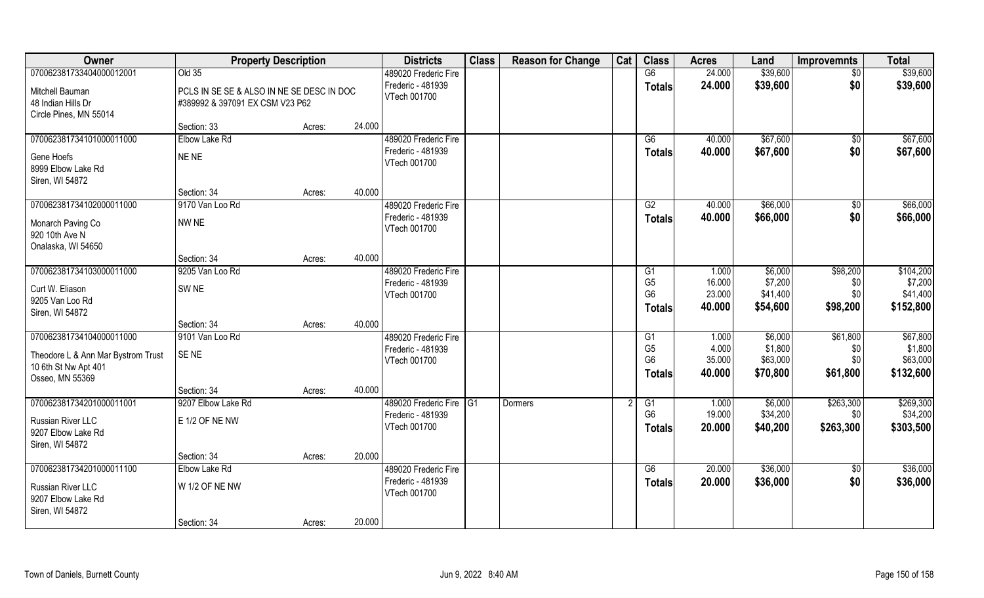| Owner                                                      |                                 | <b>Property Description</b>               |        | <b>Districts</b>        | <b>Class</b> | <b>Reason for Change</b> | Cat | <b>Class</b>   | <b>Acres</b> | Land     | <b>Improvemnts</b> | <b>Total</b> |
|------------------------------------------------------------|---------------------------------|-------------------------------------------|--------|-------------------------|--------------|--------------------------|-----|----------------|--------------|----------|--------------------|--------------|
| 070062381733404000012001                                   | Old 35                          |                                           |        | 489020 Frederic Fire    |              |                          |     | G6             | 24.000       | \$39,600 | $\sqrt{$0}$        | \$39,600     |
| Mitchell Bauman                                            |                                 | PCLS IN SE SE & ALSO IN NE SE DESC IN DOC |        | Frederic - 481939       |              |                          |     | <b>Totals</b>  | 24.000       | \$39,600 | \$0                | \$39,600     |
| 48 Indian Hills Dr                                         | #389992 & 397091 EX CSM V23 P62 |                                           |        | VTech 001700            |              |                          |     |                |              |          |                    |              |
| Circle Pines, MN 55014                                     |                                 |                                           |        |                         |              |                          |     |                |              |          |                    |              |
|                                                            | Section: 33                     | Acres:                                    | 24.000 |                         |              |                          |     |                |              |          |                    |              |
| 070062381734101000011000                                   | Elbow Lake Rd                   |                                           |        | 489020 Frederic Fire    |              |                          |     | G6             | 40.000       | \$67,600 | \$0                | \$67,600     |
| Gene Hoefs                                                 | NE NE                           |                                           |        | Frederic - 481939       |              |                          |     | Totals         | 40.000       | \$67,600 | \$0                | \$67,600     |
| 8999 Elbow Lake Rd                                         |                                 |                                           |        | VTech 001700            |              |                          |     |                |              |          |                    |              |
| Siren, WI 54872                                            |                                 |                                           |        |                         |              |                          |     |                |              |          |                    |              |
|                                                            | Section: 34                     | Acres:                                    | 40.000 |                         |              |                          |     |                |              |          |                    |              |
| 070062381734102000011000                                   | 9170 Van Loo Rd                 |                                           |        | 489020 Frederic Fire    |              |                          |     | G2             | 40.000       | \$66,000 | $\overline{50}$    | \$66,000     |
| Monarch Paving Co                                          | NW NE                           |                                           |        | Frederic - 481939       |              |                          |     | <b>Totals</b>  | 40.000       | \$66,000 | \$0                | \$66,000     |
| 920 10th Ave N                                             |                                 |                                           |        | VTech 001700            |              |                          |     |                |              |          |                    |              |
| Onalaska, WI 54650                                         |                                 |                                           |        |                         |              |                          |     |                |              |          |                    |              |
|                                                            | Section: 34                     | Acres:                                    | 40.000 |                         |              |                          |     |                |              |          |                    |              |
| 070062381734103000011000                                   | 9205 Van Loo Rd                 |                                           |        | 489020 Frederic Fire    |              |                          |     | G1             | 1.000        | \$6,000  | \$98,200           | \$104,200    |
| Curt W. Eliason                                            | SW <sub>NE</sub>                |                                           |        | Frederic - 481939       |              |                          |     | G <sub>5</sub> | 16.000       | \$7,200  | \$0                | \$7,200      |
| 9205 Van Loo Rd                                            |                                 |                                           |        | VTech 001700            |              |                          |     | G <sub>6</sub> | 23.000       | \$41,400 | \$0                | \$41,400     |
| Siren, WI 54872                                            |                                 |                                           |        |                         |              |                          |     | <b>Totals</b>  | 40.000       | \$54,600 | \$98,200           | \$152,800    |
|                                                            | Section: 34                     | Acres:                                    | 40.000 |                         |              |                          |     |                |              |          |                    |              |
| 070062381734104000011000                                   | 9101 Van Loo Rd                 |                                           |        | 489020 Frederic Fire    |              |                          |     | G1             | 1.000        | \$6,000  | \$61,800           | \$67,800     |
|                                                            | SE <sub>NE</sub>                |                                           |        | Frederic - 481939       |              |                          |     | G <sub>5</sub> | 4.000        | \$1,800  | \$0                | \$1,800      |
| Theodore L & Ann Mar Bystrom Trust<br>10 6th St Nw Apt 401 |                                 |                                           |        | VTech 001700            |              |                          |     | G <sub>6</sub> | 35.000       | \$63,000 | \$0                | \$63,000     |
| Osseo, MN 55369                                            |                                 |                                           |        |                         |              |                          |     | <b>Totals</b>  | 40.000       | \$70,800 | \$61,800           | \$132,600    |
|                                                            | Section: 34                     | Acres:                                    | 40.000 |                         |              |                          |     |                |              |          |                    |              |
| 070062381734201000011001                                   | 9207 Elbow Lake Rd              |                                           |        | 489020 Frederic Fire G1 |              | Dormers                  |     | G1             | 1.000        | \$6,000  | \$263,300          | \$269,300    |
|                                                            |                                 |                                           |        | Frederic - 481939       |              |                          |     | G <sub>6</sub> | 19.000       | \$34,200 | \$0                | \$34,200     |
| <b>Russian River LLC</b><br>9207 Elbow Lake Rd             | E 1/2 OF NE NW                  |                                           |        | VTech 001700            |              |                          |     | <b>Totals</b>  | 20.000       | \$40,200 | \$263,300          | \$303,500    |
| Siren, WI 54872                                            |                                 |                                           |        |                         |              |                          |     |                |              |          |                    |              |
|                                                            | Section: 34                     | Acres:                                    | 20.000 |                         |              |                          |     |                |              |          |                    |              |
| 070062381734201000011100                                   | Elbow Lake Rd                   |                                           |        | 489020 Frederic Fire    |              |                          |     | G6             | 20.000       | \$36,000 | $\frac{1}{3}$      | \$36,000     |
|                                                            |                                 |                                           |        | Frederic - 481939       |              |                          |     | <b>Totals</b>  | 20.000       | \$36,000 | \$0                | \$36,000     |
| Russian River LLC<br>9207 Elbow Lake Rd                    | W 1/2 OF NE NW                  |                                           |        | VTech 001700            |              |                          |     |                |              |          |                    |              |
| Siren, WI 54872                                            |                                 |                                           |        |                         |              |                          |     |                |              |          |                    |              |
|                                                            | Section: 34                     | Acres:                                    | 20.000 |                         |              |                          |     |                |              |          |                    |              |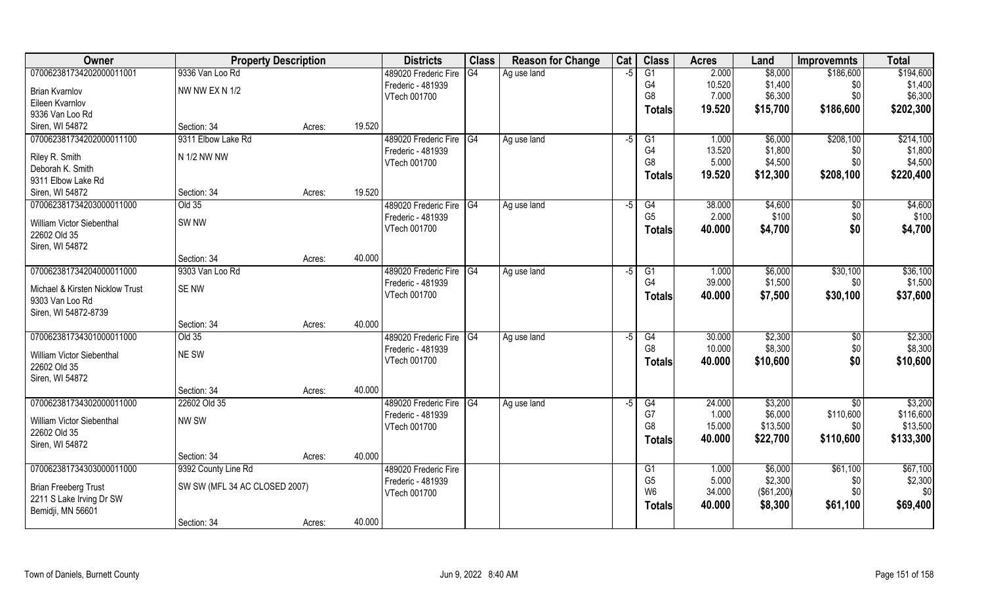| Owner                                              | <b>Property Description</b>   |        |        | <b>Districts</b>                  | <b>Class</b> | <b>Reason for Change</b> | Cat  | <b>Class</b>         | <b>Acres</b>    | Land                  | <b>Improvemnts</b> | <b>Total</b>   |
|----------------------------------------------------|-------------------------------|--------|--------|-----------------------------------|--------------|--------------------------|------|----------------------|-----------------|-----------------------|--------------------|----------------|
| 070062381734202000011001                           | 9336 Van Loo Rd               |        |        | 489020 Frederic Fire              | G4           | Ag use land              | -5   | $\overline{G1}$      | 2.000           | \$8,000               | \$186,600          | \$194,600      |
| <b>Brian Kvarnlov</b>                              | NW NW EX N 1/2                |        |        | Frederic - 481939                 |              |                          |      | G4                   | 10.520          | \$1,400               | \$0                | \$1,400        |
| Eileen Kvarnlov                                    |                               |        |        | VTech 001700                      |              |                          |      | G8                   | 7.000           | \$6,300               | \$0                | \$6,300        |
| 9336 Van Loo Rd                                    |                               |        |        |                                   |              |                          |      | <b>Totals</b>        | 19.520          | \$15,700              | \$186,600          | \$202,300      |
| Siren, WI 54872                                    | Section: 34                   | Acres: | 19.520 |                                   |              |                          |      |                      |                 |                       |                    |                |
| 070062381734202000011100                           | 9311 Elbow Lake Rd            |        |        | 489020 Frederic Fire G4           |              | Ag use land              | $-5$ | G1                   | 1.000           | \$6,000               | \$208,100          | \$214,100      |
| Riley R. Smith                                     | N 1/2 NW NW                   |        |        | Frederic - 481939                 |              |                          |      | G4                   | 13.520          | \$1,800               | \$0                | \$1,800        |
| Deborah K. Smith                                   |                               |        |        | VTech 001700                      |              |                          |      | G <sub>8</sub>       | 5.000           | \$4,500               | \$0                | \$4,500        |
| 9311 Elbow Lake Rd                                 |                               |        |        |                                   |              |                          |      | <b>Totals</b>        | 19.520          | \$12,300              | \$208,100          | \$220,400      |
| Siren, WI 54872                                    | Section: 34                   | Acres: | 19.520 |                                   |              |                          |      |                      |                 |                       |                    |                |
| 070062381734203000011000                           | Old 35                        |        |        | 489020 Frederic Fire G4           |              | Ag use land              | -5   | G4                   | 38.000          | \$4,600               | \$0                | \$4,600        |
| William Victor Siebenthal                          | SW <sub>NW</sub>              |        |        | Frederic - 481939                 |              |                          |      | G <sub>5</sub>       | 2.000           | \$100                 | \$0                | \$100          |
| 22602 Old 35                                       |                               |        |        | VTech 001700                      |              |                          |      | <b>Totals</b>        | 40.000          | \$4,700               | \$0                | \$4,700        |
| Siren, WI 54872                                    |                               |        |        |                                   |              |                          |      |                      |                 |                       |                    |                |
|                                                    | Section: 34                   | Acres: | 40.000 |                                   |              |                          |      |                      |                 |                       |                    |                |
| 070062381734204000011000                           | 9303 Van Loo Rd               |        |        | 489020 Frederic Fire G4           |              | Ag use land              | -5   | G <sub>1</sub>       | 1.000           | \$6,000               | \$30,100           | \$36,100       |
|                                                    |                               |        |        | Frederic - 481939                 |              |                          |      | G <sub>4</sub>       | 39.000          | \$1,500               | \$0                | \$1,500        |
| Michael & Kirsten Nicklow Trust<br>9303 Van Loo Rd | SE NW                         |        |        | VTech 001700                      |              |                          |      | <b>Totals</b>        | 40.000          | \$7,500               | \$30,100           | \$37,600       |
| Siren, WI 54872-8739                               |                               |        |        |                                   |              |                          |      |                      |                 |                       |                    |                |
|                                                    | Section: 34                   | Acres: | 40.000 |                                   |              |                          |      |                      |                 |                       |                    |                |
| 070062381734301000011000                           | Old 35                        |        |        | 489020 Frederic Fire              | IG4          | Ag use land              | -5   | $\overline{G4}$      | 30.000          | \$2,300               | \$0                | \$2,300        |
|                                                    |                               |        |        | Frederic - 481939                 |              |                          |      | G <sub>8</sub>       | 10.000          | \$8,300               | \$0                | \$8,300        |
| William Victor Siebenthal                          | NE SW                         |        |        | VTech 001700                      |              |                          |      | <b>Totals</b>        | 40.000          | \$10,600              | \$0                | \$10,600       |
| 22602 Old 35                                       |                               |        |        |                                   |              |                          |      |                      |                 |                       |                    |                |
| Siren, WI 54872                                    | Section: 34                   |        | 40.000 |                                   |              |                          |      |                      |                 |                       |                    |                |
| 070062381734302000011000                           | 22602 Old 35                  | Acres: |        | 489020 Frederic Fire G4           |              | Ag use land              | $-5$ | G4                   | 24.000          | \$3,200               | \$0                | \$3,200        |
|                                                    |                               |        |        | Frederic - 481939                 |              |                          |      | G7                   | 1.000           | \$6,000               | \$110,600          | \$116,600      |
| William Victor Siebenthal                          | NW SW                         |        |        | VTech 001700                      |              |                          |      | G <sub>8</sub>       | 15.000          | \$13,500              | \$0                | \$13,500       |
| 22602 Old 35                                       |                               |        |        |                                   |              |                          |      | <b>Totals</b>        | 40.000          | \$22,700              | \$110,600          | \$133,300      |
| Siren, WI 54872                                    |                               |        |        |                                   |              |                          |      |                      |                 |                       |                    |                |
|                                                    | Section: 34                   | Acres: | 40.000 |                                   |              |                          |      |                      |                 |                       |                    |                |
| 070062381734303000011000                           | 9392 County Line Rd           |        |        | 489020 Frederic Fire              |              |                          |      | G1<br>G <sub>5</sub> | 1.000           | \$6,000               | \$61,100           | \$67,100       |
| <b>Brian Freeberg Trust</b>                        | SW SW (MFL 34 AC CLOSED 2007) |        |        | Frederic - 481939<br>VTech 001700 |              |                          |      | W <sub>6</sub>       | 5.000<br>34.000 | \$2,300<br>(\$61,200) | \$0<br>\$0         | \$2,300<br>\$0 |
| 2211 S Lake Irving Dr SW                           |                               |        |        |                                   |              |                          |      |                      | 40.000          | \$8,300               | \$61,100           | \$69,400       |
| Bemidji, MN 56601                                  |                               |        |        |                                   |              |                          |      | <b>Totals</b>        |                 |                       |                    |                |
|                                                    | Section: 34                   | Acres: | 40.000 |                                   |              |                          |      |                      |                 |                       |                    |                |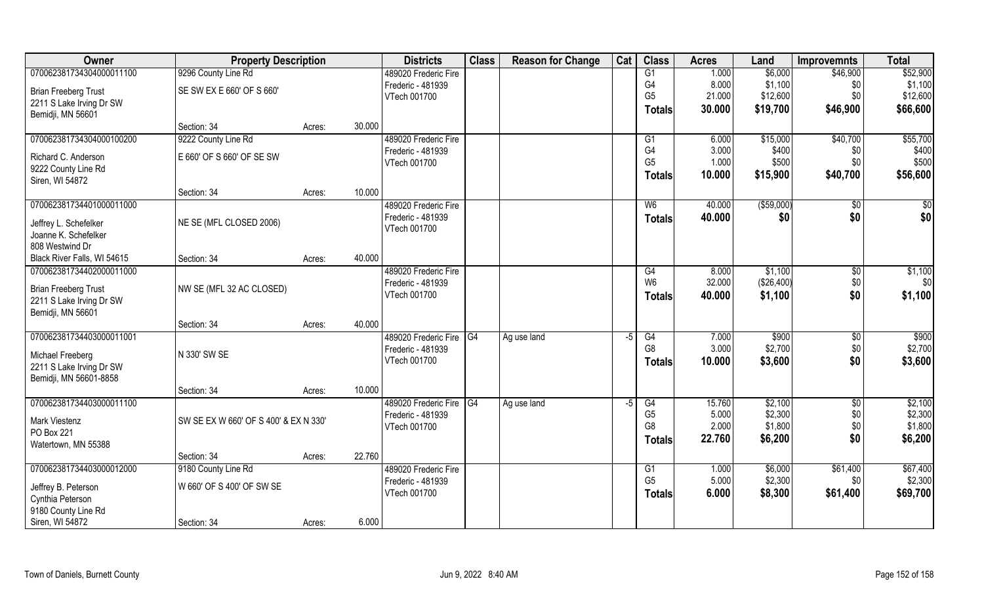| Owner                       | <b>Property Description</b>           |        |        | <b>Districts</b>                             | <b>Class</b>    | <b>Reason for Change</b> | Cat  | <b>Class</b>         | <b>Acres</b>    | Land               | <b>Improvemnts</b> | <b>Total</b>                 |
|-----------------------------|---------------------------------------|--------|--------|----------------------------------------------|-----------------|--------------------------|------|----------------------|-----------------|--------------------|--------------------|------------------------------|
| 070062381734304000011100    | 9296 County Line Rd                   |        |        | 489020 Frederic Fire                         |                 |                          |      | G1                   | 1.000           | \$6,000            | \$46,900           | \$52,900                     |
| <b>Brian Freeberg Trust</b> | SE SW EX E 660' OF S 660'             |        |        | Frederic - 481939                            |                 |                          |      | G4                   | 8.000           | \$1,100            | \$0                | \$1,100                      |
| 2211 S Lake Irving Dr SW    |                                       |        |        | VTech 001700                                 |                 |                          |      | G <sub>5</sub>       | 21.000          | \$12,600           | \$0                | \$12,600                     |
| Bemidji, MN 56601           |                                       |        |        |                                              |                 |                          |      | <b>Totals</b>        | 30.000          | \$19,700           | \$46,900           | \$66,600                     |
|                             | Section: 34                           | Acres: | 30.000 |                                              |                 |                          |      |                      |                 |                    |                    |                              |
| 070062381734304000100200    | 9222 County Line Rd                   |        |        | 489020 Frederic Fire                         |                 |                          |      | G1                   | 6.000           | \$15,000           | \$40,700           | \$55,700                     |
| Richard C. Anderson         | E 660' OF S 660' OF SE SW             |        |        | Frederic - 481939                            |                 |                          |      | G <sub>4</sub>       | 3.000           | \$400              | \$0                | \$400                        |
| 9222 County Line Rd         |                                       |        |        | VTech 001700                                 |                 |                          |      | G <sub>5</sub>       | 1.000           | \$500              | \$0                | \$500                        |
| Siren, WI 54872             |                                       |        |        |                                              |                 |                          |      | <b>Totals</b>        | 10.000          | \$15,900           | \$40,700           | \$56,600                     |
|                             | Section: 34                           | Acres: | 10.000 |                                              |                 |                          |      |                      |                 |                    |                    |                              |
| 070062381734401000011000    |                                       |        |        | 489020 Frederic Fire                         |                 |                          |      | W <sub>6</sub>       | 40.000          | ( \$59,000)        | $\sqrt[6]{30}$     | \$0                          |
| Jeffrey L. Schefelker       | NE SE (MFL CLOSED 2006)               |        |        | Frederic - 481939                            |                 |                          |      | <b>Totals</b>        | 40.000          | \$0                | \$0                | \$0                          |
| Joanne K. Schefelker        |                                       |        |        | VTech 001700                                 |                 |                          |      |                      |                 |                    |                    |                              |
| 808 Westwind Dr             |                                       |        |        |                                              |                 |                          |      |                      |                 |                    |                    |                              |
| Black River Falls, WI 54615 | Section: 34                           | Acres: | 40.000 |                                              |                 |                          |      |                      |                 |                    |                    |                              |
| 070062381734402000011000    |                                       |        |        | 489020 Frederic Fire                         |                 |                          |      | G4                   | 8.000           | \$1,100            | $\sqrt[6]{3}$      | \$1,100                      |
| <b>Brian Freeberg Trust</b> | NW SE (MFL 32 AC CLOSED)              |        |        | Frederic - 481939<br>VTech 001700            |                 |                          |      | W <sub>6</sub>       | 32.000          | (\$26,400)         | \$0                | \$0                          |
| 2211 S Lake Irving Dr SW    |                                       |        |        |                                              |                 |                          |      | <b>Totals</b>        | 40.000          | \$1,100            | \$0                | \$1,100                      |
| Bemidji, MN 56601           |                                       |        |        |                                              |                 |                          |      |                      |                 |                    |                    |                              |
|                             | Section: 34                           | Acres: | 40.000 |                                              |                 |                          |      |                      |                 |                    |                    |                              |
| 070062381734403000011001    |                                       |        |        | 489020 Frederic Fire                         | $\overline{G4}$ | Ag use land              | $-5$ | G4<br>G <sub>8</sub> | 7.000<br>3.000  | \$900<br>\$2,700   | \$0                | $\overline{$900}$<br>\$2,700 |
| Michael Freeberg            | N 330' SW SE                          |        |        | Frederic - 481939<br>VTech 001700            |                 |                          |      |                      | 10.000          | \$3,600            | \$0<br>\$0         | \$3,600                      |
| 2211 S Lake Irving Dr SW    |                                       |        |        |                                              |                 |                          |      | <b>Totals</b>        |                 |                    |                    |                              |
| Bemidji, MN 56601-8858      |                                       |        |        |                                              |                 |                          |      |                      |                 |                    |                    |                              |
|                             | Section: 34                           | Acres: | 10.000 |                                              |                 |                          |      |                      |                 |                    |                    |                              |
| 070062381734403000011100    |                                       |        |        | 489020 Frederic Fire G4<br>Frederic - 481939 |                 | Ag use land              | -5   | G4<br>G <sub>5</sub> | 15.760<br>5.000 | \$2,100<br>\$2,300 | \$0<br>\$0         | \$2,100<br>\$2,300           |
| <b>Mark Viestenz</b>        | SW SE EX W 660' OF S 400' & EX N 330' |        |        | VTech 001700                                 |                 |                          |      | G <sub>8</sub>       | 2.000           | \$1,800            | \$0                | \$1,800                      |
| PO Box 221                  |                                       |        |        |                                              |                 |                          |      | Totals               | 22.760          | \$6,200            | \$0                | \$6,200                      |
| Watertown, MN 55388         |                                       |        |        |                                              |                 |                          |      |                      |                 |                    |                    |                              |
|                             | Section: 34                           | Acres: | 22.760 |                                              |                 |                          |      |                      |                 |                    |                    |                              |
| 070062381734403000012000    | 9180 County Line Rd                   |        |        | 489020 Frederic Fire<br>Frederic - 481939    |                 |                          |      | G1<br>G <sub>5</sub> | 1.000<br>5.000  | \$6,000<br>\$2,300 | \$61,400<br>\$0    | \$67,400<br>\$2,300          |
| Jeffrey B. Peterson         | W 660' OF S 400' OF SW SE             |        |        | VTech 001700                                 |                 |                          |      | <b>Totals</b>        | 6.000           | \$8,300            | \$61,400           | \$69,700                     |
| Cynthia Peterson            |                                       |        |        |                                              |                 |                          |      |                      |                 |                    |                    |                              |
| 9180 County Line Rd         |                                       |        |        |                                              |                 |                          |      |                      |                 |                    |                    |                              |
| Siren, WI 54872             | Section: 34                           | Acres: | 6.000  |                                              |                 |                          |      |                      |                 |                    |                    |                              |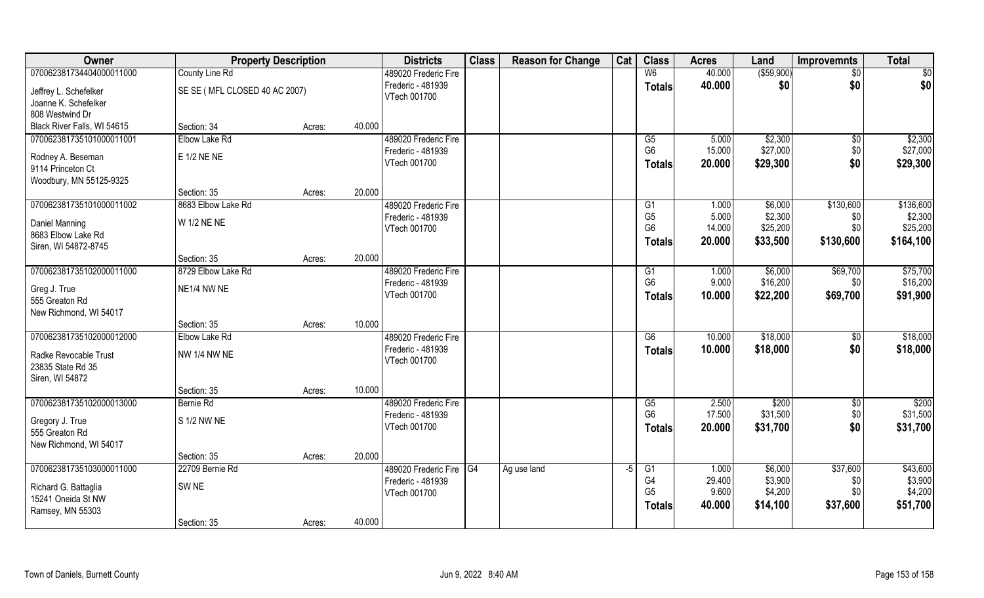| Owner                                      | <b>Property Description</b>   |        |        | <b>Districts</b>        | <b>Class</b> | <b>Reason for Change</b> | Cat  | <b>Class</b>    | <b>Acres</b> | Land        | <b>Improvemnts</b> | <b>Total</b> |
|--------------------------------------------|-------------------------------|--------|--------|-------------------------|--------------|--------------------------|------|-----------------|--------------|-------------|--------------------|--------------|
| 070062381734404000011000                   | County Line Rd                |        |        | 489020 Frederic Fire    |              |                          |      | W <sub>6</sub>  | 40.000       | ( \$59,900) | $\sqrt{6}$         | \$0          |
| Jeffrey L. Schefelker                      | SE SE (MFL CLOSED 40 AC 2007) |        |        | Frederic - 481939       |              |                          |      | <b>Totals</b>   | 40.000       | \$0         | \$0                | \$0          |
| Joanne K. Schefelker                       |                               |        |        | VTech 001700            |              |                          |      |                 |              |             |                    |              |
| 808 Westwind Dr                            |                               |        |        |                         |              |                          |      |                 |              |             |                    |              |
| Black River Falls, WI 54615                | Section: 34                   | Acres: | 40.000 |                         |              |                          |      |                 |              |             |                    |              |
| 070062381735101000011001                   | Elbow Lake Rd                 |        |        | 489020 Frederic Fire    |              |                          |      | G5              | 5.000        | \$2,300     | \$0                | \$2,300      |
| Rodney A. Beseman                          | E 1/2 NE NE                   |        |        | Frederic - 481939       |              |                          |      | G <sub>6</sub>  | 15.000       | \$27,000    | \$0                | \$27,000     |
| 9114 Princeton Ct                          |                               |        |        | VTech 001700            |              |                          |      | <b>Totals</b>   | 20.000       | \$29,300    | \$0                | \$29,300     |
| Woodbury, MN 55125-9325                    |                               |        |        |                         |              |                          |      |                 |              |             |                    |              |
|                                            | Section: 35                   | Acres: | 20.000 |                         |              |                          |      |                 |              |             |                    |              |
| 070062381735101000011002                   | 8683 Elbow Lake Rd            |        |        | 489020 Frederic Fire    |              |                          |      | G1              | 1.000        | \$6,000     | \$130,600          | \$136,600    |
| Daniel Manning                             | W 1/2 NE NE                   |        |        | Frederic - 481939       |              |                          |      | G <sub>5</sub>  | 5.000        | \$2,300     | \$0                | \$2,300      |
| 8683 Elbow Lake Rd                         |                               |        |        | VTech 001700            |              |                          |      | G <sub>6</sub>  | 14.000       | \$25,200    | \$0                | \$25,200     |
| Siren, WI 54872-8745                       |                               |        |        |                         |              |                          |      | Totals          | 20.000       | \$33,500    | \$130,600          | \$164,100    |
|                                            | Section: 35                   | Acres: | 20.000 |                         |              |                          |      |                 |              |             |                    |              |
| 070062381735102000011000                   | 8729 Elbow Lake Rd            |        |        | 489020 Frederic Fire    |              |                          |      | G1              | 1.000        | \$6,000     | \$69,700           | \$75,700     |
| Greg J. True                               | NE1/4 NW NE                   |        |        | Frederic - 481939       |              |                          |      | G <sub>6</sub>  | 9.000        | \$16,200    | \$0                | \$16,200     |
| 555 Greaton Rd                             |                               |        |        | VTech 001700            |              |                          |      | <b>Totals</b>   | 10.000       | \$22,200    | \$69,700           | \$91,900     |
| New Richmond, WI 54017                     |                               |        |        |                         |              |                          |      |                 |              |             |                    |              |
|                                            | Section: 35                   | Acres: | 10.000 |                         |              |                          |      |                 |              |             |                    |              |
| 070062381735102000012000                   | Elbow Lake Rd                 |        |        | 489020 Frederic Fire    |              |                          |      | $\overline{G6}$ | 10.000       | \$18,000    | \$0                | \$18,000     |
|                                            | <b>NW 1/4 NW NE</b>           |        |        | Frederic - 481939       |              |                          |      | <b>Totals</b>   | 10.000       | \$18,000    | \$0                | \$18,000     |
| Radke Revocable Trust<br>23835 State Rd 35 |                               |        |        | VTech 001700            |              |                          |      |                 |              |             |                    |              |
| Siren, WI 54872                            |                               |        |        |                         |              |                          |      |                 |              |             |                    |              |
|                                            | Section: 35                   | Acres: | 10.000 |                         |              |                          |      |                 |              |             |                    |              |
| 070062381735102000013000                   | Bernie Rd                     |        |        | 489020 Frederic Fire    |              |                          |      | G5              | 2.500        | \$200       | \$0                | \$200        |
|                                            |                               |        |        | Frederic - 481939       |              |                          |      | G <sub>6</sub>  | 17.500       | \$31,500    | \$0                | \$31,500     |
| Gregory J. True<br>555 Greaton Rd          | S 1/2 NW NE                   |        |        | VTech 001700            |              |                          |      | <b>Totals</b>   | 20.000       | \$31,700    | \$0                | \$31,700     |
| New Richmond, WI 54017                     |                               |        |        |                         |              |                          |      |                 |              |             |                    |              |
|                                            | Section: 35                   | Acres: | 20.000 |                         |              |                          |      |                 |              |             |                    |              |
| 070062381735103000011000                   | 22709 Bernie Rd               |        |        | 489020 Frederic Fire G4 |              | Ag use land              | $-5$ | G1              | 1.000        | \$6,000     | \$37,600           | \$43,600     |
|                                            |                               |        |        | Frederic - 481939       |              |                          |      | G4              | 29.400       | \$3,900     | \$0                | \$3,900      |
| Richard G. Battaglia                       | SW <sub>NE</sub>              |        |        | VTech 001700            |              |                          |      | G <sub>5</sub>  | 9.600        | \$4,200     | \$0                | \$4,200      |
| 15241 Oneida St NW<br>Ramsey, MN 55303     |                               |        |        |                         |              |                          |      | <b>Totals</b>   | 40.000       | \$14,100    | \$37,600           | \$51,700     |
|                                            | Section: 35                   | Acres: | 40.000 |                         |              |                          |      |                 |              |             |                    |              |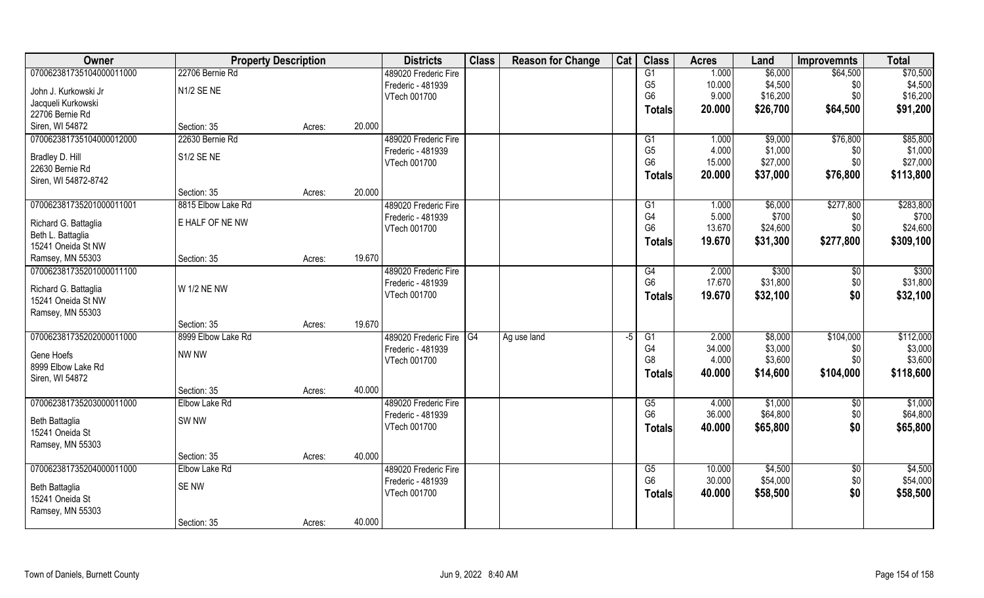| Owner                    |                    | <b>Property Description</b> |        | <b>Districts</b>     | <b>Class</b> | <b>Reason for Change</b> | Cat  | <b>Class</b>   | <b>Acres</b> | Land     | <b>Improvemnts</b> | <b>Total</b> |
|--------------------------|--------------------|-----------------------------|--------|----------------------|--------------|--------------------------|------|----------------|--------------|----------|--------------------|--------------|
| 070062381735104000011000 | 22706 Bernie Rd    |                             |        | 489020 Frederic Fire |              |                          |      | G1             | 1.000        | \$6,000  | \$64,500           | \$70,500     |
| John J. Kurkowski Jr     | N1/2 SE NE         |                             |        | Frederic - 481939    |              |                          |      | G <sub>5</sub> | 10.000       | \$4,500  | \$0                | \$4,500      |
| Jacqueli Kurkowski       |                    |                             |        | VTech 001700         |              |                          |      | G <sub>6</sub> | 9.000        | \$16,200 | \$0                | \$16,200     |
| 22706 Bernie Rd          |                    |                             |        |                      |              |                          |      | Totals         | 20.000       | \$26,700 | \$64,500           | \$91,200     |
| Siren, WI 54872          | Section: 35        | Acres:                      | 20.000 |                      |              |                          |      |                |              |          |                    |              |
| 070062381735104000012000 | 22630 Bernie Rd    |                             |        | 489020 Frederic Fire |              |                          |      | G1             | 1.000        | \$9,000  | \$76,800           | \$85,800     |
|                          |                    |                             |        | Frederic - 481939    |              |                          |      | G <sub>5</sub> | 4.000        | \$1,000  | \$0                | \$1,000      |
| Bradley D. Hill          | S1/2 SENE          |                             |        | VTech 001700         |              |                          |      | G <sub>6</sub> | 15.000       | \$27,000 | \$0                | \$27,000     |
| 22630 Bernie Rd          |                    |                             |        |                      |              |                          |      | <b>Totals</b>  | 20.000       | \$37,000 | \$76,800           | \$113,800    |
| Siren, WI 54872-8742     |                    |                             |        |                      |              |                          |      |                |              |          |                    |              |
|                          | Section: 35        | Acres:                      | 20.000 |                      |              |                          |      |                |              |          |                    |              |
| 070062381735201000011001 | 8815 Elbow Lake Rd |                             |        | 489020 Frederic Fire |              |                          |      | G1             | 1.000        | \$6,000  | \$277,800          | \$283,800    |
| Richard G. Battaglia     | E HALF OF NE NW    |                             |        | Frederic - 481939    |              |                          |      | G <sub>4</sub> | 5.000        | \$700    | \$0                | \$700        |
| Beth L. Battaglia        |                    |                             |        | VTech 001700         |              |                          |      | G <sub>6</sub> | 13.670       | \$24,600 | \$0                | \$24,600     |
| 15241 Oneida St NW       |                    |                             |        |                      |              |                          |      | <b>Totals</b>  | 19.670       | \$31,300 | \$277,800          | \$309,100    |
| Ramsey, MN 55303         | Section: 35        | Acres:                      | 19.670 |                      |              |                          |      |                |              |          |                    |              |
| 070062381735201000011100 |                    |                             |        | 489020 Frederic Fire |              |                          |      | G4             | 2.000        | \$300    | \$0                | \$300        |
|                          |                    |                             |        | Frederic - 481939    |              |                          |      | G <sub>6</sub> | 17.670       | \$31,800 | \$0                | \$31,800     |
| Richard G. Battaglia     | W 1/2 NE NW        |                             |        | VTech 001700         |              |                          |      | <b>Totals</b>  | 19.670       | \$32,100 | \$0                | \$32,100     |
| 15241 Oneida St NW       |                    |                             |        |                      |              |                          |      |                |              |          |                    |              |
| Ramsey, MN 55303         |                    |                             |        |                      |              |                          |      |                |              |          |                    |              |
|                          | Section: 35        | Acres:                      | 19.670 |                      |              |                          |      |                |              |          |                    |              |
| 070062381735202000011000 | 8999 Elbow Lake Rd |                             |        | 489020 Frederic Fire | G4           | Ag use land              | $-5$ | G1             | 2.000        | \$8,000  | \$104,000          | \$112,000    |
| Gene Hoefs               | NW NW              |                             |        | Frederic - 481939    |              |                          |      | G <sub>4</sub> | 34.000       | \$3,000  | \$0                | \$3,000      |
| 8999 Elbow Lake Rd       |                    |                             |        | VTech 001700         |              |                          |      | G8             | 4.000        | \$3,600  | \$0\$              | \$3,600      |
| Siren, WI 54872          |                    |                             |        |                      |              |                          |      | Totals         | 40.000       | \$14,600 | \$104,000          | \$118,600    |
|                          | Section: 35        | Acres:                      | 40.000 |                      |              |                          |      |                |              |          |                    |              |
| 070062381735203000011000 | Elbow Lake Rd      |                             |        | 489020 Frederic Fire |              |                          |      | G5             | 4.000        | \$1,000  | \$0                | \$1,000      |
| Beth Battaglia           | SW <sub>NW</sub>   |                             |        | Frederic - 481939    |              |                          |      | G <sub>6</sub> | 36.000       | \$64,800 | \$0                | \$64,800     |
| 15241 Oneida St          |                    |                             |        | VTech 001700         |              |                          |      | <b>Totals</b>  | 40.000       | \$65,800 | \$0                | \$65,800     |
| Ramsey, MN 55303         |                    |                             |        |                      |              |                          |      |                |              |          |                    |              |
|                          | Section: 35        | Acres:                      | 40.000 |                      |              |                          |      |                |              |          |                    |              |
| 070062381735204000011000 | Elbow Lake Rd      |                             |        | 489020 Frederic Fire |              |                          |      | G5             | 10.000       | \$4,500  | $\sqrt{$0}$        | \$4,500      |
|                          |                    |                             |        | Frederic - 481939    |              |                          |      | G <sub>6</sub> | 30.000       | \$54,000 | \$0                | \$54,000     |
| Beth Battaglia           | SE NW              |                             |        | VTech 001700         |              |                          |      | <b>Totals</b>  | 40.000       | \$58,500 | \$0                | \$58,500     |
| 15241 Oneida St          |                    |                             |        |                      |              |                          |      |                |              |          |                    |              |
| Ramsey, MN 55303         |                    |                             |        |                      |              |                          |      |                |              |          |                    |              |
|                          | Section: 35        | Acres:                      | 40.000 |                      |              |                          |      |                |              |          |                    |              |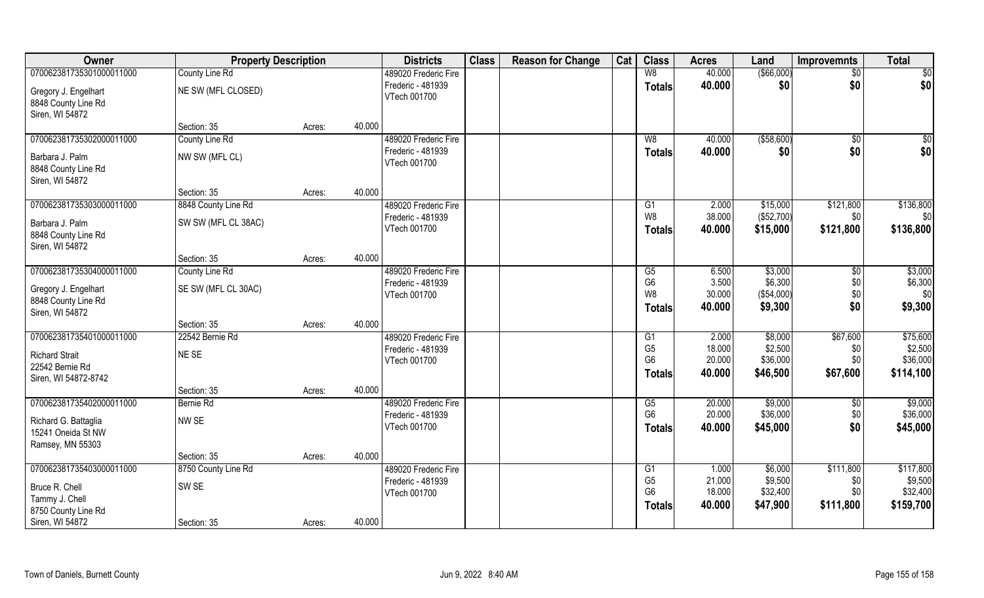| Owner                                                            | <b>Property Description</b> |        |        | <b>Districts</b>                  | <b>Class</b> | <b>Reason for Change</b> | Cat | <b>Class</b>                                      | <b>Acres</b>               | Land                             | <b>Improvemnts</b>      | <b>Total</b>                     |
|------------------------------------------------------------------|-----------------------------|--------|--------|-----------------------------------|--------------|--------------------------|-----|---------------------------------------------------|----------------------------|----------------------------------|-------------------------|----------------------------------|
| 070062381735301000011000                                         | County Line Rd              |        |        | 489020 Frederic Fire              |              |                          |     | W8                                                | 40.000                     | ( \$66,000)                      | $\sqrt{6}$              | \$0                              |
| Gregory J. Engelhart<br>8848 County Line Rd<br>Siren, WI 54872   | NE SW (MFL CLOSED)          |        |        | Frederic - 481939<br>VTech 001700 |              |                          |     | <b>Totals</b>                                     | 40.000                     | \$0                              | \$0                     | \$0                              |
|                                                                  | Section: 35                 | Acres: | 40.000 |                                   |              |                          |     |                                                   |                            |                                  |                         |                                  |
| 070062381735302000011000                                         | County Line Rd              |        |        | 489020 Frederic Fire              |              |                          |     | W8                                                | 40.000                     | ( \$58,600)                      | \$0                     | \$0                              |
| Barbara J. Palm<br>8848 County Line Rd<br>Siren, WI 54872        | NW SW (MFL CL)              |        |        | Frederic - 481939<br>VTech 001700 |              |                          |     | <b>Totals</b>                                     | 40.000                     | \$0                              | \$0                     | \$0                              |
|                                                                  | Section: 35                 | Acres: | 40.000 |                                   |              |                          |     |                                                   |                            |                                  |                         |                                  |
| 070062381735303000011000                                         | 8848 County Line Rd         |        |        | 489020 Frederic Fire              |              |                          |     | G1                                                | 2.000                      | \$15,000                         | \$121,800               | \$136,800                        |
| Barbara J. Palm<br>8848 County Line Rd<br>Siren, WI 54872        | SW SW (MFL CL 38AC)         |        |        | Frederic - 481939<br>VTech 001700 |              |                          |     | W <sub>8</sub><br><b>Totals</b>                   | 38.000<br>40.000           | (\$52,700)<br>\$15,000           | \$0<br>\$121,800        | \$0<br>\$136,800                 |
|                                                                  | Section: 35                 | Acres: | 40.000 |                                   |              |                          |     |                                                   |                            |                                  |                         |                                  |
| 070062381735304000011000                                         | County Line Rd              |        |        | 489020 Frederic Fire              |              |                          |     | G <sub>5</sub>                                    | 6.500                      | \$3,000                          | \$0                     | \$3,000                          |
| Gregory J. Engelhart<br>8848 County Line Rd<br>Siren, WI 54872   | SE SW (MFL CL 30AC)         |        |        | Frederic - 481939<br>VTech 001700 |              |                          |     | G <sub>6</sub><br>W8<br><b>Totals</b>             | 3.500<br>30.000<br>40.000  | \$6,300<br>(\$54,000)<br>\$9,300 | \$0<br>\$0<br>\$0       | \$6,300<br>\$0<br>\$9,300        |
|                                                                  | Section: 35                 | Acres: | 40.000 |                                   |              |                          |     |                                                   |                            |                                  |                         |                                  |
| 070062381735401000011000                                         | 22542 Bernie Rd             |        |        | 489020 Frederic Fire              |              |                          |     | G1                                                | 2.000                      | \$8,000                          | \$67,600                | \$75,600                         |
| <b>Richard Strait</b><br>22542 Bernie Rd<br>Siren, WI 54872-8742 | NE SE                       |        |        | Frederic - 481939<br>VTech 001700 |              |                          |     | G <sub>5</sub><br>G <sub>6</sub><br><b>Totals</b> | 18.000<br>20.000<br>40.000 | \$2,500<br>\$36,000<br>\$46,500  | \$0<br>\$0<br>\$67,600  | \$2,500<br>\$36,000<br>\$114,100 |
|                                                                  | Section: 35                 | Acres: | 40.000 |                                   |              |                          |     |                                                   |                            |                                  |                         |                                  |
| 070062381735402000011000                                         | Bernie Rd                   |        |        | 489020 Frederic Fire              |              |                          |     | G5                                                | 20.000                     | \$9,000                          | \$0                     | \$9,000                          |
| Richard G. Battaglia<br>15241 Oneida St NW<br>Ramsey, MN 55303   | NW SE                       |        |        | Frederic - 481939<br>VTech 001700 |              |                          |     | G <sub>6</sub><br><b>Totals</b>                   | 20.000<br>40.000           | \$36,000<br>\$45,000             | \$0<br>\$0              | \$36,000<br>\$45,000             |
|                                                                  | Section: 35                 | Acres: | 40.000 |                                   |              |                          |     |                                                   |                            |                                  |                         |                                  |
| 070062381735403000011000                                         | 8750 County Line Rd         |        |        | 489020 Frederic Fire              |              |                          |     | G1                                                | 1.000                      | \$6,000                          | \$111,800               | \$117,800                        |
| Bruce R. Chell<br>Tammy J. Chell<br>8750 County Line Rd          | SW <sub>SE</sub>            |        |        | Frederic - 481939<br>VTech 001700 |              |                          |     | G <sub>5</sub><br>G <sub>6</sub><br><b>Totals</b> | 21.000<br>18.000<br>40.000 | \$9,500<br>\$32,400<br>\$47,900  | \$0<br>\$0<br>\$111,800 | \$9,500<br>\$32,400<br>\$159,700 |
| Siren, WI 54872                                                  | Section: 35                 | Acres: | 40.000 |                                   |              |                          |     |                                                   |                            |                                  |                         |                                  |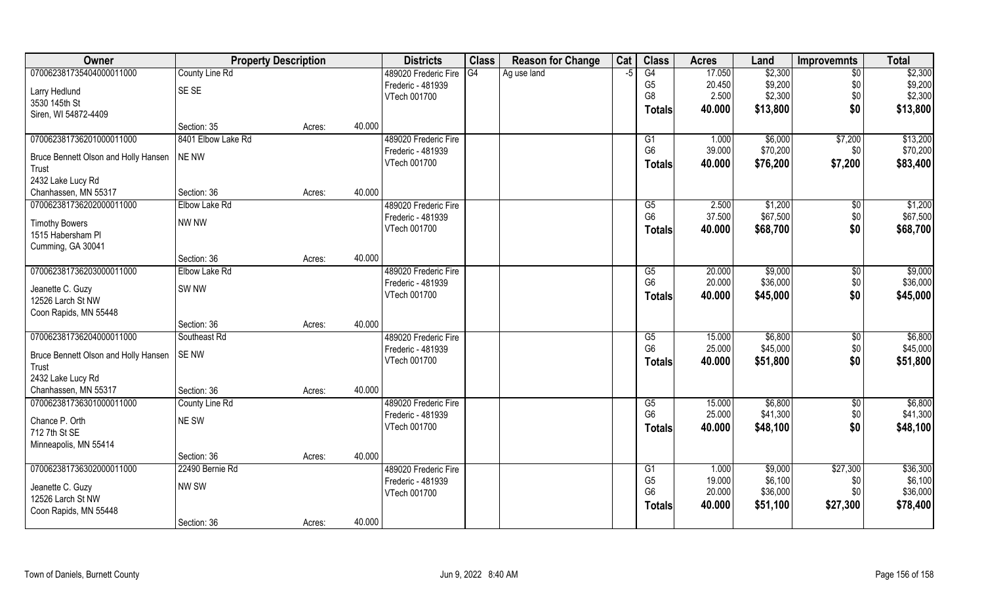| 17.050<br>070062381735404000011000<br>County Line Rd<br>G4<br>G4<br>\$2,300<br>$\overline{50}$<br>489020 Frederic Fire<br>Ag use land<br>-5<br>G <sub>5</sub><br>\$9,200<br>\$9,200<br>20.450<br>\$0<br>Frederic - 481939<br>SE SE<br>Larry Hedlund<br>\$0<br>G8<br>2.500<br>\$2,300<br>VTech 001700<br>3530 145th St<br>\$0<br>40.000<br>\$13,800<br><b>Totals</b><br>Siren, WI 54872-4409<br>40.000<br>Section: 35<br>Acres:<br>8401 Elbow Lake Rd<br>070062381736201000011000<br>\$6,000<br>\$7,200<br>489020 Frederic Fire<br>1.000<br>G1<br>G <sub>6</sub><br>\$70,200<br>39.000<br>\$0<br>Frederic - 481939<br><b>NE NW</b><br>Bruce Bennett Olson and Holly Hansen<br>\$7,200<br>VTech 001700<br>40.000<br>\$76,200<br><b>Totals</b><br>Trust<br>2432 Lake Lucy Rd<br>40.000<br>Chanhassen, MN 55317<br>Section: 36<br>Acres:<br>070062381736202000011000<br>\$1,200<br>Elbow Lake Rd<br>489020 Frederic Fire<br>G5<br>2.500<br>\$0<br>G <sub>6</sub><br>37.500<br>\$67,500<br>\$0<br>Frederic - 481939<br>NW NW<br><b>Timothy Bowers</b><br>\$0<br>VTech 001700<br>40.000<br>\$68,700<br><b>Totals</b><br>1515 Habersham Pl<br>Cumming, GA 30041<br>40.000<br>Section: 36<br>Acres:<br>070062381736203000011000<br>\$9,000<br>Elbow Lake Rd<br>489020 Frederic Fire<br>20.000<br>G5<br>\$0<br>20.000<br>G <sub>6</sub><br>\$36,000<br>\$0<br>Frederic - 481939<br>SW <sub>NW</sub><br>Jeanette C. Guzy<br>\$0<br>VTech 001700<br>40.000<br>\$45,000<br><b>Totals</b><br>12526 Larch St NW<br>Coon Rapids, MN 55448<br>40.000<br>Section: 36<br>Acres:<br>070062381736204000011000<br>Southeast Rd<br>$\overline{G5}$<br>15.000<br>\$6,800<br>$\overline{50}$<br>489020 Frederic Fire<br>G <sub>6</sub><br>25.000<br>\$45,000<br>\$0<br>Frederic - 481939<br><b>SENW</b><br>Bruce Bennett Olson and Holly Hansen<br>\$0<br>\$51,800<br>VTech 001700<br>40.000<br>Totals<br>Trust<br>2432 Lake Lucy Rd<br>40.000<br>Chanhassen, MN 55317<br>Section: 36<br>Acres:<br>\$6,800<br>070062381736301000011000<br>489020 Frederic Fire<br>G5<br>15.000<br>$\sqrt{$0}$<br>County Line Rd | Owner | <b>Property Description</b> | <b>Districts</b>  | <b>Class</b> | <b>Reason for Change</b> | Cat | <b>Class</b>   | <b>Acres</b> | Land     | <b>Improvemnts</b> | <b>Total</b> |
|-----------------------------------------------------------------------------------------------------------------------------------------------------------------------------------------------------------------------------------------------------------------------------------------------------------------------------------------------------------------------------------------------------------------------------------------------------------------------------------------------------------------------------------------------------------------------------------------------------------------------------------------------------------------------------------------------------------------------------------------------------------------------------------------------------------------------------------------------------------------------------------------------------------------------------------------------------------------------------------------------------------------------------------------------------------------------------------------------------------------------------------------------------------------------------------------------------------------------------------------------------------------------------------------------------------------------------------------------------------------------------------------------------------------------------------------------------------------------------------------------------------------------------------------------------------------------------------------------------------------------------------------------------------------------------------------------------------------------------------------------------------------------------------------------------------------------------------------------------------------------------------------------------------------------------------------------------------------------------------------------------------------------------------------------------------------------------------------|-------|-----------------------------|-------------------|--------------|--------------------------|-----|----------------|--------------|----------|--------------------|--------------|
| \$2,300                                                                                                                                                                                                                                                                                                                                                                                                                                                                                                                                                                                                                                                                                                                                                                                                                                                                                                                                                                                                                                                                                                                                                                                                                                                                                                                                                                                                                                                                                                                                                                                                                                                                                                                                                                                                                                                                                                                                                                                                                                                                                 |       |                             |                   |              |                          |     |                |              |          |                    | \$2,300      |
| \$13,800<br>\$13,200<br>\$70,200<br>\$83,400<br>\$1,200<br>\$67,500<br>\$68,700<br>\$9,000<br>\$36,000<br>\$45,000<br>\$6,800<br>\$45,000<br>\$51,800<br>\$6,800                                                                                                                                                                                                                                                                                                                                                                                                                                                                                                                                                                                                                                                                                                                                                                                                                                                                                                                                                                                                                                                                                                                                                                                                                                                                                                                                                                                                                                                                                                                                                                                                                                                                                                                                                                                                                                                                                                                        |       |                             |                   |              |                          |     |                |              |          |                    |              |
|                                                                                                                                                                                                                                                                                                                                                                                                                                                                                                                                                                                                                                                                                                                                                                                                                                                                                                                                                                                                                                                                                                                                                                                                                                                                                                                                                                                                                                                                                                                                                                                                                                                                                                                                                                                                                                                                                                                                                                                                                                                                                         |       |                             |                   |              |                          |     |                |              |          |                    |              |
|                                                                                                                                                                                                                                                                                                                                                                                                                                                                                                                                                                                                                                                                                                                                                                                                                                                                                                                                                                                                                                                                                                                                                                                                                                                                                                                                                                                                                                                                                                                                                                                                                                                                                                                                                                                                                                                                                                                                                                                                                                                                                         |       |                             |                   |              |                          |     |                |              |          |                    |              |
|                                                                                                                                                                                                                                                                                                                                                                                                                                                                                                                                                                                                                                                                                                                                                                                                                                                                                                                                                                                                                                                                                                                                                                                                                                                                                                                                                                                                                                                                                                                                                                                                                                                                                                                                                                                                                                                                                                                                                                                                                                                                                         |       |                             |                   |              |                          |     |                |              |          |                    |              |
|                                                                                                                                                                                                                                                                                                                                                                                                                                                                                                                                                                                                                                                                                                                                                                                                                                                                                                                                                                                                                                                                                                                                                                                                                                                                                                                                                                                                                                                                                                                                                                                                                                                                                                                                                                                                                                                                                                                                                                                                                                                                                         |       |                             |                   |              |                          |     |                |              |          |                    |              |
|                                                                                                                                                                                                                                                                                                                                                                                                                                                                                                                                                                                                                                                                                                                                                                                                                                                                                                                                                                                                                                                                                                                                                                                                                                                                                                                                                                                                                                                                                                                                                                                                                                                                                                                                                                                                                                                                                                                                                                                                                                                                                         |       |                             |                   |              |                          |     |                |              |          |                    |              |
|                                                                                                                                                                                                                                                                                                                                                                                                                                                                                                                                                                                                                                                                                                                                                                                                                                                                                                                                                                                                                                                                                                                                                                                                                                                                                                                                                                                                                                                                                                                                                                                                                                                                                                                                                                                                                                                                                                                                                                                                                                                                                         |       |                             |                   |              |                          |     |                |              |          |                    |              |
|                                                                                                                                                                                                                                                                                                                                                                                                                                                                                                                                                                                                                                                                                                                                                                                                                                                                                                                                                                                                                                                                                                                                                                                                                                                                                                                                                                                                                                                                                                                                                                                                                                                                                                                                                                                                                                                                                                                                                                                                                                                                                         |       |                             |                   |              |                          |     |                |              |          |                    |              |
|                                                                                                                                                                                                                                                                                                                                                                                                                                                                                                                                                                                                                                                                                                                                                                                                                                                                                                                                                                                                                                                                                                                                                                                                                                                                                                                                                                                                                                                                                                                                                                                                                                                                                                                                                                                                                                                                                                                                                                                                                                                                                         |       |                             |                   |              |                          |     |                |              |          |                    |              |
|                                                                                                                                                                                                                                                                                                                                                                                                                                                                                                                                                                                                                                                                                                                                                                                                                                                                                                                                                                                                                                                                                                                                                                                                                                                                                                                                                                                                                                                                                                                                                                                                                                                                                                                                                                                                                                                                                                                                                                                                                                                                                         |       |                             |                   |              |                          |     |                |              |          |                    |              |
|                                                                                                                                                                                                                                                                                                                                                                                                                                                                                                                                                                                                                                                                                                                                                                                                                                                                                                                                                                                                                                                                                                                                                                                                                                                                                                                                                                                                                                                                                                                                                                                                                                                                                                                                                                                                                                                                                                                                                                                                                                                                                         |       |                             |                   |              |                          |     |                |              |          |                    |              |
|                                                                                                                                                                                                                                                                                                                                                                                                                                                                                                                                                                                                                                                                                                                                                                                                                                                                                                                                                                                                                                                                                                                                                                                                                                                                                                                                                                                                                                                                                                                                                                                                                                                                                                                                                                                                                                                                                                                                                                                                                                                                                         |       |                             |                   |              |                          |     |                |              |          |                    |              |
|                                                                                                                                                                                                                                                                                                                                                                                                                                                                                                                                                                                                                                                                                                                                                                                                                                                                                                                                                                                                                                                                                                                                                                                                                                                                                                                                                                                                                                                                                                                                                                                                                                                                                                                                                                                                                                                                                                                                                                                                                                                                                         |       |                             |                   |              |                          |     |                |              |          |                    |              |
|                                                                                                                                                                                                                                                                                                                                                                                                                                                                                                                                                                                                                                                                                                                                                                                                                                                                                                                                                                                                                                                                                                                                                                                                                                                                                                                                                                                                                                                                                                                                                                                                                                                                                                                                                                                                                                                                                                                                                                                                                                                                                         |       |                             |                   |              |                          |     |                |              |          |                    |              |
|                                                                                                                                                                                                                                                                                                                                                                                                                                                                                                                                                                                                                                                                                                                                                                                                                                                                                                                                                                                                                                                                                                                                                                                                                                                                                                                                                                                                                                                                                                                                                                                                                                                                                                                                                                                                                                                                                                                                                                                                                                                                                         |       |                             |                   |              |                          |     |                |              |          |                    |              |
|                                                                                                                                                                                                                                                                                                                                                                                                                                                                                                                                                                                                                                                                                                                                                                                                                                                                                                                                                                                                                                                                                                                                                                                                                                                                                                                                                                                                                                                                                                                                                                                                                                                                                                                                                                                                                                                                                                                                                                                                                                                                                         |       |                             |                   |              |                          |     |                |              |          |                    |              |
|                                                                                                                                                                                                                                                                                                                                                                                                                                                                                                                                                                                                                                                                                                                                                                                                                                                                                                                                                                                                                                                                                                                                                                                                                                                                                                                                                                                                                                                                                                                                                                                                                                                                                                                                                                                                                                                                                                                                                                                                                                                                                         |       |                             |                   |              |                          |     |                |              |          |                    |              |
|                                                                                                                                                                                                                                                                                                                                                                                                                                                                                                                                                                                                                                                                                                                                                                                                                                                                                                                                                                                                                                                                                                                                                                                                                                                                                                                                                                                                                                                                                                                                                                                                                                                                                                                                                                                                                                                                                                                                                                                                                                                                                         |       |                             |                   |              |                          |     |                |              |          |                    |              |
|                                                                                                                                                                                                                                                                                                                                                                                                                                                                                                                                                                                                                                                                                                                                                                                                                                                                                                                                                                                                                                                                                                                                                                                                                                                                                                                                                                                                                                                                                                                                                                                                                                                                                                                                                                                                                                                                                                                                                                                                                                                                                         |       |                             |                   |              |                          |     |                |              |          |                    |              |
|                                                                                                                                                                                                                                                                                                                                                                                                                                                                                                                                                                                                                                                                                                                                                                                                                                                                                                                                                                                                                                                                                                                                                                                                                                                                                                                                                                                                                                                                                                                                                                                                                                                                                                                                                                                                                                                                                                                                                                                                                                                                                         |       |                             |                   |              |                          |     |                |              |          |                    |              |
|                                                                                                                                                                                                                                                                                                                                                                                                                                                                                                                                                                                                                                                                                                                                                                                                                                                                                                                                                                                                                                                                                                                                                                                                                                                                                                                                                                                                                                                                                                                                                                                                                                                                                                                                                                                                                                                                                                                                                                                                                                                                                         |       |                             |                   |              |                          |     |                |              |          |                    |              |
|                                                                                                                                                                                                                                                                                                                                                                                                                                                                                                                                                                                                                                                                                                                                                                                                                                                                                                                                                                                                                                                                                                                                                                                                                                                                                                                                                                                                                                                                                                                                                                                                                                                                                                                                                                                                                                                                                                                                                                                                                                                                                         |       |                             |                   |              |                          |     |                |              |          |                    |              |
|                                                                                                                                                                                                                                                                                                                                                                                                                                                                                                                                                                                                                                                                                                                                                                                                                                                                                                                                                                                                                                                                                                                                                                                                                                                                                                                                                                                                                                                                                                                                                                                                                                                                                                                                                                                                                                                                                                                                                                                                                                                                                         |       |                             |                   |              |                          |     |                |              |          |                    |              |
|                                                                                                                                                                                                                                                                                                                                                                                                                                                                                                                                                                                                                                                                                                                                                                                                                                                                                                                                                                                                                                                                                                                                                                                                                                                                                                                                                                                                                                                                                                                                                                                                                                                                                                                                                                                                                                                                                                                                                                                                                                                                                         |       |                             |                   |              |                          |     |                |              |          |                    |              |
|                                                                                                                                                                                                                                                                                                                                                                                                                                                                                                                                                                                                                                                                                                                                                                                                                                                                                                                                                                                                                                                                                                                                                                                                                                                                                                                                                                                                                                                                                                                                                                                                                                                                                                                                                                                                                                                                                                                                                                                                                                                                                         |       |                             |                   |              |                          |     |                |              |          |                    |              |
|                                                                                                                                                                                                                                                                                                                                                                                                                                                                                                                                                                                                                                                                                                                                                                                                                                                                                                                                                                                                                                                                                                                                                                                                                                                                                                                                                                                                                                                                                                                                                                                                                                                                                                                                                                                                                                                                                                                                                                                                                                                                                         |       |                             | Frederic - 481939 |              |                          |     | G <sub>6</sub> | 25.000       | \$41,300 | \$0                | \$41,300     |
| Chance P. Orth<br>NE SW<br>\$0<br>VTech 001700<br>\$48,100<br>40.000<br>\$48,100<br><b>Totals</b><br>712 7th St SE                                                                                                                                                                                                                                                                                                                                                                                                                                                                                                                                                                                                                                                                                                                                                                                                                                                                                                                                                                                                                                                                                                                                                                                                                                                                                                                                                                                                                                                                                                                                                                                                                                                                                                                                                                                                                                                                                                                                                                      |       |                             |                   |              |                          |     |                |              |          |                    |              |
| Minneapolis, MN 55414                                                                                                                                                                                                                                                                                                                                                                                                                                                                                                                                                                                                                                                                                                                                                                                                                                                                                                                                                                                                                                                                                                                                                                                                                                                                                                                                                                                                                                                                                                                                                                                                                                                                                                                                                                                                                                                                                                                                                                                                                                                                   |       |                             |                   |              |                          |     |                |              |          |                    |              |
| 40.000<br>Section: 36<br>Acres:                                                                                                                                                                                                                                                                                                                                                                                                                                                                                                                                                                                                                                                                                                                                                                                                                                                                                                                                                                                                                                                                                                                                                                                                                                                                                                                                                                                                                                                                                                                                                                                                                                                                                                                                                                                                                                                                                                                                                                                                                                                         |       |                             |                   |              |                          |     |                |              |          |                    |              |
| 070062381736302000011000<br>22490 Bernie Rd<br>\$27,300<br>\$36,300<br>489020 Frederic Fire<br>1.000<br>\$9,000<br>G1                                                                                                                                                                                                                                                                                                                                                                                                                                                                                                                                                                                                                                                                                                                                                                                                                                                                                                                                                                                                                                                                                                                                                                                                                                                                                                                                                                                                                                                                                                                                                                                                                                                                                                                                                                                                                                                                                                                                                                   |       |                             |                   |              |                          |     |                |              |          |                    |              |
| G <sub>5</sub><br>19.000<br>\$6,100<br>\$6,100<br>Frederic - 481939<br>\$0                                                                                                                                                                                                                                                                                                                                                                                                                                                                                                                                                                                                                                                                                                                                                                                                                                                                                                                                                                                                                                                                                                                                                                                                                                                                                                                                                                                                                                                                                                                                                                                                                                                                                                                                                                                                                                                                                                                                                                                                              |       |                             |                   |              |                          |     |                |              |          |                    |              |
| NW SW<br>Jeanette C. Guzy<br>G <sub>6</sub><br>20.000<br>\$0<br>\$36,000<br>\$36,000<br>VTech 001700                                                                                                                                                                                                                                                                                                                                                                                                                                                                                                                                                                                                                                                                                                                                                                                                                                                                                                                                                                                                                                                                                                                                                                                                                                                                                                                                                                                                                                                                                                                                                                                                                                                                                                                                                                                                                                                                                                                                                                                    |       |                             |                   |              |                          |     |                |              |          |                    |              |
| 12526 Larch St NW<br>\$51,100<br>\$27,300<br>\$78,400<br>40.000<br><b>Totals</b>                                                                                                                                                                                                                                                                                                                                                                                                                                                                                                                                                                                                                                                                                                                                                                                                                                                                                                                                                                                                                                                                                                                                                                                                                                                                                                                                                                                                                                                                                                                                                                                                                                                                                                                                                                                                                                                                                                                                                                                                        |       |                             |                   |              |                          |     |                |              |          |                    |              |
| Coon Rapids, MN 55448<br>40.000<br>Section: 36<br>Acres:                                                                                                                                                                                                                                                                                                                                                                                                                                                                                                                                                                                                                                                                                                                                                                                                                                                                                                                                                                                                                                                                                                                                                                                                                                                                                                                                                                                                                                                                                                                                                                                                                                                                                                                                                                                                                                                                                                                                                                                                                                |       |                             |                   |              |                          |     |                |              |          |                    |              |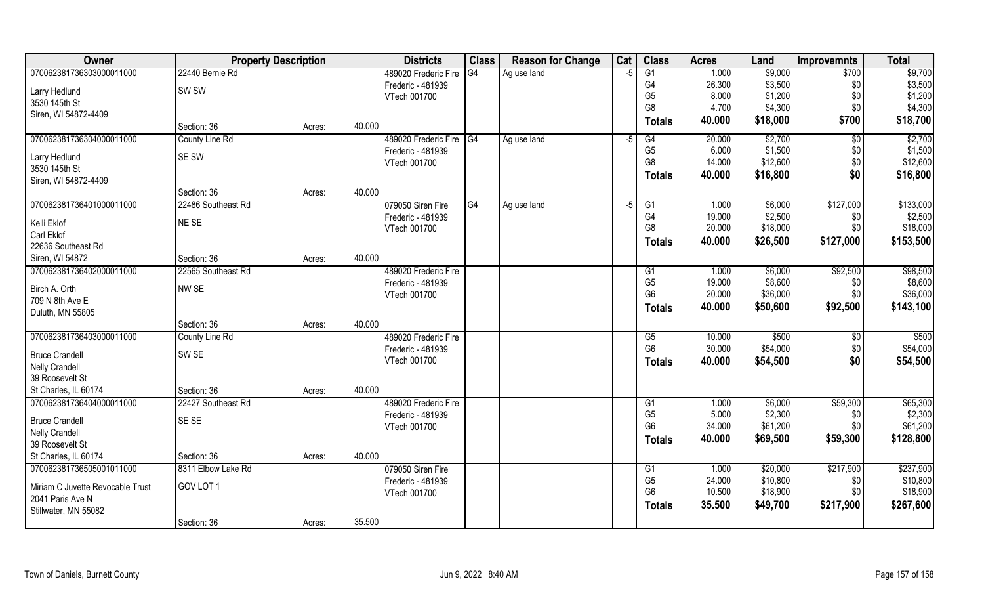| Owner                                    |                    | <b>Property Description</b> |        | <b>Districts</b>        | <b>Class</b> | <b>Reason for Change</b> | Cat  | <b>Class</b>   | <b>Acres</b> | Land     | <b>Improvemnts</b> | <b>Total</b> |
|------------------------------------------|--------------------|-----------------------------|--------|-------------------------|--------------|--------------------------|------|----------------|--------------|----------|--------------------|--------------|
| 070062381736303000011000                 | 22440 Bernie Rd    |                             |        | 489020 Frederic Fire    | G4           | Ag use land              | $-5$ | G1             | 1.000        | \$9,000  | \$700              | \$9,700      |
| Larry Hedlund                            | SW <sub>SW</sub>   |                             |        | Frederic - 481939       |              |                          |      | G4             | 26.300       | \$3,500  | \$0                | \$3,500      |
| 3530 145th St                            |                    |                             |        | VTech 001700            |              |                          |      | G <sub>5</sub> | 8.000        | \$1,200  | \$0                | \$1,200      |
| Siren, WI 54872-4409                     |                    |                             |        |                         |              |                          |      | G <sub>8</sub> | 4.700        | \$4,300  | \$0                | \$4,300      |
|                                          | Section: 36        | Acres:                      | 40.000 |                         |              |                          |      | <b>Totals</b>  | 40.000       | \$18,000 | \$700              | \$18,700     |
| 070062381736304000011000                 | County Line Rd     |                             |        | 489020 Frederic Fire G4 |              | Ag use land              | -5   | G4             | 20.000       | \$2,700  | $\sqrt[6]{}$       | \$2,700      |
| Larry Hedlund                            | SE SW              |                             |        | Frederic - 481939       |              |                          |      | G <sub>5</sub> | 6.000        | \$1,500  | \$0                | \$1,500      |
| 3530 145th St                            |                    |                             |        | VTech 001700            |              |                          |      | G <sub>8</sub> | 14.000       | \$12,600 | \$0                | \$12,600     |
| Siren, WI 54872-4409                     |                    |                             |        |                         |              |                          |      | <b>Totals</b>  | 40.000       | \$16,800 | \$0                | \$16,800     |
|                                          | Section: 36        | Acres:                      | 40.000 |                         |              |                          |      |                |              |          |                    |              |
| 070062381736401000011000                 | 22486 Southeast Rd |                             |        | 079050 Siren Fire       | G4           | Ag use land              | $-5$ | G1             | 1.000        | \$6,000  | \$127,000          | \$133,000    |
| Kelli Eklof                              | NE SE              |                             |        | Frederic - 481939       |              |                          |      | G4             | 19.000       | \$2,500  | \$0                | \$2,500      |
| Carl Eklof                               |                    |                             |        | VTech 001700            |              |                          |      | G <sub>8</sub> | 20.000       | \$18,000 | \$0                | \$18,000     |
| 22636 Southeast Rd                       |                    |                             |        |                         |              |                          |      | Totals         | 40.000       | \$26,500 | \$127,000          | \$153,500    |
| Siren, WI 54872                          | Section: 36        | Acres:                      | 40.000 |                         |              |                          |      |                |              |          |                    |              |
| 070062381736402000011000                 | 22565 Southeast Rd |                             |        | 489020 Frederic Fire    |              |                          |      | G1             | 1.000        | \$6,000  | \$92,500           | \$98,500     |
| Birch A. Orth                            | NW SE              |                             |        | Frederic - 481939       |              |                          |      | G <sub>5</sub> | 19.000       | \$8,600  | \$0                | \$8,600      |
| 709 N 8th Ave E                          |                    |                             |        | VTech 001700            |              |                          |      | G <sub>6</sub> | 20.000       | \$36,000 | \$0                | \$36,000     |
| Duluth, MN 55805                         |                    |                             |        |                         |              |                          |      | <b>Totals</b>  | 40.000       | \$50,600 | \$92,500           | \$143,100    |
|                                          | Section: 36        | Acres:                      | 40.000 |                         |              |                          |      |                |              |          |                    |              |
| 070062381736403000011000                 | County Line Rd     |                             |        | 489020 Frederic Fire    |              |                          |      | G5             | 10.000       | \$500    | $\sqrt[6]{30}$     | \$500        |
|                                          |                    |                             |        | Frederic - 481939       |              |                          |      | G <sub>6</sub> | 30.000       | \$54,000 | \$0                | \$54,000     |
| <b>Bruce Crandell</b>                    | SW <sub>SE</sub>   |                             |        | VTech 001700            |              |                          |      | <b>Totals</b>  | 40.000       | \$54,500 | \$0                | \$54,500     |
| <b>Nelly Crandell</b><br>39 Roosevelt St |                    |                             |        |                         |              |                          |      |                |              |          |                    |              |
| St Charles, IL 60174                     | Section: 36        | Acres:                      | 40.000 |                         |              |                          |      |                |              |          |                    |              |
| 070062381736404000011000                 | 22427 Southeast Rd |                             |        | 489020 Frederic Fire    |              |                          |      | G1             | 1.000        | \$6,000  | \$59,300           | \$65,300     |
|                                          |                    |                             |        | Frederic - 481939       |              |                          |      | G <sub>5</sub> | 5.000        | \$2,300  | \$0                | \$2,300      |
| <b>Bruce Crandell</b>                    | SE SE              |                             |        | VTech 001700            |              |                          |      | G <sub>6</sub> | 34.000       | \$61,200 | \$0\$              | \$61,200     |
| <b>Nelly Crandell</b>                    |                    |                             |        |                         |              |                          |      | <b>Totals</b>  | 40.000       | \$69,500 | \$59,300           | \$128,800    |
| 39 Roosevelt St                          |                    |                             |        |                         |              |                          |      |                |              |          |                    |              |
| St Charles, IL 60174                     | Section: 36        | Acres:                      | 40.000 |                         |              |                          |      |                |              |          |                    |              |
| 070062381736505001011000                 | 8311 Elbow Lake Rd |                             |        | 079050 Siren Fire       |              |                          |      | G1             | 1.000        | \$20,000 | \$217,900          | \$237,900    |
| Miriam C Juvette Revocable Trust         | GOV LOT 1          |                             |        | Frederic - 481939       |              |                          |      | G <sub>5</sub> | 24.000       | \$10,800 | \$0                | \$10,800     |
| 2041 Paris Ave N                         |                    |                             |        | VTech 001700            |              |                          |      | G <sub>6</sub> | 10.500       | \$18,900 | \$0                | \$18,900     |
| Stillwater, MN 55082                     |                    |                             |        |                         |              |                          |      | <b>Totals</b>  | 35.500       | \$49,700 | \$217,900          | \$267,600    |
|                                          | Section: 36        | Acres:                      | 35.500 |                         |              |                          |      |                |              |          |                    |              |